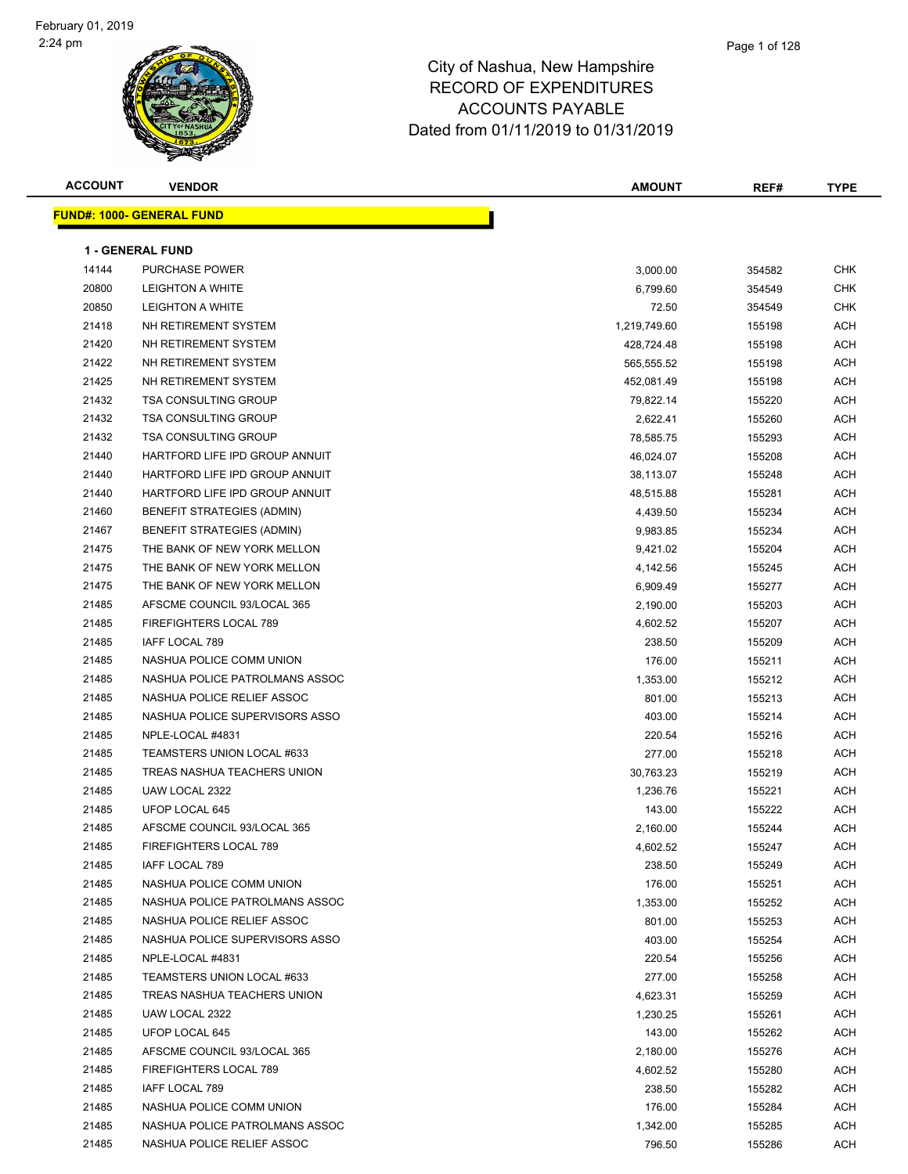**FUND#: 1000- GENERA** 

| <b>ACCOUNT</b> | <b>VENDOR</b>                     |  | <b>AMOUNT</b> | REF# | <b>TYPE</b> |
|----------------|-----------------------------------|--|---------------|------|-------------|
|                |                                   |  |               |      |             |
|                | <u> IND#: 1000- GENERAL FUNDI</u> |  |               |      |             |
|                |                                   |  |               |      |             |
|                | CENEDAL CUND                      |  |               |      |             |

|                | <b>1 - GENERAL FUND</b>                       |                      |                  |            |
|----------------|-----------------------------------------------|----------------------|------------------|------------|
| 14144          | <b>PURCHASE POWER</b>                         | 3,000.00             | 354582           | <b>CHK</b> |
| 20800          | <b>LEIGHTON A WHITE</b>                       | 6,799.60             | 354549           | <b>CHK</b> |
| 20850          | LEIGHTON A WHITE                              | 72.50                | 354549           | <b>CHK</b> |
| 21418          | NH RETIREMENT SYSTEM                          | 1,219,749.60         | 155198           | ACH        |
| 21420          | NH RETIREMENT SYSTEM                          | 428,724.48           | 155198           | ACH        |
| 21422          | NH RETIREMENT SYSTEM                          | 565,555.52           | 155198           | <b>ACH</b> |
| 21425          | NH RETIREMENT SYSTEM                          | 452,081.49           | 155198           | ACH        |
| 21432          | <b>TSA CONSULTING GROUP</b>                   | 79,822.14            | 155220           | ACH        |
| 21432          | <b>TSA CONSULTING GROUP</b>                   | 2,622.41             | 155260           | ACH        |
| 21432          | <b>TSA CONSULTING GROUP</b>                   | 78,585.75            | 155293           | ACH        |
| 21440          | HARTFORD LIFE IPD GROUP ANNUIT                | 46,024.07            | 155208           | ACH        |
| 21440          | HARTFORD LIFE IPD GROUP ANNUIT                | 38,113.07            | 155248           | ACH        |
| 21440          | HARTFORD LIFE IPD GROUP ANNUIT                | 48,515.88            | 155281           | ACH        |
| 21460          | <b>BENEFIT STRATEGIES (ADMIN)</b>             | 4,439.50             | 155234           | <b>ACH</b> |
| 21467          | <b>BENEFIT STRATEGIES (ADMIN)</b>             | 9,983.85             | 155234           | ACH        |
| 21475          | THE BANK OF NEW YORK MELLON                   | 9,421.02             | 155204           | <b>ACH</b> |
| 21475          | THE BANK OF NEW YORK MELLON                   | 4,142.56             | 155245           | <b>ACH</b> |
| 21475          | THE BANK OF NEW YORK MELLON                   | 6,909.49             | 155277           | ACH        |
| 21485          | AFSCME COUNCIL 93/LOCAL 365                   | 2,190.00             | 155203           | ACH        |
| 21485          | FIREFIGHTERS LOCAL 789                        | 4,602.52             | 155207           | <b>ACH</b> |
| 21485          | IAFF LOCAL 789                                | 238.50               | 155209           | ACH        |
| 21485          | NASHUA POLICE COMM UNION                      | 176.00               | 155211           | <b>ACH</b> |
| 21485          | NASHUA POLICE PATROLMANS ASSOC                | 1,353.00             | 155212           | ACH        |
| 21485          | NASHUA POLICE RELIEF ASSOC                    | 801.00               | 155213           | ACH        |
| 21485          | NASHUA POLICE SUPERVISORS ASSO                | 403.00               | 155214           | ACH        |
| 21485          | NPLE-LOCAL #4831                              | 220.54               | 155216           | ACH        |
| 21485          | TEAMSTERS UNION LOCAL #633                    | 277.00               | 155218           | ACH        |
| 21485          | TREAS NASHUA TEACHERS UNION                   | 30,763.23            | 155219           | <b>ACH</b> |
| 21485          | UAW LOCAL 2322                                | 1,236.76             | 155221           | ACH        |
| 21485          | UFOP LOCAL 645                                | 143.00               | 155222           | ACH        |
| 21485          | AFSCME COUNCIL 93/LOCAL 365                   | 2,160.00             | 155244           | <b>ACH</b> |
| 21485          | FIREFIGHTERS LOCAL 789                        | 4,602.52             | 155247           | ACH        |
| 21485          | IAFF LOCAL 789                                | 238.50               | 155249           | ACH        |
| 21485          | NASHUA POLICE COMM UNION                      | 176.00               | 155251           | ACH        |
| 21485          | NASHUA POLICE PATROLMANS ASSOC                | 1,353.00             | 155252           | <b>ACH</b> |
| 21485          | NASHUA POLICE RELIEF ASSOC                    | 801.00               | 155253           | <b>ACH</b> |
| 21485          | NASHUA POLICE SUPERVISORS ASSO                | 403.00               | 155254           | <b>ACH</b> |
| 21485<br>21485 | NPLE-LOCAL #4831                              | 220.54               | 155256           | ACH        |
|                | TEAMSTERS UNION LOCAL #633                    | 277.00               | 155258           | ACH        |
| 21485<br>21485 | TREAS NASHUA TEACHERS UNION<br>UAW LOCAL 2322 | 4,623.31             | 155259           | ACH<br>ACH |
| 21485          | UFOP LOCAL 645                                | 1,230.25             | 155261           |            |
| 21485          | AFSCME COUNCIL 93/LOCAL 365                   | 143.00               | 155262           | ACH        |
| 21485          | FIREFIGHTERS LOCAL 789                        | 2,180.00<br>4,602.52 | 155276<br>155280 | ACH<br>ACH |
| 21485          | IAFF LOCAL 789                                | 238.50               | 155282           | ACH        |
| 21485          | NASHUA POLICE COMM UNION                      | 176.00               | 155284           | ACH        |
| 21485          | NASHUA POLICE PATROLMANS ASSOC                | 1,342.00             | 155285           | ACH        |
| 21485          | NASHUA POLICE RELIEF ASSOC                    | 796.50               | 155286           | ACH        |
|                |                                               |                      |                  |            |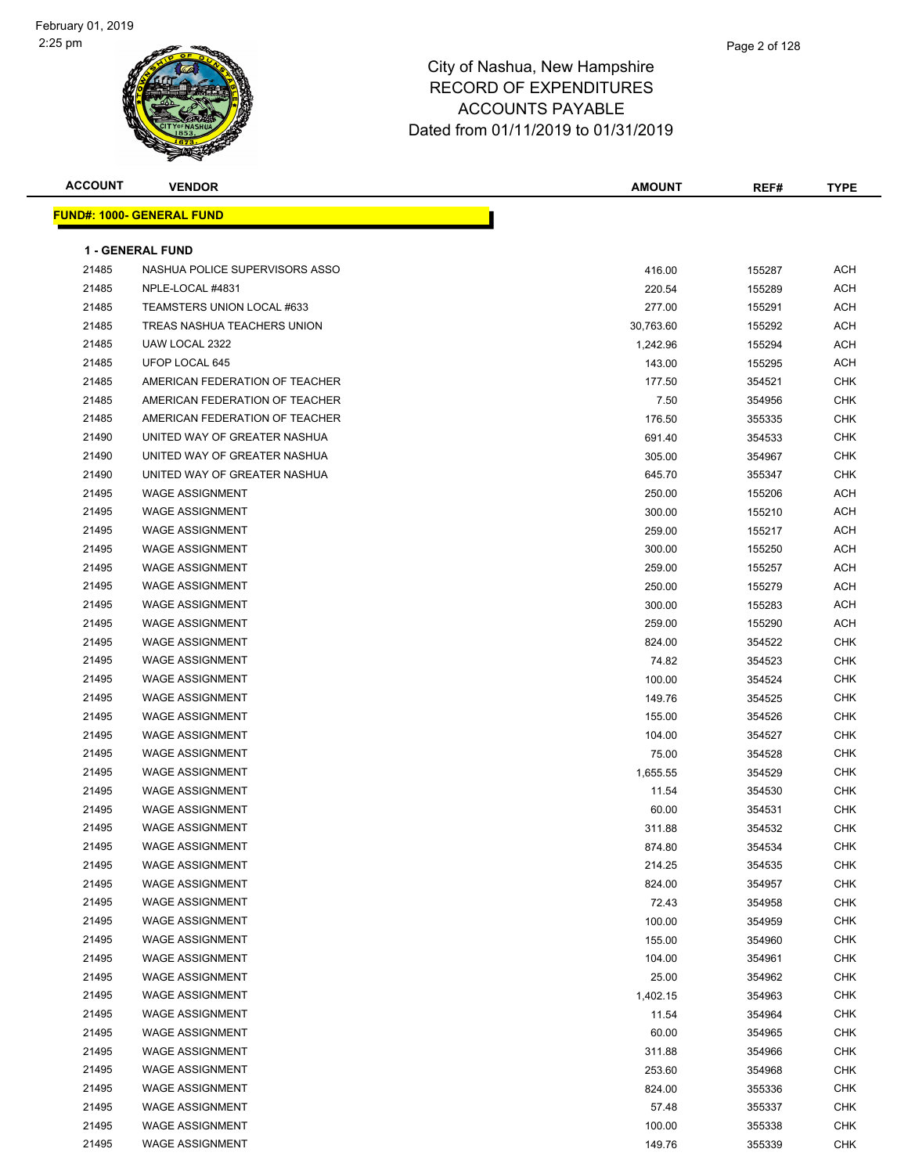#### Page 2 of 128

| <b>ACCOUNT</b> | <b>VENDOR</b>                    | AMOUNT    | REF#   | <b>TYPE</b> |
|----------------|----------------------------------|-----------|--------|-------------|
|                | <b>FUND#: 1000- GENERAL FUND</b> |           |        |             |
|                |                                  |           |        |             |
|                | <b>1 - GENERAL FUND</b>          |           |        |             |
| 21485          | NASHUA POLICE SUPERVISORS ASSO   | 416.00    | 155287 | <b>ACH</b>  |
| 21485          | NPLE-LOCAL #4831                 | 220.54    | 155289 | <b>ACH</b>  |
| 21485          | TEAMSTERS UNION LOCAL #633       | 277.00    | 155291 | ACH         |
| 21485          | TREAS NASHUA TEACHERS UNION      | 30,763.60 | 155292 | <b>ACH</b>  |
| 21485          | UAW LOCAL 2322                   | 1,242.96  | 155294 | ACH         |
| 21485          | UFOP LOCAL 645                   | 143.00    | 155295 | ACH         |
| 21485          | AMERICAN FEDERATION OF TEACHER   | 177.50    | 354521 | CHK         |
| 21485          | AMERICAN FEDERATION OF TEACHER   | 7.50      | 354956 | <b>CHK</b>  |
| 21485          | AMERICAN FEDERATION OF TEACHER   | 176.50    | 355335 | <b>CHK</b>  |
| 21490          | UNITED WAY OF GREATER NASHUA     | 691.40    | 354533 | <b>CHK</b>  |
| 21490          | UNITED WAY OF GREATER NASHUA     | 305.00    | 354967 | <b>CHK</b>  |
| 21490          | UNITED WAY OF GREATER NASHUA     | 645.70    | 355347 | CHK         |
| 21495          | <b>WAGE ASSIGNMENT</b>           | 250.00    | 155206 | ACH         |
| 21495          | <b>WAGE ASSIGNMENT</b>           | 300.00    | 155210 | ACH         |
| 21495          | <b>WAGE ASSIGNMENT</b>           | 259.00    | 155217 | ACH         |
| 21495          | <b>WAGE ASSIGNMENT</b>           | 300.00    | 155250 | ACH         |
| 21495          | <b>WAGE ASSIGNMENT</b>           | 259.00    | 155257 | ACH         |
| 21495          | <b>WAGE ASSIGNMENT</b>           | 250.00    | 155279 | ACH         |
| 21495          | <b>WAGE ASSIGNMENT</b>           | 300.00    | 155283 | ACH         |
| 21495          | <b>WAGE ASSIGNMENT</b>           | 259.00    | 155290 | ACH         |
| 21495          | <b>WAGE ASSIGNMENT</b>           | 824.00    | 354522 | <b>CHK</b>  |
| 21495          | <b>WAGE ASSIGNMENT</b>           | 74.82     | 354523 | <b>CHK</b>  |
| 21495          | <b>WAGE ASSIGNMENT</b>           | 100.00    | 354524 | <b>CHK</b>  |
| 21495          | <b>WAGE ASSIGNMENT</b>           | 149.76    | 354525 | <b>CHK</b>  |
| 21495          | <b>WAGE ASSIGNMENT</b>           | 155.00    | 354526 | <b>CHK</b>  |
| 21495          | <b>WAGE ASSIGNMENT</b>           | 104.00    | 354527 | CHK         |
| 21495          | <b>WAGE ASSIGNMENT</b>           | 75.00     | 354528 | <b>CHK</b>  |
| 21495          | <b>WAGE ASSIGNMENT</b>           | 1,655.55  | 354529 | <b>CHK</b>  |
| 21495          | <b>WAGE ASSIGNMENT</b>           | 11.54     | 354530 | CHK         |
| 21495          | <b>WAGE ASSIGNMENT</b>           | 60.00     | 354531 | <b>CHK</b>  |
| 21495          | <b>WAGE ASSIGNMENT</b>           | 311.88    | 354532 | <b>CHK</b>  |
| 21495          | WAGE ASSIGNMENT                  | 874.80    | 354534 | <b>CHK</b>  |
| 21495          | <b>WAGE ASSIGNMENT</b>           | 214.25    | 354535 | CHK         |
| 21495          | <b>WAGE ASSIGNMENT</b>           | 824.00    | 354957 | <b>CHK</b>  |
| 21495          | <b>WAGE ASSIGNMENT</b>           | 72.43     | 354958 | <b>CHK</b>  |
| 21495          | <b>WAGE ASSIGNMENT</b>           | 100.00    | 354959 | <b>CHK</b>  |
| 21495          | <b>WAGE ASSIGNMENT</b>           | 155.00    | 354960 | <b>CHK</b>  |
| 21495          | <b>WAGE ASSIGNMENT</b>           | 104.00    | 354961 | <b>CHK</b>  |
| 21495          | <b>WAGE ASSIGNMENT</b>           | 25.00     | 354962 | <b>CHK</b>  |
| 21495          | <b>WAGE ASSIGNMENT</b>           | 1,402.15  | 354963 | <b>CHK</b>  |
| 21495          | <b>WAGE ASSIGNMENT</b>           | 11.54     | 354964 | CHK         |
| 21495          | <b>WAGE ASSIGNMENT</b>           | 60.00     | 354965 | CHK         |
| 21495          | <b>WAGE ASSIGNMENT</b>           | 311.88    | 354966 | <b>CHK</b>  |
| 21495          | <b>WAGE ASSIGNMENT</b>           | 253.60    | 354968 | <b>CHK</b>  |
| 21495          | <b>WAGE ASSIGNMENT</b>           | 824.00    | 355336 | <b>CHK</b>  |
| 21495          | <b>WAGE ASSIGNMENT</b>           | 57.48     | 355337 | CHK         |
| 21495          | <b>WAGE ASSIGNMENT</b>           | 100.00    | 355338 | <b>CHK</b>  |
| 21495          | <b>WAGE ASSIGNMENT</b>           | 149.76    | 355339 | <b>CHK</b>  |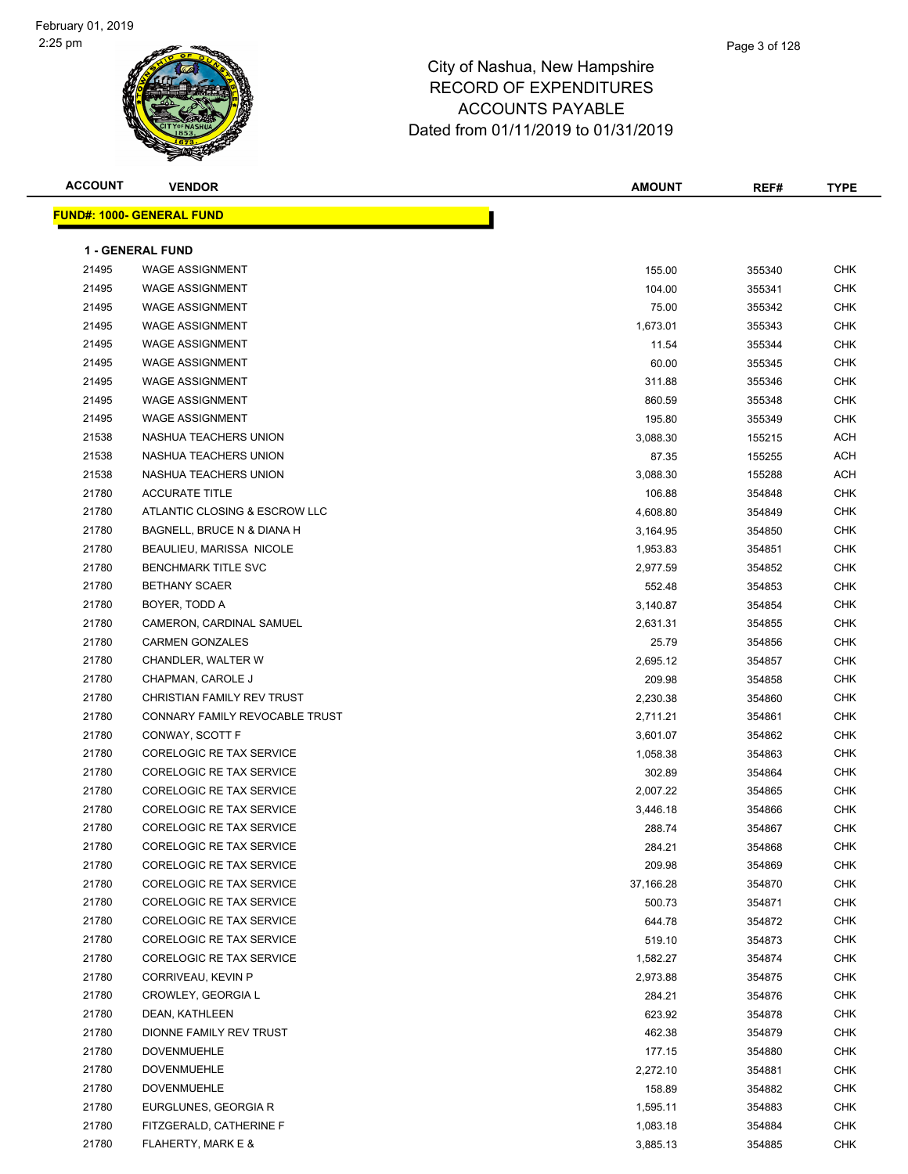

| <b>ACCOUNT</b> | <b>VENDOR</b>                    | <b>AMOUNT</b> | REF#   | <b>TYPE</b> |
|----------------|----------------------------------|---------------|--------|-------------|
|                | <b>FUND#: 1000- GENERAL FUND</b> |               |        |             |
|                |                                  |               |        |             |
|                | <b>1 - GENERAL FUND</b>          |               |        |             |
| 21495          | <b>WAGE ASSIGNMENT</b>           | 155.00        | 355340 | <b>CHK</b>  |
| 21495          | <b>WAGE ASSIGNMENT</b>           | 104.00        | 355341 | <b>CHK</b>  |
| 21495          | <b>WAGE ASSIGNMENT</b>           | 75.00         | 355342 | <b>CHK</b>  |
| 21495          | <b>WAGE ASSIGNMENT</b>           | 1,673.01      | 355343 | <b>CHK</b>  |
| 21495          | <b>WAGE ASSIGNMENT</b>           | 11.54         | 355344 | <b>CHK</b>  |
| 21495          | <b>WAGE ASSIGNMENT</b>           | 60.00         | 355345 | <b>CHK</b>  |
| 21495          | <b>WAGE ASSIGNMENT</b>           | 311.88        | 355346 | <b>CHK</b>  |
| 21495          | <b>WAGE ASSIGNMENT</b>           | 860.59        | 355348 | <b>CHK</b>  |
| 21495          | <b>WAGE ASSIGNMENT</b>           | 195.80        | 355349 | <b>CHK</b>  |
| 21538          | NASHUA TEACHERS UNION            | 3,088.30      | 155215 | <b>ACH</b>  |
| 21538          | NASHUA TEACHERS UNION            | 87.35         | 155255 | ACH         |
| 21538          | NASHUA TEACHERS UNION            | 3,088.30      | 155288 | ACH         |
| 21780          | <b>ACCURATE TITLE</b>            | 106.88        | 354848 | <b>CHK</b>  |
| 21780          | ATLANTIC CLOSING & ESCROW LLC    | 4,608.80      | 354849 | <b>CHK</b>  |
| 21780          | BAGNELL, BRUCE N & DIANA H       | 3,164.95      | 354850 | <b>CHK</b>  |
| 21780          | BEAULIEU, MARISSA NICOLE         | 1,953.83      | 354851 | <b>CHK</b>  |
| 21780          | <b>BENCHMARK TITLE SVC</b>       | 2,977.59      | 354852 | <b>CHK</b>  |
| 21780          | <b>BETHANY SCAER</b>             | 552.48        | 354853 | <b>CHK</b>  |
| 21780          | BOYER, TODD A                    | 3,140.87      | 354854 | <b>CHK</b>  |
| 21780          | CAMERON, CARDINAL SAMUEL         | 2,631.31      | 354855 | <b>CHK</b>  |
| 21780          | <b>CARMEN GONZALES</b>           | 25.79         | 354856 | <b>CHK</b>  |
| 21780          | CHANDLER, WALTER W               | 2,695.12      | 354857 | <b>CHK</b>  |
| 21780          | CHAPMAN, CAROLE J                | 209.98        | 354858 | <b>CHK</b>  |
| 21780          | CHRISTIAN FAMILY REV TRUST       | 2,230.38      | 354860 | <b>CHK</b>  |
| 21780          | CONNARY FAMILY REVOCABLE TRUST   | 2,711.21      | 354861 | CHK         |
| 21780          | CONWAY, SCOTT F                  | 3,601.07      | 354862 | CHK         |
| 21780          | CORELOGIC RE TAX SERVICE         | 1,058.38      | 354863 | CHK         |
| 21780          | CORELOGIC RE TAX SERVICE         | 302.89        | 354864 | CHK         |
| 21780          | CORELOGIC RE TAX SERVICE         | 2,007.22      | 354865 | <b>CHK</b>  |
| 21780          | CORELOGIC RE TAX SERVICE         | 3,446.18      | 354866 | <b>CHK</b>  |
| 21780          | <b>CORELOGIC RE TAX SERVICE</b>  | 288.74        | 354867 | <b>CHK</b>  |
| 21780          | CORELOGIC RE TAX SERVICE         | 284.21        | 354868 | <b>CHK</b>  |
| 21780          | CORELOGIC RE TAX SERVICE         | 209.98        | 354869 | <b>CHK</b>  |
| 21780          | CORELOGIC RE TAX SERVICE         | 37,166.28     | 354870 | <b>CHK</b>  |
| 21780          | CORELOGIC RE TAX SERVICE         | 500.73        | 354871 | <b>CHK</b>  |
| 21780          | <b>CORELOGIC RE TAX SERVICE</b>  | 644.78        | 354872 | CHK         |
| 21780          | CORELOGIC RE TAX SERVICE         | 519.10        | 354873 | <b>CHK</b>  |
| 21780          | CORELOGIC RE TAX SERVICE         | 1,582.27      | 354874 | CHK         |
| 21780          | CORRIVEAU, KEVIN P               | 2,973.88      | 354875 | CHK         |
| 21780          | CROWLEY, GEORGIA L               | 284.21        | 354876 | <b>CHK</b>  |
| 21780          | DEAN, KATHLEEN                   | 623.92        | 354878 | <b>CHK</b>  |
| 21780          | DIONNE FAMILY REV TRUST          | 462.38        | 354879 | <b>CHK</b>  |
| 21780          | <b>DOVENMUEHLE</b>               | 177.15        | 354880 | <b>CHK</b>  |
| 21780          | <b>DOVENMUEHLE</b>               | 2,272.10      | 354881 | CHK         |
| 21780          | <b>DOVENMUEHLE</b>               | 158.89        | 354882 | <b>CHK</b>  |
| 21780          | EURGLUNES, GEORGIA R             | 1,595.11      | 354883 | <b>CHK</b>  |
| 21780          | FITZGERALD, CATHERINE F          | 1,083.18      | 354884 | <b>CHK</b>  |

FLAHERTY, MARK E & 3,885.13 354885 CHK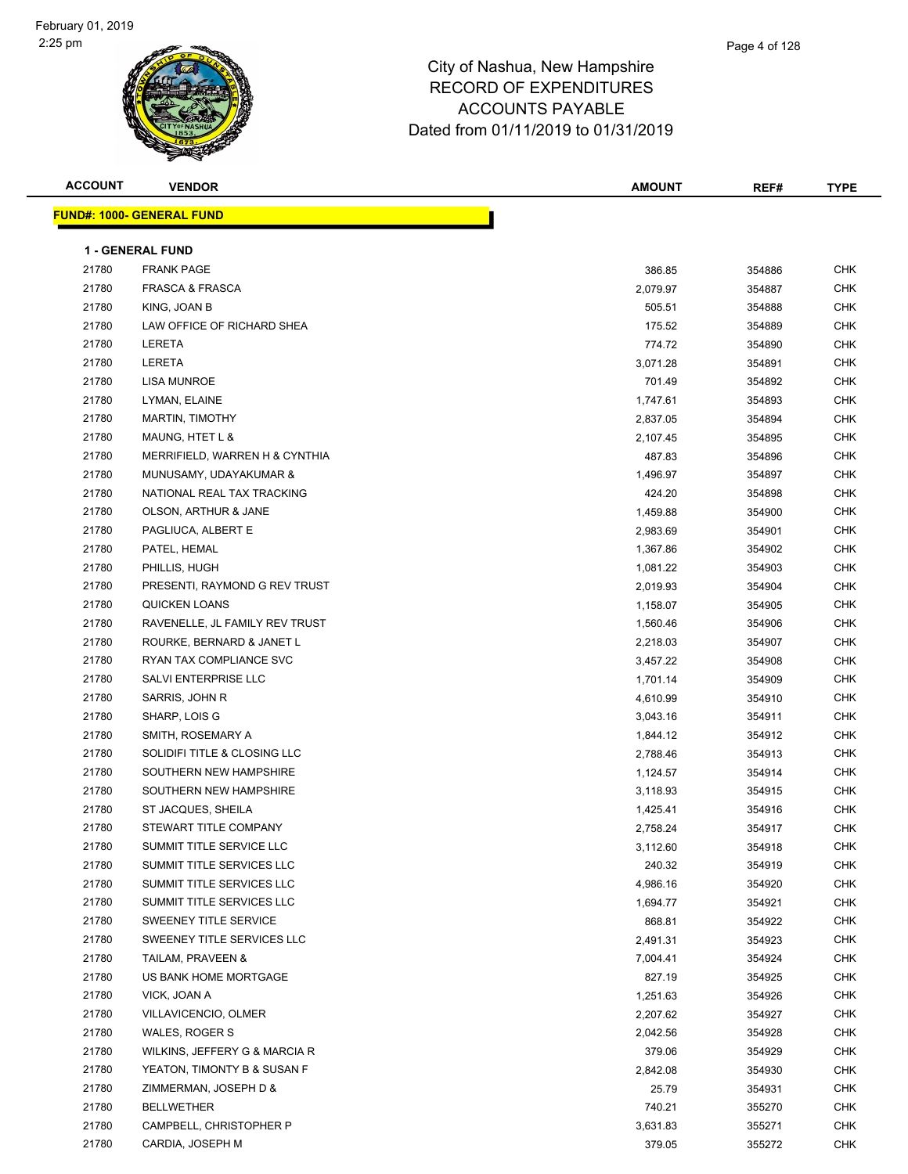#### Page 4 of 128

| <b>ACCOUNT</b> | <b>VENDOR</b>                    | <b>AMOUNT</b> | REF#   | <b>TYPE</b> |
|----------------|----------------------------------|---------------|--------|-------------|
|                | <b>FUND#: 1000- GENERAL FUND</b> |               |        |             |
|                |                                  |               |        |             |
|                | <b>1 - GENERAL FUND</b>          |               |        |             |
| 21780          | <b>FRANK PAGE</b>                | 386.85        | 354886 | <b>CHK</b>  |
| 21780          | <b>FRASCA &amp; FRASCA</b>       | 2,079.97      | 354887 | <b>CHK</b>  |
| 21780          | KING, JOAN B                     | 505.51        | 354888 | <b>CHK</b>  |
| 21780          | LAW OFFICE OF RICHARD SHEA       | 175.52        | 354889 | <b>CHK</b>  |
| 21780          | LERETA                           | 774.72        | 354890 | <b>CHK</b>  |
| 21780          | LERETA                           | 3,071.28      | 354891 | <b>CHK</b>  |
| 21780          | <b>LISA MUNROE</b>               | 701.49        | 354892 | <b>CHK</b>  |
| 21780          | LYMAN, ELAINE                    | 1,747.61      | 354893 | <b>CHK</b>  |
| 21780          | MARTIN, TIMOTHY                  | 2,837.05      | 354894 | <b>CHK</b>  |
| 21780          | MAUNG, HTET L &                  | 2,107.45      | 354895 | <b>CHK</b>  |
| 21780          | MERRIFIELD, WARREN H & CYNTHIA   | 487.83        | 354896 | <b>CHK</b>  |
| 21780          | MUNUSAMY, UDAYAKUMAR &           | 1,496.97      | 354897 | <b>CHK</b>  |
| 21780          | NATIONAL REAL TAX TRACKING       | 424.20        | 354898 | <b>CHK</b>  |
| 21780          | OLSON, ARTHUR & JANE             | 1,459.88      | 354900 | <b>CHK</b>  |
| 21780          | PAGLIUCA, ALBERT E               | 2,983.69      | 354901 | <b>CHK</b>  |
| 21780          | PATEL, HEMAL                     | 1,367.86      | 354902 | <b>CHK</b>  |
| 21780          | PHILLIS, HUGH                    | 1,081.22      | 354903 | <b>CHK</b>  |
| 21780          | PRESENTI, RAYMOND G REV TRUST    | 2,019.93      | 354904 | <b>CHK</b>  |
| 21780          | QUICKEN LOANS                    | 1,158.07      | 354905 | <b>CHK</b>  |
| 21780          | RAVENELLE, JL FAMILY REV TRUST   | 1,560.46      | 354906 | <b>CHK</b>  |
| 21780          | ROURKE, BERNARD & JANET L        | 2,218.03      | 354907 | <b>CHK</b>  |
| 21780          | RYAN TAX COMPLIANCE SVC          | 3,457.22      | 354908 | <b>CHK</b>  |
| 21780          | SALVI ENTERPRISE LLC             | 1,701.14      | 354909 | <b>CHK</b>  |
| 21780          | SARRIS, JOHN R                   | 4,610.99      | 354910 | <b>CHK</b>  |
| 21780          | SHARP, LOIS G                    | 3,043.16      | 354911 | <b>CHK</b>  |
| 21780          | SMITH, ROSEMARY A                | 1,844.12      | 354912 | <b>CHK</b>  |
| 21780          | SOLIDIFI TITLE & CLOSING LLC     | 2,788.46      | 354913 | <b>CHK</b>  |
| 21780          | SOUTHERN NEW HAMPSHIRE           | 1,124.57      | 354914 | <b>CHK</b>  |
| 21780          | SOUTHERN NEW HAMPSHIRE           | 3,118.93      | 354915 | <b>CHK</b>  |
| 21780          | ST JACQUES, SHEILA               | 1,425.41      | 354916 | <b>CHK</b>  |
| 21780          | STEWART TITLE COMPANY            | 2,758.24      | 354917 | <b>CHK</b>  |
| 21780          | SUMMIT TITLE SERVICE LLC         | 3,112.60      | 354918 | <b>CHK</b>  |
| 21780          | SUMMIT TITLE SERVICES LLC        | 240.32        | 354919 | <b>CHK</b>  |
| 21780          | SUMMIT TITLE SERVICES LLC        | 4,986.16      | 354920 | <b>CHK</b>  |
| 21780          | SUMMIT TITLE SERVICES LLC        | 1,694.77      | 354921 | <b>CHK</b>  |
| 21780          | SWEENEY TITLE SERVICE            | 868.81        | 354922 | <b>CHK</b>  |
| 21780          | SWEENEY TITLE SERVICES LLC       | 2,491.31      | 354923 | CHK         |
| 21780          | TAILAM, PRAVEEN &                | 7,004.41      | 354924 | CHK         |
| 21780          | US BANK HOME MORTGAGE            | 827.19        | 354925 | <b>CHK</b>  |
| 21780          | VICK, JOAN A                     | 1,251.63      | 354926 | <b>CHK</b>  |
| 21780          | VILLAVICENCIO, OLMER             | 2,207.62      | 354927 | CHK         |
| 21780          | WALES, ROGER S                   | 2,042.56      | 354928 | <b>CHK</b>  |
| 21780          | WILKINS, JEFFERY G & MARCIA R    | 379.06        | 354929 | <b>CHK</b>  |
| 21780          | YEATON, TIMONTY B & SUSAN F      | 2,842.08      | 354930 | <b>CHK</b>  |
| 21780          | ZIMMERMAN, JOSEPH D &            | 25.79         | 354931 | <b>CHK</b>  |
| 21780          | <b>BELLWETHER</b>                | 740.21        | 355270 | CHK         |
| 21780          | CAMPBELL, CHRISTOPHER P          | 3,631.83      | 355271 | CHK         |
| 21780          | CARDIA, JOSEPH M                 | 379.05        | 355272 | CHK         |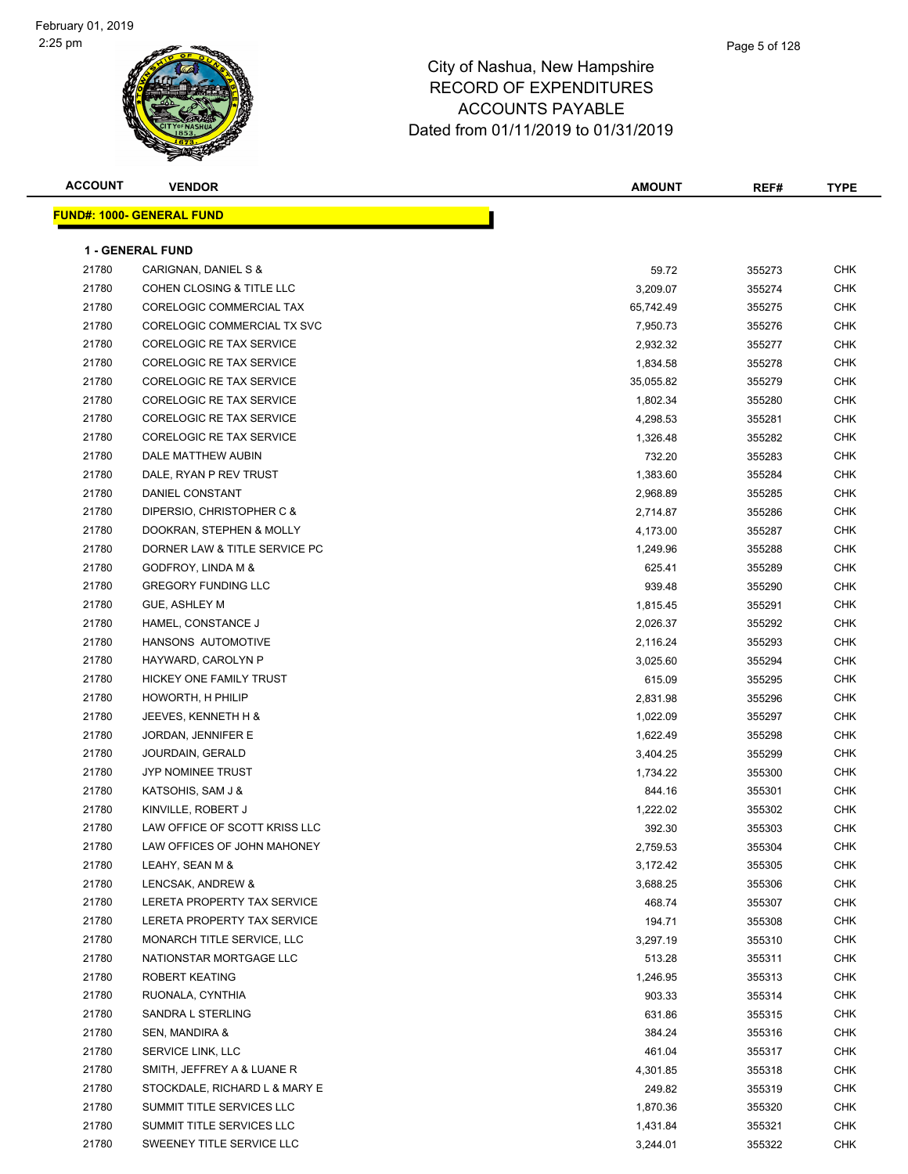| <b>ACCOUNT</b> | <b>VENDOR</b>                    | <b>AMOUNT</b> | REF#   | <b>TYPE</b> |
|----------------|----------------------------------|---------------|--------|-------------|
|                | <b>FUND#: 1000- GENERAL FUND</b> |               |        |             |
|                |                                  |               |        |             |
|                | <b>1 - GENERAL FUND</b>          |               |        |             |
| 21780          | CARIGNAN, DANIEL S &             | 59.72         | 355273 | <b>CHK</b>  |
| 21780          | COHEN CLOSING & TITLE LLC        | 3,209.07      | 355274 | <b>CHK</b>  |
| 21780          | CORELOGIC COMMERCIAL TAX         | 65,742.49     | 355275 | CHK         |
| 21780          | CORELOGIC COMMERCIAL TX SVC      | 7,950.73      | 355276 | <b>CHK</b>  |
| 21780          | CORELOGIC RE TAX SERVICE         | 2,932.32      | 355277 | <b>CHK</b>  |
| 21780          | <b>CORELOGIC RE TAX SERVICE</b>  | 1,834.58      | 355278 | <b>CHK</b>  |
| 21780          | CORELOGIC RE TAX SERVICE         | 35,055.82     | 355279 | <b>CHK</b>  |
| 21780          | CORELOGIC RE TAX SERVICE         | 1,802.34      | 355280 | <b>CHK</b>  |
| 21780          | <b>CORELOGIC RE TAX SERVICE</b>  | 4,298.53      | 355281 | CHK         |
| 21780          | CORELOGIC RE TAX SERVICE         | 1,326.48      | 355282 | <b>CHK</b>  |
| 21780          | DALE MATTHEW AUBIN               | 732.20        | 355283 | CHK         |
| 21780          | DALE, RYAN P REV TRUST           | 1,383.60      | 355284 | CHK         |
| 21780          | DANIEL CONSTANT                  | 2,968.89      | 355285 | <b>CHK</b>  |
| 21780          | DIPERSIO, CHRISTOPHER C &        | 2,714.87      | 355286 | CHK         |
| 21780          | DOOKRAN, STEPHEN & MOLLY         | 4,173.00      | 355287 | <b>CHK</b>  |
| 21780          | DORNER LAW & TITLE SERVICE PC    | 1,249.96      | 355288 | <b>CHK</b>  |
| 21780          | <b>GODFROY, LINDA M &amp;</b>    | 625.41        | 355289 | <b>CHK</b>  |
| 21780          | <b>GREGORY FUNDING LLC</b>       | 939.48        | 355290 | <b>CHK</b>  |
| 21780          | GUE, ASHLEY M                    | 1,815.45      | 355291 | <b>CHK</b>  |
| 21780          | HAMEL, CONSTANCE J               | 2,026.37      | 355292 | CHK         |
| 21780          | HANSONS AUTOMOTIVE               | 2,116.24      | 355293 | <b>CHK</b>  |
| 21780          | HAYWARD, CAROLYN P               | 3,025.60      | 355294 | <b>CHK</b>  |
| 21780          | HICKEY ONE FAMILY TRUST          | 615.09        | 355295 | CHK         |
| 21780          | HOWORTH, H PHILIP                | 2,831.98      | 355296 | <b>CHK</b>  |
| 21780          | JEEVES, KENNETH H &              | 1,022.09      | 355297 | <b>CHK</b>  |
| 21780          | JORDAN, JENNIFER E               | 1,622.49      | 355298 | <b>CHK</b>  |
| 21780          | JOURDAIN, GERALD                 | 3,404.25      | 355299 | <b>CHK</b>  |
| 21780          | JYP NOMINEE TRUST                | 1,734.22      | 355300 | <b>CHK</b>  |
| 21780          | KATSOHIS, SAM J &                | 844.16        | 355301 | <b>CHK</b>  |
| 21780          | KINVILLE, ROBERT J               | 1,222.02      | 355302 | <b>CHK</b>  |
| 21780          | LAW OFFICE OF SCOTT KRISS LLC    | 392.30        | 355303 | CHK         |
| 21780          | LAW OFFICES OF JOHN MAHONEY      | 2,759.53      | 355304 | <b>CHK</b>  |
| 21780          | LEAHY, SEAN M &                  | 3,172.42      | 355305 | <b>CHK</b>  |
| 21780          | LENCSAK, ANDREW &                | 3,688.25      | 355306 | CHK         |
| 21780          | LERETA PROPERTY TAX SERVICE      | 468.74        | 355307 | CHK         |
| 21780          | LERETA PROPERTY TAX SERVICE      | 194.71        | 355308 | CHK         |
| 21780          | MONARCH TITLE SERVICE, LLC       | 3,297.19      | 355310 | <b>CHK</b>  |
| 21780          | NATIONSTAR MORTGAGE LLC          | 513.28        | 355311 | CHK         |
| 21780          | ROBERT KEATING                   | 1,246.95      | 355313 | CHK         |
| 21780          | RUONALA, CYNTHIA                 | 903.33        | 355314 | CHK         |
| 21780          | SANDRA L STERLING                | 631.86        | 355315 | CHK         |
| 21780          | SEN, MANDIRA &                   | 384.24        | 355316 | CHK         |
| 21780          | SERVICE LINK, LLC                | 461.04        | 355317 | CHK         |
| 21780          | SMITH, JEFFREY A & LUANE R       | 4,301.85      | 355318 | CHK         |
| 21780          | STOCKDALE, RICHARD L & MARY E    | 249.82        | 355319 | CHK         |
| 21780          | SUMMIT TITLE SERVICES LLC        | 1,870.36      | 355320 | CHK         |
| 21780          | SUMMIT TITLE SERVICES LLC        | 1,431.84      | 355321 | CHK         |
| 21780          | SWEENEY TITLE SERVICE LLC        | 3,244.01      | 355322 | CHK         |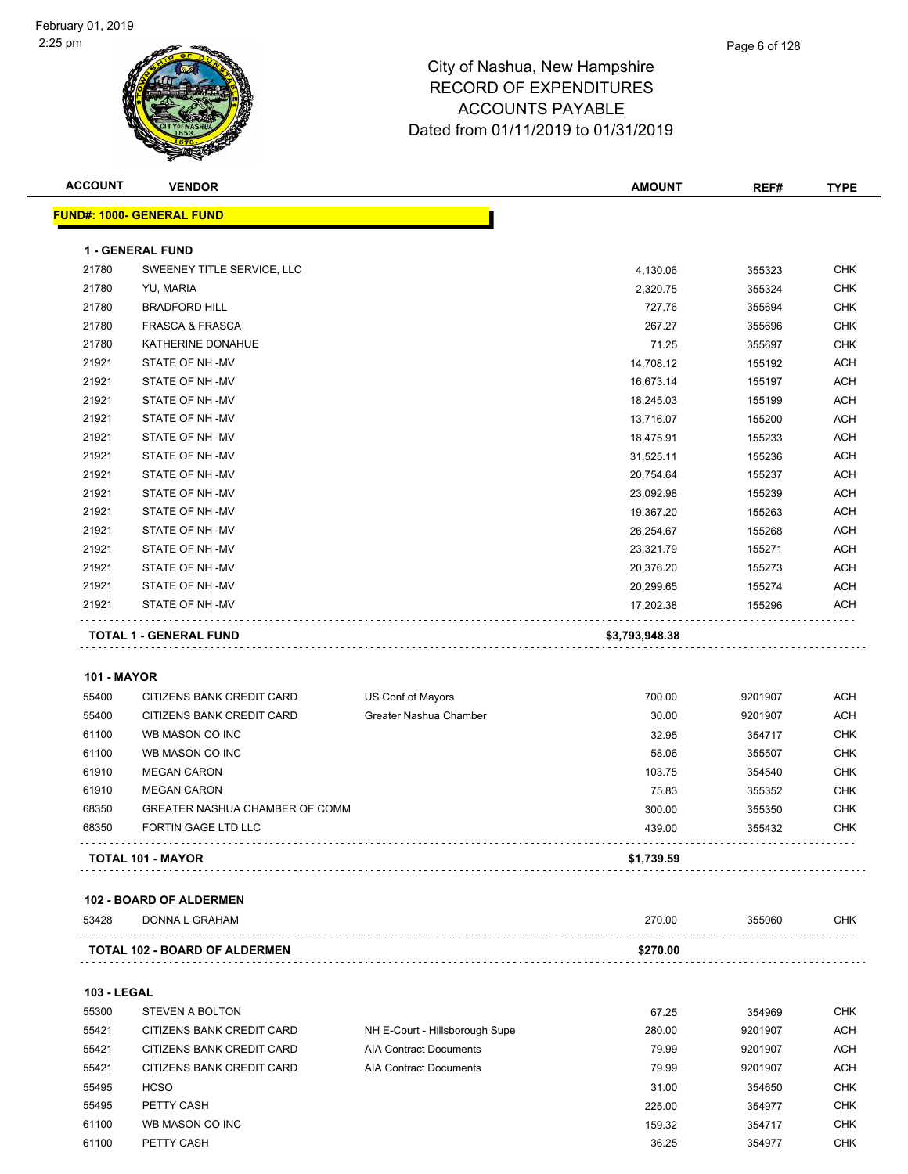#### Page 6 of 128

| <b>ACCOUNT</b>     | <b>VENDOR</b>                        |                                | <b>AMOUNT</b>  | REF#    | <b>TYPE</b> |
|--------------------|--------------------------------------|--------------------------------|----------------|---------|-------------|
|                    | <b>FUND#: 1000- GENERAL FUND</b>     |                                |                |         |             |
|                    |                                      |                                |                |         |             |
|                    | <b>1 - GENERAL FUND</b>              |                                |                |         |             |
| 21780              | SWEENEY TITLE SERVICE, LLC           |                                | 4,130.06       | 355323  | <b>CHK</b>  |
| 21780              | YU, MARIA                            |                                | 2,320.75       | 355324  | <b>CHK</b>  |
| 21780              | <b>BRADFORD HILL</b>                 |                                | 727.76         | 355694  | <b>CHK</b>  |
| 21780              | <b>FRASCA &amp; FRASCA</b>           |                                | 267.27         | 355696  | <b>CHK</b>  |
| 21780              | KATHERINE DONAHUE                    |                                | 71.25          | 355697  | CHK         |
| 21921              | STATE OF NH-MV                       |                                | 14,708.12      | 155192  | <b>ACH</b>  |
| 21921              | STATE OF NH-MV                       |                                | 16,673.14      | 155197  | <b>ACH</b>  |
| 21921              | STATE OF NH-MV                       |                                | 18,245.03      | 155199  | <b>ACH</b>  |
| 21921              | STATE OF NH-MV                       |                                | 13,716.07      | 155200  | <b>ACH</b>  |
| 21921              | STATE OF NH-MV                       |                                | 18,475.91      | 155233  | <b>ACH</b>  |
| 21921              | STATE OF NH-MV                       |                                | 31,525.11      | 155236  | <b>ACH</b>  |
| 21921              | STATE OF NH-MV                       |                                | 20,754.64      | 155237  | <b>ACH</b>  |
| 21921              | STATE OF NH-MV                       |                                | 23,092.98      | 155239  | <b>ACH</b>  |
| 21921              | STATE OF NH-MV                       |                                | 19,367.20      | 155263  | <b>ACH</b>  |
| 21921              | STATE OF NH-MV                       |                                | 26,254.67      | 155268  | <b>ACH</b>  |
| 21921              | STATE OF NH-MV                       |                                | 23,321.79      | 155271  | <b>ACH</b>  |
| 21921              | STATE OF NH-MV                       |                                | 20,376.20      | 155273  | <b>ACH</b>  |
| 21921              | STATE OF NH-MV                       |                                | 20,299.65      | 155274  | <b>ACH</b>  |
| 21921              | STATE OF NH-MV                       |                                | 17,202.38      | 155296  | ACH         |
|                    |                                      |                                |                |         |             |
|                    | <b>TOTAL 1 - GENERAL FUND</b>        |                                | \$3,793,948.38 |         |             |
|                    |                                      |                                |                |         |             |
| <b>101 - MAYOR</b> |                                      |                                |                |         |             |
| 55400              | CITIZENS BANK CREDIT CARD            | US Conf of Mayors              | 700.00         | 9201907 | <b>ACH</b>  |
| 55400              | CITIZENS BANK CREDIT CARD            | Greater Nashua Chamber         | 30.00          | 9201907 | <b>ACH</b>  |
| 61100              | WB MASON CO INC                      |                                | 32.95          | 354717  | <b>CHK</b>  |
| 61100              | WB MASON CO INC                      |                                | 58.06          | 355507  | <b>CHK</b>  |
| 61910              | <b>MEGAN CARON</b>                   |                                | 103.75         | 354540  | <b>CHK</b>  |
| 61910              | <b>MEGAN CARON</b>                   |                                | 75.83          | 355352  | <b>CHK</b>  |
| 68350              | GREATER NASHUA CHAMBER OF COMM       |                                | 300.00         | 355350  | <b>CHK</b>  |
| 68350              | FORTIN GAGE LTD LLC                  |                                | 439.00         | 355432  | <b>CHK</b>  |
|                    | TOTAL 101 - MAYOR                    |                                | \$1,739.59     |         |             |
|                    |                                      |                                |                |         |             |
|                    | 102 - BOARD OF ALDERMEN              |                                |                |         |             |
| 53428              | <b>DONNA L GRAHAM</b>                |                                | 270.00         | 355060  | CHK         |
|                    |                                      |                                |                |         |             |
|                    | <b>TOTAL 102 - BOARD OF ALDERMEN</b> |                                | \$270.00       |         |             |
|                    |                                      |                                |                |         |             |
| <b>103 - LEGAL</b> |                                      |                                |                |         |             |
| 55300              | <b>STEVEN A BOLTON</b>               |                                | 67.25          | 354969  | CHK         |
| 55421              | CITIZENS BANK CREDIT CARD            | NH E-Court - Hillsborough Supe | 280.00         | 9201907 | ACH         |
| 55421              | CITIZENS BANK CREDIT CARD            | <b>AIA Contract Documents</b>  | 79.99          | 9201907 | ACH         |
| 55421              | CITIZENS BANK CREDIT CARD            | <b>AIA Contract Documents</b>  | 79.99          | 9201907 | <b>ACH</b>  |
| 55495              | <b>HCSO</b>                          |                                | 31.00          | 354650  | <b>CHK</b>  |
| 55495              | PETTY CASH                           |                                | 225.00         | 354977  | <b>CHK</b>  |
| 61100              | WB MASON CO INC                      |                                | 159.32         | 354717  | <b>CHK</b>  |
| 61100              | PETTY CASH                           |                                | 36.25          | 354977  | <b>CHK</b>  |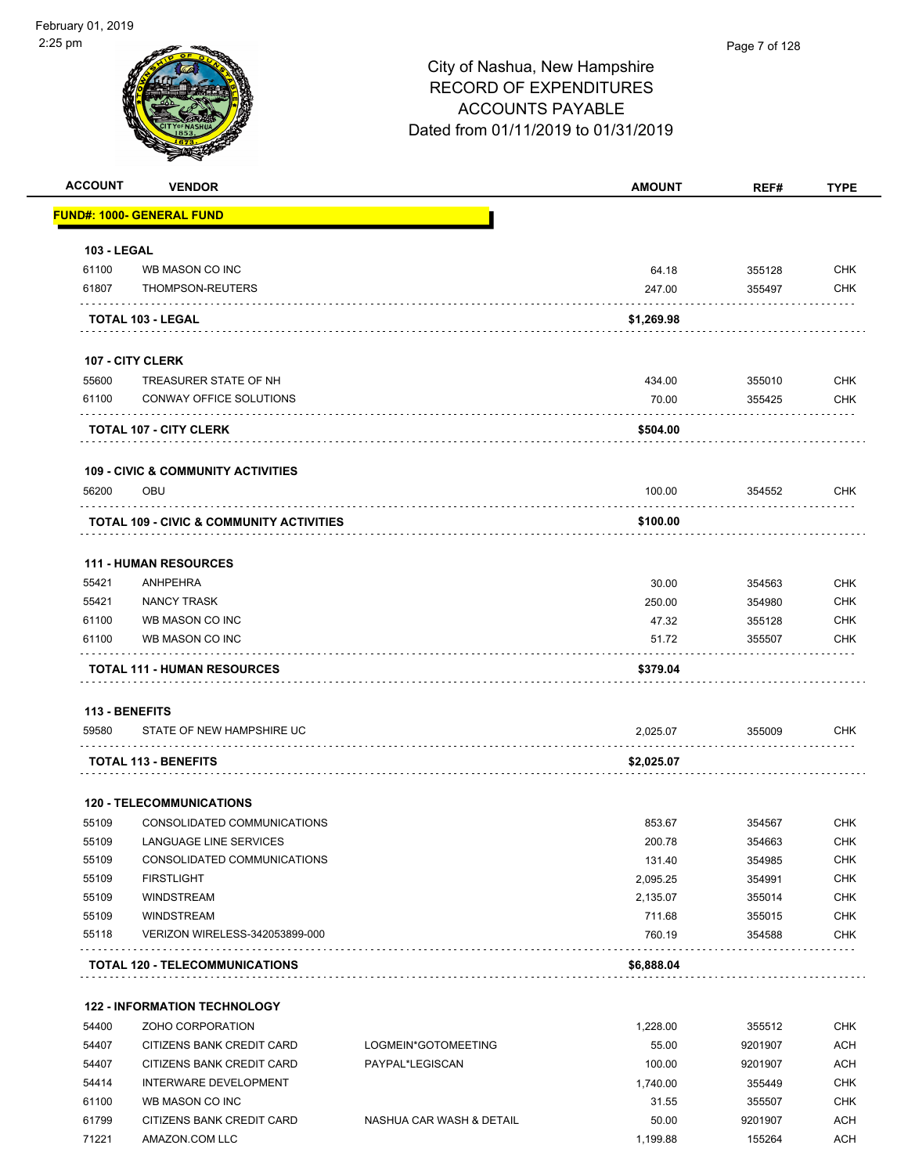

| <b>ACCOUNT</b>     | <b>VENDOR</b>                                       |                     | <b>AMOUNT</b> | REF#    | <b>TYPE</b> |
|--------------------|-----------------------------------------------------|---------------------|---------------|---------|-------------|
|                    | <b>FUND#: 1000- GENERAL FUND</b>                    |                     |               |         |             |
| <b>103 - LEGAL</b> |                                                     |                     |               |         |             |
| 61100              | WB MASON CO INC                                     |                     | 64.18         | 355128  | <b>CHK</b>  |
| 61807              | THOMPSON-REUTERS                                    |                     | 247.00        | 355497  | <b>CHK</b>  |
|                    | TOTAL 103 - LEGAL                                   |                     | \$1,269.98    |         |             |
|                    | 107 - CITY CLERK                                    |                     |               |         |             |
| 55600              | TREASURER STATE OF NH                               |                     | 434.00        | 355010  | <b>CHK</b>  |
| 61100              | CONWAY OFFICE SOLUTIONS                             |                     | 70.00         | 355425  | <b>CHK</b>  |
|                    | <b>TOTAL 107 - CITY CLERK</b>                       |                     | \$504.00      |         |             |
|                    | <b>109 - CIVIC &amp; COMMUNITY ACTIVITIES</b>       |                     |               |         |             |
| 56200              | OBU                                                 |                     | 100.00        | 354552  | <b>CHK</b>  |
|                    | <b>TOTAL 109 - CIVIC &amp; COMMUNITY ACTIVITIES</b> |                     | \$100.00      |         |             |
|                    | <b>111 - HUMAN RESOURCES</b>                        |                     |               |         |             |
| 55421              | ANHPEHRA                                            |                     | 30.00         | 354563  | <b>CHK</b>  |
| 55421              | NANCY TRASK                                         |                     | 250.00        | 354980  | <b>CHK</b>  |
| 61100              | WB MASON CO INC                                     |                     | 47.32         | 355128  | <b>CHK</b>  |
| 61100              | WB MASON CO INC                                     |                     | 51.72         | 355507  | <b>CHK</b>  |
|                    | <b>TOTAL 111 - HUMAN RESOURCES</b>                  |                     | \$379.04      |         |             |
|                    | <b>113 - BENEFITS</b>                               |                     |               |         |             |
| 59580              | STATE OF NEW HAMPSHIRE UC                           |                     | 2,025.07      | 355009  | <b>CHK</b>  |
|                    | <b>TOTAL 113 - BENEFITS</b>                         |                     | \$2,025.07    |         |             |
|                    | <b>120 - TELECOMMUNICATIONS</b>                     |                     |               |         |             |
| 55109              | CONSOLIDATED COMMUNICATIONS                         |                     | 853.67        | 354567  | <b>CHK</b>  |
| 55109              | LANGUAGE LINE SERVICES                              |                     | 200.78        | 354663  | <b>CHK</b>  |
| 55109              | CONSOLIDATED COMMUNICATIONS                         |                     | 131.40        | 354985  | <b>CHK</b>  |
| 55109              | <b>FIRSTLIGHT</b>                                   |                     | 2,095.25      | 354991  | <b>CHK</b>  |
| 55109              | <b>WINDSTREAM</b>                                   |                     | 2,135.07      | 355014  | <b>CHK</b>  |
| 55109              | <b>WINDSTREAM</b>                                   |                     | 711.68        | 355015  | <b>CHK</b>  |
| 55118              | VERIZON WIRELESS-342053899-000                      |                     | 760.19        | 354588  | <b>CHK</b>  |
|                    | <b>TOTAL 120 - TELECOMMUNICATIONS</b>               |                     | \$6,888.04    |         |             |
|                    | <b>122 - INFORMATION TECHNOLOGY</b>                 |                     |               |         |             |
| 54400              | ZOHO CORPORATION                                    |                     | 1,228.00      | 355512  | <b>CHK</b>  |
| 54407              | CITIZENS BANK CREDIT CARD                           | LOGMEIN*GOTOMEETING | 55.00         | 9201907 | <b>ACH</b>  |
| 54407              | CITIZENS BANK CREDIT CARD                           | PAYPAL*LEGISCAN     | 100.00        | 9201907 | <b>ACH</b>  |
|                    |                                                     |                     |               |         |             |

61100 WB MASON CO INC 66 NO 200 200 200 200 200 200 31.55 355507 355507 CHK 61799 CITIZENS BANK CREDIT CARD NASHUA CAR WASH & DETAIL 50.00 9201907 ACH 71221 AMAZON.COM LLC 1,199.88 155264 ACH

54414 INTERWARE DEVELOPMENT 1,740.00 355449 CHK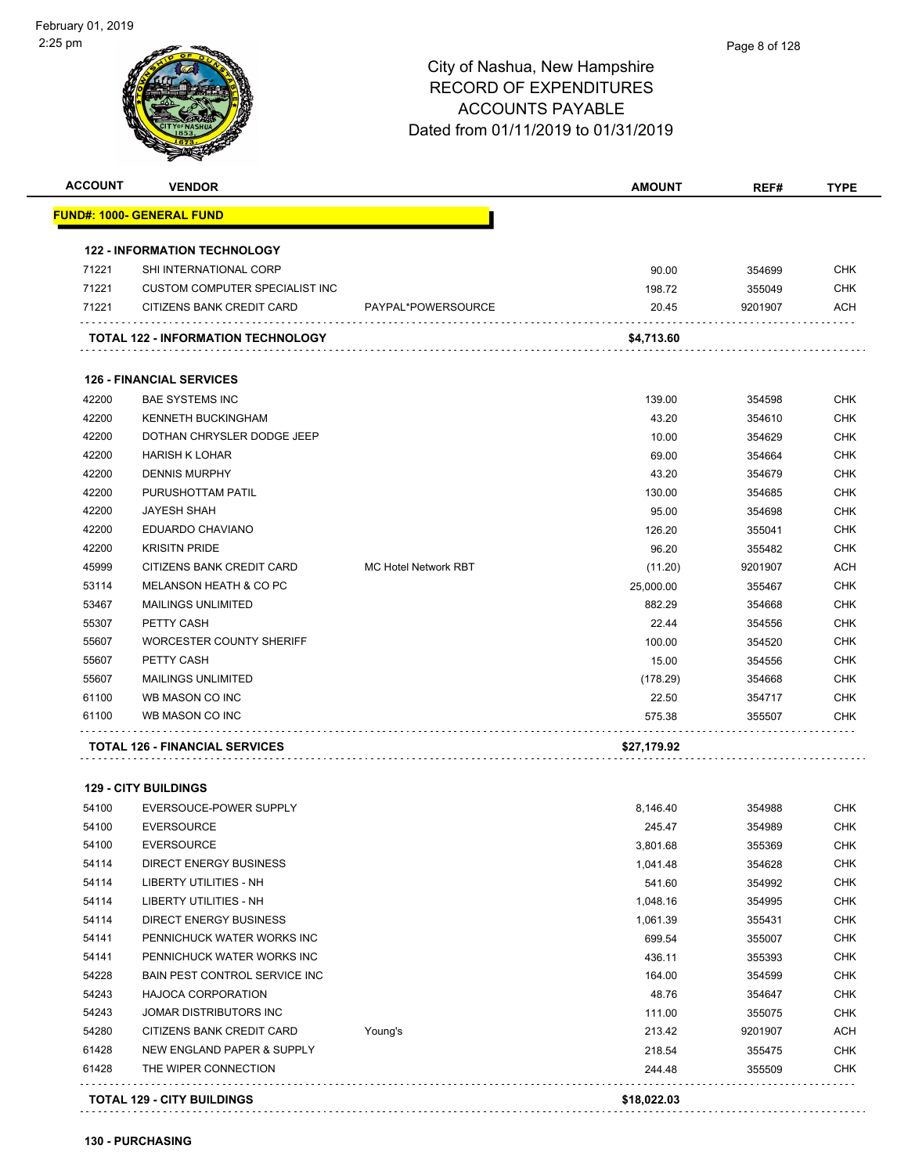. . . . . . . . . . .

. . . . . . . . . . . . . . . . . . . .

## City of Nashua, New Hampshire RECORD OF EXPENDITURES ACCOUNTS PAYABLE Dated from 01/11/2019 to 01/31/2019

| <b>ACCOUNT</b> | <b>VENDOR</b>                             |                             | <b>AMOUNT</b> | REF#    | <b>TYPE</b> |
|----------------|-------------------------------------------|-----------------------------|---------------|---------|-------------|
|                | <u> FUND#: 1000- GENERAL FUND</u>         |                             |               |         |             |
|                | <b>122 - INFORMATION TECHNOLOGY</b>       |                             |               |         |             |
| 71221          | SHI INTERNATIONAL CORP                    |                             | 90.00         | 354699  | <b>CHK</b>  |
| 71221          | CUSTOM COMPUTER SPECIALIST INC            |                             | 198.72        | 355049  | <b>CHK</b>  |
| 71221          | CITIZENS BANK CREDIT CARD                 | PAYPAL*POWERSOURCE          | 20.45         | 9201907 | ACH         |
|                | <b>TOTAL 122 - INFORMATION TECHNOLOGY</b> |                             | \$4,713.60    |         |             |
|                | <b>126 - FINANCIAL SERVICES</b>           |                             |               |         |             |
| 42200          | <b>BAE SYSTEMS INC</b>                    |                             | 139.00        | 354598  | <b>CHK</b>  |
| 42200          | <b>KENNETH BUCKINGHAM</b>                 |                             | 43.20         | 354610  | <b>CHK</b>  |
| 42200          | DOTHAN CHRYSLER DODGE JEEP                |                             | 10.00         | 354629  | <b>CHK</b>  |
| 42200          | <b>HARISH K LOHAR</b>                     |                             | 69.00         | 354664  | <b>CHK</b>  |
| 42200          | <b>DENNIS MURPHY</b>                      |                             | 43.20         | 354679  | <b>CHK</b>  |
| 42200          | PURUSHOTTAM PATIL                         |                             | 130.00        | 354685  | <b>CHK</b>  |
| 42200          | <b>JAYESH SHAH</b>                        |                             | 95.00         | 354698  | <b>CHK</b>  |
| 42200          | EDUARDO CHAVIANO                          |                             | 126.20        | 355041  | <b>CHK</b>  |
| 42200          | <b>KRISITN PRIDE</b>                      |                             | 96.20         | 355482  | <b>CHK</b>  |
| 45999          | CITIZENS BANK CREDIT CARD                 | <b>MC Hotel Network RBT</b> | (11.20)       | 9201907 | <b>ACH</b>  |
| 53114          | MELANSON HEATH & CO PC                    |                             | 25,000.00     | 355467  | <b>CHK</b>  |
| 53467          | <b>MAILINGS UNLIMITED</b>                 |                             | 882.29        | 354668  | <b>CHK</b>  |
| 55307          | PETTY CASH                                |                             | 22.44         | 354556  | <b>CHK</b>  |
| 55607          | WORCESTER COUNTY SHERIFF                  |                             | 100.00        | 354520  | <b>CHK</b>  |
| 55607          | PETTY CASH                                |                             | 15.00         | 354556  | <b>CHK</b>  |
| 55607          | <b>MAILINGS UNLIMITED</b>                 |                             | (178.29)      | 354668  | <b>CHK</b>  |
| 61100          | WB MASON CO INC                           |                             | 22.50         | 354717  | <b>CHK</b>  |
| 61100          | WB MASON CO INC                           |                             | 575.38        | 355507  | <b>CHK</b>  |
|                | <b>TOTAL 126 - FINANCIAL SERVICES</b>     |                             | \$27,179.92   |         |             |
|                | <b>129 - CITY BUILDINGS</b>               |                             |               |         |             |
| 54100          | EVERSOUCE-POWER SUPPLY                    |                             | 8,146.40      | 354988  | <b>CHK</b>  |
| 54100          | <b>EVERSOURCE</b>                         |                             | 245.47        | 354989  | <b>CHK</b>  |
| 54100          | <b>EVERSOURCE</b>                         |                             | 3,801.68      | 355369  | <b>CHK</b>  |
| 54114          | <b>DIRECT ENERGY BUSINESS</b>             |                             | 1,041.48      | 354628  | <b>CHK</b>  |
| 54114          | LIBERTY UTILITIES - NH                    |                             | 541.60        | 354992  | <b>CHK</b>  |
| 54114          | LIBERTY UTILITIES - NH                    |                             | 1,048.16      | 354995  | <b>CHK</b>  |
| 54114          | <b>DIRECT ENERGY BUSINESS</b>             |                             | 1,061.39      | 355431  | <b>CHK</b>  |

 PENNICHUCK WATER WORKS INC 699.54 355007 CHK PENNICHUCK WATER WORKS INC 436.11 355393 CHK BAIN PEST CONTROL SERVICE INC 164.00 354599 CHK HAJOCA CORPORATION 48.76 354647 CHK JOMAR DISTRIBUTORS INC 111.00 355075 CHK 54280 CITIZENS BANK CREDIT CARD Young's 213.42 9201907 ACH NEW ENGLAND PAPER & SUPPLY 218.54 355475 CHK THE WIPER CONNECTION 244.48 355509 CHK

**TOTAL 129 - CITY BUILDINGS \$18,022.03**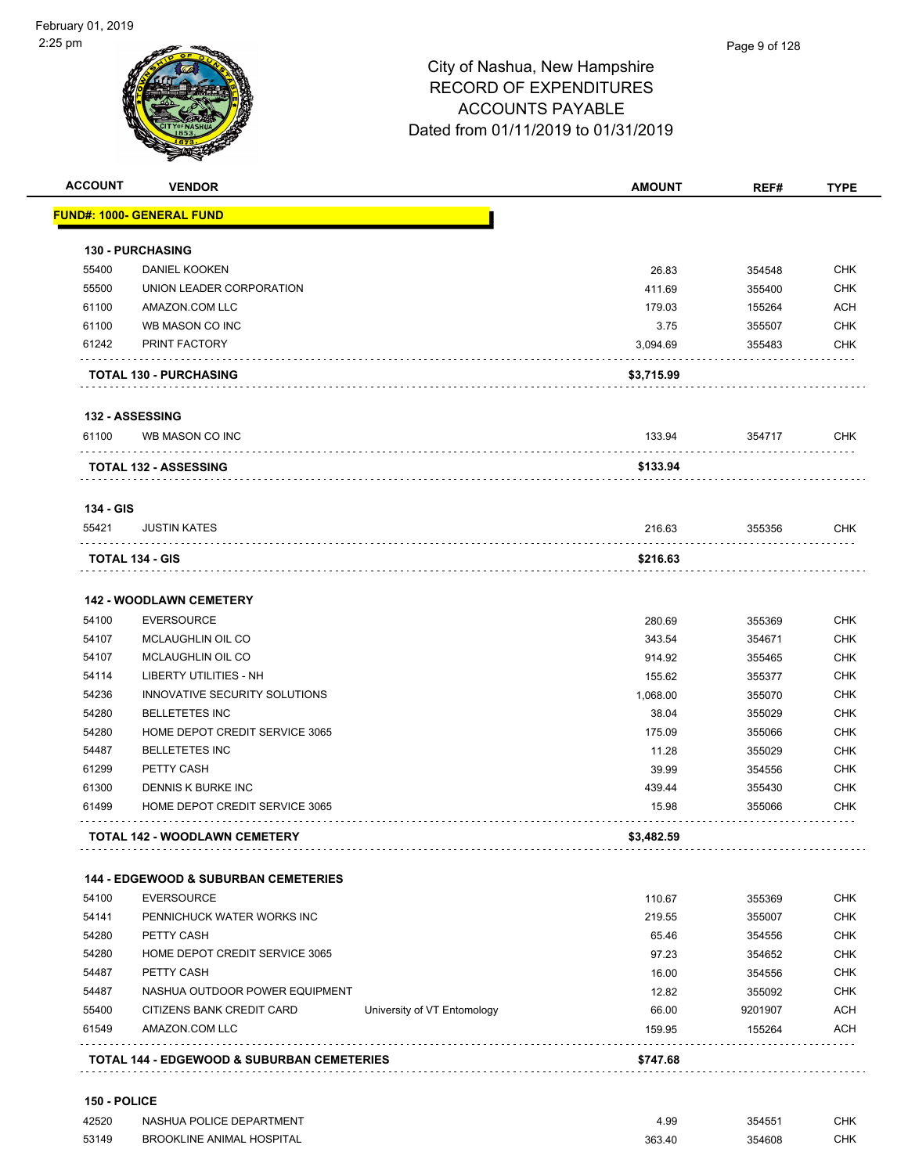| <b>ACCOUNT</b> | <b>VENDOR</b>                                            | <b>AMOUNT</b> | REF#    | <b>TYPE</b> |
|----------------|----------------------------------------------------------|---------------|---------|-------------|
|                | FUND#: 1000- GENERAL FUND                                |               |         |             |
|                | <b>130 - PURCHASING</b>                                  |               |         |             |
| 55400          | DANIEL KOOKEN                                            | 26.83         | 354548  | <b>CHK</b>  |
| 55500          | UNION LEADER CORPORATION                                 | 411.69        | 355400  | <b>CHK</b>  |
| 61100          | AMAZON.COM LLC                                           | 179.03        | 155264  | <b>ACH</b>  |
| 61100          | WB MASON CO INC                                          | 3.75          | 355507  | <b>CHK</b>  |
| 61242          | PRINT FACTORY                                            | 3,094.69      | 355483  | <b>CHK</b>  |
|                | .<br><b>TOTAL 130 - PURCHASING</b>                       | \$3,715.99    |         |             |
|                | <b>132 - ASSESSING</b>                                   |               |         |             |
| 61100          | WB MASON CO INC                                          | 133.94        | 354717  | CHK         |
|                | <b>TOTAL 132 - ASSESSING</b>                             | \$133.94      |         |             |
| 134 - GIS      |                                                          |               |         |             |
| 55421          | <b>JUSTIN KATES</b>                                      | 216.63        | 355356  | <b>CHK</b>  |
|                | <b>TOTAL 134 - GIS</b>                                   | \$216.63      |         |             |
|                | <b>142 - WOODLAWN CEMETERY</b>                           |               |         |             |
| 54100          | <b>EVERSOURCE</b>                                        | 280.69        | 355369  | <b>CHK</b>  |
| 54107          | MCLAUGHLIN OIL CO                                        | 343.54        | 354671  | <b>CHK</b>  |
| 54107          | MCLAUGHLIN OIL CO                                        | 914.92        | 355465  | <b>CHK</b>  |
| 54114          | LIBERTY UTILITIES - NH                                   | 155.62        | 355377  | <b>CHK</b>  |
| 54236          | INNOVATIVE SECURITY SOLUTIONS                            | 1,068.00      | 355070  | <b>CHK</b>  |
| 54280          | <b>BELLETETES INC</b>                                    | 38.04         | 355029  | <b>CHK</b>  |
| 54280          | HOME DEPOT CREDIT SERVICE 3065                           | 175.09        | 355066  | <b>CHK</b>  |
| 54487          | <b>BELLETETES INC</b>                                    | 11.28         | 355029  | <b>CHK</b>  |
| 61299          | PETTY CASH                                               | 39.99         | 354556  | <b>CHK</b>  |
| 61300          | DENNIS K BURKE INC                                       | 439.44        | 355430  | <b>CHK</b>  |
| 61499          | HOME DEPOT CREDIT SERVICE 3065                           | 15.98         | 355066  | <b>CHK</b>  |
|                | <b>TOTAL 142 - WOODLAWN CEMETERY</b>                     | \$3,482.59    |         |             |
|                | <b>144 - EDGEWOOD &amp; SUBURBAN CEMETERIES</b>          |               |         |             |
| 54100          | <b>EVERSOURCE</b>                                        | 110.67        | 355369  | CHK         |
| 54141          | PENNICHUCK WATER WORKS INC                               | 219.55        | 355007  | <b>CHK</b>  |
| 54280          | PETTY CASH                                               | 65.46         | 354556  | <b>CHK</b>  |
| 54280          | HOME DEPOT CREDIT SERVICE 3065                           | 97.23         | 354652  | <b>CHK</b>  |
| 54487          | PETTY CASH                                               | 16.00         | 354556  | <b>CHK</b>  |
| 54487          | NASHUA OUTDOOR POWER EQUIPMENT                           | 12.82         | 355092  | <b>CHK</b>  |
| 55400          | CITIZENS BANK CREDIT CARD<br>University of VT Entomology | 66.00         | 9201907 | <b>ACH</b>  |
| 61549          | AMAZON.COM LLC                                           | 159.95        | 155264  | <b>ACH</b>  |
|                | <b>TOTAL 144 - EDGEWOOD &amp; SUBURBAN CEMETERIES</b>    | \$747.68      |         |             |

| 42520 | NASHUA POLICE DEPARTMENT         | 4.99   | 35455  | СНК |
|-------|----------------------------------|--------|--------|-----|
| 53149 | <b>BROOKLINE ANIMAL HOSPITAL</b> | 363.40 | 354608 | СНК |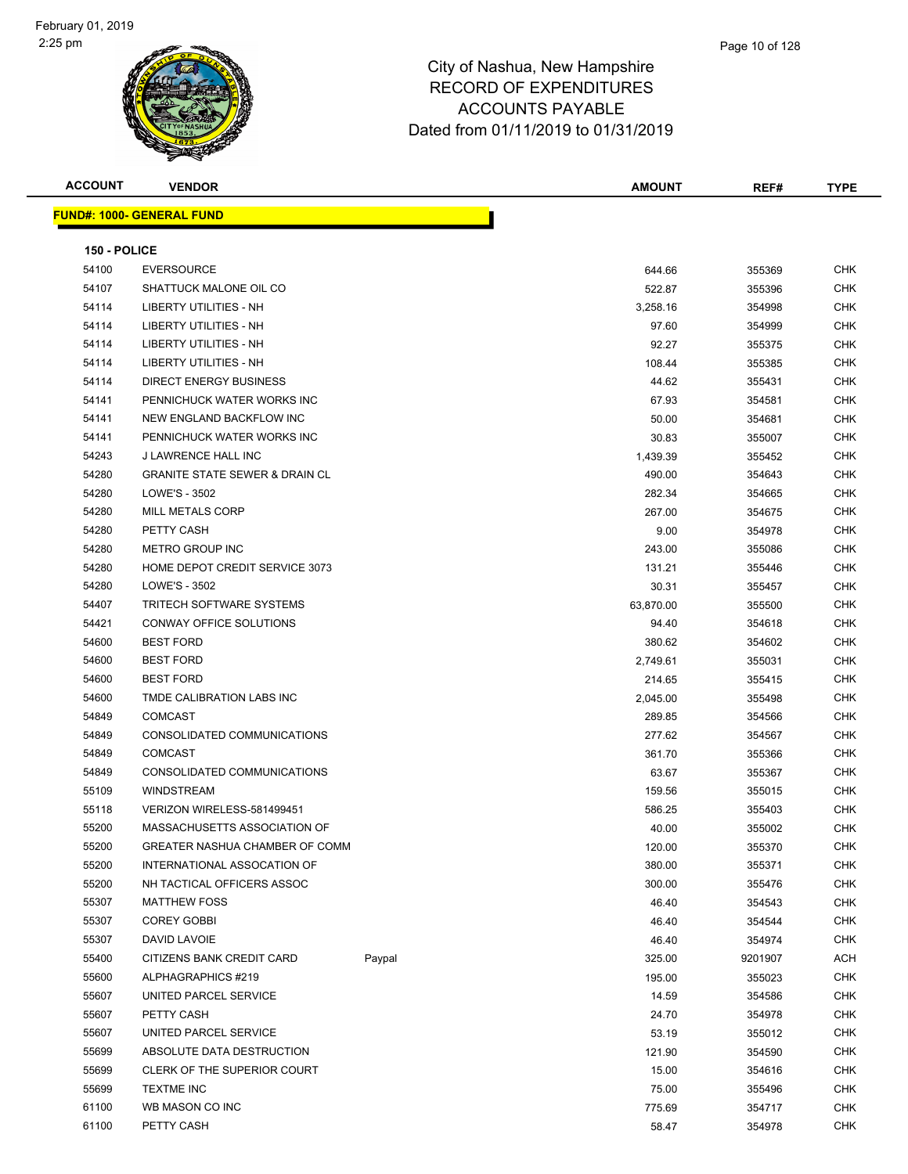

Т

**ACCOUNT VENDOR AMOUNT REF# TYPE FUND#: 1000- GENERAL FUND**

| 150 - POLICE |                                           |        |           |         |            |
|--------------|-------------------------------------------|--------|-----------|---------|------------|
| 54100        | <b>EVERSOURCE</b>                         |        | 644.66    | 355369  | <b>CHK</b> |
| 54107        | SHATTUCK MALONE OIL CO                    |        | 522.87    | 355396  | <b>CHK</b> |
| 54114        | LIBERTY UTILITIES - NH                    |        | 3,258.16  | 354998  | <b>CHK</b> |
| 54114        | <b>LIBERTY UTILITIES - NH</b>             |        | 97.60     | 354999  | <b>CHK</b> |
| 54114        | <b>LIBERTY UTILITIES - NH</b>             |        | 92.27     | 355375  | <b>CHK</b> |
| 54114        | LIBERTY UTILITIES - NH                    |        | 108.44    | 355385  | <b>CHK</b> |
| 54114        | <b>DIRECT ENERGY BUSINESS</b>             |        | 44.62     | 355431  | CHK        |
| 54141        | PENNICHUCK WATER WORKS INC                |        | 67.93     | 354581  | CHK        |
| 54141        | NEW ENGLAND BACKFLOW INC                  |        | 50.00     | 354681  | <b>CHK</b> |
| 54141        | PENNICHUCK WATER WORKS INC                |        | 30.83     | 355007  | <b>CHK</b> |
| 54243        | J LAWRENCE HALL INC                       |        | 1,439.39  | 355452  | <b>CHK</b> |
| 54280        | <b>GRANITE STATE SEWER &amp; DRAIN CL</b> |        | 490.00    | 354643  | <b>CHK</b> |
| 54280        | LOWE'S - 3502                             |        | 282.34    | 354665  | CHK        |
| 54280        | MILL METALS CORP                          |        | 267.00    | 354675  | <b>CHK</b> |
| 54280        | PETTY CASH                                |        | 9.00      | 354978  | CHK        |
| 54280        | <b>METRO GROUP INC</b>                    |        | 243.00    | 355086  | CHK        |
| 54280        | HOME DEPOT CREDIT SERVICE 3073            |        | 131.21    | 355446  | CHK        |
| 54280        | LOWE'S - 3502                             |        | 30.31     | 355457  | CHK        |
| 54407        | TRITECH SOFTWARE SYSTEMS                  |        | 63,870.00 | 355500  | CHK        |
| 54421        | CONWAY OFFICE SOLUTIONS                   |        | 94.40     | 354618  | CHK        |
| 54600        | <b>BEST FORD</b>                          |        | 380.62    | 354602  | CHK        |
| 54600        | <b>BEST FORD</b>                          |        | 2,749.61  | 355031  | <b>CHK</b> |
| 54600        | <b>BEST FORD</b>                          |        | 214.65    | 355415  | <b>CHK</b> |
| 54600        | TMDE CALIBRATION LABS INC                 |        | 2,045.00  | 355498  | CHK        |
| 54849        | <b>COMCAST</b>                            |        | 289.85    | 354566  | <b>CHK</b> |
| 54849        | CONSOLIDATED COMMUNICATIONS               |        | 277.62    | 354567  | <b>CHK</b> |
| 54849        | <b>COMCAST</b>                            |        | 361.70    | 355366  | CHK        |
| 54849        | CONSOLIDATED COMMUNICATIONS               |        | 63.67     | 355367  | <b>CHK</b> |
| 55109        | <b>WINDSTREAM</b>                         |        | 159.56    | 355015  | CHK        |
| 55118        | VERIZON WIRELESS-581499451                |        | 586.25    | 355403  | CHK        |
| 55200        | MASSACHUSETTS ASSOCIATION OF              |        | 40.00     | 355002  | CHK        |
| 55200        | GREATER NASHUA CHAMBER OF COMM            |        | 120.00    | 355370  | <b>CHK</b> |
| 55200        | INTERNATIONAL ASSOCATION OF               |        | 380.00    | 355371  | <b>CHK</b> |
| 55200        | NH TACTICAL OFFICERS ASSOC                |        | 300.00    | 355476  | <b>CHK</b> |
| 55307        | <b>MATTHEW FOSS</b>                       |        | 46.40     | 354543  | CHK        |
| 55307        | <b>COREY GOBBI</b>                        |        | 46.40     | 354544  | <b>CHK</b> |
| 55307        | <b>DAVID LAVOIE</b>                       |        | 46.40     | 354974  | <b>CHK</b> |
| 55400        | CITIZENS BANK CREDIT CARD                 | Paypal | 325.00    | 9201907 | <b>ACH</b> |
| 55600        | ALPHAGRAPHICS #219                        |        | 195.00    | 355023  | <b>CHK</b> |
| 55607        | UNITED PARCEL SERVICE                     |        | 14.59     | 354586  | CHK        |
| 55607        | PETTY CASH                                |        | 24.70     | 354978  | <b>CHK</b> |
| 55607        | UNITED PARCEL SERVICE                     |        | 53.19     | 355012  | <b>CHK</b> |
| 55699        | ABSOLUTE DATA DESTRUCTION                 |        | 121.90    | 354590  | <b>CHK</b> |
| 55699        | CLERK OF THE SUPERIOR COURT               |        | 15.00     | 354616  | <b>CHK</b> |
| 55699        | <b>TEXTME INC</b>                         |        | 75.00     | 355496  | <b>CHK</b> |
| 61100        | WB MASON CO INC                           |        | 775.69    | 354717  | CHK        |
| 61100        | PETTY CASH                                |        | 58.47     | 354978  | <b>CHK</b> |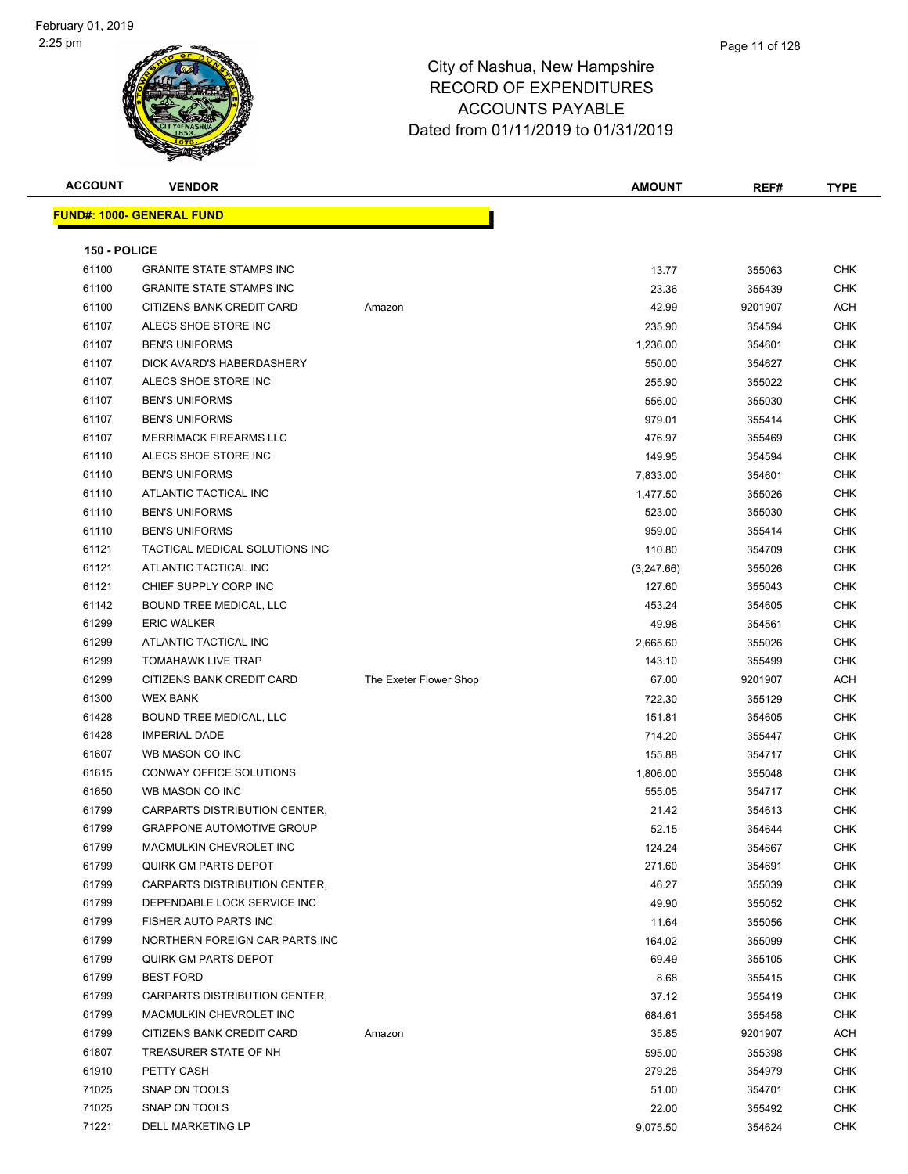|                                  | <b>ACCOUNT</b><br><b>VENDOR</b>  |                        | <b>AMOUNT</b> | REF#    | <b>TYPE</b> |
|----------------------------------|----------------------------------|------------------------|---------------|---------|-------------|
| <b>FUND#: 1000- GENERAL FUND</b> |                                  |                        |               |         |             |
| 150 - POLICE                     |                                  |                        |               |         |             |
| 61100                            | <b>GRANITE STATE STAMPS INC</b>  |                        | 13.77         | 355063  | <b>CHK</b>  |
| 61100                            | <b>GRANITE STATE STAMPS INC</b>  |                        | 23.36         | 355439  | <b>CHK</b>  |
| 61100                            | CITIZENS BANK CREDIT CARD        | Amazon                 | 42.99         | 9201907 | <b>ACH</b>  |
| 61107                            | ALECS SHOE STORE INC             |                        | 235.90        | 354594  | <b>CHK</b>  |
| 61107                            | <b>BEN'S UNIFORMS</b>            |                        | 1,236.00      | 354601  | <b>CHK</b>  |
| 61107                            | DICK AVARD'S HABERDASHERY        |                        | 550.00        | 354627  | <b>CHK</b>  |
| 61107                            | ALECS SHOE STORE INC             |                        | 255.90        | 355022  | <b>CHK</b>  |
| 61107                            | <b>BEN'S UNIFORMS</b>            |                        | 556.00        | 355030  | <b>CHK</b>  |
| 61107                            | <b>BEN'S UNIFORMS</b>            |                        | 979.01        | 355414  | <b>CHK</b>  |
| 61107                            | <b>MERRIMACK FIREARMS LLC</b>    |                        | 476.97        | 355469  | <b>CHK</b>  |
| 61110                            | ALECS SHOE STORE INC             |                        | 149.95        | 354594  | <b>CHK</b>  |
| 61110                            | <b>BEN'S UNIFORMS</b>            |                        | 7,833.00      | 354601  | <b>CHK</b>  |
| 61110                            | ATLANTIC TACTICAL INC            |                        | 1,477.50      | 355026  | <b>CHK</b>  |
| 61110                            | <b>BEN'S UNIFORMS</b>            |                        | 523.00        | 355030  | <b>CHK</b>  |
| 61110                            | <b>BEN'S UNIFORMS</b>            |                        | 959.00        | 355414  | <b>CHK</b>  |
| 61121                            | TACTICAL MEDICAL SOLUTIONS INC   |                        | 110.80        | 354709  | <b>CHK</b>  |
| 61121                            | ATLANTIC TACTICAL INC            |                        | (3,247.66)    | 355026  | <b>CHK</b>  |
| 61121                            | CHIEF SUPPLY CORP INC            |                        | 127.60        | 355043  | <b>CHK</b>  |
| 61142                            | BOUND TREE MEDICAL, LLC          |                        | 453.24        | 354605  | <b>CHK</b>  |
| 61299                            | <b>ERIC WALKER</b>               |                        | 49.98         | 354561  | <b>CHK</b>  |
| 61299                            | ATLANTIC TACTICAL INC            |                        | 2,665.60      | 355026  | <b>CHK</b>  |
| 61299                            | <b>TOMAHAWK LIVE TRAP</b>        |                        | 143.10        | 355499  | <b>CHK</b>  |
| 61299                            | CITIZENS BANK CREDIT CARD        | The Exeter Flower Shop | 67.00         | 9201907 | ACH         |
| 61300                            | <b>WEX BANK</b>                  |                        | 722.30        | 355129  | <b>CHK</b>  |
| 61428                            | BOUND TREE MEDICAL, LLC          |                        | 151.81        | 354605  | <b>CHK</b>  |
| 61428                            | <b>IMPERIAL DADE</b>             |                        | 714.20        | 355447  | <b>CHK</b>  |
| 61607                            | WB MASON CO INC                  |                        | 155.88        | 354717  | <b>CHK</b>  |
| 61615                            | CONWAY OFFICE SOLUTIONS          |                        | 1,806.00      | 355048  | <b>CHK</b>  |
| 61650                            | WB MASON CO INC                  |                        | 555.05        | 354717  | <b>CHK</b>  |
| 61799                            | CARPARTS DISTRIBUTION CENTER,    |                        | 21.42         | 354613  | <b>CHK</b>  |
| 61799                            | <b>GRAPPONE AUTOMOTIVE GROUP</b> |                        | 52.15         | 354644  | <b>CHK</b>  |
| 61799                            | MACMULKIN CHEVROLET INC          |                        | 124.24        | 354667  | CHK         |
| 61799                            | <b>QUIRK GM PARTS DEPOT</b>      |                        | 271.60        | 354691  | <b>CHK</b>  |
| 61799                            | CARPARTS DISTRIBUTION CENTER,    |                        | 46.27         | 355039  | <b>CHK</b>  |
| 61799                            | DEPENDABLE LOCK SERVICE INC      |                        | 49.90         | 355052  | <b>CHK</b>  |
| 61799                            | FISHER AUTO PARTS INC            |                        | 11.64         | 355056  | <b>CHK</b>  |
| 61799                            | NORTHERN FOREIGN CAR PARTS INC   |                        | 164.02        | 355099  | <b>CHK</b>  |
| 61799                            | <b>QUIRK GM PARTS DEPOT</b>      |                        | 69.49         | 355105  | <b>CHK</b>  |
| 61799                            | <b>BEST FORD</b>                 |                        | 8.68          | 355415  | <b>CHK</b>  |
| 61799                            | CARPARTS DISTRIBUTION CENTER,    |                        | 37.12         | 355419  | <b>CHK</b>  |
| 61799                            | MACMULKIN CHEVROLET INC          |                        | 684.61        | 355458  | <b>CHK</b>  |
| 61799                            | CITIZENS BANK CREDIT CARD        | Amazon                 | 35.85         | 9201907 | ACH         |
| 61807                            | TREASURER STATE OF NH            |                        | 595.00        | 355398  | <b>CHK</b>  |
| 61910                            | PETTY CASH                       |                        | 279.28        | 354979  | CHK         |
| 71025                            | SNAP ON TOOLS                    |                        | 51.00         | 354701  | <b>CHK</b>  |
| 71025                            | SNAP ON TOOLS                    |                        | 22.00         | 355492  | CHK         |
| 71221                            | DELL MARKETING LP                |                        | 9,075.50      | 354624  | <b>CHK</b>  |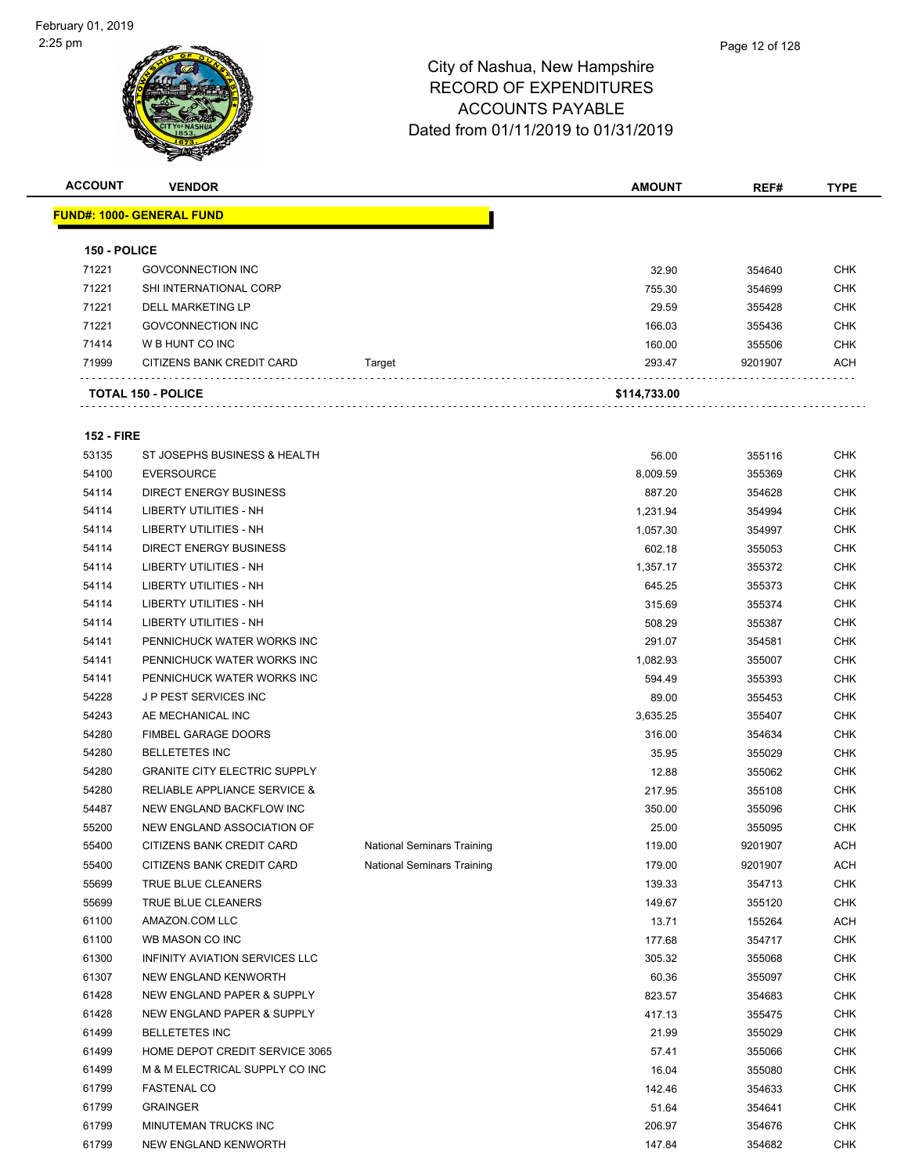

**ACCOUNT VENDOR AMOUNT REF# TYPE FUND#: 1000- GENERAL FUND 150 - POLICE** GOVCONNECTION INC 32.90 354640 CHK SHI INTERNATIONAL CORP 755.30 354699 CHK DELL MARKETING LP 29.59 355428 CHK The Same Contraction of the Contraction of the Contraction of the Contraction of the Contraction of the Contraction of the Contraction of the Contraction of the Contraction of the Contraction of the Contraction of the Cont W B HUNT CO INC 160.00 355506 CHK 71999 CITIZENS BANK CREDIT CARD Target 293.47 9201907 ACH . . . . . . . . . . . . . . . . . . **TOTAL 150 - POLICE \$114,733.00 152 - FIRE** ST JOSEPHS BUSINESS & HEALTH 56.00 355116 CHK EVERSOURCE 8,009.59 355369 CHK DIRECT ENERGY BUSINESS 887.20 354628 CHK LIBERTY UTILITIES - NH 1,231.94 354994 CHK LIBERTY UTILITIES - NH 1,057.30 354997 CHK DIRECT ENERGY BUSINESS 602.18 355053 CHK LIBERTY UTILITIES - NH 1,357.17 355372 CHK 54114 LIBERTY UTILITIES - NH 645.25 645.25 645.25 645.25 645.25 645.25 645.25 645.25 646 645.25 655373 646 54114 LIBERTY UTILITIES - NH 315.69 315.69 355374 CHK LIBERTY UTILITIES - NH 508.29 355387 CHK PENNICHUCK WATER WORKS INC 291.07 354581 CHK 54141 PENNICHUCK WATER WORKS INC NEWSLET STATES AND RESERVE THE RESERVE THAT A SUBSECTED A SUBSECTED THAT THE STATES OF THE STATES OF THE STATES OF THE STATES OF THE STATES OF THE STATES OF THE STATES OF THE STATES OF THE PENNICHUCK WATER WORKS INC 594.49 355393 CHK J P PEST SERVICES INC 89.00 355453 CHK AE MECHANICAL INC 3,635.25 355407 CHK FIMBEL GARAGE DOORS 316.00 354634 CHK BELLETETES INC 35.95 355029 CHK GRANITE CITY ELECTRIC SUPPLY 12.88 355062 CHK RELIABLE APPLIANCE SERVICE & 217.95 355108 CHK NEW ENGLAND BACKFLOW INC 350.00 355096 CHK NEW ENGLAND ASSOCIATION OF 25.00 355095 CHK 55400 CITIZENS BANK CREDIT CARD National Seminars Training 119.00 9201907 ACH 55400 CITIZENS BANK CREDIT CARD National Seminars Training 179.00 9201907 ACH TRUE BLUE CLEANERS 139.33 354713 CHK TRUE BLUE CLEANERS 149.67 355120 CHK AMAZON.COM LLC 13.71 155264 ACH WB MASON CO INC 177.68 354717 CHK INFINITY AVIATION SERVICES LLC 305.32 355068 CHK NEW ENGLAND KENWORTH 60.36 355097 CHK NEW ENGLAND PAPER & SUPPLY 823.57 354683 CHK 61428 NEW ENGLAND PAPER & SUPPLY A CHANNEL AND RESERVE THE MANUSCRIPT OF A 417.13 417.13 417.13 BELLETETES INC 21.99 355029 CHK 61499 HOME DEPOT CREDIT SERVICE 3065 SERVICE 3065 ST.41 355066 CHK

 M & M ELECTRICAL SUPPLY CO INC 16.04 355080 CHK FASTENAL CO 142.46 354633 CHK GRAINGER 51.64 354641 CHK MINUTEMAN TRUCKS INC 206.97 354676 CHK NEW ENGLAND KENWORTH 147.84 354682 CHK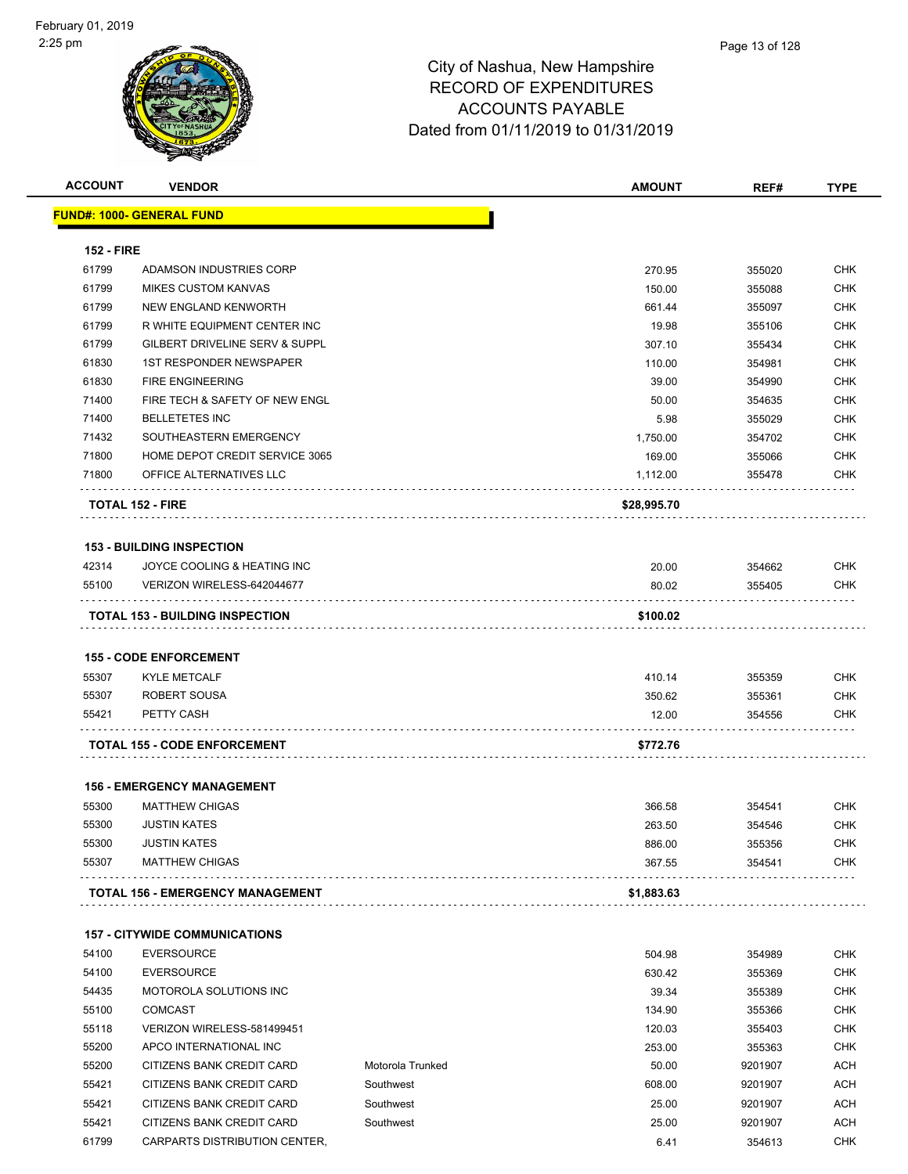| <b>ACCOUNT</b>    | <b>VENDOR</b>                                |                  | <b>AMOUNT</b>    | REF#             | <b>TYPE</b>       |
|-------------------|----------------------------------------------|------------------|------------------|------------------|-------------------|
|                   | <u> FUND#: 1000- GENERAL FUND</u>            |                  |                  |                  |                   |
|                   |                                              |                  |                  |                  |                   |
| <b>152 - FIRE</b> |                                              |                  |                  |                  |                   |
| 61799             | ADAMSON INDUSTRIES CORP                      |                  | 270.95           | 355020           | <b>CHK</b>        |
| 61799             | <b>MIKES CUSTOM KANVAS</b>                   |                  | 150.00           | 355088           | <b>CHK</b>        |
| 61799             | NEW ENGLAND KENWORTH                         |                  | 661.44           | 355097           | <b>CHK</b>        |
| 61799             | R WHITE EQUIPMENT CENTER INC                 |                  | 19.98            | 355106           | <b>CHK</b>        |
| 61799             | GILBERT DRIVELINE SERV & SUPPL               |                  | 307.10           | 355434           | <b>CHK</b>        |
| 61830             | <b>1ST RESPONDER NEWSPAPER</b>               |                  | 110.00           | 354981           | <b>CHK</b>        |
| 61830             | <b>FIRE ENGINEERING</b>                      |                  | 39.00            | 354990           | <b>CHK</b>        |
| 71400             | FIRE TECH & SAFETY OF NEW ENGL               |                  | 50.00            | 354635           | <b>CHK</b>        |
| 71400             | <b>BELLETETES INC</b>                        |                  | 5.98             | 355029           | <b>CHK</b>        |
| 71432             | SOUTHEASTERN EMERGENCY                       |                  | 1,750.00         | 354702           | <b>CHK</b>        |
| 71800             | HOME DEPOT CREDIT SERVICE 3065               |                  | 169.00           | 355066           | <b>CHK</b>        |
| 71800             | OFFICE ALTERNATIVES LLC                      |                  | 1,112.00         | 355478           | <b>CHK</b>        |
|                   | <b>TOTAL 152 - FIRE</b>                      |                  | \$28,995.70      |                  |                   |
|                   |                                              |                  |                  |                  |                   |
| 42314             | <b>153 - BUILDING INSPECTION</b>             |                  |                  |                  |                   |
|                   | JOYCE COOLING & HEATING INC                  |                  | 20.00            | 354662           | <b>CHK</b>        |
| 55100             | VERIZON WIRELESS-642044677                   |                  | 80.02            | 355405           | <b>CHK</b>        |
|                   | <b>TOTAL 153 - BUILDING INSPECTION</b>       |                  | \$100.02         |                  |                   |
|                   |                                              |                  |                  |                  |                   |
|                   | <b>155 - CODE ENFORCEMENT</b>                |                  |                  |                  |                   |
| 55307             | <b>KYLE METCALF</b>                          |                  | 410.14           | 355359           | <b>CHK</b>        |
| 55307             | ROBERT SOUSA                                 |                  | 350.62           | 355361           | <b>CHK</b>        |
| 55421             | PETTY CASH                                   |                  | 12.00            | 354556           | <b>CHK</b>        |
|                   | <b>TOTAL 155 - CODE ENFORCEMENT</b>          |                  | \$772.76         |                  |                   |
|                   |                                              |                  |                  |                  |                   |
|                   | <b>156 - EMERGENCY MANAGEMENT</b>            |                  |                  |                  |                   |
| 55300             | <b>MATTHEW CHIGAS</b>                        |                  | 366.58           | 354541           | <b>CHK</b>        |
| 55300             | <b>JUSTIN KATES</b>                          |                  | 263.50           | 354546           | <b>CHK</b>        |
| 55300<br>55307    | <b>JUSTIN KATES</b><br><b>MATTHEW CHIGAS</b> |                  | 886.00<br>367.55 | 355356<br>354541 | CHK<br><b>CHK</b> |
|                   |                                              |                  |                  |                  |                   |
|                   | TOTAL 156 - EMERGENCY MANAGEMENT             |                  | \$1,883.63       |                  |                   |
|                   | <b>157 - CITYWIDE COMMUNICATIONS</b>         |                  |                  |                  |                   |
| 54100             | <b>EVERSOURCE</b>                            |                  | 504.98           | 354989           | <b>CHK</b>        |
| 54100             | <b>EVERSOURCE</b>                            |                  | 630.42           | 355369           | <b>CHK</b>        |
| 54435             | <b>MOTOROLA SOLUTIONS INC</b>                |                  | 39.34            | 355389           | <b>CHK</b>        |
| 55100             | <b>COMCAST</b>                               |                  | 134.90           | 355366           | <b>CHK</b>        |
| 55118             | VERIZON WIRELESS-581499451                   |                  | 120.03           | 355403           | <b>CHK</b>        |
| 55200             | APCO INTERNATIONAL INC                       |                  | 253.00           | 355363           | <b>CHK</b>        |
| 55200             | CITIZENS BANK CREDIT CARD                    | Motorola Trunked | 50.00            | 9201907          | ACH               |
| 55421             | CITIZENS BANK CREDIT CARD                    | Southwest        | 608.00           | 9201907          | <b>ACH</b>        |
| 55421             | CITIZENS BANK CREDIT CARD                    | Southwest        | 25.00            | 9201907          | ACH               |
|                   |                                              | Southwest        | 25.00            |                  | ACH               |
| 55421<br>61799    | CITIZENS BANK CREDIT CARD                    |                  | 6.41             | 9201907          | <b>CHK</b>        |
|                   | CARPARTS DISTRIBUTION CENTER,                |                  |                  | 354613           |                   |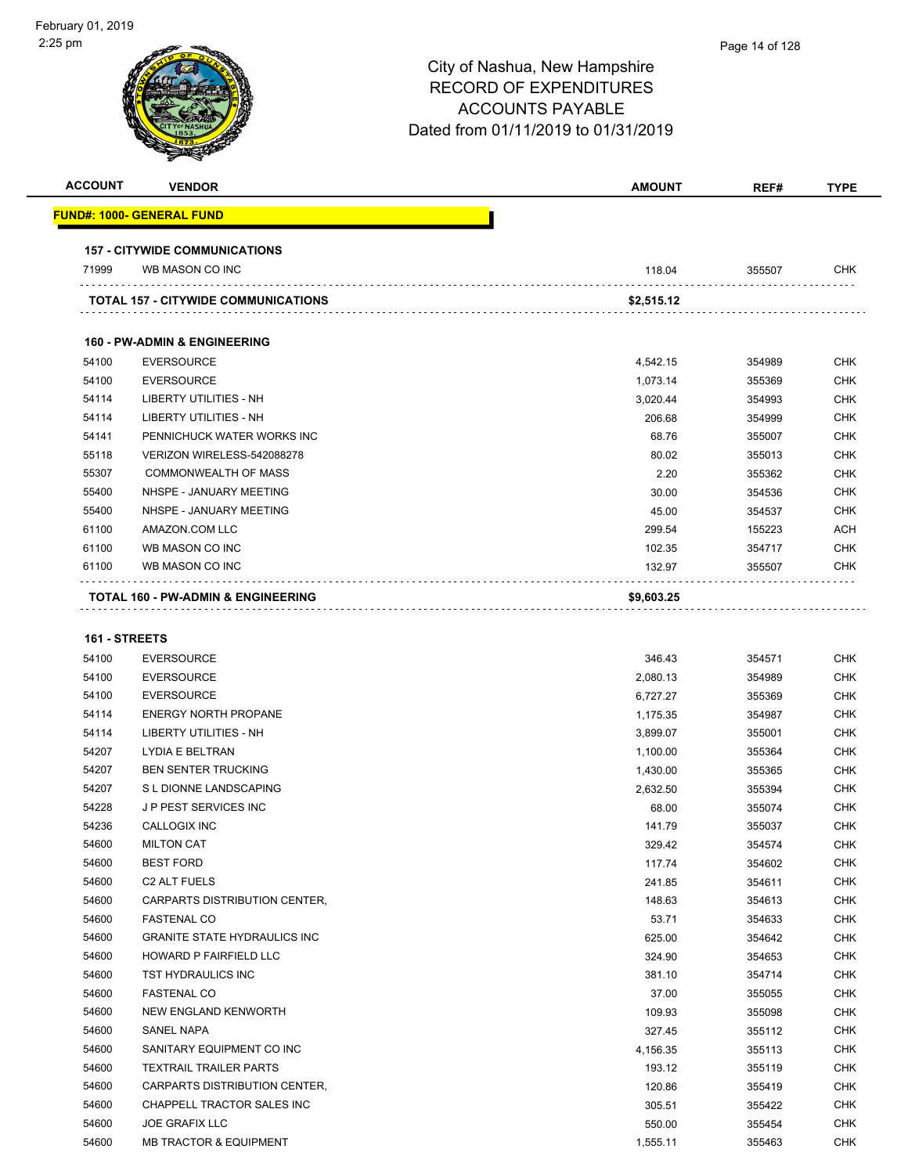| <b>ACCOUNT</b> | <b>VENDOR</b>                                 | <b>AMOUNT</b> | REF#   | <b>TYPE</b> |
|----------------|-----------------------------------------------|---------------|--------|-------------|
|                | <b>FUND#: 1000- GENERAL FUND</b>              |               |        |             |
|                | <b>157 - CITYWIDE COMMUNICATIONS</b>          |               |        |             |
| 71999          | WB MASON CO INC                               | 118.04        | 355507 | <b>CHK</b>  |
|                | <b>TOTAL 157 - CITYWIDE COMMUNICATIONS</b>    | \$2,515.12    |        |             |
|                | <b>160 - PW-ADMIN &amp; ENGINEERING</b>       |               |        |             |
| 54100          | <b>EVERSOURCE</b>                             | 4,542.15      | 354989 | <b>CHK</b>  |
| 54100          | <b>EVERSOURCE</b>                             | 1,073.14      | 355369 | <b>CHK</b>  |
| 54114          | <b>LIBERTY UTILITIES - NH</b>                 | 3,020.44      | 354993 | <b>CHK</b>  |
| 54114          | <b>LIBERTY UTILITIES - NH</b>                 | 206.68        | 354999 | <b>CHK</b>  |
| 54141          | PENNICHUCK WATER WORKS INC                    | 68.76         | 355007 | <b>CHK</b>  |
| 55118          | VERIZON WIRELESS-542088278                    | 80.02         | 355013 | <b>CHK</b>  |
| 55307          | <b>COMMONWEALTH OF MASS</b>                   | 2.20          | 355362 | <b>CHK</b>  |
| 55400          | NHSPE - JANUARY MEETING                       | 30.00         | 354536 | <b>CHK</b>  |
| 55400          | NHSPE - JANUARY MEETING                       | 45.00         | 354537 | <b>CHK</b>  |
| 61100          | AMAZON.COM LLC                                | 299.54        | 155223 | <b>ACH</b>  |
| 61100          | WB MASON CO INC                               | 102.35        | 354717 | <b>CHK</b>  |
| 61100          | WB MASON CO INC                               | 132.97        | 355507 | <b>CHK</b>  |
|                | <b>TOTAL 160 - PW-ADMIN &amp; ENGINEERING</b> | \$9,603.25    |        |             |

#### **161 - STREETS**

| 54100 | <b>EVERSOURCE</b>                   | 346.43   | 354571 | <b>CHK</b> |
|-------|-------------------------------------|----------|--------|------------|
| 54100 | <b>EVERSOURCE</b>                   | 2,080.13 | 354989 | <b>CHK</b> |
| 54100 | <b>EVERSOURCE</b>                   | 6,727.27 | 355369 | <b>CHK</b> |
| 54114 | <b>ENERGY NORTH PROPANE</b>         | 1,175.35 | 354987 | <b>CHK</b> |
| 54114 | <b>LIBERTY UTILITIES - NH</b>       | 3,899.07 | 355001 | <b>CHK</b> |
| 54207 | LYDIA E BELTRAN                     | 1,100.00 | 355364 | <b>CHK</b> |
| 54207 | <b>BEN SENTER TRUCKING</b>          | 1,430.00 | 355365 | <b>CHK</b> |
| 54207 | S L DIONNE LANDSCAPING              | 2,632.50 | 355394 | <b>CHK</b> |
| 54228 | <b>JP PEST SERVICES INC</b>         | 68.00    | 355074 | <b>CHK</b> |
| 54236 | <b>CALLOGIX INC</b>                 | 141.79   | 355037 | <b>CHK</b> |
| 54600 | <b>MILTON CAT</b>                   | 329.42   | 354574 | <b>CHK</b> |
| 54600 | <b>BEST FORD</b>                    | 117.74   | 354602 | <b>CHK</b> |
| 54600 | <b>C2 ALT FUELS</b>                 | 241.85   | 354611 | <b>CHK</b> |
| 54600 | CARPARTS DISTRIBUTION CENTER,       | 148.63   | 354613 | <b>CHK</b> |
| 54600 | <b>FASTENAL CO</b>                  | 53.71    | 354633 | <b>CHK</b> |
| 54600 | <b>GRANITE STATE HYDRAULICS INC</b> | 625.00   | 354642 | <b>CHK</b> |
| 54600 | <b>HOWARD P FAIRFIELD LLC</b>       | 324.90   | 354653 | <b>CHK</b> |
| 54600 | TST HYDRAULICS INC                  | 381.10   | 354714 | <b>CHK</b> |
| 54600 | <b>FASTENAL CO</b>                  | 37.00    | 355055 | <b>CHK</b> |
| 54600 | NEW ENGLAND KENWORTH                | 109.93   | 355098 | <b>CHK</b> |
| 54600 | SANEL NAPA                          | 327.45   | 355112 | <b>CHK</b> |
| 54600 | SANITARY EQUIPMENT CO INC           | 4,156.35 | 355113 | <b>CHK</b> |
| 54600 | <b>TEXTRAIL TRAILER PARTS</b>       | 193.12   | 355119 | <b>CHK</b> |
| 54600 | CARPARTS DISTRIBUTION CENTER,       | 120.86   | 355419 | <b>CHK</b> |
| 54600 | CHAPPELL TRACTOR SALES INC          | 305.51   | 355422 | <b>CHK</b> |
| 54600 | <b>JOE GRAFIX LLC</b>               | 550.00   | 355454 | <b>CHK</b> |
| 54600 | <b>MB TRACTOR &amp; EQUIPMENT</b>   | 1,555.11 | 355463 | <b>CHK</b> |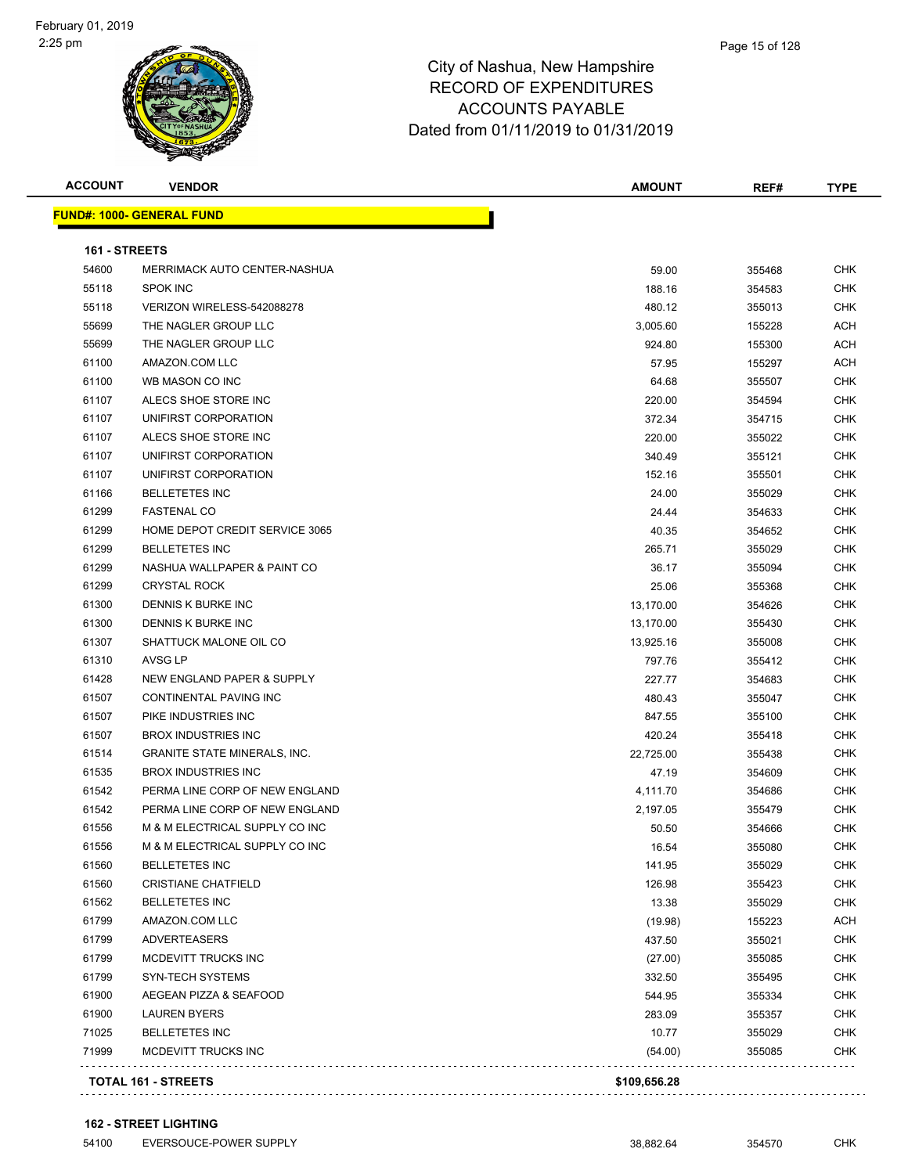#### Page 15 of 128

## City of Nashua, New Hampshire RECORD OF EXPENDITURES ACCOUNTS PAYABLE Dated from 01/11/2019 to 01/31/2019

| <b>ACCOUNT</b> | <b>VENDOR</b>                       | <b>AMOUNT</b> | REF#   | <b>TYPE</b> |
|----------------|-------------------------------------|---------------|--------|-------------|
|                | <b>FUND#: 1000- GENERAL FUND</b>    |               |        |             |
| 161 - STREETS  |                                     |               |        |             |
| 54600          | MERRIMACK AUTO CENTER-NASHUA        | 59.00         | 355468 | <b>CHK</b>  |
| 55118          | <b>SPOK INC</b>                     | 188.16        | 354583 | CHK         |
| 55118          | VERIZON WIRELESS-542088278          | 480.12        | 355013 | <b>CHK</b>  |
| 55699          | THE NAGLER GROUP LLC                | 3,005.60      | 155228 | <b>ACH</b>  |
| 55699          | THE NAGLER GROUP LLC                | 924.80        | 155300 | ACH         |
| 61100          | AMAZON.COM LLC                      | 57.95         | 155297 | ACH         |
| 61100          | WB MASON CO INC                     | 64.68         | 355507 | CHK         |
| 61107          | ALECS SHOE STORE INC                | 220.00        | 354594 | <b>CHK</b>  |
| 61107          | UNIFIRST CORPORATION                | 372.34        | 354715 | CHK         |
| 61107          | ALECS SHOE STORE INC                | 220.00        | 355022 | <b>CHK</b>  |
| 61107          | UNIFIRST CORPORATION                | 340.49        | 355121 | <b>CHK</b>  |
| 61107          | UNIFIRST CORPORATION                | 152.16        | 355501 | CHK         |
| 61166          | <b>BELLETETES INC</b>               | 24.00         | 355029 | CHK         |
| 61299          | <b>FASTENAL CO</b>                  | 24.44         | 354633 | CHK         |
| 61299          | HOME DEPOT CREDIT SERVICE 3065      | 40.35         | 354652 | CHK         |
| 61299          | <b>BELLETETES INC</b>               | 265.71        | 355029 | <b>CHK</b>  |
| 61299          | NASHUA WALLPAPER & PAINT CO         | 36.17         | 355094 | CHK         |
| 61299          | <b>CRYSTAL ROCK</b>                 | 25.06         | 355368 | CHK         |
| 61300          | DENNIS K BURKE INC                  | 13,170.00     | 354626 | CHK         |
| 61300          | DENNIS K BURKE INC                  | 13,170.00     | 355430 | CHK         |
| 61307          | SHATTUCK MALONE OIL CO              | 13,925.16     | 355008 | CHK         |
| 61310          | AVSG LP                             | 797.76        | 355412 | <b>CHK</b>  |
| 61428          | NEW ENGLAND PAPER & SUPPLY          | 227.77        | 354683 | <b>CHK</b>  |
| 61507          | CONTINENTAL PAVING INC              | 480.43        | 355047 | CHK         |
| 61507          | PIKE INDUSTRIES INC                 | 847.55        | 355100 | <b>CHK</b>  |
| 61507          | <b>BROX INDUSTRIES INC</b>          | 420.24        | 355418 | CHK         |
| 61514          | <b>GRANITE STATE MINERALS, INC.</b> | 22,725.00     | 355438 | <b>CHK</b>  |
| 61535          | <b>BROX INDUSTRIES INC</b>          | 47.19         | 354609 | CHK         |
| 61542          | PERMA LINE CORP OF NEW ENGLAND      | 4,111.70      | 354686 | CHK         |
| 61542          | PERMA LINE CORP OF NEW ENGLAND      | 2,197.05      | 355479 | CHK         |
| 61556          | M & M ELECTRICAL SUPPLY CO INC      | 50.50         | 354666 | <b>CHK</b>  |
| 61556          | M & M ELECTRICAL SUPPLY CO INC      | 16.54         | 355080 | CHK         |
| 61560          | <b>BELLETETES INC</b>               | 141.95        | 355029 | <b>CHK</b>  |
| 61560          | <b>CRISTIANE CHATFIELD</b>          | 126.98        | 355423 | <b>CHK</b>  |
| 61562          | <b>BELLETETES INC</b>               | 13.38         | 355029 | <b>CHK</b>  |
| 61799          | AMAZON.COM LLC                      | (19.98)       | 155223 | <b>ACH</b>  |
| 61799          | <b>ADVERTEASERS</b>                 | 437.50        | 355021 | <b>CHK</b>  |
| 61799          | MCDEVITT TRUCKS INC                 | (27.00)       | 355085 | <b>CHK</b>  |
| 61799          | <b>SYN-TECH SYSTEMS</b>             | 332.50        | 355495 | CHK         |
| 61900          | AEGEAN PIZZA & SEAFOOD              | 544.95        | 355334 | <b>CHK</b>  |
| 61900          | <b>LAUREN BYERS</b>                 | 283.09        | 355357 | <b>CHK</b>  |
| 71025          | <b>BELLETETES INC</b>               | 10.77         | 355029 | <b>CHK</b>  |
| 71999          | MCDEVITT TRUCKS INC                 | (54.00)       | 355085 | <b>CHK</b>  |
|                | TOTAL 161 - STREETS                 | \$109,656.28  |        |             |

**TOTAL 161 - STREETS \$109,656.28**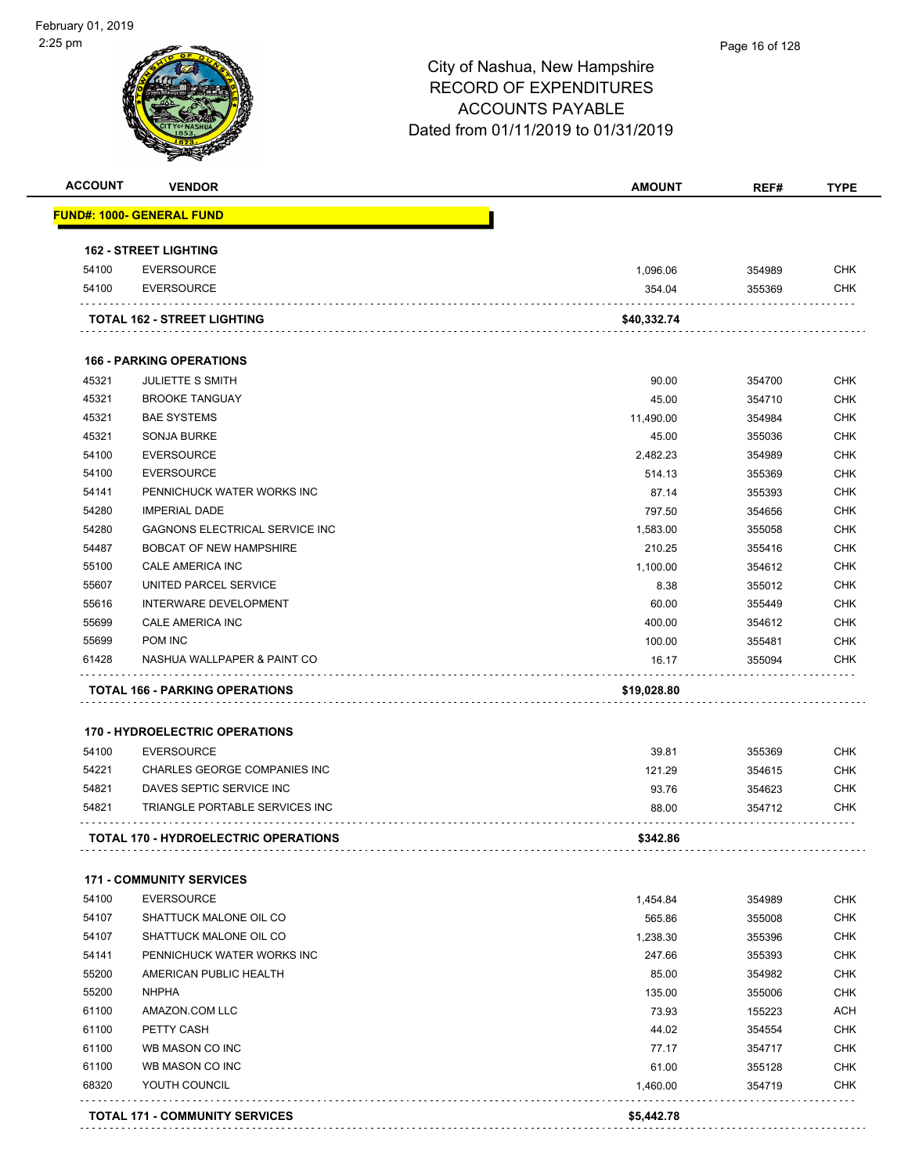| <b>ACCOUNT</b> | <b>VENDOR</b>                               | <b>AMOUNT</b> | REF#   | <b>TYPE</b> |
|----------------|---------------------------------------------|---------------|--------|-------------|
|                | <u> FUND#: 1000- GENERAL FUND</u>           |               |        |             |
|                | <b>162 - STREET LIGHTING</b>                |               |        |             |
| 54100          | <b>EVERSOURCE</b>                           | 1,096.06      | 354989 | <b>CHK</b>  |
| 54100          | <b>EVERSOURCE</b>                           | 354.04        | 355369 | <b>CHK</b>  |
|                | <b>TOTAL 162 - STREET LIGHTING</b>          | \$40,332.74   |        |             |
|                | <b>166 - PARKING OPERATIONS</b>             |               |        |             |
| 45321          | <b>JULIETTE S SMITH</b>                     | 90.00         | 354700 | <b>CHK</b>  |
| 45321          | <b>BROOKE TANGUAY</b>                       | 45.00         | 354710 | <b>CHK</b>  |
| 45321          | <b>BAE SYSTEMS</b>                          | 11,490.00     | 354984 | <b>CHK</b>  |
| 45321          | <b>SONJA BURKE</b>                          | 45.00         | 355036 | <b>CHK</b>  |
| 54100          | <b>EVERSOURCE</b>                           | 2,482.23      | 354989 | <b>CHK</b>  |
| 54100          | <b>EVERSOURCE</b>                           | 514.13        | 355369 | <b>CHK</b>  |
| 54141          | PENNICHUCK WATER WORKS INC                  | 87.14         | 355393 | <b>CHK</b>  |
| 54280          | <b>IMPERIAL DADE</b>                        | 797.50        | 354656 | <b>CHK</b>  |
| 54280          | GAGNONS ELECTRICAL SERVICE INC              | 1,583.00      | 355058 | <b>CHK</b>  |
| 54487          | <b>BOBCAT OF NEW HAMPSHIRE</b>              | 210.25        | 355416 | <b>CHK</b>  |
| 55100          | <b>CALE AMERICA INC</b>                     | 1,100.00      | 354612 | <b>CHK</b>  |
| 55607          | UNITED PARCEL SERVICE                       | 8.38          | 355012 | <b>CHK</b>  |
| 55616          | INTERWARE DEVELOPMENT                       | 60.00         | 355449 | <b>CHK</b>  |
| 55699          | CALE AMERICA INC                            | 400.00        | 354612 | <b>CHK</b>  |
| 55699          | POM INC                                     | 100.00        | 355481 | <b>CHK</b>  |
| 61428          | NASHUA WALLPAPER & PAINT CO                 | 16.17         | 355094 | <b>CHK</b>  |
|                | .<br><b>TOTAL 166 - PARKING OPERATIONS</b>  | \$19,028.80   |        |             |
|                |                                             |               |        |             |
|                | <b>170 - HYDROELECTRIC OPERATIONS</b>       |               |        |             |
| 54100          | <b>EVERSOURCE</b>                           | 39.81         | 355369 | <b>CHK</b>  |
| 54221          | CHARLES GEORGE COMPANIES INC                | 121.29        | 354615 | <b>CHK</b>  |
| 54821          | DAVES SEPTIC SERVICE INC                    | 93.76         | 354623 | <b>CHK</b>  |
| 54821          | TRIANGLE PORTABLE SERVICES INC              | 88.00         | 354712 | CHK         |
|                | <b>TOTAL 170 - HYDROELECTRIC OPERATIONS</b> | \$342.86      |        |             |
|                | <b>171 - COMMUNITY SERVICES</b>             |               |        |             |
| 54100          | <b>EVERSOURCE</b>                           | 1,454.84      | 354989 | <b>CHK</b>  |
| 54107          | SHATTUCK MALONE OIL CO                      | 565.86        | 355008 | <b>CHK</b>  |
| 54107          | SHATTUCK MALONE OIL CO                      | 1,238.30      | 355396 | <b>CHK</b>  |
| 54141          | PENNICHUCK WATER WORKS INC                  | 247.66        | 355393 | <b>CHK</b>  |
| 55200          | AMERICAN PUBLIC HEALTH                      | 85.00         | 354982 | <b>CHK</b>  |
| 55200          | <b>NHPHA</b>                                | 135.00        | 355006 | <b>CHK</b>  |
| 61100          | AMAZON.COM LLC                              | 73.93         | 155223 | <b>ACH</b>  |
| 61100          | PETTY CASH                                  | 44.02         | 354554 | <b>CHK</b>  |
| 61100          | WB MASON CO INC                             | 77.17         | 354717 | <b>CHK</b>  |
| 61100          | WB MASON CO INC                             | 61.00         | 355128 | <b>CHK</b>  |
| 68320          | YOUTH COUNCIL                               | 1,460.00      | 354719 | <b>CHK</b>  |
|                | <b>TOTAL 171 - COMMUNITY SERVICES</b>       | \$5,442.78    |        |             |
|                |                                             |               |        |             |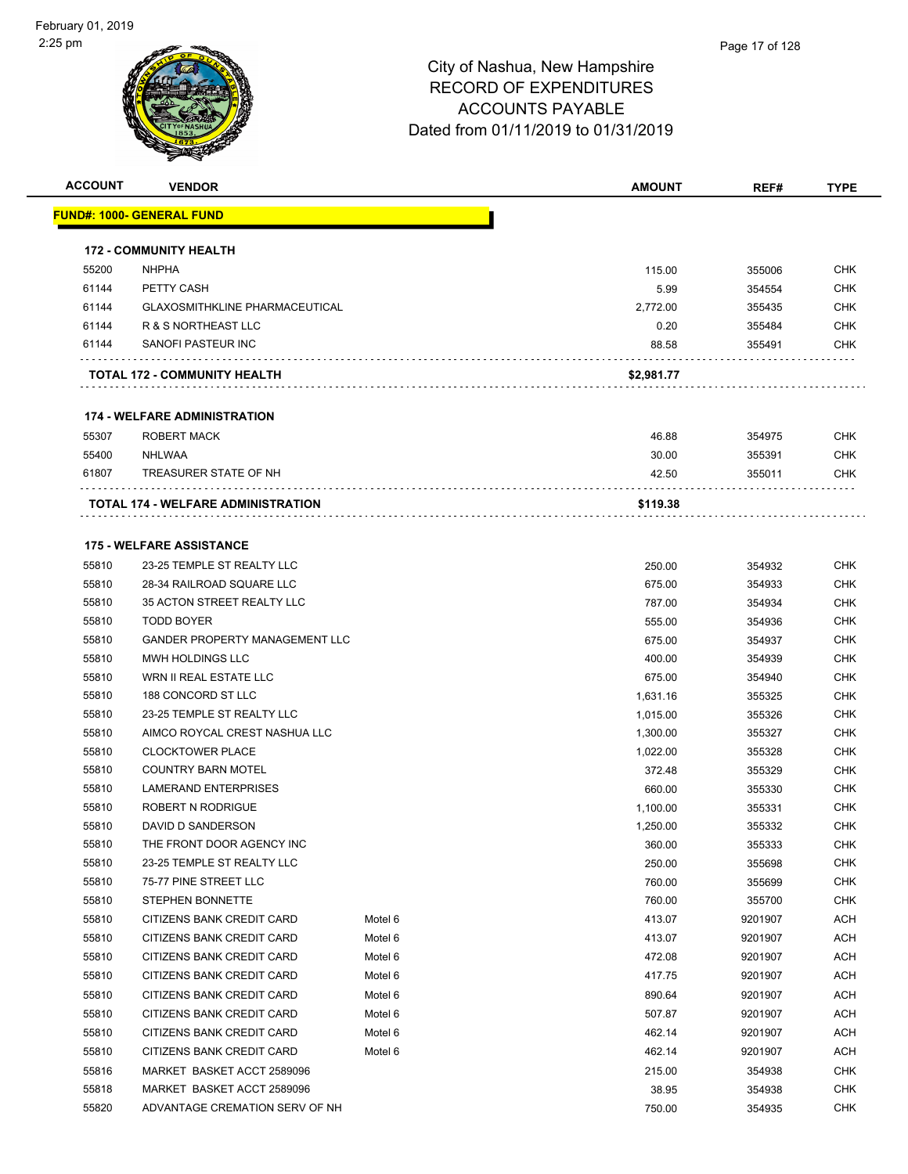

| <b>ACCOUNT</b> | <b>VENDOR</b>                              |         | <b>AMOUNT</b>        | REF#             | <b>TYPE</b>              |
|----------------|--------------------------------------------|---------|----------------------|------------------|--------------------------|
|                | <u> FUND#: 1000- GENERAL FUND</u>          |         |                      |                  |                          |
|                | <b>172 - COMMUNITY HEALTH</b>              |         |                      |                  |                          |
| 55200          | <b>NHPHA</b>                               |         | 115.00               | 355006           | <b>CHK</b>               |
| 61144          | PETTY CASH                                 |         | 5.99                 | 354554           | <b>CHK</b>               |
| 61144          | <b>GLAXOSMITHKLINE PHARMACEUTICAL</b>      |         | 2,772.00             | 355435           | <b>CHK</b>               |
| 61144          | R & S NORTHEAST LLC                        |         | 0.20                 | 355484           | <b>CHK</b>               |
| 61144          | SANOFI PASTEUR INC                         |         | 88.58                | 355491           | <b>CHK</b>               |
|                |                                            |         |                      |                  |                          |
|                | TOTAL 172 - COMMUNITY HEALTH               |         | \$2,981.77           |                  |                          |
|                | <b>174 - WELFARE ADMINISTRATION</b>        |         |                      |                  |                          |
| 55307          | ROBERT MACK                                |         | 46.88                | 354975           | <b>CHK</b>               |
| 55400          | NHLWAA                                     |         | 30.00                | 355391           | <b>CHK</b>               |
| 61807          | TREASURER STATE OF NH                      |         | 42.50                | 355011           | <b>CHK</b>               |
|                | <b>TOTAL 174 - WELFARE ADMINISTRATION</b>  |         | \$119.38             |                  |                          |
|                |                                            |         |                      |                  |                          |
|                | <b>175 - WELFARE ASSISTANCE</b>            |         |                      |                  |                          |
| 55810          | 23-25 TEMPLE ST REALTY LLC                 |         | 250.00               | 354932           | <b>CHK</b>               |
| 55810          | 28-34 RAILROAD SQUARE LLC                  |         | 675.00               | 354933           | <b>CHK</b>               |
| 55810          | 35 ACTON STREET REALTY LLC                 |         | 787.00               | 354934           | <b>CHK</b>               |
| 55810          | <b>TODD BOYER</b>                          |         | 555.00               | 354936           | <b>CHK</b>               |
| 55810          | <b>GANDER PROPERTY MANAGEMENT LLC</b>      |         | 675.00               | 354937           | <b>CHK</b>               |
| 55810<br>55810 | MWH HOLDINGS LLC<br>WRN II REAL ESTATE LLC |         | 400.00               | 354939           | <b>CHK</b><br><b>CHK</b> |
| 55810          | 188 CONCORD ST LLC                         |         | 675.00               | 354940           | <b>CHK</b>               |
| 55810          | 23-25 TEMPLE ST REALTY LLC                 |         | 1,631.16<br>1,015.00 | 355325<br>355326 | <b>CHK</b>               |
| 55810          | AIMCO ROYCAL CREST NASHUA LLC              |         | 1,300.00             | 355327           | <b>CHK</b>               |
| 55810          | <b>CLOCKTOWER PLACE</b>                    |         | 1,022.00             | 355328           | <b>CHK</b>               |
| 55810          | <b>COUNTRY BARN MOTEL</b>                  |         | 372.48               | 355329           | <b>CHK</b>               |
| 55810          | <b>LAMERAND ENTERPRISES</b>                |         | 660.00               | 355330           | <b>CHK</b>               |
| 55810          | ROBERT N RODRIGUE                          |         | 1,100.00             | 355331           | <b>CHK</b>               |
| 55810          | DAVID D SANDERSON                          |         | 1,250.00             | 355332           | <b>CHK</b>               |
| 55810          | THE FRONT DOOR AGENCY INC                  |         | 360.00               | 355333           | CHK                      |
| 55810          | 23-25 TEMPLE ST REALTY LLC                 |         | 250.00               | 355698           | <b>CHK</b>               |
| 55810          | 75-77 PINE STREET LLC                      |         | 760.00               | 355699           | <b>CHK</b>               |
| 55810          | STEPHEN BONNETTE                           |         | 760.00               | 355700           | CHK                      |
| 55810          | CITIZENS BANK CREDIT CARD                  | Motel 6 | 413.07               | 9201907          | <b>ACH</b>               |
| 55810          | CITIZENS BANK CREDIT CARD                  | Motel 6 | 413.07               | 9201907          | <b>ACH</b>               |
| 55810          | CITIZENS BANK CREDIT CARD                  | Motel 6 | 472.08               | 9201907          | ACH                      |
| 55810          | CITIZENS BANK CREDIT CARD                  | Motel 6 | 417.75               | 9201907          | ACH                      |
| 55810          | CITIZENS BANK CREDIT CARD                  | Motel 6 | 890.64               | 9201907          | <b>ACH</b>               |
| 55810          | CITIZENS BANK CREDIT CARD                  | Motel 6 | 507.87               | 9201907          | <b>ACH</b>               |
| 55810          | CITIZENS BANK CREDIT CARD                  | Motel 6 | 462.14               | 9201907          | <b>ACH</b>               |
| 55810          | CITIZENS BANK CREDIT CARD                  | Motel 6 | 462.14               | 9201907          | ACH                      |
| 55816          | MARKET BASKET ACCT 2589096                 |         | 215.00               | 354938           | <b>CHK</b>               |
| 55818          | MARKET BASKET ACCT 2589096                 |         | 38.95                | 354938           | <b>CHK</b>               |
| 55820          | ADVANTAGE CREMATION SERV OF NH             |         | 750.00               | 354935           | <b>CHK</b>               |
|                |                                            |         |                      |                  |                          |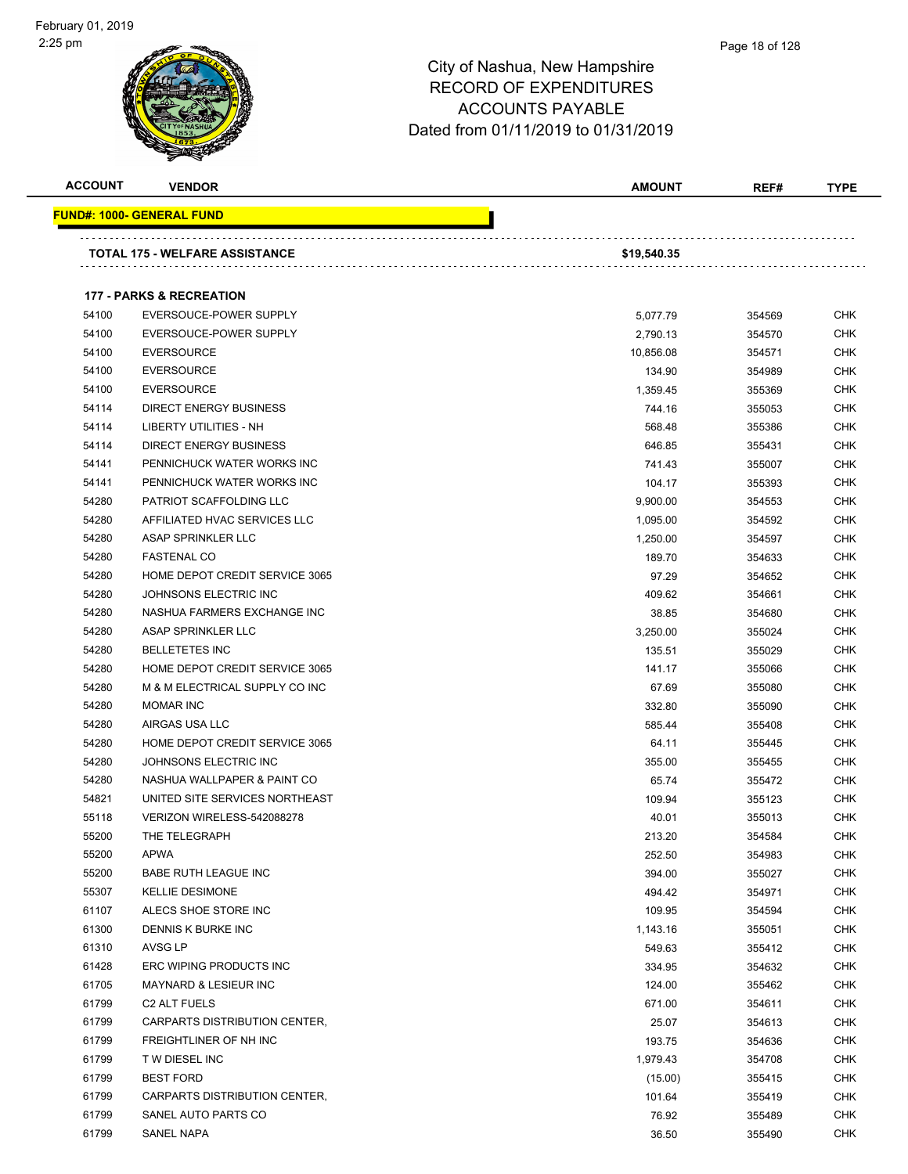

| <b>ACCOUNT</b> | <b>VENDOR</b>                         | <b>AMOUNT</b>        | REF#             | <b>TYPE</b> |
|----------------|---------------------------------------|----------------------|------------------|-------------|
|                | <b>FUND#: 1000- GENERAL FUND</b>      |                      |                  |             |
|                | <b>TOTAL 175 - WELFARE ASSISTANCE</b> | \$19,540.35          |                  |             |
|                |                                       |                      |                  |             |
|                | <b>177 - PARKS &amp; RECREATION</b>   |                      |                  |             |
| 54100          | EVERSOUCE-POWER SUPPLY                |                      |                  | <b>CHK</b>  |
| 54100          | EVERSOUCE-POWER SUPPLY                | 5,077.79<br>2,790.13 | 354569<br>354570 | <b>CHK</b>  |
| 54100          | <b>EVERSOURCE</b>                     | 10,856.08            | 354571           | <b>CHK</b>  |
| 54100          | <b>EVERSOURCE</b>                     | 134.90               | 354989           | <b>CHK</b>  |
| 54100          | <b>EVERSOURCE</b>                     | 1,359.45             | 355369           | <b>CHK</b>  |
| 54114          | <b>DIRECT ENERGY BUSINESS</b>         | 744.16               | 355053           | <b>CHK</b>  |
| 54114          | LIBERTY UTILITIES - NH                | 568.48               | 355386           | <b>CHK</b>  |
| 54114          | DIRECT ENERGY BUSINESS                | 646.85               | 355431           | <b>CHK</b>  |
| 54141          | PENNICHUCK WATER WORKS INC            | 741.43               | 355007           | <b>CHK</b>  |
| 54141          | PENNICHUCK WATER WORKS INC            | 104.17               | 355393           | CHK         |
| 54280          | PATRIOT SCAFFOLDING LLC               | 9,900.00             | 354553           | <b>CHK</b>  |
| 54280          | AFFILIATED HVAC SERVICES LLC          | 1,095.00             | 354592           | <b>CHK</b>  |
| 54280          | ASAP SPRINKLER LLC                    | 1,250.00             | 354597           | <b>CHK</b>  |
| 54280          | <b>FASTENAL CO</b>                    | 189.70               | 354633           | <b>CHK</b>  |
| 54280          | HOME DEPOT CREDIT SERVICE 3065        | 97.29                | 354652           | <b>CHK</b>  |
| 54280          | JOHNSONS ELECTRIC INC                 | 409.62               | 354661           | <b>CHK</b>  |
| 54280          | NASHUA FARMERS EXCHANGE INC           | 38.85                | 354680           | <b>CHK</b>  |
| 54280          | ASAP SPRINKLER LLC                    | 3,250.00             | 355024           | <b>CHK</b>  |
| 54280          | <b>BELLETETES INC</b>                 | 135.51               | 355029           | <b>CHK</b>  |
| 54280          | HOME DEPOT CREDIT SERVICE 3065        | 141.17               | 355066           | <b>CHK</b>  |
| 54280          | M & M ELECTRICAL SUPPLY CO INC        | 67.69                | 355080           | <b>CHK</b>  |
| 54280          | <b>MOMAR INC</b>                      | 332.80               | 355090           | <b>CHK</b>  |
| 54280          | AIRGAS USA LLC                        | 585.44               | 355408           | <b>CHK</b>  |
| 54280          | HOME DEPOT CREDIT SERVICE 3065        | 64.11                | 355445           | <b>CHK</b>  |
| 54280          | JOHNSONS ELECTRIC INC                 | 355.00               | 355455           | <b>CHK</b>  |
| 54280          | NASHUA WALLPAPER & PAINT CO           | 65.74                | 355472           | <b>CHK</b>  |
| 54821          | UNITED SITE SERVICES NORTHEAST        | 109.94               | 355123           | CHK         |
| 55118          | VERIZON WIRELESS-542088278            | 40.01                | 355013           | <b>CHK</b>  |
| 55200          | THE TELEGRAPH                         | 213.20               | 354584           | <b>CHK</b>  |
| 55200          | <b>APWA</b>                           | 252.50               | 354983           | <b>CHK</b>  |
| 55200          | BABE RUTH LEAGUE INC                  | 394.00               | 355027           | <b>CHK</b>  |
| 55307          | <b>KELLIE DESIMONE</b>                | 494.42               | 354971           | <b>CHK</b>  |
| 61107          | ALECS SHOE STORE INC                  | 109.95               | 354594           | <b>CHK</b>  |
| 61300          | DENNIS K BURKE INC                    | 1,143.16             | 355051           | <b>CHK</b>  |
| 61310          | AVSG LP                               | 549.63               | 355412           | CHK         |
| 61428          | ERC WIPING PRODUCTS INC               | 334.95               | 354632           | <b>CHK</b>  |
| 61705          | <b>MAYNARD &amp; LESIEUR INC</b>      | 124.00               | 355462           | <b>CHK</b>  |
| 61799          | C <sub>2</sub> ALT FUELS              | 671.00               | 354611           | <b>CHK</b>  |
| 61799          | CARPARTS DISTRIBUTION CENTER,         | 25.07                | 354613           | <b>CHK</b>  |
| 61799          | FREIGHTLINER OF NH INC                | 193.75               | 354636           | <b>CHK</b>  |
| 61799          | T W DIESEL INC                        | 1,979.43             | 354708           | <b>CHK</b>  |
| 61799          | <b>BEST FORD</b>                      | (15.00)              | 355415           | <b>CHK</b>  |
| 61799          | CARPARTS DISTRIBUTION CENTER,         | 101.64               | 355419           | <b>CHK</b>  |
| 61799          | SANEL AUTO PARTS CO                   | 76.92                | 355489           | <b>CHK</b>  |
| 61799          | SANEL NAPA                            | 36.50                | 355490           | <b>CHK</b>  |
|                |                                       |                      |                  |             |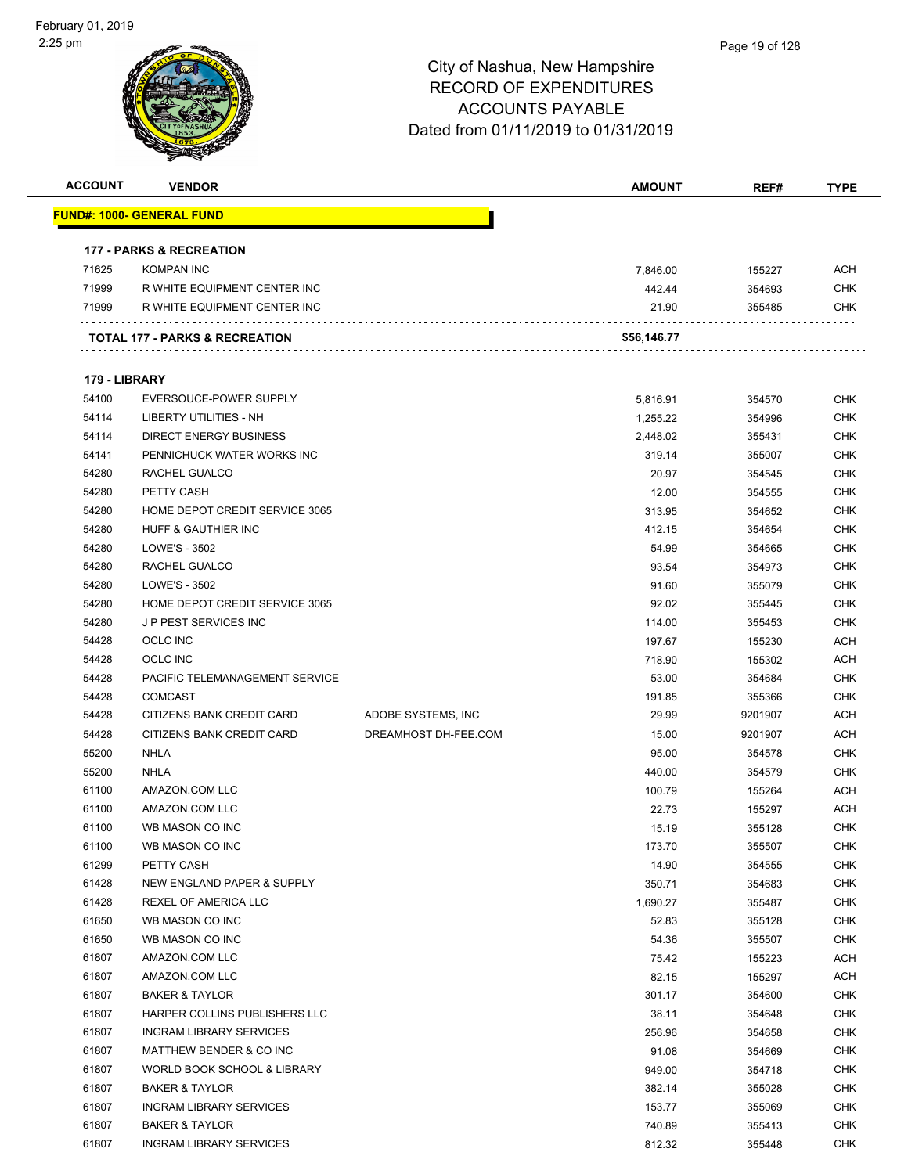

| <b>ACCOUNT</b> | <b>VENDOR</b>                       |                      | <b>AMOUNT</b>   | REF#             | <b>TYPE</b> |
|----------------|-------------------------------------|----------------------|-----------------|------------------|-------------|
|                | <u> FUND#: 1000- GENERAL FUND</u>   |                      |                 |                  |             |
|                | <b>177 - PARKS &amp; RECREATION</b> |                      |                 |                  |             |
| 71625          | <b>KOMPAN INC</b>                   |                      | 7,846.00        | 155227           | <b>ACH</b>  |
| 71999          | R WHITE EQUIPMENT CENTER INC        |                      | 442.44          | 354693           | <b>CHK</b>  |
| 71999          | R WHITE EQUIPMENT CENTER INC        |                      | 21.90           | 355485           | <b>CHK</b>  |
|                |                                     |                      |                 |                  |             |
|                | TOTAL 177 - PARKS & RECREATION      |                      | \$56,146.77     |                  |             |
| 179 - LIBRARY  |                                     |                      |                 |                  |             |
| 54100          | EVERSOUCE-POWER SUPPLY              |                      | 5,816.91        | 354570           | <b>CHK</b>  |
| 54114          | LIBERTY UTILITIES - NH              |                      | 1,255.22        | 354996           | <b>CHK</b>  |
| 54114          | <b>DIRECT ENERGY BUSINESS</b>       |                      | 2,448.02        | 355431           | <b>CHK</b>  |
| 54141          | PENNICHUCK WATER WORKS INC          |                      | 319.14          | 355007           | <b>CHK</b>  |
| 54280          | RACHEL GUALCO                       |                      | 20.97           | 354545           | <b>CHK</b>  |
| 54280          | PETTY CASH                          |                      | 12.00           | 354555           | <b>CHK</b>  |
| 54280          | HOME DEPOT CREDIT SERVICE 3065      |                      | 313.95          | 354652           | <b>CHK</b>  |
| 54280          | <b>HUFF &amp; GAUTHIER INC</b>      |                      | 412.15          | 354654           | <b>CHK</b>  |
| 54280          | LOWE'S - 3502                       |                      | 54.99           | 354665           | <b>CHK</b>  |
| 54280          | <b>RACHEL GUALCO</b>                |                      | 93.54           | 354973           | <b>CHK</b>  |
| 54280          | LOWE'S - 3502                       |                      | 91.60           | 355079           | <b>CHK</b>  |
| 54280          | HOME DEPOT CREDIT SERVICE 3065      |                      | 92.02           | 355445           | <b>CHK</b>  |
| 54280          | J P PEST SERVICES INC               |                      | 114.00          | 355453           | <b>CHK</b>  |
| 54428          | <b>OCLC INC</b>                     |                      | 197.67          | 155230           | <b>ACH</b>  |
| 54428          | <b>OCLC INC</b>                     |                      | 718.90          | 155302           | ACH         |
| 54428          | PACIFIC TELEMANAGEMENT SERVICE      |                      | 53.00           | 354684           | <b>CHK</b>  |
| 54428          | <b>COMCAST</b>                      |                      | 191.85          | 355366           | <b>CHK</b>  |
| 54428          | CITIZENS BANK CREDIT CARD           | ADOBE SYSTEMS, INC   | 29.99           | 9201907          | <b>ACH</b>  |
| 54428          | CITIZENS BANK CREDIT CARD           | DREAMHOST DH-FEE.COM | 15.00           | 9201907          | <b>ACH</b>  |
| 55200          | NHLA                                |                      | 95.00           | 354578           | <b>CHK</b>  |
| 55200          | <b>NHLA</b>                         |                      | 440.00          | 354579           | <b>CHK</b>  |
| 61100          | AMAZON.COM LLC                      |                      |                 |                  | <b>ACH</b>  |
| 61100          | AMAZON.COM LLC                      |                      | 100.79<br>22.73 | 155264<br>155297 | <b>ACH</b>  |
| 61100          | WB MASON CO INC                     |                      |                 |                  | <b>CHK</b>  |
| 61100          | WB MASON CO INC                     |                      | 15.19           | 355128           |             |
|                | PETTY CASH                          |                      | 173.70          | 355507           | <b>CHK</b>  |
| 61299<br>61428 | NEW ENGLAND PAPER & SUPPLY          |                      | 14.90           | 354555           | <b>CHK</b>  |
|                |                                     |                      | 350.71          | 354683           | <b>CHK</b>  |
| 61428          | REXEL OF AMERICA LLC                |                      | 1,690.27        | 355487           | <b>CHK</b>  |
| 61650          | WB MASON CO INC                     |                      | 52.83           | 355128           | <b>CHK</b>  |
| 61650          | WB MASON CO INC                     |                      | 54.36           | 355507           | <b>CHK</b>  |
| 61807          | AMAZON.COM LLC                      |                      | 75.42           | 155223           | <b>ACH</b>  |
| 61807          | AMAZON.COM LLC                      |                      | 82.15           | 155297           | <b>ACH</b>  |
| 61807          | <b>BAKER &amp; TAYLOR</b>           |                      | 301.17          | 354600           | <b>CHK</b>  |
| 61807          | HARPER COLLINS PUBLISHERS LLC       |                      | 38.11           | 354648           | <b>CHK</b>  |
| 61807          | INGRAM LIBRARY SERVICES             |                      | 256.96          | 354658           | <b>CHK</b>  |
| 61807          | MATTHEW BENDER & CO INC             |                      | 91.08           | 354669           | <b>CHK</b>  |
| 61807          | WORLD BOOK SCHOOL & LIBRARY         |                      | 949.00          | 354718           | <b>CHK</b>  |
| 61807          | <b>BAKER &amp; TAYLOR</b>           |                      | 382.14          | 355028           | <b>CHK</b>  |
| 61807          | <b>INGRAM LIBRARY SERVICES</b>      |                      | 153.77          | 355069           | <b>CHK</b>  |
| 61807          | <b>BAKER &amp; TAYLOR</b>           |                      | 740.89          | 355413           | <b>CHK</b>  |
| 61807          | <b>INGRAM LIBRARY SERVICES</b>      |                      | 812.32          | 355448           | <b>CHK</b>  |
|                |                                     |                      |                 |                  |             |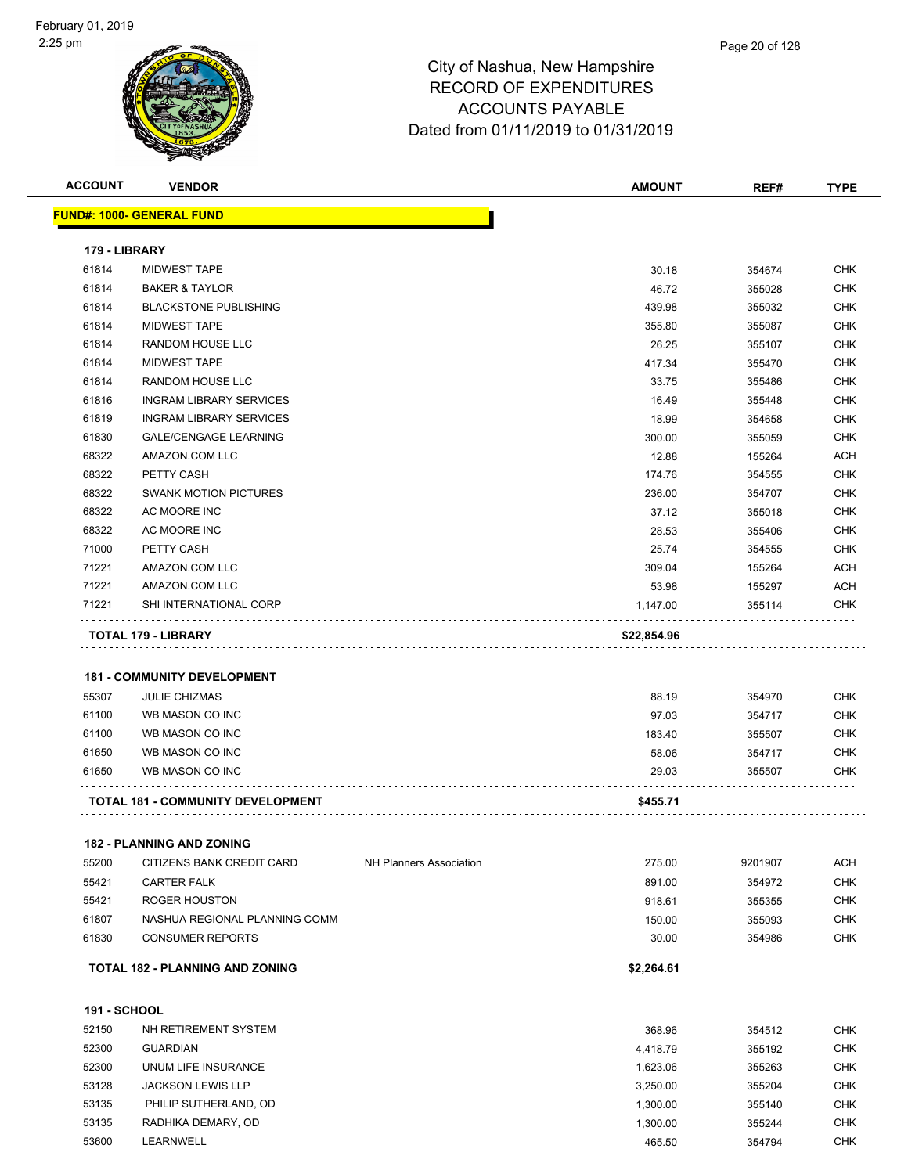| <b>ACCOUNT</b>      | <b>VENDOR</b>                                                    |                                | <b>AMOUNT</b> | REF#    | <b>TYPE</b> |
|---------------------|------------------------------------------------------------------|--------------------------------|---------------|---------|-------------|
|                     | <b>FUND#: 1000- GENERAL FUND</b>                                 |                                |               |         |             |
| 179 - LIBRARY       |                                                                  |                                |               |         |             |
| 61814               | <b>MIDWEST TAPE</b>                                              |                                | 30.18         | 354674  | <b>CHK</b>  |
| 61814               | <b>BAKER &amp; TAYLOR</b>                                        |                                | 46.72         | 355028  | <b>CHK</b>  |
| 61814               | <b>BLACKSTONE PUBLISHING</b>                                     |                                | 439.98        | 355032  | <b>CHK</b>  |
| 61814               | <b>MIDWEST TAPE</b>                                              |                                | 355.80        | 355087  | <b>CHK</b>  |
| 61814               | RANDOM HOUSE LLC                                                 |                                | 26.25         | 355107  | <b>CHK</b>  |
| 61814               | <b>MIDWEST TAPE</b>                                              |                                | 417.34        | 355470  | <b>CHK</b>  |
| 61814               | RANDOM HOUSE LLC                                                 |                                | 33.75         | 355486  | <b>CHK</b>  |
| 61816               | <b>INGRAM LIBRARY SERVICES</b>                                   |                                | 16.49         | 355448  | <b>CHK</b>  |
| 61819               | <b>INGRAM LIBRARY SERVICES</b>                                   |                                | 18.99         | 354658  | <b>CHK</b>  |
| 61830               | <b>GALE/CENGAGE LEARNING</b>                                     |                                | 300.00        | 355059  | <b>CHK</b>  |
| 68322               | AMAZON.COM LLC                                                   |                                | 12.88         | 155264  | ACH         |
| 68322               | PETTY CASH                                                       |                                | 174.76        | 354555  | <b>CHK</b>  |
| 68322               | <b>SWANK MOTION PICTURES</b>                                     |                                | 236.00        | 354707  | <b>CHK</b>  |
| 68322               | AC MOORE INC                                                     |                                | 37.12         | 355018  | <b>CHK</b>  |
| 68322               | AC MOORE INC                                                     |                                | 28.53         | 355406  | <b>CHK</b>  |
| 71000               | PETTY CASH                                                       |                                | 25.74         | 354555  | <b>CHK</b>  |
| 71221               | AMAZON.COM LLC                                                   |                                | 309.04        | 155264  | <b>ACH</b>  |
| 71221               | AMAZON.COM LLC                                                   |                                | 53.98         | 155297  | <b>ACH</b>  |
| 71221               | SHI INTERNATIONAL CORP                                           |                                | 1,147.00      | 355114  | <b>CHK</b>  |
|                     |                                                                  |                                |               |         |             |
|                     | <b>TOTAL 179 - LIBRARY</b><br><b>181 - COMMUNITY DEVELOPMENT</b> |                                | \$22,854.96   |         |             |
| 55307               | <b>JULIE CHIZMAS</b>                                             |                                | 88.19         | 354970  | <b>CHK</b>  |
| 61100               | WB MASON CO INC                                                  |                                | 97.03         | 354717  | <b>CHK</b>  |
| 61100               | WB MASON CO INC                                                  |                                | 183.40        | 355507  | <b>CHK</b>  |
| 61650               | WB MASON CO INC                                                  |                                | 58.06         | 354717  | <b>CHK</b>  |
| 61650               | WB MASON CO INC                                                  |                                | 29.03         | 355507  | CHK         |
|                     | <b>TOTAL 181 - COMMUNITY DEVELOPMENT</b>                         |                                | \$455.71      |         |             |
|                     | <b>182 - PLANNING AND ZONING</b>                                 |                                |               |         |             |
| 55200               | CITIZENS BANK CREDIT CARD                                        | <b>NH Planners Association</b> | 275.00        | 9201907 | <b>ACH</b>  |
| 55421               | <b>CARTER FALK</b>                                               |                                | 891.00        | 354972  | <b>CHK</b>  |
| 55421               | <b>ROGER HOUSTON</b>                                             |                                | 918.61        | 355355  | <b>CHK</b>  |
| 61807               | NASHUA REGIONAL PLANNING COMM                                    |                                | 150.00        | 355093  | <b>CHK</b>  |
| 61830               | <b>CONSUMER REPORTS</b>                                          |                                | 30.00         | 354986  | CHK         |
|                     | <b>TOTAL 182 - PLANNING AND ZONING</b>                           |                                | \$2,264.61    |         |             |
| <b>191 - SCHOOL</b> |                                                                  |                                |               |         |             |
| 52150               | NH RETIREMENT SYSTEM                                             |                                | 368.96        | 354512  | <b>CHK</b>  |
| 52300               | <b>GUARDIAN</b>                                                  |                                | 4,418.79      | 355192  | <b>CHK</b>  |
| 52300               | UNUM LIFE INSURANCE                                              |                                | 1,623.06      | 355263  | <b>CHK</b>  |
| 53128               | <b>JACKSON LEWIS LLP</b>                                         |                                | 3,250.00      | 355204  | <b>CHK</b>  |
| 53135               | PHILIP SUTHERLAND, OD                                            |                                | 1,300.00      | 355140  | <b>CHK</b>  |
| 53135               | RADHIKA DEMARY, OD                                               |                                | 1,300.00      | 355244  | <b>CHK</b>  |
| 53600               |                                                                  |                                |               |         | <b>CHK</b>  |
|                     | LEARNWELL                                                        |                                | 465.50        | 354794  |             |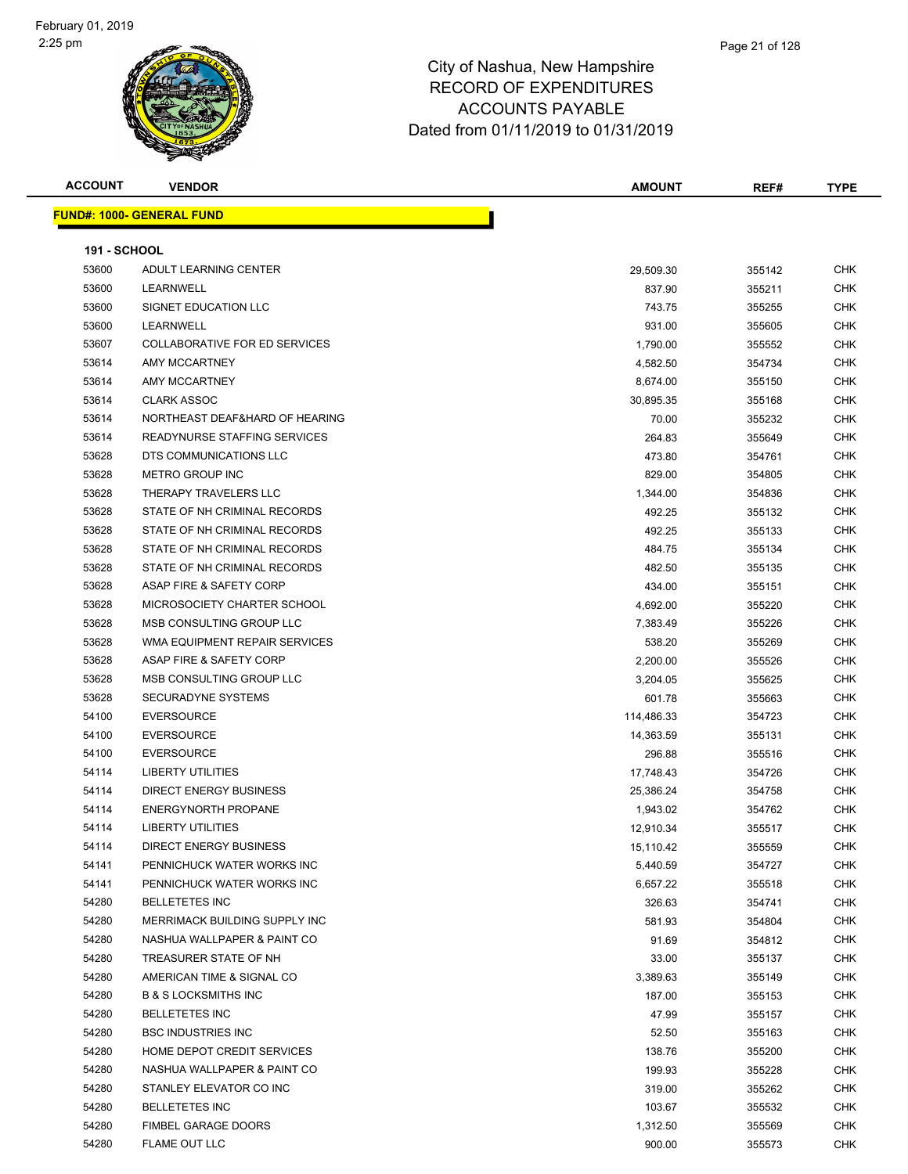

**FUND#: 1000- GENERAL FUND**

#### City of Nashua, New Hampshire RECORD OF EXPENDITURES ACCOUNTS PAYABLE Dated from 01/11/2019 to 01/31/2019

|                     |                                      | <b>ACCOUNTS PAYABLE</b><br>Dated from 01/11/2019 to 01/31/2019 |        |             |
|---------------------|--------------------------------------|----------------------------------------------------------------|--------|-------------|
| <b>ACCOUNT</b>      | <b>VENDOR</b>                        | <b>AMOUNT</b>                                                  | REF#   | <b>TYPE</b> |
|                     | <u> IND#: 1000- GENERAL FUND</u>     |                                                                |        |             |
| <b>191 - SCHOOL</b> |                                      |                                                                |        |             |
| 53600               | ADULT LEARNING CENTER                | 29,509.30                                                      | 355142 | <b>CHK</b>  |
| 53600               | <b>LEARNWELL</b>                     | 837.90                                                         | 355211 | <b>CHK</b>  |
| 53600               | SIGNET EDUCATION LLC                 | 743.75                                                         | 355255 | <b>CHK</b>  |
| 53600               | <b>LEARNWELL</b>                     | 931.00                                                         | 355605 | <b>CHK</b>  |
| 53607               | <b>COLLABORATIVE FOR ED SERVICES</b> | 1,790.00                                                       | 355552 | <b>CHK</b>  |
| 53614               | AMY MCCARTNEY                        | 4,582.50                                                       | 354734 | <b>CHK</b>  |
| 53614               | AMY MCCARTNEY                        | 8,674.00                                                       | 355150 | <b>CHK</b>  |
| 53614               | <b>CLARK ASSOC</b>                   | 30.895.35                                                      | 355168 | <b>CHK</b>  |

| 53600 | LEARNWELL                           | 837.90     | 355211 | CHK        |
|-------|-------------------------------------|------------|--------|------------|
| 53600 | SIGNET EDUCATION LLC                | 743.75     | 355255 | <b>CHK</b> |
| 53600 | LEARNWELL                           | 931.00     | 355605 | <b>CHK</b> |
| 53607 | COLLABORATIVE FOR ED SERVICES       | 1,790.00   | 355552 | CHK        |
| 53614 | AMY MCCARTNEY                       | 4,582.50   | 354734 | <b>CHK</b> |
| 53614 | AMY MCCARTNEY                       | 8,674.00   | 355150 | <b>CHK</b> |
| 53614 | <b>CLARK ASSOC</b>                  | 30,895.35  | 355168 | <b>CHK</b> |
| 53614 | NORTHEAST DEAF&HARD OF HEARING      | 70.00      | 355232 | <b>CHK</b> |
| 53614 | <b>READYNURSE STAFFING SERVICES</b> | 264.83     | 355649 | <b>CHK</b> |
| 53628 | DTS COMMUNICATIONS LLC              | 473.80     | 354761 | CHK        |
| 53628 | <b>METRO GROUP INC</b>              | 829.00     | 354805 | <b>CHK</b> |
| 53628 | THERAPY TRAVELERS LLC               | 1,344.00   | 354836 | <b>CHK</b> |
| 53628 | STATE OF NH CRIMINAL RECORDS        | 492.25     | 355132 | CHK        |
| 53628 | STATE OF NH CRIMINAL RECORDS        | 492.25     | 355133 | <b>CHK</b> |
| 53628 | STATE OF NH CRIMINAL RECORDS        | 484.75     | 355134 | CHK        |
| 53628 | STATE OF NH CRIMINAL RECORDS        | 482.50     | 355135 | CHK        |
| 53628 | ASAP FIRE & SAFETY CORP             | 434.00     | 355151 | CHK        |
| 53628 | MICROSOCIETY CHARTER SCHOOL         | 4,692.00   | 355220 | CHK        |
| 53628 | MSB CONSULTING GROUP LLC            | 7,383.49   | 355226 | <b>CHK</b> |
| 53628 | WMA EQUIPMENT REPAIR SERVICES       | 538.20     | 355269 | <b>CHK</b> |
| 53628 | ASAP FIRE & SAFETY CORP             | 2,200.00   | 355526 | <b>CHK</b> |
| 53628 | MSB CONSULTING GROUP LLC            | 3,204.05   | 355625 | <b>CHK</b> |
| 53628 | <b>SECURADYNE SYSTEMS</b>           | 601.78     | 355663 | <b>CHK</b> |
| 54100 | <b>EVERSOURCE</b>                   | 114,486.33 | 354723 | <b>CHK</b> |
| 54100 | <b>EVERSOURCE</b>                   | 14,363.59  | 355131 | <b>CHK</b> |
| 54100 | <b>EVERSOURCE</b>                   | 296.88     | 355516 | CHK        |
| 54114 | <b>LIBERTY UTILITIES</b>            | 17,748.43  | 354726 | CHK        |
| 54114 | DIRECT ENERGY BUSINESS              | 25,386.24  | 354758 | CHK        |
| 54114 | <b>ENERGYNORTH PROPANE</b>          | 1,943.02   | 354762 | CHK        |
| 54114 | <b>LIBERTY UTILITIES</b>            | 12,910.34  | 355517 | <b>CHK</b> |
| 54114 | <b>DIRECT ENERGY BUSINESS</b>       | 15,110.42  | 355559 | <b>CHK</b> |
| 54141 | PENNICHUCK WATER WORKS INC          | 5,440.59   | 354727 | <b>CHK</b> |
| 54141 | PENNICHUCK WATER WORKS INC          | 6,657.22   | 355518 | <b>CHK</b> |
| 54280 | <b>BELLETETES INC</b>               | 326.63     | 354741 | <b>CHK</b> |
| 54280 | MERRIMACK BUILDING SUPPLY INC       | 581.93     | 354804 | CHK        |
| 54280 | NASHUA WALLPAPER & PAINT CO         | 91.69      | 354812 | CHK        |
| 54280 | TREASURER STATE OF NH               | 33.00      | 355137 | <b>CHK</b> |
| 54280 | AMERICAN TIME & SIGNAL CO           | 3,389.63   | 355149 | <b>CHK</b> |
| 54280 | <b>B &amp; S LOCKSMITHS INC</b>     | 187.00     | 355153 | <b>CHK</b> |
| 54280 | <b>BELLETETES INC</b>               | 47.99      | 355157 | <b>CHK</b> |
| 54280 | <b>BSC INDUSTRIES INC</b>           | 52.50      | 355163 | <b>CHK</b> |
| 54280 | HOME DEPOT CREDIT SERVICES          | 138.76     | 355200 | <b>CHK</b> |
| 54280 | NASHUA WALLPAPER & PAINT CO         | 199.93     | 355228 | <b>CHK</b> |
| 54280 | STANLEY ELEVATOR CO INC             | 319.00     | 355262 | <b>CHK</b> |
| 54280 | <b>BELLETETES INC</b>               | 103.67     | 355532 | <b>CHK</b> |

 FIMBEL GARAGE DOORS 1,312.50 355569 CHK FLAME OUT LLC 900.00 355573 CHK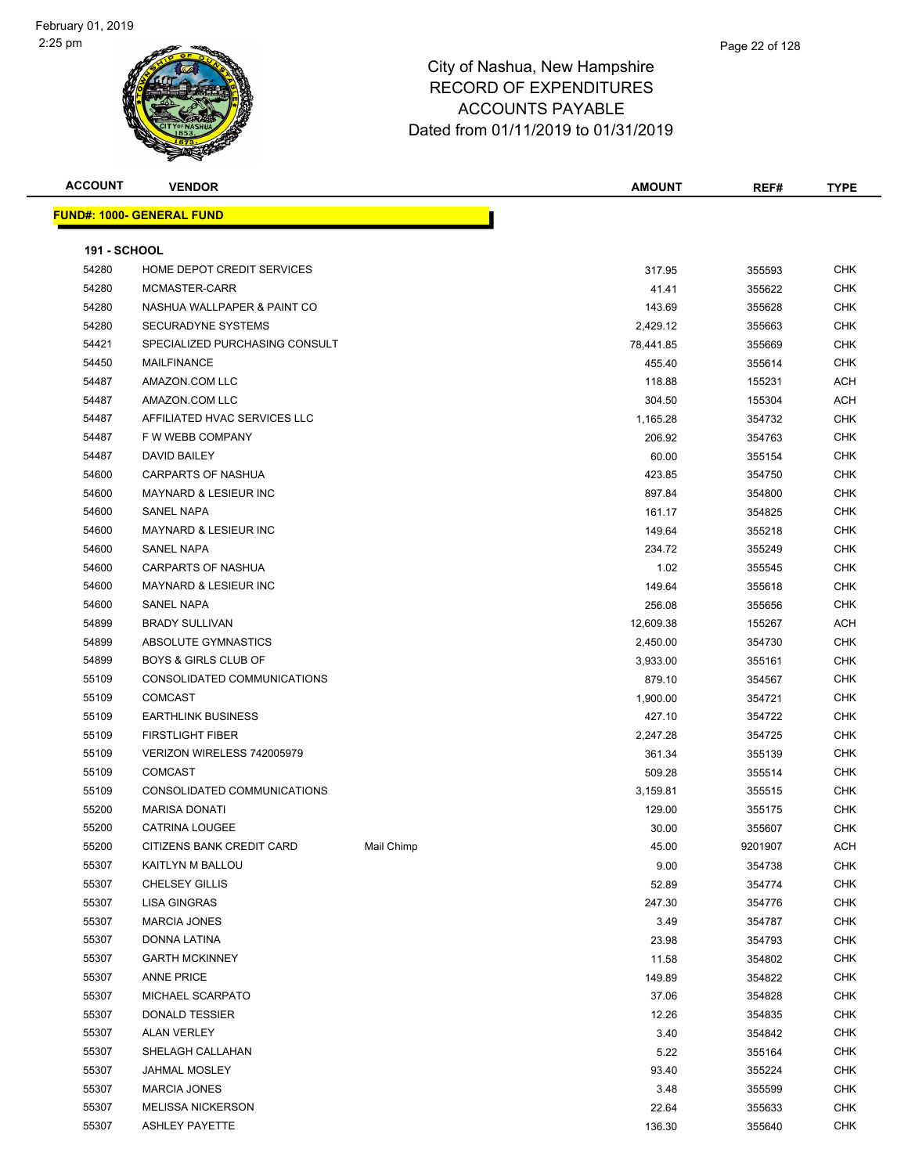#### Page 22 of 128

| <b>ACCOUNT</b>      | <b>VENDOR</b>                    |            | <b>AMOUNT</b> | REF#    | <b>TYPE</b> |  |  |
|---------------------|----------------------------------|------------|---------------|---------|-------------|--|--|
|                     | <b>FUND#: 1000- GENERAL FUND</b> |            |               |         |             |  |  |
| <b>191 - SCHOOL</b> |                                  |            |               |         |             |  |  |
| 54280               | HOME DEPOT CREDIT SERVICES       |            | 317.95        | 355593  | <b>CHK</b>  |  |  |
| 54280               | MCMASTER-CARR                    |            | 41.41         | 355622  | CHK         |  |  |
| 54280               | NASHUA WALLPAPER & PAINT CO      |            | 143.69        | 355628  | <b>CHK</b>  |  |  |
| 54280               | SECURADYNE SYSTEMS               |            | 2,429.12      | 355663  | CHK         |  |  |
| 54421               | SPECIALIZED PURCHASING CONSULT   |            | 78,441.85     | 355669  | <b>CHK</b>  |  |  |
| 54450               | <b>MAILFINANCE</b>               |            | 455.40        | 355614  | CHK         |  |  |
| 54487               | AMAZON.COM LLC                   |            | 118.88        | 155231  | <b>ACH</b>  |  |  |
| 54487               | AMAZON.COM LLC                   |            | 304.50        | 155304  | ACH         |  |  |
| 54487               | AFFILIATED HVAC SERVICES LLC     |            | 1,165.28      | 354732  | <b>CHK</b>  |  |  |
| 54487               | F W WEBB COMPANY                 |            | 206.92        | 354763  | <b>CHK</b>  |  |  |
| 54487               | <b>DAVID BAILEY</b>              |            | 60.00         | 355154  | <b>CHK</b>  |  |  |
| 54600               | <b>CARPARTS OF NASHUA</b>        |            | 423.85        | 354750  | CHK         |  |  |
| 54600               | <b>MAYNARD &amp; LESIEUR INC</b> |            | 897.84        | 354800  | <b>CHK</b>  |  |  |
| 54600               | <b>SANEL NAPA</b>                |            | 161.17        | 354825  | CHK         |  |  |
| 54600               | <b>MAYNARD &amp; LESIEUR INC</b> |            | 149.64        | 355218  | CHK         |  |  |
| 54600               | <b>SANEL NAPA</b>                |            | 234.72        | 355249  | <b>CHK</b>  |  |  |
| 54600               | <b>CARPARTS OF NASHUA</b>        |            | 1.02          | 355545  | CHK         |  |  |
| 54600               | <b>MAYNARD &amp; LESIEUR INC</b> |            | 149.64        | 355618  | <b>CHK</b>  |  |  |
| 54600               | <b>SANEL NAPA</b>                |            | 256.08        | 355656  | <b>CHK</b>  |  |  |
| 54899               | <b>BRADY SULLIVAN</b>            |            | 12,609.38     | 155267  | <b>ACH</b>  |  |  |
| 54899               | ABSOLUTE GYMNASTICS              |            | 2,450.00      | 354730  | CHK         |  |  |
| 54899               | <b>BOYS &amp; GIRLS CLUB OF</b>  |            | 3,933.00      | 355161  | <b>CHK</b>  |  |  |
| 55109               | CONSOLIDATED COMMUNICATIONS      |            | 879.10        | 354567  | <b>CHK</b>  |  |  |
| 55109               | <b>COMCAST</b>                   |            | 1,900.00      | 354721  | CHK         |  |  |
| 55109               | <b>EARTHLINK BUSINESS</b>        |            | 427.10        | 354722  | <b>CHK</b>  |  |  |
| 55109               | <b>FIRSTLIGHT FIBER</b>          |            | 2,247.28      | 354725  | CHK         |  |  |
| 55109               | VERIZON WIRELESS 742005979       |            | 361.34        | 355139  | <b>CHK</b>  |  |  |
| 55109               | <b>COMCAST</b>                   |            | 509.28        | 355514  | CHK         |  |  |
| 55109               | CONSOLIDATED COMMUNICATIONS      |            | 3,159.81      | 355515  | <b>CHK</b>  |  |  |
| 55200               | <b>MARISA DONATI</b>             |            | 129.00        | 355175  | <b>CHK</b>  |  |  |
| 55200               | <b>CATRINA LOUGEE</b>            |            | 30.00         | 355607  | <b>CHK</b>  |  |  |
| 55200               | CITIZENS BANK CREDIT CARD        | Mail Chimp | 45.00         | 9201907 | ACH         |  |  |
| 55307               | KAITLYN M BALLOU                 |            | 9.00          | 354738  | <b>CHK</b>  |  |  |
| 55307               | <b>CHELSEY GILLIS</b>            |            | 52.89         | 354774  | <b>CHK</b>  |  |  |
| 55307               | <b>LISA GINGRAS</b>              |            | 247.30        | 354776  | <b>CHK</b>  |  |  |
| 55307               | <b>MARCIA JONES</b>              |            | 3.49          | 354787  | <b>CHK</b>  |  |  |
| 55307               | DONNA LATINA                     |            | 23.98         | 354793  | CHK         |  |  |
| 55307               | <b>GARTH MCKINNEY</b>            |            | 11.58         | 354802  | CHK         |  |  |
| 55307               | <b>ANNE PRICE</b>                |            | 149.89        | 354822  | CHK         |  |  |
| 55307               | MICHAEL SCARPATO                 |            | 37.06         | 354828  | CHK         |  |  |
| 55307               | <b>DONALD TESSIER</b>            |            | 12.26         | 354835  | <b>CHK</b>  |  |  |
| 55307               | <b>ALAN VERLEY</b>               |            | 3.40          | 354842  | <b>CHK</b>  |  |  |
| 55307               | SHELAGH CALLAHAN                 |            | 5.22          | 355164  | <b>CHK</b>  |  |  |
| 55307               | <b>JAHMAL MOSLEY</b>             |            | 93.40         | 355224  | <b>CHK</b>  |  |  |
| 55307               | <b>MARCIA JONES</b>              |            | 3.48          | 355599  | CHK         |  |  |
| 55307               | <b>MELISSA NICKERSON</b>         |            | 22.64         | 355633  | CHK         |  |  |
| 55307               | <b>ASHLEY PAYETTE</b>            |            | 136.30        | 355640  | <b>CHK</b>  |  |  |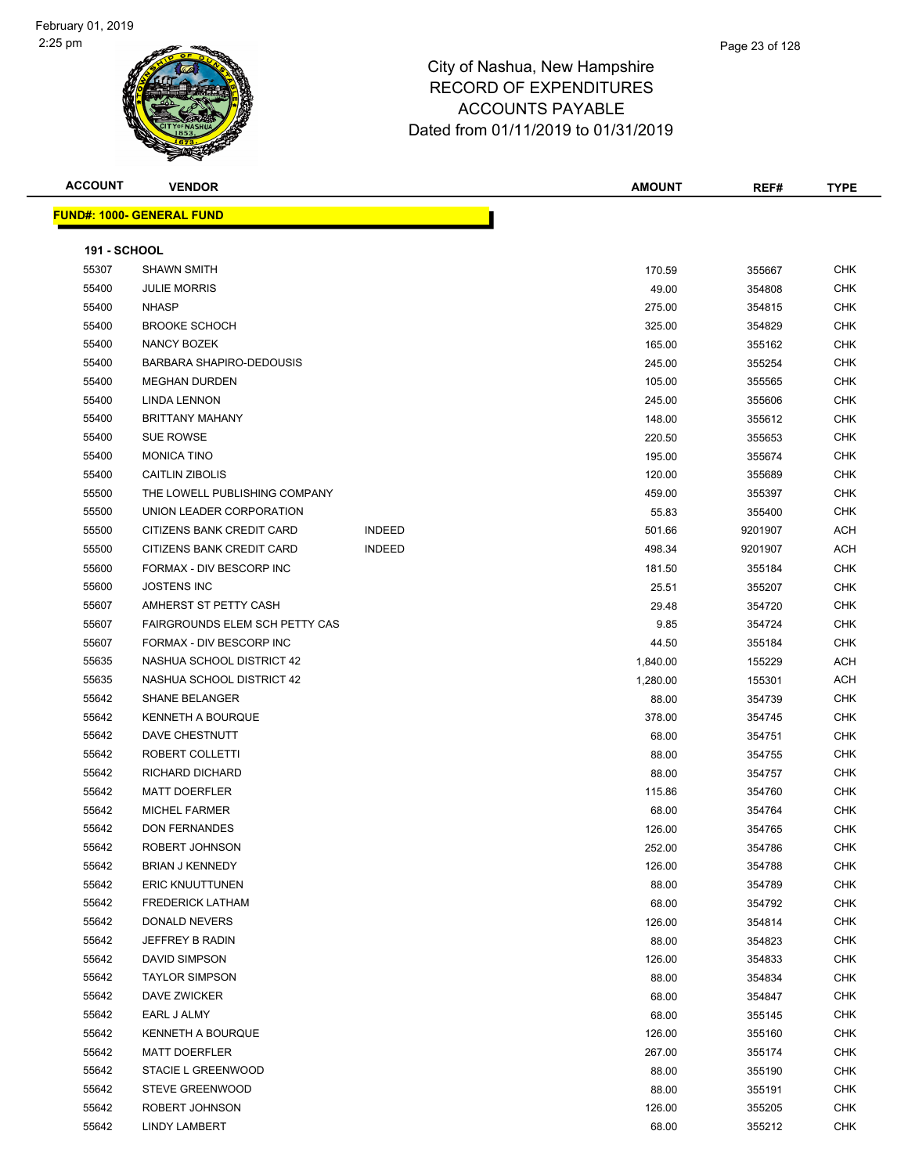#### Page 23 of 128

## City of Nashua, New Hampshire RECORD OF EXPENDITURES ACCOUNTS PAYABLE Dated from 01/11/2019 to 01/31/2019

| <b>ACCOUNT</b> |  |
|----------------|--|

**FUND#: 1000- GENERAL FUND**

| <b>ACCOUNT</b>      | <b>VENDOR</b>                     | <b>AMOUNT</b> | REF#   | <b>TYPE</b>        |
|---------------------|-----------------------------------|---------------|--------|--------------------|
|                     | <u> IND#: 1000- GENERAL FUNDI</u> |               |        |                    |
| <b>191 - SCHOOL</b> |                                   |               |        |                    |
| 55307               | <b>SHAWN SMITH</b>                | 170.59        | 355667 | <b>CHK</b>         |
| EEAOO               | <b>UULE MODDIC</b>                | 10.00         | 254000 | C <sub>1</sub> 11Z |

| 55307 | <b>SHAWN SMITH</b>                    |               | 170.59   | 355667  | <b>CHK</b> |
|-------|---------------------------------------|---------------|----------|---------|------------|
| 55400 | <b>JULIE MORRIS</b>                   |               | 49.00    | 354808  | <b>CHK</b> |
| 55400 | <b>NHASP</b>                          |               | 275.00   | 354815  | <b>CHK</b> |
| 55400 | <b>BROOKE SCHOCH</b>                  |               | 325.00   | 354829  | <b>CHK</b> |
| 55400 | <b>NANCY BOZEK</b>                    |               | 165.00   | 355162  | <b>CHK</b> |
| 55400 | BARBARA SHAPIRO-DEDOUSIS              |               | 245.00   | 355254  | <b>CHK</b> |
| 55400 | <b>MEGHAN DURDEN</b>                  |               | 105.00   | 355565  | <b>CHK</b> |
| 55400 | <b>LINDA LENNON</b>                   |               | 245.00   | 355606  | CHK        |
| 55400 | <b>BRITTANY MAHANY</b>                |               | 148.00   | 355612  | CHK        |
| 55400 | SUE ROWSE                             |               | 220.50   | 355653  | <b>CHK</b> |
| 55400 | <b>MONICA TINO</b>                    |               | 195.00   | 355674  | <b>CHK</b> |
| 55400 | CAITLIN ZIBOLIS                       |               | 120.00   | 355689  | CHK        |
| 55500 | THE LOWELL PUBLISHING COMPANY         |               | 459.00   | 355397  | <b>CHK</b> |
| 55500 | UNION LEADER CORPORATION              |               | 55.83    | 355400  | <b>CHK</b> |
| 55500 | CITIZENS BANK CREDIT CARD             | <b>INDEED</b> | 501.66   | 9201907 | <b>ACH</b> |
| 55500 | CITIZENS BANK CREDIT CARD             | <b>INDEED</b> | 498.34   | 9201907 | ACH        |
| 55600 | FORMAX - DIV BESCORP INC              |               | 181.50   | 355184  | CHK        |
| 55600 | <b>JOSTENS INC</b>                    |               | 25.51    | 355207  | CHK        |
| 55607 | AMHERST ST PETTY CASH                 |               | 29.48    | 354720  | CHK        |
| 55607 | <b>FAIRGROUNDS ELEM SCH PETTY CAS</b> |               | 9.85     | 354724  | <b>CHK</b> |
| 55607 | FORMAX - DIV BESCORP INC              |               | 44.50    | 355184  | <b>CHK</b> |
| 55635 | NASHUA SCHOOL DISTRICT 42             |               | 1,840.00 | 155229  | ACH        |
| 55635 | NASHUA SCHOOL DISTRICT 42             |               | 1,280.00 | 155301  | ACH        |
| 55642 | <b>SHANE BELANGER</b>                 |               | 88.00    | 354739  | <b>CHK</b> |
| 55642 | <b>KENNETH A BOURQUE</b>              |               | 378.00   | 354745  | <b>CHK</b> |
| 55642 | DAVE CHESTNUTT                        |               | 68.00    | 354751  | <b>CHK</b> |
| 55642 | ROBERT COLLETTI                       |               | 88.00    | 354755  | CHK        |
| 55642 | RICHARD DICHARD                       |               | 88.00    | 354757  | <b>CHK</b> |
| 55642 | <b>MATT DOERFLER</b>                  |               | 115.86   | 354760  | <b>CHK</b> |
| 55642 | <b>MICHEL FARMER</b>                  |               | 68.00    | 354764  | CHK        |
| 55642 | <b>DON FERNANDES</b>                  |               | 126.00   | 354765  | <b>CHK</b> |
| 55642 | ROBERT JOHNSON                        |               | 252.00   | 354786  | <b>CHK</b> |
| 55642 | <b>BRIAN J KENNEDY</b>                |               | 126.00   | 354788  | <b>CHK</b> |
| 55642 | <b>ERIC KNUUTTUNEN</b>                |               | 88.00    | 354789  | <b>CHK</b> |
| 55642 | <b>FREDERICK LATHAM</b>               |               | 68.00    | 354792  | CHK        |
| 55642 | DONALD NEVERS                         |               | 126.00   | 354814  | <b>CHK</b> |
| 55642 | JEFFREY B RADIN                       |               | 88.00    | 354823  | <b>CHK</b> |
| 55642 | <b>DAVID SIMPSON</b>                  |               | 126.00   | 354833  | <b>CHK</b> |
| 55642 | <b>TAYLOR SIMPSON</b>                 |               | 88.00    | 354834  | <b>CHK</b> |
| 55642 | DAVE ZWICKER                          |               | 68.00    | 354847  | <b>CHK</b> |
| 55642 | EARL J ALMY                           |               | 68.00    | 355145  | <b>CHK</b> |
| 55642 | <b>KENNETH A BOURQUE</b>              |               | 126.00   | 355160  | <b>CHK</b> |
| 55642 | <b>MATT DOERFLER</b>                  |               | 267.00   | 355174  | <b>CHK</b> |
| 55642 | STACIE L GREENWOOD                    |               | 88.00    | 355190  | <b>CHK</b> |
| 55642 | <b>STEVE GREENWOOD</b>                |               | 88.00    | 355191  | <b>CHK</b> |
| 55642 | ROBERT JOHNSON                        |               | 126.00   | 355205  | <b>CHK</b> |
| 55642 | <b>LINDY LAMBERT</b>                  |               | 68.00    | 355212  | <b>CHK</b> |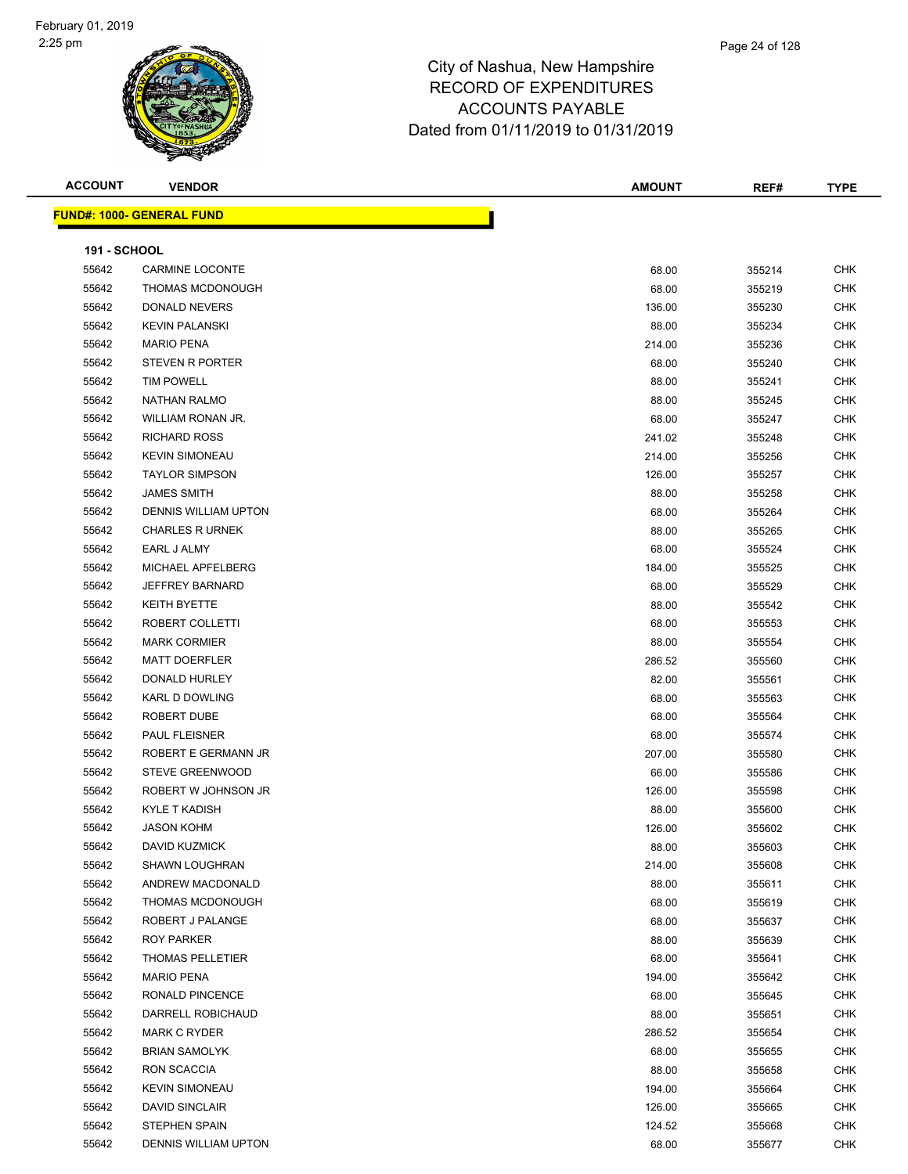| <b>ACCOUNT</b>      | <b>VENDOR</b>                    | <b>AMOUNT</b> | REF#   | <b>TYPE</b> |
|---------------------|----------------------------------|---------------|--------|-------------|
|                     | <b>FUND#: 1000- GENERAL FUND</b> |               |        |             |
|                     |                                  |               |        |             |
| <b>191 - SCHOOL</b> |                                  |               |        |             |
| 55642               | <b>CARMINE LOCONTE</b>           | 68.00         | 355214 | <b>CHK</b>  |
| 55642               | THOMAS MCDONOUGH                 | 68.00         | 355219 | CHK         |
| 55642               | DONALD NEVERS                    | 136.00        | 355230 | <b>CHK</b>  |
| 55642               | <b>KEVIN PALANSKI</b>            | 88.00         | 355234 | <b>CHK</b>  |
| 55642               | <b>MARIO PENA</b>                | 214.00        | 355236 | CHK         |
| 55642               | <b>STEVEN R PORTER</b>           | 68.00         | 355240 | CHK         |
| 55642               | <b>TIM POWELL</b>                | 88.00         | 355241 | CHK         |
| 55642               | <b>NATHAN RALMO</b>              | 88.00         | 355245 | CHK         |
| 55642               | WILLIAM RONAN JR.                | 68.00         | 355247 | <b>CHK</b>  |
| 55642               | <b>RICHARD ROSS</b>              | 241.02        | 355248 | CHK         |
| 55642               | <b>KEVIN SIMONEAU</b>            | 214.00        | 355256 | CHK         |
| 55642               | <b>TAYLOR SIMPSON</b>            | 126.00        | 355257 | <b>CHK</b>  |
| 55642               | <b>JAMES SMITH</b>               | 88.00         | 355258 | CHK         |
| 55642               | <b>DENNIS WILLIAM UPTON</b>      | 68.00         | 355264 | CHK         |
| 55642               | <b>CHARLES R URNEK</b>           | 88.00         | 355265 | CHK         |
| 55642               | EARL J ALMY                      | 68.00         | 355524 | CHK         |
| 55642               | MICHAEL APFELBERG                | 184.00        | 355525 | CHK         |
| 55642               | <b>JEFFREY BARNARD</b>           | 68.00         | 355529 | CHK         |
| 55642               | KEITH BYETTE                     | 88.00         | 355542 | CHK         |
| 55642               | ROBERT COLLETTI                  | 68.00         | 355553 | <b>CHK</b>  |
| 55642               | <b>MARK CORMIER</b>              | 88.00         | 355554 | CHK         |
| 55642               | <b>MATT DOERFLER</b>             | 286.52        | 355560 | <b>CHK</b>  |
| 55642               | DONALD HURLEY                    | 82.00         | 355561 | <b>CHK</b>  |
| 55642               | KARL D DOWLING                   | 68.00         | 355563 | CHK         |
| 55642               | ROBERT DUBE                      | 68.00         | 355564 | CHK         |
| 55642               | PAUL FLEISNER                    | 68.00         | 355574 | <b>CHK</b>  |
| 55642               | ROBERT E GERMANN JR              | 207.00        | 355580 | CHK         |
| 55642               | <b>STEVE GREENWOOD</b>           | 66.00         | 355586 | CHK         |
| 55642               | ROBERT W JOHNSON JR              | 126.00        | 355598 | CHK         |
| 55642               | KYLE T KADISH                    | 88.00         | 355600 | CHK         |
| 55642               | <b>JASON KOHM</b>                | 126.00        | 355602 | <b>CHK</b>  |
| 55642               | DAVID KUZMICK                    | 88.00         | 355603 | <b>CHK</b>  |
| 55642               | <b>SHAWN LOUGHRAN</b>            | 214.00        | 355608 | <b>CHK</b>  |
| 55642               | ANDREW MACDONALD                 | 88.00         | 355611 | <b>CHK</b>  |
| 55642               | THOMAS MCDONOUGH                 | 68.00         | 355619 | <b>CHK</b>  |
| 55642               | ROBERT J PALANGE                 | 68.00         | 355637 | <b>CHK</b>  |
| 55642               | ROY PARKER                       | 88.00         | 355639 | CHK         |
| 55642               | THOMAS PELLETIER                 | 68.00         | 355641 | CHK         |
| 55642               | <b>MARIO PENA</b>                | 194.00        | 355642 | <b>CHK</b>  |
| 55642               | RONALD PINCENCE                  | 68.00         | 355645 | CHK         |
| 55642               | DARRELL ROBICHAUD                | 88.00         | 355651 | CHK         |
| 55642               | <b>MARK C RYDER</b>              | 286.52        | 355654 | <b>CHK</b>  |
| 55642               | <b>BRIAN SAMOLYK</b>             | 68.00         | 355655 | CHK         |
| 55642               | RON SCACCIA                      | 88.00         | 355658 | <b>CHK</b>  |
| 55642               | <b>KEVIN SIMONEAU</b>            | 194.00        | 355664 | <b>CHK</b>  |
| 55642               | <b>DAVID SINCLAIR</b>            | 126.00        | 355665 | CHK         |
| 55642               | <b>STEPHEN SPAIN</b>             | 124.52        | 355668 | CHK         |
| 55642               | DENNIS WILLIAM UPTON             | 68.00         | 355677 | CHK         |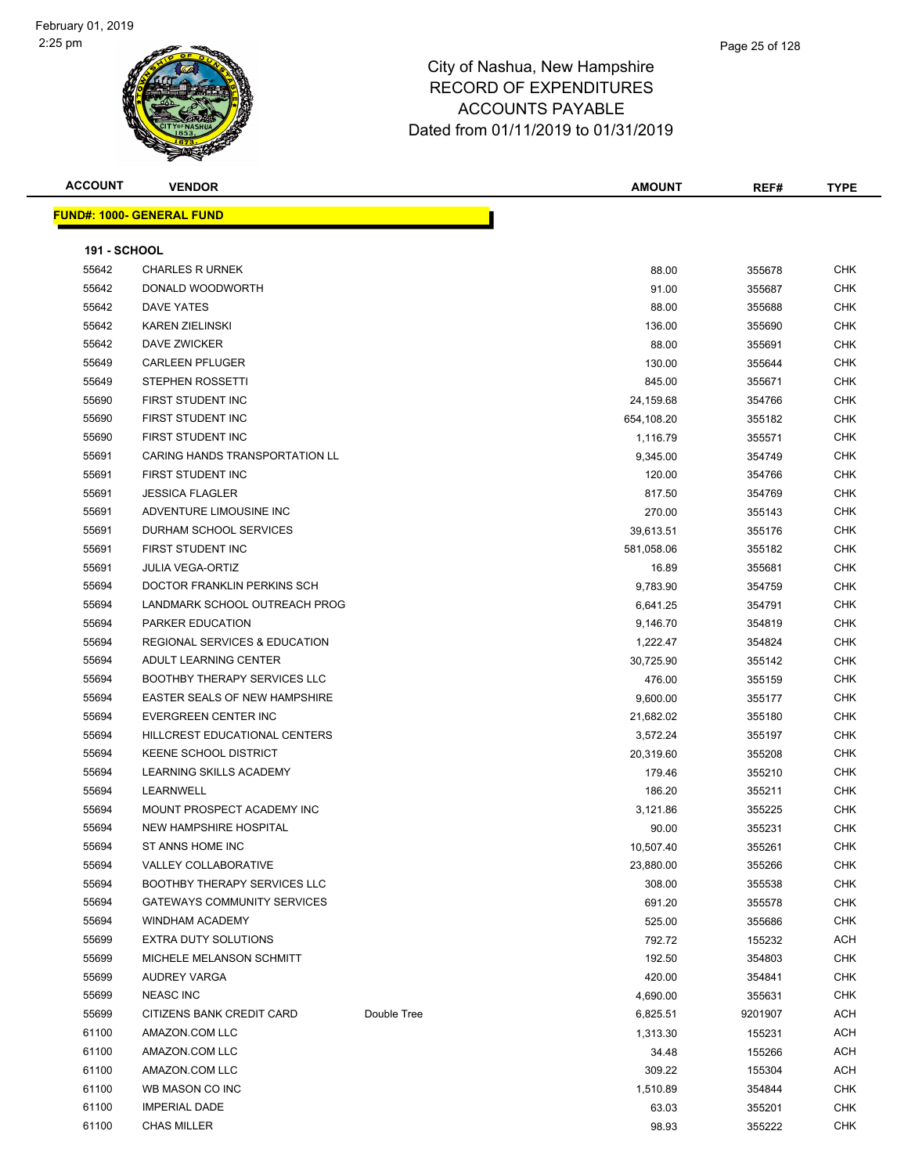

#### Page 25 of 128

#### City of Nashua, New Hampshire RECORD OF EXPENDITURES ACCOUNTS PAYABLE Dated from 01/11/2019 to 01/31/2019

|       | <b>FUND#: 1000- GENERAL FUND</b>         |            |        |            |
|-------|------------------------------------------|------------|--------|------------|
|       | <b>191 - SCHOOL</b>                      |            |        |            |
| 55642 | <b>CHARLES R URNEK</b>                   | 88.00      | 355678 | CHK        |
| 55642 | DONALD WOODWORTH                         | 91.00      | 355687 | CHK        |
| 55642 | <b>DAVE YATES</b>                        | 88.00      | 355688 | CHK        |
| 55642 | <b>KAREN ZIELINSKI</b>                   | 136.00     | 355690 | CHK        |
| 55642 | DAVE ZWICKER                             | 88.00      | 355691 | CHK        |
| 55649 | <b>CARLEEN PFLUGER</b>                   | 130.00     | 355644 | CHK        |
| 55649 | <b>STEPHEN ROSSETTI</b>                  | 845.00     | 355671 | CHK        |
| 55690 | FIRST STUDENT INC                        | 24,159.68  | 354766 | CHK        |
| 55690 | FIRST STUDENT INC                        | 654,108.20 | 355182 | CHK        |
| 55690 | FIRST STUDENT INC                        | 1.116.79   | 355571 | <b>CHK</b> |
| 55691 | <b>CARING HANDS TRANSPORTATION LL</b>    | 9.345.00   | 354749 | <b>CHK</b> |
| 55691 | FIRST STUDENT INC                        | 120.00     | 354766 | <b>CHK</b> |
| 55691 | <b>JESSICA FLAGLER</b>                   | 817.50     | 354769 | CHK        |
| 55691 | ADVENTURE LIMOUSINE INC                  | 270.00     | 355143 | <b>CHK</b> |
| 55691 | DURHAM SCHOOL SERVICES                   | 39,613.51  | 355176 | CHK        |
| 55691 | FIRST STUDENT INC                        | 581,058.06 | 355182 | CHK        |
| 55691 | <b>JULIA VEGA-ORTIZ</b>                  | 16.89      | 355681 | CHK        |
| 55694 | DOCTOR FRANKLIN PERKINS SCH              | 9,783.90   | 354759 | CHK        |
| 55694 | LANDMARK SCHOOL OUTREACH PROG            | 6,641.25   | 354791 | CHK        |
| 55694 | PARKER EDUCATION                         | 9,146.70   | 354819 | <b>CHK</b> |
| 55694 | <b>REGIONAL SERVICES &amp; EDUCATION</b> | 1,222.47   | 354824 | CHK        |
| 55694 | ADULT LEARNING CENTER                    | 30,725.90  | 355142 | CHK        |
| 55694 | <b>BOOTHBY THERAPY SERVICES LLC</b>      | 476.00     | 355159 | <b>CHK</b> |
| 55694 | <b>EASTER SEALS OF NEW HAMPSHIRE</b>     | 9,600.00   | 355177 | CHK        |

 EVERGREEN CENTER INC 21,682.02 355180 CHK HILLCREST EDUCATIONAL CENTERS 3,572.24 355197 CHK KEENE SCHOOL DISTRICT 20,319.60 355208 CHK LEARNING SKILLS ACADEMY 179.46 355210 CHK LEARNWELL 186.20 355211 CHK 55694 MOUNT PROSPECT ACADEMY INC **1.1.2000 SET ACADEMY INC** 3,121.86 355225 CHK NEW HAMPSHIRE HOSPITAL 90.00 355231 CHK ST ANNS HOME INC 10,507.40 355261 CHK VALLEY COLLABORATIVE 23,880.00 355266 CHK BOOTHBY THERAPY SERVICES LLC 308.00 355538 CHK GATEWAYS COMMUNITY SERVICES 691.20 355578 CHK WINDHAM ACADEMY 525.00 355686 CHK 55699 EXTRA DUTY SOLUTIONS **The State of the State of Texas ACH** 792.72 155232 ACH 55699 MICHELE MELANSON SCHMITT NATURAL SERIES AND THE SERIES OF THE STATE STATES OF THE STATES OF STATES OF THE STATES OF THE STATES OF THE STATES OF THE STATES OF THE STATES OF THE STATES OF THE STATES OF THE STATES OF TH AUDREY VARGA 420.00 354841 CHK NEASC INC 4,690.00 355631 CHK 55699 CITIZENS BANK CREDIT CARD Double Tree 6,825.51 9201907 ACH AMAZON.COM LLC 1,313.30 155231 ACH AMAZON.COM LLC 34.48 155266 ACH AMAZON.COM LLC 309.22 155304 ACH WB MASON CO INC 1,510.89 354844 CHK IMPERIAL DADE 63.03 355201 CHK CHAS MILLER 98.93 355222 CHK

**ACCOUNT VENDOR AMOUNT REF# TYPE**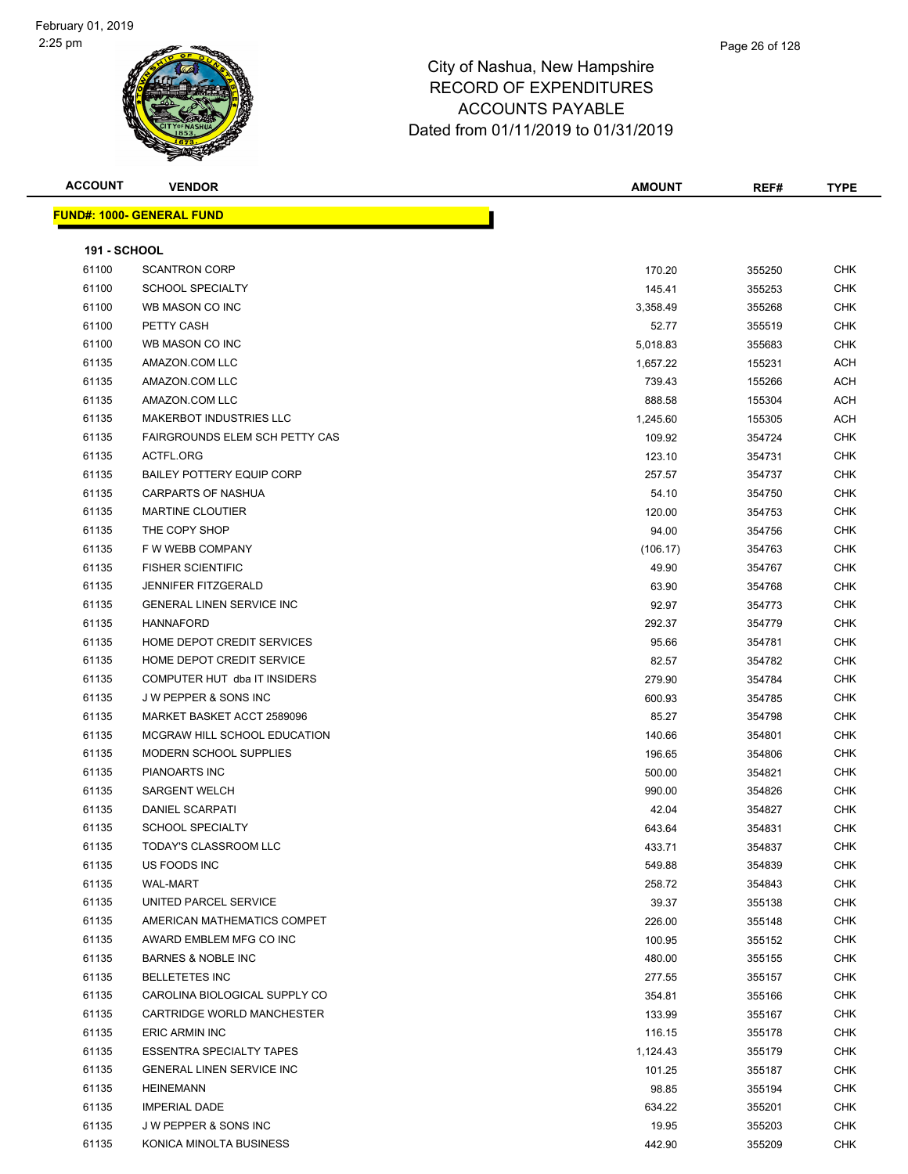|  | <b>ACCOUNT</b> |  |
|--|----------------|--|
|  |                |  |

**FUND#: 1000- GENER** 

| .<br>т.<br>., |  |  | . |  |
|---------------|--|--|---|--|
|               |  |  |   |  |
|               |  |  |   |  |

| <b>ACCOUNT</b>      | <b>VENDOR</b>                         | <b>AMOUNT</b> | REF#   | <b>TYPE</b> |
|---------------------|---------------------------------------|---------------|--------|-------------|
|                     | <u> IND#: 1000- GENERAL FUND</u>      |               |        |             |
| <b>191 - SCHOOL</b> |                                       |               |        |             |
| 61100               | <b>SCANTRON CORP</b>                  | 170.20        | 355250 | <b>CHK</b>  |
| 61100               | <b>SCHOOL SPECIALTY</b>               | 145.41        | 355253 | <b>CHK</b>  |
| 61100               | WB MASON CO INC                       | 3,358.49      | 355268 | <b>CHK</b>  |
| 61100               | PETTY CASH                            | 52.77         | 355519 | <b>CHK</b>  |
| 61100               | WB MASON CO INC                       | 5,018.83      | 355683 | <b>CHK</b>  |
| 61135               | AMAZON.COM LLC                        | 1,657.22      | 155231 | <b>ACH</b>  |
| 61135               | AMAZON.COM LLC                        | 739.43        | 155266 | <b>ACH</b>  |
| 61135               | AMAZON.COM LLC                        | 888.58        | 155304 | <b>ACH</b>  |
| 61135               | MAKERBOT INDUSTRIES LLC               | 1,245.60      | 155305 | <b>ACH</b>  |
| 61135               | <b>FAIRGROUNDS ELEM SCH PETTY CAS</b> | 109.92        | 354724 | <b>CHK</b>  |
| 61135               | ACTFL.ORG                             | 123.10        | 354731 | <b>CHK</b>  |
| 61135               | <b>BAILEY POTTERY EQUIP CORP</b>      | 257.57        | 354737 | <b>CHK</b>  |
| 61135               | <b>CARPARTS OF NASHUA</b>             | 54.10         | 354750 | <b>CHK</b>  |
| 61135               | <b>MARTINE CLOUTIER</b>               | 120.00        | 354753 | <b>CHK</b>  |
| 61135               | THE COPY SHOP                         | 94.00         | 354756 | <b>CHK</b>  |
| 61135               | F W WEBB COMPANY                      | (106.17)      | 354763 | <b>CHK</b>  |
| 61135               | <b>FISHER SCIENTIFIC</b>              | 49.90         | 354767 | <b>CHK</b>  |
| 61135               | <b>JENNIFER FITZGERALD</b>            | 63.90         | 354768 | <b>CHK</b>  |
| 61135               | <b>GENERAL LINEN SERVICE INC</b>      | 92.97         | 354773 | <b>CHK</b>  |
| 61135               | <b>HANNAFORD</b>                      | 292.37        | 354779 | <b>CHK</b>  |
| 61135               | HOME DEPOT CREDIT SERVICES            | 95.66         | 354781 | <b>CHK</b>  |
| 61135               | HOME DEPOT CREDIT SERVICE             | 82.57         | 354782 | <b>CHK</b>  |
| 61135               | COMPUTER HUT dba IT INSIDERS          | 279.90        | 354784 | <b>CHK</b>  |
| 61135               | J W PEPPER & SONS INC                 | 600.93        | 354785 | <b>CHK</b>  |
| 61135               | MARKET BASKET ACCT 2589096            | 85.27         | 354798 | <b>CHK</b>  |
| 61135               | MCGRAW HILL SCHOOL EDUCATION          | 140.66        | 354801 | <b>CHK</b>  |
| 61135               | MODERN SCHOOL SUPPLIES                | 196.65        | 354806 | <b>CHK</b>  |
| 61135               | PIANOARTS INC                         | 500.00        | 354821 | <b>CHK</b>  |
| 61135               | <b>SARGENT WELCH</b>                  | 990.00        | 354826 | <b>CHK</b>  |
| 61135               | DANIEL SCARPATI                       | 42.04         | 354827 | <b>CHK</b>  |
| 61135               | <b>SCHOOL SPECIALTY</b>               | 643.64        | 354831 | <b>CHK</b>  |
| 61135               | TODAY'S CLASSROOM LLC                 | 433.71        | 354837 | CHK         |
| 61135               | US FOODS INC                          | 549.88        | 354839 | <b>CHK</b>  |
| 61135               | <b>WAL-MART</b>                       | 258.72        | 354843 | <b>CHK</b>  |
| 61135               | UNITED PARCEL SERVICE                 | 39.37         | 355138 | <b>CHK</b>  |
| 61135               | AMERICAN MATHEMATICS COMPET           | 226.00        | 355148 | <b>CHK</b>  |
| 61135               | AWARD EMBLEM MFG CO INC               | 100.95        | 355152 | <b>CHK</b>  |
| 61135               | <b>BARNES &amp; NOBLE INC</b>         | 480.00        | 355155 | <b>CHK</b>  |
| 61135               | <b>BELLETETES INC</b>                 | 277.55        | 355157 | <b>CHK</b>  |
| 61135               | CAROLINA BIOLOGICAL SUPPLY CO         | 354.81        | 355166 | <b>CHK</b>  |

er 1135 CARTRIDGE WORLD MANCHESTER CHARTER 133.99 355167 CHK ERIC ARMIN INC 116.15 355178 CHK er and the SSENTRA SPECIALTY TAPES of the set of the set of the set of the set of the set of the set of the set of the set of the set of the set of the set of the set of the set of the set of the set of the set of the set er by the GENERAL LINEN SERVICE INC CHK CHANGE AND THE SERVICE INCLUSION OF THE SERVICE INCLUSION OF THE SERVICE INCLUSION OF THE SERVICE INCLUSION OF THE SERVICE INCLUSION OF THE SERVICE INCLUSION OF THE SERVICE INCLUSION HEINEMANN 98.85 355194 CHK IMPERIAL DADE 634.22 355201 CHK J W PEPPER & SONS INC 19.95 355203 CHK KONICA MINOLTA BUSINESS 442.90 355209 CHK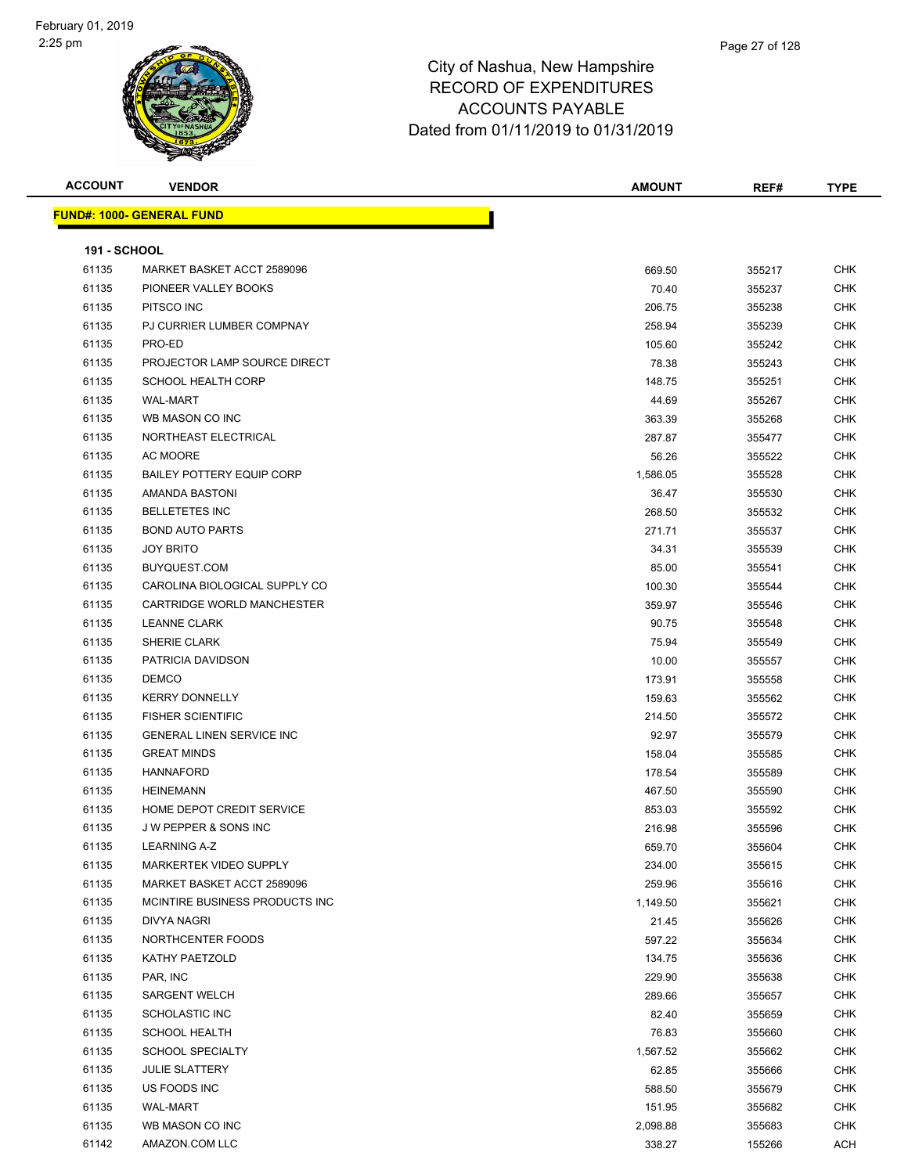

| <b>ACCOUNT</b>      | <b>VENDOR</b>                     | <b>AMOUNT</b> | REF#   | <b>TYPE</b> |
|---------------------|-----------------------------------|---------------|--------|-------------|
|                     | <u> FUND#: 1000- GENERAL FUND</u> |               |        |             |
|                     |                                   |               |        |             |
| <b>191 - SCHOOL</b> |                                   |               |        |             |
| 61135               | MARKET BASKET ACCT 2589096        | 669.50        | 355217 | <b>CHK</b>  |
| 61135               | PIONEER VALLEY BOOKS              | 70.40         | 355237 | <b>CHK</b>  |
| 61135               | PITSCO INC                        | 206.75        | 355238 | <b>CHK</b>  |
| 61135               | PJ CURRIER LUMBER COMPNAY         | 258.94        | 355239 | <b>CHK</b>  |
| 61135               | PRO-ED                            | 105.60        | 355242 | CHK         |
| 61135               | PROJECTOR LAMP SOURCE DIRECT      | 78.38         | 355243 | <b>CHK</b>  |
| 61135               | <b>SCHOOL HEALTH CORP</b>         | 148.75        | 355251 | <b>CHK</b>  |
| 61135               | <b>WAL-MART</b>                   | 44.69         | 355267 | CHK         |
| 61135               | WB MASON CO INC                   | 363.39        | 355268 | <b>CHK</b>  |
| 61135               | NORTHEAST ELECTRICAL              | 287.87        | 355477 | <b>CHK</b>  |
| 61135               | AC MOORE                          | 56.26         | 355522 | CHK         |
| 61135               | <b>BAILEY POTTERY EQUIP CORP</b>  | 1,586.05      | 355528 | <b>CHK</b>  |
| 61135               | AMANDA BASTONI                    | 36.47         | 355530 | CHK         |
| 61135               | <b>BELLETETES INC</b>             | 268.50        | 355532 | <b>CHK</b>  |
| 61135               | <b>BOND AUTO PARTS</b>            | 271.71        | 355537 | CHK         |
| 61135               | <b>JOY BRITO</b>                  | 34.31         | 355539 | CHK         |
| 61135               | BUYQUEST.COM                      | 85.00         | 355541 | CHK         |
| 61135               | CAROLINA BIOLOGICAL SUPPLY CO     | 100.30        | 355544 | CHK         |
| 61135               | CARTRIDGE WORLD MANCHESTER        | 359.97        | 355546 | CHK         |
| 61135               | <b>LEANNE CLARK</b>               | 90.75         | 355548 | <b>CHK</b>  |
| 61135               | SHERIE CLARK                      | 75.94         | 355549 | CHK         |
| 61135               | PATRICIA DAVIDSON                 | 10.00         | 355557 | <b>CHK</b>  |
| 61135               | <b>DEMCO</b>                      | 173.91        | 355558 | <b>CHK</b>  |
| 61135               | <b>KERRY DONNELLY</b>             | 159.63        | 355562 | CHK         |
| 61135               | <b>FISHER SCIENTIFIC</b>          | 214.50        | 355572 | <b>CHK</b>  |
| 61135               | GENERAL LINEN SERVICE INC         | 92.97         | 355579 | <b>CHK</b>  |
| 61135               | <b>GREAT MINDS</b>                | 158.04        | 355585 | CHK         |
| 61135               | <b>HANNAFORD</b>                  | 178.54        | 355589 | CHK         |
| 61135               | <b>HEINEMANN</b>                  | 467.50        | 355590 | CHK         |
| 61135               | HOME DEPOT CREDIT SERVICE         | 853.03        | 355592 | CHK         |
| 61135               | <b>JW PEPPER &amp; SONS INC</b>   | 216.98        | 355596 | <b>CHK</b>  |
| 61135               | <b>LEARNING A-Z</b>               | 659.70        | 355604 | <b>CHK</b>  |
| 61135               | MARKERTEK VIDEO SUPPLY            | 234.00        | 355615 | <b>CHK</b>  |
| 61135               | MARKET BASKET ACCT 2589096        | 259.96        | 355616 | <b>CHK</b>  |
| 61135               | MCINTIRE BUSINESS PRODUCTS INC    | 1,149.50      | 355621 | <b>CHK</b>  |
| 61135               | DIVYA NAGRI                       | 21.45         | 355626 | <b>CHK</b>  |
| 61135               | NORTHCENTER FOODS                 | 597.22        | 355634 | CHK         |
| 61135               | KATHY PAETZOLD                    | 134.75        | 355636 | CHK         |
| 61135               | PAR, INC                          | 229.90        | 355638 | <b>CHK</b>  |
| 61135               | <b>SARGENT WELCH</b>              | 289.66        | 355657 | <b>CHK</b>  |
| 61135               | SCHOLASTIC INC                    | 82.40         | 355659 | CHK         |
| 61135               | <b>SCHOOL HEALTH</b>              | 76.83         | 355660 | <b>CHK</b>  |
| 61135               | <b>SCHOOL SPECIALTY</b>           | 1,567.52      | 355662 | CHK         |
| 61135               | <b>JULIE SLATTERY</b>             | 62.85         | 355666 | <b>CHK</b>  |
| 61135               | US FOODS INC                      | 588.50        | 355679 | <b>CHK</b>  |
| 61135               | <b>WAL-MART</b>                   | 151.95        | 355682 | CHK         |
| 61135               | WB MASON CO INC                   | 2,098.88      | 355683 | <b>CHK</b>  |
| 61142               | AMAZON.COM LLC                    | 338.27        | 155266 | ACH         |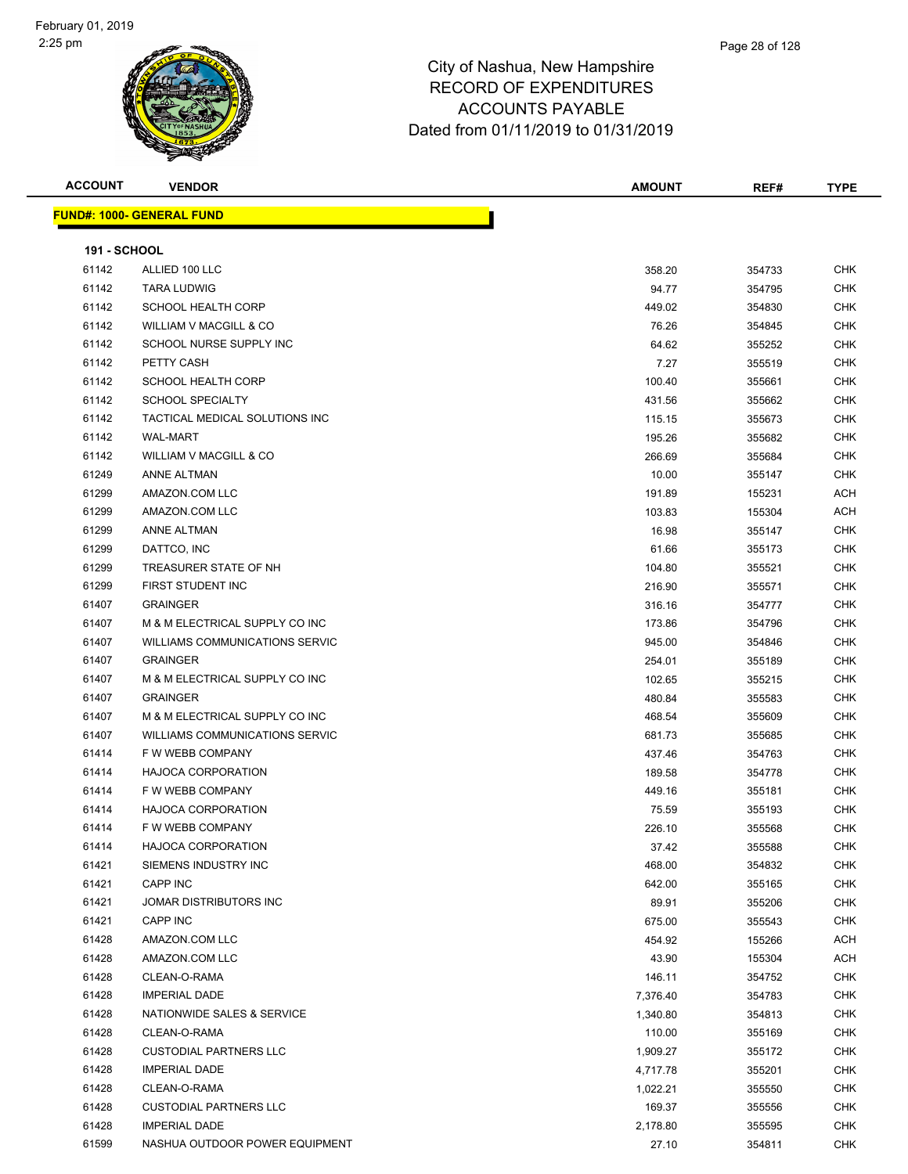

#### Page 28 of 128

## City of Nashua, New Hampshire RECORD OF EXPENDITURES ACCOUNTS PAYABLE Dated from 01/11/2019 to 01/31/2019

| <b>ACCOUNT</b> | <b>VENDOR</b> |  |  |
|----------------|---------------|--|--|
|                |               |  |  |

**FUND#: 1000- GENERAL** 

| <b>ACCOUNT</b>      | <b>VENDOR</b>                     | <b>AMOUNT</b> | REF#   | <b>TYPE</b> |
|---------------------|-----------------------------------|---------------|--------|-------------|
|                     |                                   |               |        |             |
|                     | <u>  IND#: 1000- GENERAL FUND</u> |               |        |             |
|                     |                                   |               |        |             |
| <b>191 - SCHOOL</b> |                                   |               |        |             |
| 61142               | ALLIED 100 LLC.                   | 358.20        | 354733 | <b>CHK</b>  |

| 61142 | ALLIED 100 LLC                        | 358.20   | 354733 | CHK        |
|-------|---------------------------------------|----------|--------|------------|
| 61142 | <b>TARA LUDWIG</b>                    | 94.77    | 354795 | <b>CHK</b> |
| 61142 | <b>SCHOOL HEALTH CORP</b>             | 449.02   | 354830 | CHK        |
| 61142 | WILLIAM V MACGILL & CO                | 76.26    | 354845 | CHK        |
| 61142 | SCHOOL NURSE SUPPLY INC               | 64.62    | 355252 | CHK        |
| 61142 | PETTY CASH                            | 7.27     | 355519 | CHK        |
| 61142 | <b>SCHOOL HEALTH CORP</b>             | 100.40   | 355661 | <b>CHK</b> |
| 61142 | <b>SCHOOL SPECIALTY</b>               | 431.56   | 355662 | CHK        |
| 61142 | TACTICAL MEDICAL SOLUTIONS INC        | 115.15   | 355673 | CHK        |
| 61142 | <b>WAL-MART</b>                       | 195.26   | 355682 | CHK        |
| 61142 | <b>WILLIAM V MACGILL &amp; CO</b>     | 266.69   | 355684 | CHK        |
| 61249 | <b>ANNE ALTMAN</b>                    | 10.00    | 355147 | <b>CHK</b> |
| 61299 | AMAZON.COM LLC                        | 191.89   | 155231 | ACH        |
| 61299 | AMAZON.COM LLC                        | 103.83   | 155304 | ACH        |
| 61299 | <b>ANNE ALTMAN</b>                    | 16.98    | 355147 | <b>CHK</b> |
| 61299 | DATTCO, INC                           | 61.66    | 355173 | CHK        |
| 61299 | TREASURER STATE OF NH                 | 104.80   | 355521 | <b>CHK</b> |
| 61299 | FIRST STUDENT INC                     | 216.90   | 355571 | <b>CHK</b> |
| 61407 | <b>GRAINGER</b>                       | 316.16   | 354777 | CHK        |
| 61407 | M & M ELECTRICAL SUPPLY CO INC        | 173.86   | 354796 | CHK        |
| 61407 | <b>WILLIAMS COMMUNICATIONS SERVIC</b> | 945.00   | 354846 | <b>CHK</b> |
| 61407 | <b>GRAINGER</b>                       | 254.01   | 355189 | CHK        |
| 61407 | M & M ELECTRICAL SUPPLY CO INC        | 102.65   | 355215 | CHK        |
| 61407 | <b>GRAINGER</b>                       | 480.84   | 355583 | CHK        |
| 61407 | M & M ELECTRICAL SUPPLY CO INC        | 468.54   | 355609 | CHK        |
| 61407 | <b>WILLIAMS COMMUNICATIONS SERVIC</b> | 681.73   | 355685 | CHK        |
| 61414 | F W WEBB COMPANY                      | 437.46   | 354763 | CHK        |
| 61414 | <b>HAJOCA CORPORATION</b>             | 189.58   | 354778 | CHK        |
| 61414 | F W WEBB COMPANY                      | 449.16   | 355181 | <b>CHK</b> |
| 61414 | <b>HAJOCA CORPORATION</b>             | 75.59    | 355193 | CHK        |
| 61414 | F W WEBB COMPANY                      | 226.10   | 355568 | CHK        |
| 61414 | <b>HAJOCA CORPORATION</b>             | 37.42    | 355588 | CHK        |
| 61421 | SIEMENS INDUSTRY INC                  | 468.00   | 354832 | <b>CHK</b> |
| 61421 | CAPP INC                              | 642.00   | 355165 | <b>CHK</b> |
| 61421 | JOMAR DISTRIBUTORS INC                | 89.91    | 355206 | <b>CHK</b> |
| 61421 | CAPP INC                              | 675.00   | 355543 | CHK        |
| 61428 | AMAZON.COM LLC                        | 454.92   | 155266 | <b>ACH</b> |
| 61428 | AMAZON.COM LLC                        | 43.90    | 155304 | <b>ACH</b> |
| 61428 | CLEAN-O-RAMA                          | 146.11   | 354752 | CHK        |
| 61428 | <b>IMPERIAL DADE</b>                  | 7,376.40 | 354783 | CHK        |
| 61428 | NATIONWIDE SALES & SERVICE            | 1,340.80 | 354813 | CHK        |
| 61428 | CLEAN-O-RAMA                          | 110.00   | 355169 | CHK        |
| 61428 | <b>CUSTODIAL PARTNERS LLC</b>         | 1,909.27 | 355172 | CHK        |
| 61428 | <b>IMPERIAL DADE</b>                  | 4,717.78 | 355201 | CHK        |
| 61428 | CLEAN-O-RAMA                          | 1,022.21 | 355550 | CHK        |
| 61428 | <b>CUSTODIAL PARTNERS LLC</b>         | 169.37   | 355556 | CHK        |
| 61428 | <b>IMPERIAL DADE</b>                  | 2,178.80 | 355595 | CHK        |
| 61599 | NASHUA OUTDOOR POWER EQUIPMENT        | 27.10    | 354811 | <b>CHK</b> |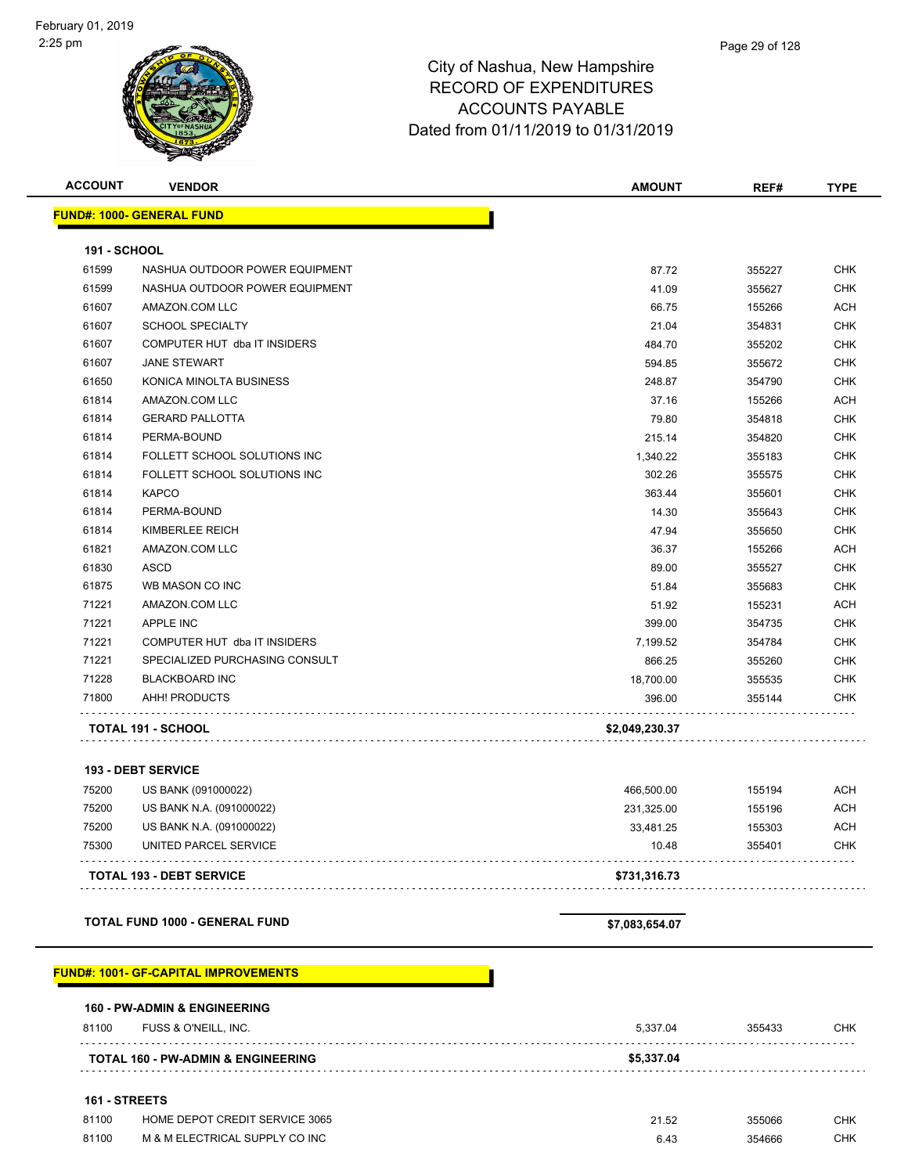| <b>ACCOUNT</b>      | <b>VENDOR</b>                    | <b>AMOUNT</b>  | REF#   | <b>TYPE</b> |
|---------------------|----------------------------------|----------------|--------|-------------|
|                     | <b>FUND#: 1000- GENERAL FUND</b> |                |        |             |
| <b>191 - SCHOOL</b> |                                  |                |        |             |
| 61599               | NASHUA OUTDOOR POWER EQUIPMENT   | 87.72          | 355227 | <b>CHK</b>  |
| 61599               | NASHUA OUTDOOR POWER EQUIPMENT   | 41.09          | 355627 | <b>CHK</b>  |
| 61607               | AMAZON.COM LLC                   | 66.75          | 155266 | <b>ACH</b>  |
| 61607               | <b>SCHOOL SPECIALTY</b>          | 21.04          | 354831 | <b>CHK</b>  |
| 61607               | COMPUTER HUT dba IT INSIDERS     | 484.70         | 355202 | <b>CHK</b>  |
| 61607               | <b>JANE STEWART</b>              | 594.85         | 355672 | <b>CHK</b>  |
| 61650               | KONICA MINOLTA BUSINESS          | 248.87         | 354790 | <b>CHK</b>  |
| 61814               | AMAZON.COM LLC                   | 37.16          | 155266 | <b>ACH</b>  |
| 61814               | <b>GERARD PALLOTTA</b>           | 79.80          | 354818 | <b>CHK</b>  |
| 61814               | PERMA-BOUND                      | 215.14         | 354820 | <b>CHK</b>  |
| 61814               | FOLLETT SCHOOL SOLUTIONS INC     | 1,340.22       | 355183 | <b>CHK</b>  |
| 61814               | FOLLETT SCHOOL SOLUTIONS INC     | 302.26         | 355575 | <b>CHK</b>  |
| 61814               | <b>KAPCO</b>                     | 363.44         | 355601 | <b>CHK</b>  |
| 61814               | PERMA-BOUND                      | 14.30          | 355643 | <b>CHK</b>  |
| 61814               | KIMBERLEE REICH                  | 47.94          | 355650 | <b>CHK</b>  |
| 61821               | AMAZON.COM LLC                   | 36.37          | 155266 | <b>ACH</b>  |
| 61830               | <b>ASCD</b>                      | 89.00          | 355527 | <b>CHK</b>  |
| 61875               | WB MASON CO INC                  | 51.84          | 355683 | <b>CHK</b>  |
| 71221               | AMAZON.COM LLC                   | 51.92          | 155231 | <b>ACH</b>  |
| 71221               | <b>APPLE INC</b>                 | 399.00         | 354735 | <b>CHK</b>  |
| 71221               | COMPUTER HUT dba IT INSIDERS     | 7,199.52       | 354784 | <b>CHK</b>  |
| 71221               | SPECIALIZED PURCHASING CONSULT   | 866.25         | 355260 | <b>CHK</b>  |
| 71228               | <b>BLACKBOARD INC</b>            | 18,700.00      | 355535 | <b>CHK</b>  |
| 71800               | AHH! PRODUCTS                    | 396.00         | 355144 | <b>CHK</b>  |
|                     | <b>TOTAL 191 - SCHOOL</b>        | \$2,049,230.37 |        |             |
|                     | 193 - DEBT SERVICE               |                |        |             |
| 75200               | US BANK (091000022)              | 466,500.00     | 155194 | ACH         |
|                     |                                  |                |        |             |

|        | <b>TOTAL 193 - DEBT SERVICE</b>   | \$731,316.73 |             |            |
|--------|-----------------------------------|--------------|-------------|------------|
| 75300  | UNITED PARCEL SERVICE             | 10.48        | 355401      | CHK        |
| 75200  | US BANK N.A. (091000022)          | 33.481.25    | 155303      | <b>ACH</b> |
| 75200  | US BANK N.A. (091000022)          | 231.325.00   | 155196      | <b>ACH</b> |
| , JLJJ | $00 \mu$ $\mu$ and $00 \mu$ $\mu$ | TUU.JUU.UU   | 1 J J J J T | $\cdots$   |

**TOTAL FUND 1000 - GENERAL FUND \$7,083,654.07** 

#### **FUND#: 1001- GF-CAPITAL IMPROVEMENTS**

|                                               | <b>160 - PW-ADMIN &amp; ENGINEERING</b> |            |        |            |  |
|-----------------------------------------------|-----------------------------------------|------------|--------|------------|--|
| 81100                                         | FUSS & O'NEILL, INC.                    | 5,337.04   | 355433 | <b>CHK</b> |  |
| <b>TOTAL 160 - PW-ADMIN &amp; ENGINEERING</b> |                                         | \$5,337.04 |        |            |  |
|                                               | <b>161 - STREETS</b>                    |            |        |            |  |

| 81100 | HOME DEPOT CREDIT SERVICE 3065 | 21.52 | 355066 | СНК |
|-------|--------------------------------|-------|--------|-----|
| 81100 | M & M ELECTRICAL SUPPLY CO INC |       | 354666 | СНК |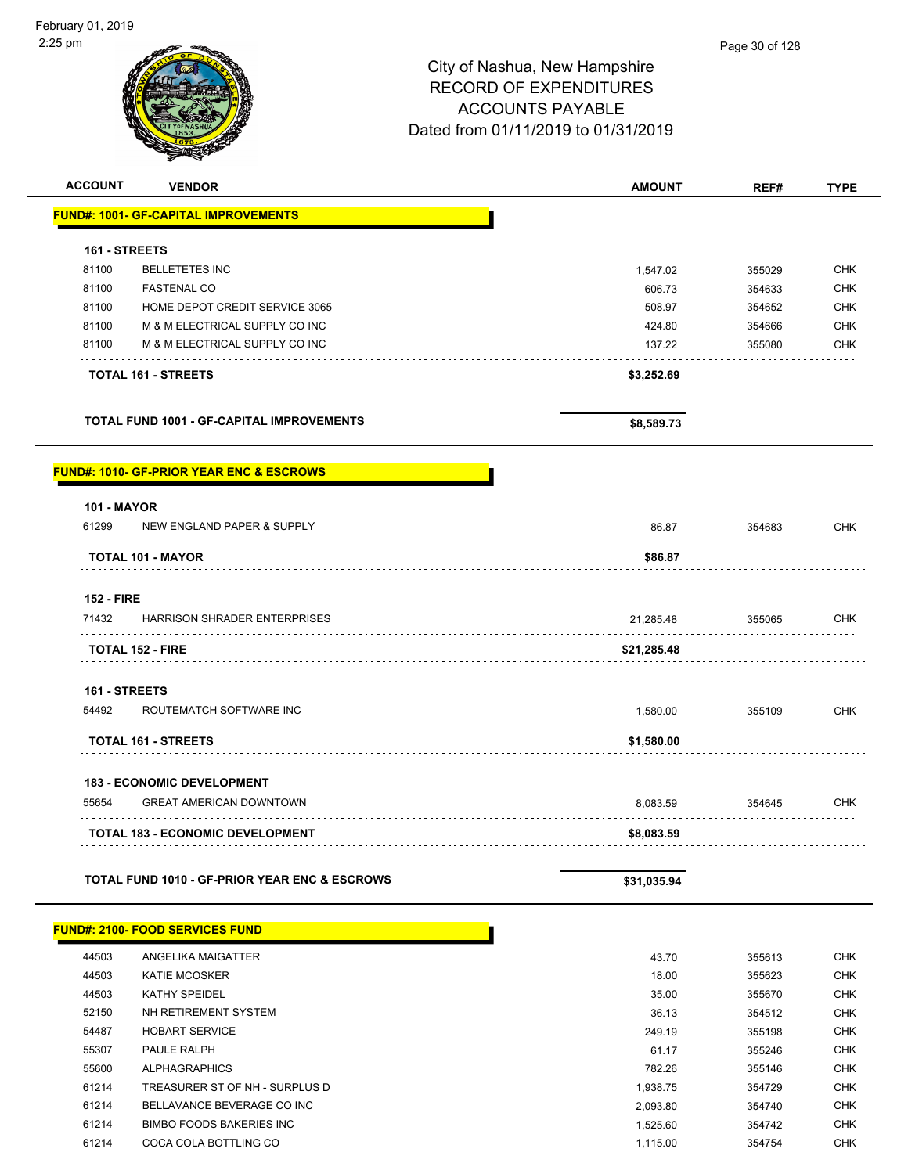# Page 30 of 128City of Nashua, New Hampshire RECORD OF EXPENDITURES ACCOUNTS PAYABLE Dated from 01/11/2019 to 01/31/2019 **ACCOUNT VENDOR AMOUNT REF# TYPE FUND#: 1001- GF-CAPITAL IMPROVEMENTS 161 - STREETS** 81100 BELLETETES INC 1,547.02 355029 CHK 81100 FASTENAL CO 606.73 354633 CHK 81100 HOME DEPOT CREDIT SERVICE 3065 SOB 354652 CHK 81100 M & M ELECTRICAL SUPPLY CO INC A REAL CONSERVATION CHANGE AND REAL CHANGE AND REAL CHANGE AND REAL CHANGE 81100 M & M ELECTRICAL SUPPLY CO INC NOTE 137.22 355080 CHK **TOTAL 161 - STREETS \$3,252.69 TOTAL FUND 1001 - GF-CAPITAL IMPROVEMENTS \$8,589.73 FUND#: 1010- GF-PRIOR YEAR ENC & ESCROWS 101 - MAYOR** 61299 NEW ENGLAND PAPER & SUPPLY 86.87 354683 CHK . . . . . . . . . . . . . . **TOTAL 101 - MAYOR \$86.87**  $\sim$   $\sim$   $\sim$   $\sim$

#### **152 - FIRE**

| 71432 | <b>HARRISON SHRADER ENTERPRISES</b> | 21.285.48   | 355065 | <b>CHK</b> |
|-------|-------------------------------------|-------------|--------|------------|
|       | <b>TOTAL 152 - FIRE</b>             | \$21.285.48 |        |            |

#### **161 - STREETS**

| 54492 | ROUTEMATCH SOFTWARE INC    | .580.00    | 355109 | СНК |
|-------|----------------------------|------------|--------|-----|
|       |                            |            |        |     |
|       | <b>TOTAL 161 - STREETS</b> | \$1,580.00 |        |     |

#### **183 - ECONOMIC DEVELOPMENT**

| 55654 | <b>GREAT AMERICAN DOWNTOWN</b>          | 8.083.59   | 354645 | CHK |
|-------|-----------------------------------------|------------|--------|-----|
|       | <b>TOTAL 183 - ECONOMIC DEVELOPMENT</b> | \$8,083,59 |        |     |

| <b>TOTAL FUND 1010 - GF-PRIOR YEAR ENC &amp; ESCROWS</b> | \$31,035.94 |
|----------------------------------------------------------|-------------|
|                                                          |             |

|       | <b>FUND#: 2100- FOOD SERVICES FUND</b> |          |
|-------|----------------------------------------|----------|
| 44503 | ANGELIKA MAIGATTER                     |          |
| 44503 | <b>KATIE MCOSKER</b>                   | 18.00    |
| 44503 | <b>KATHY SPEIDEL</b>                   | 35.00    |
| 52150 | NH RETIREMENT SYSTEM                   | 36.13    |
| 54487 | <b>HOBART SERVICE</b>                  | 249.19   |
| 55307 | PAULE RALPH                            | 61.17    |
| 55600 | ALPHAGRAPHICS                          | 782.26   |
| 61214 | TREASURER ST OF NH - SURPLUS D         | 1,938.75 |
| 61214 | BELLAVANCE BEVERAGE CO INC             | 2.093.80 |
| 61214 | BIMBO FOODS BAKERIES INC               | 1,525.60 |
| 61214 | COCA COLA BOTTLING CO                  | 1,115.00 |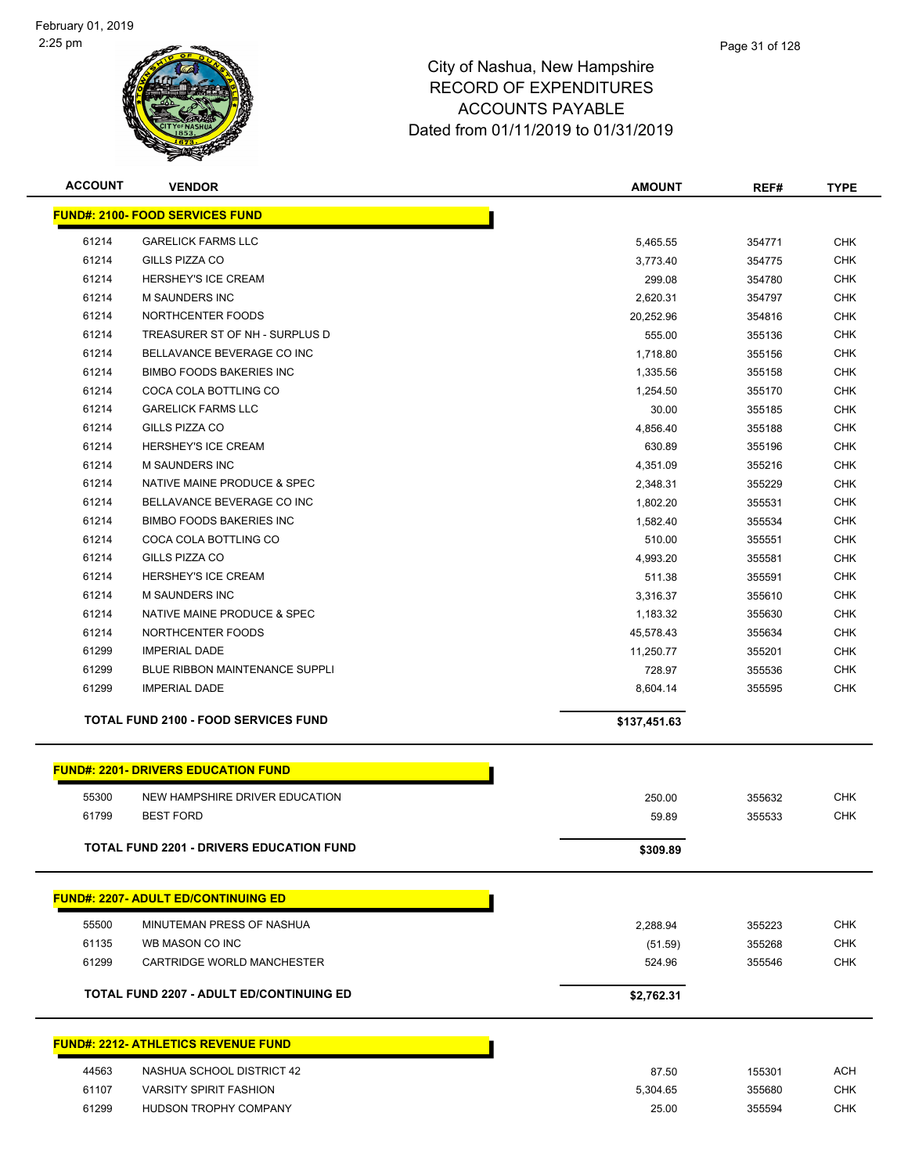

| <b>ACCOUNT</b> | <b>VENDOR</b>                                   | <b>AMOUNT</b> | REF#   | <b>TYPE</b> |
|----------------|-------------------------------------------------|---------------|--------|-------------|
|                | <b>FUND#: 2100- FOOD SERVICES FUND</b>          |               |        |             |
| 61214          | <b>GARELICK FARMS LLC</b>                       | 5,465.55      | 354771 | <b>CHK</b>  |
| 61214          | GILLS PIZZA CO                                  | 3,773.40      | 354775 | <b>CHK</b>  |
| 61214          | <b>HERSHEY'S ICE CREAM</b>                      | 299.08        | 354780 | <b>CHK</b>  |
| 61214          | <b>M SAUNDERS INC</b>                           | 2,620.31      | 354797 | <b>CHK</b>  |
| 61214          | NORTHCENTER FOODS                               | 20,252.96     | 354816 | <b>CHK</b>  |
| 61214          | TREASURER ST OF NH - SURPLUS D                  | 555.00        | 355136 | <b>CHK</b>  |
| 61214          | BELLAVANCE BEVERAGE CO INC                      | 1,718.80      | 355156 | <b>CHK</b>  |
| 61214          | <b>BIMBO FOODS BAKERIES INC</b>                 | 1,335.56      | 355158 | <b>CHK</b>  |
| 61214          | COCA COLA BOTTLING CO                           | 1,254.50      | 355170 | <b>CHK</b>  |
| 61214          | <b>GARELICK FARMS LLC</b>                       | 30.00         | 355185 | <b>CHK</b>  |
| 61214          | GILLS PIZZA CO                                  | 4,856.40      | 355188 | <b>CHK</b>  |
| 61214          | <b>HERSHEY'S ICE CREAM</b>                      | 630.89        | 355196 | <b>CHK</b>  |
| 61214          | <b>M SAUNDERS INC</b>                           | 4,351.09      | 355216 | <b>CHK</b>  |
| 61214          | NATIVE MAINE PRODUCE & SPEC                     | 2,348.31      | 355229 | <b>CHK</b>  |
| 61214          | BELLAVANCE BEVERAGE CO INC                      | 1,802.20      | 355531 | <b>CHK</b>  |
| 61214          | <b>BIMBO FOODS BAKERIES INC</b>                 | 1,582.40      | 355534 | <b>CHK</b>  |
| 61214          | COCA COLA BOTTLING CO                           | 510.00        | 355551 | <b>CHK</b>  |
| 61214          | <b>GILLS PIZZA CO</b>                           | 4,993.20      | 355581 | <b>CHK</b>  |
| 61214          | <b>HERSHEY'S ICE CREAM</b>                      | 511.38        | 355591 | <b>CHK</b>  |
| 61214          | <b>M SAUNDERS INC</b>                           | 3,316.37      | 355610 | <b>CHK</b>  |
| 61214          | NATIVE MAINE PRODUCE & SPEC                     | 1,183.32      | 355630 | <b>CHK</b>  |
| 61214          | NORTHCENTER FOODS                               | 45,578.43     | 355634 | <b>CHK</b>  |
| 61299          | <b>IMPERIAL DADE</b>                            | 11,250.77     | 355201 | <b>CHK</b>  |
| 61299          | <b>BLUE RIBBON MAINTENANCE SUPPLI</b>           | 728.97        | 355536 | <b>CHK</b>  |
| 61299          | <b>IMPERIAL DADE</b>                            | 8,604.14      | 355595 | <b>CHK</b>  |
|                | <b>TOTAL FUND 2100 - FOOD SERVICES FUND</b>     | \$137,451.63  |        |             |
|                | <b>FUND#: 2201- DRIVERS EDUCATION FUND</b>      |               |        |             |
| 55300          | NEW HAMPSHIRE DRIVER EDUCATION                  | 250.00        | 355632 | <b>CHK</b>  |
| 61799          | <b>BEST FORD</b>                                | 59.89         | 355533 | <b>CHK</b>  |
|                | <b>TOTAL FUND 2201 - DRIVERS EDUCATION FUND</b> |               |        |             |
|                |                                                 | \$309.89      |        |             |
|                | <b>FUND#: 2207- ADULT ED/CONTINUING ED</b>      |               |        |             |
| 55500          | MINUTEMAN PRESS OF NASHUA                       | 2,288.94      | 355223 | <b>CHK</b>  |
| 61135          | WB MASON CO INC                                 | (51.59)       | 355268 | <b>CHK</b>  |
| 61299          | CARTRIDGE WORLD MANCHESTER                      | 524.96        | 355546 | <b>CHK</b>  |
|                | <b>TOTAL FUND 2207 - ADULT ED/CONTINUING ED</b> | \$2,762.31    |        |             |
|                | <b>FUND#: 2212- ATHLETICS REVENUE FUND</b>      |               |        |             |
| 44563          | NASHUA SCHOOL DISTRICT 42                       | 87.50         | 155301 | <b>ACH</b>  |
| 61107          | <b>VARSITY SPIRIT FASHION</b>                   | 5,304.65      | 355680 | <b>CHK</b>  |
| 61299          | HUDSON TROPHY COMPANY                           | 25.00         | 355594 | <b>CHK</b>  |
|                |                                                 |               |        |             |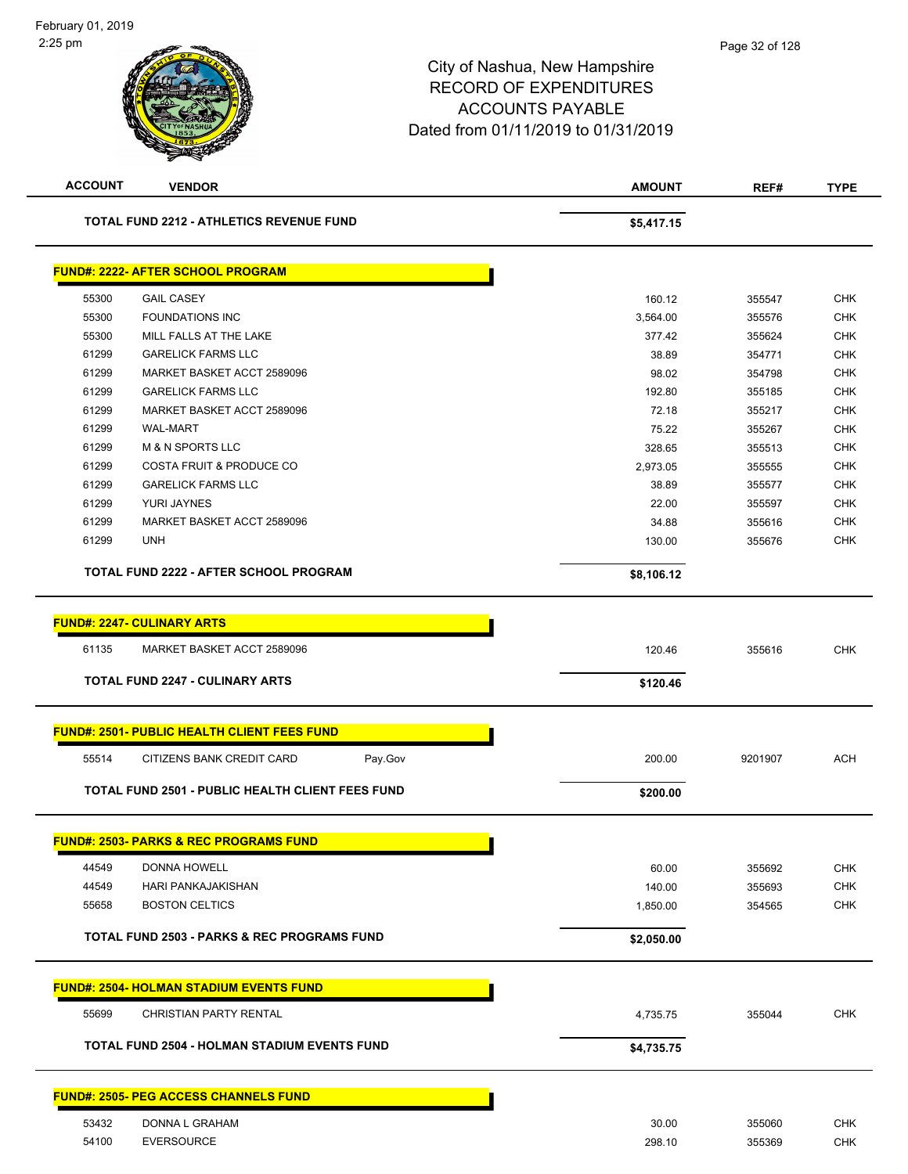| <b>ACCOUNT</b> | <b>VENDOR</b>                                           | <b>AMOUNT</b> | REF#    | <b>TYPE</b> |
|----------------|---------------------------------------------------------|---------------|---------|-------------|
|                | <b>TOTAL FUND 2212 - ATHLETICS REVENUE FUND</b>         | \$5,417.15    |         |             |
|                | <b>FUND#: 2222- AFTER SCHOOL PROGRAM</b>                |               |         |             |
| 55300          | <b>GAIL CASEY</b>                                       | 160.12        | 355547  | <b>CHK</b>  |
| 55300          | <b>FOUNDATIONS INC</b>                                  | 3,564.00      | 355576  | <b>CHK</b>  |
| 55300          | MILL FALLS AT THE LAKE                                  | 377.42        | 355624  | <b>CHK</b>  |
| 61299          | <b>GARELICK FARMS LLC</b>                               | 38.89         | 354771  | <b>CHK</b>  |
| 61299          | MARKET BASKET ACCT 2589096                              | 98.02         | 354798  | <b>CHK</b>  |
| 61299          | <b>GARELICK FARMS LLC</b>                               | 192.80        | 355185  | CHK         |
| 61299          | MARKET BASKET ACCT 2589096                              | 72.18         | 355217  | <b>CHK</b>  |
| 61299          | <b>WAL-MART</b>                                         | 75.22         | 355267  | <b>CHK</b>  |
| 61299          | <b>M &amp; N SPORTS LLC</b>                             | 328.65        | 355513  | CHK         |
| 61299          | <b>COSTA FRUIT &amp; PRODUCE CO</b>                     | 2,973.05      | 355555  | <b>CHK</b>  |
| 61299          | <b>GARELICK FARMS LLC</b>                               | 38.89         | 355577  | <b>CHK</b>  |
| 61299          | YURI JAYNES                                             | 22.00         | 355597  | <b>CHK</b>  |
| 61299          | MARKET BASKET ACCT 2589096                              | 34.88         | 355616  | <b>CHK</b>  |
| 61299          | <b>UNH</b>                                              | 130.00        | 355676  | CHK         |
|                | TOTAL FUND 2222 - AFTER SCHOOL PROGRAM                  | \$8,106.12    |         |             |
|                |                                                         |               |         |             |
|                | <b>FUND#: 2247- CULINARY ARTS</b>                       |               |         |             |
| 61135          | MARKET BASKET ACCT 2589096                              | 120.46        | 355616  | <b>CHK</b>  |
|                | <b>TOTAL FUND 2247 - CULINARY ARTS</b>                  | \$120.46      |         |             |
|                | <b>FUND#: 2501- PUBLIC HEALTH CLIENT FEES FUND</b>      |               |         |             |
| 55514          | CITIZENS BANK CREDIT CARD<br>Pay.Gov                    | 200.00        | 9201907 | <b>ACH</b>  |
|                | TOTAL FUND 2501 - PUBLIC HEALTH CLIENT FEES FUND        | \$200.00      |         |             |
|                | <mark>FUND#: 2503- PARKS &amp; REC PROGRAMS FUND</mark> |               |         |             |
|                |                                                         |               |         |             |
| 44549          | DONNA HOWELL                                            | 60.00         | 355692  | <b>CHK</b>  |
| 44549          | HARI PANKAJAKISHAN                                      | 140.00        | 355693  | <b>CHK</b>  |
| 55658          | <b>BOSTON CELTICS</b>                                   | 1,850.00      | 354565  | <b>CHK</b>  |
|                | <b>TOTAL FUND 2503 - PARKS &amp; REC PROGRAMS FUND</b>  | \$2,050.00    |         |             |
|                | <b>FUND#: 2504- HOLMAN STADIUM EVENTS FUND</b>          |               |         |             |
| 55699          | <b>CHRISTIAN PARTY RENTAL</b>                           | 4,735.75      | 355044  | <b>CHK</b>  |
|                | TOTAL FUND 2504 - HOLMAN STADIUM EVENTS FUND            | \$4,735.75    |         |             |
|                |                                                         |               |         |             |
|                | <b>FUND#: 2505- PEG ACCESS CHANNELS FUND</b>            |               |         |             |
| 53432          | DONNA L GRAHAM                                          | 30.00         | 355060  | <b>CHK</b>  |
| 54100          | <b>EVERSOURCE</b>                                       | 298.10        | 355369  | <b>CHK</b>  |
|                |                                                         |               |         |             |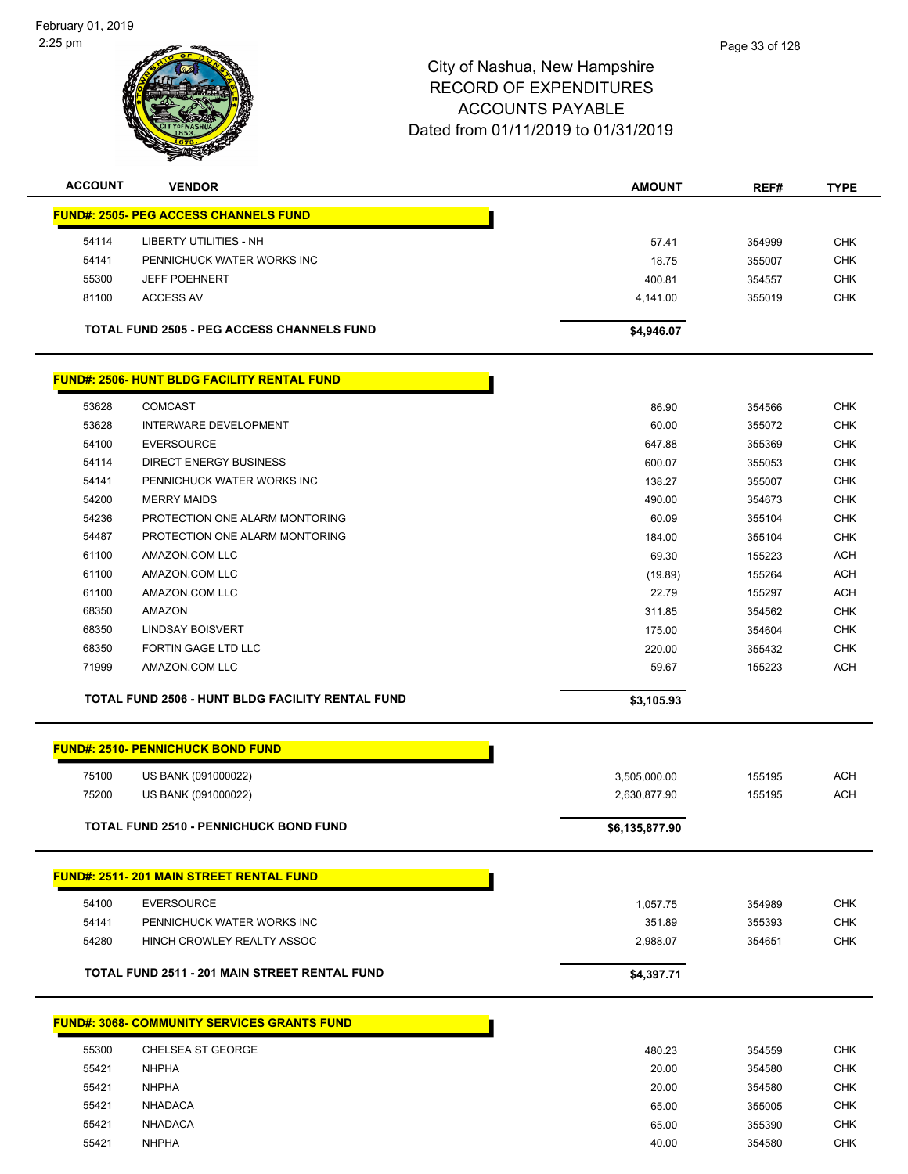

| <b>ACCOUNT</b>                               | <b>VENDOR</b>                                           | <b>AMOUNT</b> | REF#   | <b>TYPE</b> |  |  |
|----------------------------------------------|---------------------------------------------------------|---------------|--------|-------------|--|--|
| <b>FUND#: 2505- PEG ACCESS CHANNELS FUND</b> |                                                         |               |        |             |  |  |
| 54114                                        | <b>LIBERTY UTILITIES - NH</b>                           | 57.41         | 354999 | <b>CHK</b>  |  |  |
| 54141                                        | PENNICHUCK WATER WORKS INC                              | 18.75         | 355007 | <b>CHK</b>  |  |  |
| 55300                                        | <b>JEFF POEHNERT</b>                                    | 400.81        | 354557 | <b>CHK</b>  |  |  |
| 81100                                        | <b>ACCESS AV</b>                                        | 4,141.00      | 355019 | <b>CHK</b>  |  |  |
|                                              | <b>TOTAL FUND 2505 - PEG ACCESS CHANNELS FUND</b>       | \$4,946.07    |        |             |  |  |
|                                              | <b>FUND#: 2506- HUNT BLDG FACILITY RENTAL FUND</b>      |               |        |             |  |  |
| 53628                                        | <b>COMCAST</b>                                          | 86.90         | 354566 | <b>CHK</b>  |  |  |
| 53628                                        | <b>INTERWARE DEVELOPMENT</b>                            | 60.00         | 355072 | <b>CHK</b>  |  |  |
| 54100                                        | <b>EVERSOURCE</b>                                       | 647.88        | 355369 | <b>CHK</b>  |  |  |
| 54114                                        | <b>DIRECT ENERGY BUSINESS</b>                           | 600.07        | 355053 | <b>CHK</b>  |  |  |
| 54141                                        | PENNICHUCK WATER WORKS INC                              | 138.27        | 355007 | <b>CHK</b>  |  |  |
| 54200                                        | <b>MERRY MAIDS</b>                                      | 490.00        | 354673 | <b>CHK</b>  |  |  |
| 54236                                        | PROTECTION ONE ALARM MONTORING                          | 60.09         | 355104 | <b>CHK</b>  |  |  |
| 54487                                        | PROTECTION ONE ALARM MONTORING                          | 184.00        | 355104 | <b>CHK</b>  |  |  |
| 61100                                        | AMAZON.COM LLC                                          | 69.30         | 155223 | <b>ACH</b>  |  |  |
| 61100                                        | AMAZON.COM LLC                                          | (19.89)       | 155264 | <b>ACH</b>  |  |  |
| 61100                                        | AMAZON.COM LLC                                          | 22.79         | 155297 | <b>ACH</b>  |  |  |
| 68350                                        | <b>AMAZON</b>                                           | 311.85        | 354562 | <b>CHK</b>  |  |  |
| 68350                                        | <b>LINDSAY BOISVERT</b>                                 | 175.00        | 354604 | <b>CHK</b>  |  |  |
| 68350                                        | <b>FORTIN GAGE LTD LLC</b>                              | 220.00        | 355432 | <b>CHK</b>  |  |  |
| 71999                                        | AMAZON.COM LLC                                          | 59.67         | 155223 | <b>ACH</b>  |  |  |
|                                              | <b>TOTAL FUND 2506 - HUNT BLDG FACILITY RENTAL FUND</b> | \$3,105.93    |        |             |  |  |
|                                              | <u>FUND#: 2510- PENNICHUCK BOND FUND</u>                |               |        |             |  |  |
| 75100                                        | US BANK (091000022)                                     | 3.505.000.00  | 155195 | ACH         |  |  |

|       | US DAINN (USTUUUUZZ)                           | <b>J,JUJ,UUU.UU</b> | 199199 | AUH        |
|-------|------------------------------------------------|---------------------|--------|------------|
| 75200 | US BANK (091000022)                            | 2,630,877.90        | 155195 | <b>ACH</b> |
|       | <b>TOTAL FUND 2510 - PENNICHUCK BOND FUND</b>  | \$6,135,877.90      |        |            |
|       | <b>FUND#: 2511-201 MAIN STREET RENTAL FUND</b> |                     |        |            |
|       |                                                |                     |        |            |
| 54100 | <b>EVERSOURCE</b>                              | 1.057.75            | 354989 | <b>CHK</b> |
| 54141 | PENNICHUCK WATER WORKS INC                     | 351.89              | 355393 | <b>CHK</b> |
| 54280 | HINCH CROWLEY REALTY ASSOC                     | 2,988.07            | 354651 | <b>CHK</b> |

#### **FUND#: 3068- COMMUNITY SERVICES GRANTS FUND**

| 55300 | CHELSEA ST GEORGE | 480.23 | 354559 | <b>CHK</b> |
|-------|-------------------|--------|--------|------------|
| 55421 | <b>NHPHA</b>      | 20.00  | 354580 | <b>CHK</b> |
| 55421 | <b>NHPHA</b>      | 20.00  | 354580 | <b>CHK</b> |
| 55421 | <b>NHADACA</b>    | 65.00  | 355005 | <b>CHK</b> |
| 55421 | <b>NHADACA</b>    | 65.00  | 355390 | <b>CHK</b> |
| 55421 | <b>NHPHA</b>      | 40.00  | 354580 | <b>CHK</b> |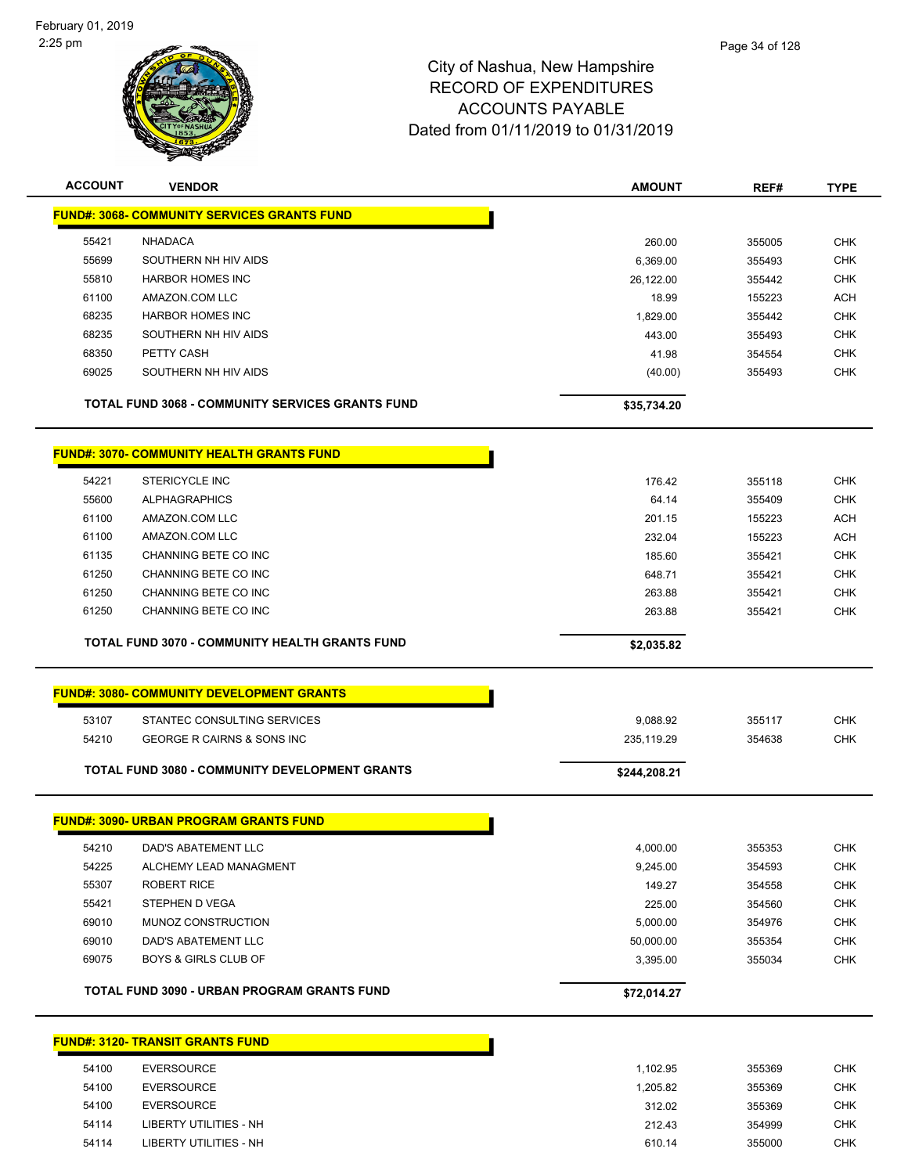

| <b>ACCOUNT</b> | <b>VENDOR</b>                                         | <b>AMOUNT</b> | REF#   | <b>TYPE</b> |
|----------------|-------------------------------------------------------|---------------|--------|-------------|
|                | <b>FUND#: 3068- COMMUNITY SERVICES GRANTS FUND</b>    |               |        |             |
| 55421          | <b>NHADACA</b>                                        | 260.00        | 355005 | <b>CHK</b>  |
| 55699          | SOUTHERN NH HIV AIDS                                  | 6,369.00      | 355493 | <b>CHK</b>  |
| 55810          | <b>HARBOR HOMES INC</b>                               | 26,122.00     | 355442 | <b>CHK</b>  |
| 61100          | AMAZON.COM LLC                                        | 18.99         | 155223 | <b>ACH</b>  |
| 68235          | <b>HARBOR HOMES INC</b>                               | 1,829.00      | 355442 | <b>CHK</b>  |
| 68235          | SOUTHERN NH HIV AIDS                                  | 443.00        | 355493 | <b>CHK</b>  |
| 68350          | PETTY CASH                                            | 41.98         | 354554 | <b>CHK</b>  |
| 69025          | SOUTHERN NH HIV AIDS                                  | (40.00)       | 355493 | <b>CHK</b>  |
|                | TOTAL FUND 3068 - COMMUNITY SERVICES GRANTS FUND      | \$35,734.20   |        |             |
|                | <b>FUND#: 3070- COMMUNITY HEALTH GRANTS FUND</b>      |               |        |             |
| 54221          | <b>STERICYCLE INC</b>                                 | 176.42        | 355118 | <b>CHK</b>  |
| 55600          | <b>ALPHAGRAPHICS</b>                                  | 64.14         | 355409 | <b>CHK</b>  |
| 61100          | AMAZON.COM LLC                                        | 201.15        | 155223 | <b>ACH</b>  |
| 61100          | AMAZON.COM LLC                                        | 232.04        | 155223 | <b>ACH</b>  |
| 61135          | CHANNING BETE CO INC                                  | 185.60        | 355421 | <b>CHK</b>  |
| 61250          | CHANNING BETE CO INC                                  | 648.71        | 355421 | <b>CHK</b>  |
| 61250          | CHANNING BETE CO INC                                  | 263.88        | 355421 | <b>CHK</b>  |
| 61250          | CHANNING BETE CO INC                                  | 263.88        | 355421 | <b>CHK</b>  |
|                | <b>TOTAL FUND 3070 - COMMUNITY HEALTH GRANTS FUND</b> | \$2,035.82    |        |             |
|                | <b>FUND#: 3080- COMMUNITY DEVELOPMENT GRANTS</b>      |               |        |             |
| 53107          | STANTEC CONSULTING SERVICES                           | 9,088.92      | 355117 | <b>CHK</b>  |
| 54210          | <b>GEORGE R CAIRNS &amp; SONS INC</b>                 | 235,119.29    | 354638 | <b>CHK</b>  |
|                |                                                       |               |        |             |
|                | TOTAL FUND 3080 - COMMUNITY DEVELOPMENT GRANTS        | \$244,208.21  |        |             |
|                | <b>FUND#: 3090- URBAN PROGRAM GRANTS FUND</b>         |               |        |             |
| 54210          | DAD'S ABATEMENT LLC                                   | 4,000.00      | 355353 | <b>CHK</b>  |
| 54225          | ALCHEMY LEAD MANAGMENT                                | 9,245.00      | 354593 | <b>CHK</b>  |
| 55307          | <b>ROBERT RICE</b>                                    | 149.27        | 354558 | <b>CHK</b>  |
| 55421          | STEPHEN D VEGA                                        | 225.00        | 354560 | <b>CHK</b>  |
| 69010          | MUNOZ CONSTRUCTION                                    | 5,000.00      | 354976 | <b>CHK</b>  |
| 69010          | DAD'S ABATEMENT LLC                                   | 50,000.00     | 355354 | <b>CHK</b>  |
| 69075          | <b>BOYS &amp; GIRLS CLUB OF</b>                       | 3,395.00      | 355034 | <b>CHK</b>  |
|                | TOTAL FUND 3090 - URBAN PROGRAM GRANTS FUND           | \$72,014.27   |        |             |
|                | <b>FUND#: 3120- TRANSIT GRANTS FUND</b>               |               |        |             |
| 54100          | <b>EVERSOURCE</b>                                     | 1,102.95      | 355369 | <b>CHK</b>  |
| 54100          | <b>EVERSOURCE</b>                                     | 1,205.82      | 355369 | <b>CHK</b>  |
| 54100          | <b>EVERSOURCE</b>                                     | 312.02        | 355369 | <b>CHK</b>  |
| 54114          | LIBERTY UTILITIES - NH                                | 212.43        | 354999 | <b>CHK</b>  |

LIBERTY UTILITIES - NH 610.14 355000 CHK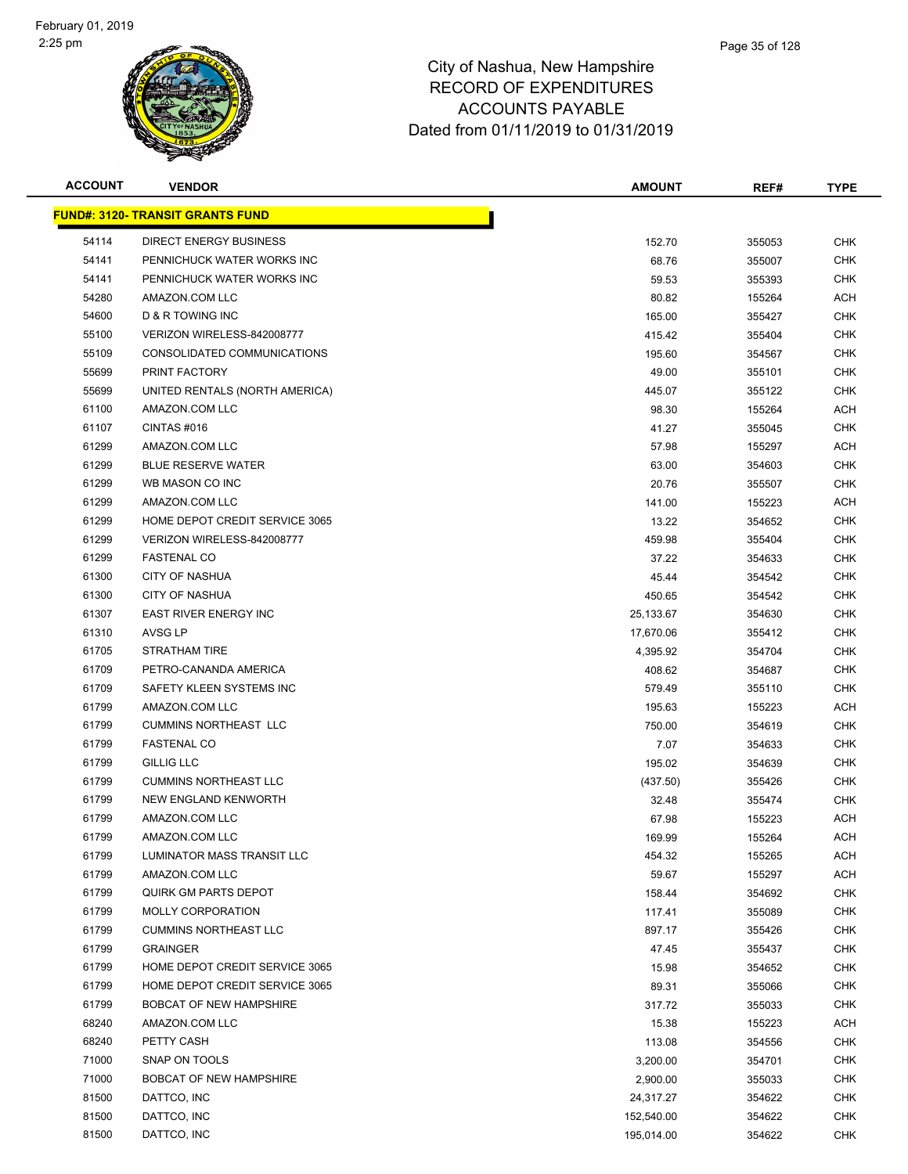

| <b>ACCOUNT</b> | <b>VENDOR</b>                            | <b>AMOUNT</b> | REF#   | <b>TYPE</b> |
|----------------|------------------------------------------|---------------|--------|-------------|
|                | <u> FUND#: 3120- TRANSIT GRANTS FUND</u> |               |        |             |
| 54114          | <b>DIRECT ENERGY BUSINESS</b>            | 152.70        | 355053 | <b>CHK</b>  |
| 54141          | PENNICHUCK WATER WORKS INC               | 68.76         | 355007 | CHK         |
| 54141          | PENNICHUCK WATER WORKS INC               | 59.53         | 355393 | CHK         |
| 54280          | AMAZON.COM LLC                           | 80.82         | 155264 | ACH         |
| 54600          | D & R TOWING INC                         | 165.00        | 355427 | CHK         |
| 55100          | VERIZON WIRELESS-842008777               | 415.42        | 355404 | <b>CHK</b>  |
| 55109          | CONSOLIDATED COMMUNICATIONS              | 195.60        | 354567 | <b>CHK</b>  |
| 55699          | PRINT FACTORY                            | 49.00         | 355101 | <b>CHK</b>  |
| 55699          | UNITED RENTALS (NORTH AMERICA)           | 445.07        | 355122 | <b>CHK</b>  |
| 61100          | AMAZON.COM LLC                           | 98.30         | 155264 | ACH         |
| 61107          | CINTAS#016                               | 41.27         | 355045 | CHK         |
| 61299          | AMAZON.COM LLC                           | 57.98         | 155297 | ACH         |
| 61299          | <b>BLUE RESERVE WATER</b>                | 63.00         | 354603 | CHK         |
| 61299          | WB MASON CO INC                          | 20.76         | 355507 | CHK         |
| 61299          | AMAZON.COM LLC                           | 141.00        | 155223 | ACH         |
| 61299          | HOME DEPOT CREDIT SERVICE 3065           | 13.22         | 354652 | <b>CHK</b>  |
| 61299          | VERIZON WIRELESS-842008777               | 459.98        | 355404 | <b>CHK</b>  |
| 61299          | <b>FASTENAL CO</b>                       | 37.22         | 354633 | <b>CHK</b>  |
| 61300          | <b>CITY OF NASHUA</b>                    | 45.44         | 354542 | <b>CHK</b>  |
| 61300          | <b>CITY OF NASHUA</b>                    | 450.65        | 354542 | <b>CHK</b>  |
| 61307          | EAST RIVER ENERGY INC                    | 25,133.67     | 354630 | CHK         |
| 61310          | AVSG LP                                  | 17,670.06     | 355412 | CHK         |
| 61705          | <b>STRATHAM TIRE</b>                     | 4,395.92      | 354704 | <b>CHK</b>  |
| 61709          | PETRO-CANANDA AMERICA                    | 408.62        | 354687 | CHK         |
| 61709          | SAFETY KLEEN SYSTEMS INC                 | 579.49        | 355110 | CHK         |
| 61799          | AMAZON.COM LLC                           | 195.63        | 155223 | ACH         |
| 61799          | <b>CUMMINS NORTHEAST LLC</b>             | 750.00        | 354619 | CHK         |
| 61799          | <b>FASTENAL CO</b>                       | 7.07          | 354633 | <b>CHK</b>  |
| 61799          | <b>GILLIG LLC</b>                        | 195.02        | 354639 | <b>CHK</b>  |
| 61799          | <b>CUMMINS NORTHEAST LLC</b>             | (437.50)      | 355426 | CHK         |
| 61799          | NEW ENGLAND KENWORTH                     | 32.48         | 355474 | <b>CHK</b>  |
| 61799          | AMAZON.COM LLC                           | 67.98         | 155223 | ACH         |
| 61799          | AMAZON.COM LLC                           | 169.99        | 155264 | ACH         |
| 61799          | LUMINATOR MASS TRANSIT LLC               | 454.32        | 155265 | ACH         |
| 61799          | AMAZON.COM LLC                           | 59.67         | 155297 | ACH         |
| 61799          | <b>QUIRK GM PARTS DEPOT</b>              | 158.44        | 354692 | <b>CHK</b>  |
| 61799          | MOLLY CORPORATION                        | 117.41        | 355089 | <b>CHK</b>  |
| 61799          | <b>CUMMINS NORTHEAST LLC</b>             | 897.17        | 355426 | <b>CHK</b>  |
| 61799          | <b>GRAINGER</b>                          | 47.45         | 355437 | <b>CHK</b>  |
| 61799          | HOME DEPOT CREDIT SERVICE 3065           | 15.98         | 354652 | <b>CHK</b>  |
| 61799          | HOME DEPOT CREDIT SERVICE 3065           | 89.31         | 355066 | <b>CHK</b>  |
| 61799          | <b>BOBCAT OF NEW HAMPSHIRE</b>           | 317.72        | 355033 | <b>CHK</b>  |
| 68240          | AMAZON.COM LLC                           | 15.38         | 155223 | ACH         |
| 68240          | PETTY CASH                               | 113.08        | 354556 | <b>CHK</b>  |
| 71000          | SNAP ON TOOLS                            | 3,200.00      | 354701 | <b>CHK</b>  |
| 71000          | <b>BOBCAT OF NEW HAMPSHIRE</b>           | 2,900.00      | 355033 | <b>CHK</b>  |
| 81500          | DATTCO, INC                              | 24,317.27     | 354622 | <b>CHK</b>  |
| 81500          | DATTCO, INC                              | 152,540.00    | 354622 | <b>CHK</b>  |
| 81500          | DATTCO, INC                              | 195,014.00    | 354622 | <b>CHK</b>  |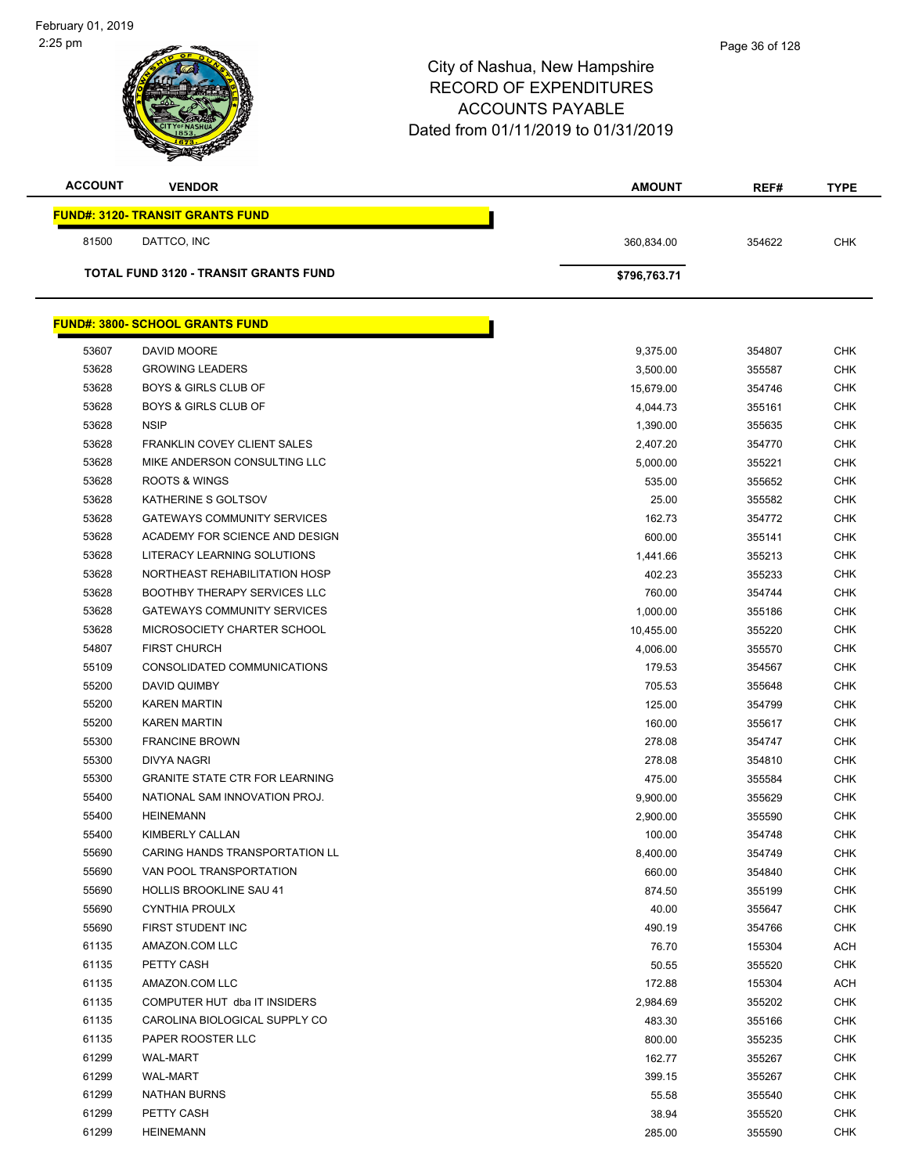| <b>ACCOUNT</b>                          | <b>VENDOR</b>                                | <b>AMOUNT</b> | REF#   | <b>TYPE</b> |  |
|-----------------------------------------|----------------------------------------------|---------------|--------|-------------|--|
| <b>FUND#: 3120- TRANSIT GRANTS FUND</b> |                                              |               |        |             |  |
| 81500                                   | DATTCO, INC                                  | 360,834.00    | 354622 | <b>CHK</b>  |  |
|                                         | <b>TOTAL FUND 3120 - TRANSIT GRANTS FUND</b> | \$796,763.71  |        |             |  |
|                                         |                                              |               |        |             |  |
|                                         | <b>FUND#: 3800- SCHOOL GRANTS FUND</b>       |               |        |             |  |
| 53607                                   | DAVID MOORE                                  | 9,375.00      | 354807 | <b>CHK</b>  |  |
| 53628                                   | <b>GROWING LEADERS</b>                       | 3,500.00      | 355587 | <b>CHK</b>  |  |
| 53628                                   | <b>BOYS &amp; GIRLS CLUB OF</b>              | 15,679.00     | 354746 | <b>CHK</b>  |  |
| 53628                                   | <b>BOYS &amp; GIRLS CLUB OF</b>              | 4,044.73      | 355161 | <b>CHK</b>  |  |
| 53628                                   | <b>NSIP</b>                                  | 1,390.00      | 355635 | <b>CHK</b>  |  |
| 53628                                   | <b>FRANKLIN COVEY CLIENT SALES</b>           | 2,407.20      | 354770 | <b>CHK</b>  |  |
| 53628                                   | MIKE ANDERSON CONSULTING LLC                 | 5,000.00      | 355221 | <b>CHK</b>  |  |
| 53628                                   | ROOTS & WINGS                                | 535.00        | 355652 | <b>CHK</b>  |  |
| 53628                                   | KATHERINE S GOLTSOV                          | 25.00         | 355582 | <b>CHK</b>  |  |
| 53628                                   | <b>GATEWAYS COMMUNITY SERVICES</b>           | 162.73        | 354772 | <b>CHK</b>  |  |
| 53628                                   | ACADEMY FOR SCIENCE AND DESIGN               | 600.00        | 355141 | <b>CHK</b>  |  |
| 53628                                   | LITERACY LEARNING SOLUTIONS                  | 1,441.66      | 355213 | <b>CHK</b>  |  |
| 53628                                   | NORTHEAST REHABILITATION HOSP                | 402.23        | 355233 | <b>CHK</b>  |  |
| 53628                                   | <b>BOOTHBY THERAPY SERVICES LLC</b>          | 760.00        | 354744 | <b>CHK</b>  |  |
| 53628                                   | <b>GATEWAYS COMMUNITY SERVICES</b>           | 1,000.00      | 355186 | <b>CHK</b>  |  |
| 53628                                   | MICROSOCIETY CHARTER SCHOOL                  | 10,455.00     | 355220 | <b>CHK</b>  |  |
| 54807                                   | <b>FIRST CHURCH</b>                          | 4,006.00      | 355570 | <b>CHK</b>  |  |
| 55109                                   | CONSOLIDATED COMMUNICATIONS                  | 179.53        | 354567 | <b>CHK</b>  |  |
| 55200                                   | DAVID QUIMBY                                 | 705.53        | 355648 | <b>CHK</b>  |  |
| 55200                                   | <b>KAREN MARTIN</b>                          | 125.00        | 354799 | <b>CHK</b>  |  |
| 55200                                   | <b>KAREN MARTIN</b>                          | 160.00        | 355617 | <b>CHK</b>  |  |
| 55300                                   | <b>FRANCINE BROWN</b>                        | 278.08        | 354747 | <b>CHK</b>  |  |
| 55300                                   | <b>DIVYA NAGRI</b>                           | 278.08        | 354810 | <b>CHK</b>  |  |
| 55300                                   | <b>GRANITE STATE CTR FOR LEARNING</b>        | 475.00        | 355584 | <b>CHK</b>  |  |
| 55400                                   | NATIONAL SAM INNOVATION PROJ.                | 9,900.00      | 355629 | <b>CHK</b>  |  |
| 55400                                   | <b>HEINEMANN</b>                             | 2,900.00      | 355590 | <b>CHK</b>  |  |
| 55400                                   | KIMBERLY CALLAN                              | 100.00        | 354748 | <b>CHK</b>  |  |
| 55690                                   | CARING HANDS TRANSPORTATION LL               | 8,400.00      | 354749 | <b>CHK</b>  |  |
| 55690                                   | VAN POOL TRANSPORTATION                      | 660.00        | 354840 | <b>CHK</b>  |  |
| 55690                                   | <b>HOLLIS BROOKLINE SAU 41</b>               | 874.50        | 355199 | <b>CHK</b>  |  |
| 55690                                   | <b>CYNTHIA PROULX</b>                        | 40.00         | 355647 | <b>CHK</b>  |  |
| 55690                                   | FIRST STUDENT INC                            | 490.19        | 354766 | <b>CHK</b>  |  |
| 61135                                   | AMAZON.COM LLC                               | 76.70         | 155304 | <b>ACH</b>  |  |
| 61135                                   | PETTY CASH                                   | 50.55         | 355520 | <b>CHK</b>  |  |
| 61135                                   | AMAZON.COM LLC                               | 172.88        | 155304 | <b>ACH</b>  |  |
| 61135                                   | COMPUTER HUT dba IT INSIDERS                 | 2,984.69      | 355202 | <b>CHK</b>  |  |
| 61135                                   | CAROLINA BIOLOGICAL SUPPLY CO                | 483.30        | 355166 | <b>CHK</b>  |  |
| 61135                                   | PAPER ROOSTER LLC                            | 800.00        | 355235 | <b>CHK</b>  |  |
| 61299                                   | <b>WAL-MART</b>                              | 162.77        | 355267 | <b>CHK</b>  |  |
| 61299                                   | <b>WAL-MART</b>                              | 399.15        | 355267 | <b>CHK</b>  |  |
| 61299                                   | <b>NATHAN BURNS</b>                          | 55.58         | 355540 | <b>CHK</b>  |  |
| 61299                                   | PETTY CASH                                   | 38.94         | 355520 | <b>CHK</b>  |  |
| 61299                                   | <b>HEINEMANN</b>                             | 285.00        | 355590 | <b>CHK</b>  |  |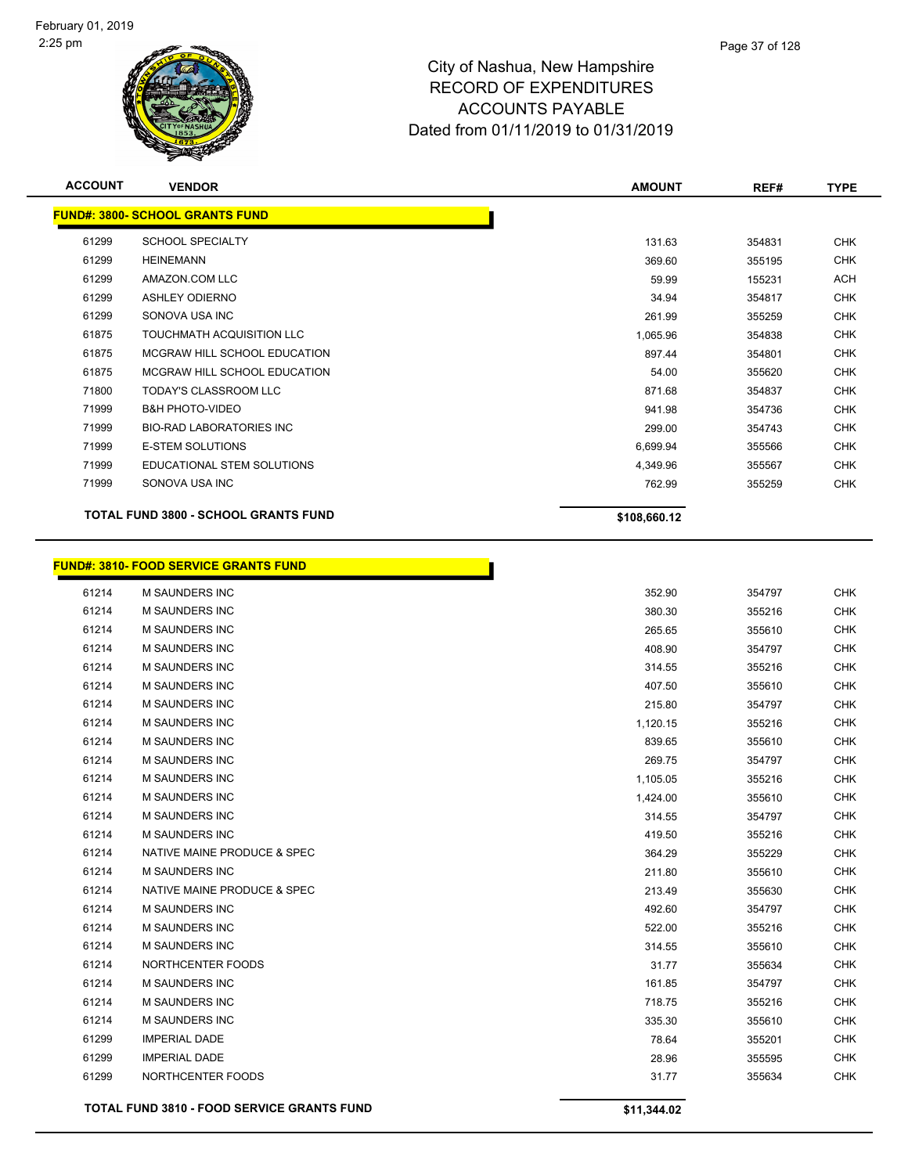

| <b>ACCOUNT</b> | <b>VENDOR</b>                               | <b>AMOUNT</b> | REF#   | <b>TYPE</b> |
|----------------|---------------------------------------------|---------------|--------|-------------|
|                | <b>FUND#: 3800- SCHOOL GRANTS FUND</b>      |               |        |             |
| 61299          | <b>SCHOOL SPECIALTY</b>                     | 131.63        | 354831 | <b>CHK</b>  |
| 61299          | <b>HEINEMANN</b>                            | 369.60        | 355195 | <b>CHK</b>  |
| 61299          | AMAZON.COM LLC                              | 59.99         | 155231 | <b>ACH</b>  |
| 61299          | <b>ASHLEY ODIERNO</b>                       | 34.94         | 354817 | <b>CHK</b>  |
| 61299          | SONOVA USA INC                              | 261.99        | 355259 | <b>CHK</b>  |
| 61875          | TOUCHMATH ACQUISITION LLC                   | 1,065.96      | 354838 | <b>CHK</b>  |
| 61875          | MCGRAW HILL SCHOOL EDUCATION                | 897.44        | 354801 | <b>CHK</b>  |
| 61875          | MCGRAW HILL SCHOOL EDUCATION                | 54.00         | 355620 | <b>CHK</b>  |
| 71800          | <b>TODAY'S CLASSROOM LLC</b>                | 871.68        | 354837 | <b>CHK</b>  |
| 71999          | <b>B&amp;H PHOTO-VIDEO</b>                  | 941.98        | 354736 | <b>CHK</b>  |
| 71999          | <b>BIO-RAD LABORATORIES INC</b>             | 299.00        | 354743 | <b>CHK</b>  |
| 71999          | <b>E-STEM SOLUTIONS</b>                     | 6,699.94      | 355566 | <b>CHK</b>  |
| 71999          | EDUCATIONAL STEM SOLUTIONS                  | 4,349.96      | 355567 | <b>CHK</b>  |
| 71999          | SONOVA USA INC                              | 762.99        | 355259 | <b>CHK</b>  |
|                | <b>TOTAL FUND 3800 - SCHOOL GRANTS FUND</b> | \$108,660.12  |        |             |

Г

# **FUND#: 3810- FOOD SERVICE GRANTS FUND**

|       | <b>TOTAL FUND 3810 - FOOD SERVICE GRANTS FUND</b> | \$11,344.02 |        |            |
|-------|---------------------------------------------------|-------------|--------|------------|
| 61299 | NORTHCENTER FOODS                                 | 31.77       | 355634 | <b>CHK</b> |
| 61299 | <b>IMPERIAL DADE</b>                              | 28.96       | 355595 | <b>CHK</b> |
| 61299 | <b>IMPERIAL DADE</b>                              | 78.64       | 355201 | <b>CHK</b> |
| 61214 | M SAUNDERS INC                                    | 335.30      | 355610 | <b>CHK</b> |
| 61214 | <b>M SAUNDERS INC</b>                             | 718.75      | 355216 | <b>CHK</b> |
| 61214 | M SAUNDERS INC                                    | 161.85      | 354797 | <b>CHK</b> |
| 61214 | NORTHCENTER FOODS                                 | 31.77       | 355634 | <b>CHK</b> |
| 61214 | <b>M SAUNDERS INC</b>                             | 314.55      | 355610 | <b>CHK</b> |
| 61214 | <b>M SAUNDERS INC</b>                             | 522.00      | 355216 | <b>CHK</b> |
| 61214 | <b>M SAUNDERS INC</b>                             | 492.60      | 354797 | <b>CHK</b> |
| 61214 | NATIVE MAINE PRODUCE & SPEC                       | 213.49      | 355630 | <b>CHK</b> |
| 61214 | <b>M SAUNDERS INC</b>                             | 211.80      | 355610 | <b>CHK</b> |
| 61214 | NATIVE MAINE PRODUCE & SPEC                       | 364.29      | 355229 | <b>CHK</b> |
| 61214 | <b>M SAUNDERS INC</b>                             | 419.50      | 355216 | <b>CHK</b> |
| 61214 | M SAUNDERS INC                                    | 314.55      | 354797 | <b>CHK</b> |
| 61214 | <b>M SAUNDERS INC</b>                             | 1,424.00    | 355610 | <b>CHK</b> |
| 61214 | <b>M SAUNDERS INC</b>                             | 1,105.05    | 355216 | <b>CHK</b> |
| 61214 | M SAUNDERS INC                                    | 269.75      | 354797 | <b>CHK</b> |
| 61214 | <b>M SAUNDERS INC</b>                             | 839.65      | 355610 | <b>CHK</b> |
| 61214 | M SAUNDERS INC                                    | 1,120.15    | 355216 | <b>CHK</b> |
| 61214 | <b>M SAUNDERS INC</b>                             | 215.80      | 354797 | <b>CHK</b> |
| 61214 | M SAUNDERS INC                                    | 407.50      | 355610 | <b>CHK</b> |
| 61214 | <b>M SAUNDERS INC</b>                             | 314.55      | 355216 | <b>CHK</b> |
| 61214 | M SAUNDERS INC                                    | 408.90      | 354797 | <b>CHK</b> |
| 61214 | <b>M SAUNDERS INC</b>                             | 265.65      | 355610 | <b>CHK</b> |
| 61214 | <b>M SAUNDERS INC</b>                             | 380.30      | 355216 | <b>CHK</b> |
| 61214 | M SAUNDERS INC                                    | 352.90      | 354797 | <b>CHK</b> |
|       |                                                   |             |        |            |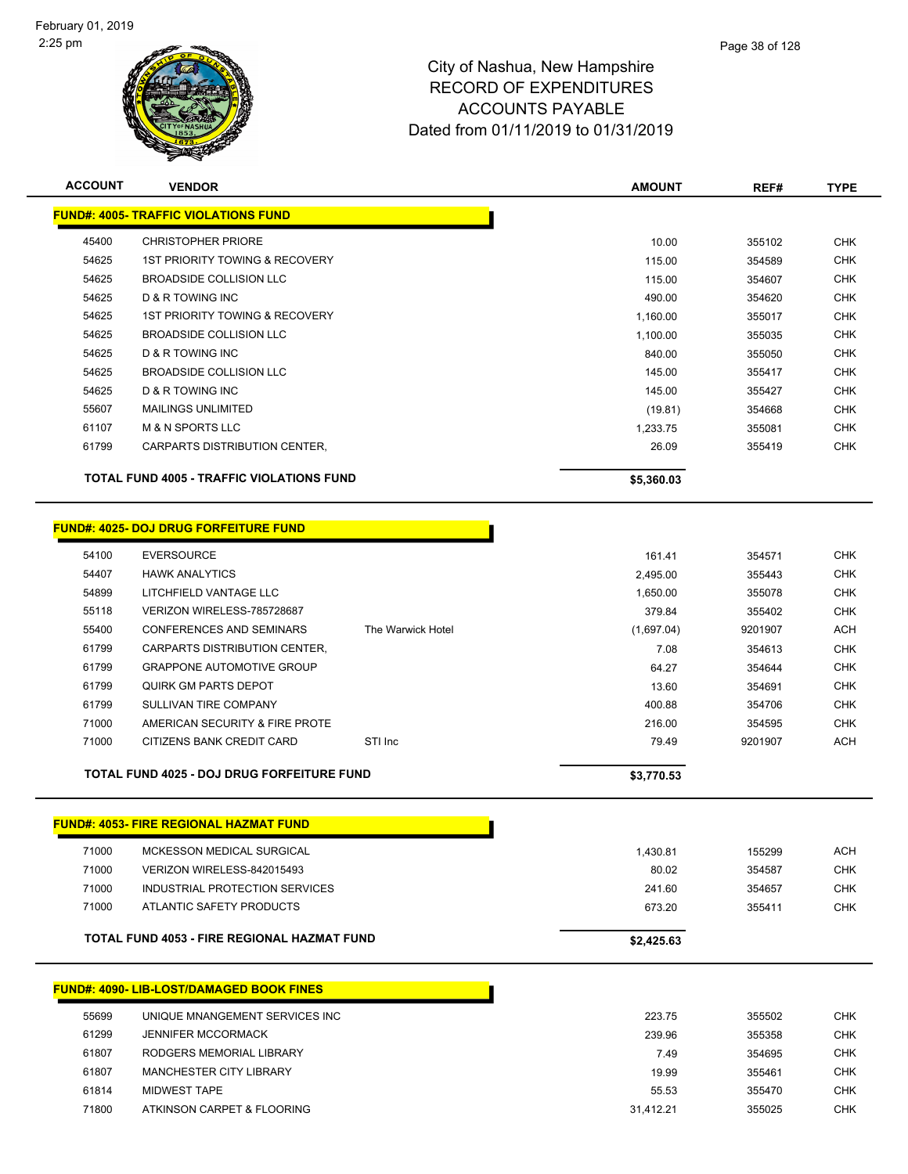

| <b>ACCOUNT</b> | <b>VENDOR</b>                                    |                   | <b>AMOUNT</b> | REF#    | <b>TYPE</b> |
|----------------|--------------------------------------------------|-------------------|---------------|---------|-------------|
|                | <b>FUND#: 4005- TRAFFIC VIOLATIONS FUND</b>      |                   |               |         |             |
| 45400          | <b>CHRISTOPHER PRIORE</b>                        |                   | 10.00         | 355102  | <b>CHK</b>  |
| 54625          | 1ST PRIORITY TOWING & RECOVERY                   |                   | 115.00        | 354589  | <b>CHK</b>  |
| 54625          | <b>BROADSIDE COLLISION LLC</b>                   |                   | 115.00        | 354607  | <b>CHK</b>  |
| 54625          | D & R TOWING INC                                 |                   | 490.00        | 354620  | <b>CHK</b>  |
| 54625          | <b>1ST PRIORITY TOWING &amp; RECOVERY</b>        |                   | 1,160.00      | 355017  | <b>CHK</b>  |
| 54625          | <b>BROADSIDE COLLISION LLC</b>                   |                   | 1,100.00      | 355035  | <b>CHK</b>  |
| 54625          | D & R TOWING INC                                 |                   | 840.00        | 355050  | <b>CHK</b>  |
| 54625          | BROADSIDE COLLISION LLC                          |                   | 145.00        | 355417  | <b>CHK</b>  |
| 54625          | D & R TOWING INC                                 |                   | 145.00        | 355427  | <b>CHK</b>  |
| 55607          | <b>MAILINGS UNLIMITED</b>                        |                   | (19.81)       | 354668  | <b>CHK</b>  |
| 61107          | <b>M &amp; N SPORTS LLC</b>                      |                   | 1,233.75      | 355081  | <b>CHK</b>  |
| 61799          | CARPARTS DISTRIBUTION CENTER,                    |                   | 26.09         | 355419  | <b>CHK</b>  |
|                | <b>TOTAL FUND 4005 - TRAFFIC VIOLATIONS FUND</b> |                   | \$5,360.03    |         |             |
|                | <b>FUND#: 4025- DOJ DRUG FORFEITURE FUND</b>     |                   |               |         |             |
| 54100          | <b>EVERSOURCE</b>                                |                   | 161.41        | 354571  | <b>CHK</b>  |
| 54407          | <b>HAWK ANALYTICS</b>                            |                   | 2,495.00      | 355443  | <b>CHK</b>  |
| 54899          | LITCHFIELD VANTAGE LLC                           |                   | 1,650.00      | 355078  | <b>CHK</b>  |
| 55118          | VERIZON WIRELESS-785728687                       |                   | 379.84        | 355402  | <b>CHK</b>  |
| 55400          | <b>CONFERENCES AND SEMINARS</b>                  | The Warwick Hotel | (1,697.04)    | 9201907 | <b>ACH</b>  |
| 61799          | CARPARTS DISTRIBUTION CENTER,                    |                   | 7.08          | 354613  | <b>CHK</b>  |
| 61799          | <b>GRAPPONE AUTOMOTIVE GROUP</b>                 |                   | 64.27         | 354644  | <b>CHK</b>  |
| 61799          | <b>QUIRK GM PARTS DEPOT</b>                      |                   | 13.60         | 354691  | <b>CHK</b>  |
| 61799          | SULLIVAN TIRE COMPANY                            |                   | 400.88        | 354706  | <b>CHK</b>  |
| 71000          | AMERICAN SECURITY & FIRE PROTE                   |                   | 216.00        | 354595  | <b>CHK</b>  |
| 71000          | CITIZENS BANK CREDIT CARD                        | STI Inc           | 79.49         | 9201907 | <b>ACH</b>  |
|                | TOTAL FUND 4025 - DOJ DRUG FORFEITURE FUND       |                   | \$3,770.53    |         |             |
|                | <b>FUND#: 4053- FIRE REGIONAL HAZMAT FUND</b>    |                   |               |         |             |
|                |                                                  |                   |               |         |             |
| 71000          | MCKESSON MEDICAL SURGICAL                        |                   | 1,430.81      | 155299  | ACH         |
| 71000          | VERIZON WIRELESS-842015493                       |                   | 80.02         | 354587  | <b>CHK</b>  |
| 71000          | INDUSTRIAL PROTECTION SERVICES                   |                   | 241.60        | 354657  | <b>CHK</b>  |
| 71000          | ATLANTIC SAFETY PRODUCTS                         |                   | 673.20        | 355411  | <b>CHK</b>  |
|                | TOTAL FUND 4053 - FIRE REGIONAL HAZMAT FUND      |                   | \$2,425.63    |         |             |
|                | <b>FUND#: 4090- LIB-LOST/DAMAGED BOOK FINES</b>  |                   |               |         |             |
| 55699          | UNIQUE MNANGEMENT SERVICES INC                   |                   | 223.75        | 355502  | <b>CHK</b>  |
| 61299          | <b>JENNIFER MCCORMACK</b>                        |                   | 239.96        | 355358  | <b>CHK</b>  |
| 61807          | RODGERS MEMORIAL LIBRARY                         |                   | 7.49          | 354695  | <b>CHK</b>  |
| 61807          | MANCHESTER CITY LIBRARY                          |                   | 19.99         | 355461  | <b>CHK</b>  |
| 61814          | <b>MIDWEST TAPE</b>                              |                   | 55.53         | 355470  | <b>CHK</b>  |
| 71800          | ATKINSON CARPET & FLOORING                       |                   | 31,412.21     | 355025  | <b>CHK</b>  |
|                |                                                  |                   |               |         |             |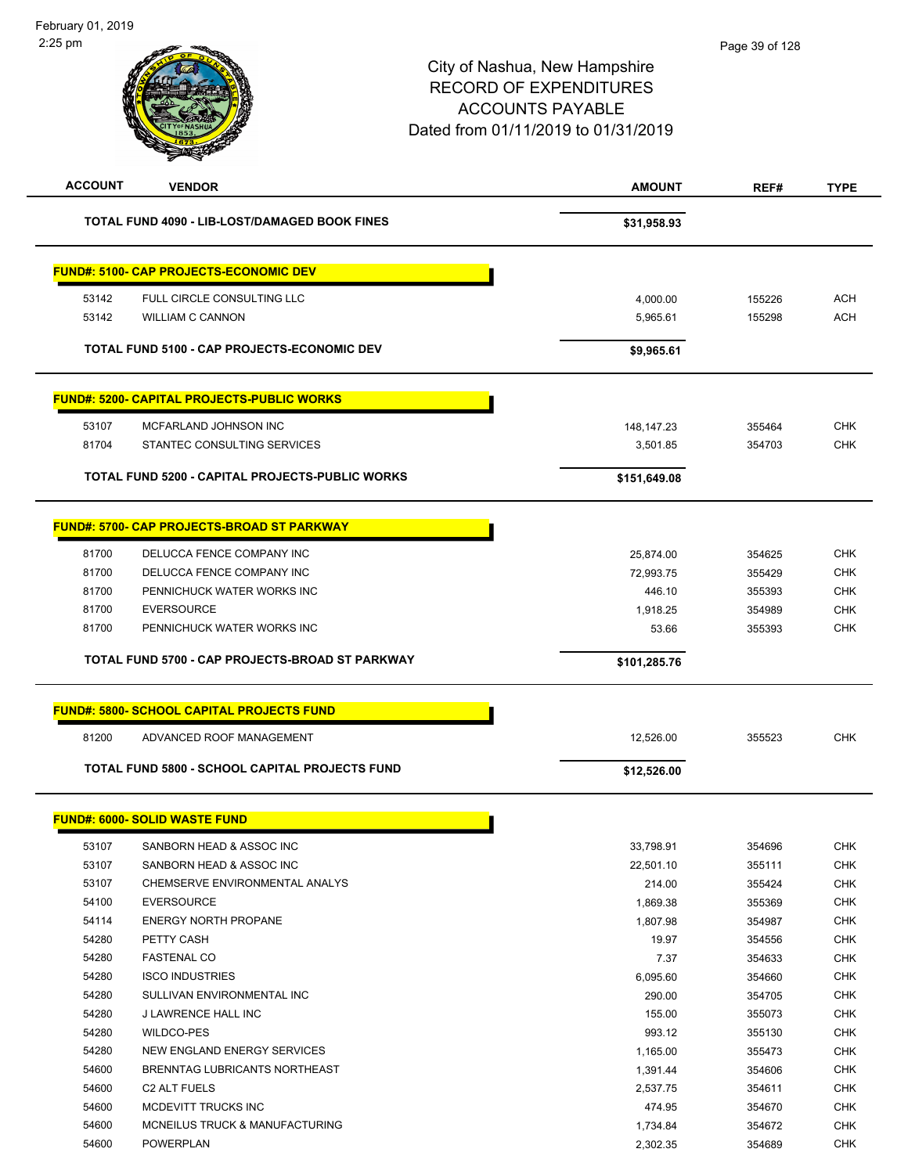| <b>ACCOUNT</b> | <b>VENDOR</b>                                         | <b>AMOUNT</b> | REF#   | <b>TYPE</b> |
|----------------|-------------------------------------------------------|---------------|--------|-------------|
|                | TOTAL FUND 4090 - LIB-LOST/DAMAGED BOOK FINES         | \$31,958.93   |        |             |
|                | <u> FUND#: 5100- CAP PROJECTS-ECONOMIC DEV</u>        |               |        |             |
| 53142          | FULL CIRCLE CONSULTING LLC                            | 4,000.00      | 155226 | <b>ACH</b>  |
| 53142          | <b>WILLIAM C CANNON</b>                               | 5,965.61      | 155298 | <b>ACH</b>  |
|                | TOTAL FUND 5100 - CAP PROJECTS-ECONOMIC DEV           | \$9,965.61    |        |             |
|                | <u> FUND#: 5200- CAPITAL PROJECTS-PUBLIC WORKS</u>    |               |        |             |
| 53107          | MCFARLAND JOHNSON INC                                 | 148, 147. 23  | 355464 | <b>CHK</b>  |
| 81704          | STANTEC CONSULTING SERVICES                           | 3,501.85      | 354703 | <b>CHK</b>  |
|                |                                                       |               |        |             |
|                | TOTAL FUND 5200 - CAPITAL PROJECTS-PUBLIC WORKS       | \$151,649.08  |        |             |
|                | <u> FUND#: 5700- CAP PROJECTS-BROAD ST PARKWAY</u>    |               |        |             |
| 81700          | DELUCCA FENCE COMPANY INC                             | 25,874.00     | 354625 | <b>CHK</b>  |
| 81700          | DELUCCA FENCE COMPANY INC                             | 72,993.75     | 355429 | <b>CHK</b>  |
| 81700          | PENNICHUCK WATER WORKS INC                            | 446.10        | 355393 | <b>CHK</b>  |
| 81700          | <b>EVERSOURCE</b>                                     | 1,918.25      | 354989 | <b>CHK</b>  |
| 81700          | PENNICHUCK WATER WORKS INC                            | 53.66         | 355393 | <b>CHK</b>  |
|                | TOTAL FUND 5700 - CAP PROJECTS-BROAD ST PARKWAY       | \$101,285.76  |        |             |
|                | <b>FUND#: 5800- SCHOOL CAPITAL PROJECTS FUND</b>      |               |        |             |
| 81200          | ADVANCED ROOF MANAGEMENT                              | 12,526.00     | 355523 | <b>CHK</b>  |
|                | <b>TOTAL FUND 5800 - SCHOOL CAPITAL PROJECTS FUND</b> | \$12,526.00   |        |             |
|                | <u> FUND#: 6000- SOLID WASTE FUND</u>                 |               |        |             |
| 53107          | SANBORN HEAD & ASSOC INC                              | 33,798.91     | 354696 | <b>CHK</b>  |
| 53107          | SANBORN HEAD & ASSOC INC                              | 22,501.10     | 355111 | <b>CHK</b>  |
| 53107          | CHEMSERVE ENVIRONMENTAL ANALYS                        | 214.00        | 355424 | <b>CHK</b>  |
| 54100          | <b>EVERSOURCE</b>                                     | 1,869.38      | 355369 | <b>CHK</b>  |
| 54114          | <b>ENERGY NORTH PROPANE</b>                           | 1,807.98      | 354987 | <b>CHK</b>  |
| 54280          | PETTY CASH                                            | 19.97         | 354556 | <b>CHK</b>  |
| 54280          | <b>FASTENAL CO</b>                                    | 7.37          | 354633 | CHK         |
| 54280          | <b>ISCO INDUSTRIES</b>                                | 6,095.60      | 354660 | <b>CHK</b>  |
| 54280          | SULLIVAN ENVIRONMENTAL INC                            | 290.00        | 354705 | <b>CHK</b>  |
| 54280          | J LAWRENCE HALL INC                                   | 155.00        | 355073 | <b>CHK</b>  |
| 54280          | WILDCO-PES                                            | 993.12        | 355130 | <b>CHK</b>  |
| 54280          | NEW ENGLAND ENERGY SERVICES                           | 1,165.00      | 355473 | CHK         |
| 54600          | BRENNTAG LUBRICANTS NORTHEAST                         | 1,391.44      | 354606 | CHK         |
| 54600          | C2 ALT FUELS                                          | 2,537.75      | 354611 | <b>CHK</b>  |
| 54600          | MCDEVITT TRUCKS INC                                   | 474.95        | 354670 | <b>CHK</b>  |
| 54600          | MCNEILUS TRUCK & MANUFACTURING                        | 1,734.84      | 354672 | <b>CHK</b>  |
| 54600          | POWERPLAN                                             | 2,302.35      | 354689 | <b>CHK</b>  |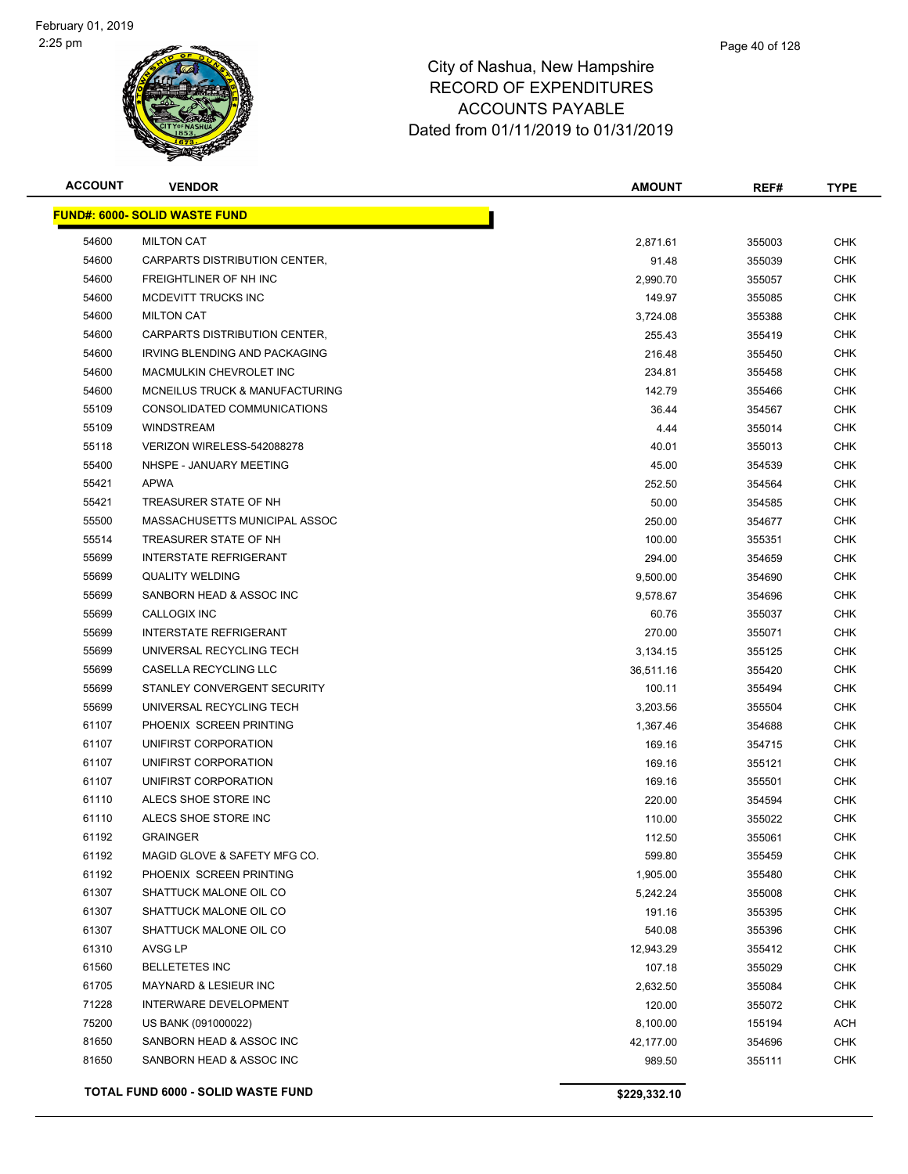

| <b>ACCOUNT</b> | <b>VENDOR</b>                        | AMOUNT       | REF#   | <b>TYPE</b> |
|----------------|--------------------------------------|--------------|--------|-------------|
|                | <b>FUND#: 6000- SOLID WASTE FUND</b> |              |        |             |
| 54600          | <b>MILTON CAT</b>                    | 2,871.61     | 355003 | <b>CHK</b>  |
| 54600          | CARPARTS DISTRIBUTION CENTER,        | 91.48        | 355039 | <b>CHK</b>  |
| 54600          | FREIGHTLINER OF NH INC               | 2,990.70     | 355057 | <b>CHK</b>  |
| 54600          | MCDEVITT TRUCKS INC                  | 149.97       | 355085 | <b>CHK</b>  |
| 54600          | <b>MILTON CAT</b>                    | 3,724.08     | 355388 | <b>CHK</b>  |
| 54600          | CARPARTS DISTRIBUTION CENTER,        | 255.43       | 355419 | <b>CHK</b>  |
| 54600          | IRVING BLENDING AND PACKAGING        | 216.48       | 355450 | <b>CHK</b>  |
| 54600          | MACMULKIN CHEVROLET INC              | 234.81       | 355458 | <b>CHK</b>  |
| 54600          | MCNEILUS TRUCK & MANUFACTURING       | 142.79       | 355466 | <b>CHK</b>  |
| 55109          | CONSOLIDATED COMMUNICATIONS          | 36.44        | 354567 | <b>CHK</b>  |
| 55109          | <b>WINDSTREAM</b>                    | 4.44         | 355014 | <b>CHK</b>  |
| 55118          | VERIZON WIRELESS-542088278           | 40.01        | 355013 | <b>CHK</b>  |
| 55400          | NHSPE - JANUARY MEETING              | 45.00        | 354539 | <b>CHK</b>  |
| 55421          | <b>APWA</b>                          | 252.50       | 354564 | <b>CHK</b>  |
| 55421          | TREASURER STATE OF NH                | 50.00        | 354585 | <b>CHK</b>  |
| 55500          | MASSACHUSETTS MUNICIPAL ASSOC        | 250.00       | 354677 | <b>CHK</b>  |
| 55514          | TREASURER STATE OF NH                | 100.00       | 355351 | <b>CHK</b>  |
| 55699          | <b>INTERSTATE REFRIGERANT</b>        | 294.00       | 354659 | CHK         |
| 55699          | <b>QUALITY WELDING</b>               | 9,500.00     | 354690 | <b>CHK</b>  |
| 55699          | SANBORN HEAD & ASSOC INC             | 9,578.67     | 354696 | <b>CHK</b>  |
| 55699          | CALLOGIX INC                         | 60.76        | 355037 | <b>CHK</b>  |
| 55699          | <b>INTERSTATE REFRIGERANT</b>        | 270.00       | 355071 | CHK         |
| 55699          | UNIVERSAL RECYCLING TECH             | 3,134.15     | 355125 | CHK         |
| 55699          | CASELLA RECYCLING LLC                | 36,511.16    | 355420 | CHK         |
| 55699          | STANLEY CONVERGENT SECURITY          | 100.11       | 355494 | CHK         |
| 55699          | UNIVERSAL RECYCLING TECH             | 3,203.56     | 355504 | <b>CHK</b>  |
| 61107          | PHOENIX SCREEN PRINTING              | 1,367.46     | 354688 | <b>CHK</b>  |
| 61107          | UNIFIRST CORPORATION                 | 169.16       | 354715 | <b>CHK</b>  |
| 61107          | UNIFIRST CORPORATION                 | 169.16       | 355121 | CHK         |
| 61107          | UNIFIRST CORPORATION                 | 169.16       | 355501 | CHK         |
| 61110          | ALECS SHOE STORE INC                 | 220.00       | 354594 | CHK         |
| 61110          | ALECS SHOE STORE INC                 | 110.00       | 355022 | CHK         |
| 61192          | <b>GRAINGER</b>                      | 112.50       | 355061 | <b>CHK</b>  |
| 61192          | MAGID GLOVE & SAFETY MFG CO.         | 599.80       | 355459 | <b>CHK</b>  |
| 61192          | PHOENIX SCREEN PRINTING              | 1,905.00     | 355480 | <b>CHK</b>  |
| 61307          | SHATTUCK MALONE OIL CO               | 5,242.24     | 355008 | <b>CHK</b>  |
| 61307          | SHATTUCK MALONE OIL CO               | 191.16       | 355395 | <b>CHK</b>  |
| 61307          | SHATTUCK MALONE OIL CO               | 540.08       | 355396 | <b>CHK</b>  |
| 61310          | AVSG LP                              | 12,943.29    | 355412 | <b>CHK</b>  |
| 61560          | <b>BELLETETES INC</b>                | 107.18       | 355029 | <b>CHK</b>  |
| 61705          | <b>MAYNARD &amp; LESIEUR INC</b>     | 2,632.50     | 355084 | <b>CHK</b>  |
| 71228          | INTERWARE DEVELOPMENT                | 120.00       | 355072 | <b>CHK</b>  |
| 75200          | US BANK (091000022)                  | 8,100.00     | 155194 | ACH         |
| 81650          | SANBORN HEAD & ASSOC INC             | 42,177.00    | 354696 | CHK         |
| 81650          | SANBORN HEAD & ASSOC INC             | 989.50       | 355111 | <b>CHK</b>  |
|                | TOTAL FUND 6000 - SOLID WASTE FUND   | \$229,332.10 |        |             |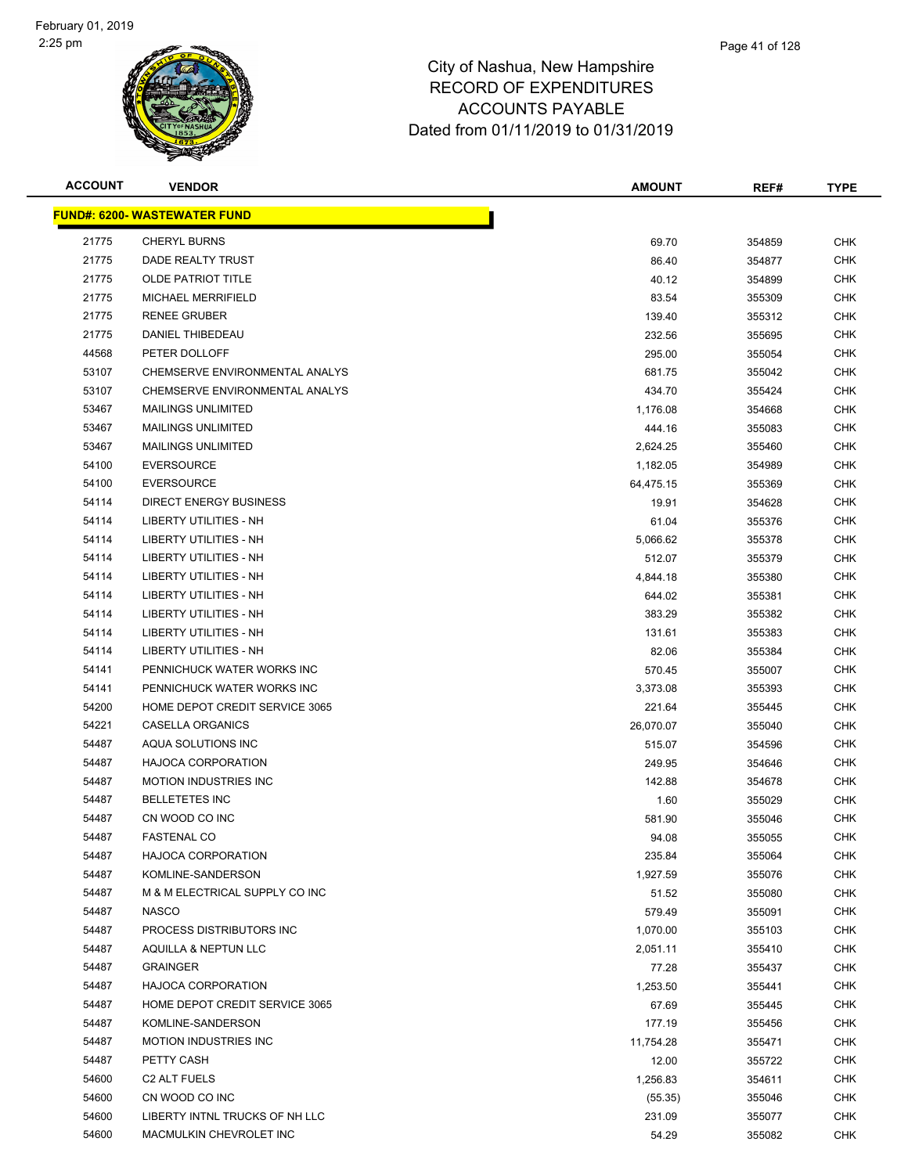

| <b>ACCOUNT</b> | <b>VENDOR</b>                        | <b>AMOUNT</b> | REF#   | <b>TYPE</b> |
|----------------|--------------------------------------|---------------|--------|-------------|
|                | <u> FUND#: 6200- WASTEWATER FUND</u> |               |        |             |
| 21775          | <b>CHERYL BURNS</b>                  | 69.70         | 354859 | <b>CHK</b>  |
| 21775          | DADE REALTY TRUST                    | 86.40         | 354877 | CHK         |
| 21775          | <b>OLDE PATRIOT TITLE</b>            | 40.12         | 354899 | CHK         |
| 21775          | MICHAEL MERRIFIELD                   | 83.54         | 355309 | <b>CHK</b>  |
| 21775          | <b>RENEE GRUBER</b>                  | 139.40        | 355312 | CHK         |
| 21775          | <b>DANIEL THIBEDEAU</b>              | 232.56        | 355695 | <b>CHK</b>  |
| 44568          | PETER DOLLOFF                        | 295.00        | 355054 | <b>CHK</b>  |
| 53107          | CHEMSERVE ENVIRONMENTAL ANALYS       | 681.75        | 355042 | CHK         |
| 53107          | CHEMSERVE ENVIRONMENTAL ANALYS       | 434.70        | 355424 | <b>CHK</b>  |
| 53467          | <b>MAILINGS UNLIMITED</b>            | 1,176.08      | 354668 | <b>CHK</b>  |
| 53467          | <b>MAILINGS UNLIMITED</b>            | 444.16        | 355083 | CHK         |
| 53467          | <b>MAILINGS UNLIMITED</b>            | 2,624.25      | 355460 | CHK         |
| 54100          | <b>EVERSOURCE</b>                    | 1,182.05      | 354989 | CHK         |
| 54100          | <b>EVERSOURCE</b>                    | 64,475.15     | 355369 | CHK         |
| 54114          | <b>DIRECT ENERGY BUSINESS</b>        | 19.91         | 354628 | <b>CHK</b>  |
| 54114          | LIBERTY UTILITIES - NH               | 61.04         | 355376 | <b>CHK</b>  |
| 54114          | LIBERTY UTILITIES - NH               | 5,066.62      | 355378 | <b>CHK</b>  |
| 54114          | <b>LIBERTY UTILITIES - NH</b>        | 512.07        | 355379 | <b>CHK</b>  |
| 54114          | LIBERTY UTILITIES - NH               | 4,844.18      | 355380 | <b>CHK</b>  |
| 54114          | <b>LIBERTY UTILITIES - NH</b>        | 644.02        | 355381 | <b>CHK</b>  |
| 54114          | LIBERTY UTILITIES - NH               | 383.29        | 355382 | CHK         |
| 54114          | LIBERTY UTILITIES - NH               | 131.61        | 355383 | CHK         |
| 54114          | LIBERTY UTILITIES - NH               | 82.06         | 355384 | <b>CHK</b>  |
| 54141          | PENNICHUCK WATER WORKS INC           | 570.45        | 355007 | CHK         |
| 54141          | PENNICHUCK WATER WORKS INC           | 3,373.08      | 355393 | CHK         |
| 54200          | HOME DEPOT CREDIT SERVICE 3065       | 221.64        | 355445 | <b>CHK</b>  |
| 54221          | CASELLA ORGANICS                     | 26,070.07     | 355040 | CHK         |
| 54487          | AQUA SOLUTIONS INC                   | 515.07        | 354596 | <b>CHK</b>  |
| 54487          | <b>HAJOCA CORPORATION</b>            | 249.95        | 354646 | <b>CHK</b>  |
| 54487          | <b>MOTION INDUSTRIES INC</b>         | 142.88        | 354678 | CHK         |
| 54487          | <b>BELLETETES INC</b>                | 1.60          | 355029 | CHK         |
| 54487          | CN WOOD CO INC                       | 581.90        | 355046 | CHK         |
| 54487          | <b>FASTENAL CO</b>                   | 94.08         | 355055 | <b>CHK</b>  |
| 54487          | <b>HAJOCA CORPORATION</b>            | 235.84        | 355064 | <b>CHK</b>  |
| 54487          | KOMLINE-SANDERSON                    | 1,927.59      | 355076 | CHK         |
| 54487          | M & M ELECTRICAL SUPPLY CO INC       | 51.52         | 355080 | <b>CHK</b>  |
| 54487          | <b>NASCO</b>                         | 579.49        | 355091 | <b>CHK</b>  |
| 54487          | PROCESS DISTRIBUTORS INC             | 1,070.00      | 355103 | <b>CHK</b>  |
| 54487          | AQUILLA & NEPTUN LLC                 | 2,051.11      | 355410 | <b>CHK</b>  |
| 54487          | <b>GRAINGER</b>                      | 77.28         | 355437 | <b>CHK</b>  |
| 54487          | <b>HAJOCA CORPORATION</b>            | 1,253.50      | 355441 | <b>CHK</b>  |
| 54487          | HOME DEPOT CREDIT SERVICE 3065       | 67.69         | 355445 | <b>CHK</b>  |
| 54487          | KOMLINE-SANDERSON                    | 177.19        | 355456 | CHK         |
| 54487          | <b>MOTION INDUSTRIES INC</b>         | 11,754.28     | 355471 | <b>CHK</b>  |
| 54487          | PETTY CASH                           | 12.00         | 355722 | <b>CHK</b>  |
| 54600          | C <sub>2</sub> ALT FUELS             | 1,256.83      | 354611 | CHK         |
| 54600          | CN WOOD CO INC                       | (55.35)       | 355046 | <b>CHK</b>  |
| 54600          | LIBERTY INTNL TRUCKS OF NH LLC       | 231.09        | 355077 | <b>CHK</b>  |
| 54600          | MACMULKIN CHEVROLET INC              | 54.29         | 355082 | <b>CHK</b>  |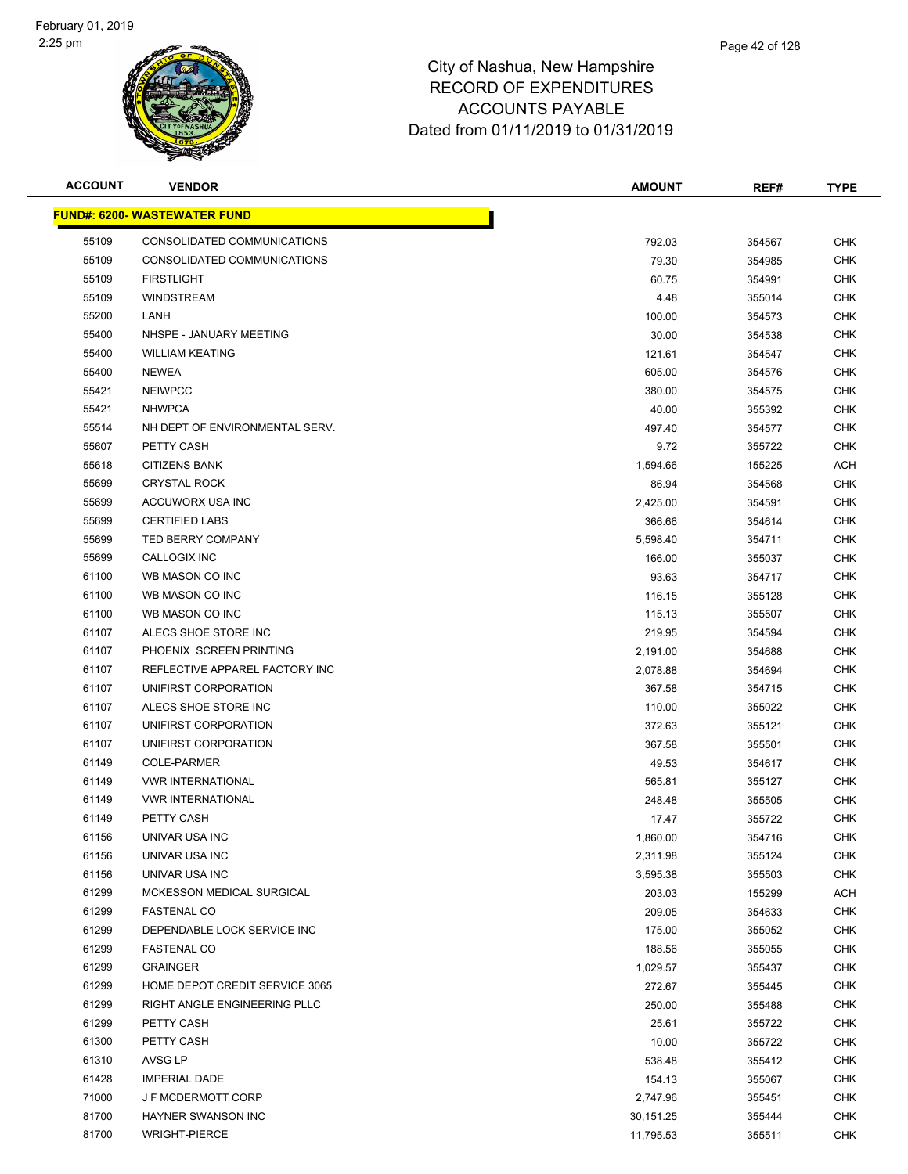

| <b>ACCOUNT</b> | <b>VENDOR</b>                        | <b>AMOUNT</b> | REF#   | <b>TYPE</b> |
|----------------|--------------------------------------|---------------|--------|-------------|
|                | <u> FUND#: 6200- WASTEWATER FUND</u> |               |        |             |
| 55109          | CONSOLIDATED COMMUNICATIONS          | 792.03        | 354567 | <b>CHK</b>  |
| 55109          | CONSOLIDATED COMMUNICATIONS          | 79.30         | 354985 | <b>CHK</b>  |
| 55109          | <b>FIRSTLIGHT</b>                    | 60.75         | 354991 | <b>CHK</b>  |
| 55109          | <b>WINDSTREAM</b>                    | 4.48          | 355014 | <b>CHK</b>  |
| 55200          | LANH                                 | 100.00        | 354573 | <b>CHK</b>  |
| 55400          | NHSPE - JANUARY MEETING              | 30.00         | 354538 | <b>CHK</b>  |
| 55400          | <b>WILLIAM KEATING</b>               | 121.61        | 354547 | <b>CHK</b>  |
| 55400          | <b>NEWEA</b>                         | 605.00        | 354576 | <b>CHK</b>  |
| 55421          | <b>NEIWPCC</b>                       | 380.00        | 354575 | <b>CHK</b>  |
| 55421          | <b>NHWPCA</b>                        | 40.00         | 355392 | <b>CHK</b>  |
| 55514          | NH DEPT OF ENVIRONMENTAL SERV.       | 497.40        | 354577 | CHK         |
| 55607          | PETTY CASH                           | 9.72          | 355722 | <b>CHK</b>  |
| 55618          | <b>CITIZENS BANK</b>                 | 1,594.66      | 155225 | ACH         |
| 55699          | <b>CRYSTAL ROCK</b>                  | 86.94         | 354568 | <b>CHK</b>  |
| 55699          | ACCUWORX USA INC                     | 2,425.00      | 354591 | <b>CHK</b>  |
| 55699          | <b>CERTIFIED LABS</b>                | 366.66        | 354614 | CHK         |
| 55699          | <b>TED BERRY COMPANY</b>             | 5,598.40      | 354711 | <b>CHK</b>  |
| 55699          | CALLOGIX INC                         | 166.00        | 355037 | <b>CHK</b>  |
| 61100          | WB MASON CO INC                      | 93.63         | 354717 | <b>CHK</b>  |
| 61100          | WB MASON CO INC                      | 116.15        | 355128 | <b>CHK</b>  |
| 61100          | WB MASON CO INC                      | 115.13        | 355507 | <b>CHK</b>  |
| 61107          | ALECS SHOE STORE INC                 | 219.95        | 354594 | CHK         |
| 61107          | PHOENIX SCREEN PRINTING              | 2,191.00      | 354688 | <b>CHK</b>  |
| 61107          | REFLECTIVE APPAREL FACTORY INC       | 2,078.88      | 354694 | <b>CHK</b>  |
| 61107          | UNIFIRST CORPORATION                 | 367.58        | 354715 | <b>CHK</b>  |
| 61107          | ALECS SHOE STORE INC                 | 110.00        | 355022 | <b>CHK</b>  |
| 61107          | UNIFIRST CORPORATION                 | 372.63        | 355121 | <b>CHK</b>  |
| 61107          | UNIFIRST CORPORATION                 | 367.58        | 355501 | <b>CHK</b>  |
| 61149          | COLE-PARMER                          | 49.53         | 354617 | <b>CHK</b>  |
| 61149          | <b>VWR INTERNATIONAL</b>             | 565.81        | 355127 | CHK         |
| 61149          | <b>VWR INTERNATIONAL</b>             | 248.48        | 355505 | CHK         |
| 61149          | PETTY CASH                           | 17.47         | 355722 | CHK         |
| 61156          | UNIVAR USA INC                       | 1,860.00      | 354716 | <b>CHK</b>  |
| 61156          | UNIVAR USA INC                       | 2,311.98      | 355124 | <b>CHK</b>  |
| 61156          | UNIVAR USA INC                       | 3,595.38      | 355503 | CHK         |
| 61299          | MCKESSON MEDICAL SURGICAL            | 203.03        | 155299 | <b>ACH</b>  |
| 61299          | <b>FASTENAL CO</b>                   | 209.05        | 354633 | <b>CHK</b>  |
| 61299          | DEPENDABLE LOCK SERVICE INC          | 175.00        | 355052 | <b>CHK</b>  |
| 61299          | <b>FASTENAL CO</b>                   | 188.56        | 355055 | <b>CHK</b>  |
| 61299          | <b>GRAINGER</b>                      | 1,029.57      | 355437 | <b>CHK</b>  |
| 61299          | HOME DEPOT CREDIT SERVICE 3065       | 272.67        | 355445 | <b>CHK</b>  |
| 61299          | RIGHT ANGLE ENGINEERING PLLC         | 250.00        | 355488 | <b>CHK</b>  |
| 61299          | PETTY CASH                           | 25.61         | 355722 | <b>CHK</b>  |
| 61300          | PETTY CASH                           | 10.00         | 355722 | <b>CHK</b>  |
| 61310          | AVSG LP                              | 538.48        | 355412 | CHK         |
| 61428          | <b>IMPERIAL DADE</b>                 | 154.13        | 355067 | CHK         |
| 71000          | J F MCDERMOTT CORP                   | 2,747.96      | 355451 | <b>CHK</b>  |
| 81700          | HAYNER SWANSON INC                   | 30,151.25     | 355444 | <b>CHK</b>  |
| 81700          | <b>WRIGHT-PIERCE</b>                 | 11,795.53     | 355511 | <b>CHK</b>  |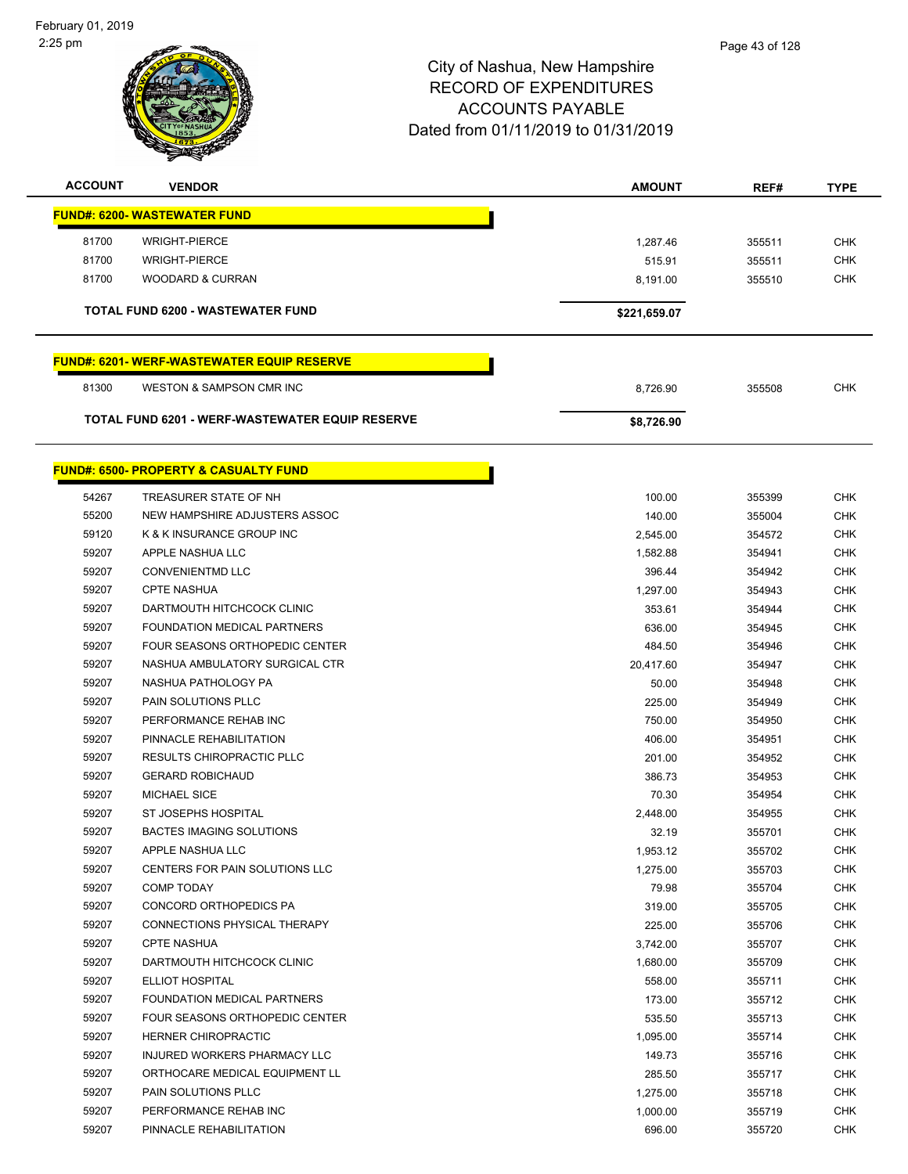| <b>ACCOUNT</b> | <b>VENDOR</b>                                              | <b>AMOUNT</b>      | REF#             | <b>TYPE</b>              |
|----------------|------------------------------------------------------------|--------------------|------------------|--------------------------|
|                | <b>FUND#: 6200- WASTEWATER FUND</b>                        |                    |                  |                          |
| 81700          | <b>WRIGHT-PIERCE</b>                                       | 1,287.46           | 355511           | <b>CHK</b>               |
| 81700          | <b>WRIGHT-PIERCE</b>                                       | 515.91             | 355511           | <b>CHK</b>               |
| 81700          | <b>WOODARD &amp; CURRAN</b>                                | 8,191.00           | 355510           | <b>CHK</b>               |
|                |                                                            |                    |                  |                          |
|                | TOTAL FUND 6200 - WASTEWATER FUND                          | \$221,659.07       |                  |                          |
|                | <b>FUND#: 6201-WERF-WASTEWATER EQUIP RESERVE</b>           |                    |                  |                          |
| 81300          | <b>WESTON &amp; SAMPSON CMR INC</b>                        | 8,726.90           | 355508           | <b>CHK</b>               |
|                | <b>TOTAL FUND 6201 - WERF-WASTEWATER EQUIP RESERVE</b>     | \$8,726.90         |                  |                          |
|                | <b>FUND#: 6500- PROPERTY &amp; CASUALTY FUND</b>           |                    |                  |                          |
|                |                                                            |                    |                  |                          |
| 54267          | TREASURER STATE OF NH                                      | 100.00             | 355399           | <b>CHK</b>               |
| 55200<br>59120 | NEW HAMPSHIRE ADJUSTERS ASSOC<br>K & K INSURANCE GROUP INC | 140.00<br>2,545.00 | 355004<br>354572 | <b>CHK</b><br><b>CHK</b> |
| 59207          | APPLE NASHUA LLC                                           | 1,582.88           | 354941           | <b>CHK</b>               |
| 59207          | <b>CONVENIENTMD LLC</b>                                    | 396.44             | 354942           | <b>CHK</b>               |
| 59207          | <b>CPTE NASHUA</b>                                         | 1,297.00           | 354943           | <b>CHK</b>               |
| 59207          | DARTMOUTH HITCHCOCK CLINIC                                 | 353.61             | 354944           | <b>CHK</b>               |
| 59207          | FOUNDATION MEDICAL PARTNERS                                | 636.00             | 354945           | <b>CHK</b>               |
| 59207          | FOUR SEASONS ORTHOPEDIC CENTER                             | 484.50             | 354946           | <b>CHK</b>               |
| 59207          | NASHUA AMBULATORY SURGICAL CTR                             | 20,417.60          | 354947           | <b>CHK</b>               |
| 59207          | NASHUA PATHOLOGY PA                                        | 50.00              | 354948           | <b>CHK</b>               |
| 59207          | PAIN SOLUTIONS PLLC                                        | 225.00             | 354949           | <b>CHK</b>               |
| 59207          | PERFORMANCE REHAB INC                                      | 750.00             | 354950           | <b>CHK</b>               |
| 59207          | PINNACLE REHABILITATION                                    | 406.00             | 354951           | <b>CHK</b>               |
| 59207          | <b>RESULTS CHIROPRACTIC PLLC</b>                           | 201.00             | 354952           | <b>CHK</b>               |
| 59207          | <b>GERARD ROBICHAUD</b>                                    | 386.73             | 354953           | <b>CHK</b>               |
| 59207          | <b>MICHAEL SICE</b>                                        | 70.30              | 354954           | <b>CHK</b>               |
| 59207          | ST JOSEPHS HOSPITAL                                        | 2,448.00           | 354955           | <b>CHK</b>               |
| 59207          | <b>BACTES IMAGING SOLUTIONS</b>                            | 32.19              | 355701           | <b>CHK</b>               |
| 59207          | APPLE NASHUA LLC                                           | 1,953.12           | 355702           | <b>CHK</b>               |
| 59207          | CENTERS FOR PAIN SOLUTIONS LLC                             | 1,275.00           | 355703           | <b>CHK</b>               |
| 59207          | <b>COMP TODAY</b>                                          | 79.98              | 355704           | <b>CHK</b>               |
| 59207          | CONCORD ORTHOPEDICS PA                                     | 319.00             | 355705           | <b>CHK</b>               |
| 59207          | CONNECTIONS PHYSICAL THERAPY                               | 225.00             | 355706           | <b>CHK</b>               |
| 59207          | <b>CPTE NASHUA</b>                                         | 3,742.00           | 355707           | <b>CHK</b>               |
| 59207          | DARTMOUTH HITCHCOCK CLINIC                                 | 1,680.00           | 355709           | <b>CHK</b>               |
| 59207          | <b>ELLIOT HOSPITAL</b>                                     | 558.00             | 355711           | <b>CHK</b>               |
| 59207          | FOUNDATION MEDICAL PARTNERS                                | 173.00             | 355712           | <b>CHK</b>               |
| 59207          | <b>FOUR SEASONS ORTHOPEDIC CENTER</b>                      | 535.50             | 355713           | <b>CHK</b>               |
| 59207          | HERNER CHIROPRACTIC                                        | 1,095.00           | 355714           | <b>CHK</b>               |
| 59207          | INJURED WORKERS PHARMACY LLC                               | 149.73             | 355716           | <b>CHK</b>               |
| 59207          | ORTHOCARE MEDICAL EQUIPMENT LL                             | 285.50             | 355717           | CHK                      |
| 59207          | PAIN SOLUTIONS PLLC                                        | 1,275.00           | 355718           | CHK                      |
| 59207          | PERFORMANCE REHAB INC                                      | 1,000.00           | 355719           | <b>CHK</b>               |
| 59207          | PINNACLE REHABILITATION                                    | 696.00             | 355720           | <b>CHK</b>               |
|                |                                                            |                    |                  |                          |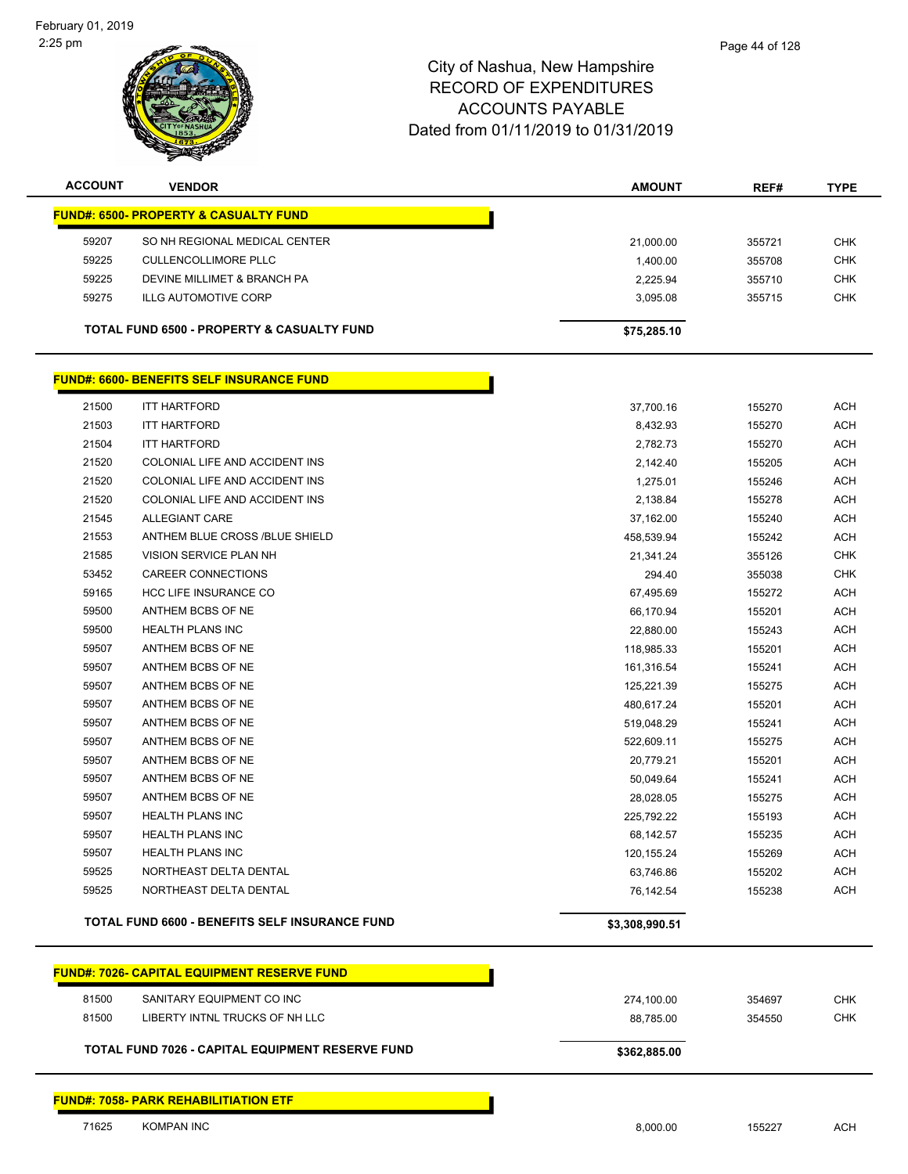February 01, 2019 2:25 pm



| <b>ACCOUNT</b> | <b>VENDOR</b>                                               | <b>AMOUNT</b>  | REF#   | <b>TYPE</b> |
|----------------|-------------------------------------------------------------|----------------|--------|-------------|
|                | <b>FUND#: 6500- PROPERTY &amp; CASUALTY FUND</b>            |                |        |             |
| 59207          | SO NH REGIONAL MEDICAL CENTER                               | 21,000.00      | 355721 | <b>CHK</b>  |
| 59225          | <b>CULLENCOLLIMORE PLLC</b>                                 | 1,400.00       | 355708 | <b>CHK</b>  |
| 59225          | DEVINE MILLIMET & BRANCH PA                                 | 2,225.94       | 355710 | <b>CHK</b>  |
| 59275          | <b>ILLG AUTOMOTIVE CORP</b>                                 | 3,095.08       | 355715 | <b>CHK</b>  |
|                | <b>TOTAL FUND 6500 - PROPERTY &amp; CASUALTY FUND</b>       | \$75,285.10    |        |             |
|                | <b>FUND#: 6600- BENEFITS SELF INSURANCE FUND</b>            |                |        |             |
| 21500          | <b>ITT HARTFORD</b>                                         | 37,700.16      | 155270 | <b>ACH</b>  |
| 21503          | <b>ITT HARTFORD</b>                                         | 8,432.93       | 155270 | ACH         |
| 21504          | <b>ITT HARTFORD</b>                                         | 2,782.73       | 155270 | <b>ACH</b>  |
| 21520          | COLONIAL LIFE AND ACCIDENT INS                              | 2,142.40       | 155205 | <b>ACH</b>  |
| 21520          | COLONIAL LIFE AND ACCIDENT INS                              | 1,275.01       | 155246 | <b>ACH</b>  |
| 21520          | COLONIAL LIFE AND ACCIDENT INS                              | 2,138.84       | 155278 | ACH         |
| 21545          | ALLEGIANT CARE                                              | 37,162.00      | 155240 | ACH         |
| 21553          | ANTHEM BLUE CROSS /BLUE SHIELD                              | 458,539.94     | 155242 | ACH         |
| 21585          | VISION SERVICE PLAN NH                                      | 21,341.24      | 355126 | <b>CHK</b>  |
| 53452          | <b>CAREER CONNECTIONS</b>                                   | 294.40         | 355038 | <b>CHK</b>  |
| 59165          | <b>HCC LIFE INSURANCE CO</b>                                | 67,495.69      | 155272 | ACH         |
| 59500          | ANTHEM BCBS OF NE                                           | 66,170.94      | 155201 | <b>ACH</b>  |
| 59500          | <b>HEALTH PLANS INC</b>                                     | 22,880.00      | 155243 | ACH         |
| 59507          | ANTHEM BCBS OF NE                                           | 118,985.33     | 155201 | <b>ACH</b>  |
| 59507          | ANTHEM BCBS OF NE                                           | 161,316.54     | 155241 | <b>ACH</b>  |
| 59507          | ANTHEM BCBS OF NE                                           | 125,221.39     | 155275 | <b>ACH</b>  |
| 59507          | ANTHEM BCBS OF NE                                           | 480,617.24     | 155201 | <b>ACH</b>  |
| 59507          | ANTHEM BCBS OF NE                                           | 519,048.29     | 155241 | ACH         |
| 59507          | ANTHEM BCBS OF NE                                           | 522,609.11     | 155275 | <b>ACH</b>  |
| 59507          | ANTHEM BCBS OF NE                                           | 20,779.21      | 155201 | <b>ACH</b>  |
| 59507          | ANTHEM BCBS OF NE                                           | 50,049.64      | 155241 | ACH         |
| 59507          | ANTHEM BCBS OF NE                                           | 28,028.05      | 155275 | ACH         |
| 59507          | <b>HEALTH PLANS INC</b>                                     | 225,792.22     | 155193 | ACH         |
| 59507          | <b>HEALTH PLANS INC</b>                                     | 68.142.57      | 155235 | ACH         |
| 59507          | HEALTH PLANS INC                                            | 120, 155. 24   | 155269 | <b>ACH</b>  |
| 59525          | NORTHEAST DELTA DENTAL                                      | 63,746.86      | 155202 | <b>ACH</b>  |
| 59525          | NORTHEAST DELTA DENTAL                                      | 76,142.54      | 155238 | ACH         |
|                | <b>TOTAL FUND 6600 - BENEFITS SELF INSURANCE FUND</b>       | \$3,308,990.51 |        |             |
|                | <b>FUND#: 7026- CAPITAL EQUIPMENT RESERVE FUND</b>          |                |        |             |
|                |                                                             |                |        |             |
| 81500          | SANITARY EQUIPMENT CO INC<br>LIBERTY INTNL TRUCKS OF NH LLC | 274,100.00     | 354697 | <b>CHK</b>  |
| 81500          |                                                             | 88,785.00      | 354550 | <b>CHK</b>  |
|                | TOTAL FUND 7026 - CAPITAL EQUIPMENT RESERVE FUND            | \$362,885.00   |        |             |
|                | <b>FUND#: 7058- PARK REHABILITIATION ETF</b>                |                |        |             |
| 71625          | <b>KOMPAN INC</b>                                           | 8,000.00       | 155227 | <b>ACH</b>  |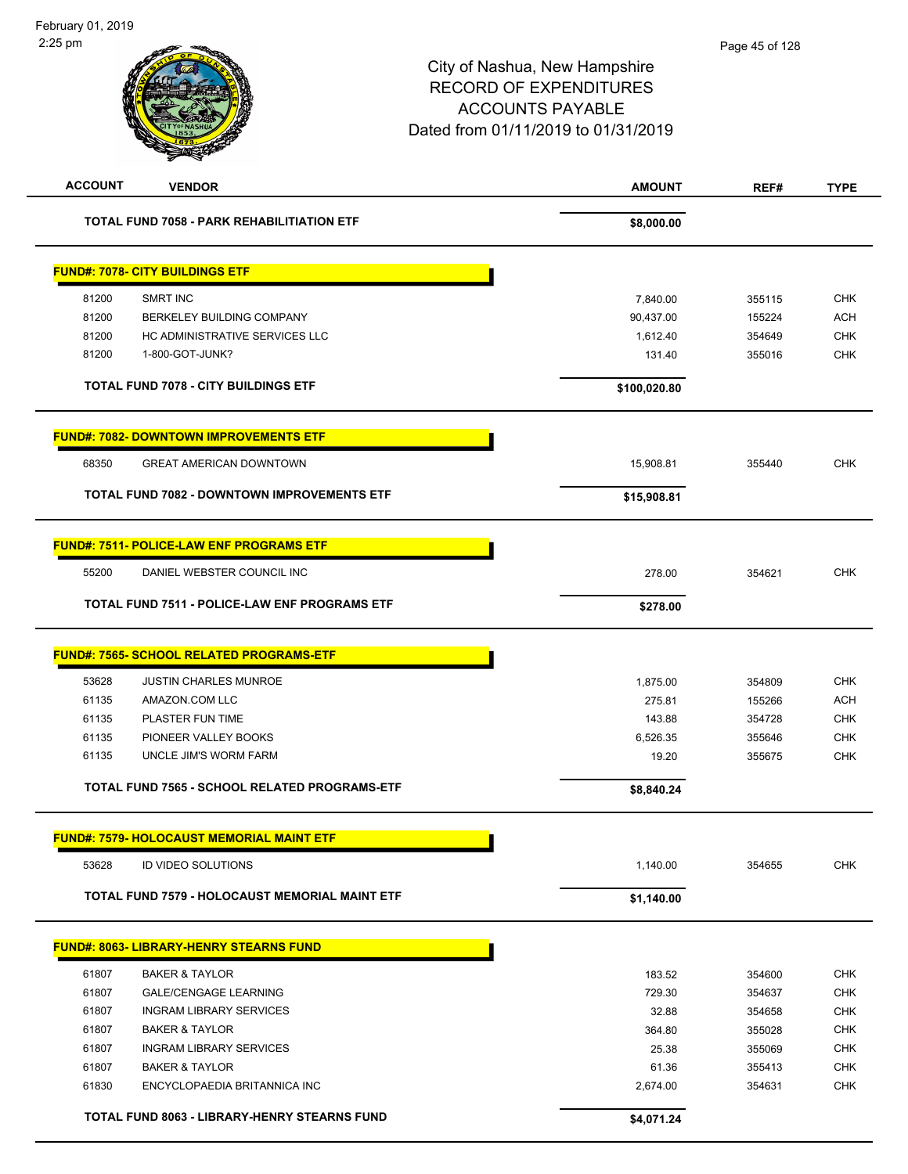| <b>ACCOUNT</b><br><b>VENDOR</b>                                 | <b>AMOUNT</b>     | REF#             | <b>TYPE</b>              |
|-----------------------------------------------------------------|-------------------|------------------|--------------------------|
| <b>TOTAL FUND 7058 - PARK REHABILITIATION ETF</b>               | \$8,000.00        |                  |                          |
| <b>FUND#: 7078- CITY BUILDINGS ETF</b>                          |                   |                  |                          |
| 81200<br><b>SMRT INC</b>                                        | 7,840.00          | 355115           | <b>CHK</b>               |
| 81200<br>BERKELEY BUILDING COMPANY                              | 90,437.00         | 155224           | <b>ACH</b>               |
| 81200<br>HC ADMINISTRATIVE SERVICES LLC                         | 1,612.40          | 354649           | <b>CHK</b>               |
| 81200<br>1-800-GOT-JUNK?                                        | 131.40            | 355016           | <b>CHK</b>               |
| TOTAL FUND 7078 - CITY BUILDINGS ETF                            | \$100,020.80      |                  |                          |
| <b>FUND#: 7082- DOWNTOWN IMPROVEMENTS ETF</b>                   |                   |                  |                          |
| 68350<br><b>GREAT AMERICAN DOWNTOWN</b>                         | 15,908.81         | 355440           | <b>CHK</b>               |
| <b>TOTAL FUND 7082 - DOWNTOWN IMPROVEMENTS ETF</b>              | \$15,908.81       |                  |                          |
| <b>FUND#: 7511- POLICE-LAW ENF PROGRAMS ETF</b>                 |                   |                  |                          |
| 55200<br>DANIEL WEBSTER COUNCIL INC                             | 278.00            | 354621           | <b>CHK</b>               |
| TOTAL FUND 7511 - POLICE-LAW ENF PROGRAMS ETF                   | \$278.00          |                  |                          |
| <b>FUND#: 7565- SCHOOL RELATED PROGRAMS-ETF</b>                 |                   |                  |                          |
|                                                                 |                   |                  |                          |
| 53628<br><b>JUSTIN CHARLES MUNROE</b>                           | 1,875.00          | 354809           | <b>CHK</b>               |
| 61135<br>AMAZON.COM LLC                                         | 275.81            | 155266           | <b>ACH</b>               |
| 61135<br>PLASTER FUN TIME                                       | 143.88            | 354728           | <b>CHK</b>               |
| 61135<br>PIONEER VALLEY BOOKS<br>61135<br>UNCLE JIM'S WORM FARM | 6,526.35<br>19.20 | 355646<br>355675 | <b>CHK</b><br><b>CHK</b> |
|                                                                 |                   |                  |                          |
| TOTAL FUND 7565 - SCHOOL RELATED PROGRAMS-ETF                   | \$8,840.24        |                  |                          |
| <b>FUND#: 7579- HOLOCAUST MEMORIAL MAINT ETF</b>                |                   |                  |                          |
| 53628<br>ID VIDEO SOLUTIONS                                     | 1,140.00          | 354655           | <b>CHK</b>               |
| TOTAL FUND 7579 - HOLOCAUST MEMORIAL MAINT ETF                  | \$1,140.00        |                  |                          |
| <b>FUND#: 8063- LIBRARY-HENRY STEARNS FUND</b>                  |                   |                  |                          |
| <b>BAKER &amp; TAYLOR</b><br>61807                              | 183.52            | 354600           | <b>CHK</b>               |
| 61807<br><b>GALE/CENGAGE LEARNING</b>                           | 729.30            | 354637           | CHK                      |
| 61807<br><b>INGRAM LIBRARY SERVICES</b>                         | 32.88             | 354658           | <b>CHK</b>               |
| 61807<br><b>BAKER &amp; TAYLOR</b>                              | 364.80            | 355028           | <b>CHK</b>               |
| 61807<br><b>INGRAM LIBRARY SERVICES</b>                         | 25.38             | 355069           | <b>CHK</b>               |
| 61807<br><b>BAKER &amp; TAYLOR</b>                              | 61.36             | 355413           | <b>CHK</b>               |
| 61830<br>ENCYCLOPAEDIA BRITANNICA INC                           | 2,674.00          | 354631           | <b>CHK</b>               |
| TOTAL FUND 8063 - LIBRARY-HENRY STEARNS FUND                    | \$4,071.24        |                  |                          |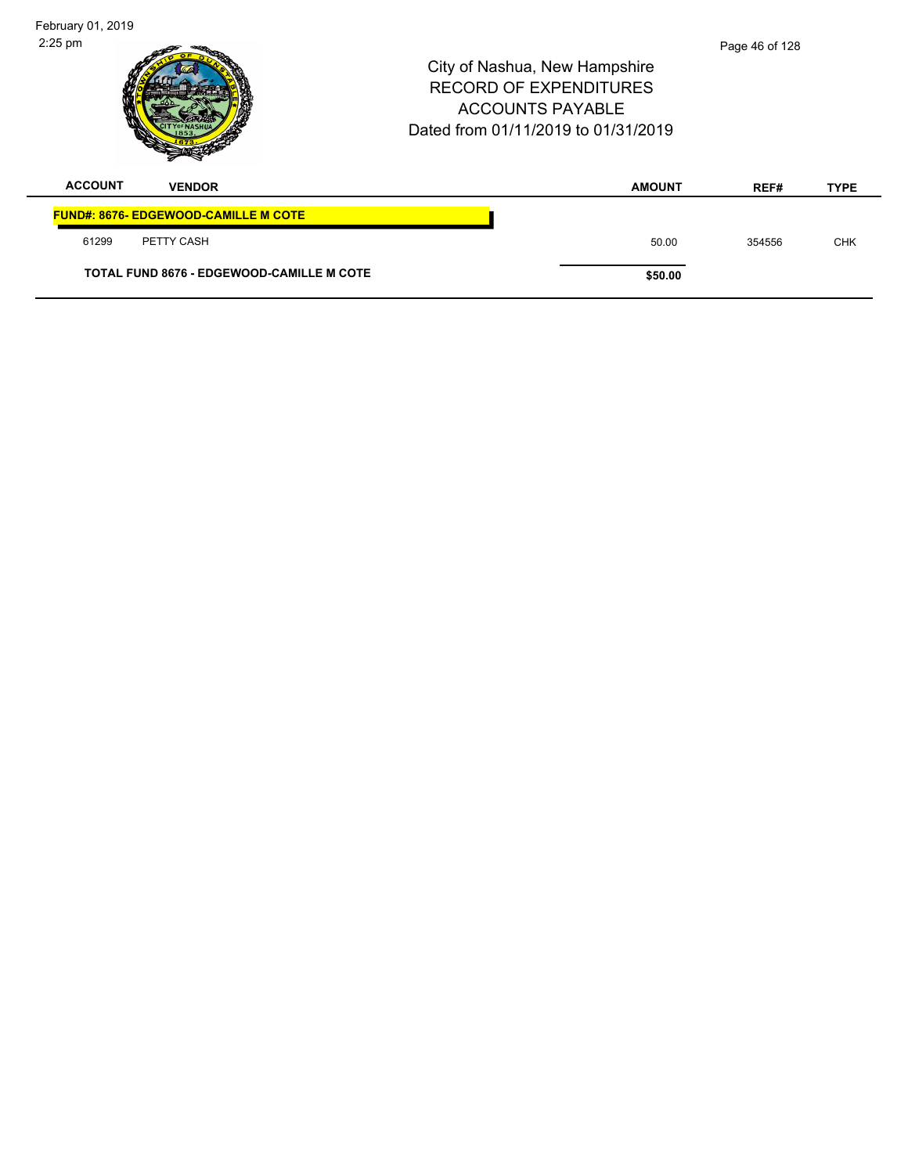| February 01, 2019 |                                                  |                                                                                                                                  |                |             |
|-------------------|--------------------------------------------------|----------------------------------------------------------------------------------------------------------------------------------|----------------|-------------|
| $2:25$ pm         |                                                  | City of Nashua, New Hampshire<br><b>RECORD OF EXPENDITURES</b><br><b>ACCOUNTS PAYABLE</b><br>Dated from 01/11/2019 to 01/31/2019 | Page 46 of 128 |             |
| <b>ACCOUNT</b>    | <b>VENDOR</b>                                    | <b>AMOUNT</b>                                                                                                                    | REF#           | <b>TYPE</b> |
|                   | <b>FUND#: 8676- EDGEWOOD-CAMILLE M COTE</b>      |                                                                                                                                  |                |             |
| 61299             | PETTY CASH                                       | 50.00                                                                                                                            | 354556         | <b>CHK</b>  |
|                   | <b>TOTAL FUND 8676 - EDGEWOOD-CAMILLE M COTE</b> | \$50.00                                                                                                                          |                |             |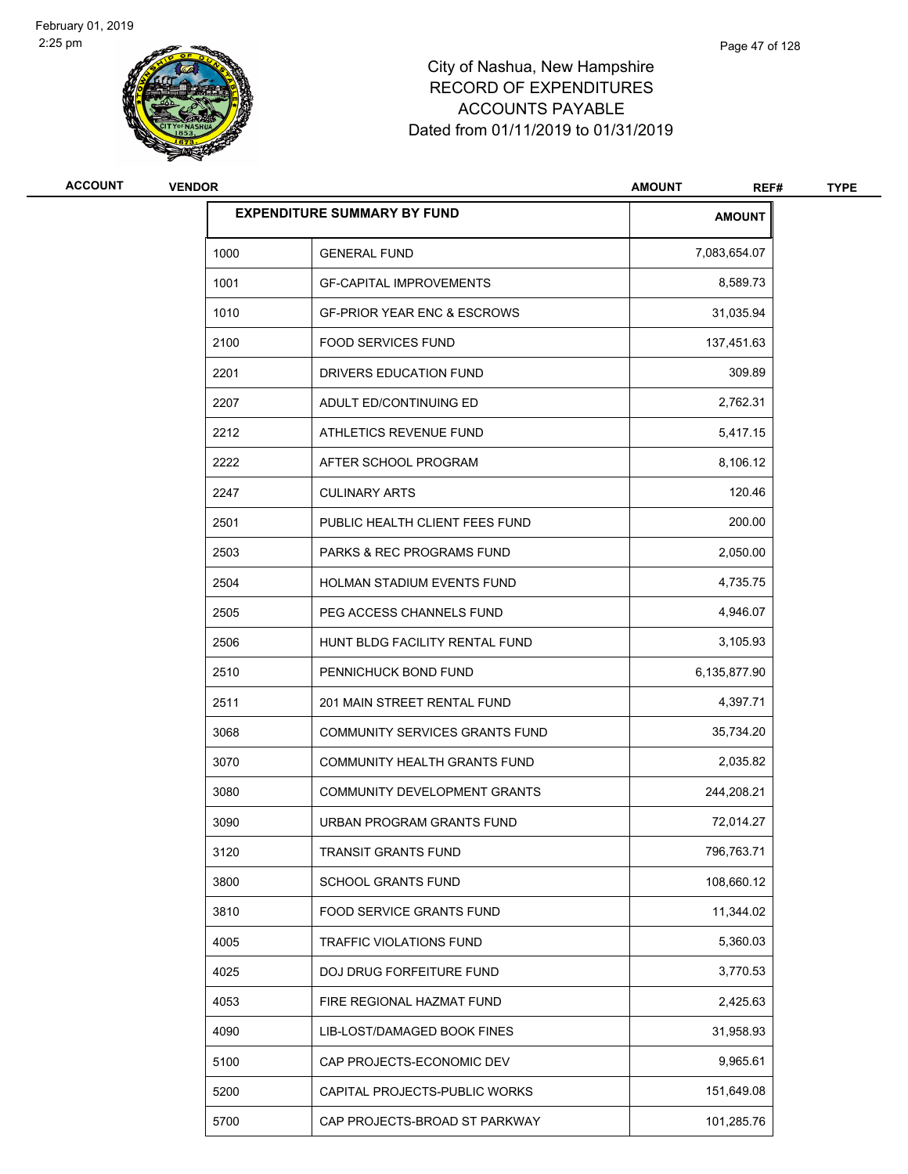

| <b>ACCOUNT</b> | <b>VENDOR</b> |                                        | <b>AMOUNT</b><br>REF# | <b>TYPE</b> |
|----------------|---------------|----------------------------------------|-----------------------|-------------|
|                |               | <b>EXPENDITURE SUMMARY BY FUND</b>     | <b>AMOUNT</b>         |             |
|                | 1000          | <b>GENERAL FUND</b>                    | 7,083,654.07          |             |
|                | 1001          | <b>GF-CAPITAL IMPROVEMENTS</b>         | 8,589.73              |             |
|                | 1010          | <b>GF-PRIOR YEAR ENC &amp; ESCROWS</b> | 31,035.94             |             |
|                | 2100          | <b>FOOD SERVICES FUND</b>              | 137,451.63            |             |
|                | 2201          | DRIVERS EDUCATION FUND                 | 309.89                |             |
|                | 2207          | ADULT ED/CONTINUING ED                 | 2,762.31              |             |
|                | 2212          | ATHLETICS REVENUE FUND                 | 5,417.15              |             |
|                | 2222          | AFTER SCHOOL PROGRAM                   | 8,106.12              |             |
|                | 2247          | <b>CULINARY ARTS</b>                   | 120.46                |             |
|                | 2501          | PUBLIC HEALTH CLIENT FEES FUND         | 200.00                |             |
|                | 2503          | <b>PARKS &amp; REC PROGRAMS FUND</b>   | 2,050.00              |             |
|                | 2504          | <b>HOLMAN STADIUM EVENTS FUND</b>      | 4,735.75              |             |
|                | 2505          | PEG ACCESS CHANNELS FUND               | 4,946.07              |             |
|                | 2506          | HUNT BLDG FACILITY RENTAL FUND         | 3,105.93              |             |
|                | 2510          | PENNICHUCK BOND FUND                   | 6,135,877.90          |             |
|                | 2511          | 201 MAIN STREET RENTAL FUND            | 4,397.71              |             |
|                | 3068          | COMMUNITY SERVICES GRANTS FUND         | 35,734.20             |             |
|                | 3070          | COMMUNITY HEALTH GRANTS FUND           | 2,035.82              |             |
|                | 3080          | COMMUNITY DEVELOPMENT GRANTS           | 244,208.21            |             |
|                | 3090          | URBAN PROGRAM GRANTS FUND              | 72,014.27             |             |
|                | 3120          | <b>TRANSIT GRANTS FUND</b>             | 796,763.71            |             |
|                | 3800          | SCHOOL GRANTS FUND                     | 108,660.12            |             |
|                | 3810          | FOOD SERVICE GRANTS FUND               | 11,344.02             |             |
|                | 4005          | TRAFFIC VIOLATIONS FUND                | 5,360.03              |             |
|                | 4025          | DOJ DRUG FORFEITURE FUND               | 3,770.53              |             |
|                | 4053          | FIRE REGIONAL HAZMAT FUND              | 2,425.63              |             |
|                | 4090          | LIB-LOST/DAMAGED BOOK FINES            | 31,958.93             |             |
|                | 5100          | CAP PROJECTS-ECONOMIC DEV              | 9,965.61              |             |
|                | 5200          | CAPITAL PROJECTS-PUBLIC WORKS          | 151,649.08            |             |
|                | 5700          | CAP PROJECTS-BROAD ST PARKWAY          | 101,285.76            |             |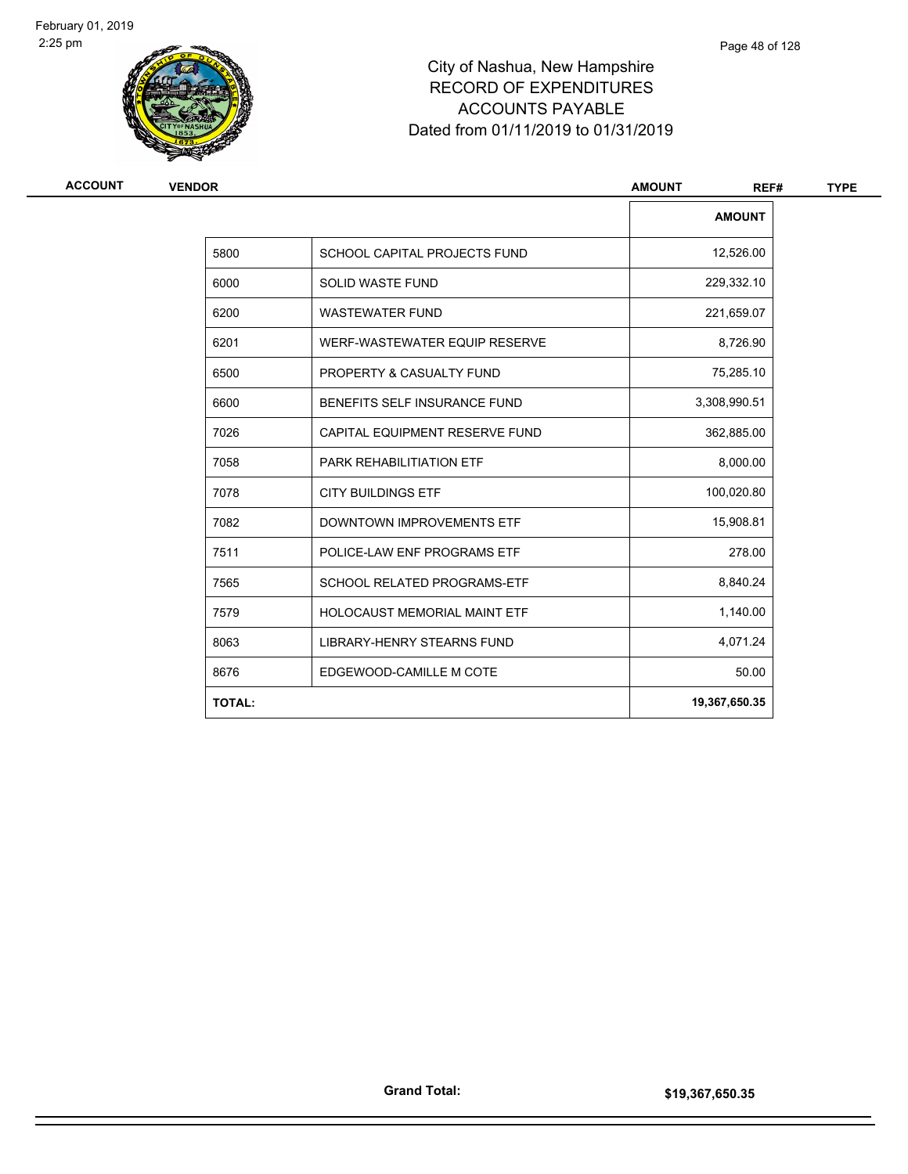

| ACCOUNT | <b>VENDOR</b> |                                     | <b>AMOUNT</b><br>REF# |  |
|---------|---------------|-------------------------------------|-----------------------|--|
|         |               |                                     | <b>AMOUNT</b>         |  |
|         | 5800          | SCHOOL CAPITAL PROJECTS FUND        | 12,526.00             |  |
|         | 6000          | <b>SOLID WASTE FUND</b>             | 229,332.10            |  |
|         | 6200          | <b>WASTEWATER FUND</b>              | 221,659.07            |  |
|         | 6201          | WERF-WASTEWATER EQUIP RESERVE       | 8,726.90              |  |
|         | 6500          | PROPERTY & CASUALTY FUND            | 75,285.10             |  |
|         | 6600          | <b>BENEFITS SELF INSURANCE FUND</b> | 3,308,990.51          |  |
|         | 7026          | CAPITAL EQUIPMENT RESERVE FUND      | 362,885.00            |  |
|         | 7058          | PARK REHABILITIATION ETF            | 8,000.00              |  |
|         | 7078          | <b>CITY BUILDINGS ETF</b>           | 100,020.80            |  |
|         | 7082          | DOWNTOWN IMPROVEMENTS ETF           | 15,908.81             |  |
|         | 7511          | POLICE-LAW ENF PROGRAMS ETF         | 278.00                |  |
|         | 7565          | <b>SCHOOL RELATED PROGRAMS-ETF</b>  | 8,840.24              |  |
|         | 7579          | HOLOCAUST MEMORIAL MAINT ETF        | 1,140.00              |  |
|         | 8063          | LIBRARY-HENRY STEARNS FUND          | 4,071.24              |  |
|         | 8676          | EDGEWOOD-CAMILLE M COTE             | 50.00                 |  |
|         | <b>TOTAL:</b> |                                     | 19,367,650.35         |  |

Page 48 of 128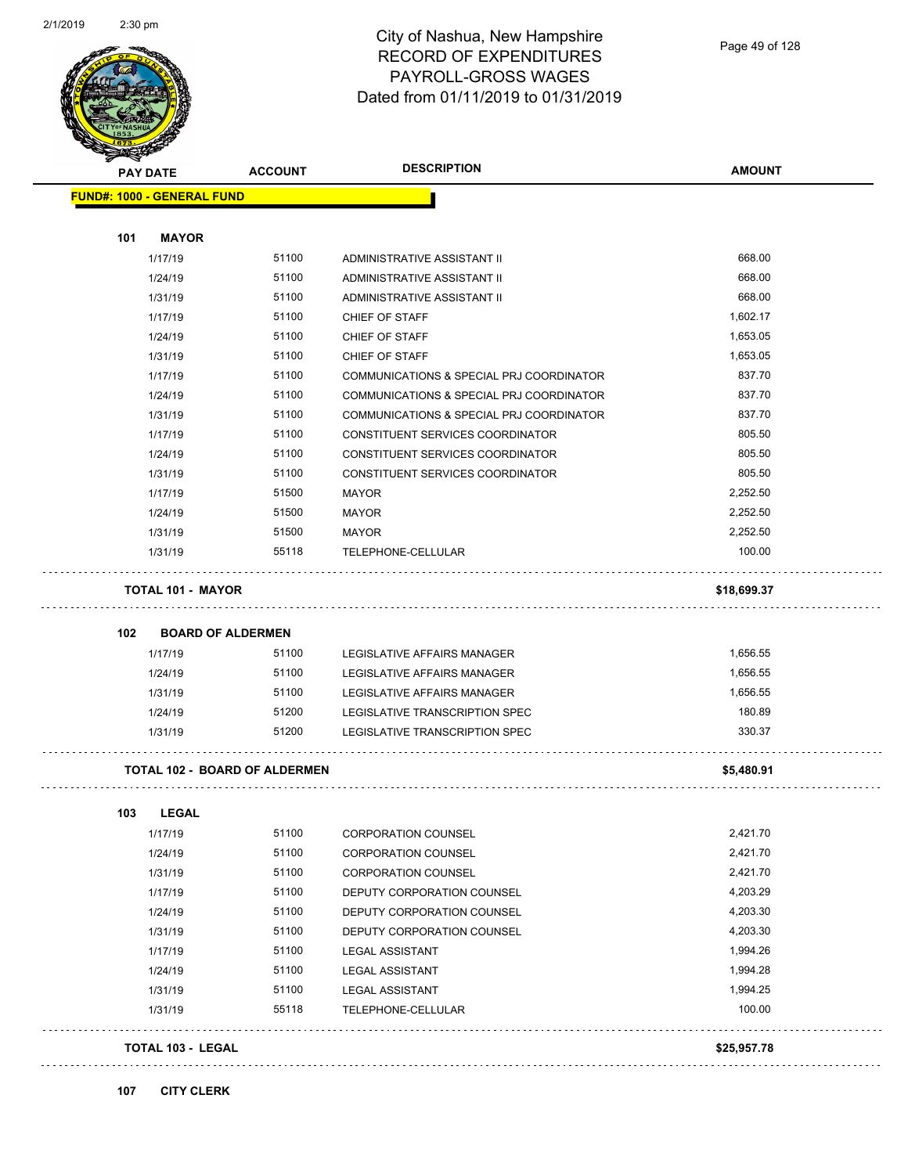

| <b>PAY DATE</b>                   | <b>ACCOUNT</b>                       | <b>DESCRIPTION</b>                       | <b>AMOUNT</b> |
|-----------------------------------|--------------------------------------|------------------------------------------|---------------|
| <b>FUND#: 1000 - GENERAL FUND</b> |                                      |                                          |               |
|                                   |                                      |                                          |               |
| 101<br><b>MAYOR</b>               |                                      |                                          |               |
| 1/17/19                           | 51100                                | ADMINISTRATIVE ASSISTANT II              | 668.00        |
| 1/24/19                           | 51100                                | ADMINISTRATIVE ASSISTANT II              | 668.00        |
| 1/31/19                           | 51100                                | ADMINISTRATIVE ASSISTANT II              | 668.00        |
| 1/17/19                           | 51100                                | CHIEF OF STAFF                           | 1,602.17      |
| 1/24/19                           | 51100                                | CHIEF OF STAFF                           | 1,653.05      |
| 1/31/19                           | 51100                                | CHIEF OF STAFF                           | 1,653.05      |
| 1/17/19                           | 51100                                | COMMUNICATIONS & SPECIAL PRJ COORDINATOR | 837.70        |
| 1/24/19                           | 51100                                | COMMUNICATIONS & SPECIAL PRJ COORDINATOR | 837.70        |
| 1/31/19                           | 51100                                | COMMUNICATIONS & SPECIAL PRJ COORDINATOR | 837.70        |
| 1/17/19                           | 51100                                | CONSTITUENT SERVICES COORDINATOR         | 805.50        |
| 1/24/19                           | 51100                                | CONSTITUENT SERVICES COORDINATOR         | 805.50        |
| 1/31/19                           | 51100                                | CONSTITUENT SERVICES COORDINATOR         | 805.50        |
| 1/17/19                           | 51500                                | <b>MAYOR</b>                             | 2.252.50      |
| 1/24/19                           | 51500                                | <b>MAYOR</b>                             | 2,252.50      |
| 1/31/19                           | 51500                                | <b>MAYOR</b>                             | 2,252.50      |
| 1/31/19                           | 55118                                | TELEPHONE-CELLULAR                       | 100.00        |
| <b>TOTAL 101 - MAYOR</b>          |                                      |                                          | \$18,699.37   |
| 102                               | <b>BOARD OF ALDERMEN</b>             |                                          |               |
| 1/17/19                           | 51100                                | LEGISLATIVE AFFAIRS MANAGER              | 1,656.55      |
| 1/24/19                           | 51100                                | LEGISLATIVE AFFAIRS MANAGER              | 1,656.55      |
| 1/31/19                           | 51100                                | LEGISLATIVE AFFAIRS MANAGER              | 1,656.55      |
| 1/24/19                           | 51200                                | LEGISLATIVE TRANSCRIPTION SPEC           | 180.89        |
| 1/31/19                           | 51200                                | LEGISLATIVE TRANSCRIPTION SPEC           | 330.37        |
|                                   | <b>TOTAL 102 - BOARD OF ALDERMEN</b> |                                          | \$5,480.91    |
| <b>LEGAL</b><br>103               |                                      |                                          |               |
| 1/17/19                           | 51100                                | CORPORATION COUNSEL                      | 2,421.70      |
| 1/24/19                           | 51100                                | <b>CORPORATION COUNSEL</b>               | 2,421.70      |
| 1/31/19                           | 51100                                | <b>CORPORATION COUNSEL</b>               | 2,421.70      |
| 1/17/19                           | 51100                                | DEPUTY CORPORATION COUNSEL               | 4,203.29      |
| 1/24/19                           | 51100                                | DEPUTY CORPORATION COUNSEL               | 4,203.30      |
| 1/31/19                           | 51100                                | DEPUTY CORPORATION COUNSEL               | 4,203.30      |
| 1/17/19                           | 51100                                | <b>LEGAL ASSISTANT</b>                   | 1,994.26      |
| 1/24/19                           | 51100                                | <b>LEGAL ASSISTANT</b>                   | 1,994.28      |
| 1/31/19                           | 51100                                | LEGAL ASSISTANT                          | 1,994.25      |
| 1/31/19                           | 55118                                | TELEPHONE-CELLULAR                       | 100.00        |
|                                   |                                      |                                          |               |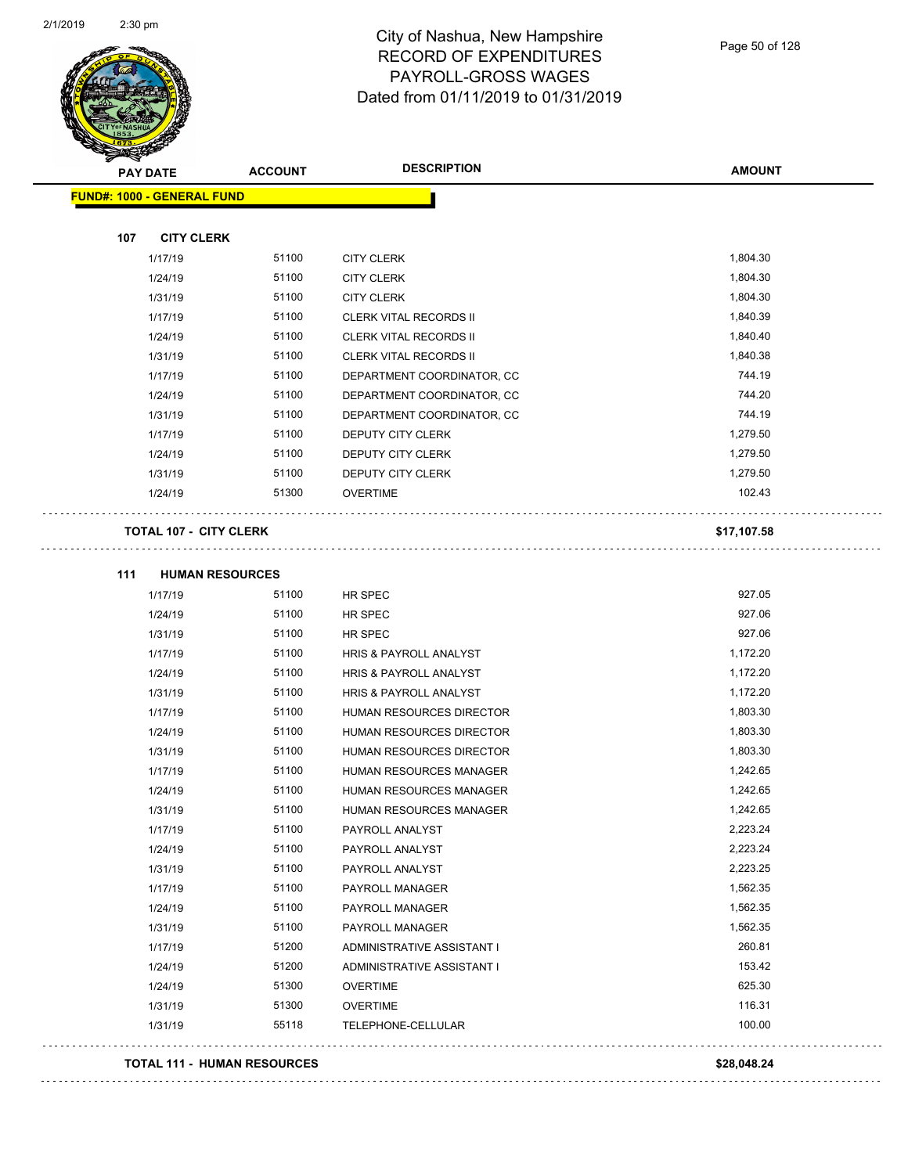$\Box$  .

 $\Box$  .



#### City of Nashua, New Hampshire RECORD OF EXPENDITURES PAYROLL-GROSS WAGES Dated from 01/11/2019 to 01/31/2019

|     | <b>PAY DATE</b>                   | <b>ACCOUNT</b> | <b>DESCRIPTION</b>                | <b>AMOUNT</b> |
|-----|-----------------------------------|----------------|-----------------------------------|---------------|
|     | <b>FUND#: 1000 - GENERAL FUND</b> |                |                                   |               |
| 107 | <b>CITY CLERK</b>                 |                |                                   |               |
|     | 1/17/19                           | 51100          | <b>CITY CLERK</b>                 | 1,804.30      |
|     | 1/24/19                           | 51100          | <b>CITY CLERK</b>                 | 1,804.30      |
|     | 1/31/19                           | 51100          | <b>CITY CLERK</b>                 | 1,804.30      |
|     | 1/17/19                           | 51100          | <b>CLERK VITAL RECORDS II</b>     | 1,840.39      |
|     | 1/24/19                           | 51100          | <b>CLERK VITAL RECORDS II</b>     | 1,840.40      |
|     | 1/31/19                           | 51100          | <b>CLERK VITAL RECORDS II</b>     | 1,840.38      |
|     | 1/17/19                           | 51100          | DEPARTMENT COORDINATOR, CC        | 744.19        |
|     | 1/24/19                           | 51100          | DEPARTMENT COORDINATOR, CC        | 744.20        |
|     | 1/31/19                           | 51100          | DEPARTMENT COORDINATOR, CC        | 744.19        |
|     | 1/17/19                           | 51100          | DEPUTY CITY CLERK                 | 1,279.50      |
|     | 1/24/19                           | 51100          | DEPUTY CITY CLERK                 | 1,279.50      |
|     | 1/31/19                           | 51100          | <b>DEPUTY CITY CLERK</b>          | 1,279.50      |
|     | 1/24/19                           | 51300          | <b>OVERTIME</b>                   | 102.43        |
|     | <b>TOTAL 107 - CITY CLERK</b>     |                |                                   | \$17,107.58   |
| 111 | <b>HUMAN RESOURCES</b>            |                |                                   |               |
|     | 1/17/19                           | 51100          | HR SPEC                           | 927.05        |
|     | 1/24/19                           | 51100          | HR SPEC                           | 927.06        |
|     | 1/31/19                           | 51100          | HR SPEC                           | 927.06        |
|     | 1/17/19                           | 51100          | HRIS & PAYROLL ANALYST            | 1,172.20      |
|     | 1/24/19                           | 51100          | HRIS & PAYROLL ANALYST            | 1,172.20      |
|     | 1/31/19                           | 51100          | HRIS & PAYROLL ANALYST            | 1,172.20      |
|     | 111710                            | F A A O        | <b>IBILIAL BEGAUDAES BIBESTAD</b> | 1.002.20      |

| <b>TOTAL 111 - HUMAN RESOURCES</b> |       |                                   | \$28.048.24 |
|------------------------------------|-------|-----------------------------------|-------------|
| 1/31/19                            | 55118 | TELEPHONE-CELLULAR                | 100.00      |
| 1/31/19                            | 51300 | <b>OVERTIME</b>                   | 116.31      |
| 1/24/19                            | 51300 | <b>OVERTIME</b>                   | 625.30      |
| 1/24/19                            | 51200 | ADMINISTRATIVE ASSISTANT I        | 153.42      |
| 1/17/19                            | 51200 | ADMINISTRATIVE ASSISTANT I        | 260.81      |
| 1/31/19                            | 51100 | PAYROLL MANAGER                   | 1,562.35    |
| 1/24/19                            | 51100 | <b>PAYROLL MANAGER</b>            | 1,562.35    |
| 1/17/19                            | 51100 | PAYROLL MANAGER                   | 1,562.35    |
| 1/31/19                            | 51100 | PAYROLL ANALYST                   | 2,223.25    |
| 1/24/19                            | 51100 | PAYROLL ANALYST                   | 2,223.24    |
| 1/17/19                            | 51100 | PAYROLL ANALYST                   | 2,223.24    |
| 1/31/19                            | 51100 | <b>HUMAN RESOURCES MANAGER</b>    | 1,242.65    |
| 1/24/19                            | 51100 | HUMAN RESOURCES MANAGER           | 1,242.65    |
| 1/17/19                            | 51100 | <b>HUMAN RESOURCES MANAGER</b>    | 1,242.65    |
| 1/31/19                            | 51100 | <b>HUMAN RESOURCES DIRECTOR</b>   | 1,803.30    |
| 1/24/19                            | 51100 | <b>HUMAN RESOURCES DIRECTOR</b>   | 1,803.30    |
| 1/17/19                            | 51100 | <b>HUMAN RESOURCES DIRECTOR</b>   | 1,803.30    |
| 1/31/19                            | 51100 | <b>HRIS &amp; PAYROLL ANALYST</b> | 1,172.20    |
| 1/24/19                            | 51100 | <b>HRIS &amp; PAYROLL ANALYST</b> | 1,172.20    |
| 1/17/19                            | 51100 | <b>HRIS &amp; PAYROLL ANALYST</b> | 1,172.20    |
| 1/31/19                            | 51100 | HR SPEC                           | 927.06      |
| 1/24/19                            | 51100 | HR SPEC                           | 927.06      |
| 1/17/19                            | 51100 | HR SPEC                           | 927.05      |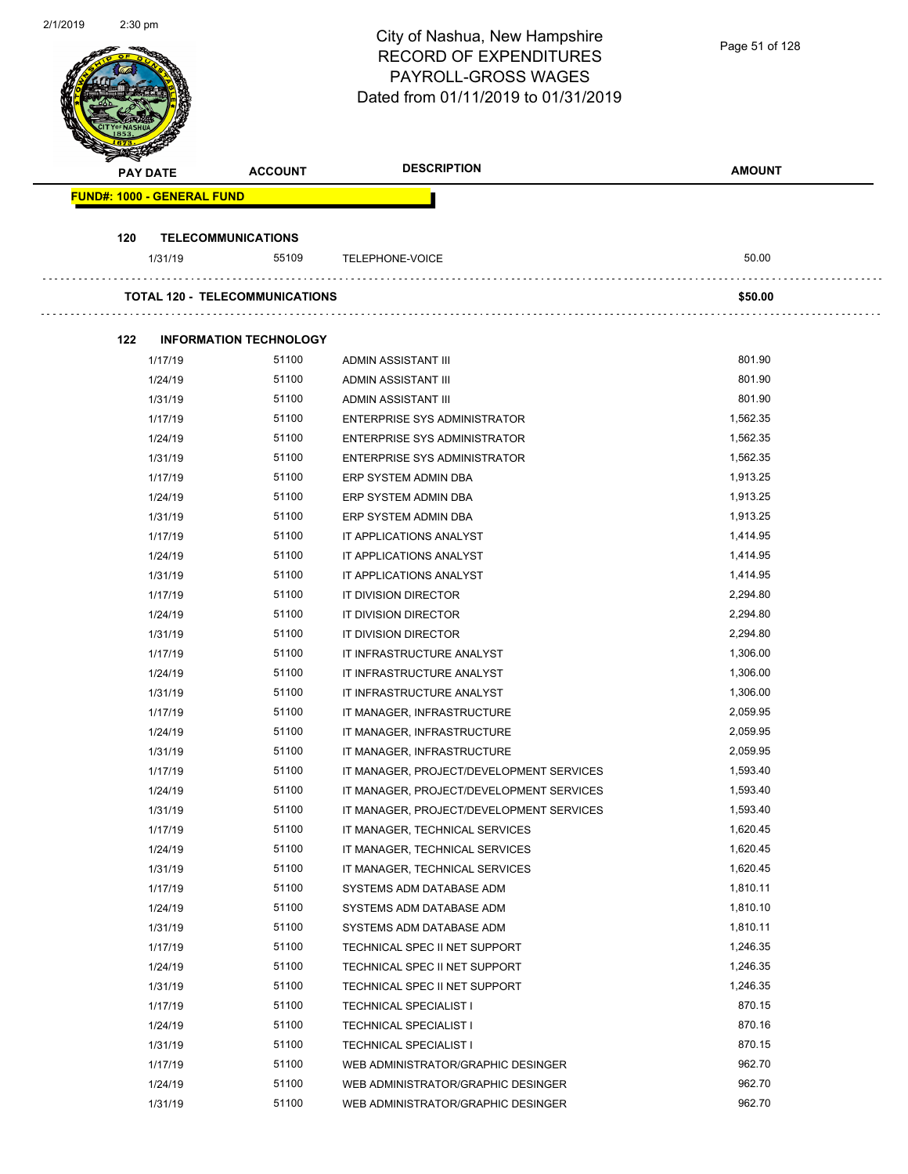| 2/1/2019 | $2:30$ pm |                                   |                                        | City of Nashua, New Hampshire<br><b>RECORD OF EXPENDITURES</b><br>PAYROLL-GROSS WAGES<br>Dated from 01/11/2019 to 01/31/2019 | Page 51 of 128       |
|----------|-----------|-----------------------------------|----------------------------------------|------------------------------------------------------------------------------------------------------------------------------|----------------------|
|          |           | <b>PAY DATE</b>                   | <b>ACCOUNT</b>                         | <b>DESCRIPTION</b>                                                                                                           | <b>AMOUNT</b>        |
|          |           | <b>FUND#: 1000 - GENERAL FUND</b> |                                        |                                                                                                                              |                      |
|          | 120       |                                   | <b>TELECOMMUNICATIONS</b>              |                                                                                                                              |                      |
|          |           | 1/31/19                           | 55109                                  | TELEPHONE-VOICE                                                                                                              | 50.00                |
|          |           |                                   |                                        |                                                                                                                              |                      |
|          |           |                                   | <b>TOTAL 120 - TELECOMMUNICATIONS</b>  |                                                                                                                              | \$50.00              |
|          |           |                                   |                                        |                                                                                                                              |                      |
|          | 122       |                                   | <b>INFORMATION TECHNOLOGY</b><br>51100 |                                                                                                                              | 801.90               |
|          |           | 1/17/19<br>1/24/19                | 51100                                  | ADMIN ASSISTANT III<br>ADMIN ASSISTANT III                                                                                   | 801.90               |
|          |           | 1/31/19                           | 51100                                  | ADMIN ASSISTANT III                                                                                                          | 801.90               |
|          |           | 1/17/19                           | 51100                                  | <b>ENTERPRISE SYS ADMINISTRATOR</b>                                                                                          | 1,562.35             |
|          |           | 1/24/19                           | 51100                                  | <b>ENTERPRISE SYS ADMINISTRATOR</b>                                                                                          | 1,562.35             |
|          |           | 1/31/19                           | 51100                                  | ENTERPRISE SYS ADMINISTRATOR                                                                                                 | 1,562.35             |
|          |           | 1/17/19                           | 51100                                  | ERP SYSTEM ADMIN DBA                                                                                                         | 1,913.25             |
|          |           | 1/24/19                           | 51100                                  | ERP SYSTEM ADMIN DBA                                                                                                         | 1,913.25             |
|          |           | 1/31/19                           | 51100                                  | ERP SYSTEM ADMIN DBA                                                                                                         | 1,913.25             |
|          |           | 1/17/19                           | 51100                                  | IT APPLICATIONS ANALYST                                                                                                      | 1,414.95             |
|          |           | 1/24/19                           | 51100                                  | IT APPLICATIONS ANALYST                                                                                                      | 1,414.95             |
|          |           | 1/31/19                           | 51100                                  | IT APPLICATIONS ANALYST                                                                                                      | 1,414.95             |
|          |           | 1/17/19                           | 51100                                  | IT DIVISION DIRECTOR                                                                                                         | 2,294.80             |
|          |           | 1/24/19                           | 51100                                  | IT DIVISION DIRECTOR                                                                                                         | 2,294.80             |
|          |           | 1/31/19                           | 51100                                  | IT DIVISION DIRECTOR                                                                                                         | 2,294.80             |
|          |           | 1/17/19                           | 51100                                  | IT INFRASTRUCTURE ANALYST                                                                                                    | 1,306.00             |
|          |           | 1/24/19                           | 51100                                  | IT INFRASTRUCTURE ANALYST                                                                                                    | 1,306.00             |
|          |           | 1/31/19                           | 51100                                  | IT INFRASTRUCTURE ANALYST                                                                                                    | 1,306.00             |
|          |           | 1/17/19                           | 51100                                  | IT MANAGER, INFRASTRUCTURE                                                                                                   | 2,059.95             |
|          |           | 1/24/19                           | 51100                                  | IT MANAGER, INFRASTRUCTURE                                                                                                   | 2,059.95             |
|          |           | 1/31/19                           | 51100<br>51100                         | IT MANAGER, INFRASTRUCTURE                                                                                                   | 2,059.95<br>1,593.40 |
|          |           | 1/17/19<br>1/24/19                | 51100                                  | IT MANAGER, PROJECT/DEVELOPMENT SERVICES<br>IT MANAGER, PROJECT/DEVELOPMENT SERVICES                                         | 1,593.40             |
|          |           | 1/31/19                           | 51100                                  | IT MANAGER, PROJECT/DEVELOPMENT SERVICES                                                                                     | 1,593.40             |
|          |           | 1/17/19                           | 51100                                  | IT MANAGER, TECHNICAL SERVICES                                                                                               | 1,620.45             |
|          |           | 1/24/19                           | 51100                                  | IT MANAGER, TECHNICAL SERVICES                                                                                               | 1,620.45             |
|          |           | 1/31/19                           | 51100                                  | IT MANAGER, TECHNICAL SERVICES                                                                                               | 1,620.45             |
|          |           | 1/17/19                           | 51100                                  | SYSTEMS ADM DATABASE ADM                                                                                                     | 1,810.11             |
|          |           | 1/24/19                           | 51100                                  | SYSTEMS ADM DATABASE ADM                                                                                                     | 1,810.10             |
|          |           | 1/31/19                           | 51100                                  | SYSTEMS ADM DATABASE ADM                                                                                                     | 1,810.11             |
|          |           | 1/17/19                           | 51100                                  | TECHNICAL SPEC II NET SUPPORT                                                                                                | 1,246.35             |
|          |           | 1/24/19                           | 51100                                  | TECHNICAL SPEC II NET SUPPORT                                                                                                | 1,246.35             |
|          |           | 1/31/19                           | 51100                                  | TECHNICAL SPEC II NET SUPPORT                                                                                                | 1,246.35             |
|          |           | 1/17/19                           | 51100                                  | <b>TECHNICAL SPECIALIST I</b>                                                                                                | 870.15               |
|          |           | 1/24/19                           | 51100                                  | <b>TECHNICAL SPECIALIST I</b>                                                                                                | 870.16               |
|          |           | 1/31/19                           | 51100                                  | <b>TECHNICAL SPECIALIST I</b>                                                                                                | 870.15               |
|          |           | 1/17/19                           | 51100                                  | WEB ADMINISTRATOR/GRAPHIC DESINGER                                                                                           | 962.70               |
|          |           | 1/24/19                           | 51100                                  | WEB ADMINISTRATOR/GRAPHIC DESINGER                                                                                           | 962.70               |
|          |           | 1/31/19                           | 51100                                  | WEB ADMINISTRATOR/GRAPHIC DESINGER                                                                                           | 962.70               |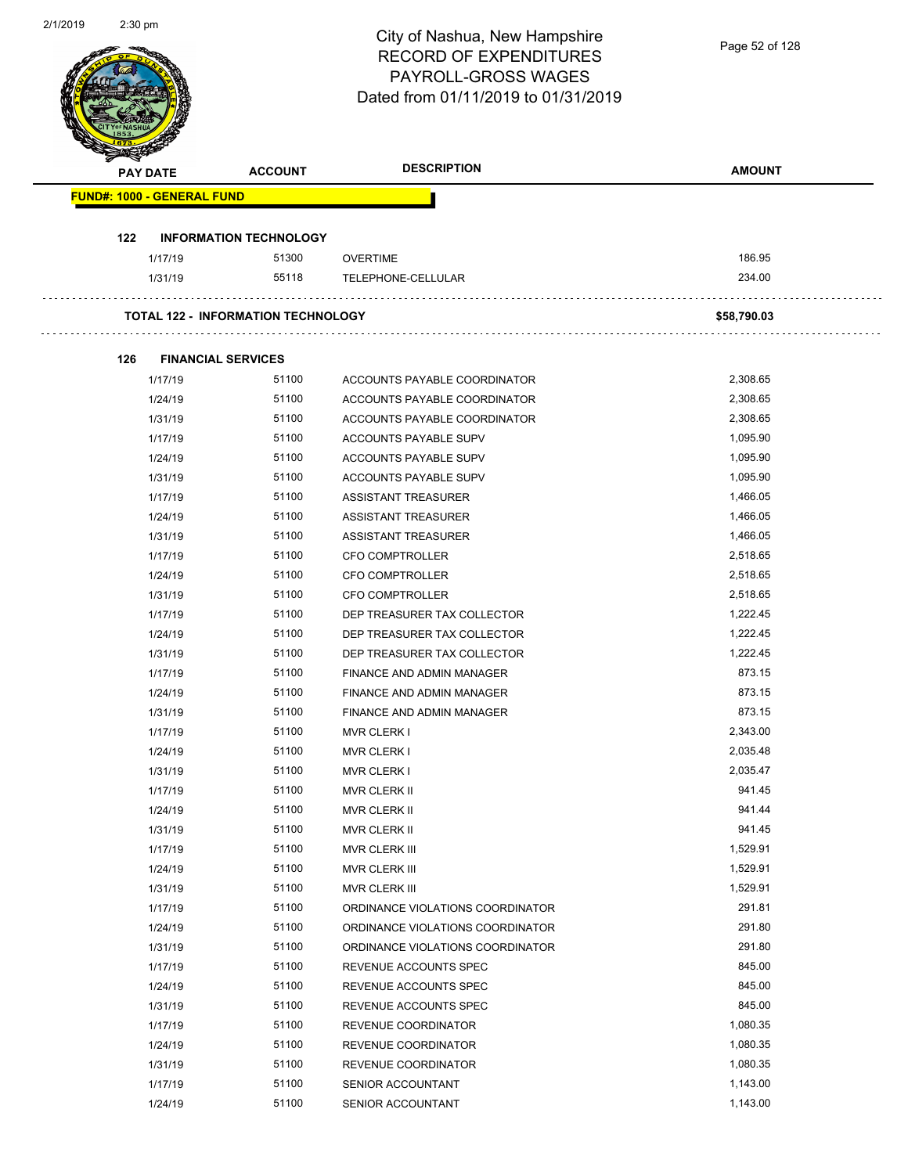|     | <b>PAY DATE</b>                   | <b>ACCOUNT</b>                            | City of Nashua, New Hampshire<br><b>RECORD OF EXPENDITURES</b><br>PAYROLL-GROSS WAGES<br>Dated from 01/11/2019 to 01/31/2019<br><b>DESCRIPTION</b> | Page 52 of 128<br><b>AMOUNT</b> |
|-----|-----------------------------------|-------------------------------------------|----------------------------------------------------------------------------------------------------------------------------------------------------|---------------------------------|
|     |                                   |                                           |                                                                                                                                                    |                                 |
|     | <b>FUND#: 1000 - GENERAL FUND</b> |                                           |                                                                                                                                                    |                                 |
| 122 |                                   | <b>INFORMATION TECHNOLOGY</b>             |                                                                                                                                                    |                                 |
|     | 1/17/19                           | 51300                                     | <b>OVERTIME</b>                                                                                                                                    | 186.95                          |
|     | 1/31/19                           | 55118                                     | TELEPHONE-CELLULAR                                                                                                                                 | 234.00                          |
|     |                                   | <b>TOTAL 122 - INFORMATION TECHNOLOGY</b> |                                                                                                                                                    | \$58,790.03                     |
| 126 | <b>FINANCIAL SERVICES</b>         |                                           |                                                                                                                                                    |                                 |
|     | 1/17/19                           | 51100                                     | ACCOUNTS PAYABLE COORDINATOR                                                                                                                       | 2,308.65                        |
|     | 1/24/19                           | 51100                                     | ACCOUNTS PAYABLE COORDINATOR                                                                                                                       | 2,308.65                        |
|     | 1/31/19                           | 51100                                     | ACCOUNTS PAYABLE COORDINATOR                                                                                                                       | 2,308.65                        |
|     | 1/17/19                           | 51100                                     | <b>ACCOUNTS PAYABLE SUPV</b>                                                                                                                       | 1,095.90                        |
|     | 1/24/19                           | 51100                                     | ACCOUNTS PAYABLE SUPV                                                                                                                              | 1,095.90                        |
|     | 1/31/19                           | 51100                                     | ACCOUNTS PAYABLE SUPV                                                                                                                              | 1,095.90                        |
|     | 1/17/19                           | 51100                                     | <b>ASSISTANT TREASURER</b>                                                                                                                         | 1,466.05                        |
|     | 1/24/19                           | 51100                                     | ASSISTANT TREASURER                                                                                                                                | 1,466.05                        |
|     | 1/31/19                           | 51100                                     | <b>ASSISTANT TREASURER</b>                                                                                                                         | 1,466.05                        |
|     | 1/17/19                           | 51100                                     | CFO COMPTROLLER                                                                                                                                    | 2,518.65                        |
|     | 1/24/19                           | 51100                                     | CFO COMPTROLLER                                                                                                                                    | 2,518.65                        |
|     | 1/31/19                           | 51100                                     | <b>CFO COMPTROLLER</b>                                                                                                                             | 2,518.65                        |
|     | 1/17/19                           | 51100                                     | DEP TREASURER TAX COLLECTOR                                                                                                                        | 1,222.45                        |
|     | 1/24/19                           | 51100                                     | DEP TREASURER TAX COLLECTOR                                                                                                                        | 1,222.45                        |
|     | 1/31/19                           | 51100                                     | DEP TREASURER TAX COLLECTOR                                                                                                                        | 1,222.45                        |
|     | 1/17/19                           | 51100                                     | FINANCE AND ADMIN MANAGER                                                                                                                          | 873.15                          |
|     | 1/24/19                           | 51100                                     | FINANCE AND ADMIN MANAGER                                                                                                                          | 873.15                          |
|     | 1/31/19                           | 51100                                     | FINANCE AND ADMIN MANAGER                                                                                                                          | 873.15                          |
|     | 1/17/19                           | 51100                                     | MVR CLERK I                                                                                                                                        | 2,343.00                        |
|     | 1/24/19                           | 51100                                     | <b>MVR CLERK I</b>                                                                                                                                 | 2,035.48                        |
|     | 1/31/19                           | 51100                                     | <b>MVR CLERK I</b>                                                                                                                                 | 2,035.47                        |
|     | 1/17/19                           | 51100                                     | MVR CLERK II                                                                                                                                       | 941.45                          |
|     | 1/24/19                           | 51100                                     | MVR CLERK II                                                                                                                                       | 941.44                          |
|     | 1/31/19                           | 51100                                     | MVR CLERK II                                                                                                                                       | 941.45                          |
|     | 1/17/19                           | 51100                                     | MVR CLERK III                                                                                                                                      | 1,529.91                        |
|     | 1/24/19                           | 51100                                     | MVR CLERK III                                                                                                                                      | 1,529.91                        |
|     | 1/31/19                           | 51100                                     | MVR CLERK III                                                                                                                                      | 1,529.91                        |
|     | 1/17/19                           | 51100                                     | ORDINANCE VIOLATIONS COORDINATOR                                                                                                                   | 291.81                          |
|     | 1/24/19                           | 51100                                     | ORDINANCE VIOLATIONS COORDINATOR                                                                                                                   | 291.80                          |
|     | 1/31/19                           | 51100                                     | ORDINANCE VIOLATIONS COORDINATOR                                                                                                                   | 291.80                          |
|     | 1/17/19                           | 51100                                     | REVENUE ACCOUNTS SPEC                                                                                                                              | 845.00                          |
|     | 1/24/19                           | 51100                                     | REVENUE ACCOUNTS SPEC                                                                                                                              | 845.00                          |
|     | 1/31/19                           | 51100                                     | REVENUE ACCOUNTS SPEC                                                                                                                              | 845.00                          |
|     | 1/17/19                           | 51100                                     | REVENUE COORDINATOR                                                                                                                                | 1,080.35                        |
|     | 1/24/19                           | 51100                                     | REVENUE COORDINATOR                                                                                                                                | 1,080.35                        |
|     | 1/31/19                           | 51100                                     | REVENUE COORDINATOR                                                                                                                                | 1,080.35                        |
|     | 1/17/19                           | 51100                                     | SENIOR ACCOUNTANT                                                                                                                                  | 1,143.00                        |
|     | 1/24/19                           | 51100                                     | SENIOR ACCOUNTANT                                                                                                                                  | 1,143.00                        |

2/1/2019 2:30 pm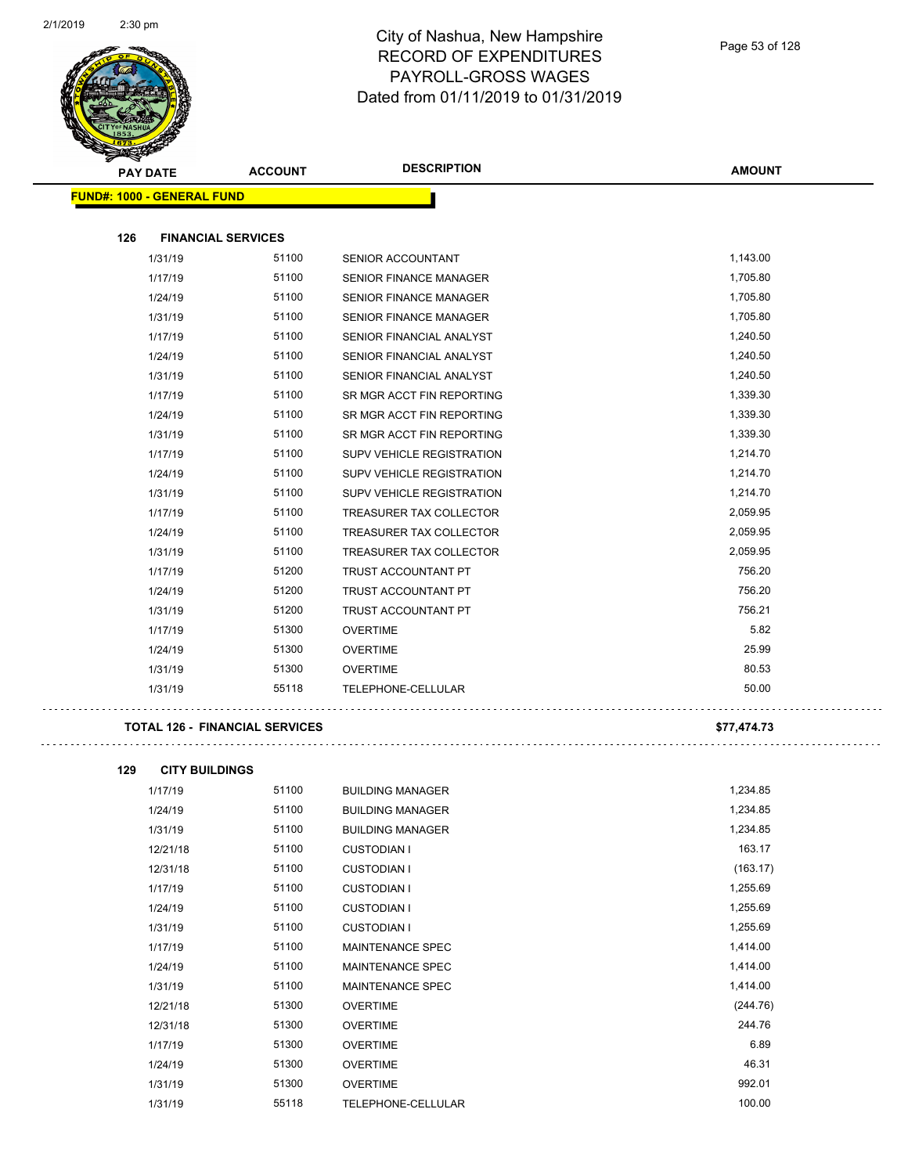

| <b>Arthur</b><br><b>PAY DATE</b>  | <b>ACCOUNT</b> | <b>DESCRIPTION</b>               | <b>AMOUNT</b> |
|-----------------------------------|----------------|----------------------------------|---------------|
| <b>FUND#: 1000 - GENERAL FUND</b> |                |                                  |               |
|                                   |                |                                  |               |
| 126<br><b>FINANCIAL SERVICES</b>  |                |                                  |               |
| 1/31/19                           | 51100          | SENIOR ACCOUNTANT                | 1,143.00      |
| 1/17/19                           | 51100          | SENIOR FINANCE MANAGER           | 1,705.80      |
| 1/24/19                           | 51100          | <b>SENIOR FINANCE MANAGER</b>    | 1,705.80      |
| 1/31/19                           | 51100          | SENIOR FINANCE MANAGER           | 1,705.80      |
| 1/17/19                           | 51100          | SENIOR FINANCIAL ANALYST         | 1,240.50      |
| 1/24/19                           | 51100          | SENIOR FINANCIAL ANALYST         | 1,240.50      |
| 1/31/19                           | 51100          | SENIOR FINANCIAL ANALYST         | 1,240.50      |
| 1/17/19                           | 51100          | SR MGR ACCT FIN REPORTING        | 1,339.30      |
| 1/24/19                           | 51100          | SR MGR ACCT FIN REPORTING        | 1,339.30      |
| 1/31/19                           | 51100          | SR MGR ACCT FIN REPORTING        | 1,339.30      |
| 1/17/19                           | 51100          | SUPV VEHICLE REGISTRATION        | 1,214.70      |
| 1/24/19                           | 51100          | SUPV VEHICLE REGISTRATION        | 1,214.70      |
| 1/31/19                           | 51100          | <b>SUPV VEHICLE REGISTRATION</b> | 1,214.70      |
| 1/17/19                           | 51100          | TREASURER TAX COLLECTOR          | 2,059.95      |
| 1/24/19                           | 51100          | TREASURER TAX COLLECTOR          | 2,059.95      |
| 1/31/19                           | 51100          | TREASURER TAX COLLECTOR          | 2,059.95      |
| 1/17/19                           | 51200          | TRUST ACCOUNTANT PT              | 756.20        |
| 1/24/19                           | 51200          | TRUST ACCOUNTANT PT              | 756.20        |
| 1/31/19                           | 51200          | <b>TRUST ACCOUNTANT PT</b>       | 756.21        |
| 1/17/19                           | 51300          | <b>OVERTIME</b>                  | 5.82          |
| 1/24/19                           | 51300          | <b>OVERTIME</b>                  | 25.99         |
| 1/31/19                           | 51300          | <b>OVERTIME</b>                  | 80.53         |
| 1/31/19                           | 55118          | TELEPHONE-CELLULAR               | 50.00         |
|                                   |                |                                  |               |

#### **TOTAL 126 - FINANCIAL SERVICES \$77,474.73**

 $\bar{\mathcal{L}}$  .

. . . . . . . . . . . . .

| <b>CITY BUILDINGS</b> |       |                         |          |
|-----------------------|-------|-------------------------|----------|
| 1/17/19               | 51100 | <b>BUILDING MANAGER</b> | 1,234.85 |
| 1/24/19               | 51100 | <b>BUILDING MANAGER</b> | 1,234.85 |
| 1/31/19               | 51100 | <b>BUILDING MANAGER</b> | 1,234.85 |
| 12/21/18              | 51100 | <b>CUSTODIAN I</b>      | 163.17   |
| 12/31/18              | 51100 | <b>CUSTODIAN I</b>      | (163.17) |
| 1/17/19               | 51100 | <b>CUSTODIAN I</b>      | 1,255.69 |
| 1/24/19               | 51100 | <b>CUSTODIAN I</b>      | 1,255.69 |
| 1/31/19               | 51100 | <b>CUSTODIAN I</b>      | 1,255.69 |
| 1/17/19               | 51100 | <b>MAINTENANCE SPEC</b> | 1,414.00 |
| 1/24/19               | 51100 | <b>MAINTENANCE SPEC</b> | 1,414.00 |
| 1/31/19               | 51100 | <b>MAINTENANCE SPEC</b> | 1,414.00 |
| 12/21/18              | 51300 | <b>OVERTIME</b>         | (244.76) |
| 12/31/18              | 51300 | <b>OVERTIME</b>         | 244.76   |
| 1/17/19               | 51300 | <b>OVERTIME</b>         | 6.89     |
| 1/24/19               | 51300 | <b>OVERTIME</b>         | 46.31    |
| 1/31/19               | 51300 | <b>OVERTIME</b>         | 992.01   |
| 1/31/19               | 55118 | TELEPHONE-CELLULAR      | 100.00   |
|                       |       |                         |          |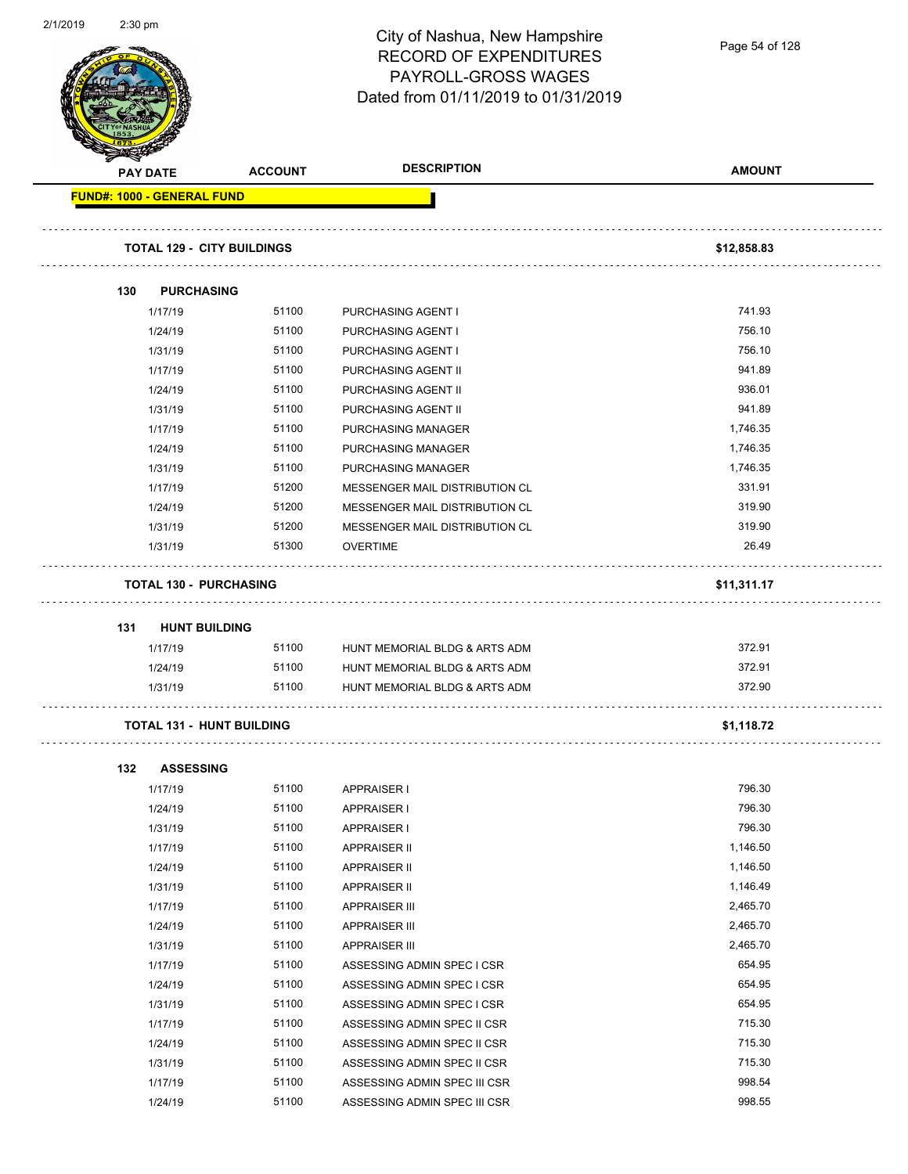|     |                                   |                | City of Nashua, New Hampshire<br><b>RECORD OF EXPENDITURES</b><br>PAYROLL-GROSS WAGES | Page 54 of 128   |
|-----|-----------------------------------|----------------|---------------------------------------------------------------------------------------|------------------|
|     |                                   |                | Dated from 01/11/2019 to 01/31/2019                                                   |                  |
|     | <b>PAY DATE</b>                   | <b>ACCOUNT</b> | <b>DESCRIPTION</b>                                                                    | <b>AMOUNT</b>    |
|     | <b>FUND#: 1000 - GENERAL FUND</b> |                |                                                                                       |                  |
|     |                                   |                |                                                                                       |                  |
|     | <b>TOTAL 129 - CITY BUILDINGS</b> |                |                                                                                       | \$12,858.83      |
|     |                                   |                |                                                                                       |                  |
| 130 | <b>PURCHASING</b>                 |                |                                                                                       |                  |
|     | 1/17/19                           | 51100          | PURCHASING AGENT I                                                                    | 741.93           |
|     | 1/24/19                           | 51100          | PURCHASING AGENT I                                                                    | 756.10           |
|     | 1/31/19                           | 51100          | PURCHASING AGENT I                                                                    | 756.10<br>941.89 |
|     | 1/17/19                           | 51100          | PURCHASING AGENT II                                                                   | 936.01           |
|     | 1/24/19                           | 51100          | PURCHASING AGENT II                                                                   | 941.89           |
|     | 1/31/19<br>1/17/19                | 51100<br>51100 | PURCHASING AGENT II<br>PURCHASING MANAGER                                             | 1,746.35         |
|     | 1/24/19                           | 51100          | PURCHASING MANAGER                                                                    | 1,746.35         |
|     | 1/31/19                           | 51100          | PURCHASING MANAGER                                                                    | 1,746.35         |
|     | 1/17/19                           | 51200          | MESSENGER MAIL DISTRIBUTION CL                                                        | 331.91           |
|     | 1/24/19                           | 51200          | MESSENGER MAIL DISTRIBUTION CL                                                        | 319.90           |
|     | 1/31/19                           | 51200          | MESSENGER MAIL DISTRIBUTION CL                                                        | 319.90           |
|     | 1/31/19                           | 51300          | <b>OVERTIME</b>                                                                       | 26.49            |
|     |                                   |                |                                                                                       |                  |
|     |                                   |                |                                                                                       |                  |
|     | <b>TOTAL 130 - PURCHASING</b>     |                |                                                                                       | \$11,311.17      |
| 131 | <b>HUNT BUILDING</b>              |                |                                                                                       |                  |
|     | 1/17/19                           | 51100          | HUNT MEMORIAL BLDG & ARTS ADM                                                         | 372.91           |
|     | 1/24/19                           | 51100          | HUNT MEMORIAL BLDG & ARTS ADM                                                         | 372.91           |
|     | 1/31/19                           | 51100          | HUNT MEMORIAL BLDG & ARTS ADM                                                         | 372.90           |
|     | <b>TOTAL 131 - HUNT BUILDING</b>  |                |                                                                                       | \$1,118.72       |
|     |                                   |                |                                                                                       |                  |
| 132 | <b>ASSESSING</b>                  |                |                                                                                       |                  |
|     | 1/17/19                           | 51100          | <b>APPRAISER I</b>                                                                    | 796.30           |
|     | 1/24/19                           | 51100          | <b>APPRAISER I</b>                                                                    | 796.30<br>796.30 |
|     | 1/31/19                           | 51100<br>51100 | <b>APPRAISER I</b>                                                                    | 1,146.50         |
|     | 1/17/19<br>1/24/19                | 51100          | <b>APPRAISER II</b><br>APPRAISER II                                                   | 1,146.50         |
|     | 1/31/19                           | 51100          | <b>APPRAISER II</b>                                                                   | 1,146.49         |
|     | 1/17/19                           | 51100          | <b>APPRAISER III</b>                                                                  | 2,465.70         |
|     | 1/24/19                           | 51100          | <b>APPRAISER III</b>                                                                  | 2,465.70         |
|     | 1/31/19                           | 51100          | <b>APPRAISER III</b>                                                                  | 2,465.70         |
|     | 1/17/19                           | 51100          | ASSESSING ADMIN SPEC I CSR                                                            | 654.95           |
|     | 1/24/19                           | 51100          | ASSESSING ADMIN SPEC I CSR                                                            | 654.95           |
|     | 1/31/19                           | 51100          | ASSESSING ADMIN SPEC I CSR                                                            | 654.95           |
|     | 1/17/19                           | 51100          | ASSESSING ADMIN SPEC II CSR                                                           | 715.30           |
|     | 1/24/19                           | 51100          | ASSESSING ADMIN SPEC II CSR                                                           | 715.30           |
|     | 1/31/19                           | 51100          | ASSESSING ADMIN SPEC II CSR                                                           | 715.30           |
|     | 1/17/19                           | 51100          | ASSESSING ADMIN SPEC III CSR                                                          | 998.54           |

2/1/2019 2:30 pm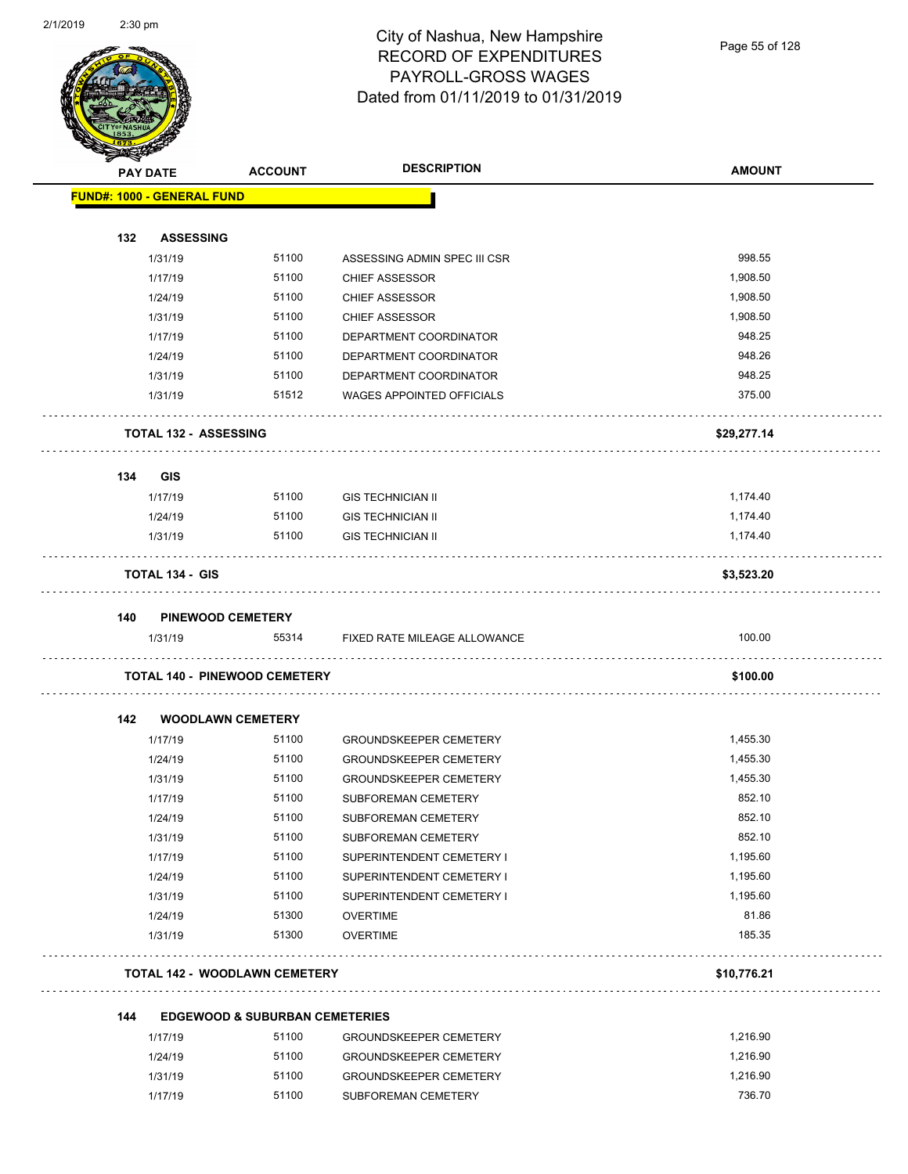

| <b>PAY DATE</b>                   |                          | <b>ACCOUNT</b>                            | <b>DESCRIPTION</b>            | <b>AMOUNT</b> |
|-----------------------------------|--------------------------|-------------------------------------------|-------------------------------|---------------|
| <b>FUND#: 1000 - GENERAL FUND</b> |                          |                                           |                               |               |
| 132                               | <b>ASSESSING</b>         |                                           |                               |               |
|                                   | 1/31/19                  | 51100                                     | ASSESSING ADMIN SPEC III CSR  | 998.55        |
|                                   | 1/17/19                  | 51100                                     | <b>CHIEF ASSESSOR</b>         | 1,908.50      |
|                                   | 1/24/19                  | 51100                                     | <b>CHIEF ASSESSOR</b>         | 1,908.50      |
|                                   | 1/31/19                  | 51100                                     | <b>CHIEF ASSESSOR</b>         | 1,908.50      |
|                                   | 1/17/19                  | 51100                                     | DEPARTMENT COORDINATOR        | 948.25        |
|                                   | 1/24/19                  | 51100                                     | DEPARTMENT COORDINATOR        | 948.26        |
|                                   | 1/31/19                  | 51100                                     | DEPARTMENT COORDINATOR        | 948.25        |
|                                   | 1/31/19                  | 51512                                     | WAGES APPOINTED OFFICIALS     | 375.00        |
|                                   | TOTAL 132 - ASSESSING    |                                           |                               | \$29,277.14   |
| 134                               | <b>GIS</b>               |                                           |                               |               |
|                                   | 1/17/19                  | 51100                                     | <b>GIS TECHNICIAN II</b>      | 1,174.40      |
|                                   | 1/24/19                  | 51100                                     | <b>GIS TECHNICIAN II</b>      | 1,174.40      |
|                                   | 1/31/19                  | 51100                                     | <b>GIS TECHNICIAN II</b>      | 1,174.40      |
|                                   | <b>TOTAL 134 - GIS</b>   |                                           |                               | \$3,523.20    |
| 140                               | <b>PINEWOOD CEMETERY</b> |                                           |                               |               |
|                                   | 1/31/19                  | 55314                                     | FIXED RATE MILEAGE ALLOWANCE  | 100.00        |
|                                   |                          | <b>TOTAL 140 - PINEWOOD CEMETERY</b>      |                               | \$100.00      |
| 142                               | <b>WOODLAWN CEMETERY</b> |                                           |                               |               |
|                                   | 1/17/19                  | 51100                                     | <b>GROUNDSKEEPER CEMETERY</b> | 1,455.30      |
|                                   | 1/24/19                  | 51100                                     | <b>GROUNDSKEEPER CEMETERY</b> | 1,455.30      |
|                                   | 1/31/19                  | 51100                                     | <b>GROUNDSKEEPER CEMETERY</b> | 1,455.30      |
|                                   | 1/17/19                  | 51100                                     | SUBFOREMAN CEMETERY           | 852.10        |
|                                   | 1/24/19                  | 51100                                     | SUBFOREMAN CEMETERY           | 852.10        |
|                                   | 1/31/19                  | 51100                                     | SUBFOREMAN CEMETERY           | 852.10        |
|                                   | 1/17/19                  | 51100                                     | SUPERINTENDENT CEMETERY I     | 1,195.60      |
|                                   | 1/24/19                  | 51100                                     | SUPERINTENDENT CEMETERY I     | 1,195.60      |
|                                   | 1/31/19                  | 51100                                     | SUPERINTENDENT CEMETERY I     | 1,195.60      |
|                                   | 1/24/19                  | 51300                                     | <b>OVERTIME</b>               | 81.86         |
|                                   | 1/31/19                  | 51300                                     | <b>OVERTIME</b>               | 185.35        |
|                                   |                          | <b>TOTAL 142 - WOODLAWN CEMETERY</b>      |                               | \$10,776.21   |
| 144                               |                          | <b>EDGEWOOD &amp; SUBURBAN CEMETERIES</b> |                               |               |
|                                   | 1/17/19                  | 51100                                     | <b>GROUNDSKEEPER CEMETERY</b> | 1,216.90      |
|                                   | 1/24/19                  | 51100                                     | <b>GROUNDSKEEPER CEMETERY</b> | 1,216.90      |
|                                   | 1/31/19                  | 51100                                     | <b>GROUNDSKEEPER CEMETERY</b> | 1,216.90      |

1/17/19 51100 SUBFOREMAN CEMETERY 736.70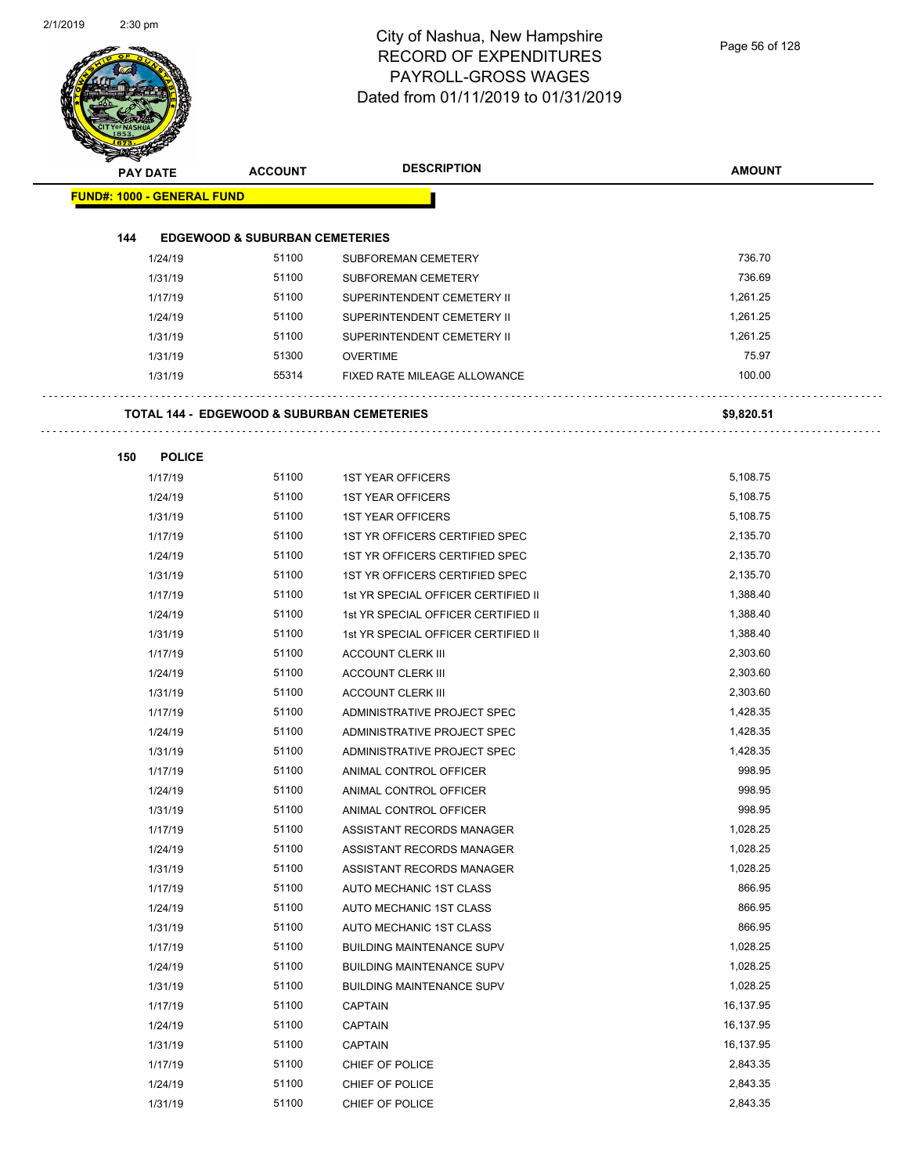|     | PAY DATE                          | <b>ACCOUNT</b>                            | <b>DESCRIPTION</b>                                    | <b>AMOUNT</b>        |
|-----|-----------------------------------|-------------------------------------------|-------------------------------------------------------|----------------------|
|     | <b>FUND#: 1000 - GENERAL FUND</b> |                                           |                                                       |                      |
| 144 |                                   | <b>EDGEWOOD &amp; SUBURBAN CEMETERIES</b> |                                                       |                      |
|     | 1/24/19                           | 51100                                     | SUBFOREMAN CEMETERY                                   | 736.70               |
|     | 1/31/19                           | 51100                                     | SUBFOREMAN CEMETERY                                   | 736.69               |
|     | 1/17/19                           | 51100                                     | SUPERINTENDENT CEMETERY II                            | 1,261.25             |
|     | 1/24/19                           | 51100                                     | SUPERINTENDENT CEMETERY II                            | 1,261.25             |
|     | 1/31/19                           | 51100                                     | SUPERINTENDENT CEMETERY II                            | 1,261.25             |
|     | 1/31/19                           | 51300                                     | <b>OVERTIME</b>                                       | 75.97                |
|     | 1/31/19                           | 55314                                     | FIXED RATE MILEAGE ALLOWANCE                          | 100.00               |
|     |                                   |                                           | <b>TOTAL 144 - EDGEWOOD &amp; SUBURBAN CEMETERIES</b> | \$9,820.51           |
|     |                                   |                                           |                                                       |                      |
| 150 | <b>POLICE</b>                     |                                           |                                                       |                      |
|     | 1/17/19                           | 51100                                     | <b>1ST YEAR OFFICERS</b>                              | 5,108.75             |
|     | 1/24/19                           | 51100                                     | <b>1ST YEAR OFFICERS</b>                              | 5,108.75             |
|     | 1/31/19                           | 51100                                     | <b>1ST YEAR OFFICERS</b>                              | 5,108.75             |
|     | 1/17/19                           | 51100                                     | 1ST YR OFFICERS CERTIFIED SPEC                        | 2,135.70             |
|     | 1/24/19                           | 51100                                     | 1ST YR OFFICERS CERTIFIED SPEC                        | 2,135.70             |
|     | 1/31/19                           | 51100                                     | 1ST YR OFFICERS CERTIFIED SPEC                        | 2,135.70             |
|     | 1/17/19                           | 51100                                     | 1st YR SPECIAL OFFICER CERTIFIED II                   | 1,388.40             |
|     | 1/24/19                           | 51100                                     | 1st YR SPECIAL OFFICER CERTIFIED II                   | 1,388.40             |
|     | 1/31/19                           | 51100                                     | 1st YR SPECIAL OFFICER CERTIFIED II                   | 1,388.40             |
|     | 1/17/19                           | 51100                                     | <b>ACCOUNT CLERK III</b>                              | 2,303.60             |
|     | 1/24/19                           | 51100                                     | <b>ACCOUNT CLERK III</b>                              | 2,303.60             |
|     | 1/31/19                           | 51100                                     | <b>ACCOUNT CLERK III</b>                              | 2,303.60<br>1,428.35 |
|     | 1/17/19                           | 51100<br>51100                            | ADMINISTRATIVE PROJECT SPEC                           | 1,428.35             |
|     | 1/24/19                           | 51100                                     | ADMINISTRATIVE PROJECT SPEC                           | 1,428.35             |
|     | 1/31/19                           | 51100                                     | ADMINISTRATIVE PROJECT SPEC<br>ANIMAL CONTROL OFFICER | 998.95               |
|     | 1/17/19                           | 51100                                     | ANIMAL CONTROL OFFICER                                | 998.95               |
|     | 1/24/19<br>1/31/19                | 51100                                     | ANIMAL CONTROL OFFICER                                | 998.95               |
|     | 1/17/19                           | 51100                                     | ASSISTANT RECORDS MANAGER                             | 1,028.25             |
|     | 1/24/19                           | 51100                                     | ASSISTANT RECORDS MANAGER                             | 1,028.25             |
|     | 1/31/19                           | 51100                                     | ASSISTANT RECORDS MANAGER                             | 1,028.25             |
|     | 1/17/19                           | 51100                                     | AUTO MECHANIC 1ST CLASS                               | 866.95               |
|     | 1/24/19                           | 51100                                     | AUTO MECHANIC 1ST CLASS                               | 866.95               |
|     | 1/31/19                           | 51100                                     | AUTO MECHANIC 1ST CLASS                               | 866.95               |
|     | 1/17/19                           | 51100                                     | <b>BUILDING MAINTENANCE SUPV</b>                      | 1,028.25             |
|     | 1/24/19                           | 51100                                     | <b>BUILDING MAINTENANCE SUPV</b>                      | 1,028.25             |
|     | 1/31/19                           | 51100                                     | <b>BUILDING MAINTENANCE SUPV</b>                      | 1,028.25             |
|     | 1/17/19                           | 51100                                     | CAPTAIN                                               | 16,137.95            |
|     | 1/24/19                           | 51100                                     | <b>CAPTAIN</b>                                        | 16,137.95            |
|     | 1/31/19                           | 51100                                     | <b>CAPTAIN</b>                                        | 16,137.95            |
|     | 1/17/19                           | 51100                                     | CHIEF OF POLICE                                       | 2,843.35             |
|     | 1/24/19                           | 51100                                     | CHIEF OF POLICE                                       | 2,843.35             |
|     | 1/31/19                           | 51100                                     | CHIEF OF POLICE                                       | 2,843.35             |
|     |                                   |                                           |                                                       |                      |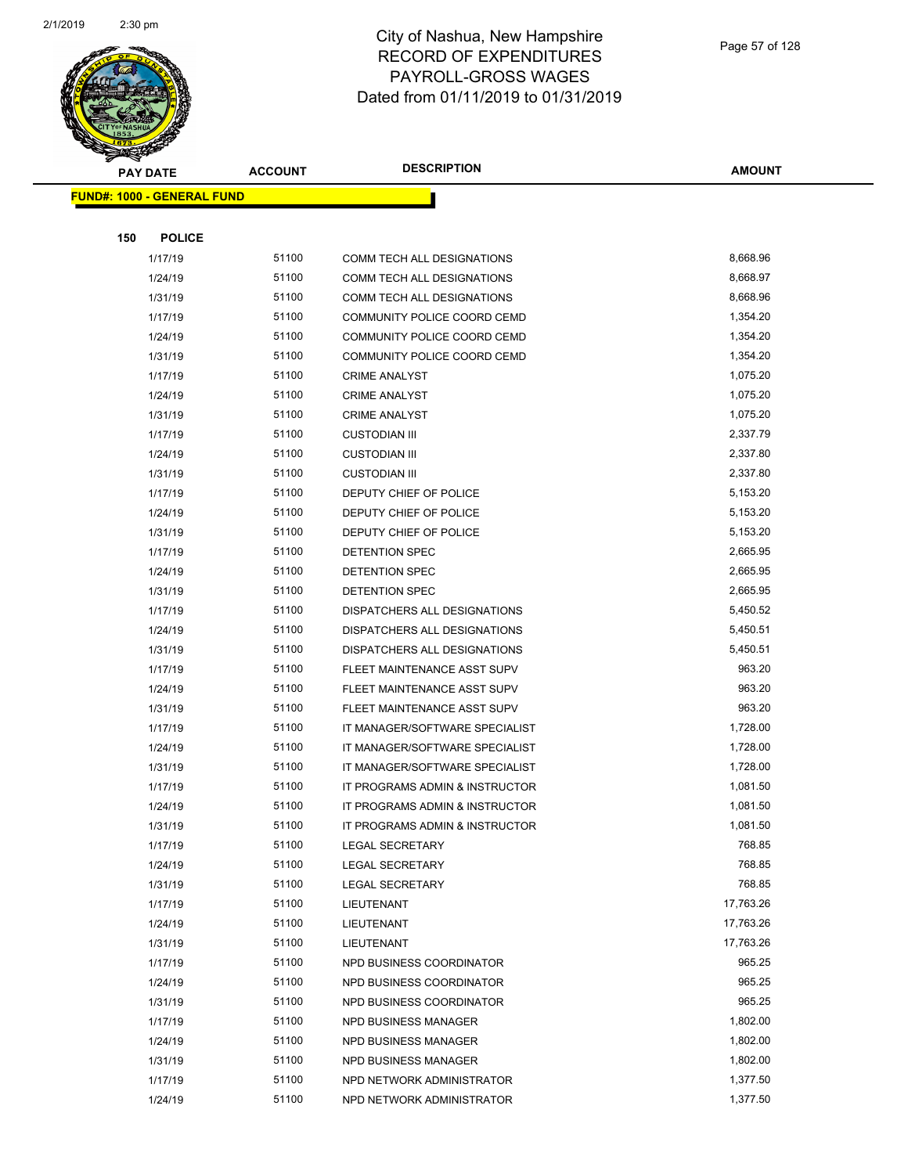

**AMOUNT**

|     | <u> FUND#: 1000 - GENERAL FUND</u> |       |                                |           |
|-----|------------------------------------|-------|--------------------------------|-----------|
|     |                                    |       |                                |           |
| 150 | <b>POLICE</b>                      |       |                                |           |
|     | 1/17/19                            | 51100 | COMM TECH ALL DESIGNATIONS     | 8,668.96  |
|     | 1/24/19                            | 51100 | COMM TECH ALL DESIGNATIONS     | 8,668.97  |
|     | 1/31/19                            | 51100 | COMM TECH ALL DESIGNATIONS     | 8,668.96  |
|     | 1/17/19                            | 51100 | COMMUNITY POLICE COORD CEMD    | 1,354.20  |
|     | 1/24/19                            | 51100 | COMMUNITY POLICE COORD CEMD    | 1,354.20  |
|     | 1/31/19                            | 51100 | COMMUNITY POLICE COORD CEMD    | 1,354.20  |
|     | 1/17/19                            | 51100 | <b>CRIME ANALYST</b>           | 1,075.20  |
|     | 1/24/19                            | 51100 | <b>CRIME ANALYST</b>           | 1,075.20  |
|     | 1/31/19                            | 51100 | <b>CRIME ANALYST</b>           | 1,075.20  |
|     | 1/17/19                            | 51100 | <b>CUSTODIAN III</b>           | 2,337.79  |
|     | 1/24/19                            | 51100 | <b>CUSTODIAN III</b>           | 2,337.80  |
|     | 1/31/19                            | 51100 | <b>CUSTODIAN III</b>           | 2,337.80  |
|     | 1/17/19                            | 51100 | DEPUTY CHIEF OF POLICE         | 5,153.20  |
|     | 1/24/19                            | 51100 | DEPUTY CHIEF OF POLICE         | 5,153.20  |
|     | 1/31/19                            | 51100 | DEPUTY CHIEF OF POLICE         | 5,153.20  |
|     | 1/17/19                            | 51100 | DETENTION SPEC                 | 2,665.95  |
|     | 1/24/19                            | 51100 | DETENTION SPEC                 | 2,665.95  |
|     | 1/31/19                            | 51100 | DETENTION SPEC                 | 2,665.95  |
|     | 1/17/19                            | 51100 | DISPATCHERS ALL DESIGNATIONS   | 5,450.52  |
|     | 1/24/19                            | 51100 | DISPATCHERS ALL DESIGNATIONS   | 5,450.51  |
|     | 1/31/19                            | 51100 | DISPATCHERS ALL DESIGNATIONS   | 5,450.51  |
|     | 1/17/19                            | 51100 | FLEET MAINTENANCE ASST SUPV    | 963.20    |
|     | 1/24/19                            | 51100 | FLEET MAINTENANCE ASST SUPV    | 963.20    |
|     | 1/31/19                            | 51100 | FLEET MAINTENANCE ASST SUPV    | 963.20    |
|     | 1/17/19                            | 51100 | IT MANAGER/SOFTWARE SPECIALIST | 1,728.00  |
|     | 1/24/19                            | 51100 | IT MANAGER/SOFTWARE SPECIALIST | 1,728.00  |
|     | 1/31/19                            | 51100 | IT MANAGER/SOFTWARE SPECIALIST | 1,728.00  |
|     | 1/17/19                            | 51100 | IT PROGRAMS ADMIN & INSTRUCTOR | 1,081.50  |
|     | 1/24/19                            | 51100 | IT PROGRAMS ADMIN & INSTRUCTOR | 1,081.50  |
|     | 1/31/19                            | 51100 | IT PROGRAMS ADMIN & INSTRUCTOR | 1,081.50  |
|     | 1/17/19                            | 51100 | LEGAL SECRETARY                | 768.85    |
|     | 1/24/19                            | 51100 | <b>LEGAL SECRETARY</b>         | 768.85    |
|     | 1/31/19                            | 51100 | <b>LEGAL SECRETARY</b>         | 768.85    |
|     | 1/17/19                            | 51100 | LIEUTENANT                     | 17,763.26 |
|     | 1/24/19                            | 51100 | LIEUTENANT                     | 17,763.26 |
|     | 1/31/19                            | 51100 | LIEUTENANT                     | 17,763.26 |
|     | 1/17/19                            | 51100 | NPD BUSINESS COORDINATOR       | 965.25    |
|     | 1/24/19                            | 51100 | NPD BUSINESS COORDINATOR       | 965.25    |
|     | 1/31/19                            | 51100 | NPD BUSINESS COORDINATOR       | 965.25    |
|     | 1/17/19                            | 51100 | NPD BUSINESS MANAGER           | 1,802.00  |
|     | 1/24/19                            | 51100 | NPD BUSINESS MANAGER           | 1,802.00  |
|     | 1/31/19                            | 51100 | NPD BUSINESS MANAGER           | 1,802.00  |
|     | 1/17/19                            | 51100 | NPD NETWORK ADMINISTRATOR      | 1,377.50  |
|     | 1/24/19                            | 51100 | NPD NETWORK ADMINISTRATOR      | 1,377.50  |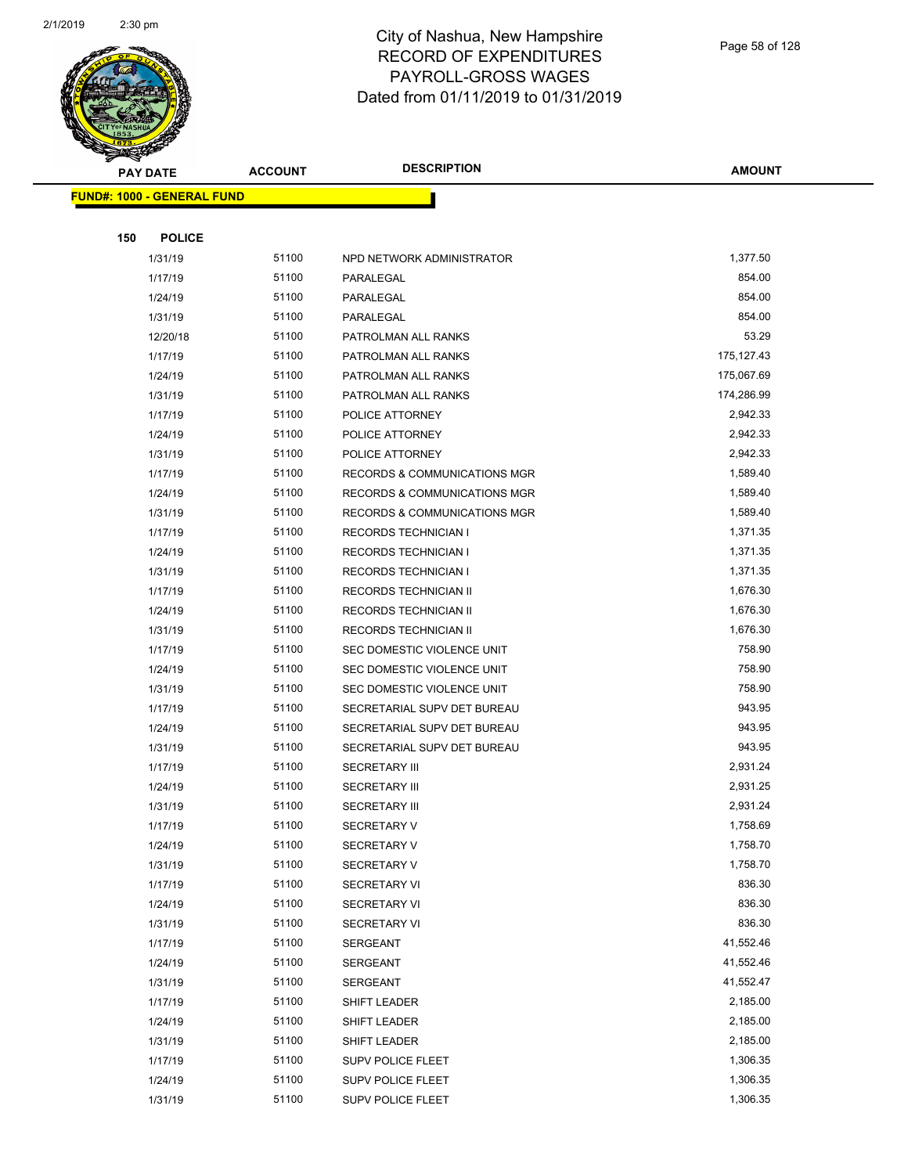

**AMOUNT**

|     | <u> FUND#: 1000 - GENERAL FUND</u> |                |                                         |                      |
|-----|------------------------------------|----------------|-----------------------------------------|----------------------|
|     |                                    |                |                                         |                      |
| 150 | <b>POLICE</b>                      |                |                                         |                      |
|     | 1/31/19                            | 51100          | NPD NETWORK ADMINISTRATOR               | 1,377.50             |
|     | 1/17/19                            | 51100          | PARALEGAL                               | 854.00               |
|     | 1/24/19                            | 51100          | PARALEGAL                               | 854.00               |
|     | 1/31/19                            | 51100          | PARALEGAL                               | 854.00               |
|     | 12/20/18                           | 51100          | PATROLMAN ALL RANKS                     | 53.29                |
|     | 1/17/19                            | 51100          | PATROLMAN ALL RANKS                     | 175,127.43           |
|     | 1/24/19                            | 51100          | PATROLMAN ALL RANKS                     | 175,067.69           |
|     | 1/31/19                            | 51100          | PATROLMAN ALL RANKS                     | 174,286.99           |
|     | 1/17/19                            | 51100          | POLICE ATTORNEY                         | 2,942.33             |
|     | 1/24/19                            | 51100          | POLICE ATTORNEY                         | 2,942.33             |
|     | 1/31/19                            | 51100          | POLICE ATTORNEY                         | 2,942.33             |
|     | 1/17/19                            | 51100          | RECORDS & COMMUNICATIONS MGR            | 1,589.40             |
|     | 1/24/19                            | 51100          | <b>RECORDS &amp; COMMUNICATIONS MGR</b> | 1,589.40             |
|     | 1/31/19                            | 51100          | <b>RECORDS &amp; COMMUNICATIONS MGR</b> | 1,589.40             |
|     | 1/17/19                            | 51100          | <b>RECORDS TECHNICIAN I</b>             | 1,371.35             |
|     | 1/24/19                            | 51100          | <b>RECORDS TECHNICIAN I</b>             | 1,371.35             |
|     | 1/31/19                            | 51100          | <b>RECORDS TECHNICIAN I</b>             | 1,371.35             |
|     | 1/17/19                            | 51100          | RECORDS TECHNICIAN II                   | 1,676.30             |
|     | 1/24/19                            | 51100          | RECORDS TECHNICIAN II                   | 1,676.30             |
|     | 1/31/19                            | 51100          | RECORDS TECHNICIAN II                   | 1,676.30             |
|     | 1/17/19                            | 51100          | SEC DOMESTIC VIOLENCE UNIT              | 758.90               |
|     | 1/24/19                            | 51100          | SEC DOMESTIC VIOLENCE UNIT              | 758.90               |
|     | 1/31/19                            | 51100          | SEC DOMESTIC VIOLENCE UNIT              | 758.90               |
|     | 1/17/19                            | 51100          | SECRETARIAL SUPV DET BUREAU             | 943.95               |
|     | 1/24/19                            | 51100          | SECRETARIAL SUPV DET BUREAU             | 943.95               |
|     | 1/31/19                            | 51100          | SECRETARIAL SUPV DET BUREAU             | 943.95               |
|     | 1/17/19                            | 51100          | <b>SECRETARY III</b>                    | 2,931.24             |
|     | 1/24/19                            | 51100          | <b>SECRETARY III</b>                    | 2,931.25             |
|     | 1/31/19                            | 51100          | <b>SECRETARY III</b>                    | 2,931.24             |
|     | 1/17/19                            | 51100          | <b>SECRETARY V</b>                      | 1,758.69             |
|     | 1/24/19                            | 51100          | SECRETARY V                             | 1,758.70             |
|     | 1/31/19                            | 51100          | <b>SECRETARY V</b>                      | 1,758.70             |
|     | 1/17/19                            | 51100          | SECRETARY VI                            | 836.30               |
|     | 1/24/19                            | 51100          | SECRETARY VI                            | 836.30               |
|     | 1/31/19                            | 51100          | <b>SECRETARY VI</b>                     | 836.30<br>41,552.46  |
|     | 1/17/19                            | 51100          | SERGEANT                                |                      |
|     | 1/24/19                            | 51100          | SERGEANT                                | 41,552.46            |
|     | 1/31/19                            | 51100          | SERGEANT                                | 41,552.47            |
|     | 1/17/19                            | 51100          | <b>SHIFT LEADER</b>                     | 2,185.00             |
|     | 1/24/19                            | 51100<br>51100 | <b>SHIFT LEADER</b>                     | 2,185.00<br>2,185.00 |
|     | 1/31/19<br>1/17/19                 | 51100          | SHIFT LEADER                            | 1,306.35             |
|     | 1/24/19                            | 51100          | SUPV POLICE FLEET<br>SUPV POLICE FLEET  | 1,306.35             |
|     | 1/31/19                            | 51100          | SUPV POLICE FLEET                       | 1,306.35             |
|     |                                    |                |                                         |                      |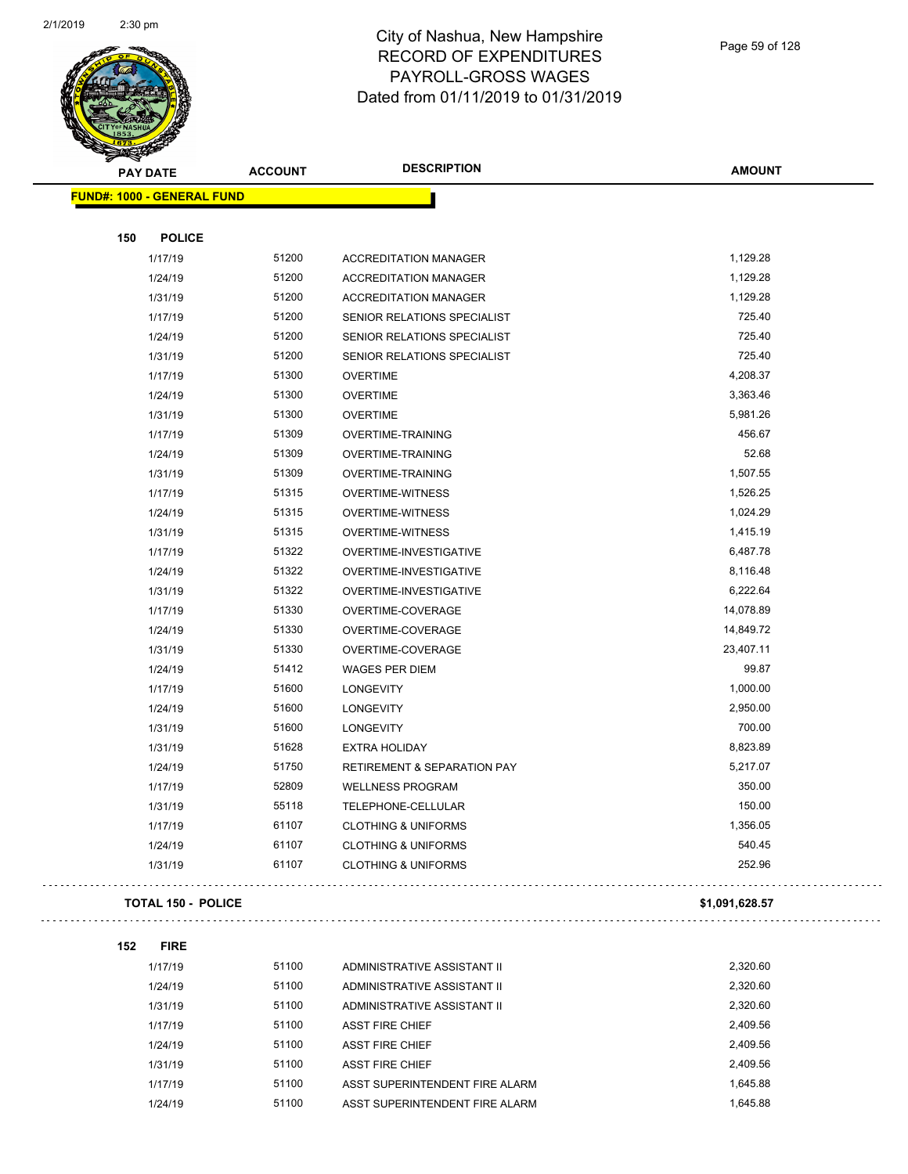

Page 59 of 128

 $\bar{\mathcal{L}}$  .

| <b>PAY DATE</b>                   | <b>ACCOUNT</b>            |       | <b>DESCRIPTION</b>                     | <b>AMOUNT</b>  |
|-----------------------------------|---------------------------|-------|----------------------------------------|----------------|
| <b>FUND#: 1000 - GENERAL FUND</b> |                           |       |                                        |                |
|                                   |                           |       |                                        |                |
| 150                               | <b>POLICE</b>             |       |                                        |                |
|                                   | 1/17/19                   | 51200 | <b>ACCREDITATION MANAGER</b>           | 1,129.28       |
|                                   | 1/24/19                   | 51200 | <b>ACCREDITATION MANAGER</b>           | 1,129.28       |
|                                   | 1/31/19                   | 51200 | <b>ACCREDITATION MANAGER</b>           | 1,129.28       |
|                                   | 1/17/19                   | 51200 | SENIOR RELATIONS SPECIALIST            | 725.40         |
|                                   | 1/24/19                   | 51200 | SENIOR RELATIONS SPECIALIST            | 725.40         |
|                                   | 1/31/19                   | 51200 | SENIOR RELATIONS SPECIALIST            | 725.40         |
|                                   | 1/17/19                   | 51300 | <b>OVERTIME</b>                        | 4,208.37       |
|                                   | 1/24/19                   | 51300 | <b>OVERTIME</b>                        | 3,363.46       |
|                                   | 1/31/19                   | 51300 | <b>OVERTIME</b>                        | 5,981.26       |
|                                   | 1/17/19                   | 51309 | <b>OVERTIME-TRAINING</b>               | 456.67         |
|                                   | 1/24/19                   | 51309 | <b>OVERTIME-TRAINING</b>               | 52.68          |
|                                   | 1/31/19                   | 51309 | <b>OVERTIME-TRAINING</b>               | 1,507.55       |
|                                   | 1/17/19                   | 51315 | <b>OVERTIME-WITNESS</b>                | 1,526.25       |
|                                   | 1/24/19                   | 51315 | <b>OVERTIME-WITNESS</b>                | 1,024.29       |
|                                   | 1/31/19                   | 51315 | <b>OVERTIME-WITNESS</b>                | 1,415.19       |
|                                   | 1/17/19                   | 51322 | OVERTIME-INVESTIGATIVE                 | 6,487.78       |
|                                   | 1/24/19                   | 51322 | OVERTIME-INVESTIGATIVE                 | 8,116.48       |
|                                   | 1/31/19                   | 51322 | OVERTIME-INVESTIGATIVE                 | 6,222.64       |
|                                   | 1/17/19                   | 51330 | OVERTIME-COVERAGE                      | 14,078.89      |
|                                   | 1/24/19                   | 51330 | OVERTIME-COVERAGE                      | 14,849.72      |
|                                   | 1/31/19                   | 51330 | OVERTIME-COVERAGE                      | 23,407.11      |
|                                   | 1/24/19                   | 51412 | <b>WAGES PER DIEM</b>                  | 99.87          |
|                                   | 1/17/19                   | 51600 | <b>LONGEVITY</b>                       | 1,000.00       |
|                                   | 1/24/19                   | 51600 | <b>LONGEVITY</b>                       | 2,950.00       |
|                                   | 1/31/19                   | 51600 | <b>LONGEVITY</b>                       | 700.00         |
|                                   | 1/31/19                   | 51628 | <b>EXTRA HOLIDAY</b>                   | 8,823.89       |
|                                   | 1/24/19                   | 51750 | <b>RETIREMENT &amp; SEPARATION PAY</b> | 5,217.07       |
|                                   | 1/17/19                   | 52809 | <b>WELLNESS PROGRAM</b>                | 350.00         |
|                                   | 1/31/19                   | 55118 | TELEPHONE-CELLULAR                     | 150.00         |
|                                   | 1/17/19                   | 61107 | <b>CLOTHING &amp; UNIFORMS</b>         | 1,356.05       |
|                                   | 1/24/19                   | 61107 | <b>CLOTHING &amp; UNIFORMS</b>         | 540.45         |
|                                   | 1/31/19                   | 61107 | <b>CLOTHING &amp; UNIFORMS</b>         | 252.96         |
|                                   | <b>TOTAL 150 - POLICE</b> |       |                                        | \$1,091,628.57 |
|                                   |                           |       |                                        |                |
| 152                               | <b>FIRE</b>               |       |                                        |                |
|                                   | 1/17/19                   | 51100 | ADMINISTRATIVE ASSISTANT II            | 2,320.60       |
|                                   | 1/24/19                   | 51100 | ADMINISTRATIVE ASSISTANT II            | 2,320.60       |
|                                   | 1/31/19                   | 51100 | ADMINISTRATIVE ASSISTANT II            | 2,320.60       |
|                                   | 1/17/19                   | 51100 | <b>ASST FIRE CHIEF</b>                 | 2,409.56       |
|                                   | 1/24/19                   | 51100 | <b>ASST FIRE CHIEF</b>                 | 2,409.56       |
|                                   | 1/31/19                   | 51100 | <b>ASST FIRE CHIEF</b>                 | 2,409.56       |
|                                   | 1/17/19                   | 51100 | ASST SUPERINTENDENT FIRE ALARM         | 1,645.88       |

1/24/19 51100 ASST SUPERINTENDENT FIRE ALARM 1,645.88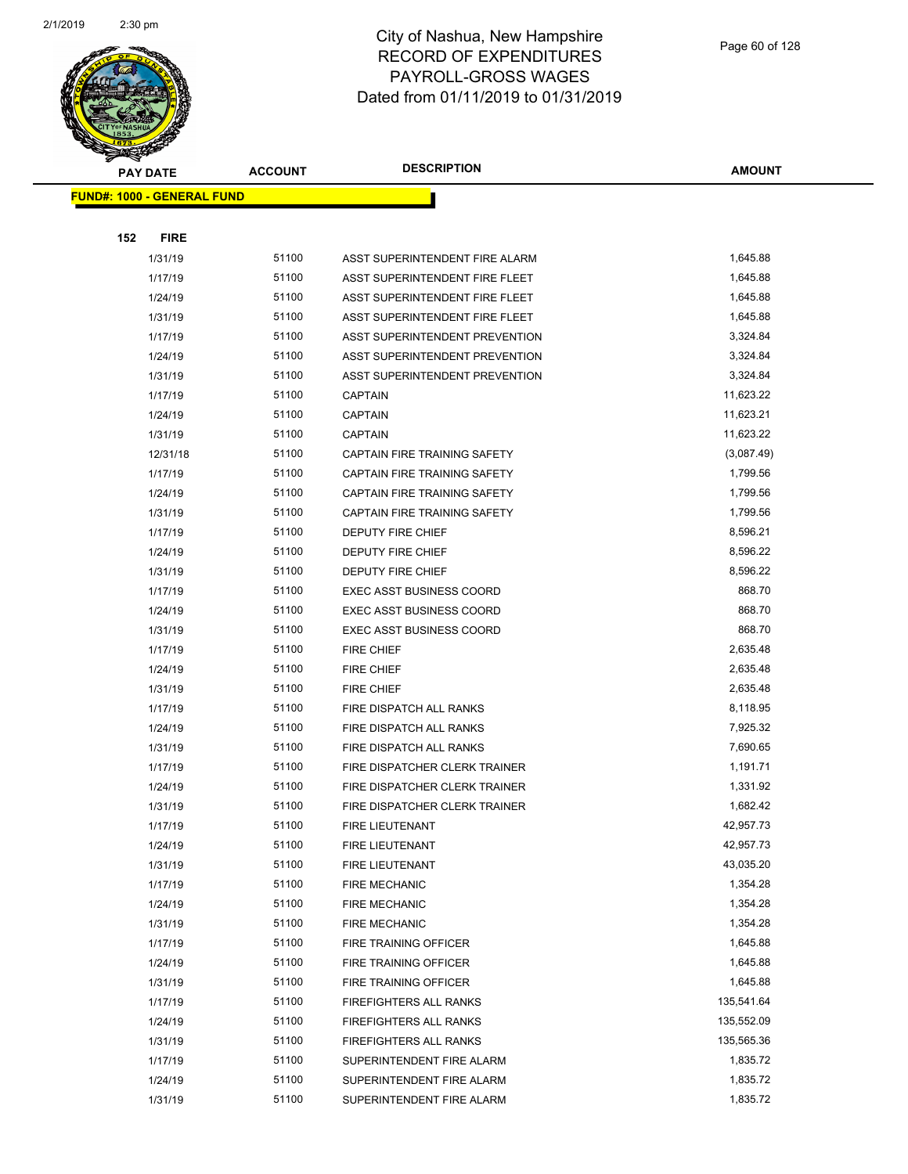

|     | <b>PAY DATE</b>                   | <b>ACCOUNT</b> | <b>DESCRIPTION</b>                  | <b>AMOUNT</b> |
|-----|-----------------------------------|----------------|-------------------------------------|---------------|
|     | <b>FUND#: 1000 - GENERAL FUND</b> |                |                                     |               |
|     |                                   |                |                                     |               |
| 152 | <b>FIRE</b>                       |                |                                     |               |
|     | 1/31/19                           | 51100          | ASST SUPERINTENDENT FIRE ALARM      | 1,645.88      |
|     | 1/17/19                           | 51100          | ASST SUPERINTENDENT FIRE FLEET      | 1,645.88      |
|     | 1/24/19                           | 51100          | ASST SUPERINTENDENT FIRE FLEET      | 1,645.88      |
|     | 1/31/19                           | 51100          | ASST SUPERINTENDENT FIRE FLEET      | 1,645.88      |
|     | 1/17/19                           | 51100          | ASST SUPERINTENDENT PREVENTION      | 3,324.84      |
|     | 1/24/19                           | 51100          | ASST SUPERINTENDENT PREVENTION      | 3,324.84      |
|     | 1/31/19                           | 51100          | ASST SUPERINTENDENT PREVENTION      | 3,324.84      |
|     | 1/17/19                           | 51100          | <b>CAPTAIN</b>                      | 11,623.22     |
|     | 1/24/19                           | 51100          | <b>CAPTAIN</b>                      | 11,623.21     |
|     | 1/31/19                           | 51100          | <b>CAPTAIN</b>                      | 11,623.22     |
|     | 12/31/18                          | 51100          | <b>CAPTAIN FIRE TRAINING SAFETY</b> | (3,087.49)    |
|     | 1/17/19                           | 51100          | <b>CAPTAIN FIRE TRAINING SAFETY</b> | 1,799.56      |
|     | 1/24/19                           | 51100          | <b>CAPTAIN FIRE TRAINING SAFETY</b> | 1,799.56      |
|     | 1/31/19                           | 51100          | CAPTAIN FIRE TRAINING SAFETY        | 1,799.56      |
|     | 1/17/19                           | 51100          | <b>DEPUTY FIRE CHIEF</b>            | 8,596.21      |
|     | 1/24/19                           | 51100          | DEPUTY FIRE CHIEF                   | 8,596.22      |
|     | 1/31/19                           | 51100          | DEPUTY FIRE CHIEF                   | 8,596.22      |
|     | 1/17/19                           | 51100          | <b>EXEC ASST BUSINESS COORD</b>     | 868.70        |
|     | 1/24/19                           | 51100          | <b>EXEC ASST BUSINESS COORD</b>     | 868.70        |
|     | 1/31/19                           | 51100          | <b>EXEC ASST BUSINESS COORD</b>     | 868.70        |
|     | 1/17/19                           | 51100          | <b>FIRE CHIEF</b>                   | 2,635.48      |
|     | 1/24/19                           | 51100          | <b>FIRE CHIEF</b>                   | 2,635.48      |
|     | 1/31/19                           | 51100          | FIRE CHIEF                          | 2,635.48      |
|     | 1/17/19                           | 51100          | FIRE DISPATCH ALL RANKS             | 8,118.95      |
|     | 1/24/19                           | 51100          | FIRE DISPATCH ALL RANKS             | 7,925.32      |
|     | 1/31/19                           | 51100          | FIRE DISPATCH ALL RANKS             | 7,690.65      |
|     | 1/17/19                           | 51100          | FIRE DISPATCHER CLERK TRAINER       | 1,191.71      |
|     | 1/24/19                           | 51100          | FIRE DISPATCHER CLERK TRAINER       | 1,331.92      |
|     | 1/31/19                           | 51100          | FIRE DISPATCHER CLERK TRAINER       | 1,682.42      |
|     | 1/17/19                           | 51100          | FIRE LIEUTENANT                     | 42,957.73     |
|     | 1/24/19                           | 51100          | FIRE LIEUTENANT                     | 42,957.73     |
|     | 1/31/19                           | 51100          | FIRE LIEUTENANT                     | 43,035.20     |
|     | 1/17/19                           | 51100          | <b>FIRE MECHANIC</b>                | 1,354.28      |
|     | 1/24/19                           | 51100          | <b>FIRE MECHANIC</b>                | 1,354.28      |
|     | 1/31/19                           | 51100          | <b>FIRE MECHANIC</b>                | 1,354.28      |
|     | 1/17/19                           | 51100          | FIRE TRAINING OFFICER               | 1,645.88      |
|     | 1/24/19                           | 51100          | FIRE TRAINING OFFICER               | 1,645.88      |
|     | 1/31/19                           | 51100          | FIRE TRAINING OFFICER               | 1,645.88      |
|     | 1/17/19                           | 51100          | FIREFIGHTERS ALL RANKS              | 135,541.64    |
|     | 1/24/19                           | 51100          | FIREFIGHTERS ALL RANKS              | 135,552.09    |
|     | 1/31/19                           | 51100          | FIREFIGHTERS ALL RANKS              | 135,565.36    |
|     | 1/17/19                           | 51100          | SUPERINTENDENT FIRE ALARM           | 1,835.72      |
|     | 1/24/19                           | 51100          | SUPERINTENDENT FIRE ALARM           | 1,835.72      |
|     | 1/31/19                           | 51100          | SUPERINTENDENT FIRE ALARM           | 1,835.72      |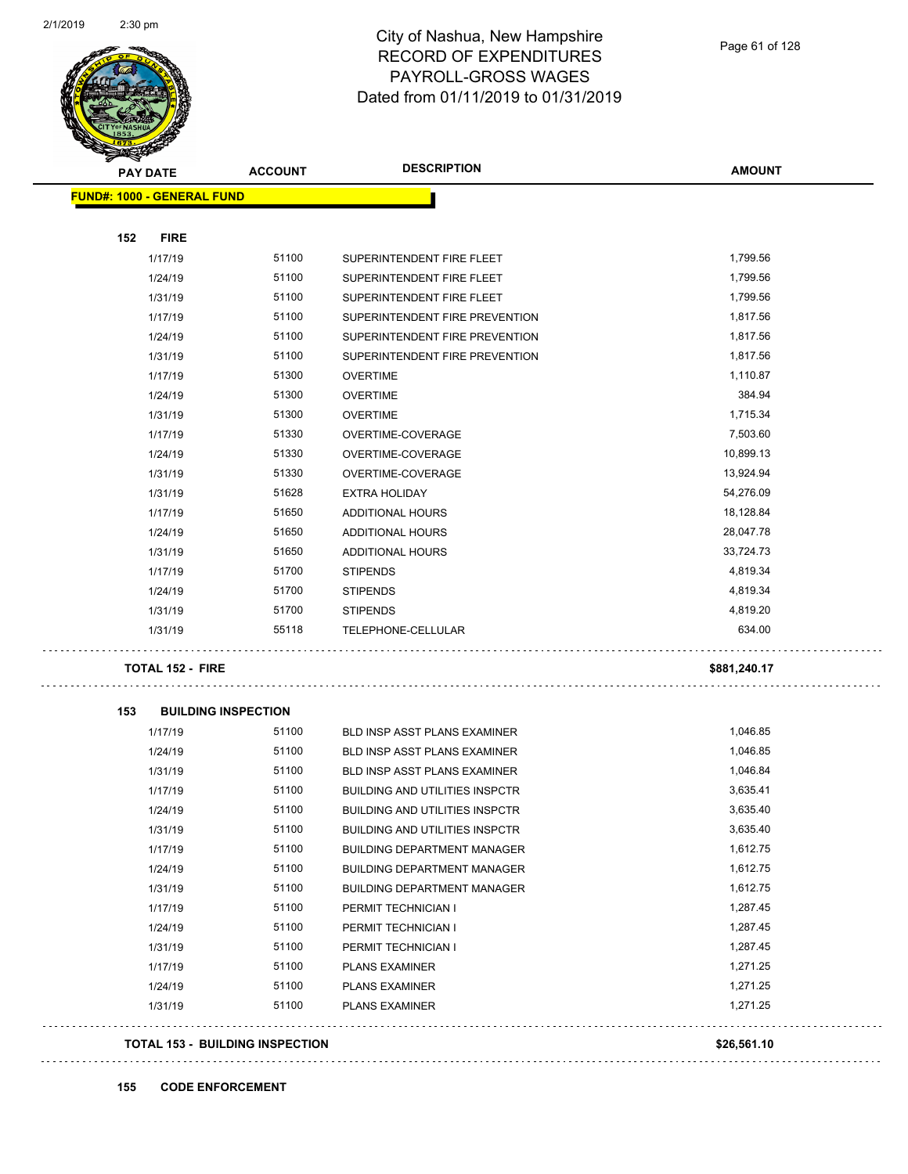$\ddotsc$ 

 $\ddotsc$ 

 $\ddot{\phantom{0}}$ 



#### City of Nashua, New Hampshire RECORD OF EXPENDITURES PAYROLL-GROSS WAGES Dated from 01/11/2019 to 01/31/2019

Page 61 of 128

| <b>PAY DATE</b>                   | <b>ACCOUNT</b>                         | <b>DESCRIPTION</b>                    | <b>AMOUNT</b> |
|-----------------------------------|----------------------------------------|---------------------------------------|---------------|
| <b>FUND#: 1000 - GENERAL FUND</b> |                                        |                                       |               |
| 152<br><b>FIRE</b>                |                                        |                                       |               |
| 1/17/19                           | 51100                                  | SUPERINTENDENT FIRE FLEET             | 1,799.56      |
| 1/24/19                           | 51100                                  | SUPERINTENDENT FIRE FLEET             | 1,799.56      |
| 1/31/19                           | 51100                                  | SUPERINTENDENT FIRE FLEET             | 1,799.56      |
| 1/17/19                           | 51100                                  | SUPERINTENDENT FIRE PREVENTION        | 1,817.56      |
| 1/24/19                           | 51100                                  | SUPERINTENDENT FIRE PREVENTION        | 1,817.56      |
| 1/31/19                           | 51100                                  | SUPERINTENDENT FIRE PREVENTION        | 1,817.56      |
| 1/17/19                           | 51300                                  | <b>OVERTIME</b>                       | 1,110.87      |
| 1/24/19                           | 51300                                  | <b>OVERTIME</b>                       | 384.94        |
| 1/31/19                           | 51300                                  | <b>OVERTIME</b>                       | 1,715.34      |
| 1/17/19                           | 51330                                  | OVERTIME-COVERAGE                     | 7,503.60      |
| 1/24/19                           | 51330                                  | OVERTIME-COVERAGE                     | 10,899.13     |
| 1/31/19                           | 51330                                  | OVERTIME-COVERAGE                     | 13,924.94     |
| 1/31/19                           | 51628                                  | <b>EXTRA HOLIDAY</b>                  | 54,276.09     |
| 1/17/19                           | 51650                                  | <b>ADDITIONAL HOURS</b>               | 18,128.84     |
| 1/24/19                           | 51650                                  | <b>ADDITIONAL HOURS</b>               | 28,047.78     |
| 1/31/19                           | 51650                                  | <b>ADDITIONAL HOURS</b>               | 33,724.73     |
| 1/17/19                           | 51700                                  | <b>STIPENDS</b>                       | 4,819.34      |
| 1/24/19                           | 51700                                  | <b>STIPENDS</b>                       | 4,819.34      |
| 1/31/19                           | 51700                                  | <b>STIPENDS</b>                       | 4,819.20      |
| 1/31/19                           | 55118                                  | TELEPHONE-CELLULAR                    | 634.00        |
| <b>TOTAL 152 - FIRE</b>           |                                        |                                       | \$881,240.17  |
| 153                               | <b>BUILDING INSPECTION</b>             |                                       |               |
| 1/17/19                           | 51100                                  | BLD INSP ASST PLANS EXAMINER          | 1,046.85      |
| 1/24/19                           | 51100                                  | <b>BLD INSP ASST PLANS EXAMINER</b>   | 1,046.85      |
| 1/31/19                           | 51100                                  | BLD INSP ASST PLANS EXAMINER          | 1,046.84      |
| 1/17/19                           | 51100                                  | <b>BUILDING AND UTILITIES INSPCTR</b> | 3,635.41      |
| 1/24/19                           | 51100                                  | <b>BUILDING AND UTILITIES INSPCTR</b> | 3,635.40      |
| 1/31/19                           | 51100                                  | <b>BUILDING AND UTILITIES INSPCTR</b> | 3,635.40      |
| 1/17/19                           | 51100                                  | <b>BUILDING DEPARTMENT MANAGER</b>    | 1,612.75      |
| 1/24/19                           | 51100                                  | <b>BUILDING DEPARTMENT MANAGER</b>    | 1,612.75      |
| 1/31/19                           | 51100                                  | <b>BUILDING DEPARTMENT MANAGER</b>    | 1,612.75      |
| 1/17/19                           | 51100                                  | PERMIT TECHNICIAN I                   | 1,287.45      |
| 1/24/19                           | 51100                                  | PERMIT TECHNICIAN I                   | 1,287.45      |
| 1/31/19                           | 51100                                  | PERMIT TECHNICIAN I                   | 1,287.45      |
| 1/17/19                           | 51100                                  | <b>PLANS EXAMINER</b>                 | 1,271.25      |
| 1/24/19                           | 51100                                  | <b>PLANS EXAMINER</b>                 | 1,271.25      |
| 1/31/19                           | 51100                                  | <b>PLANS EXAMINER</b>                 | 1,271.25      |
|                                   | <b>TOTAL 153 - BUILDING INSPECTION</b> |                                       | \$26,561.10   |
|                                   |                                        |                                       |               |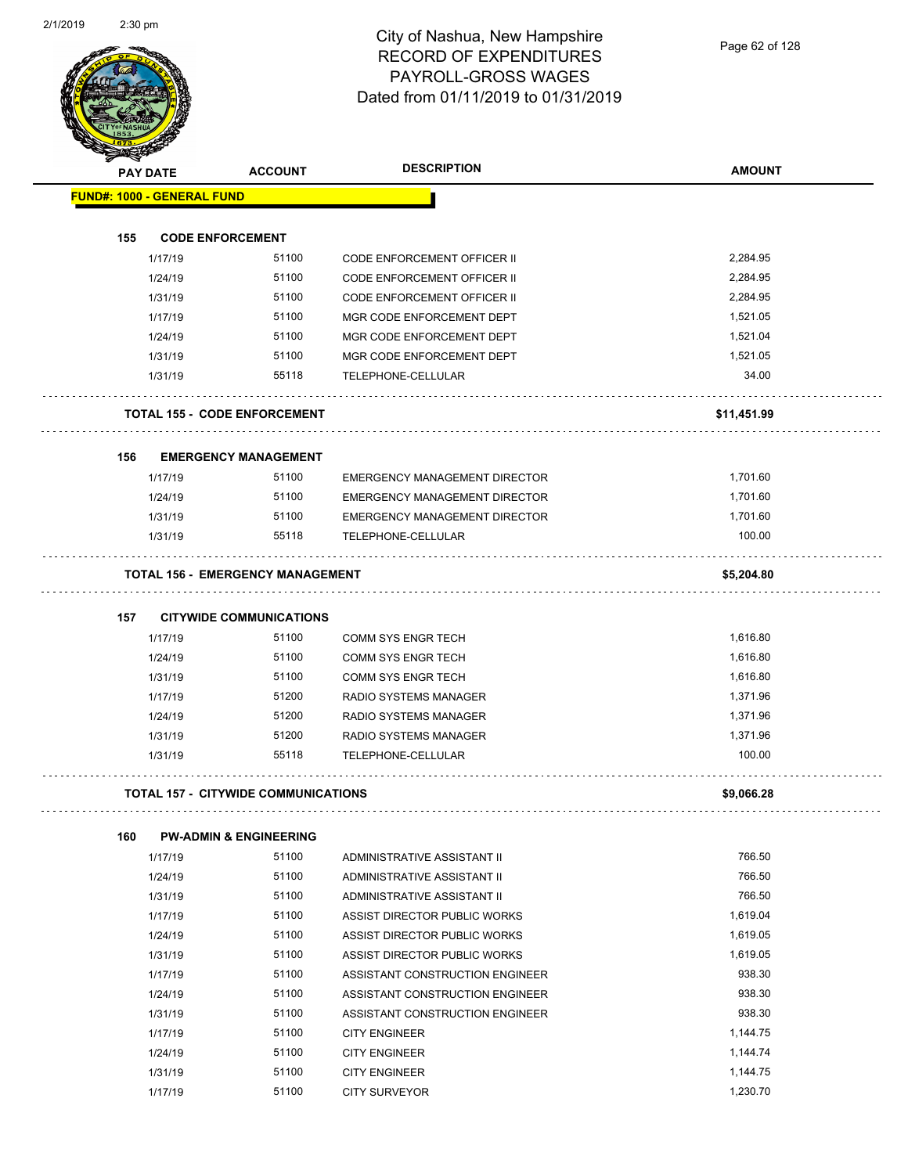| <b>PAY DATE</b>                   | <b>ACCOUNT</b>                             | <b>DESCRIPTION</b>                   | <b>AMOUNT</b> |
|-----------------------------------|--------------------------------------------|--------------------------------------|---------------|
| <b>FUND#: 1000 - GENERAL FUND</b> |                                            |                                      |               |
|                                   |                                            |                                      |               |
| 155                               | <b>CODE ENFORCEMENT</b>                    |                                      |               |
| 1/17/19                           | 51100                                      | <b>CODE ENFORCEMENT OFFICER II</b>   | 2,284.95      |
| 1/24/19                           | 51100                                      | CODE ENFORCEMENT OFFICER II          | 2,284.95      |
| 1/31/19                           | 51100                                      | CODE ENFORCEMENT OFFICER II          | 2,284.95      |
| 1/17/19                           | 51100                                      | MGR CODE ENFORCEMENT DEPT            | 1,521.05      |
| 1/24/19                           | 51100                                      | MGR CODE ENFORCEMENT DEPT            | 1,521.04      |
| 1/31/19                           | 51100                                      | MGR CODE ENFORCEMENT DEPT            | 1,521.05      |
| 1/31/19                           | 55118                                      | TELEPHONE-CELLULAR                   | 34.00         |
|                                   | <b>TOTAL 155 - CODE ENFORCEMENT</b>        |                                      | \$11,451.99   |
| 156                               | <b>EMERGENCY MANAGEMENT</b>                |                                      |               |
| 1/17/19                           | 51100                                      | <b>EMERGENCY MANAGEMENT DIRECTOR</b> | 1,701.60      |
| 1/24/19                           | 51100                                      | EMERGENCY MANAGEMENT DIRECTOR        | 1,701.60      |
| 1/31/19                           | 51100                                      | <b>EMERGENCY MANAGEMENT DIRECTOR</b> | 1,701.60      |
| 1/31/19                           | 55118                                      | TELEPHONE-CELLULAR                   | 100.00        |
|                                   | <b>TOTAL 156 - EMERGENCY MANAGEMENT</b>    |                                      | \$5,204.80    |
| 157                               | <b>CITYWIDE COMMUNICATIONS</b>             |                                      |               |
| 1/17/19                           | 51100                                      | <b>COMM SYS ENGR TECH</b>            | 1,616.80      |
| 1/24/19                           | 51100                                      | <b>COMM SYS ENGR TECH</b>            | 1,616.80      |
| 1/31/19                           | 51100                                      | <b>COMM SYS ENGR TECH</b>            | 1,616.80      |
| 1/17/19                           | 51200                                      | RADIO SYSTEMS MANAGER                | 1,371.96      |
| 1/24/19                           | 51200                                      | RADIO SYSTEMS MANAGER                | 1,371.96      |
| 1/31/19                           | 51200                                      | RADIO SYSTEMS MANAGER                | 1,371.96      |
| 1/31/19                           | 55118                                      | TELEPHONE-CELLULAR                   | 100.00        |
|                                   | <b>TOTAL 157 - CITYWIDE COMMUNICATIONS</b> |                                      | \$9,066.28    |
|                                   |                                            |                                      |               |
| 160                               | <b>PW-ADMIN &amp; ENGINEERING</b>          |                                      |               |
| 1/17/19                           | 51100                                      | ADMINISTRATIVE ASSISTANT II          | 766.50        |
| 1/24/19                           | 51100                                      | ADMINISTRATIVE ASSISTANT II          | 766.50        |
| 1/31/19                           | 51100                                      | ADMINISTRATIVE ASSISTANT II          | 766.50        |
| 1/17/19                           | 51100                                      | ASSIST DIRECTOR PUBLIC WORKS         | 1,619.04      |
| 1/24/19                           | 51100                                      | ASSIST DIRECTOR PUBLIC WORKS         | 1,619.05      |
| 1/31/19                           | 51100                                      | ASSIST DIRECTOR PUBLIC WORKS         | 1,619.05      |
| 1/17/19                           | 51100                                      | ASSISTANT CONSTRUCTION ENGINEER      | 938.30        |
| 1/24/19                           | 51100                                      | ASSISTANT CONSTRUCTION ENGINEER      | 938.30        |
| 1/31/19                           | 51100                                      | ASSISTANT CONSTRUCTION ENGINEER      | 938.30        |
| 1/17/19                           | 51100                                      | <b>CITY ENGINEER</b>                 | 1,144.75      |
| 1/24/19                           | 51100                                      | <b>CITY ENGINEER</b>                 | 1,144.74      |
| 1/31/19                           | 51100                                      | <b>CITY ENGINEER</b>                 | 1,144.75      |

1/17/19 51100 CITY SURVEYOR 1,230.70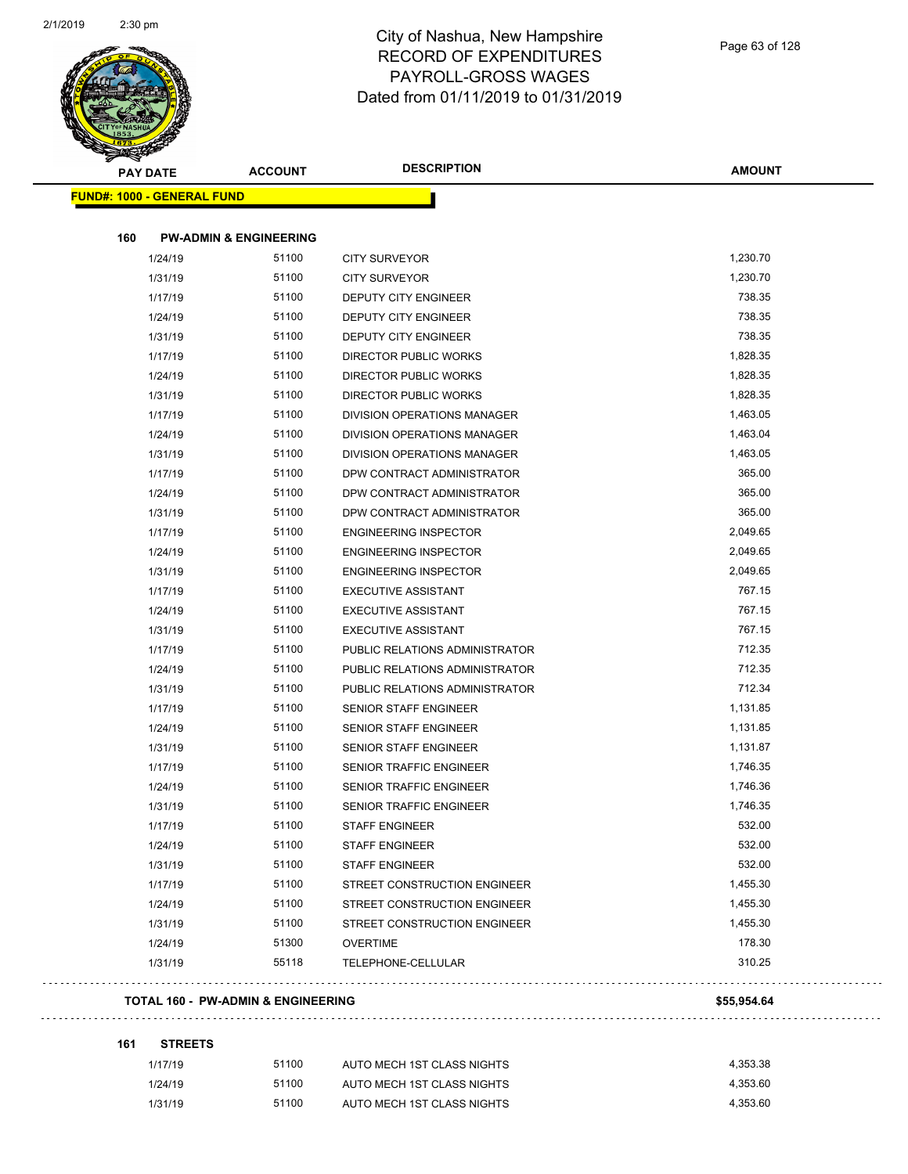

| <b>PAY DATE</b><br><b>FUND#: 1000 - GENERAL FUND</b> | <b>ACCOUNT</b>                    |                                | <b>AMOUNT</b> |
|------------------------------------------------------|-----------------------------------|--------------------------------|---------------|
|                                                      |                                   |                                |               |
| 160                                                  | <b>PW-ADMIN &amp; ENGINEERING</b> |                                |               |
| 1/24/19                                              | 51100                             | <b>CITY SURVEYOR</b>           | 1,230.70      |
| 1/31/19                                              | 51100                             | <b>CITY SURVEYOR</b>           | 1,230.70      |
| 1/17/19                                              | 51100                             | DEPUTY CITY ENGINEER           | 738.35        |
| 1/24/19                                              | 51100                             | DEPUTY CITY ENGINEER           | 738.35        |
| 1/31/19                                              | 51100                             | DEPUTY CITY ENGINEER           | 738.35        |
| 1/17/19                                              | 51100                             | DIRECTOR PUBLIC WORKS          | 1,828.35      |
| 1/24/19                                              | 51100                             | DIRECTOR PUBLIC WORKS          | 1,828.35      |
| 1/31/19                                              | 51100                             | DIRECTOR PUBLIC WORKS          | 1,828.35      |
| 1/17/19                                              | 51100                             | DIVISION OPERATIONS MANAGER    | 1,463.05      |
| 1/24/19                                              | 51100                             | DIVISION OPERATIONS MANAGER    | 1,463.04      |
| 1/31/19                                              | 51100                             | DIVISION OPERATIONS MANAGER    | 1,463.05      |
| 1/17/19                                              | 51100                             | DPW CONTRACT ADMINISTRATOR     | 365.00        |
| 1/24/19                                              | 51100                             | DPW CONTRACT ADMINISTRATOR     | 365.00        |
| 1/31/19                                              | 51100                             | DPW CONTRACT ADMINISTRATOR     | 365.00        |
| 1/17/19                                              | 51100                             | <b>ENGINEERING INSPECTOR</b>   | 2,049.65      |
| 1/24/19                                              | 51100                             | <b>ENGINEERING INSPECTOR</b>   | 2,049.65      |
| 1/31/19                                              | 51100                             | <b>ENGINEERING INSPECTOR</b>   | 2,049.65      |
| 1/17/19                                              | 51100                             | <b>EXECUTIVE ASSISTANT</b>     | 767.15        |
| 1/24/19                                              | 51100                             | <b>EXECUTIVE ASSISTANT</b>     | 767.15        |
| 1/31/19                                              | 51100                             | <b>EXECUTIVE ASSISTANT</b>     | 767.15        |
| 1/17/19                                              | 51100                             | PUBLIC RELATIONS ADMINISTRATOR | 712.35        |
| 1/24/19                                              | 51100                             | PUBLIC RELATIONS ADMINISTRATOR | 712.35        |
| 1/31/19                                              | 51100                             | PUBLIC RELATIONS ADMINISTRATOR | 712.34        |
| 1/17/19                                              | 51100                             | <b>SENIOR STAFF ENGINEER</b>   | 1,131.85      |
| 1/24/19                                              | 51100                             | <b>SENIOR STAFF ENGINEER</b>   | 1,131.85      |
| 1/31/19                                              | 51100                             | <b>SENIOR STAFF ENGINEER</b>   | 1,131.87      |
| 1/17/19                                              | 51100                             | <b>SENIOR TRAFFIC ENGINEER</b> | 1,746.35      |
| 1/24/19                                              | 51100                             | SENIOR TRAFFIC ENGINEER        | 1,746.36      |
| 1/31/19                                              | 51100                             | <b>SENIOR TRAFFIC ENGINEER</b> | 1,746.35      |
| 1/17/19                                              | 51100                             | <b>STAFF ENGINEER</b>          | 532.00        |
| 1/24/19                                              | 51100                             | <b>STAFF ENGINEER</b>          | 532.00        |
| 1/31/19                                              | 51100                             | <b>STAFF ENGINEER</b>          | 532.00        |
| 1/17/19                                              | 51100                             | STREET CONSTRUCTION ENGINEER   | 1,455.30      |
| 1/24/19                                              | 51100                             | STREET CONSTRUCTION ENGINEER   | 1,455.30      |
| 1/31/19                                              | 51100                             | STREET CONSTRUCTION ENGINEER   | 1,455.30      |
| 1/24/19                                              | 51300                             | <b>OVERTIME</b>                | 178.30        |
| 1/31/19                                              | 55118                             | TELEPHONE-CELLULAR             | 310.25        |
| <b>TOTAL 160 - PW-ADMIN &amp; ENGINEERING</b>        |                                   |                                |               |

| <b>STREETS</b><br>161 |  |
|-----------------------|--|
|-----------------------|--|

| 1/17/19 | 51100 | AUTO MECH 1ST CLASS NIGHTS | 4.353.38 |
|---------|-------|----------------------------|----------|
| 1/24/19 | 51100 | AUTO MECH 1ST CLASS NIGHTS | 4.353.60 |
| 1/31/19 | 51100 | AUTO MECH 1ST CLASS NIGHTS | 4.353.60 |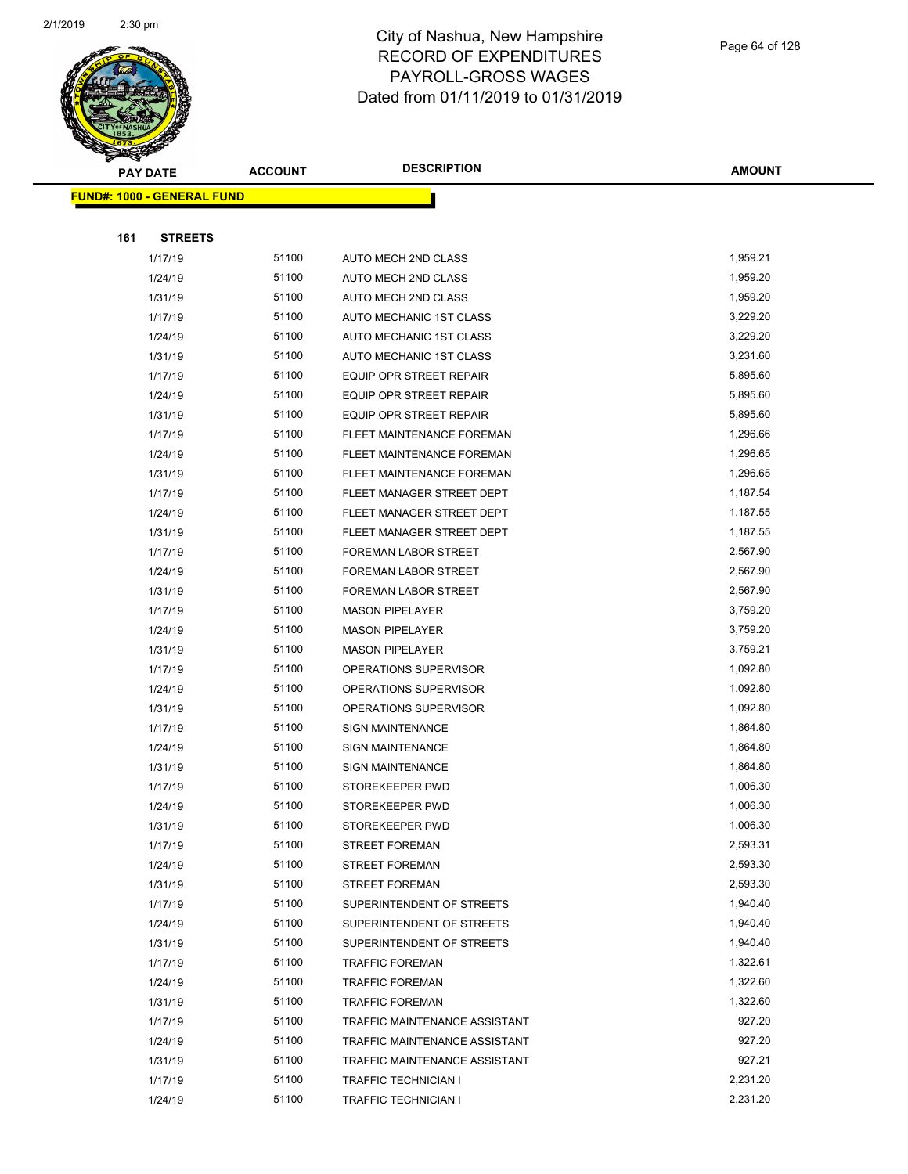

|     | <b>PAY DATE</b>                    | <b>ACCOUNT</b> | <b>DESCRIPTION</b>             | <b>AMOUNT</b> |
|-----|------------------------------------|----------------|--------------------------------|---------------|
|     | <u> FUND#: 1000 - GENERAL FUND</u> |                |                                |               |
|     |                                    |                |                                |               |
| 161 | <b>STREETS</b>                     |                |                                |               |
|     | 1/17/19                            | 51100          | AUTO MECH 2ND CLASS            | 1,959.21      |
|     | 1/24/19                            | 51100          | AUTO MECH 2ND CLASS            | 1,959.20      |
|     | 1/31/19                            | 51100          | AUTO MECH 2ND CLASS            | 1,959.20      |
|     | 1/17/19                            | 51100          | AUTO MECHANIC 1ST CLASS        | 3,229.20      |
|     | 1/24/19                            | 51100          | AUTO MECHANIC 1ST CLASS        | 3,229.20      |
|     | 1/31/19                            | 51100          | AUTO MECHANIC 1ST CLASS        | 3,231.60      |
|     | 1/17/19                            | 51100          | <b>EQUIP OPR STREET REPAIR</b> | 5,895.60      |
|     | 1/24/19                            | 51100          | <b>EQUIP OPR STREET REPAIR</b> | 5,895.60      |
|     | 1/31/19                            | 51100          | <b>EQUIP OPR STREET REPAIR</b> | 5,895.60      |
|     | 1/17/19                            | 51100          | FLEET MAINTENANCE FOREMAN      | 1,296.66      |
|     | 1/24/19                            | 51100          | FLEET MAINTENANCE FOREMAN      | 1,296.65      |
|     | 1/31/19                            | 51100          | FLEET MAINTENANCE FOREMAN      | 1,296.65      |
|     | 1/17/19                            | 51100          | FLEET MANAGER STREET DEPT      | 1,187.54      |
|     | 1/24/19                            | 51100          | FLEET MANAGER STREET DEPT      | 1,187.55      |
|     | 1/31/19                            | 51100          | FLEET MANAGER STREET DEPT      | 1,187.55      |
|     | 1/17/19                            | 51100          | FOREMAN LABOR STREET           | 2,567.90      |
|     | 1/24/19                            | 51100          | <b>FOREMAN LABOR STREET</b>    | 2,567.90      |
|     | 1/31/19                            | 51100          | FOREMAN LABOR STREET           | 2,567.90      |
|     | 1/17/19                            | 51100          | <b>MASON PIPELAYER</b>         | 3,759.20      |
|     | 1/24/19                            | 51100          | <b>MASON PIPELAYER</b>         | 3,759.20      |
|     | 1/31/19                            | 51100          | <b>MASON PIPELAYER</b>         | 3,759.21      |
|     | 1/17/19                            | 51100          | OPERATIONS SUPERVISOR          | 1,092.80      |
|     | 1/24/19                            | 51100          | OPERATIONS SUPERVISOR          | 1,092.80      |
|     | 1/31/19                            | 51100          | OPERATIONS SUPERVISOR          | 1,092.80      |
|     | 1/17/19                            | 51100          | <b>SIGN MAINTENANCE</b>        | 1,864.80      |
|     | 1/24/19                            | 51100          | <b>SIGN MAINTENANCE</b>        | 1,864.80      |
|     | 1/31/19                            | 51100          | <b>SIGN MAINTENANCE</b>        | 1,864.80      |
|     | 1/17/19                            | 51100          | STOREKEEPER PWD                | 1,006.30      |
|     | 1/24/19                            | 51100          | STOREKEEPER PWD                | 1,006.30      |
|     | 1/31/19                            | 51100          | STOREKEEPER PWD                | 1,006.30      |
|     | 1/17/19                            | 51100          | <b>STREET FOREMAN</b>          | 2,593.31      |
|     | 1/24/19                            | 51100          | <b>STREET FOREMAN</b>          | 2,593.30      |
|     | 1/31/19                            | 51100          | <b>STREET FOREMAN</b>          | 2,593.30      |
|     | 1/17/19                            | 51100          | SUPERINTENDENT OF STREETS      | 1,940.40      |
|     | 1/24/19                            | 51100          | SUPERINTENDENT OF STREETS      | 1,940.40      |
|     | 1/31/19                            | 51100          | SUPERINTENDENT OF STREETS      | 1,940.40      |
|     | 1/17/19                            | 51100          | <b>TRAFFIC FOREMAN</b>         | 1,322.61      |
|     | 1/24/19                            | 51100          | <b>TRAFFIC FOREMAN</b>         | 1,322.60      |
|     | 1/31/19                            | 51100          | <b>TRAFFIC FOREMAN</b>         | 1,322.60      |
|     | 1/17/19                            | 51100          | TRAFFIC MAINTENANCE ASSISTANT  | 927.20        |
|     | 1/24/19                            | 51100          | TRAFFIC MAINTENANCE ASSISTANT  | 927.20        |
|     | 1/31/19                            | 51100          | TRAFFIC MAINTENANCE ASSISTANT  | 927.21        |
|     | 1/17/19                            | 51100          | TRAFFIC TECHNICIAN I           | 2,231.20      |
|     | 1/24/19                            | 51100          | TRAFFIC TECHNICIAN I           | 2,231.20      |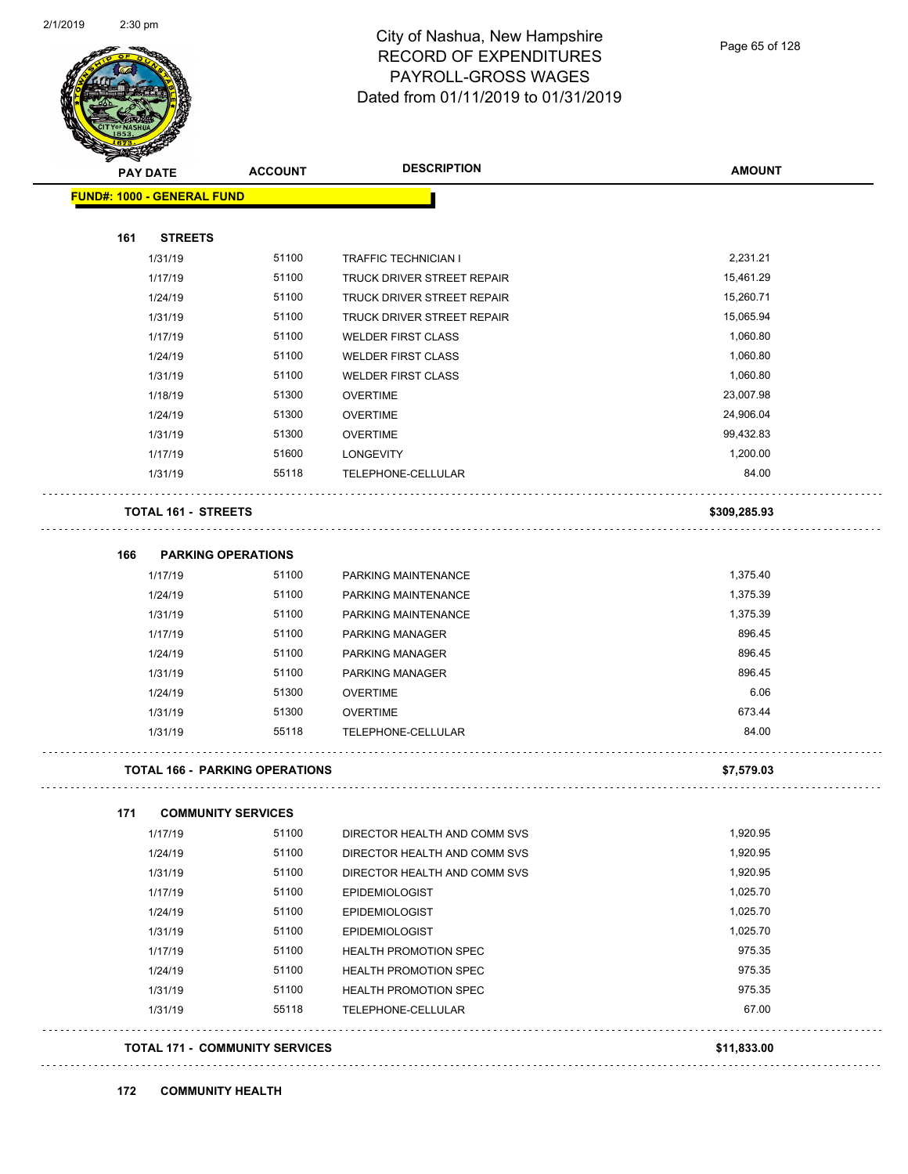

| <b>PAY DATE</b>                  | <b>ACCOUNT</b>                        | <b>DESCRIPTION</b>                                 | <b>AMOUNT</b>   |
|----------------------------------|---------------------------------------|----------------------------------------------------|-----------------|
| FUND#: 1000 - GENERAL FUND       |                                       |                                                    |                 |
|                                  |                                       |                                                    |                 |
| <b>STREETS</b><br>161<br>1/31/19 | 51100                                 |                                                    | 2,231.21        |
| 1/17/19                          | 51100                                 | <b>TRAFFIC TECHNICIAN I</b>                        | 15,461.29       |
|                                  |                                       | TRUCK DRIVER STREET REPAIR                         |                 |
| 1/24/19                          | 51100                                 | TRUCK DRIVER STREET REPAIR                         | 15,260.71       |
| 1/31/19                          | 51100                                 | TRUCK DRIVER STREET REPAIR                         | 15,065.94       |
| 1/17/19                          | 51100                                 | <b>WELDER FIRST CLASS</b>                          | 1,060.80        |
| 1/24/19                          | 51100                                 | <b>WELDER FIRST CLASS</b>                          | 1,060.80        |
| 1/31/19                          | 51100                                 | <b>WELDER FIRST CLASS</b>                          | 1,060.80        |
| 1/18/19                          | 51300                                 | <b>OVERTIME</b>                                    | 23,007.98       |
| 1/24/19                          | 51300                                 | <b>OVERTIME</b>                                    | 24,906.04       |
| 1/31/19                          | 51300                                 | <b>OVERTIME</b>                                    | 99,432.83       |
| 1/17/19                          | 51600                                 | <b>LONGEVITY</b>                                   | 1,200.00        |
| 1/31/19                          | 55118                                 | TELEPHONE-CELLULAR                                 | 84.00           |
| TOTAL 161 - STREETS              |                                       |                                                    | \$309,285.93    |
| 166                              | <b>PARKING OPERATIONS</b>             |                                                    |                 |
| 1/17/19                          | 51100                                 | PARKING MAINTENANCE                                | 1,375.40        |
| 1/24/19                          | 51100                                 | PARKING MAINTENANCE                                | 1,375.39        |
| 1/31/19                          | 51100                                 | PARKING MAINTENANCE                                | 1,375.39        |
| 1/17/19                          | 51100                                 | PARKING MANAGER                                    | 896.45          |
| 1/24/19                          | 51100                                 | PARKING MANAGER                                    | 896.45          |
| 1/31/19                          | 51100                                 | PARKING MANAGER                                    | 896.45          |
| 1/24/19                          | 51300                                 | <b>OVERTIME</b>                                    | 6.06            |
| 1/31/19                          | 51300                                 | <b>OVERTIME</b>                                    | 673.44          |
| 1/31/19                          | 55118                                 | TELEPHONE-CELLULAR                                 | 84.00           |
|                                  | <b>TOTAL 166 - PARKING OPERATIONS</b> |                                                    | \$7,579.03      |
| 171                              | <b>COMMUNITY SERVICES</b>             |                                                    |                 |
| 1/17/19                          | 51100                                 | DIRECTOR HEALTH AND COMM SVS                       | 1,920.95        |
| 1/24/19                          | 51100                                 | DIRECTOR HEALTH AND COMM SVS                       | 1,920.95        |
| 1/31/19                          | 51100                                 | DIRECTOR HEALTH AND COMM SVS                       | 1,920.95        |
| 1/17/19                          | 51100                                 | <b>EPIDEMIOLOGIST</b>                              | 1,025.70        |
| 1/24/19                          | 51100                                 | <b>EPIDEMIOLOGIST</b>                              | 1,025.70        |
| 1/31/19                          | 51100                                 | <b>EPIDEMIOLOGIST</b>                              | 1,025.70        |
|                                  | 51100                                 | <b>HEALTH PROMOTION SPEC</b>                       | 975.35          |
|                                  |                                       | <b>HEALTH PROMOTION SPEC</b>                       | 975.35          |
| 1/17/19                          | 51100                                 |                                                    |                 |
| 1/24/19                          |                                       |                                                    |                 |
| 1/31/19<br>1/31/19               | 51100<br>55118                        | <b>HEALTH PROMOTION SPEC</b><br>TELEPHONE-CELLULAR | 975.35<br>67.00 |
|                                  | <b>TOTAL 171 - COMMUNITY SERVICES</b> |                                                    | \$11,833.00     |

#### **172 COMMUNITY HEALTH**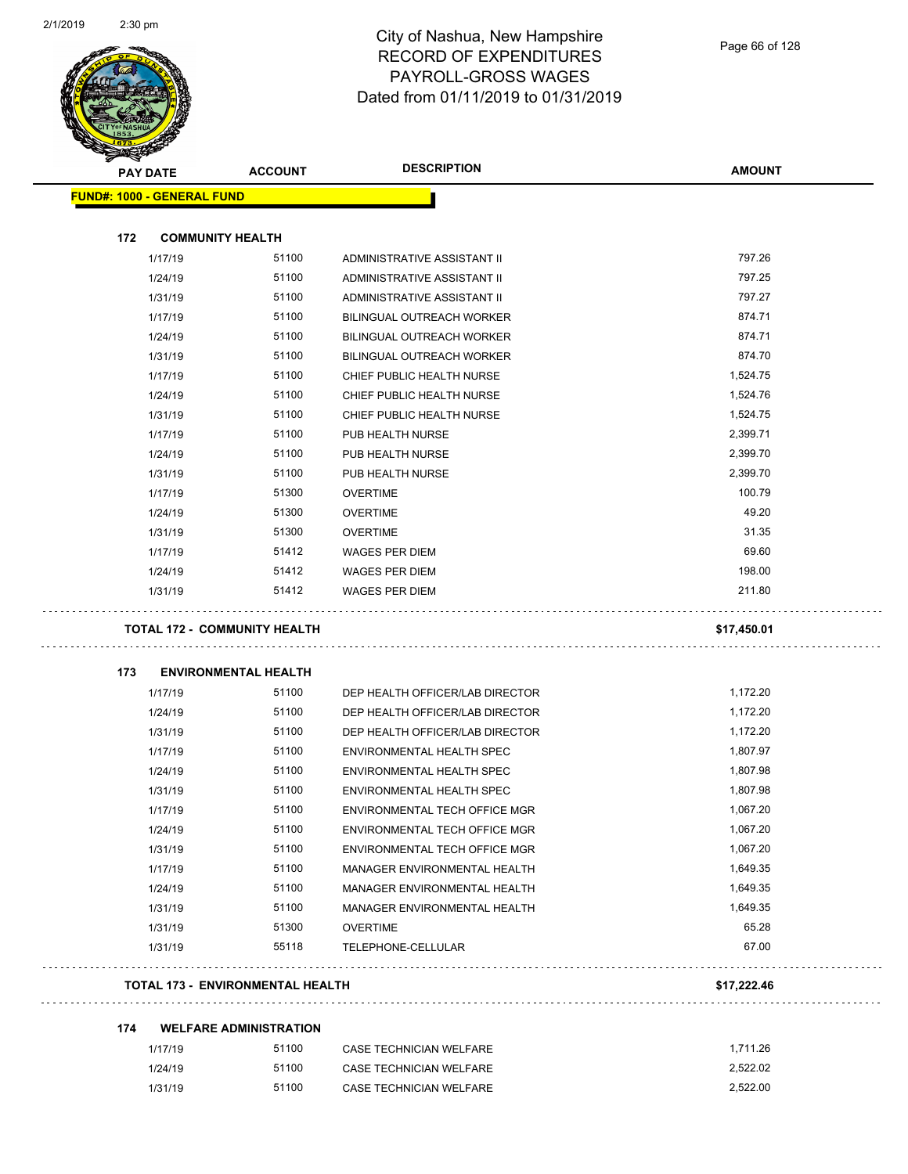

| <b>SANCHARCHER</b>                |                                         |                                  |               |
|-----------------------------------|-----------------------------------------|----------------------------------|---------------|
| <b>PAY DATE</b>                   | <b>ACCOUNT</b>                          | <b>DESCRIPTION</b>               | <b>AMOUNT</b> |
| <b>FUND#: 1000 - GENERAL FUND</b> |                                         |                                  |               |
|                                   |                                         |                                  |               |
| 172                               | <b>COMMUNITY HEALTH</b>                 |                                  |               |
| 1/17/19                           | 51100                                   | ADMINISTRATIVE ASSISTANT II      | 797.26        |
| 1/24/19                           | 51100                                   | ADMINISTRATIVE ASSISTANT II      | 797.25        |
| 1/31/19                           | 51100                                   | ADMINISTRATIVE ASSISTANT II      | 797.27        |
| 1/17/19                           | 51100                                   | <b>BILINGUAL OUTREACH WORKER</b> | 874.71        |
| 1/24/19                           | 51100                                   | <b>BILINGUAL OUTREACH WORKER</b> | 874.71        |
| 1/31/19                           | 51100                                   | BILINGUAL OUTREACH WORKER        | 874.70        |
| 1/17/19                           | 51100                                   | CHIEF PUBLIC HEALTH NURSE        | 1,524.75      |
| 1/24/19                           | 51100                                   | CHIEF PUBLIC HEALTH NURSE        | 1,524.76      |
| 1/31/19                           | 51100                                   | CHIEF PUBLIC HEALTH NURSE        | 1,524.75      |
| 1/17/19                           | 51100                                   | PUB HEALTH NURSE                 | 2,399.71      |
| 1/24/19                           | 51100                                   | PUB HEALTH NURSE                 | 2,399.70      |
| 1/31/19                           | 51100                                   | PUB HEALTH NURSE                 | 2,399.70      |
| 1/17/19                           | 51300                                   | <b>OVERTIME</b>                  | 100.79        |
| 1/24/19                           | 51300                                   | <b>OVERTIME</b>                  | 49.20         |
| 1/31/19                           | 51300                                   | <b>OVERTIME</b>                  | 31.35         |
| 1/17/19                           | 51412                                   | WAGES PER DIEM                   | 69.60         |
| 1/24/19                           | 51412                                   | WAGES PER DIEM                   | 198.00        |
| 1/31/19                           | 51412                                   | <b>WAGES PER DIEM</b>            | 211.80        |
|                                   | <b>TOTAL 172 - COMMUNITY HEALTH</b>     |                                  | \$17,450.01   |
| 173                               | <b>ENVIRONMENTAL HEALTH</b>             |                                  |               |
| 1/17/19                           | 51100                                   | DEP HEALTH OFFICER/LAB DIRECTOR  | 1,172.20      |
| 1/24/19                           | 51100                                   | DEP HEALTH OFFICER/LAB DIRECTOR  | 1,172.20      |
| 1/31/19                           | 51100                                   | DEP HEALTH OFFICER/LAB DIRECTOR  | 1,172.20      |
| 1/17/19                           | 51100                                   | ENVIRONMENTAL HEALTH SPEC        | 1,807.97      |
| 1/24/19                           | 51100                                   | <b>ENVIRONMENTAL HEALTH SPEC</b> | 1,807.98      |
| 1/31/19                           | 51100                                   | ENVIRONMENTAL HEALTH SPEC        | 1,807.98      |
| 1/17/19                           | 51100                                   | ENVIRONMENTAL TECH OFFICE MGR    | 1,067.20      |
| 1/24/19                           | 51100                                   | ENVIRONMENTAL TECH OFFICE MGR    | 1,067.20      |
| 1/31/19                           | 51100                                   | ENVIRONMENTAL TECH OFFICE MGR    | 1,067.20      |
| 1/17/19                           | 51100                                   | MANAGER ENVIRONMENTAL HEALTH     | 1,649.35      |
| 1/24/19                           | 51100                                   | MANAGER ENVIRONMENTAL HEALTH     | 1,649.35      |
| 1/31/19                           | 51100                                   | MANAGER ENVIRONMENTAL HEALTH     | 1,649.35      |
| 1/31/19                           | 51300                                   | <b>OVERTIME</b>                  | 65.28         |
| 1/31/19                           | 55118                                   | TELEPHONE-CELLULAR               | 67.00         |
|                                   | <b>TOTAL 173 - ENVIRONMENTAL HEALTH</b> |                                  | \$17,222.46   |
| 174                               | <b>WELFARE ADMINISTRATION</b>           |                                  |               |
| 1/17/19                           | 51100                                   | CASE TECHNICIAN WELFARE          | 1,711.26      |
|                                   |                                         |                                  |               |

1/31/19 51100 CASE TECHNICIAN WELFARE 2,522.00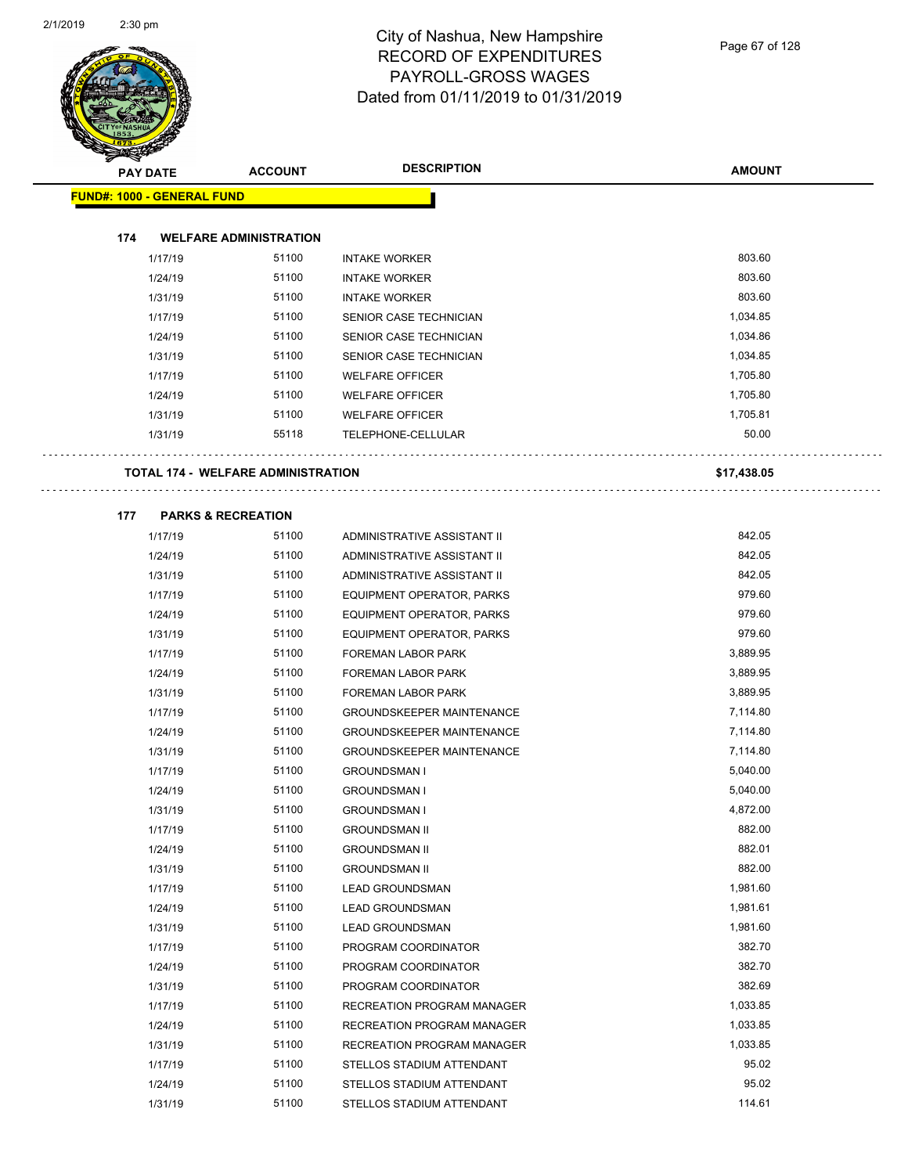| Ð<br>$\blacktriangleleft$ .       | <b>PAY DATE</b> | <b>ACCOUNT</b>                            | <b>DESCRIPTION</b>               | <b>AMOUNT</b> |
|-----------------------------------|-----------------|-------------------------------------------|----------------------------------|---------------|
| <b>FUND#: 1000 - GENERAL FUND</b> |                 |                                           |                                  |               |
|                                   |                 |                                           |                                  |               |
| 174                               |                 | <b>WELFARE ADMINISTRATION</b>             |                                  |               |
|                                   | 1/17/19         | 51100                                     | <b>INTAKE WORKER</b>             | 803.60        |
|                                   | 1/24/19         | 51100                                     | <b>INTAKE WORKER</b>             | 803.60        |
|                                   | 1/31/19         | 51100                                     | <b>INTAKE WORKER</b>             | 803.60        |
|                                   | 1/17/19         | 51100                                     | SENIOR CASE TECHNICIAN           | 1,034.85      |
|                                   | 1/24/19         | 51100                                     | SENIOR CASE TECHNICIAN           | 1,034.86      |
|                                   | 1/31/19         | 51100                                     | SENIOR CASE TECHNICIAN           | 1,034.85      |
|                                   | 1/17/19         | 51100                                     | <b>WELFARE OFFICER</b>           | 1,705.80      |
|                                   | 1/24/19         | 51100                                     | <b>WELFARE OFFICER</b>           | 1,705.80      |
|                                   | 1/31/19         | 51100                                     | <b>WELFARE OFFICER</b>           | 1,705.81      |
|                                   | 1/31/19         | 55118                                     | TELEPHONE-CELLULAR               | 50.00         |
|                                   |                 | <b>TOTAL 174 - WELFARE ADMINISTRATION</b> |                                  | \$17,438.05   |
|                                   |                 |                                           |                                  |               |
| 177                               |                 | <b>PARKS &amp; RECREATION</b>             |                                  |               |
|                                   | 1/17/19         | 51100                                     | ADMINISTRATIVE ASSISTANT II      | 842.05        |
|                                   | 1/24/19         | 51100                                     | ADMINISTRATIVE ASSISTANT II      | 842.05        |
|                                   | 1/31/19         | 51100                                     | ADMINISTRATIVE ASSISTANT II      | 842.05        |
|                                   | 1/17/19         | 51100                                     | EQUIPMENT OPERATOR, PARKS        | 979.60        |
|                                   | 1/24/19         | 51100                                     | EQUIPMENT OPERATOR, PARKS        | 979.60        |
|                                   | 1/31/19         | 51100                                     | EQUIPMENT OPERATOR, PARKS        | 979.60        |
|                                   | 1/17/19         | 51100                                     | FOREMAN LABOR PARK               | 3,889.95      |
|                                   | 1/24/19         | 51100                                     | FOREMAN LABOR PARK               | 3,889.95      |
|                                   | 1/31/19         | 51100                                     | FOREMAN LABOR PARK               | 3,889.95      |
|                                   | 1/17/19         | 51100                                     | <b>GROUNDSKEEPER MAINTENANCE</b> | 7,114.80      |
|                                   | 1/24/19         | 51100                                     | <b>GROUNDSKEEPER MAINTENANCE</b> | 7,114.80      |
|                                   | 1/31/19         | 51100                                     | <b>GROUNDSKEEPER MAINTENANCE</b> | 7,114.80      |
|                                   | 1/17/19         | 51100                                     | <b>GROUNDSMAN I</b>              | 5,040.00      |
|                                   | 1/24/19         | 51100                                     | <b>GROUNDSMAN I</b>              | 5,040.00      |
|                                   | 1/31/19         | 51100                                     | <b>GROUNDSMAN I</b>              | 4,872.00      |
|                                   | 1/17/19         | 51100                                     | <b>GROUNDSMAN II</b>             | 882.00        |
|                                   | 1/24/19         | 51100                                     | <b>GROUNDSMAN II</b>             | 882.01        |
|                                   | 1/31/19         | 51100                                     | <b>GROUNDSMAN II</b>             | 882.00        |
|                                   | 1/17/19         | 51100                                     | <b>LEAD GROUNDSMAN</b>           | 1,981.60      |
|                                   | 1/24/19         | 51100                                     | <b>LEAD GROUNDSMAN</b>           | 1,981.61      |
|                                   | 1/31/19         | 51100                                     | <b>LEAD GROUNDSMAN</b>           | 1,981.60      |
|                                   | 1/17/19         | 51100                                     | PROGRAM COORDINATOR              | 382.70        |
|                                   | 1/24/19         | 51100                                     | PROGRAM COORDINATOR              | 382.70        |
|                                   | 1/31/19         | 51100                                     | PROGRAM COORDINATOR              | 382.69        |
|                                   | 1/17/19         | 51100                                     | RECREATION PROGRAM MANAGER       | 1,033.85      |
|                                   | 1/24/19         | 51100                                     | RECREATION PROGRAM MANAGER       | 1,033.85      |
|                                   | 1/31/19         | 51100                                     | RECREATION PROGRAM MANAGER       | 1,033.85      |
|                                   | 1/17/19         | 51100                                     | STELLOS STADIUM ATTENDANT        | 95.02         |
|                                   | 1/24/19         | 51100                                     | STELLOS STADIUM ATTENDANT        | 95.02         |
|                                   | 1/31/19         | 51100                                     | STELLOS STADIUM ATTENDANT        | 114.61        |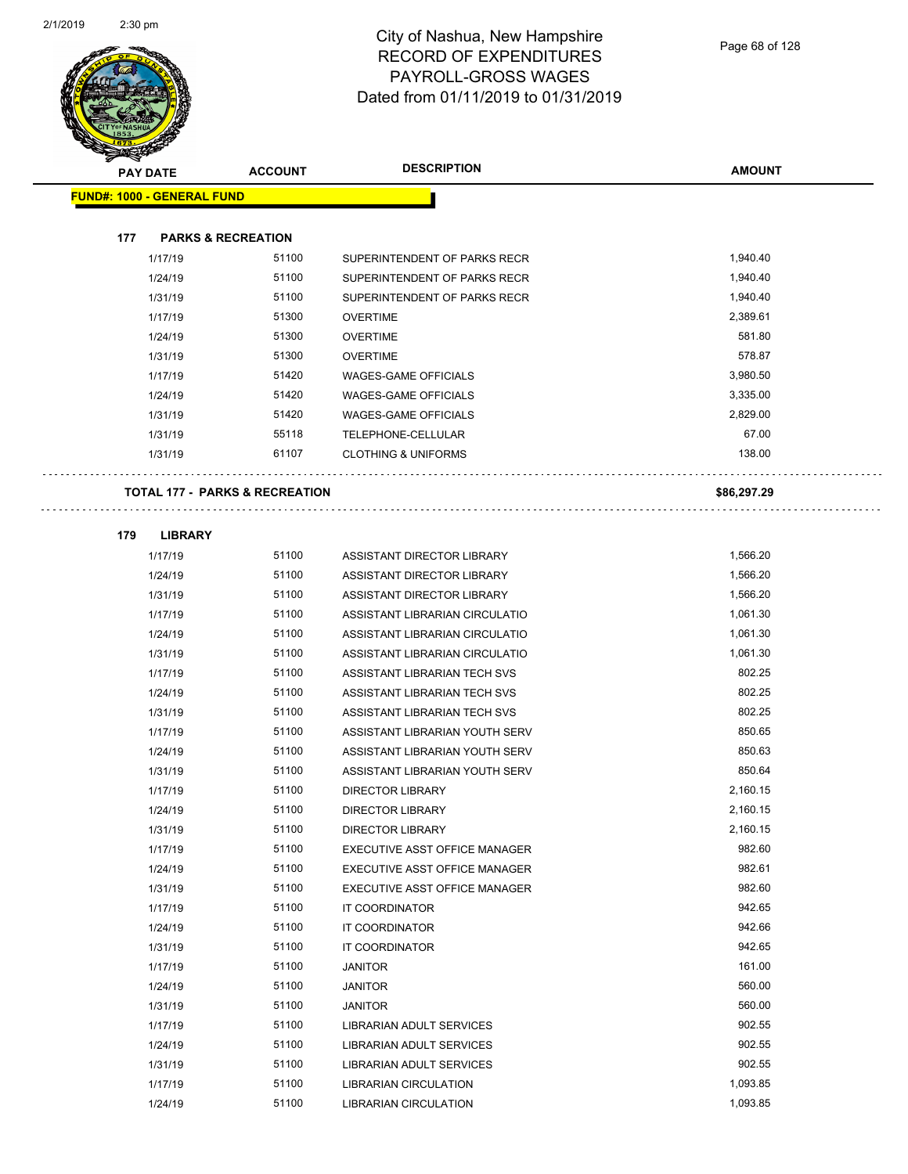

|     | <b>PAY DATE</b>                   | <b>ACCOUNT</b>                            | <b>DESCRIPTION</b>             | <b>AMOUNT</b> |
|-----|-----------------------------------|-------------------------------------------|--------------------------------|---------------|
|     | <b>FUND#: 1000 - GENERAL FUND</b> |                                           |                                |               |
|     |                                   |                                           |                                |               |
| 177 |                                   | <b>PARKS &amp; RECREATION</b>             |                                |               |
|     | 1/17/19                           | 51100                                     | SUPERINTENDENT OF PARKS RECR   | 1,940.40      |
|     | 1/24/19                           | 51100                                     | SUPERINTENDENT OF PARKS RECR   | 1,940.40      |
|     | 1/31/19                           | 51100                                     | SUPERINTENDENT OF PARKS RECR   | 1,940.40      |
|     | 1/17/19                           | 51300                                     | <b>OVERTIME</b>                | 2,389.61      |
|     | 1/24/19                           | 51300                                     | <b>OVERTIME</b>                | 581.80        |
|     | 1/31/19                           | 51300                                     | <b>OVERTIME</b>                | 578.87        |
|     | 1/17/19                           | 51420                                     | <b>WAGES-GAME OFFICIALS</b>    | 3,980.50      |
|     | 1/24/19                           | 51420                                     | <b>WAGES-GAME OFFICIALS</b>    | 3,335.00      |
|     | 1/31/19                           | 51420                                     | <b>WAGES-GAME OFFICIALS</b>    | 2,829.00      |
|     | 1/31/19                           | 55118                                     | TELEPHONE-CELLULAR             | 67.00         |
|     | 1/31/19                           | 61107                                     | <b>CLOTHING &amp; UNIFORMS</b> | 138.00        |
|     |                                   |                                           |                                |               |
|     |                                   | <b>TOTAL 177 - PARKS &amp; RECREATION</b> |                                | \$86,297.29   |
| 179 | <b>LIBRARY</b>                    |                                           |                                |               |
|     | 1/17/19                           | 51100                                     | ASSISTANT DIRECTOR LIBRARY     | 1,566.20      |
|     | 1/24/19                           | 51100                                     | ASSISTANT DIRECTOR LIBRARY     | 1,566.20      |
|     | 1/31/19                           | 51100                                     | ASSISTANT DIRECTOR LIBRARY     | 1,566.20      |
|     | 1/17/19                           | 51100                                     | ASSISTANT LIBRARIAN CIRCULATIO | 1,061.30      |
|     | 1/24/19                           | 51100                                     | ASSISTANT LIBRARIAN CIRCULATIO | 1,061.30      |
|     | 1/31/19                           | 51100                                     | ASSISTANT LIBRARIAN CIRCULATIO | 1,061.30      |
|     | 1/17/19                           | 51100                                     | ASSISTANT LIBRARIAN TECH SVS   | 802.25        |
|     | 1/24/19                           | 51100                                     | ASSISTANT LIBRARIAN TECH SVS   | 802.25        |
|     | 1/31/19                           | 51100                                     | ASSISTANT LIBRARIAN TECH SVS   | 802.25        |
|     | 1/17/19                           | 51100                                     | ASSISTANT LIBRARIAN YOUTH SERV | 850.65        |
|     | 1/24/19                           | 51100                                     | ASSISTANT LIBRARIAN YOUTH SERV | 850.63        |
|     | 1/31/19                           | 51100                                     | ASSISTANT LIBRARIAN YOUTH SERV | 850.64        |
|     | 1/17/19                           | 51100                                     | <b>DIRECTOR LIBRARY</b>        | 2,160.15      |
|     | 1/24/19                           | 51100                                     | <b>DIRECTOR LIBRARY</b>        | 2,160.15      |
|     | 1/31/19                           | 51100                                     | DIRECTOR LIBRARY               | 2,160.15      |
|     | 1/17/19                           | 51100                                     | EXECUTIVE ASST OFFICE MANAGER  | 982.60        |
|     | 1/24/19                           | 51100                                     | EXECUTIVE ASST OFFICE MANAGER  | 982.61        |
|     | 1/31/19                           | 51100                                     | EXECUTIVE ASST OFFICE MANAGER  | 982.60        |
|     | 1/17/19                           | 51100                                     | IT COORDINATOR                 | 942.65        |
|     | 1/24/19                           | 51100                                     | IT COORDINATOR                 | 942.66        |
|     | 1/31/19                           | 51100                                     | IT COORDINATOR                 | 942.65        |
|     | 1/17/19                           | 51100                                     | <b>JANITOR</b>                 | 161.00        |
|     | 1/24/19                           | 51100                                     | <b>JANITOR</b>                 | 560.00        |
|     | 1/31/19                           | 51100                                     | <b>JANITOR</b>                 | 560.00        |
|     | 1/17/19                           | 51100                                     | LIBRARIAN ADULT SERVICES       | 902.55        |
|     | 1/24/19                           | 51100                                     | LIBRARIAN ADULT SERVICES       | 902.55        |
|     | 1/31/19                           | 51100                                     | LIBRARIAN ADULT SERVICES       | 902.55        |

1/17/19 51100 LIBRARIAN CIRCULATION 1,093.85 1/24/19 51100 LIBRARIAN CIRCULATION 1,093.85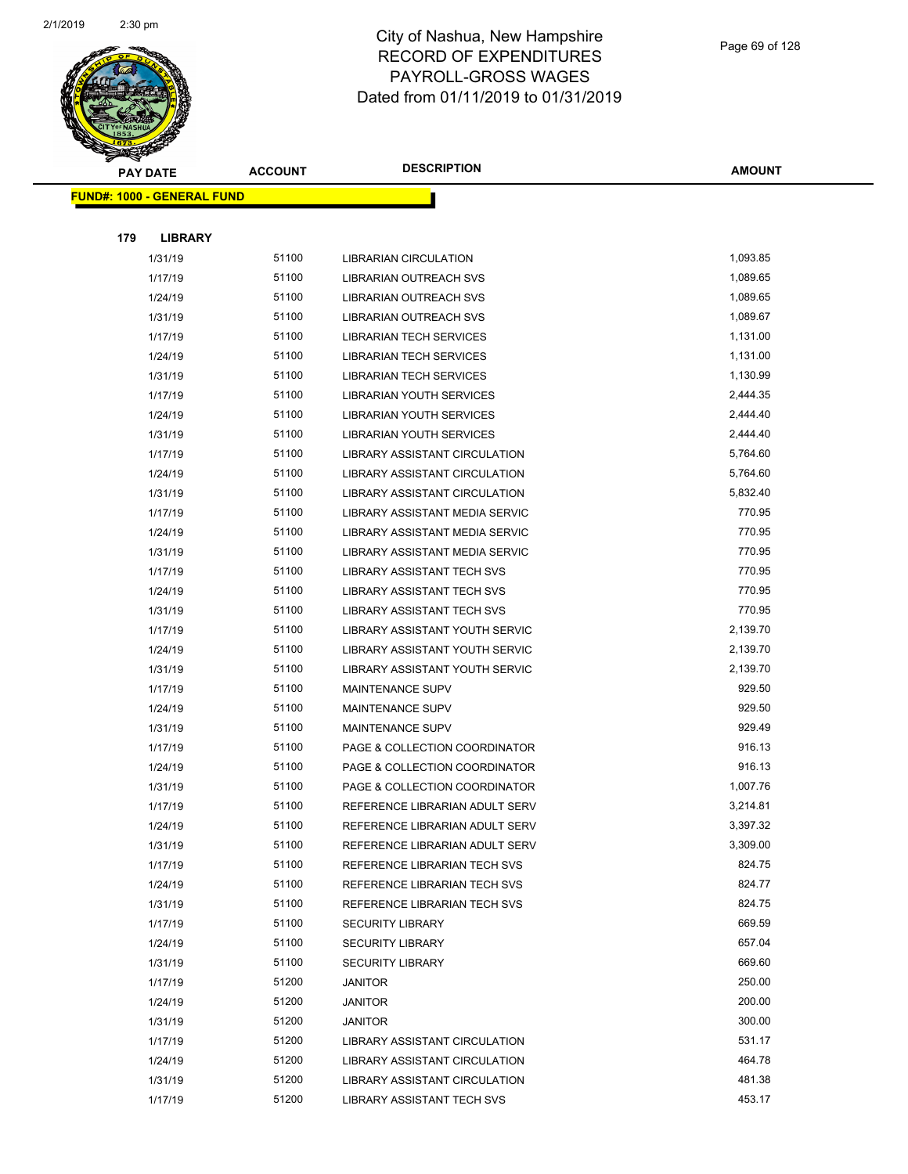

**AMOUNT**

| <b>FUND#: 1000 - GENERAL FUND</b> |                |                                                                |                  |
|-----------------------------------|----------------|----------------------------------------------------------------|------------------|
|                                   |                |                                                                |                  |
| 179<br><b>LIBRARY</b>             |                |                                                                |                  |
| 1/31/19                           | 51100          | <b>LIBRARIAN CIRCULATION</b>                                   | 1,093.85         |
| 1/17/19                           | 51100          | <b>LIBRARIAN OUTREACH SVS</b>                                  | 1,089.65         |
| 1/24/19                           | 51100          | LIBRARIAN OUTREACH SVS                                         | 1,089.65         |
| 1/31/19                           | 51100          | LIBRARIAN OUTREACH SVS                                         | 1,089.67         |
| 1/17/19                           | 51100          | <b>LIBRARIAN TECH SERVICES</b>                                 | 1,131.00         |
| 1/24/19                           | 51100          | <b>LIBRARIAN TECH SERVICES</b>                                 | 1,131.00         |
| 1/31/19                           | 51100          | <b>LIBRARIAN TECH SERVICES</b>                                 | 1,130.99         |
| 1/17/19                           | 51100          | LIBRARIAN YOUTH SERVICES                                       | 2,444.35         |
| 1/24/19                           | 51100          | LIBRARIAN YOUTH SERVICES                                       | 2,444.40         |
| 1/31/19                           | 51100          | LIBRARIAN YOUTH SERVICES                                       | 2,444.40         |
| 1/17/19                           | 51100          | LIBRARY ASSISTANT CIRCULATION                                  | 5,764.60         |
| 1/24/19                           | 51100          | LIBRARY ASSISTANT CIRCULATION                                  | 5,764.60         |
| 1/31/19                           | 51100          | <b>LIBRARY ASSISTANT CIRCULATION</b>                           | 5,832.40         |
| 1/17/19                           | 51100          | LIBRARY ASSISTANT MEDIA SERVIC                                 | 770.95           |
| 1/24/19                           | 51100          | LIBRARY ASSISTANT MEDIA SERVIC                                 | 770.95           |
| 1/31/19                           | 51100          | LIBRARY ASSISTANT MEDIA SERVIC                                 | 770.95           |
| 1/17/19                           | 51100          | LIBRARY ASSISTANT TECH SVS                                     | 770.95           |
| 1/24/19                           | 51100          | LIBRARY ASSISTANT TECH SVS                                     | 770.95           |
| 1/31/19                           | 51100          | LIBRARY ASSISTANT TECH SVS                                     | 770.95           |
| 1/17/19                           | 51100          | LIBRARY ASSISTANT YOUTH SERVIC                                 | 2,139.70         |
| 1/24/19                           | 51100          | LIBRARY ASSISTANT YOUTH SERVIC                                 | 2,139.70         |
| 1/31/19                           | 51100          | LIBRARY ASSISTANT YOUTH SERVIC                                 | 2,139.70         |
| 1/17/19                           | 51100          | MAINTENANCE SUPV                                               | 929.50           |
| 1/24/19                           | 51100          | MAINTENANCE SUPV                                               | 929.50           |
| 1/31/19                           | 51100          | MAINTENANCE SUPV                                               | 929.49           |
| 1/17/19                           | 51100          | PAGE & COLLECTION COORDINATOR                                  | 916.13           |
| 1/24/19                           | 51100          | PAGE & COLLECTION COORDINATOR                                  | 916.13           |
| 1/31/19                           | 51100          | PAGE & COLLECTION COORDINATOR                                  | 1,007.76         |
| 1/17/19                           | 51100          | REFERENCE LIBRARIAN ADULT SERV                                 | 3,214.81         |
| 1/24/19                           | 51100          | REFERENCE LIBRARIAN ADULT SERV                                 | 3,397.32         |
| 1/31/19                           | 51100          | REFERENCE LIBRARIAN ADULT SERV                                 | 3,309.00         |
| 1/17/19                           | 51100          | REFERENCE LIBRARIAN TECH SVS                                   | 824.75           |
| 1/24/19                           | 51100          | REFERENCE LIBRARIAN TECH SVS                                   | 824.77           |
| 1/31/19                           | 51100          | REFERENCE LIBRARIAN TECH SVS                                   | 824.75           |
| 1/17/19                           | 51100          | <b>SECURITY LIBRARY</b>                                        | 669.59<br>657.04 |
| 1/24/19                           | 51100          | <b>SECURITY LIBRARY</b>                                        | 669.60           |
| 1/31/19                           | 51100          | <b>SECURITY LIBRARY</b>                                        |                  |
| 1/17/19                           | 51200<br>51200 | <b>JANITOR</b>                                                 | 250.00<br>200.00 |
| 1/24/19                           | 51200          | <b>JANITOR</b>                                                 | 300.00           |
| 1/31/19                           | 51200          | <b>JANITOR</b>                                                 | 531.17           |
| 1/17/19                           | 51200          | LIBRARY ASSISTANT CIRCULATION                                  | 464.78           |
| 1/24/19<br>1/31/19                | 51200          | LIBRARY ASSISTANT CIRCULATION<br>LIBRARY ASSISTANT CIRCULATION | 481.38           |
| 1/17/19                           | 51200          | LIBRARY ASSISTANT TECH SVS                                     | 453.17           |
|                                   |                |                                                                |                  |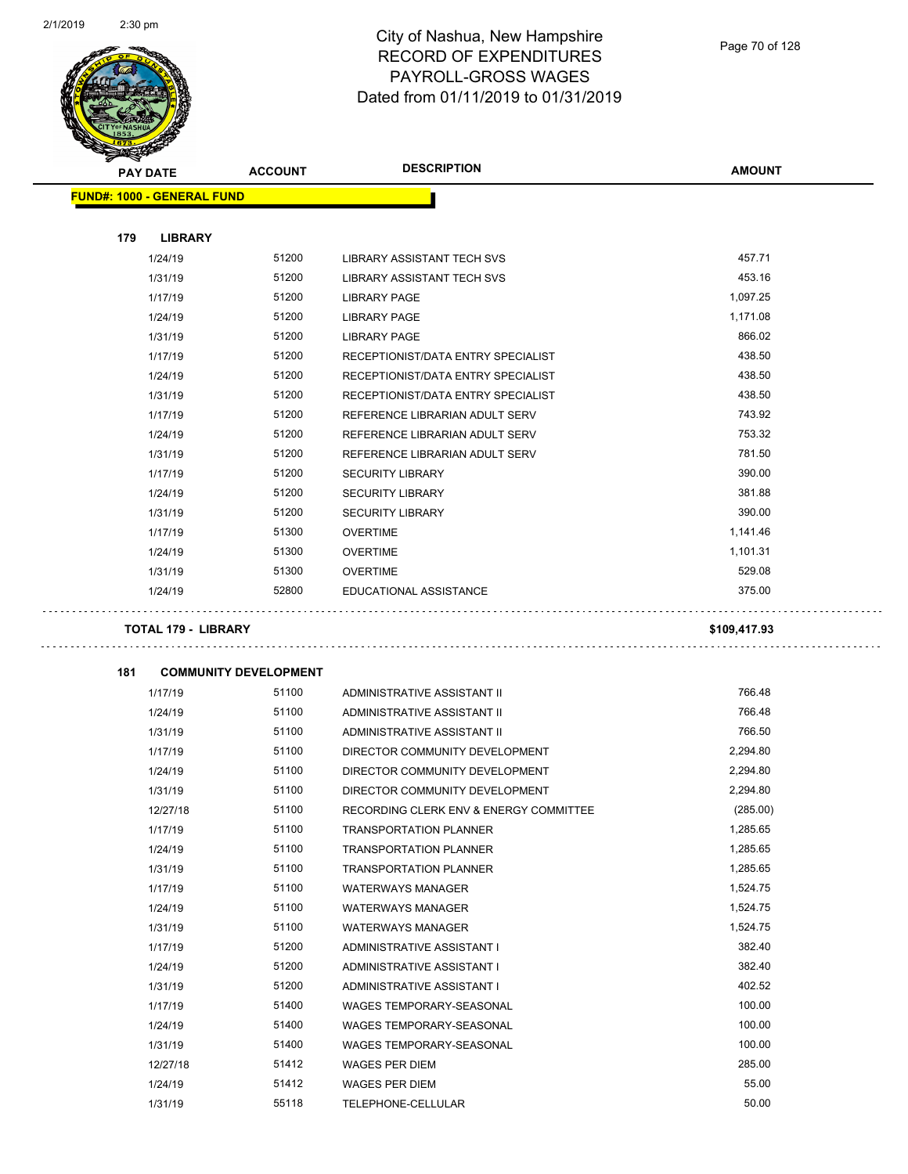

| s<br><b>PAY DATE</b>              | <b>ACCOUNT</b>               | <b>DESCRIPTION</b>                     | <b>AMOUNT</b> |
|-----------------------------------|------------------------------|----------------------------------------|---------------|
| <b>FUND#: 1000 - GENERAL FUND</b> |                              |                                        |               |
|                                   |                              |                                        |               |
| 179<br><b>LIBRARY</b>             |                              |                                        |               |
| 1/24/19                           | 51200                        | LIBRARY ASSISTANT TECH SVS             | 457.71        |
| 1/31/19                           | 51200                        | <b>LIBRARY ASSISTANT TECH SVS</b>      | 453.16        |
| 1/17/19                           | 51200                        | <b>LIBRARY PAGE</b>                    | 1,097.25      |
| 1/24/19                           | 51200                        | <b>LIBRARY PAGE</b>                    | 1,171.08      |
| 1/31/19                           | 51200                        | <b>LIBRARY PAGE</b>                    | 866.02        |
| 1/17/19                           | 51200                        | RECEPTIONIST/DATA ENTRY SPECIALIST     | 438.50        |
| 1/24/19                           | 51200                        | RECEPTIONIST/DATA ENTRY SPECIALIST     | 438.50        |
| 1/31/19                           | 51200                        | RECEPTIONIST/DATA ENTRY SPECIALIST     | 438.50        |
| 1/17/19                           | 51200                        | REFERENCE LIBRARIAN ADULT SERV         | 743.92        |
| 1/24/19                           | 51200                        | REFERENCE LIBRARIAN ADULT SERV         | 753.32        |
| 1/31/19                           | 51200                        | REFERENCE LIBRARIAN ADULT SERV         | 781.50        |
| 1/17/19                           | 51200                        | <b>SECURITY LIBRARY</b>                | 390.00        |
| 1/24/19                           | 51200                        | <b>SECURITY LIBRARY</b>                | 381.88        |
| 1/31/19                           | 51200                        | <b>SECURITY LIBRARY</b>                | 390.00        |
| 1/17/19                           | 51300                        | <b>OVERTIME</b>                        | 1,141.46      |
| 1/24/19                           | 51300                        | <b>OVERTIME</b>                        | 1,101.31      |
| 1/31/19                           | 51300                        | <b>OVERTIME</b>                        | 529.08        |
| 1/24/19                           | 52800                        | EDUCATIONAL ASSISTANCE                 | 375.00        |
| 181                               | <b>COMMUNITY DEVELOPMENT</b> |                                        |               |
| 1/17/19                           | 51100                        | ADMINISTRATIVE ASSISTANT II            | 766.48        |
| 1/24/19                           | 51100                        | ADMINISTRATIVE ASSISTANT II            | 766.48        |
| 1/31/19                           | 51100                        | ADMINISTRATIVE ASSISTANT II            | 766.50        |
| 1/17/19                           | 51100                        | DIRECTOR COMMUNITY DEVELOPMENT         | 2,294.80      |
| 1/24/19                           | 51100                        | DIRECTOR COMMUNITY DEVELOPMENT         | 2,294.80      |
| 1/31/19                           | 51100                        | DIRECTOR COMMUNITY DEVELOPMENT         | 2,294.80      |
| 12/27/18                          | 51100                        | RECORDING CLERK ENV & ENERGY COMMITTEE | (285.00)      |
| 1/17/19                           | 51100                        | <b>TRANSPORTATION PLANNER</b>          | 1,285.65      |
| 1/24/19                           | 51100                        | <b>TRANSPORTATION PLANNER</b>          | 1,285.65      |
| 1/31/19                           | 51100                        | <b>TRANSPORTATION PLANNER</b>          | 1,285.65      |
| 1/17/19                           | 51100                        | <b>WATERWAYS MANAGER</b>               | 1,524.75      |
| 1/24/19                           | 51100                        | <b>WATERWAYS MANAGER</b>               | 1,524.75      |
| 1/31/19                           | 51100                        | <b>WATERWAYS MANAGER</b>               | 1,524.75      |
| 1/17/19                           | 51200                        | ADMINISTRATIVE ASSISTANT I             | 382.40        |
| 1/24/19                           | 51200                        | ADMINISTRATIVE ASSISTANT I             | 382.40        |
| 1/31/19                           | 51200                        | ADMINISTRATIVE ASSISTANT I             | 402.52        |
| 1/17/19                           | 51400                        | WAGES TEMPORARY-SEASONAL               | 100.00        |
| 1/24/19                           | 51400                        | WAGES TEMPORARY-SEASONAL               | 100.00        |
| 1/31/19                           | 51400                        | WAGES TEMPORARY-SEASONAL               | 100.00        |
| 12/27/18                          | 51412                        | <b>WAGES PER DIEM</b>                  | 285.00        |
| 1/24/19                           | 51412                        | <b>WAGES PER DIEM</b>                  | 55.00         |
| 1/31/19                           | 55118                        | TELEPHONE-CELLULAR                     | 50.00         |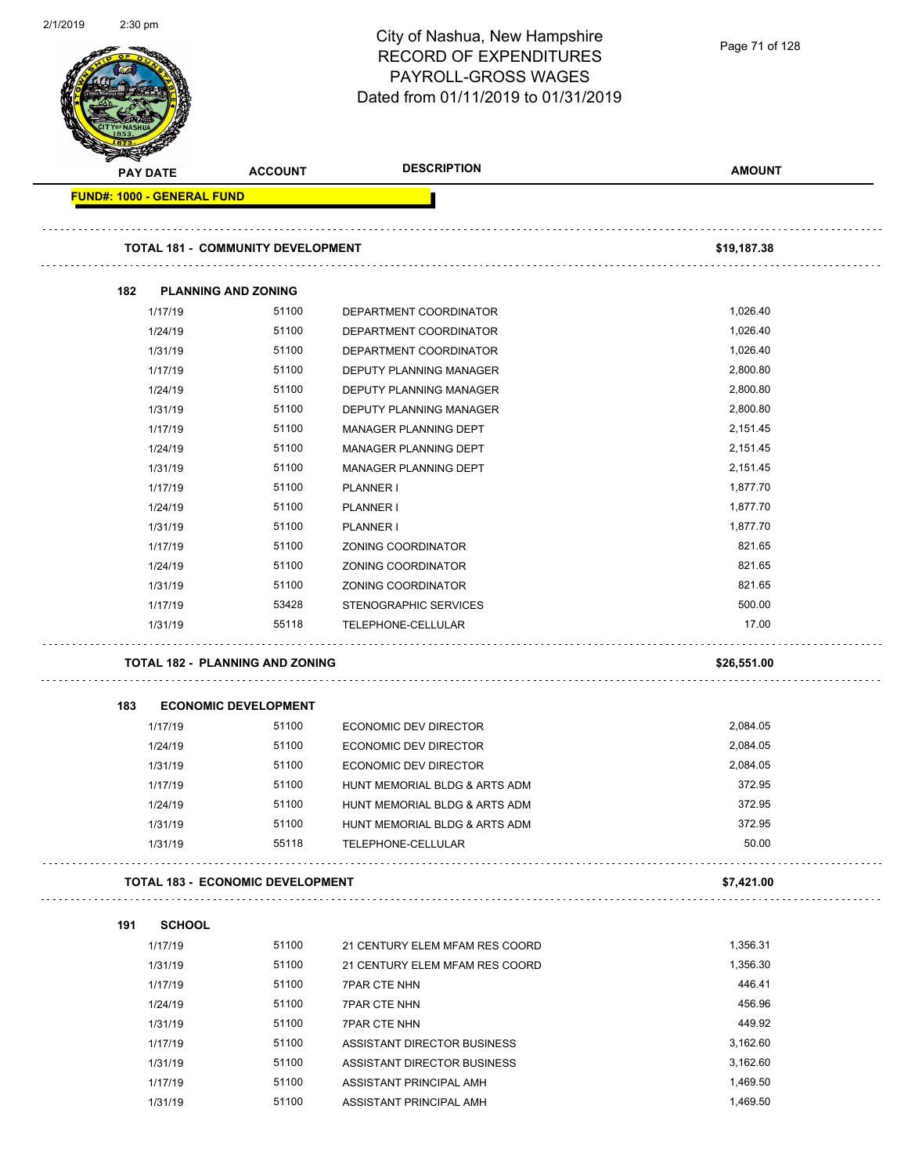| 2/1/2019 | $2:30$ pm                  |                                          | City of Nashua, New Hampshire<br><b>RECORD OF EXPENDITURES</b><br>PAYROLL-GROSS WAGES<br>Dated from 01/11/2019 to 01/31/2019 | Page 71 of 128 |
|----------|----------------------------|------------------------------------------|------------------------------------------------------------------------------------------------------------------------------|----------------|
|          | PAY DATE                   | <b>ACCOUNT</b>                           | <b>DESCRIPTION</b>                                                                                                           | <b>AMOUNT</b>  |
|          | FUND#: 1000 - GENERAL FUND |                                          |                                                                                                                              |                |
|          |                            | <b>TOTAL 181 - COMMUNITY DEVELOPMENT</b> |                                                                                                                              | \$19,187.38    |
|          | 182                        | <b>PLANNING AND ZONING</b>               |                                                                                                                              |                |
|          | 1/17/19                    | 51100                                    | DEPARTMENT COORDINATOR                                                                                                       | 1,026.40       |
|          | 1/24/19                    | 51100                                    | DEPARTMENT COORDINATOR                                                                                                       | 1,026.40       |
|          | 1/31/19                    | 51100                                    | DEPARTMENT COORDINATOR                                                                                                       | 1,026.40       |
|          | 1/17/19                    | 51100                                    | <b>DEPUTY PLANNING MANAGER</b>                                                                                               | 2,800.80       |
|          | 1/24/19                    | 51100                                    | <b>DEPUTY PLANNING MANAGER</b>                                                                                               | 2,800.80       |
|          | 1/31/19                    | 51100                                    | DEPUTY PLANNING MANAGER                                                                                                      | 2,800.80       |
|          | 1/17/19                    | 51100                                    | MANAGER PLANNING DEPT                                                                                                        | 2,151.45       |
|          | 1/24/19                    | 51100                                    | MANAGER PLANNING DEPT                                                                                                        | 2,151.45       |
|          | 1/31/19                    | 51100                                    | MANAGER PLANNING DEPT                                                                                                        | 2,151.45       |
|          | 1/17/19                    | 51100                                    | PLANNER I                                                                                                                    | 1,877.70       |
|          | 1/24/19                    | 51100                                    | PLANNER I                                                                                                                    | 1,877.70       |
|          | 1/31/19                    | 51100                                    | PLANNER I                                                                                                                    | 1,877.70       |
|          | 1/17/19                    | 51100                                    | ZONING COORDINATOR                                                                                                           | 821.65         |
|          | 1/24/19                    | 51100                                    | ZONING COORDINATOR                                                                                                           | 821.65         |
|          | 1/31/19                    | 51100                                    | ZONING COORDINATOR                                                                                                           | 821.65         |
|          | 1/17/19                    | 53428                                    | STENOGRAPHIC SERVICES                                                                                                        | 500.00         |
|          | 1/31/19                    | 55118                                    | TELEPHONE-CELLULAR                                                                                                           | 17.00          |
|          |                            | <b>TOTAL 182 - PLANNING AND ZONING</b>   |                                                                                                                              | \$26,551.00    |
|          | 183                        | <b>ECONOMIC DEVELOPMENT</b>              |                                                                                                                              |                |
|          | 1/17/19                    | 51100                                    | <b>ECONOMIC DEV DIRECTOR</b>                                                                                                 | 2,084.05       |
|          | 1/24/19                    | 51100                                    | <b>ECONOMIC DEV DIRECTOR</b>                                                                                                 | 2,084.05       |
|          | 1/31/19                    | 51100                                    | <b>ECONOMIC DEV DIRECTOR</b>                                                                                                 | 2,084.05       |
|          | 1/17/19                    | 51100                                    | HUNT MEMORIAL BLDG & ARTS ADM                                                                                                | 372.95         |
|          | 1/24/19                    | 51100                                    | HUNT MEMORIAL BLDG & ARTS ADM                                                                                                | 372.95         |
|          | 1/31/19                    | 51100                                    | HUNT MEMORIAL BLDG & ARTS ADM                                                                                                | 372.95         |
|          | 1/31/19                    | 55118                                    | TELEPHONE-CELLULAR                                                                                                           | 50.00          |
|          |                            | <b>TOTAL 183 - ECONOMIC DEVELOPMENT</b>  |                                                                                                                              | \$7,421.00     |
|          | 191<br><b>SCHOOL</b>       |                                          |                                                                                                                              |                |
|          | 1/17/19                    | 51100                                    | 21 CENTURY ELEM MFAM RES COORD                                                                                               | 1,356.31       |
|          | 1/31/19                    | 51100                                    | 21 CENTURY ELEM MFAM RES COORD                                                                                               | 1,356.30       |
|          | 1/17/19                    | 51100                                    | <b>7PAR CTE NHN</b>                                                                                                          | 446.41         |
|          | 1/24/19                    | 51100                                    | <b>7PAR CTE NHN</b>                                                                                                          | 456.96         |
|          | 1/31/19                    | 51100                                    | <b>7PAR CTE NHN</b>                                                                                                          | 449.92         |
|          | 1/17/19                    | 51100                                    | ASSISTANT DIRECTOR BUSINESS                                                                                                  | 3,162.60       |
|          | 1/31/19                    | 51100                                    | ASSISTANT DIRECTOR BUSINESS                                                                                                  | 3,162.60       |
|          | 1/17/19                    | 51100                                    | ASSISTANT PRINCIPAL AMH                                                                                                      | 1,469.50       |
|          | 1/31/19                    | 51100                                    | ASSISTANT PRINCIPAL AMH                                                                                                      | 1,469.50       |
|          |                            |                                          |                                                                                                                              |                |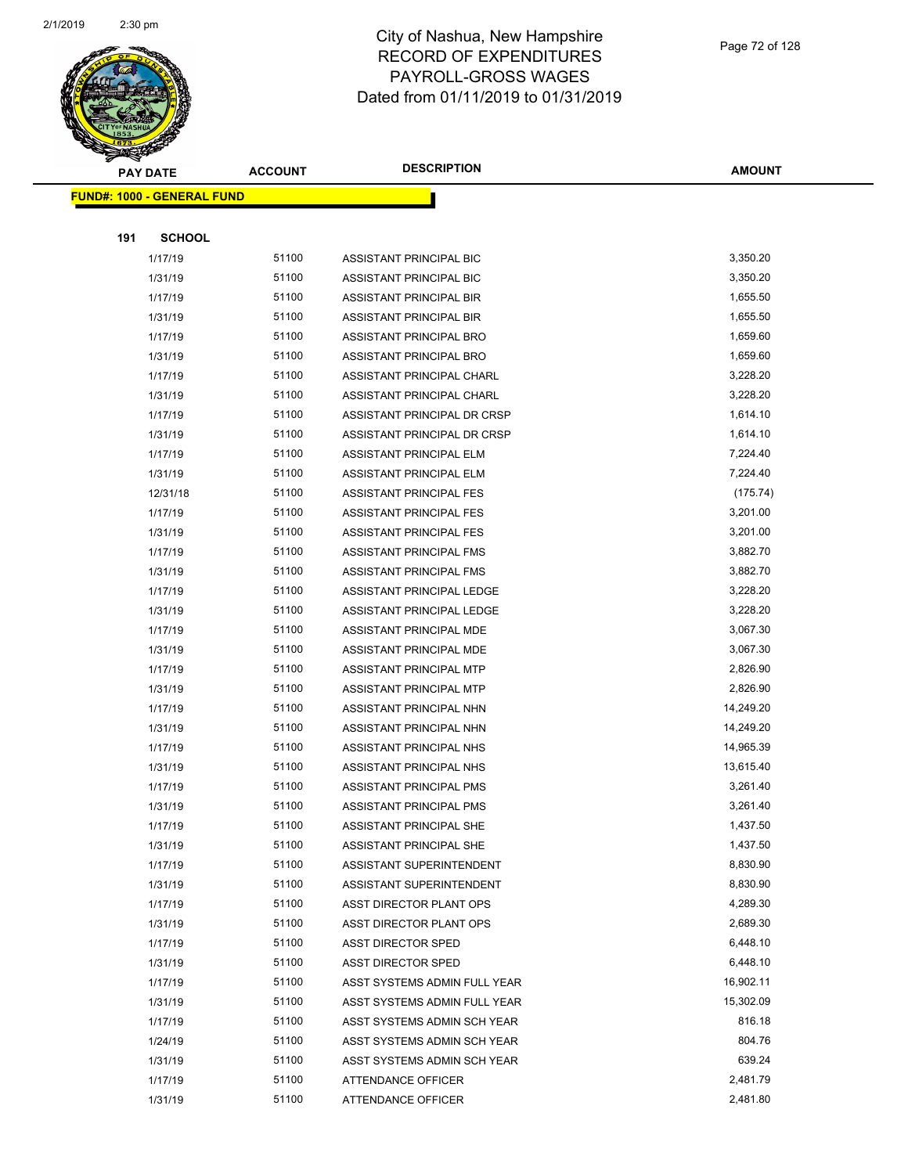

**AMOUNT**

|     | <u> FUND#: 1000 - GENERAL FUND</u> |       |                                |           |
|-----|------------------------------------|-------|--------------------------------|-----------|
|     |                                    |       |                                |           |
| 191 | <b>SCHOOL</b>                      |       |                                |           |
|     | 1/17/19                            | 51100 | ASSISTANT PRINCIPAL BIC        | 3,350.20  |
|     | 1/31/19                            | 51100 | ASSISTANT PRINCIPAL BIC        | 3,350.20  |
|     | 1/17/19                            | 51100 | ASSISTANT PRINCIPAL BIR        | 1,655.50  |
|     | 1/31/19                            | 51100 | ASSISTANT PRINCIPAL BIR        | 1,655.50  |
|     | 1/17/19                            | 51100 | ASSISTANT PRINCIPAL BRO        | 1,659.60  |
|     | 1/31/19                            | 51100 | ASSISTANT PRINCIPAL BRO        | 1,659.60  |
|     | 1/17/19                            | 51100 | ASSISTANT PRINCIPAL CHARL      | 3,228.20  |
|     | 1/31/19                            | 51100 | ASSISTANT PRINCIPAL CHARL      | 3,228.20  |
|     | 1/17/19                            | 51100 | ASSISTANT PRINCIPAL DR CRSP    | 1,614.10  |
|     | 1/31/19                            | 51100 | ASSISTANT PRINCIPAL DR CRSP    | 1,614.10  |
|     | 1/17/19                            | 51100 | ASSISTANT PRINCIPAL ELM        | 7,224.40  |
|     | 1/31/19                            | 51100 | ASSISTANT PRINCIPAL ELM        | 7,224.40  |
|     | 12/31/18                           | 51100 | ASSISTANT PRINCIPAL FES        | (175.74)  |
|     | 1/17/19                            | 51100 | <b>ASSISTANT PRINCIPAL FES</b> | 3,201.00  |
|     | 1/31/19                            | 51100 | ASSISTANT PRINCIPAL FES        | 3,201.00  |
|     | 1/17/19                            | 51100 | ASSISTANT PRINCIPAL FMS        | 3,882.70  |
|     | 1/31/19                            | 51100 | ASSISTANT PRINCIPAL FMS        | 3,882.70  |
|     | 1/17/19                            | 51100 | ASSISTANT PRINCIPAL LEDGE      | 3,228.20  |
|     | 1/31/19                            | 51100 | ASSISTANT PRINCIPAL LEDGE      | 3,228.20  |
|     | 1/17/19                            | 51100 | ASSISTANT PRINCIPAL MDE        | 3,067.30  |
|     | 1/31/19                            | 51100 | ASSISTANT PRINCIPAL MDE        | 3,067.30  |
|     | 1/17/19                            | 51100 | ASSISTANT PRINCIPAL MTP        | 2,826.90  |
|     | 1/31/19                            | 51100 | ASSISTANT PRINCIPAL MTP        | 2,826.90  |
|     | 1/17/19                            | 51100 | ASSISTANT PRINCIPAL NHN        | 14,249.20 |
|     | 1/31/19                            | 51100 | ASSISTANT PRINCIPAL NHN        | 14,249.20 |
|     | 1/17/19                            | 51100 | ASSISTANT PRINCIPAL NHS        | 14,965.39 |
|     | 1/31/19                            | 51100 | ASSISTANT PRINCIPAL NHS        | 13,615.40 |
|     | 1/17/19                            | 51100 | ASSISTANT PRINCIPAL PMS        | 3,261.40  |
|     | 1/31/19                            | 51100 | ASSISTANT PRINCIPAL PMS        | 3,261.40  |
|     | 1/17/19                            | 51100 | ASSISTANT PRINCIPAL SHE        | 1,437.50  |
|     | 1/31/19                            | 51100 | ASSISTANT PRINCIPAL SHE        | 1,437.50  |
|     | 1/17/19                            | 51100 | ASSISTANT SUPERINTENDENT       | 8,830.90  |
|     | 1/31/19                            | 51100 | ASSISTANT SUPERINTENDENT       | 8,830.90  |
|     | 1/17/19                            | 51100 | ASST DIRECTOR PLANT OPS        | 4,289.30  |
|     | 1/31/19                            | 51100 | ASST DIRECTOR PLANT OPS        | 2,689.30  |
|     | 1/17/19                            | 51100 | <b>ASST DIRECTOR SPED</b>      | 6,448.10  |
|     | 1/31/19                            | 51100 | <b>ASST DIRECTOR SPED</b>      | 6,448.10  |
|     | 1/17/19                            | 51100 | ASST SYSTEMS ADMIN FULL YEAR   | 16,902.11 |
|     | 1/31/19                            | 51100 | ASST SYSTEMS ADMIN FULL YEAR   | 15,302.09 |
|     | 1/17/19                            | 51100 | ASST SYSTEMS ADMIN SCH YEAR    | 816.18    |
|     | 1/24/19                            | 51100 | ASST SYSTEMS ADMIN SCH YEAR    | 804.76    |
|     | 1/31/19                            | 51100 | ASST SYSTEMS ADMIN SCH YEAR    | 639.24    |
|     | 1/17/19                            | 51100 | ATTENDANCE OFFICER             | 2,481.79  |
|     | 1/31/19                            | 51100 | ATTENDANCE OFFICER             | 2,481.80  |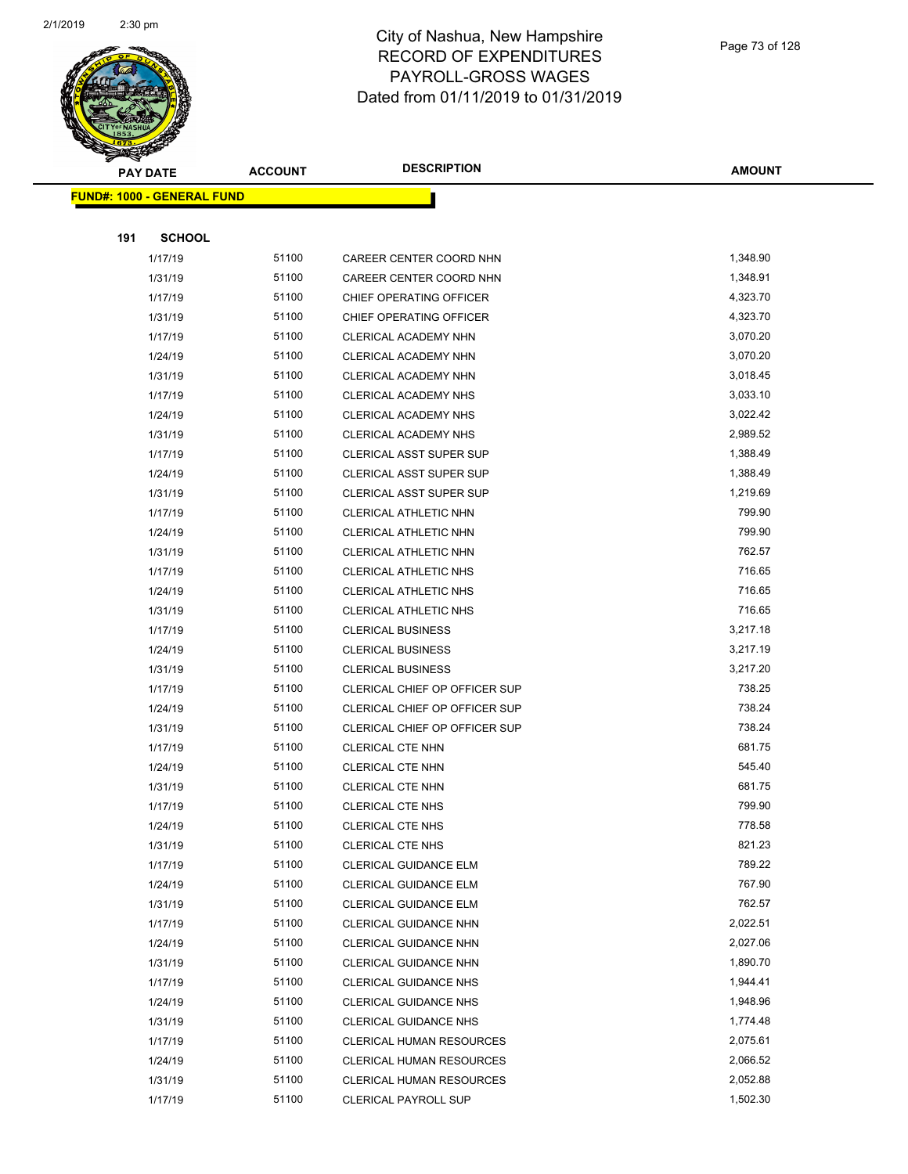

|     | <b>PAY DATE</b>                   | <b>ACCOUNT</b> | <b>DESCRIPTION</b>              | <b>AMOUNT</b> |
|-----|-----------------------------------|----------------|---------------------------------|---------------|
|     | <b>FUND#: 1000 - GENERAL FUND</b> |                |                                 |               |
|     |                                   |                |                                 |               |
| 191 | <b>SCHOOL</b>                     |                |                                 |               |
|     | 1/17/19                           | 51100          | CAREER CENTER COORD NHN         | 1,348.90      |
|     | 1/31/19                           | 51100          | CAREER CENTER COORD NHN         | 1,348.91      |
|     | 1/17/19                           | 51100          | CHIEF OPERATING OFFICER         | 4,323.70      |
|     | 1/31/19                           | 51100          | CHIEF OPERATING OFFICER         | 4,323.70      |
|     | 1/17/19                           | 51100          | CLERICAL ACADEMY NHN            | 3,070.20      |
|     | 1/24/19                           | 51100          | CLERICAL ACADEMY NHN            | 3,070.20      |
|     | 1/31/19                           | 51100          | CLERICAL ACADEMY NHN            | 3,018.45      |
|     | 1/17/19                           | 51100          | CLERICAL ACADEMY NHS            | 3,033.10      |
|     | 1/24/19                           | 51100          | CLERICAL ACADEMY NHS            | 3,022.42      |
|     | 1/31/19                           | 51100          | CLERICAL ACADEMY NHS            | 2,989.52      |
|     | 1/17/19                           | 51100          | CLERICAL ASST SUPER SUP         | 1,388.49      |
|     | 1/24/19                           | 51100          | <b>CLERICAL ASST SUPER SUP</b>  | 1,388.49      |
|     | 1/31/19                           | 51100          | CLERICAL ASST SUPER SUP         | 1,219.69      |
|     | 1/17/19                           | 51100          | CLERICAL ATHLETIC NHN           | 799.90        |
|     | 1/24/19                           | 51100          | CLERICAL ATHLETIC NHN           | 799.90        |
|     | 1/31/19                           | 51100          | CLERICAL ATHLETIC NHN           | 762.57        |
|     | 1/17/19                           | 51100          | <b>CLERICAL ATHLETIC NHS</b>    | 716.65        |
|     | 1/24/19                           | 51100          | CLERICAL ATHLETIC NHS           | 716.65        |
|     | 1/31/19                           | 51100          | <b>CLERICAL ATHLETIC NHS</b>    | 716.65        |
|     | 1/17/19                           | 51100          | <b>CLERICAL BUSINESS</b>        | 3,217.18      |
|     | 1/24/19                           | 51100          | <b>CLERICAL BUSINESS</b>        | 3,217.19      |
|     | 1/31/19                           | 51100          | <b>CLERICAL BUSINESS</b>        | 3,217.20      |
|     | 1/17/19                           | 51100          | CLERICAL CHIEF OP OFFICER SUP   | 738.25        |
|     | 1/24/19                           | 51100          | CLERICAL CHIEF OP OFFICER SUP   | 738.24        |
|     | 1/31/19                           | 51100          | CLERICAL CHIEF OP OFFICER SUP   | 738.24        |
|     | 1/17/19                           | 51100          | <b>CLERICAL CTE NHN</b>         | 681.75        |
|     | 1/24/19                           | 51100          | <b>CLERICAL CTE NHN</b>         | 545.40        |
|     | 1/31/19                           | 51100          | <b>CLERICAL CTE NHN</b>         | 681.75        |
|     | 1/17/19                           | 51100          | <b>CLERICAL CTE NHS</b>         | 799.90        |
|     | 1/24/19                           | 51100          | CLERICAL CTE NHS                | 778.58        |
|     | 1/31/19                           | 51100          | <b>CLERICAL CTE NHS</b>         | 821.23        |
|     | 1/17/19                           | 51100          | CLERICAL GUIDANCE ELM           | 789.22        |
|     | 1/24/19                           | 51100          | CLERICAL GUIDANCE ELM           | 767.90        |
|     | 1/31/19                           | 51100          | CLERICAL GUIDANCE ELM           | 762.57        |
|     | 1/17/19                           | 51100          | CLERICAL GUIDANCE NHN           | 2,022.51      |
|     | 1/24/19                           | 51100          | <b>CLERICAL GUIDANCE NHN</b>    | 2,027.06      |
|     | 1/31/19                           | 51100          | <b>CLERICAL GUIDANCE NHN</b>    | 1,890.70      |
|     | 1/17/19                           | 51100          | <b>CLERICAL GUIDANCE NHS</b>    | 1,944.41      |
|     | 1/24/19                           | 51100          | <b>CLERICAL GUIDANCE NHS</b>    | 1,948.96      |
|     | 1/31/19                           | 51100          | <b>CLERICAL GUIDANCE NHS</b>    | 1,774.48      |
|     | 1/17/19                           | 51100          | <b>CLERICAL HUMAN RESOURCES</b> | 2,075.61      |
|     | 1/24/19                           | 51100          | <b>CLERICAL HUMAN RESOURCES</b> | 2,066.52      |
|     | 1/31/19                           | 51100          | CLERICAL HUMAN RESOURCES        | 2,052.88      |
|     | 1/17/19                           | 51100          | <b>CLERICAL PAYROLL SUP</b>     | 1,502.30      |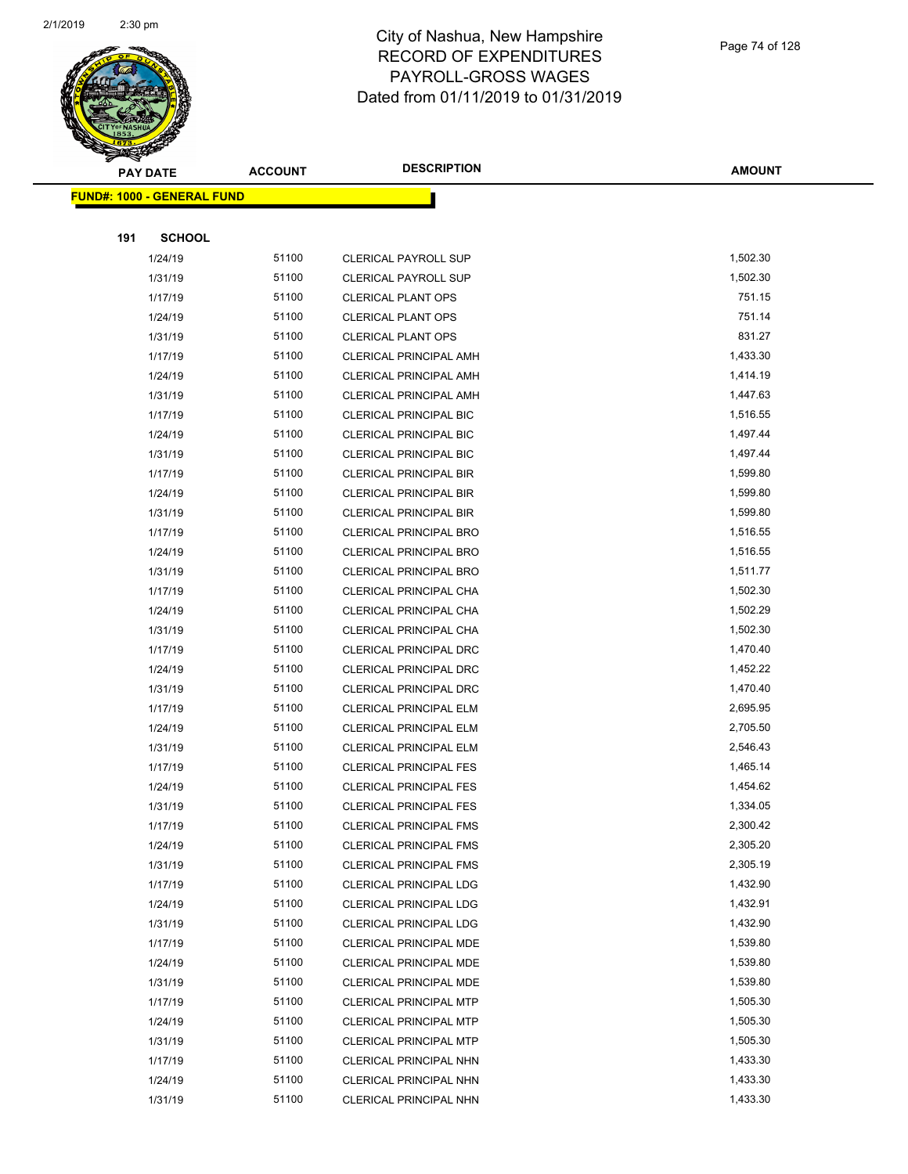

|     | <b>PAY DATE</b>                   | <b>ACCOUNT</b> | <b>DESCRIPTION</b>            | <b>AMOUNT</b> |
|-----|-----------------------------------|----------------|-------------------------------|---------------|
|     | <b>FUND#: 1000 - GENERAL FUND</b> |                |                               |               |
|     |                                   |                |                               |               |
| 191 | <b>SCHOOL</b>                     |                |                               |               |
|     | 1/24/19                           | 51100          | <b>CLERICAL PAYROLL SUP</b>   | 1,502.30      |
|     | 1/31/19                           | 51100          | <b>CLERICAL PAYROLL SUP</b>   | 1,502.30      |
|     | 1/17/19                           | 51100          | <b>CLERICAL PLANT OPS</b>     | 751.15        |
|     | 1/24/19                           | 51100          | <b>CLERICAL PLANT OPS</b>     | 751.14        |
|     | 1/31/19                           | 51100          | <b>CLERICAL PLANT OPS</b>     | 831.27        |
|     | 1/17/19                           | 51100          | CLERICAL PRINCIPAL AMH        | 1,433.30      |
|     | 1/24/19                           | 51100          | <b>CLERICAL PRINCIPAL AMH</b> | 1,414.19      |
|     | 1/31/19                           | 51100          | CLERICAL PRINCIPAL AMH        | 1,447.63      |
|     | 1/17/19                           | 51100          | <b>CLERICAL PRINCIPAL BIC</b> | 1,516.55      |
|     | 1/24/19                           | 51100          | <b>CLERICAL PRINCIPAL BIC</b> | 1,497.44      |
|     | 1/31/19                           | 51100          | <b>CLERICAL PRINCIPAL BIC</b> | 1,497.44      |
|     | 1/17/19                           | 51100          | <b>CLERICAL PRINCIPAL BIR</b> | 1,599.80      |
|     | 1/24/19                           | 51100          | <b>CLERICAL PRINCIPAL BIR</b> | 1,599.80      |
|     | 1/31/19                           | 51100          | <b>CLERICAL PRINCIPAL BIR</b> | 1,599.80      |
|     | 1/17/19                           | 51100          | CLERICAL PRINCIPAL BRO        | 1,516.55      |
|     | 1/24/19                           | 51100          | CLERICAL PRINCIPAL BRO        | 1,516.55      |
|     | 1/31/19                           | 51100          | <b>CLERICAL PRINCIPAL BRO</b> | 1,511.77      |
|     | 1/17/19                           | 51100          | CLERICAL PRINCIPAL CHA        | 1,502.30      |
|     | 1/24/19                           | 51100          | CLERICAL PRINCIPAL CHA        | 1,502.29      |
|     | 1/31/19                           | 51100          | CLERICAL PRINCIPAL CHA        | 1,502.30      |
|     | 1/17/19                           | 51100          | CLERICAL PRINCIPAL DRC        | 1,470.40      |
|     | 1/24/19                           | 51100          | <b>CLERICAL PRINCIPAL DRC</b> | 1,452.22      |
|     | 1/31/19                           | 51100          | CLERICAL PRINCIPAL DRC        | 1,470.40      |
|     | 1/17/19                           | 51100          | <b>CLERICAL PRINCIPAL ELM</b> | 2,695.95      |
|     | 1/24/19                           | 51100          | CLERICAL PRINCIPAL ELM        | 2,705.50      |
|     | 1/31/19                           | 51100          | CLERICAL PRINCIPAL ELM        | 2,546.43      |
|     | 1/17/19                           | 51100          | <b>CLERICAL PRINCIPAL FES</b> | 1,465.14      |
|     | 1/24/19                           | 51100          | <b>CLERICAL PRINCIPAL FES</b> | 1,454.62      |
|     | 1/31/19                           | 51100          | <b>CLERICAL PRINCIPAL FES</b> | 1,334.05      |
|     | 1/17/19                           | 51100          | CLERICAL PRINCIPAL FMS        | 2,300.42      |
|     | 1/24/19                           | 51100          | <b>CLERICAL PRINCIPAL FMS</b> | 2,305.20      |
|     | 1/31/19                           | 51100          | <b>CLERICAL PRINCIPAL FMS</b> | 2,305.19      |
|     | 1/17/19                           | 51100          | CLERICAL PRINCIPAL LDG        | 1,432.90      |
|     | 1/24/19                           | 51100          | <b>CLERICAL PRINCIPAL LDG</b> | 1,432.91      |
|     | 1/31/19                           | 51100          | <b>CLERICAL PRINCIPAL LDG</b> | 1,432.90      |
|     | 1/17/19                           | 51100          | CLERICAL PRINCIPAL MDE        | 1,539.80      |
|     | 1/24/19                           | 51100          | CLERICAL PRINCIPAL MDE        | 1,539.80      |
|     | 1/31/19                           | 51100          | CLERICAL PRINCIPAL MDE        | 1,539.80      |
|     | 1/17/19                           | 51100          | <b>CLERICAL PRINCIPAL MTP</b> | 1,505.30      |
|     | 1/24/19                           | 51100          | <b>CLERICAL PRINCIPAL MTP</b> | 1,505.30      |
|     | 1/31/19                           | 51100          | CLERICAL PRINCIPAL MTP        | 1,505.30      |
|     | 1/17/19                           | 51100          | CLERICAL PRINCIPAL NHN        | 1,433.30      |
|     | 1/24/19                           | 51100          | CLERICAL PRINCIPAL NHN        | 1,433.30      |
|     | 1/31/19                           | 51100          | CLERICAL PRINCIPAL NHN        | 1,433.30      |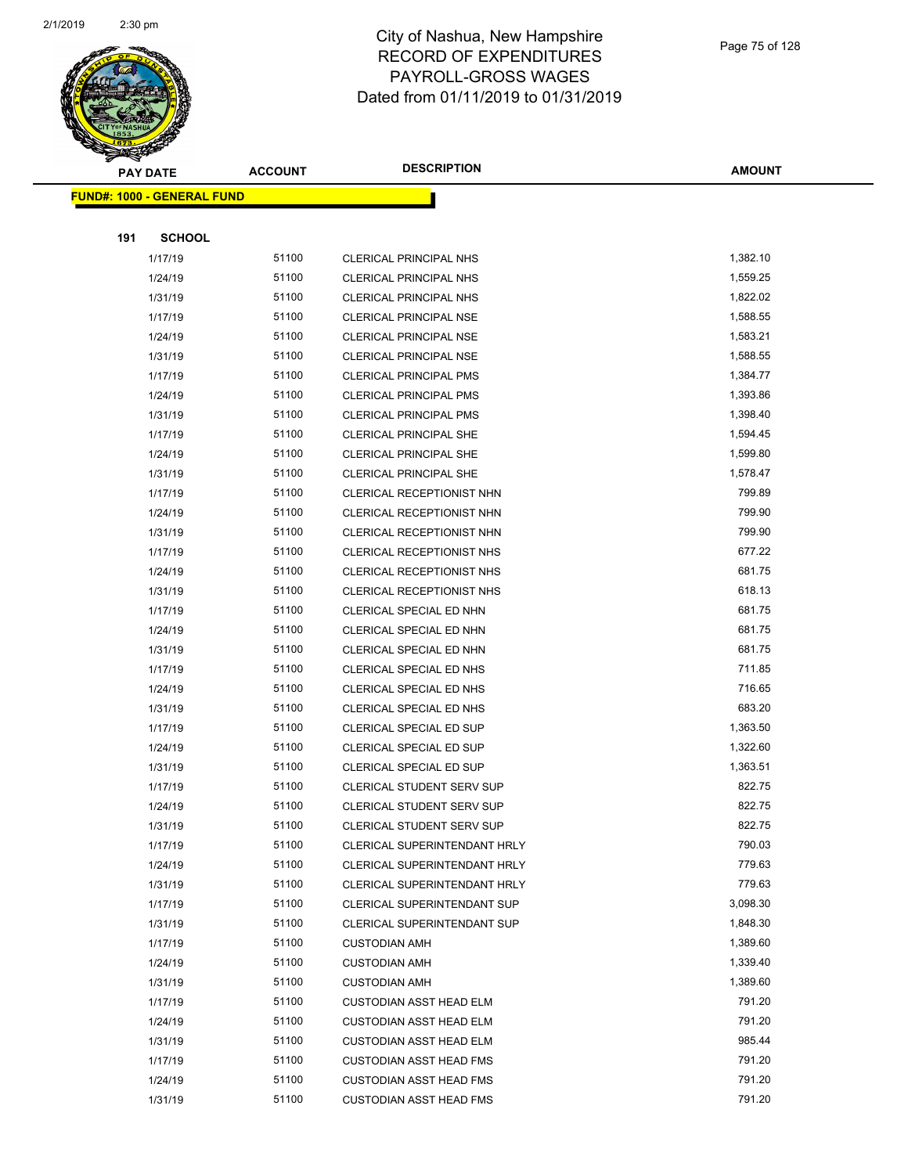

**AMOUNT**

|     | <b>FUND#: 1000 - GENERAL FUND</b> |       |                                  |          |
|-----|-----------------------------------|-------|----------------------------------|----------|
|     |                                   |       |                                  |          |
| 191 | <b>SCHOOL</b>                     |       |                                  |          |
|     | 1/17/19                           | 51100 | <b>CLERICAL PRINCIPAL NHS</b>    | 1,382.10 |
|     | 1/24/19                           | 51100 | <b>CLERICAL PRINCIPAL NHS</b>    | 1,559.25 |
|     | 1/31/19                           | 51100 | <b>CLERICAL PRINCIPAL NHS</b>    | 1,822.02 |
|     | 1/17/19                           | 51100 | <b>CLERICAL PRINCIPAL NSE</b>    | 1,588.55 |
|     | 1/24/19                           | 51100 | CLERICAL PRINCIPAL NSE           | 1,583.21 |
|     | 1/31/19                           | 51100 | <b>CLERICAL PRINCIPAL NSE</b>    | 1,588.55 |
|     | 1/17/19                           | 51100 | <b>CLERICAL PRINCIPAL PMS</b>    | 1,384.77 |
|     | 1/24/19                           | 51100 | <b>CLERICAL PRINCIPAL PMS</b>    | 1,393.86 |
|     | 1/31/19                           | 51100 | <b>CLERICAL PRINCIPAL PMS</b>    | 1,398.40 |
|     | 1/17/19                           | 51100 | CLERICAL PRINCIPAL SHE           | 1,594.45 |
|     | 1/24/19                           | 51100 | <b>CLERICAL PRINCIPAL SHE</b>    | 1,599.80 |
|     | 1/31/19                           | 51100 | <b>CLERICAL PRINCIPAL SHE</b>    | 1,578.47 |
|     | 1/17/19                           | 51100 | CLERICAL RECEPTIONIST NHN        | 799.89   |
|     | 1/24/19                           | 51100 | CLERICAL RECEPTIONIST NHN        | 799.90   |
|     | 1/31/19                           | 51100 | CLERICAL RECEPTIONIST NHN        | 799.90   |
|     | 1/17/19                           | 51100 | CLERICAL RECEPTIONIST NHS        | 677.22   |
|     | 1/24/19                           | 51100 | CLERICAL RECEPTIONIST NHS        | 681.75   |
|     | 1/31/19                           | 51100 | CLERICAL RECEPTIONIST NHS        | 618.13   |
|     | 1/17/19                           | 51100 | CLERICAL SPECIAL ED NHN          | 681.75   |
|     | 1/24/19                           | 51100 | CLERICAL SPECIAL ED NHN          | 681.75   |
|     | 1/31/19                           | 51100 | CLERICAL SPECIAL ED NHN          | 681.75   |
|     | 1/17/19                           | 51100 | CLERICAL SPECIAL ED NHS          | 711.85   |
|     | 1/24/19                           | 51100 | CLERICAL SPECIAL ED NHS          | 716.65   |
|     | 1/31/19                           | 51100 | CLERICAL SPECIAL ED NHS          | 683.20   |
|     | 1/17/19                           | 51100 | CLERICAL SPECIAL ED SUP          | 1,363.50 |
|     | 1/24/19                           | 51100 | CLERICAL SPECIAL ED SUP          | 1,322.60 |
|     | 1/31/19                           | 51100 | CLERICAL SPECIAL ED SUP          | 1,363.51 |
|     | 1/17/19                           | 51100 | <b>CLERICAL STUDENT SERV SUP</b> | 822.75   |
|     | 1/24/19                           | 51100 | <b>CLERICAL STUDENT SERV SUP</b> | 822.75   |
|     | 1/31/19                           | 51100 | CLERICAL STUDENT SERV SUP        | 822.75   |
|     | 1/17/19                           | 51100 | CLERICAL SUPERINTENDANT HRLY     | 790.03   |
|     | 1/24/19                           | 51100 | CLERICAL SUPERINTENDANT HRLY     | 779.63   |
|     | 1/31/19                           | 51100 | CLERICAL SUPERINTENDANT HRLY     | 779.63   |
|     | 1/17/19                           | 51100 | CLERICAL SUPERINTENDANT SUP      | 3,098.30 |
|     | 1/31/19                           | 51100 | CLERICAL SUPERINTENDANT SUP      | 1,848.30 |
|     | 1/17/19                           | 51100 | <b>CUSTODIAN AMH</b>             | 1,389.60 |
|     | 1/24/19                           | 51100 | <b>CUSTODIAN AMH</b>             | 1,339.40 |
|     | 1/31/19                           | 51100 | <b>CUSTODIAN AMH</b>             | 1,389.60 |
|     | 1/17/19                           | 51100 | <b>CUSTODIAN ASST HEAD ELM</b>   | 791.20   |
|     | 1/24/19                           | 51100 | <b>CUSTODIAN ASST HEAD ELM</b>   | 791.20   |
|     | 1/31/19                           | 51100 | <b>CUSTODIAN ASST HEAD ELM</b>   | 985.44   |
|     | 1/17/19                           | 51100 | <b>CUSTODIAN ASST HEAD FMS</b>   | 791.20   |
|     | 1/24/19                           | 51100 | <b>CUSTODIAN ASST HEAD FMS</b>   | 791.20   |
|     | 1/31/19                           | 51100 | <b>CUSTODIAN ASST HEAD FMS</b>   | 791.20   |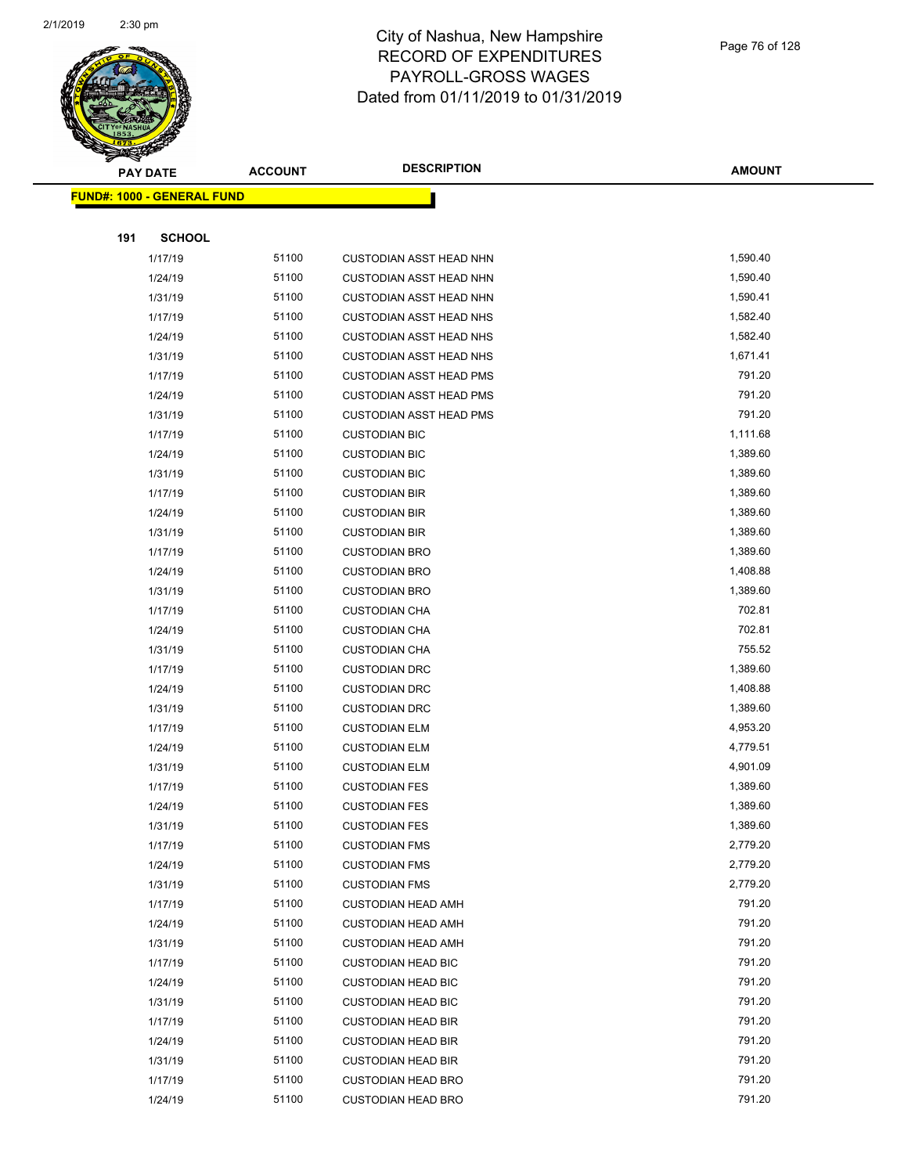

| ॼ   | <b>PAY DATE</b>                    | <b>ACCOUNT</b> | <b>DESCRIPTION</b>             | <b>AMOUNT</b> |
|-----|------------------------------------|----------------|--------------------------------|---------------|
|     | <u> FUND#: 1000 - GENERAL FUND</u> |                |                                |               |
|     |                                    |                |                                |               |
| 191 | <b>SCHOOL</b>                      |                |                                |               |
|     | 1/17/19                            | 51100          | <b>CUSTODIAN ASST HEAD NHN</b> | 1,590.40      |
|     | 1/24/19                            | 51100          | <b>CUSTODIAN ASST HEAD NHN</b> | 1,590.40      |
|     | 1/31/19                            | 51100          | <b>CUSTODIAN ASST HEAD NHN</b> | 1,590.41      |
|     | 1/17/19                            | 51100          | <b>CUSTODIAN ASST HEAD NHS</b> | 1,582.40      |
|     | 1/24/19                            | 51100          | <b>CUSTODIAN ASST HEAD NHS</b> | 1,582.40      |
|     | 1/31/19                            | 51100          | <b>CUSTODIAN ASST HEAD NHS</b> | 1,671.41      |
|     | 1/17/19                            | 51100          | <b>CUSTODIAN ASST HEAD PMS</b> | 791.20        |
|     | 1/24/19                            | 51100          | <b>CUSTODIAN ASST HEAD PMS</b> | 791.20        |
|     | 1/31/19                            | 51100          | <b>CUSTODIAN ASST HEAD PMS</b> | 791.20        |
|     | 1/17/19                            | 51100          | <b>CUSTODIAN BIC</b>           | 1,111.68      |
|     | 1/24/19                            | 51100          | <b>CUSTODIAN BIC</b>           | 1,389.60      |
|     | 1/31/19                            | 51100          | <b>CUSTODIAN BIC</b>           | 1,389.60      |
|     | 1/17/19                            | 51100          | <b>CUSTODIAN BIR</b>           | 1,389.60      |
|     | 1/24/19                            | 51100          | <b>CUSTODIAN BIR</b>           | 1,389.60      |
|     | 1/31/19                            | 51100          | <b>CUSTODIAN BIR</b>           | 1,389.60      |
|     | 1/17/19                            | 51100          | <b>CUSTODIAN BRO</b>           | 1,389.60      |
|     | 1/24/19                            | 51100          | <b>CUSTODIAN BRO</b>           | 1,408.88      |
|     | 1/31/19                            | 51100          | <b>CUSTODIAN BRO</b>           | 1,389.60      |
|     | 1/17/19                            | 51100          | <b>CUSTODIAN CHA</b>           | 702.81        |
|     | 1/24/19                            | 51100          | <b>CUSTODIAN CHA</b>           | 702.81        |
|     | 1/31/19                            | 51100          | <b>CUSTODIAN CHA</b>           | 755.52        |
|     | 1/17/19                            | 51100          | <b>CUSTODIAN DRC</b>           | 1,389.60      |
|     | 1/24/19                            | 51100          | <b>CUSTODIAN DRC</b>           | 1,408.88      |
|     | 1/31/19                            | 51100          | <b>CUSTODIAN DRC</b>           | 1,389.60      |
|     | 1/17/19                            | 51100          | <b>CUSTODIAN ELM</b>           | 4,953.20      |
|     | 1/24/19                            | 51100          | <b>CUSTODIAN ELM</b>           | 4,779.51      |
|     | 1/31/19                            | 51100          | <b>CUSTODIAN ELM</b>           | 4,901.09      |
|     | 1/17/19                            | 51100          | <b>CUSTODIAN FES</b>           | 1,389.60      |
|     | 1/24/19                            | 51100          | <b>CUSTODIAN FES</b>           | 1,389.60      |
|     | 1/31/19                            | 51100          | <b>CUSTODIAN FES</b>           | 1,389.60      |
|     | 1/17/19                            | 51100          | <b>CUSTODIAN FMS</b>           | 2,779.20      |
|     | 1/24/19                            | 51100          | <b>CUSTODIAN FMS</b>           | 2,779.20      |
|     | 1/31/19                            | 51100          | <b>CUSTODIAN FMS</b>           | 2,779.20      |
|     | 1/17/19                            | 51100          | <b>CUSTODIAN HEAD AMH</b>      | 791.20        |
|     | 1/24/19                            | 51100          | <b>CUSTODIAN HEAD AMH</b>      | 791.20        |
|     | 1/31/19                            | 51100          | <b>CUSTODIAN HEAD AMH</b>      | 791.20        |
|     | 1/17/19                            | 51100          | <b>CUSTODIAN HEAD BIC</b>      | 791.20        |
|     | 1/24/19                            | 51100          | <b>CUSTODIAN HEAD BIC</b>      | 791.20        |
|     | 1/31/19                            | 51100          | <b>CUSTODIAN HEAD BIC</b>      | 791.20        |
|     | 1/17/19                            | 51100          | <b>CUSTODIAN HEAD BIR</b>      | 791.20        |
|     | 1/24/19                            | 51100          | <b>CUSTODIAN HEAD BIR</b>      | 791.20        |
|     | 1/31/19                            | 51100          | <b>CUSTODIAN HEAD BIR</b>      | 791.20        |
|     | 1/17/19                            | 51100          | <b>CUSTODIAN HEAD BRO</b>      | 791.20        |
|     | 1/24/19                            | 51100          | <b>CUSTODIAN HEAD BRO</b>      | 791.20        |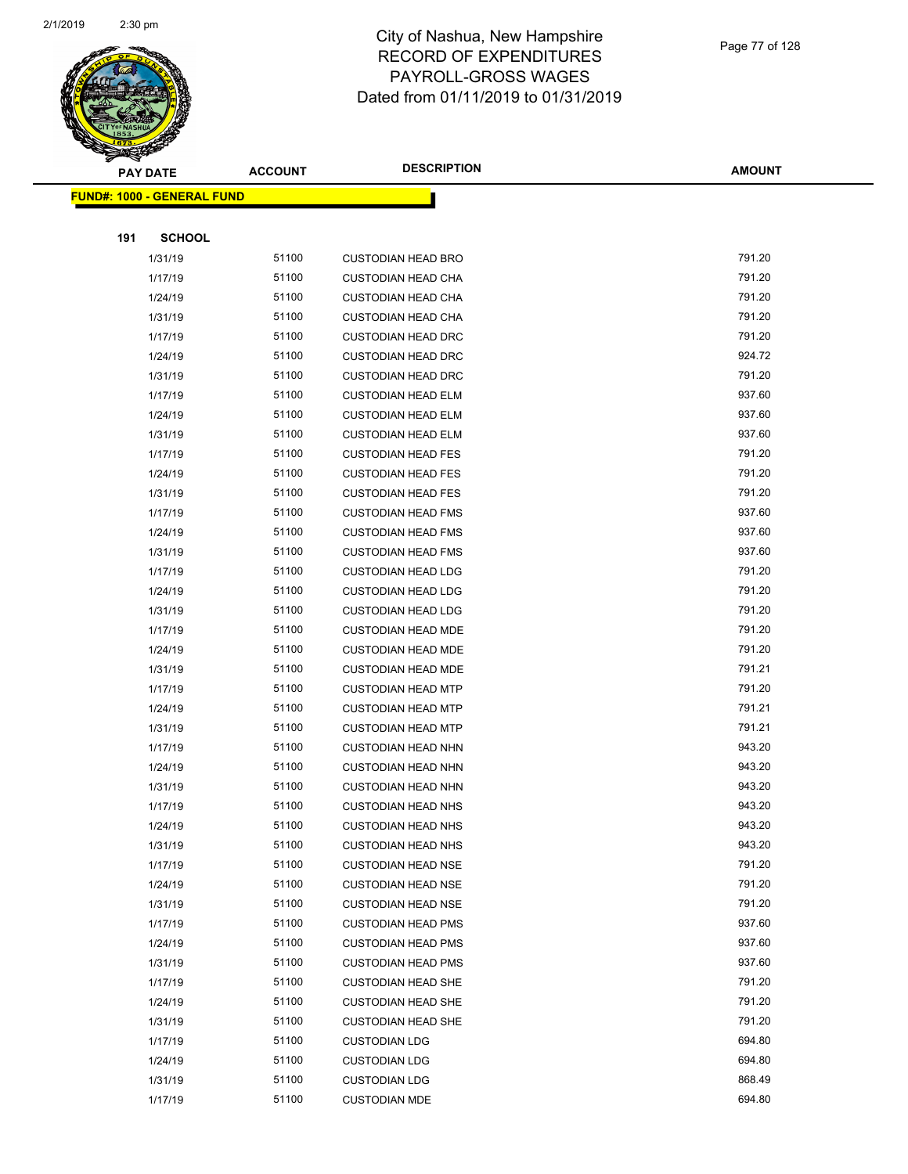

Page 77 of 128

| ॼ   | <b>PAY DATE</b>                    | <b>ACCOUNT</b> | <b>DESCRIPTION</b>        | <b>AMOUNT</b> |
|-----|------------------------------------|----------------|---------------------------|---------------|
|     | <u> FUND#: 1000 - GENERAL FUND</u> |                |                           |               |
|     |                                    |                |                           |               |
| 191 | <b>SCHOOL</b>                      |                |                           |               |
|     | 1/31/19                            | 51100          | <b>CUSTODIAN HEAD BRO</b> | 791.20        |
|     | 1/17/19                            | 51100          | <b>CUSTODIAN HEAD CHA</b> | 791.20        |
|     | 1/24/19                            | 51100          | <b>CUSTODIAN HEAD CHA</b> | 791.20        |
|     | 1/31/19                            | 51100          | <b>CUSTODIAN HEAD CHA</b> | 791.20        |
|     | 1/17/19                            | 51100          | <b>CUSTODIAN HEAD DRC</b> | 791.20        |
|     | 1/24/19                            | 51100          | <b>CUSTODIAN HEAD DRC</b> | 924.72        |
|     | 1/31/19                            | 51100          | <b>CUSTODIAN HEAD DRC</b> | 791.20        |
|     | 1/17/19                            | 51100          | <b>CUSTODIAN HEAD ELM</b> | 937.60        |
|     | 1/24/19                            | 51100          | <b>CUSTODIAN HEAD ELM</b> | 937.60        |
|     | 1/31/19                            | 51100          | <b>CUSTODIAN HEAD ELM</b> | 937.60        |
|     | 1/17/19                            | 51100          | <b>CUSTODIAN HEAD FES</b> | 791.20        |
|     | 1/24/19                            | 51100          | <b>CUSTODIAN HEAD FES</b> | 791.20        |
|     | 1/31/19                            | 51100          | <b>CUSTODIAN HEAD FES</b> | 791.20        |
|     | 1/17/19                            | 51100          | <b>CUSTODIAN HEAD FMS</b> | 937.60        |
|     | 1/24/19                            | 51100          | <b>CUSTODIAN HEAD FMS</b> | 937.60        |
|     | 1/31/19                            | 51100          | <b>CUSTODIAN HEAD FMS</b> | 937.60        |
|     | 1/17/19                            | 51100          | <b>CUSTODIAN HEAD LDG</b> | 791.20        |
|     | 1/24/19                            | 51100          | <b>CUSTODIAN HEAD LDG</b> | 791.20        |
|     | 1/31/19                            | 51100          | <b>CUSTODIAN HEAD LDG</b> | 791.20        |
|     | 1/17/19                            | 51100          | <b>CUSTODIAN HEAD MDE</b> | 791.20        |
|     | 1/24/19                            | 51100          | <b>CUSTODIAN HEAD MDE</b> | 791.20        |
|     | 1/31/19                            | 51100          | <b>CUSTODIAN HEAD MDE</b> | 791.21        |
|     | 1/17/19                            | 51100          | <b>CUSTODIAN HEAD MTP</b> | 791.20        |
|     | 1/24/19                            | 51100          | <b>CUSTODIAN HEAD MTP</b> | 791.21        |
|     | 1/31/19                            | 51100          | <b>CUSTODIAN HEAD MTP</b> | 791.21        |
|     | 1/17/19                            | 51100          | <b>CUSTODIAN HEAD NHN</b> | 943.20        |
|     | 1/24/19                            | 51100          | <b>CUSTODIAN HEAD NHN</b> | 943.20        |
|     | 1/31/19                            | 51100          | <b>CUSTODIAN HEAD NHN</b> | 943.20        |
|     | 1/17/19                            | 51100          | <b>CUSTODIAN HEAD NHS</b> | 943.20        |
|     | 1/24/19                            | 51100          | <b>CUSTODIAN HEAD NHS</b> | 943.20        |
|     | 1/31/19                            | 51100          | <b>CUSTODIAN HEAD NHS</b> | 943.20        |
|     | 1/17/19                            | 51100          | <b>CUSTODIAN HEAD NSE</b> | 791.20        |
|     | 1/24/19                            | 51100          | <b>CUSTODIAN HEAD NSE</b> | 791.20        |
|     | 1/31/19                            | 51100          | <b>CUSTODIAN HEAD NSE</b> | 791.20        |
|     | 1/17/19                            | 51100          | <b>CUSTODIAN HEAD PMS</b> | 937.60        |
|     | 1/24/19                            | 51100          | <b>CUSTODIAN HEAD PMS</b> | 937.60        |
|     | 1/31/19                            | 51100          | <b>CUSTODIAN HEAD PMS</b> | 937.60        |
|     | 1/17/19                            | 51100          | <b>CUSTODIAN HEAD SHE</b> | 791.20        |
|     | 1/24/19                            | 51100          | <b>CUSTODIAN HEAD SHE</b> | 791.20        |
|     | 1/31/19                            | 51100          | <b>CUSTODIAN HEAD SHE</b> | 791.20        |
|     | 1/17/19                            | 51100          | <b>CUSTODIAN LDG</b>      | 694.80        |
|     | 1/24/19                            | 51100          | <b>CUSTODIAN LDG</b>      | 694.80        |
|     | 1/31/19                            | 51100          | <b>CUSTODIAN LDG</b>      | 868.49        |
|     | 1/17/19                            | 51100          | <b>CUSTODIAN MDE</b>      | 694.80        |
|     |                                    |                |                           |               |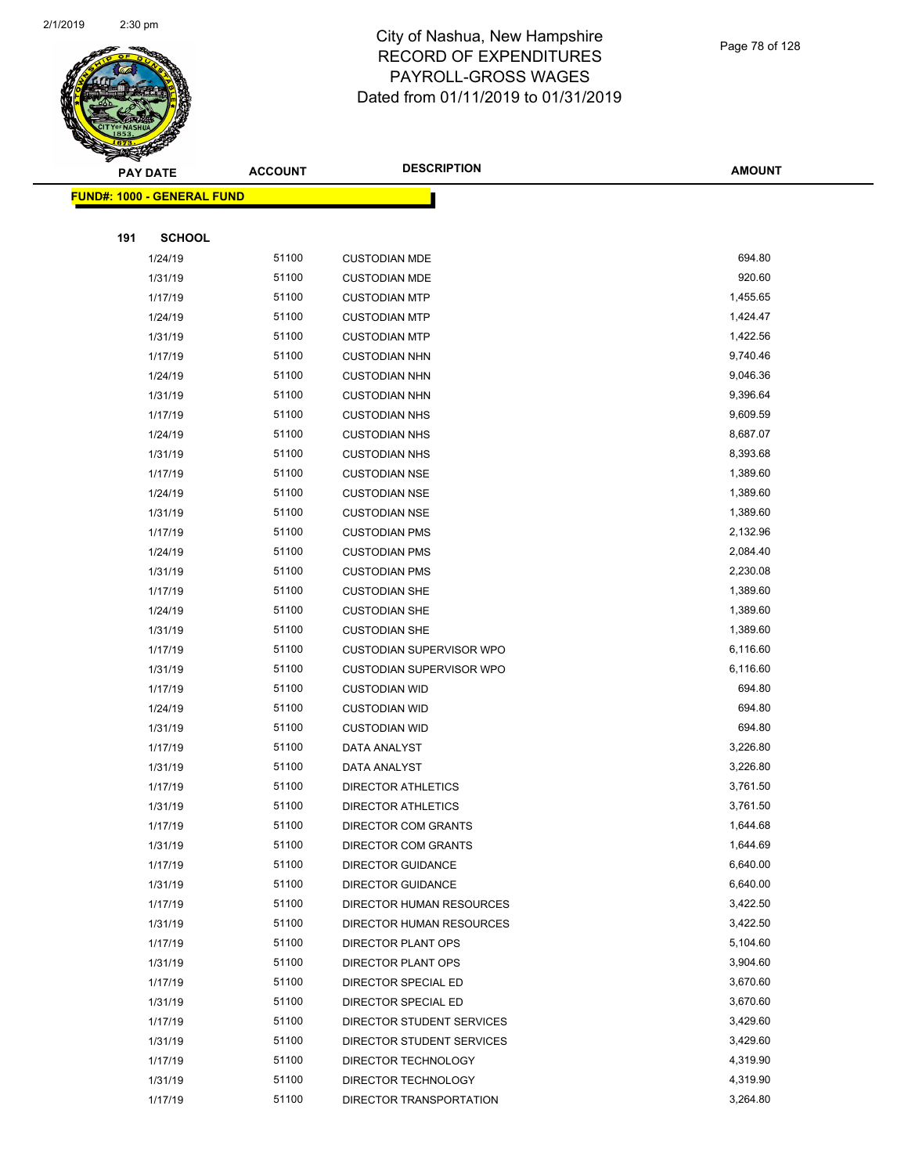

#### Page 78 of 128

|     | <b>PAY DATE</b>                   | <b>ACCOUNT</b> | <b>DESCRIPTION</b>        | <b>AMOUNT</b> |
|-----|-----------------------------------|----------------|---------------------------|---------------|
|     | <b>FUND#: 1000 - GENERAL FUND</b> |                |                           |               |
|     |                                   |                |                           |               |
| 191 | <b>SCHOOL</b>                     |                |                           |               |
|     | 1/24/19                           | 51100          | <b>CUSTODIAN MDE</b>      | 694.80        |
|     | 1/31/19                           | 51100          | <b>CUSTODIAN MDE</b>      | 920.60        |
|     | 1/17/19                           | 51100          | <b>CUSTODIAN MTP</b>      | 1,455.65      |
|     | 1/24/19                           | 51100          | <b>CUSTODIAN MTP</b>      | 1,424.47      |
|     | 1/31/19                           | 51100          | <b>CUSTODIAN MTP</b>      | 1,422.56      |
|     | 1/17/19                           | 51100          | <b>CUSTODIAN NHN</b>      | 9,740.46      |
|     | 1/24/19                           | 51100          | <b>CUSTODIAN NHN</b>      | 9,046.36      |
|     | 1/31/19                           | 51100          | <b>CUSTODIAN NHN</b>      | 9,396.64      |
|     | 1/17/19                           | 51100          | <b>CUSTODIAN NHS</b>      | 9,609.59      |
|     | 1/24/19                           | 51100          | <b>CUSTODIAN NHS</b>      | 8,687.07      |
|     | 1/31/19                           | 51100          | <b>CUSTODIAN NHS</b>      | 8,393.68      |
|     | 1/17/19                           | 51100          | <b>CUSTODIAN NSE</b>      | 1,389.60      |
|     | 1/24/19                           | 51100          | <b>CUSTODIAN NSE</b>      | 1,389.60      |
|     | 1/31/19                           | 51100          | <b>CUSTODIAN NSE</b>      | 1,389.60      |
|     | 1/17/19                           | 51100          | <b>CUSTODIAN PMS</b>      | 2,132.96      |
|     | 1/24/19                           | 51100          | <b>CUSTODIAN PMS</b>      | 2,084.40      |
|     | 1/31/19                           | 51100          | <b>CUSTODIAN PMS</b>      | 2,230.08      |
|     | 1/17/19                           | 51100          | <b>CUSTODIAN SHE</b>      | 1,389.60      |
|     | 1/24/19                           | 51100          | <b>CUSTODIAN SHE</b>      | 1,389.60      |
|     | 1/31/19                           | 51100          | <b>CUSTODIAN SHE</b>      | 1,389.60      |
|     | 1/17/19                           | 51100          | CUSTODIAN SUPERVISOR WPO  | 6,116.60      |
|     | 1/31/19                           | 51100          | CUSTODIAN SUPERVISOR WPO  | 6,116.60      |
|     | 1/17/19                           | 51100          | <b>CUSTODIAN WID</b>      | 694.80        |
|     | 1/24/19                           | 51100          | <b>CUSTODIAN WID</b>      | 694.80        |
|     | 1/31/19                           | 51100          | <b>CUSTODIAN WID</b>      | 694.80        |
|     | 1/17/19                           | 51100          | DATA ANALYST              | 3,226.80      |
|     | 1/31/19                           | 51100          | <b>DATA ANALYST</b>       | 3,226.80      |
|     | 1/17/19                           | 51100          | <b>DIRECTOR ATHLETICS</b> | 3,761.50      |
|     | 1/31/19                           | 51100          | <b>DIRECTOR ATHLETICS</b> | 3,761.50      |
|     | 1/17/19                           | 51100          | DIRECTOR COM GRANTS       | 1,644.68      |
|     | 1/31/19                           | 51100          | DIRECTOR COM GRANTS       | 1,644.69      |
|     | 1/17/19                           | 51100          | <b>DIRECTOR GUIDANCE</b>  | 6,640.00      |
|     | 1/31/19                           | 51100          | <b>DIRECTOR GUIDANCE</b>  | 6,640.00      |
|     | 1/17/19                           | 51100          | DIRECTOR HUMAN RESOURCES  | 3,422.50      |
|     | 1/31/19                           | 51100          | DIRECTOR HUMAN RESOURCES  | 3,422.50      |
|     | 1/17/19                           | 51100          | DIRECTOR PLANT OPS        | 5,104.60      |
|     | 1/31/19                           | 51100          | DIRECTOR PLANT OPS        | 3,904.60      |
|     | 1/17/19                           | 51100          | DIRECTOR SPECIAL ED       | 3,670.60      |
|     | 1/31/19                           | 51100          | DIRECTOR SPECIAL ED       | 3,670.60      |
|     | 1/17/19                           | 51100          | DIRECTOR STUDENT SERVICES | 3,429.60      |
|     | 1/31/19                           | 51100          | DIRECTOR STUDENT SERVICES | 3,429.60      |
|     | 1/17/19                           | 51100          | DIRECTOR TECHNOLOGY       | 4,319.90      |
|     | 1/31/19                           | 51100          | DIRECTOR TECHNOLOGY       | 4,319.90      |
|     | 1/17/19                           | 51100          | DIRECTOR TRANSPORTATION   | 3,264.80      |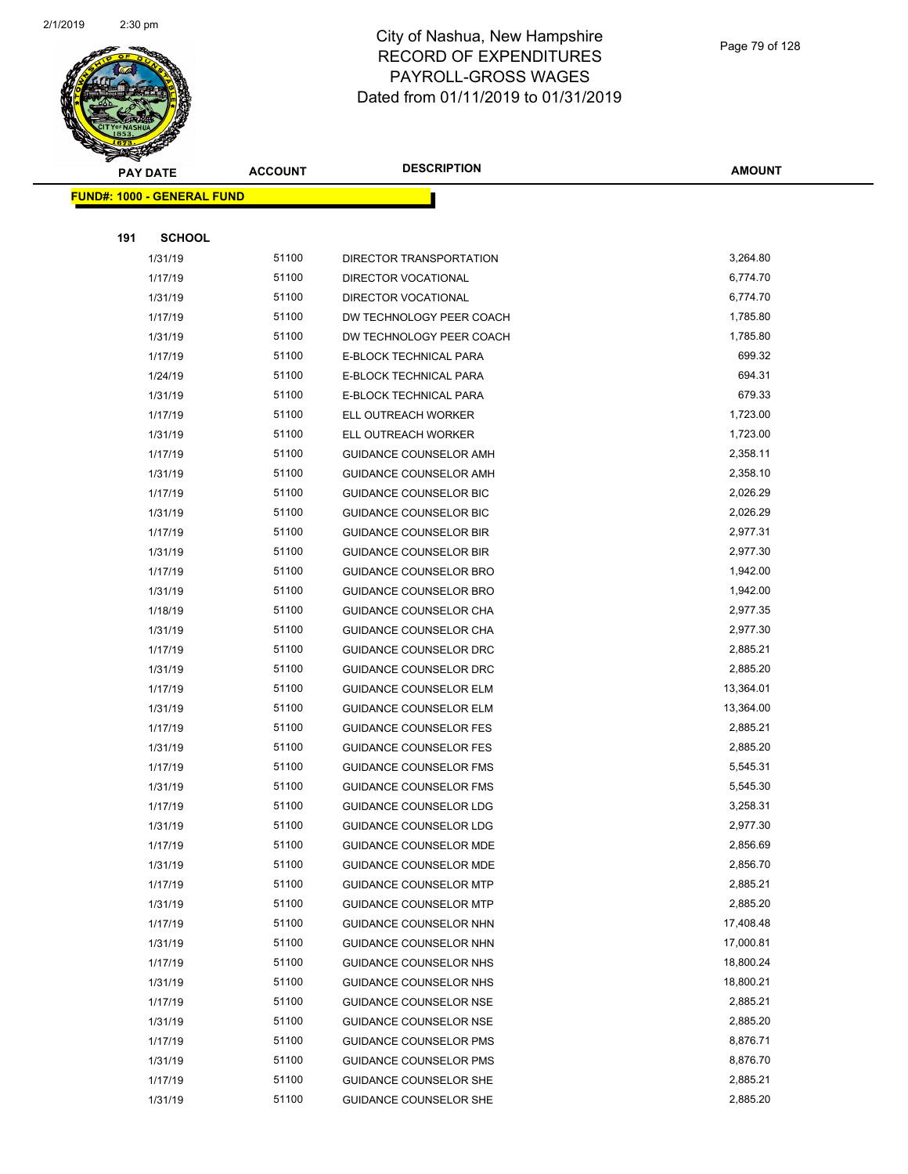

|     | <b>PAY DATE</b>                    | <b>ACCOUNT</b> | <b>DESCRIPTION</b>            | <b>AMOUNT</b> |
|-----|------------------------------------|----------------|-------------------------------|---------------|
|     | <u> FUND#: 1000 - GENERAL FUND</u> |                |                               |               |
|     |                                    |                |                               |               |
| 191 | <b>SCHOOL</b>                      |                |                               |               |
|     | 1/31/19                            | 51100          | DIRECTOR TRANSPORTATION       | 3,264.80      |
|     | 1/17/19                            | 51100          | <b>DIRECTOR VOCATIONAL</b>    | 6,774.70      |
|     | 1/31/19                            | 51100          | DIRECTOR VOCATIONAL           | 6,774.70      |
|     | 1/17/19                            | 51100          | DW TECHNOLOGY PEER COACH      | 1,785.80      |
|     | 1/31/19                            | 51100          | DW TECHNOLOGY PEER COACH      | 1,785.80      |
|     | 1/17/19                            | 51100          | E-BLOCK TECHNICAL PARA        | 699.32        |
|     | 1/24/19                            | 51100          | E-BLOCK TECHNICAL PARA        | 694.31        |
|     | 1/31/19                            | 51100          | E-BLOCK TECHNICAL PARA        | 679.33        |
|     | 1/17/19                            | 51100          | ELL OUTREACH WORKER           | 1,723.00      |
|     | 1/31/19                            | 51100          | ELL OUTREACH WORKER           | 1,723.00      |
|     | 1/17/19                            | 51100          | GUIDANCE COUNSELOR AMH        | 2,358.11      |
|     | 1/31/19                            | 51100          | <b>GUIDANCE COUNSELOR AMH</b> | 2,358.10      |
|     | 1/17/19                            | 51100          | <b>GUIDANCE COUNSELOR BIC</b> | 2,026.29      |
|     | 1/31/19                            | 51100          | GUIDANCE COUNSELOR BIC        | 2,026.29      |
|     | 1/17/19                            | 51100          | <b>GUIDANCE COUNSELOR BIR</b> | 2,977.31      |
|     | 1/31/19                            | 51100          | <b>GUIDANCE COUNSELOR BIR</b> | 2,977.30      |
|     | 1/17/19                            | 51100          | <b>GUIDANCE COUNSELOR BRO</b> | 1,942.00      |
|     | 1/31/19                            | 51100          | GUIDANCE COUNSELOR BRO        | 1,942.00      |
|     | 1/18/19                            | 51100          | GUIDANCE COUNSELOR CHA        | 2,977.35      |
|     | 1/31/19                            | 51100          | GUIDANCE COUNSELOR CHA        | 2,977.30      |
|     | 1/17/19                            | 51100          | GUIDANCE COUNSELOR DRC        | 2,885.21      |
|     | 1/31/19                            | 51100          | <b>GUIDANCE COUNSELOR DRC</b> | 2,885.20      |
|     | 1/17/19                            | 51100          | <b>GUIDANCE COUNSELOR ELM</b> | 13,364.01     |
|     | 1/31/19                            | 51100          | <b>GUIDANCE COUNSELOR ELM</b> | 13,364.00     |
|     | 1/17/19                            | 51100          | <b>GUIDANCE COUNSELOR FES</b> | 2,885.21      |
|     | 1/31/19                            | 51100          | <b>GUIDANCE COUNSELOR FES</b> | 2,885.20      |
|     | 1/17/19                            | 51100          | <b>GUIDANCE COUNSELOR FMS</b> | 5,545.31      |
|     | 1/31/19                            | 51100          | <b>GUIDANCE COUNSELOR FMS</b> | 5,545.30      |
|     | 1/17/19                            | 51100          | GUIDANCE COUNSELOR LDG        | 3,258.31      |
|     | 1/31/19                            | 51100          | GUIDANCE COUNSELOR LDG        | 2,977.30      |
|     | 1/17/19                            | 51100          | GUIDANCE COUNSELOR MDE        | 2,856.69      |
|     | 1/31/19                            | 51100          | <b>GUIDANCE COUNSELOR MDE</b> | 2,856.70      |
|     | 1/17/19                            | 51100          | <b>GUIDANCE COUNSELOR MTP</b> | 2,885.21      |
|     | 1/31/19                            | 51100          | <b>GUIDANCE COUNSELOR MTP</b> | 2,885.20      |
|     | 1/17/19                            | 51100          | <b>GUIDANCE COUNSELOR NHN</b> | 17,408.48     |
|     | 1/31/19                            | 51100          | GUIDANCE COUNSELOR NHN        | 17,000.81     |
|     | 1/17/19                            | 51100          | GUIDANCE COUNSELOR NHS        | 18,800.24     |
|     | 1/31/19                            | 51100          | GUIDANCE COUNSELOR NHS        | 18,800.21     |
|     | 1/17/19                            | 51100          | GUIDANCE COUNSELOR NSE        | 2,885.21      |
|     | 1/31/19                            | 51100          | <b>GUIDANCE COUNSELOR NSE</b> | 2,885.20      |
|     | 1/17/19                            | 51100          | <b>GUIDANCE COUNSELOR PMS</b> | 8,876.71      |
|     | 1/31/19                            | 51100          | <b>GUIDANCE COUNSELOR PMS</b> | 8,876.70      |
|     | 1/17/19                            | 51100          | GUIDANCE COUNSELOR SHE        | 2,885.21      |
|     | 1/31/19                            | 51100          | GUIDANCE COUNSELOR SHE        | 2,885.20      |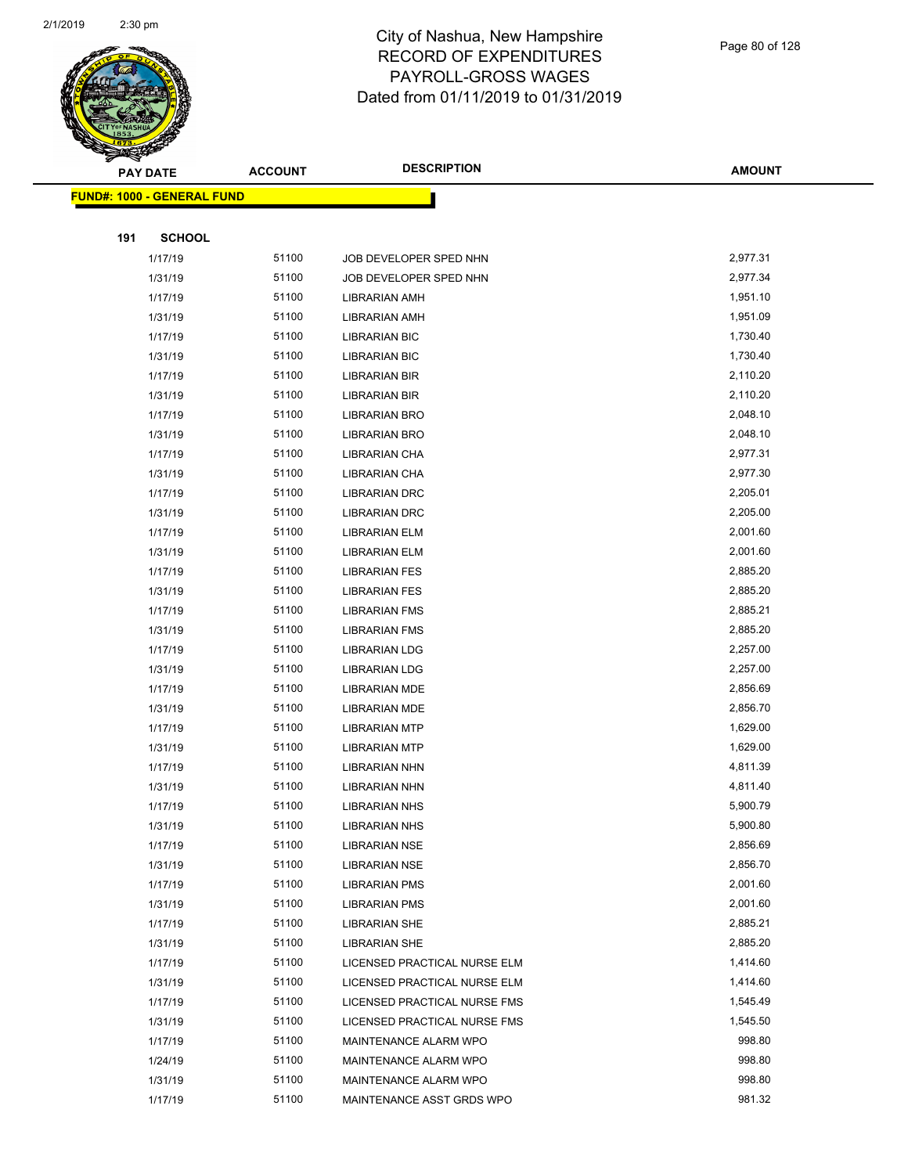

Page 80 of 128

|     | <b>PAY DATE</b>                    | <b>ACCOUNT</b> | <b>DESCRIPTION</b>           | <b>AMOUNT</b> |
|-----|------------------------------------|----------------|------------------------------|---------------|
|     | <u> FUND#: 1000 - GENERAL FUND</u> |                |                              |               |
|     |                                    |                |                              |               |
| 191 | <b>SCHOOL</b>                      |                |                              |               |
|     | 1/17/19                            | 51100          | JOB DEVELOPER SPED NHN       | 2,977.31      |
|     | 1/31/19                            | 51100          | JOB DEVELOPER SPED NHN       | 2,977.34      |
|     | 1/17/19                            | 51100          | LIBRARIAN AMH                | 1,951.10      |
|     | 1/31/19                            | 51100          | LIBRARIAN AMH                | 1,951.09      |
|     | 1/17/19                            | 51100          | <b>LIBRARIAN BIC</b>         | 1,730.40      |
|     | 1/31/19                            | 51100          | <b>LIBRARIAN BIC</b>         | 1,730.40      |
|     | 1/17/19                            | 51100          | <b>LIBRARIAN BIR</b>         | 2,110.20      |
|     | 1/31/19                            | 51100          | LIBRARIAN BIR                | 2,110.20      |
|     | 1/17/19                            | 51100          | LIBRARIAN BRO                | 2,048.10      |
|     | 1/31/19                            | 51100          | <b>LIBRARIAN BRO</b>         | 2,048.10      |
|     | 1/17/19                            | 51100          | LIBRARIAN CHA                | 2,977.31      |
|     | 1/31/19                            | 51100          | LIBRARIAN CHA                | 2,977.30      |
|     | 1/17/19                            | 51100          | LIBRARIAN DRC                | 2,205.01      |
|     | 1/31/19                            | 51100          | LIBRARIAN DRC                | 2,205.00      |
|     | 1/17/19                            | 51100          | <b>LIBRARIAN ELM</b>         | 2,001.60      |
|     | 1/31/19                            | 51100          | LIBRARIAN ELM                | 2,001.60      |
|     | 1/17/19                            | 51100          | <b>LIBRARIAN FES</b>         | 2,885.20      |
|     | 1/31/19                            | 51100          | <b>LIBRARIAN FES</b>         | 2,885.20      |
|     | 1/17/19                            | 51100          | <b>LIBRARIAN FMS</b>         | 2,885.21      |
|     | 1/31/19                            | 51100          | <b>LIBRARIAN FMS</b>         | 2,885.20      |
|     | 1/17/19                            | 51100          | <b>LIBRARIAN LDG</b>         | 2,257.00      |
|     | 1/31/19                            | 51100          | <b>LIBRARIAN LDG</b>         | 2,257.00      |
|     | 1/17/19                            | 51100          | LIBRARIAN MDE                | 2,856.69      |
|     | 1/31/19                            | 51100          | LIBRARIAN MDE                | 2,856.70      |
|     | 1/17/19                            | 51100          | <b>LIBRARIAN MTP</b>         | 1,629.00      |
|     | 1/31/19                            | 51100          | <b>LIBRARIAN MTP</b>         | 1,629.00      |
|     | 1/17/19                            | 51100          | LIBRARIAN NHN                | 4,811.39      |
|     | 1/31/19                            | 51100          | LIBRARIAN NHN                | 4,811.40      |
|     | 1/17/19                            | 51100          | <b>LIBRARIAN NHS</b>         | 5,900.79      |
|     | 1/31/19                            | 51100          | <b>LIBRARIAN NHS</b>         | 5,900.80      |
|     | 1/17/19                            | 51100          | <b>LIBRARIAN NSE</b>         | 2,856.69      |
|     | 1/31/19                            | 51100          | LIBRARIAN NSE                | 2,856.70      |
|     | 1/17/19                            | 51100          | <b>LIBRARIAN PMS</b>         | 2,001.60      |
|     | 1/31/19                            | 51100          | <b>LIBRARIAN PMS</b>         | 2,001.60      |
|     | 1/17/19                            | 51100          | <b>LIBRARIAN SHE</b>         | 2,885.21      |
|     | 1/31/19                            | 51100          | <b>LIBRARIAN SHE</b>         | 2,885.20      |
|     | 1/17/19                            | 51100          | LICENSED PRACTICAL NURSE ELM | 1,414.60      |
|     | 1/31/19                            | 51100          | LICENSED PRACTICAL NURSE ELM | 1,414.60      |
|     | 1/17/19                            | 51100          | LICENSED PRACTICAL NURSE FMS | 1,545.49      |
|     | 1/31/19                            | 51100          | LICENSED PRACTICAL NURSE FMS | 1,545.50      |
|     | 1/17/19                            | 51100          | MAINTENANCE ALARM WPO        | 998.80        |
|     | 1/24/19                            | 51100          | MAINTENANCE ALARM WPO        | 998.80        |
|     | 1/31/19                            | 51100          | MAINTENANCE ALARM WPO        | 998.80        |
|     | 1/17/19                            | 51100          | MAINTENANCE ASST GRDS WPO    | 981.32        |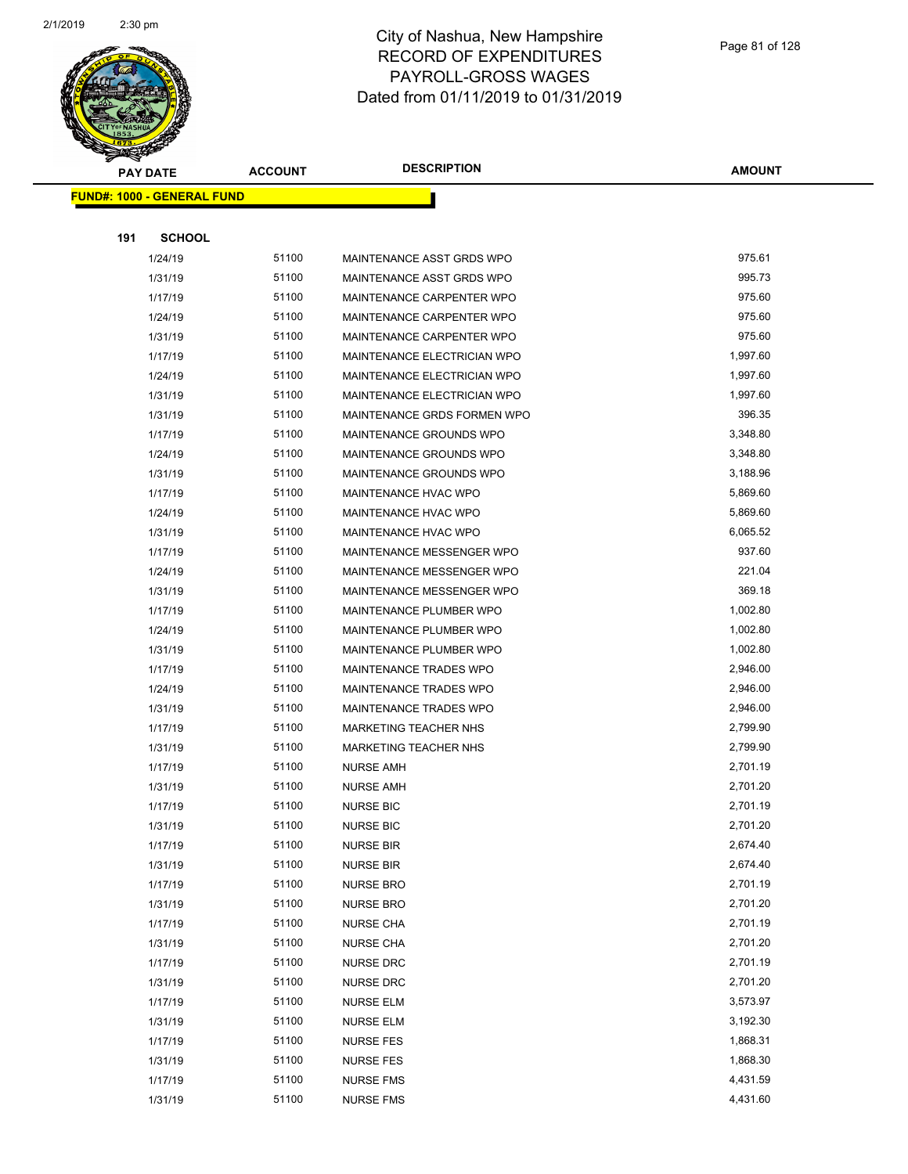

|     | <b>PAY DATE</b>                    | <b>ACCOUNT</b> | <b>DESCRIPTION</b>           | <b>AMOUNT</b> |
|-----|------------------------------------|----------------|------------------------------|---------------|
|     | <u> FUND#: 1000 - GENERAL FUND</u> |                |                              |               |
|     |                                    |                |                              |               |
| 191 | <b>SCHOOL</b>                      |                |                              |               |
|     | 1/24/19                            | 51100          | MAINTENANCE ASST GRDS WPO    | 975.61        |
|     | 1/31/19                            | 51100          | MAINTENANCE ASST GRDS WPO    | 995.73        |
|     | 1/17/19                            | 51100          | MAINTENANCE CARPENTER WPO    | 975.60        |
|     | 1/24/19                            | 51100          | MAINTENANCE CARPENTER WPO    | 975.60        |
|     | 1/31/19                            | 51100          | MAINTENANCE CARPENTER WPO    | 975.60        |
|     | 1/17/19                            | 51100          | MAINTENANCE ELECTRICIAN WPO  | 1,997.60      |
|     | 1/24/19                            | 51100          | MAINTENANCE ELECTRICIAN WPO  | 1,997.60      |
|     | 1/31/19                            | 51100          | MAINTENANCE ELECTRICIAN WPO  | 1,997.60      |
|     | 1/31/19                            | 51100          | MAINTENANCE GRDS FORMEN WPO  | 396.35        |
|     | 1/17/19                            | 51100          | MAINTENANCE GROUNDS WPO      | 3,348.80      |
|     | 1/24/19                            | 51100          | MAINTENANCE GROUNDS WPO      | 3,348.80      |
|     | 1/31/19                            | 51100          | MAINTENANCE GROUNDS WPO      | 3,188.96      |
|     | 1/17/19                            | 51100          | <b>MAINTENANCE HVAC WPO</b>  | 5,869.60      |
|     | 1/24/19                            | 51100          | <b>MAINTENANCE HVAC WPO</b>  | 5,869.60      |
|     | 1/31/19                            | 51100          | MAINTENANCE HVAC WPO         | 6,065.52      |
|     | 1/17/19                            | 51100          | MAINTENANCE MESSENGER WPO    | 937.60        |
|     | 1/24/19                            | 51100          | MAINTENANCE MESSENGER WPO    | 221.04        |
|     | 1/31/19                            | 51100          | MAINTENANCE MESSENGER WPO    | 369.18        |
|     | 1/17/19                            | 51100          | MAINTENANCE PLUMBER WPO      | 1,002.80      |
|     | 1/24/19                            | 51100          | MAINTENANCE PLUMBER WPO      | 1,002.80      |
|     | 1/31/19                            | 51100          | MAINTENANCE PLUMBER WPO      | 1,002.80      |
|     | 1/17/19                            | 51100          | MAINTENANCE TRADES WPO       | 2,946.00      |
|     | 1/24/19                            | 51100          | MAINTENANCE TRADES WPO       | 2,946.00      |
|     | 1/31/19                            | 51100          | MAINTENANCE TRADES WPO       | 2,946.00      |
|     | 1/17/19                            | 51100          | <b>MARKETING TEACHER NHS</b> | 2,799.90      |
|     | 1/31/19                            | 51100          | MARKETING TEACHER NHS        | 2,799.90      |
|     | 1/17/19                            | 51100          | <b>NURSE AMH</b>             | 2,701.19      |
|     | 1/31/19                            | 51100          | <b>NURSE AMH</b>             | 2,701.20      |
|     | 1/17/19                            | 51100          | <b>NURSE BIC</b>             | 2,701.19      |
|     | 1/31/19                            | 51100          | <b>NURSE BIC</b>             | 2,701.20      |
|     | 1/17/19                            | 51100          | <b>NURSE BIR</b>             | 2,674.40      |
|     | 1/31/19                            | 51100          | <b>NURSE BIR</b>             | 2,674.40      |
|     | 1/17/19                            | 51100          | <b>NURSE BRO</b>             | 2,701.19      |
|     | 1/31/19                            | 51100          | <b>NURSE BRO</b>             | 2,701.20      |
|     | 1/17/19                            | 51100          | <b>NURSE CHA</b>             | 2,701.19      |
|     | 1/31/19                            | 51100          | <b>NURSE CHA</b>             | 2,701.20      |
|     | 1/17/19                            | 51100          | <b>NURSE DRC</b>             | 2,701.19      |
|     | 1/31/19                            | 51100          | <b>NURSE DRC</b>             | 2,701.20      |
|     | 1/17/19                            | 51100          | <b>NURSE ELM</b>             | 3,573.97      |
|     | 1/31/19                            | 51100          | <b>NURSE ELM</b>             | 3,192.30      |
|     | 1/17/19                            | 51100          | <b>NURSE FES</b>             | 1,868.31      |
|     | 1/31/19                            | 51100          | <b>NURSE FES</b>             | 1,868.30      |
|     | 1/17/19                            | 51100          | <b>NURSE FMS</b>             | 4,431.59      |
|     | 1/31/19                            | 51100          | <b>NURSE FMS</b>             | 4,431.60      |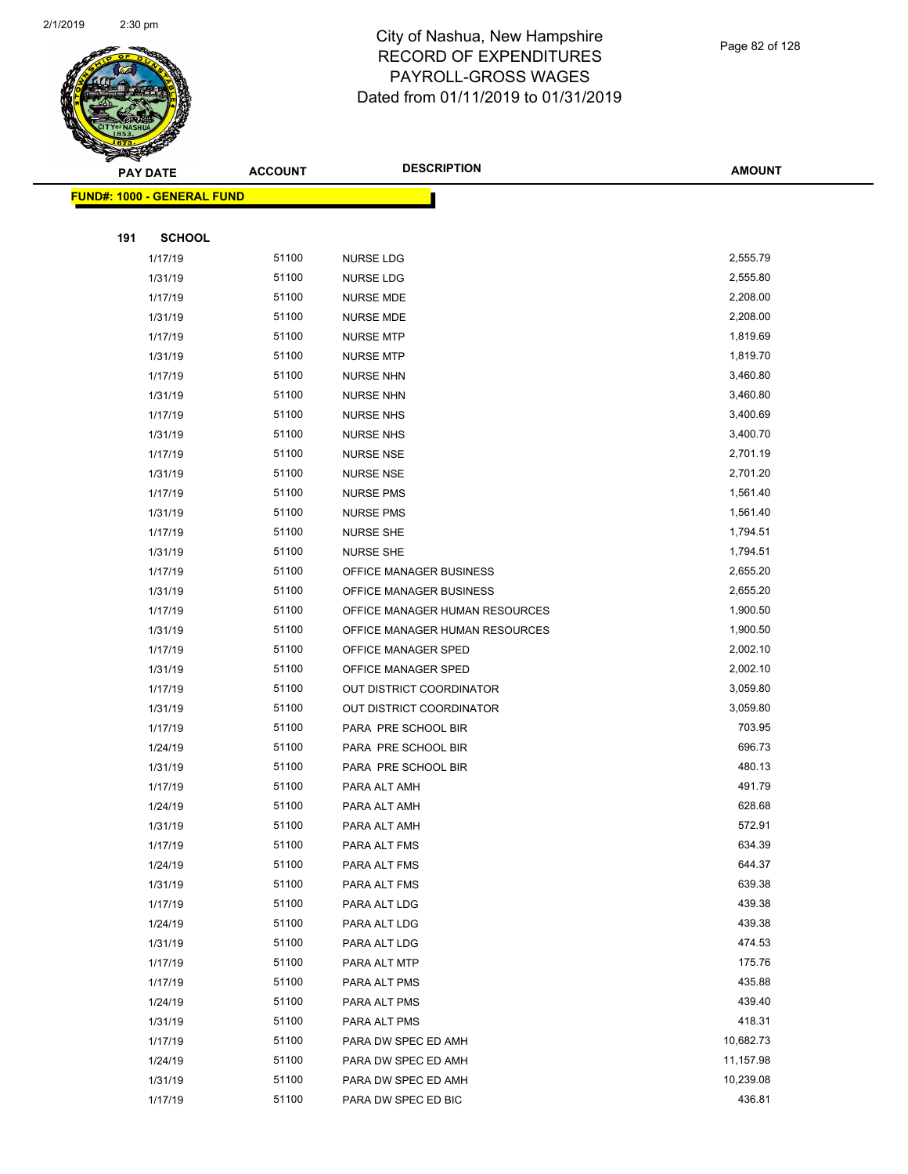

**AMOUNT**

|     | <b>FUND#: 1000 - GENERAL FUND</b> |                |                                     |                  |
|-----|-----------------------------------|----------------|-------------------------------------|------------------|
|     |                                   |                |                                     |                  |
| 191 | <b>SCHOOL</b>                     |                |                                     |                  |
|     | 1/17/19                           | 51100          | NURSE LDG                           | 2,555.79         |
|     | 1/31/19                           | 51100          | <b>NURSE LDG</b>                    | 2,555.80         |
|     | 1/17/19                           | 51100          | <b>NURSE MDE</b>                    | 2,208.00         |
|     | 1/31/19                           | 51100          | <b>NURSE MDE</b>                    | 2,208.00         |
|     | 1/17/19                           | 51100          | <b>NURSE MTP</b>                    | 1,819.69         |
|     | 1/31/19                           | 51100          | <b>NURSE MTP</b>                    | 1,819.70         |
|     | 1/17/19                           | 51100          | <b>NURSE NHN</b>                    | 3,460.80         |
|     | 1/31/19                           | 51100          | <b>NURSE NHN</b>                    | 3,460.80         |
|     | 1/17/19                           | 51100          | <b>NURSE NHS</b>                    | 3,400.69         |
|     | 1/31/19                           | 51100          | <b>NURSE NHS</b>                    | 3,400.70         |
|     | 1/17/19                           | 51100          | NURSE NSE                           | 2,701.19         |
|     | 1/31/19                           | 51100          | <b>NURSE NSE</b>                    | 2,701.20         |
|     | 1/17/19                           | 51100          | <b>NURSE PMS</b>                    | 1,561.40         |
|     | 1/31/19                           | 51100          | <b>NURSE PMS</b>                    | 1,561.40         |
|     | 1/17/19                           | 51100          | <b>NURSE SHE</b>                    | 1,794.51         |
|     | 1/31/19                           | 51100          | <b>NURSE SHE</b>                    | 1,794.51         |
|     | 1/17/19                           | 51100          | OFFICE MANAGER BUSINESS             | 2,655.20         |
|     | 1/31/19                           | 51100          | OFFICE MANAGER BUSINESS             | 2,655.20         |
|     | 1/17/19                           | 51100          | OFFICE MANAGER HUMAN RESOURCES      | 1,900.50         |
|     | 1/31/19                           | 51100          | OFFICE MANAGER HUMAN RESOURCES      | 1,900.50         |
|     | 1/17/19                           | 51100          | OFFICE MANAGER SPED                 | 2,002.10         |
|     | 1/31/19                           | 51100          | OFFICE MANAGER SPED                 | 2,002.10         |
|     | 1/17/19                           | 51100          | OUT DISTRICT COORDINATOR            | 3,059.80         |
|     | 1/31/19                           | 51100          | OUT DISTRICT COORDINATOR            | 3,059.80         |
|     | 1/17/19                           | 51100          | PARA PRE SCHOOL BIR                 | 703.95           |
|     | 1/24/19                           | 51100          | PARA PRE SCHOOL BIR                 | 696.73           |
|     | 1/31/19                           | 51100          | PARA PRE SCHOOL BIR                 | 480.13           |
|     | 1/17/19                           | 51100          | PARA ALT AMH                        | 491.79           |
|     | 1/24/19                           | 51100          | PARA ALT AMH                        | 628.68           |
|     | 1/31/19                           | 51100          | PARA ALT AMH                        | 572.91           |
|     | 1/17/19                           | 51100          | PARA ALT FMS                        | 634.39           |
|     | 1/24/19                           | 51100          | PARA ALT FMS                        | 644.37           |
|     | 1/31/19                           | 51100          | PARA ALT FMS                        | 639.38           |
|     | 1/17/19                           | 51100<br>51100 | PARA ALT LDG                        | 439.38<br>439.38 |
|     | 1/24/19                           | 51100          | PARA ALT LDG                        | 474.53           |
|     | 1/31/19<br>1/17/19                | 51100          | PARA ALT LDG<br>PARA ALT MTP        | 175.76           |
|     | 1/17/19                           | 51100          |                                     | 435.88           |
|     | 1/24/19                           | 51100          | PARA ALT PMS<br>PARA ALT PMS        | 439.40           |
|     | 1/31/19                           | 51100          |                                     | 418.31           |
|     | 1/17/19                           | 51100          | PARA ALT PMS<br>PARA DW SPEC ED AMH | 10,682.73        |
|     | 1/24/19                           | 51100          | PARA DW SPEC ED AMH                 | 11,157.98        |
|     | 1/31/19                           | 51100          | PARA DW SPEC ED AMH                 | 10,239.08        |
|     | 1/17/19                           | 51100          | PARA DW SPEC ED BIC                 | 436.81           |
|     |                                   |                |                                     |                  |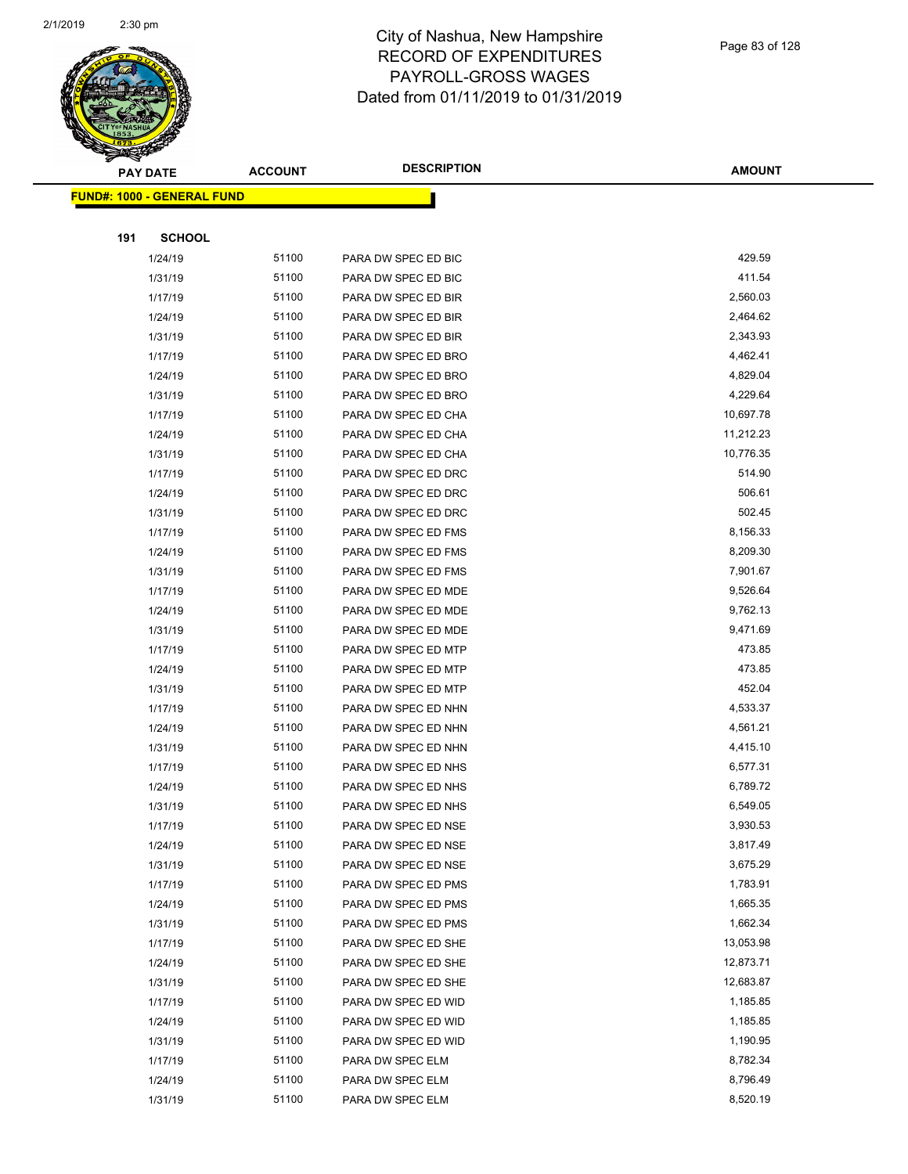

| <b>PAY DATE</b>                    | <b>ACCOUNT</b> | <b>DESCRIPTION</b>  | <b>AMOUNT</b> |
|------------------------------------|----------------|---------------------|---------------|
| <u> FUND#: 1000 - GENERAL FUND</u> |                |                     |               |
|                                    |                |                     |               |
| 191<br><b>SCHOOL</b>               |                |                     |               |
| 1/24/19                            | 51100          | PARA DW SPEC ED BIC | 429.59        |
| 1/31/19                            | 51100          | PARA DW SPEC ED BIC | 411.54        |
| 1/17/19                            | 51100          | PARA DW SPEC ED BIR | 2,560.03      |
| 1/24/19                            | 51100          | PARA DW SPEC ED BIR | 2,464.62      |
| 1/31/19                            | 51100          | PARA DW SPEC ED BIR | 2,343.93      |
| 1/17/19                            | 51100          | PARA DW SPEC ED BRO | 4,462.41      |
| 1/24/19                            | 51100          | PARA DW SPEC ED BRO | 4,829.04      |
| 1/31/19                            | 51100          | PARA DW SPEC ED BRO | 4,229.64      |
| 1/17/19                            | 51100          | PARA DW SPEC ED CHA | 10,697.78     |
| 1/24/19                            | 51100          | PARA DW SPEC ED CHA | 11,212.23     |
| 1/31/19                            | 51100          | PARA DW SPEC ED CHA | 10,776.35     |
| 1/17/19                            | 51100          | PARA DW SPEC ED DRC | 514.90        |
| 1/24/19                            | 51100          | PARA DW SPEC ED DRC | 506.61        |
| 1/31/19                            | 51100          | PARA DW SPEC ED DRC | 502.45        |
| 1/17/19                            | 51100          | PARA DW SPEC ED FMS | 8,156.33      |
| 1/24/19                            | 51100          | PARA DW SPEC ED FMS | 8,209.30      |
| 1/31/19                            | 51100          | PARA DW SPEC ED FMS | 7,901.67      |
| 1/17/19                            | 51100          | PARA DW SPEC ED MDE | 9,526.64      |
| 1/24/19                            | 51100          | PARA DW SPEC ED MDE | 9,762.13      |
| 1/31/19                            | 51100          | PARA DW SPEC ED MDE | 9,471.69      |
| 1/17/19                            | 51100          | PARA DW SPEC ED MTP | 473.85        |
| 1/24/19                            | 51100          | PARA DW SPEC ED MTP | 473.85        |
| 1/31/19                            | 51100          | PARA DW SPEC ED MTP | 452.04        |
| 1/17/19                            | 51100          | PARA DW SPEC ED NHN | 4,533.37      |
| 1/24/19                            | 51100          | PARA DW SPEC ED NHN | 4,561.21      |
| 1/31/19                            | 51100          | PARA DW SPEC ED NHN | 4,415.10      |
| 1/17/19                            | 51100          | PARA DW SPEC ED NHS | 6,577.31      |
| 1/24/19                            | 51100          | PARA DW SPEC ED NHS | 6,789.72      |
| 1/31/19                            | 51100          | PARA DW SPEC ED NHS | 6,549.05      |
| 1/17/19                            | 51100          | PARA DW SPEC ED NSE | 3,930.53      |
| 1/24/19                            | 51100          | PARA DW SPEC ED NSE | 3,817.49      |
| 1/31/19                            | 51100          | PARA DW SPEC ED NSE | 3,675.29      |
| 1/17/19                            | 51100          | PARA DW SPEC ED PMS | 1,783.91      |
| 1/24/19                            | 51100          | PARA DW SPEC ED PMS | 1,665.35      |
| 1/31/19                            | 51100          | PARA DW SPEC ED PMS | 1,662.34      |
| 1/17/19                            | 51100          | PARA DW SPEC ED SHE | 13,053.98     |
| 1/24/19                            | 51100          | PARA DW SPEC ED SHE | 12,873.71     |
| 1/31/19                            | 51100          | PARA DW SPEC ED SHE | 12,683.87     |
| 1/17/19                            | 51100          | PARA DW SPEC ED WID | 1,185.85      |
| 1/24/19                            | 51100          | PARA DW SPEC ED WID | 1,185.85      |
| 1/31/19                            | 51100          | PARA DW SPEC ED WID | 1,190.95      |
| 1/17/19                            | 51100          | PARA DW SPEC ELM    | 8,782.34      |
| 1/24/19                            | 51100          | PARA DW SPEC ELM    | 8,796.49      |
| 1/31/19                            | 51100          | PARA DW SPEC ELM    | 8,520.19      |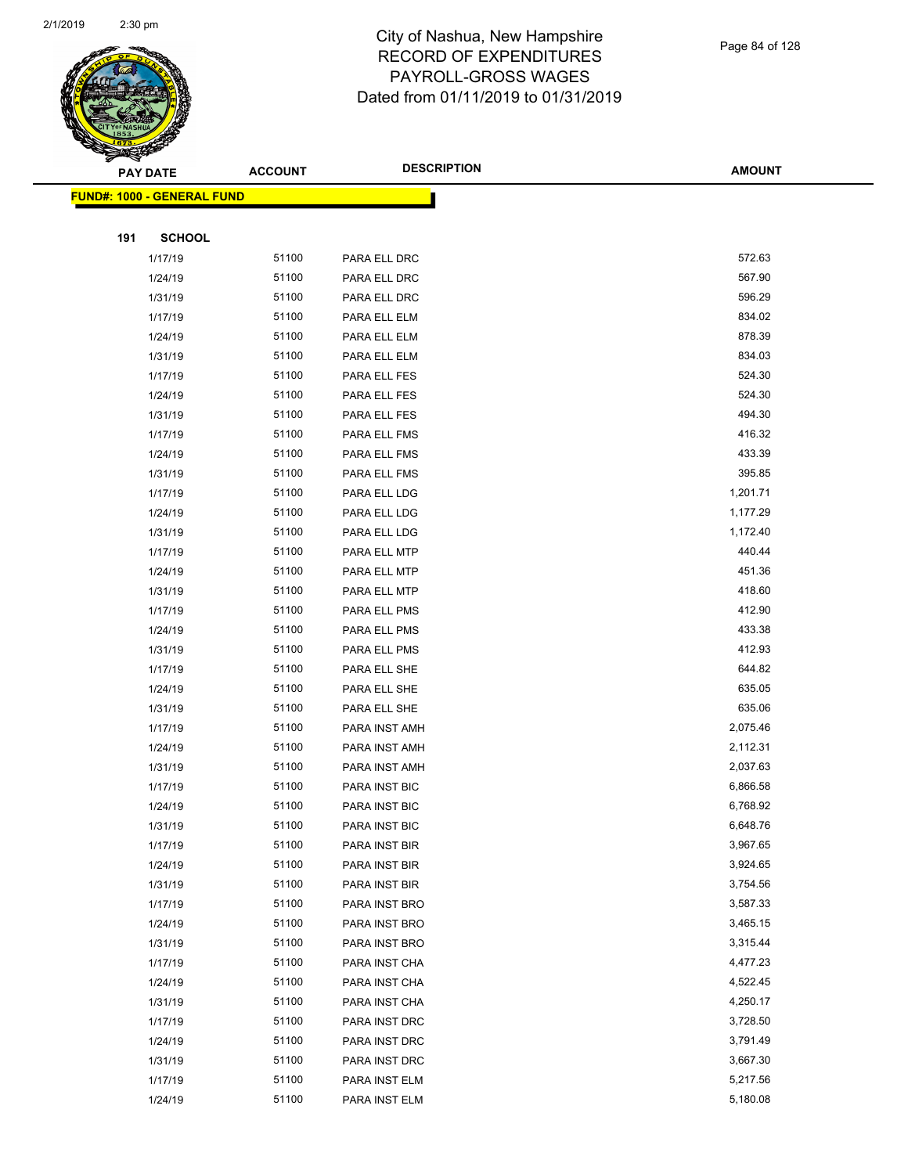

|     | <b>PAY DATE</b>                    | <b>ACCOUNT</b> | <b>DESCRIPTION</b> | <b>AMOUNT</b> |
|-----|------------------------------------|----------------|--------------------|---------------|
|     | <u> FUND#: 1000 - GENERAL FUND</u> |                |                    |               |
|     |                                    |                |                    |               |
| 191 | <b>SCHOOL</b>                      |                |                    |               |
|     | 1/17/19                            | 51100          | PARA ELL DRC       | 572.63        |
|     | 1/24/19                            | 51100          | PARA ELL DRC       | 567.90        |
|     | 1/31/19                            | 51100          | PARA ELL DRC       | 596.29        |
|     | 1/17/19                            | 51100          | PARA ELL ELM       | 834.02        |
|     | 1/24/19                            | 51100          | PARA ELL ELM       | 878.39        |
|     | 1/31/19                            | 51100          | PARA ELL ELM       | 834.03        |
|     | 1/17/19                            | 51100          | PARA ELL FES       | 524.30        |
|     | 1/24/19                            | 51100          | PARA ELL FES       | 524.30        |
|     | 1/31/19                            | 51100          | PARA ELL FES       | 494.30        |
|     | 1/17/19                            | 51100          | PARA ELL FMS       | 416.32        |
|     | 1/24/19                            | 51100          | PARA ELL FMS       | 433.39        |
|     | 1/31/19                            | 51100          | PARA ELL FMS       | 395.85        |
|     | 1/17/19                            | 51100          | PARA ELL LDG       | 1,201.71      |
|     | 1/24/19                            | 51100          | PARA ELL LDG       | 1,177.29      |
|     | 1/31/19                            | 51100          | PARA ELL LDG       | 1,172.40      |
|     | 1/17/19                            | 51100          | PARA ELL MTP       | 440.44        |
|     | 1/24/19                            | 51100          | PARA ELL MTP       | 451.36        |
|     | 1/31/19                            | 51100          | PARA ELL MTP       | 418.60        |
|     | 1/17/19                            | 51100          | PARA ELL PMS       | 412.90        |
|     | 1/24/19                            | 51100          | PARA ELL PMS       | 433.38        |
|     | 1/31/19                            | 51100          | PARA ELL PMS       | 412.93        |
|     | 1/17/19                            | 51100          | PARA ELL SHE       | 644.82        |
|     | 1/24/19                            | 51100          | PARA ELL SHE       | 635.05        |
|     | 1/31/19                            | 51100          | PARA ELL SHE       | 635.06        |
|     | 1/17/19                            | 51100          | PARA INST AMH      | 2,075.46      |
|     | 1/24/19                            | 51100          | PARA INST AMH      | 2,112.31      |
|     | 1/31/19                            | 51100          | PARA INST AMH      | 2,037.63      |
|     | 1/17/19                            | 51100          | PARA INST BIC      | 6,866.58      |
|     | 1/24/19                            | 51100          | PARA INST BIC      | 6,768.92      |
|     | 1/31/19                            | 51100          | PARA INST BIC      | 6,648.76      |
|     | 1/17/19                            | 51100          | PARA INST BIR      | 3,967.65      |
|     | 1/24/19                            | 51100          | PARA INST BIR      | 3,924.65      |
|     | 1/31/19                            | 51100          | PARA INST BIR      | 3,754.56      |
|     | 1/17/19                            | 51100          | PARA INST BRO      | 3,587.33      |
|     | 1/24/19                            | 51100          | PARA INST BRO      | 3,465.15      |
|     | 1/31/19                            | 51100          | PARA INST BRO      | 3,315.44      |
|     | 1/17/19                            | 51100          | PARA INST CHA      | 4,477.23      |
|     | 1/24/19                            | 51100          | PARA INST CHA      | 4,522.45      |
|     | 1/31/19                            | 51100          | PARA INST CHA      | 4,250.17      |
|     | 1/17/19                            | 51100          | PARA INST DRC      | 3,728.50      |
|     | 1/24/19                            | 51100          | PARA INST DRC      | 3,791.49      |
|     | 1/31/19                            | 51100          | PARA INST DRC      | 3,667.30      |
|     | 1/17/19                            | 51100          | PARA INST ELM      | 5,217.56      |
|     | 1/24/19                            | 51100          | PARA INST ELM      | 5,180.08      |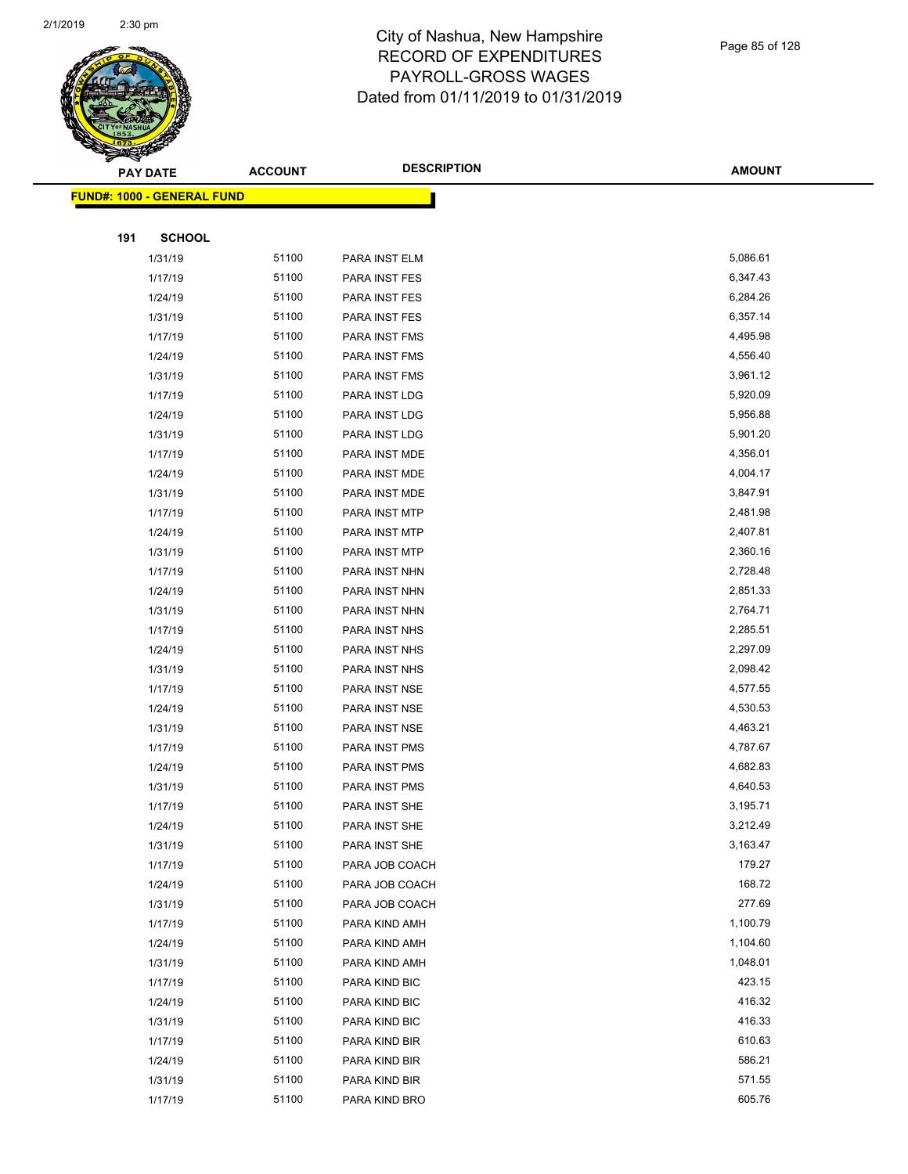

| ॼ   | <b>PAY DATE</b>                   | <b>ACCOUNT</b> | <b>DESCRIPTION</b> | <b>AMOUNT</b> |
|-----|-----------------------------------|----------------|--------------------|---------------|
|     | <b>FUND#: 1000 - GENERAL FUND</b> |                |                    |               |
|     |                                   |                |                    |               |
| 191 | <b>SCHOOL</b>                     |                |                    |               |
|     | 1/31/19                           | 51100          | PARA INST ELM      | 5,086.61      |
|     | 1/17/19                           | 51100          | PARA INST FES      | 6,347.43      |
|     | 1/24/19                           | 51100          | PARA INST FES      | 6,284.26      |
|     | 1/31/19                           | 51100          | PARA INST FES      | 6,357.14      |
|     | 1/17/19                           | 51100          | PARA INST FMS      | 4,495.98      |
|     | 1/24/19                           | 51100          | PARA INST FMS      | 4,556.40      |
|     | 1/31/19                           | 51100          | PARA INST FMS      | 3,961.12      |
|     | 1/17/19                           | 51100          | PARA INST LDG      | 5,920.09      |
|     | 1/24/19                           | 51100          | PARA INST LDG      | 5,956.88      |
|     | 1/31/19                           | 51100          | PARA INST LDG      | 5,901.20      |
|     | 1/17/19                           | 51100          | PARA INST MDE      | 4,356.01      |
|     | 1/24/19                           | 51100          | PARA INST MDE      | 4,004.17      |
|     | 1/31/19                           | 51100          | PARA INST MDE      | 3,847.91      |
|     | 1/17/19                           | 51100          | PARA INST MTP      | 2,481.98      |
|     | 1/24/19                           | 51100          | PARA INST MTP      | 2,407.81      |
|     | 1/31/19                           | 51100          | PARA INST MTP      | 2,360.16      |
|     | 1/17/19                           | 51100          | PARA INST NHN      | 2,728.48      |
|     | 1/24/19                           | 51100          | PARA INST NHN      | 2,851.33      |
|     | 1/31/19                           | 51100          | PARA INST NHN      | 2,764.71      |
|     | 1/17/19                           | 51100          | PARA INST NHS      | 2,285.51      |
|     | 1/24/19                           | 51100          | PARA INST NHS      | 2,297.09      |
|     | 1/31/19                           | 51100          | PARA INST NHS      | 2,098.42      |
|     | 1/17/19                           | 51100          | PARA INST NSE      | 4,577.55      |
|     | 1/24/19                           | 51100          | PARA INST NSE      | 4,530.53      |
|     | 1/31/19                           | 51100          | PARA INST NSE      | 4,463.21      |
|     | 1/17/19                           | 51100          | PARA INST PMS      | 4,787.67      |
|     | 1/24/19                           | 51100          | PARA INST PMS      | 4,682.83      |
|     | 1/31/19                           | 51100          | PARA INST PMS      | 4,640.53      |
|     | 1/17/19                           | 51100          | PARA INST SHE      | 3,195.71      |
|     | 1/24/19                           | 51100          | PARA INST SHE      | 3,212.49      |
|     | 1/31/19                           | 51100          | PARA INST SHE      | 3,163.47      |
|     | 1/17/19                           | 51100          | PARA JOB COACH     | 179.27        |
|     | 1/24/19                           | 51100          | PARA JOB COACH     | 168.72        |
|     | 1/31/19                           | 51100          | PARA JOB COACH     | 277.69        |
|     | 1/17/19                           | 51100          | PARA KIND AMH      | 1,100.79      |
|     | 1/24/19                           | 51100          | PARA KIND AMH      | 1,104.60      |
|     | 1/31/19                           | 51100          | PARA KIND AMH      | 1,048.01      |
|     | 1/17/19                           | 51100          | PARA KIND BIC      | 423.15        |
|     | 1/24/19                           | 51100          | PARA KIND BIC      | 416.32        |
|     | 1/31/19                           | 51100          | PARA KIND BIC      | 416.33        |
|     | 1/17/19                           | 51100          | PARA KIND BIR      | 610.63        |
|     | 1/24/19                           | 51100          | PARA KIND BIR      | 586.21        |
|     | 1/31/19                           | 51100          | PARA KIND BIR      | 571.55        |
|     | 1/17/19                           | 51100          | PARA KIND BRO      | 605.76        |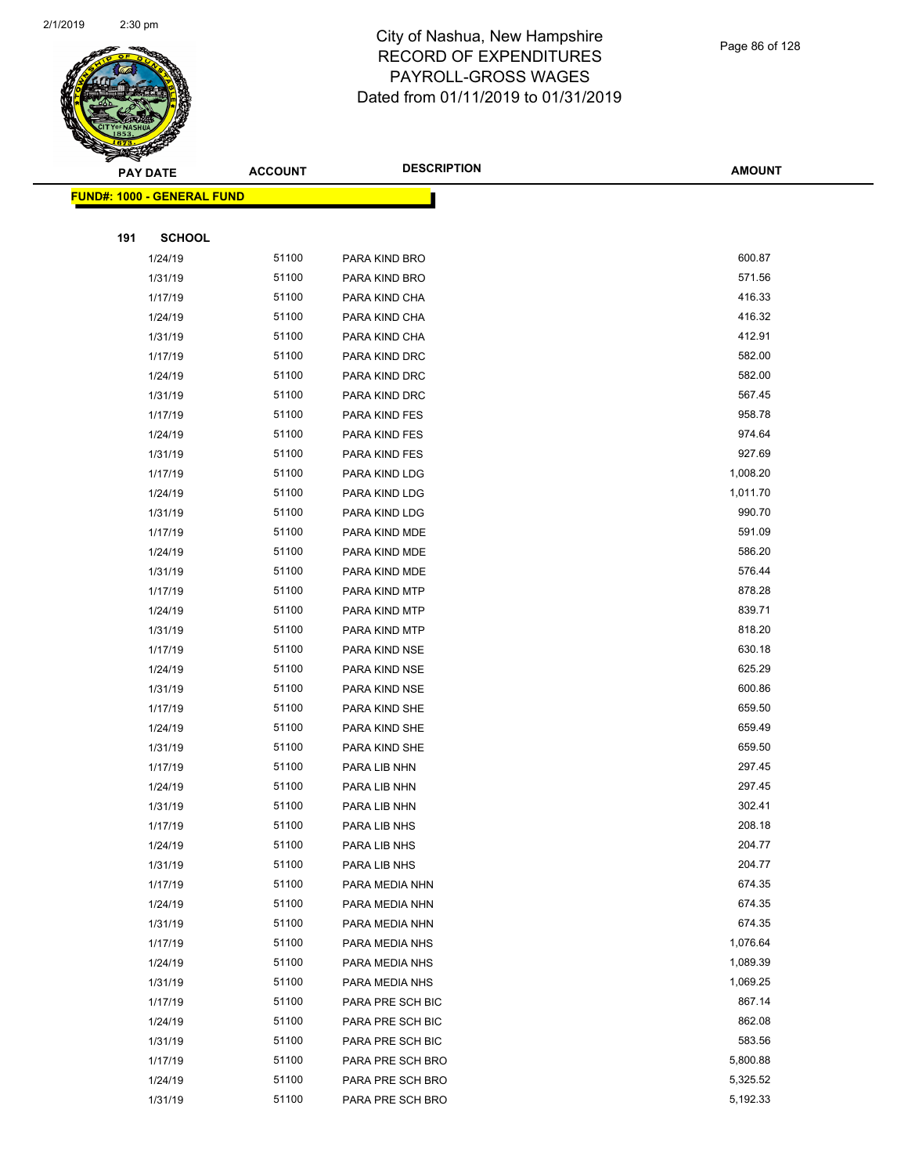

|     | ॼ<br><b>PAY DATE</b>               | <b>ACCOUNT</b> | <b>DESCRIPTION</b> | <b>AMOUNT</b> |
|-----|------------------------------------|----------------|--------------------|---------------|
|     | <u> FUND#: 1000 - GENERAL FUND</u> |                |                    |               |
|     |                                    |                |                    |               |
| 191 | <b>SCHOOL</b>                      |                |                    |               |
|     | 1/24/19                            | 51100          | PARA KIND BRO      | 600.87        |
|     | 1/31/19                            | 51100          | PARA KIND BRO      | 571.56        |
|     | 1/17/19                            | 51100          | PARA KIND CHA      | 416.33        |
|     | 1/24/19                            | 51100          | PARA KIND CHA      | 416.32        |
|     | 1/31/19                            | 51100          | PARA KIND CHA      | 412.91        |
|     | 1/17/19                            | 51100          | PARA KIND DRC      | 582.00        |
|     | 1/24/19                            | 51100          | PARA KIND DRC      | 582.00        |
|     | 1/31/19                            | 51100          | PARA KIND DRC      | 567.45        |
|     | 1/17/19                            | 51100          | PARA KIND FES      | 958.78        |
|     | 1/24/19                            | 51100          | PARA KIND FES      | 974.64        |
|     | 1/31/19                            | 51100          | PARA KIND FES      | 927.69        |
|     | 1/17/19                            | 51100          | PARA KIND LDG      | 1,008.20      |
|     | 1/24/19                            | 51100          | PARA KIND LDG      | 1,011.70      |
|     | 1/31/19                            | 51100          | PARA KIND LDG      | 990.70        |
|     | 1/17/19                            | 51100          | PARA KIND MDE      | 591.09        |
|     | 1/24/19                            | 51100          | PARA KIND MDE      | 586.20        |
|     | 1/31/19                            | 51100          | PARA KIND MDE      | 576.44        |
|     | 1/17/19                            | 51100          | PARA KIND MTP      | 878.28        |
|     | 1/24/19                            | 51100          | PARA KIND MTP      | 839.71        |
|     | 1/31/19                            | 51100          | PARA KIND MTP      | 818.20        |
|     | 1/17/19                            | 51100          | PARA KIND NSE      | 630.18        |
|     | 1/24/19                            | 51100          | PARA KIND NSE      | 625.29        |
|     | 1/31/19                            | 51100          | PARA KIND NSE      | 600.86        |
|     | 1/17/19                            | 51100          | PARA KIND SHE      | 659.50        |
|     | 1/24/19                            | 51100          | PARA KIND SHE      | 659.49        |
|     | 1/31/19                            | 51100          | PARA KIND SHE      | 659.50        |
|     | 1/17/19                            | 51100          | PARA LIB NHN       | 297.45        |
|     | 1/24/19                            | 51100          | PARA LIB NHN       | 297.45        |
|     | 1/31/19                            | 51100          | PARA LIB NHN       | 302.41        |
|     | 1/17/19                            | 51100          | PARA LIB NHS       | 208.18        |
|     | 1/24/19                            | 51100          | PARA LIB NHS       | 204.77        |
|     | 1/31/19                            | 51100          | PARA LIB NHS       | 204.77        |
|     | 1/17/19                            | 51100          | PARA MEDIA NHN     | 674.35        |
|     | 1/24/19                            | 51100          | PARA MEDIA NHN     | 674.35        |
|     | 1/31/19                            | 51100          | PARA MEDIA NHN     | 674.35        |
|     | 1/17/19                            | 51100          | PARA MEDIA NHS     | 1,076.64      |
|     | 1/24/19                            | 51100          | PARA MEDIA NHS     | 1,089.39      |
|     | 1/31/19                            | 51100          | PARA MEDIA NHS     | 1,069.25      |
|     | 1/17/19                            | 51100          | PARA PRE SCH BIC   | 867.14        |
|     | 1/24/19                            | 51100          | PARA PRE SCH BIC   | 862.08        |
|     | 1/31/19                            | 51100          | PARA PRE SCH BIC   | 583.56        |
|     | 1/17/19                            | 51100          | PARA PRE SCH BRO   | 5,800.88      |
|     | 1/24/19                            | 51100          | PARA PRE SCH BRO   | 5,325.52      |
|     | 1/31/19                            | 51100          | PARA PRE SCH BRO   | 5,192.33      |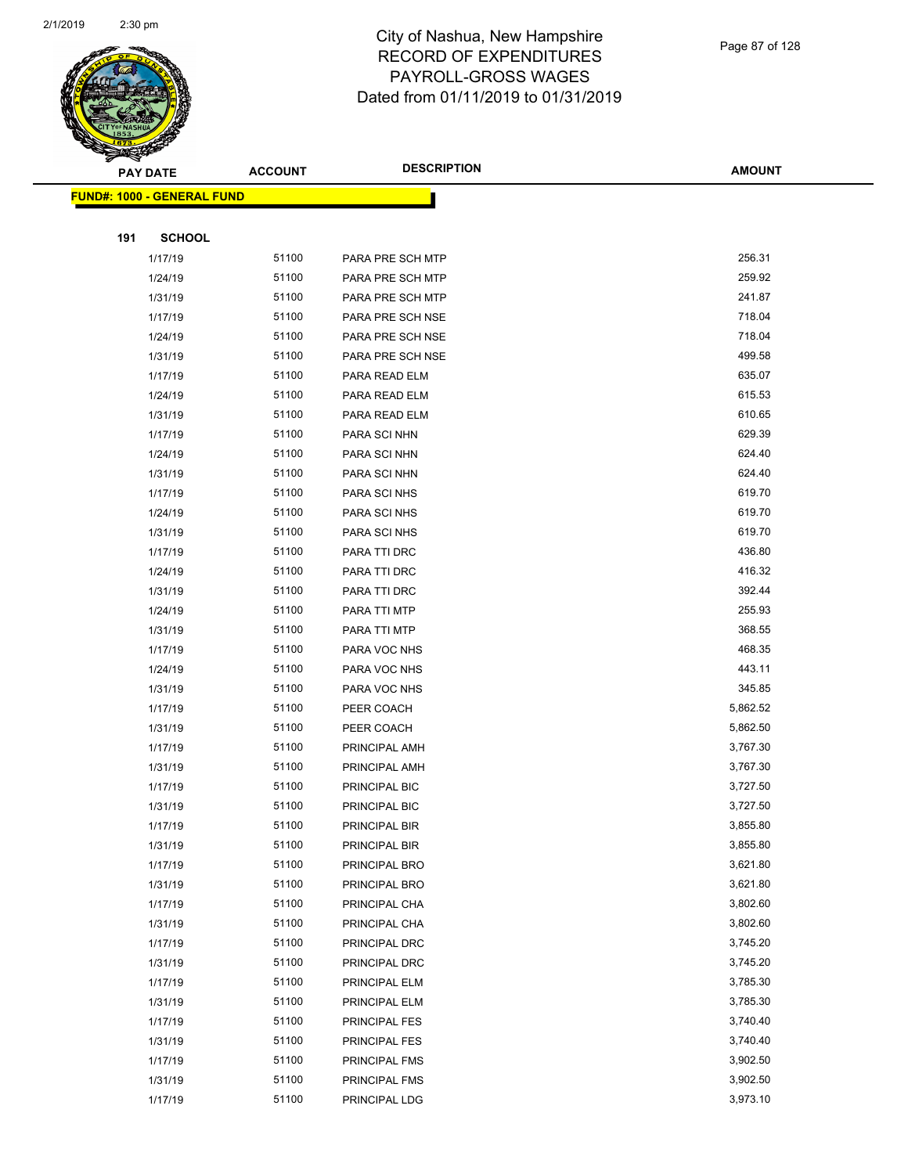

|     | <b>PAY DATE</b>                    | <b>ACCOUNT</b> | <b>DESCRIPTION</b> | <b>AMOUNT</b> |
|-----|------------------------------------|----------------|--------------------|---------------|
|     | <u> FUND#: 1000 - GENERAL FUND</u> |                |                    |               |
|     |                                    |                |                    |               |
| 191 | <b>SCHOOL</b>                      |                |                    |               |
|     | 1/17/19                            | 51100          | PARA PRE SCH MTP   | 256.31        |
|     | 1/24/19                            | 51100          | PARA PRE SCH MTP   | 259.92        |
|     | 1/31/19                            | 51100          | PARA PRE SCH MTP   | 241.87        |
|     | 1/17/19                            | 51100          | PARA PRE SCH NSE   | 718.04        |
|     | 1/24/19                            | 51100          | PARA PRE SCH NSE   | 718.04        |
|     | 1/31/19                            | 51100          | PARA PRE SCH NSE   | 499.58        |
|     | 1/17/19                            | 51100          | PARA READ ELM      | 635.07        |
|     | 1/24/19                            | 51100          | PARA READ ELM      | 615.53        |
|     | 1/31/19                            | 51100          | PARA READ ELM      | 610.65        |
|     | 1/17/19                            | 51100          | PARA SCI NHN       | 629.39        |
|     | 1/24/19                            | 51100          | PARA SCI NHN       | 624.40        |
|     | 1/31/19                            | 51100          | PARA SCI NHN       | 624.40        |
|     | 1/17/19                            | 51100          | PARA SCI NHS       | 619.70        |
|     | 1/24/19                            | 51100          | PARA SCI NHS       | 619.70        |
|     | 1/31/19                            | 51100          | PARA SCI NHS       | 619.70        |
|     | 1/17/19                            | 51100          | PARA TTI DRC       | 436.80        |
|     | 1/24/19                            | 51100          | PARA TTI DRC       | 416.32        |
|     | 1/31/19                            | 51100          | PARA TTI DRC       | 392.44        |
|     | 1/24/19                            | 51100          | PARA TTI MTP       | 255.93        |
|     | 1/31/19                            | 51100          | PARA TTI MTP       | 368.55        |
|     | 1/17/19                            | 51100          | PARA VOC NHS       | 468.35        |
|     | 1/24/19                            | 51100          | PARA VOC NHS       | 443.11        |
|     | 1/31/19                            | 51100          | PARA VOC NHS       | 345.85        |
|     | 1/17/19                            | 51100          | PEER COACH         | 5,862.52      |
|     | 1/31/19                            | 51100          | PEER COACH         | 5,862.50      |
|     | 1/17/19                            | 51100          | PRINCIPAL AMH      | 3,767.30      |
|     | 1/31/19                            | 51100          | PRINCIPAL AMH      | 3,767.30      |
|     | 1/17/19                            | 51100          | PRINCIPAL BIC      | 3,727.50      |
|     | 1/31/19                            | 51100          | PRINCIPAL BIC      | 3,727.50      |
|     | 1/17/19                            | 51100          | PRINCIPAL BIR      | 3,855.80      |
|     | 1/31/19                            | 51100          | PRINCIPAL BIR      | 3,855.80      |
|     | 1/17/19                            | 51100          | PRINCIPAL BRO      | 3,621.80      |
|     | 1/31/19                            | 51100          | PRINCIPAL BRO      | 3,621.80      |
|     | 1/17/19                            | 51100          | PRINCIPAL CHA      | 3,802.60      |
|     | 1/31/19                            | 51100          | PRINCIPAL CHA      | 3,802.60      |
|     | 1/17/19                            | 51100          | PRINCIPAL DRC      | 3,745.20      |
|     | 1/31/19                            | 51100          | PRINCIPAL DRC      | 3,745.20      |
|     | 1/17/19                            | 51100          | PRINCIPAL ELM      | 3,785.30      |
|     | 1/31/19                            | 51100          | PRINCIPAL ELM      | 3,785.30      |
|     | 1/17/19                            | 51100          | PRINCIPAL FES      | 3,740.40      |
|     | 1/31/19                            | 51100          | PRINCIPAL FES      | 3,740.40      |
|     | 1/17/19                            | 51100          | PRINCIPAL FMS      | 3,902.50      |
|     | 1/31/19                            | 51100          | PRINCIPAL FMS      | 3,902.50      |
|     | 1/17/19                            | 51100          | PRINCIPAL LDG      | 3,973.10      |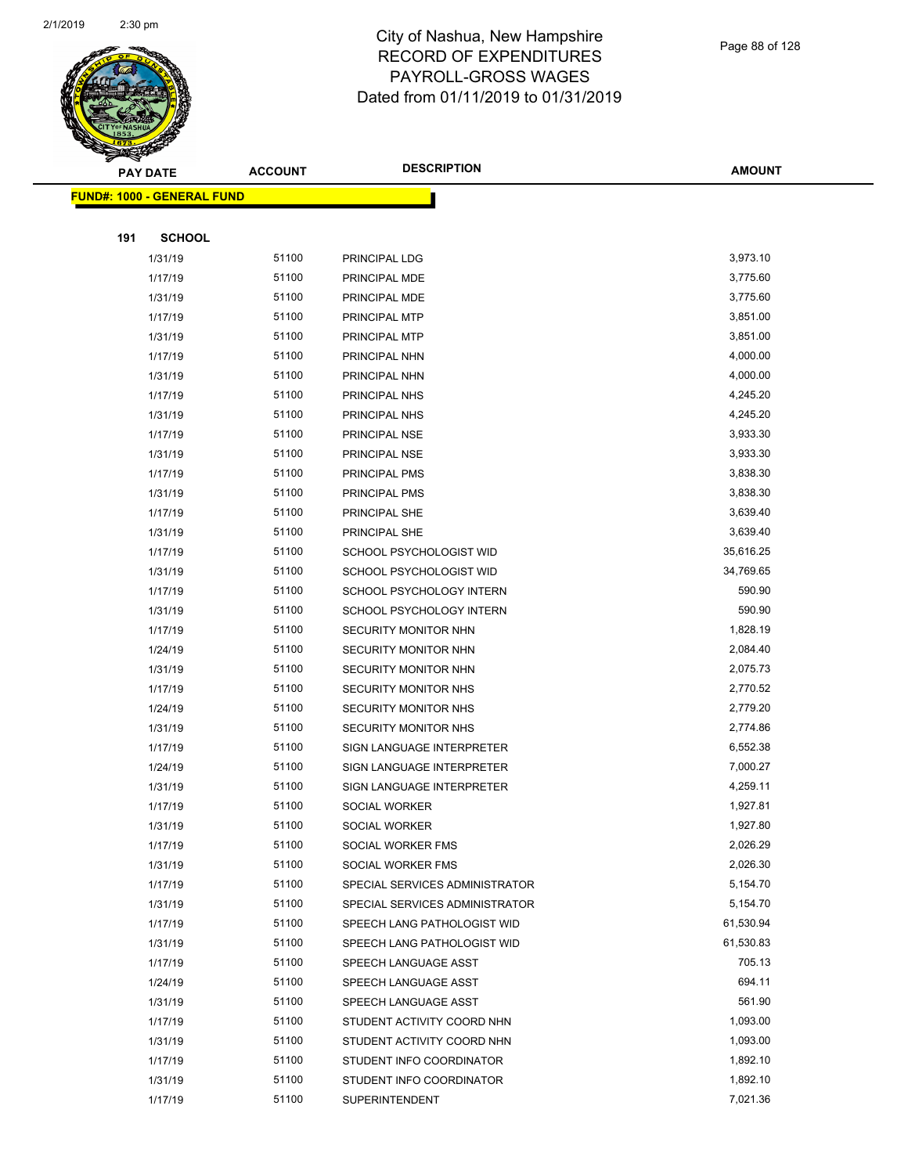

|     | <b>PAY DATE</b>                   | <b>ACCOUNT</b> | <b>DESCRIPTION</b>                                     | <b>AMOUNT</b>        |
|-----|-----------------------------------|----------------|--------------------------------------------------------|----------------------|
|     | <b>FUND#: 1000 - GENERAL FUND</b> |                |                                                        |                      |
|     |                                   |                |                                                        |                      |
| 191 | <b>SCHOOL</b>                     |                |                                                        |                      |
|     | 1/31/19                           | 51100          | PRINCIPAL LDG                                          | 3,973.10             |
|     | 1/17/19                           | 51100          | PRINCIPAL MDE                                          | 3,775.60             |
|     | 1/31/19                           | 51100          | PRINCIPAL MDE                                          | 3,775.60             |
|     | 1/17/19                           | 51100          | PRINCIPAL MTP                                          | 3,851.00             |
|     | 1/31/19                           | 51100          | PRINCIPAL MTP                                          | 3,851.00             |
|     | 1/17/19                           | 51100          | PRINCIPAL NHN                                          | 4,000.00             |
|     | 1/31/19                           | 51100          | PRINCIPAL NHN                                          | 4,000.00             |
|     | 1/17/19                           | 51100          | PRINCIPAL NHS                                          | 4,245.20             |
|     | 1/31/19                           | 51100          | PRINCIPAL NHS                                          | 4,245.20             |
|     | 1/17/19                           | 51100          | PRINCIPAL NSE                                          | 3,933.30             |
|     | 1/31/19                           | 51100          | PRINCIPAL NSE                                          | 3,933.30             |
|     | 1/17/19                           | 51100          | PRINCIPAL PMS                                          | 3,838.30             |
|     | 1/31/19                           | 51100          | PRINCIPAL PMS                                          | 3,838.30             |
|     | 1/17/19                           | 51100          | PRINCIPAL SHE                                          | 3,639.40             |
|     | 1/31/19                           | 51100          | PRINCIPAL SHE                                          | 3,639.40             |
|     | 1/17/19                           | 51100          | SCHOOL PSYCHOLOGIST WID                                | 35,616.25            |
|     | 1/31/19                           | 51100          | SCHOOL PSYCHOLOGIST WID                                | 34,769.65            |
|     | 1/17/19                           | 51100          | SCHOOL PSYCHOLOGY INTERN                               | 590.90               |
|     | 1/31/19                           | 51100          | SCHOOL PSYCHOLOGY INTERN                               | 590.90               |
|     | 1/17/19                           | 51100          | SECURITY MONITOR NHN                                   | 1,828.19             |
|     | 1/24/19                           | 51100          | SECURITY MONITOR NHN                                   | 2,084.40             |
|     | 1/31/19                           | 51100          | SECURITY MONITOR NHN                                   | 2,075.73             |
|     | 1/17/19                           | 51100          | <b>SECURITY MONITOR NHS</b>                            | 2,770.52             |
|     | 1/24/19                           | 51100          | <b>SECURITY MONITOR NHS</b>                            | 2,779.20             |
|     | 1/31/19                           | 51100          | SECURITY MONITOR NHS                                   | 2,774.86             |
|     | 1/17/19                           | 51100          | SIGN LANGUAGE INTERPRETER                              | 6,552.38             |
|     | 1/24/19                           | 51100          | SIGN LANGUAGE INTERPRETER                              | 7,000.27             |
|     | 1/31/19                           | 51100          | SIGN LANGUAGE INTERPRETER                              | 4,259.11             |
|     | 1/17/19                           | 51100          | SOCIAL WORKER                                          | 1,927.81             |
|     | 1/31/19                           | 51100          | SOCIAL WORKER                                          | 1,927.80             |
|     | 1/17/19                           | 51100          | SOCIAL WORKER FMS                                      | 2,026.29             |
|     | 1/31/19                           | 51100          | SOCIAL WORKER FMS                                      | 2,026.30             |
|     | 1/17/19                           | 51100          | SPECIAL SERVICES ADMINISTRATOR                         | 5,154.70             |
|     | 1/31/19                           | 51100          | SPECIAL SERVICES ADMINISTRATOR                         | 5,154.70             |
|     | 1/17/19                           | 51100          | SPEECH LANG PATHOLOGIST WID                            | 61,530.94            |
|     | 1/31/19                           | 51100          | SPEECH LANG PATHOLOGIST WID                            | 61,530.83            |
|     | 1/17/19                           | 51100          | SPEECH LANGUAGE ASST                                   | 705.13               |
|     | 1/24/19                           | 51100          | SPEECH LANGUAGE ASST                                   | 694.11<br>561.90     |
|     | 1/31/19                           | 51100          | SPEECH LANGUAGE ASST                                   |                      |
|     | 1/17/19                           | 51100<br>51100 | STUDENT ACTIVITY COORD NHN                             | 1,093.00<br>1,093.00 |
|     | 1/31/19<br>1/17/19                | 51100          | STUDENT ACTIVITY COORD NHN<br>STUDENT INFO COORDINATOR | 1,892.10             |
|     | 1/31/19                           | 51100          | STUDENT INFO COORDINATOR                               | 1,892.10             |
|     | 1/17/19                           | 51100          | SUPERINTENDENT                                         | 7,021.36             |
|     |                                   |                |                                                        |                      |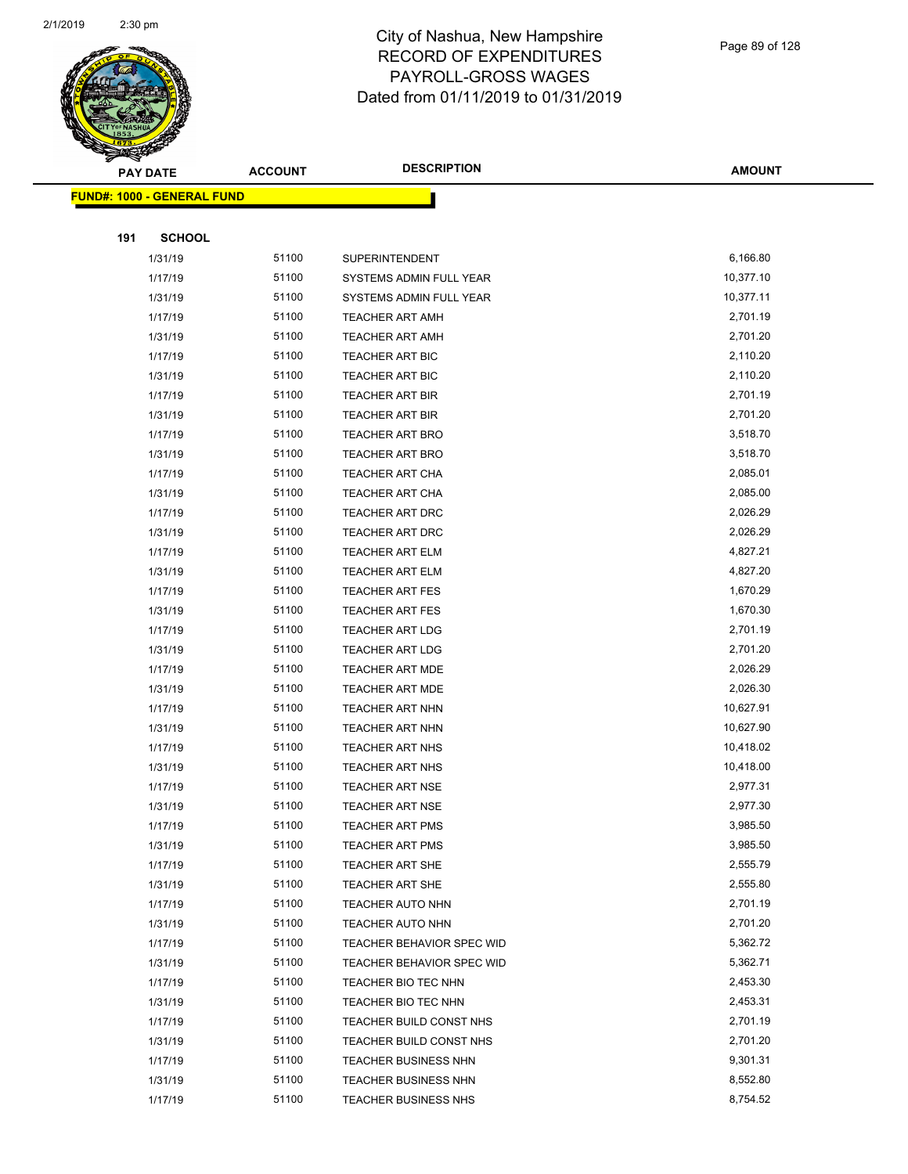

|     | <b>PAY DATE</b>                   | <b>ACCOUNT</b> | <b>DESCRIPTION</b>          | <b>AMOUNT</b> |
|-----|-----------------------------------|----------------|-----------------------------|---------------|
|     | <b>FUND#: 1000 - GENERAL FUND</b> |                |                             |               |
|     |                                   |                |                             |               |
| 191 | <b>SCHOOL</b>                     |                |                             |               |
|     | 1/31/19                           | 51100          | <b>SUPERINTENDENT</b>       | 6,166.80      |
|     | 1/17/19                           | 51100          | SYSTEMS ADMIN FULL YEAR     | 10,377.10     |
|     | 1/31/19                           | 51100          | SYSTEMS ADMIN FULL YEAR     | 10,377.11     |
|     | 1/17/19                           | 51100          | <b>TEACHER ART AMH</b>      | 2,701.19      |
|     | 1/31/19                           | 51100          | <b>TEACHER ART AMH</b>      | 2,701.20      |
|     | 1/17/19                           | 51100          | <b>TEACHER ART BIC</b>      | 2,110.20      |
|     | 1/31/19                           | 51100          | TEACHER ART BIC             | 2,110.20      |
|     | 1/17/19                           | 51100          | <b>TEACHER ART BIR</b>      | 2,701.19      |
|     | 1/31/19                           | 51100          | TEACHER ART BIR             | 2,701.20      |
|     | 1/17/19                           | 51100          | TEACHER ART BRO             | 3,518.70      |
|     | 1/31/19                           | 51100          | <b>TEACHER ART BRO</b>      | 3,518.70      |
|     | 1/17/19                           | 51100          | <b>TEACHER ART CHA</b>      | 2,085.01      |
|     | 1/31/19                           | 51100          | <b>TEACHER ART CHA</b>      | 2,085.00      |
|     | 1/17/19                           | 51100          | TEACHER ART DRC             | 2,026.29      |
|     | 1/31/19                           | 51100          | TEACHER ART DRC             | 2,026.29      |
|     | 1/17/19                           | 51100          | <b>TEACHER ART ELM</b>      | 4,827.21      |
|     | 1/31/19                           | 51100          | <b>TEACHER ART ELM</b>      | 4,827.20      |
|     | 1/17/19                           | 51100          | <b>TEACHER ART FES</b>      | 1,670.29      |
|     | 1/31/19                           | 51100          | <b>TEACHER ART FES</b>      | 1,670.30      |
|     | 1/17/19                           | 51100          | <b>TEACHER ART LDG</b>      | 2,701.19      |
|     | 1/31/19                           | 51100          | <b>TEACHER ART LDG</b>      | 2,701.20      |
|     | 1/17/19                           | 51100          | <b>TEACHER ART MDE</b>      | 2,026.29      |
|     | 1/31/19                           | 51100          | <b>TEACHER ART MDE</b>      | 2,026.30      |
|     | 1/17/19                           | 51100          | TEACHER ART NHN             | 10,627.91     |
|     | 1/31/19                           | 51100          | TEACHER ART NHN             | 10,627.90     |
|     | 1/17/19                           | 51100          | <b>TEACHER ART NHS</b>      | 10,418.02     |
|     | 1/31/19                           | 51100          | <b>TEACHER ART NHS</b>      | 10,418.00     |
|     | 1/17/19                           | 51100          | <b>TEACHER ART NSE</b>      | 2,977.31      |
|     | 1/31/19                           | 51100          | <b>TEACHER ART NSE</b>      | 2,977.30      |
|     | 1/17/19                           | 51100          | TEACHER ART PMS             | 3,985.50      |
|     | 1/31/19                           | 51100          | <b>TEACHER ART PMS</b>      | 3,985.50      |
|     | 1/17/19                           | 51100          | TEACHER ART SHE             | 2,555.79      |
|     | 1/31/19                           | 51100          | TEACHER ART SHE             | 2,555.80      |
|     | 1/17/19                           | 51100          | <b>TEACHER AUTO NHN</b>     | 2,701.19      |
|     | 1/31/19                           | 51100          | TEACHER AUTO NHN            | 2,701.20      |
|     | 1/17/19                           | 51100          | TEACHER BEHAVIOR SPEC WID   | 5,362.72      |
|     | 1/31/19                           | 51100          | TEACHER BEHAVIOR SPEC WID   | 5,362.71      |
|     | 1/17/19                           | 51100          | TEACHER BIO TEC NHN         | 2,453.30      |
|     | 1/31/19                           | 51100          | TEACHER BIO TEC NHN         | 2,453.31      |
|     | 1/17/19                           | 51100          | TEACHER BUILD CONST NHS     | 2,701.19      |
|     | 1/31/19                           | 51100          | TEACHER BUILD CONST NHS     | 2,701.20      |
|     | 1/17/19                           | 51100          | <b>TEACHER BUSINESS NHN</b> | 9,301.31      |
|     | 1/31/19                           | 51100          | <b>TEACHER BUSINESS NHN</b> | 8,552.80      |
|     | 1/17/19                           | 51100          | TEACHER BUSINESS NHS        | 8,754.52      |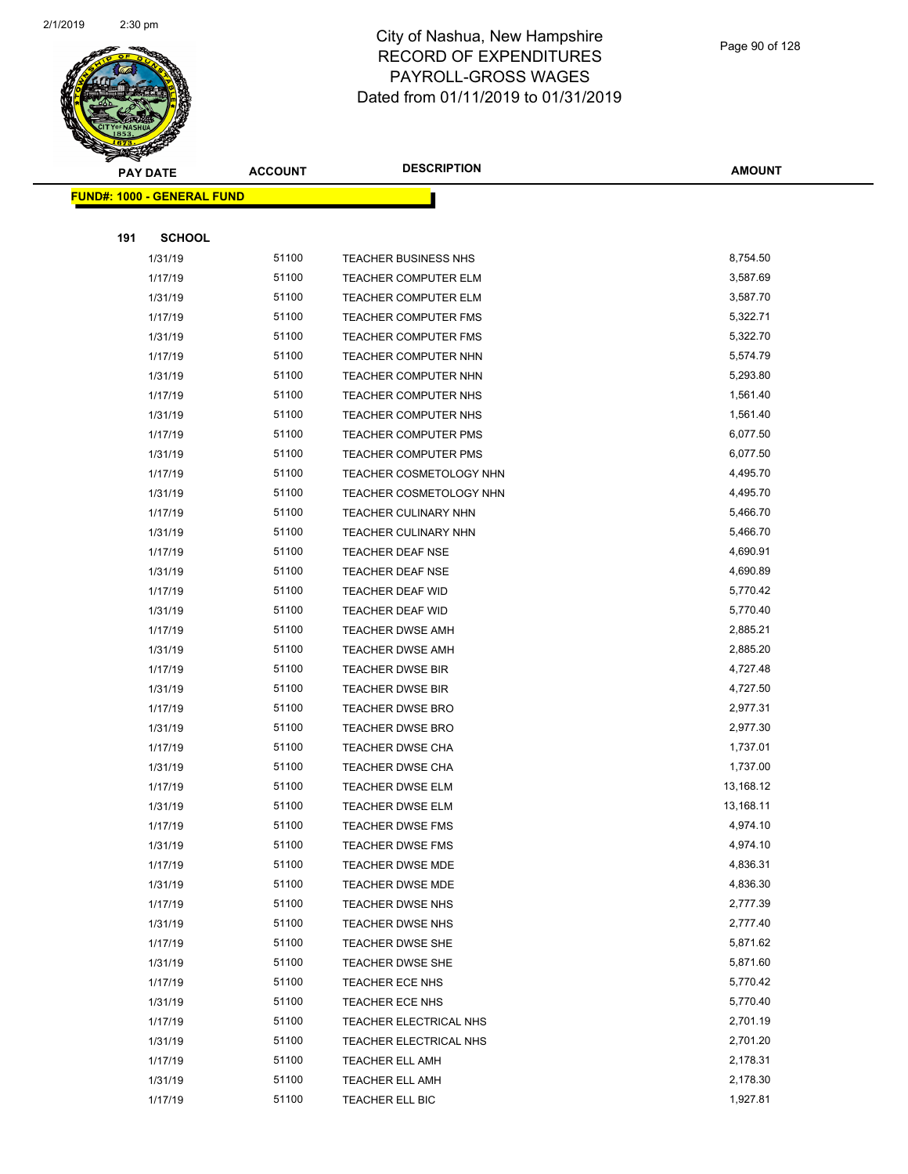

|     | <b>PAY DATE</b>                         | <b>ACCOUNT</b> | <b>DESCRIPTION</b>             | <b>AMOUNT</b> |
|-----|-----------------------------------------|----------------|--------------------------------|---------------|
|     | <mark>FUND#: 1000 - GENERAL FUND</mark> |                |                                |               |
|     |                                         |                |                                |               |
| 191 | <b>SCHOOL</b>                           |                |                                |               |
|     | 1/31/19                                 | 51100          | TEACHER BUSINESS NHS           | 8,754.50      |
|     | 1/17/19                                 | 51100          | <b>TEACHER COMPUTER ELM</b>    | 3,587.69      |
|     | 1/31/19                                 | 51100          | <b>TEACHER COMPUTER ELM</b>    | 3,587.70      |
|     | 1/17/19                                 | 51100          | <b>TEACHER COMPUTER FMS</b>    | 5,322.71      |
|     | 1/31/19                                 | 51100          | TEACHER COMPUTER FMS           | 5,322.70      |
|     | 1/17/19                                 | 51100          | TEACHER COMPUTER NHN           | 5,574.79      |
|     | 1/31/19                                 | 51100          | TEACHER COMPUTER NHN           | 5,293.80      |
|     | 1/17/19                                 | 51100          | TEACHER COMPUTER NHS           | 1,561.40      |
|     | 1/31/19                                 | 51100          | TEACHER COMPUTER NHS           | 1,561.40      |
|     | 1/17/19                                 | 51100          | <b>TEACHER COMPUTER PMS</b>    | 6,077.50      |
|     | 1/31/19                                 | 51100          | TEACHER COMPUTER PMS           | 6,077.50      |
|     | 1/17/19                                 | 51100          | TEACHER COSMETOLOGY NHN        | 4,495.70      |
|     | 1/31/19                                 | 51100          | <b>TEACHER COSMETOLOGY NHN</b> | 4,495.70      |
|     | 1/17/19                                 | 51100          | <b>TEACHER CULINARY NHN</b>    | 5,466.70      |
|     | 1/31/19                                 | 51100          | <b>TEACHER CULINARY NHN</b>    | 5,466.70      |
|     | 1/17/19                                 | 51100          | TEACHER DEAF NSE               | 4,690.91      |
|     | 1/31/19                                 | 51100          | <b>TEACHER DEAF NSE</b>        | 4,690.89      |
|     | 1/17/19                                 | 51100          | TEACHER DEAF WID               | 5,770.42      |
|     | 1/31/19                                 | 51100          | <b>TEACHER DEAF WID</b>        | 5,770.40      |
|     | 1/17/19                                 | 51100          | <b>TEACHER DWSE AMH</b>        | 2,885.21      |
|     | 1/31/19                                 | 51100          | <b>TEACHER DWSE AMH</b>        | 2,885.20      |
|     | 1/17/19                                 | 51100          | <b>TEACHER DWSE BIR</b>        | 4,727.48      |
|     | 1/31/19                                 | 51100          | <b>TEACHER DWSE BIR</b>        | 4,727.50      |
|     | 1/17/19                                 | 51100          | TEACHER DWSE BRO               | 2,977.31      |
|     | 1/31/19                                 | 51100          | TEACHER DWSE BRO               | 2,977.30      |
|     | 1/17/19                                 | 51100          | TEACHER DWSE CHA               | 1,737.01      |
|     | 1/31/19                                 | 51100          | <b>TEACHER DWSE CHA</b>        | 1,737.00      |
|     | 1/17/19                                 | 51100          | TEACHER DWSE ELM               | 13,168.12     |
|     | 1/31/19                                 | 51100          | <b>TEACHER DWSE ELM</b>        | 13,168.11     |
|     | 1/17/19                                 | 51100          | TEACHER DWSE FMS               | 4,974.10      |
|     | 1/31/19                                 | 51100          | <b>TEACHER DWSE FMS</b>        | 4,974.10      |
|     | 1/17/19                                 | 51100          | TEACHER DWSE MDE               | 4,836.31      |
|     | 1/31/19                                 | 51100          | TEACHER DWSE MDE               | 4,836.30      |
|     | 1/17/19                                 | 51100          | TEACHER DWSE NHS               | 2,777.39      |
|     | 1/31/19                                 | 51100          | TEACHER DWSE NHS               | 2,777.40      |
|     | 1/17/19                                 | 51100          | TEACHER DWSE SHE               | 5,871.62      |
|     | 1/31/19                                 | 51100          | TEACHER DWSE SHE               | 5,871.60      |
|     | 1/17/19                                 | 51100          | TEACHER ECE NHS                | 5,770.42      |
|     | 1/31/19                                 | 51100          | TEACHER ECE NHS                | 5,770.40      |
|     | 1/17/19                                 | 51100          | TEACHER ELECTRICAL NHS         | 2,701.19      |
|     | 1/31/19                                 | 51100          | TEACHER ELECTRICAL NHS         | 2,701.20      |
|     | 1/17/19                                 | 51100          | <b>TEACHER ELL AMH</b>         | 2,178.31      |
|     | 1/31/19                                 | 51100          | <b>TEACHER ELL AMH</b>         | 2,178.30      |
|     | 1/17/19                                 | 51100          | TEACHER ELL BIC                | 1,927.81      |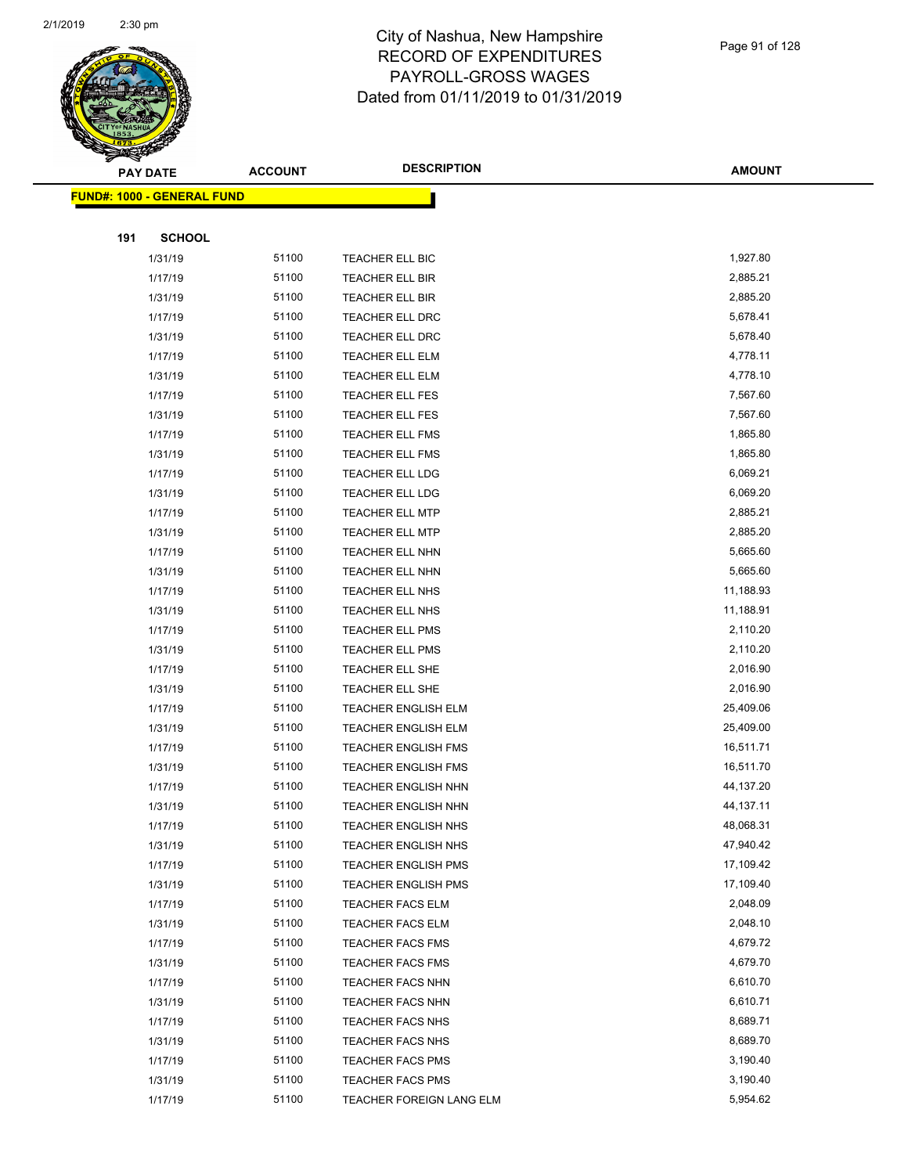

|     | <b>PAY DATE</b>                   | <b>ACCOUNT</b> | <b>DESCRIPTION</b>         | <b>AMOUNT</b> |
|-----|-----------------------------------|----------------|----------------------------|---------------|
|     | <b>FUND#: 1000 - GENERAL FUND</b> |                |                            |               |
|     |                                   |                |                            |               |
| 191 | <b>SCHOOL</b>                     |                |                            |               |
|     | 1/31/19                           | 51100          | TEACHER ELL BIC            | 1,927.80      |
|     | 1/17/19                           | 51100          | TEACHER ELL BIR            | 2,885.21      |
|     | 1/31/19                           | 51100          | TEACHER ELL BIR            | 2,885.20      |
|     | 1/17/19                           | 51100          | TEACHER ELL DRC            | 5,678.41      |
|     | 1/31/19                           | 51100          | <b>TEACHER ELL DRC</b>     | 5,678.40      |
|     | 1/17/19                           | 51100          | <b>TEACHER ELL ELM</b>     | 4,778.11      |
|     | 1/31/19                           | 51100          | TEACHER ELL ELM            | 4,778.10      |
|     | 1/17/19                           | 51100          | TEACHER ELL FES            | 7,567.60      |
|     | 1/31/19                           | 51100          | <b>TEACHER ELL FES</b>     | 7,567.60      |
|     | 1/17/19                           | 51100          | TEACHER ELL FMS            | 1,865.80      |
|     | 1/31/19                           | 51100          | TEACHER ELL FMS            | 1,865.80      |
|     | 1/17/19                           | 51100          | <b>TEACHER ELL LDG</b>     | 6,069.21      |
|     | 1/31/19                           | 51100          | TEACHER ELL LDG            | 6,069.20      |
|     | 1/17/19                           | 51100          | <b>TEACHER ELL MTP</b>     | 2,885.21      |
|     | 1/31/19                           | 51100          | <b>TEACHER ELL MTP</b>     | 2,885.20      |
|     | 1/17/19                           | 51100          | <b>TEACHER ELL NHN</b>     | 5,665.60      |
|     | 1/31/19                           | 51100          | TEACHER ELL NHN            | 5,665.60      |
|     | 1/17/19                           | 51100          | TEACHER ELL NHS            | 11,188.93     |
|     | 1/31/19                           | 51100          | TEACHER ELL NHS            | 11,188.91     |
|     | 1/17/19                           | 51100          | TEACHER ELL PMS            | 2,110.20      |
|     | 1/31/19                           | 51100          | TEACHER ELL PMS            | 2,110.20      |
|     | 1/17/19                           | 51100          | TEACHER ELL SHE            | 2,016.90      |
|     | 1/31/19                           | 51100          | TEACHER ELL SHE            | 2,016.90      |
|     | 1/17/19                           | 51100          | <b>TEACHER ENGLISH ELM</b> | 25,409.06     |
|     | 1/31/19                           | 51100          | TEACHER ENGLISH ELM        | 25,409.00     |
|     | 1/17/19                           | 51100          | <b>TEACHER ENGLISH FMS</b> | 16,511.71     |
|     | 1/31/19                           | 51100          | <b>TEACHER ENGLISH FMS</b> | 16,511.70     |
|     | 1/17/19                           | 51100          | TEACHER ENGLISH NHN        | 44,137.20     |
|     | 1/31/19                           | 51100          | <b>TEACHER ENGLISH NHN</b> | 44,137.11     |
|     | 1/17/19                           | 51100          | TEACHER ENGLISH NHS        | 48,068.31     |
|     | 1/31/19                           | 51100          | <b>TEACHER ENGLISH NHS</b> | 47,940.42     |
|     | 1/17/19                           | 51100          | <b>TEACHER ENGLISH PMS</b> | 17,109.42     |
|     | 1/31/19                           | 51100          | <b>TEACHER ENGLISH PMS</b> | 17,109.40     |
|     | 1/17/19                           | 51100          | <b>TEACHER FACS ELM</b>    | 2,048.09      |
|     | 1/31/19                           | 51100          | TEACHER FACS ELM           | 2,048.10      |
|     | 1/17/19                           | 51100          | <b>TEACHER FACS FMS</b>    | 4,679.72      |
|     | 1/31/19                           | 51100          | <b>TEACHER FACS FMS</b>    | 4,679.70      |
|     | 1/17/19                           | 51100          | TEACHER FACS NHN           | 6,610.70      |
|     | 1/31/19                           | 51100          | <b>TEACHER FACS NHN</b>    | 6,610.71      |
|     | 1/17/19                           | 51100          | TEACHER FACS NHS           | 8,689.71      |
|     | 1/31/19                           | 51100          | TEACHER FACS NHS           | 8,689.70      |
|     | 1/17/19                           | 51100          | <b>TEACHER FACS PMS</b>    | 3,190.40      |
|     | 1/31/19                           | 51100          | TEACHER FACS PMS           | 3,190.40      |
|     | 1/17/19                           | 51100          | TEACHER FOREIGN LANG ELM   | 5,954.62      |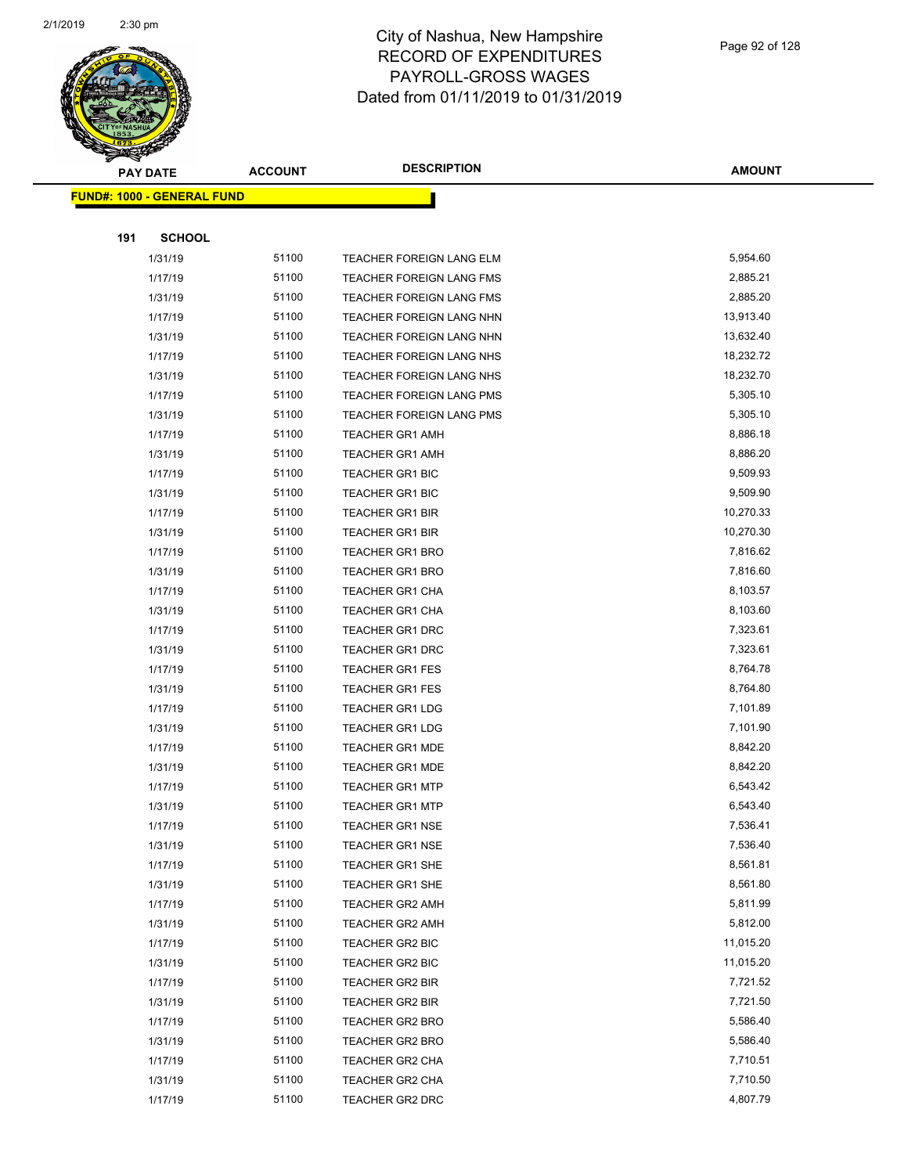

|     | <b>PAY DATE</b>                    | <b>ACCOUNT</b> | <b>DESCRIPTION</b>              | <b>AMOUNT</b> |
|-----|------------------------------------|----------------|---------------------------------|---------------|
|     | <u> FUND#: 1000 - GENERAL FUND</u> |                |                                 |               |
|     |                                    |                |                                 |               |
| 191 | <b>SCHOOL</b>                      |                |                                 |               |
|     | 1/31/19                            | 51100          | TEACHER FOREIGN LANG ELM        | 5,954.60      |
|     | 1/17/19                            | 51100          | <b>TEACHER FOREIGN LANG FMS</b> | 2,885.21      |
|     | 1/31/19                            | 51100          | <b>TEACHER FOREIGN LANG FMS</b> | 2,885.20      |
|     | 1/17/19                            | 51100          | TEACHER FOREIGN LANG NHN        | 13,913.40     |
|     | 1/31/19                            | 51100          | TEACHER FOREIGN LANG NHN        | 13,632.40     |
|     | 1/17/19                            | 51100          | TEACHER FOREIGN LANG NHS        | 18,232.72     |
|     | 1/31/19                            | 51100          | TEACHER FOREIGN LANG NHS        | 18,232.70     |
|     | 1/17/19                            | 51100          | TEACHER FOREIGN LANG PMS        | 5,305.10      |
|     | 1/31/19                            | 51100          | TEACHER FOREIGN LANG PMS        | 5,305.10      |
|     | 1/17/19                            | 51100          | <b>TEACHER GR1 AMH</b>          | 8,886.18      |
|     | 1/31/19                            | 51100          | <b>TEACHER GR1 AMH</b>          | 8,886.20      |
|     | 1/17/19                            | 51100          | <b>TEACHER GR1 BIC</b>          | 9,509.93      |
|     | 1/31/19                            | 51100          | <b>TEACHER GR1 BIC</b>          | 9,509.90      |
|     | 1/17/19                            | 51100          | <b>TEACHER GR1 BIR</b>          | 10,270.33     |
|     | 1/31/19                            | 51100          | <b>TEACHER GR1 BIR</b>          | 10,270.30     |
|     | 1/17/19                            | 51100          | <b>TEACHER GR1 BRO</b>          | 7,816.62      |
|     | 1/31/19                            | 51100          | <b>TEACHER GR1 BRO</b>          | 7,816.60      |
|     | 1/17/19                            | 51100          | <b>TEACHER GR1 CHA</b>          | 8,103.57      |
|     | 1/31/19                            | 51100          | <b>TEACHER GR1 CHA</b>          | 8,103.60      |
|     | 1/17/19                            | 51100          | TEACHER GR1 DRC                 | 7,323.61      |
|     | 1/31/19                            | 51100          | <b>TEACHER GR1 DRC</b>          | 7,323.61      |
|     | 1/17/19                            | 51100          | <b>TEACHER GR1 FES</b>          | 8,764.78      |
|     | 1/31/19                            | 51100          | <b>TEACHER GR1 FES</b>          | 8,764.80      |
|     | 1/17/19                            | 51100          | <b>TEACHER GR1 LDG</b>          | 7,101.89      |
|     | 1/31/19                            | 51100          | <b>TEACHER GR1 LDG</b>          | 7,101.90      |
|     | 1/17/19                            | 51100          | <b>TEACHER GR1 MDE</b>          | 8,842.20      |
|     | 1/31/19                            | 51100          | <b>TEACHER GR1 MDE</b>          | 8,842.20      |
|     | 1/17/19                            | 51100          | <b>TEACHER GR1 MTP</b>          | 6,543.42      |
|     | 1/31/19                            | 51100          | <b>TEACHER GR1 MTP</b>          | 6,543.40      |
|     | 1/17/19                            | 51100          | TEACHER GR1 NSE                 | 7,536.41      |
|     | 1/31/19                            | 51100          | <b>TEACHER GR1 NSE</b>          | 7,536.40      |
|     | 1/17/19                            | 51100          | TEACHER GR1 SHE                 | 8,561.81      |
|     | 1/31/19                            | 51100          | TEACHER GR1 SHE                 | 8,561.80      |
|     | 1/17/19                            | 51100          | <b>TEACHER GR2 AMH</b>          | 5,811.99      |
|     | 1/31/19                            | 51100          | <b>TEACHER GR2 AMH</b>          | 5,812.00      |
|     | 1/17/19                            | 51100          | <b>TEACHER GR2 BIC</b>          | 11,015.20     |
|     | 1/31/19                            | 51100          | TEACHER GR2 BIC                 | 11,015.20     |
|     | 1/17/19                            | 51100          | <b>TEACHER GR2 BIR</b>          | 7,721.52      |
|     | 1/31/19                            | 51100          | TEACHER GR2 BIR                 | 7,721.50      |
|     | 1/17/19                            | 51100          | <b>TEACHER GR2 BRO</b>          | 5,586.40      |
|     | 1/31/19                            | 51100          | <b>TEACHER GR2 BRO</b>          | 5,586.40      |
|     | 1/17/19                            | 51100          | TEACHER GR2 CHA                 | 7,710.51      |
|     | 1/31/19                            | 51100          | TEACHER GR2 CHA                 | 7,710.50      |
|     | 1/17/19                            | 51100          | <b>TEACHER GR2 DRC</b>          | 4,807.79      |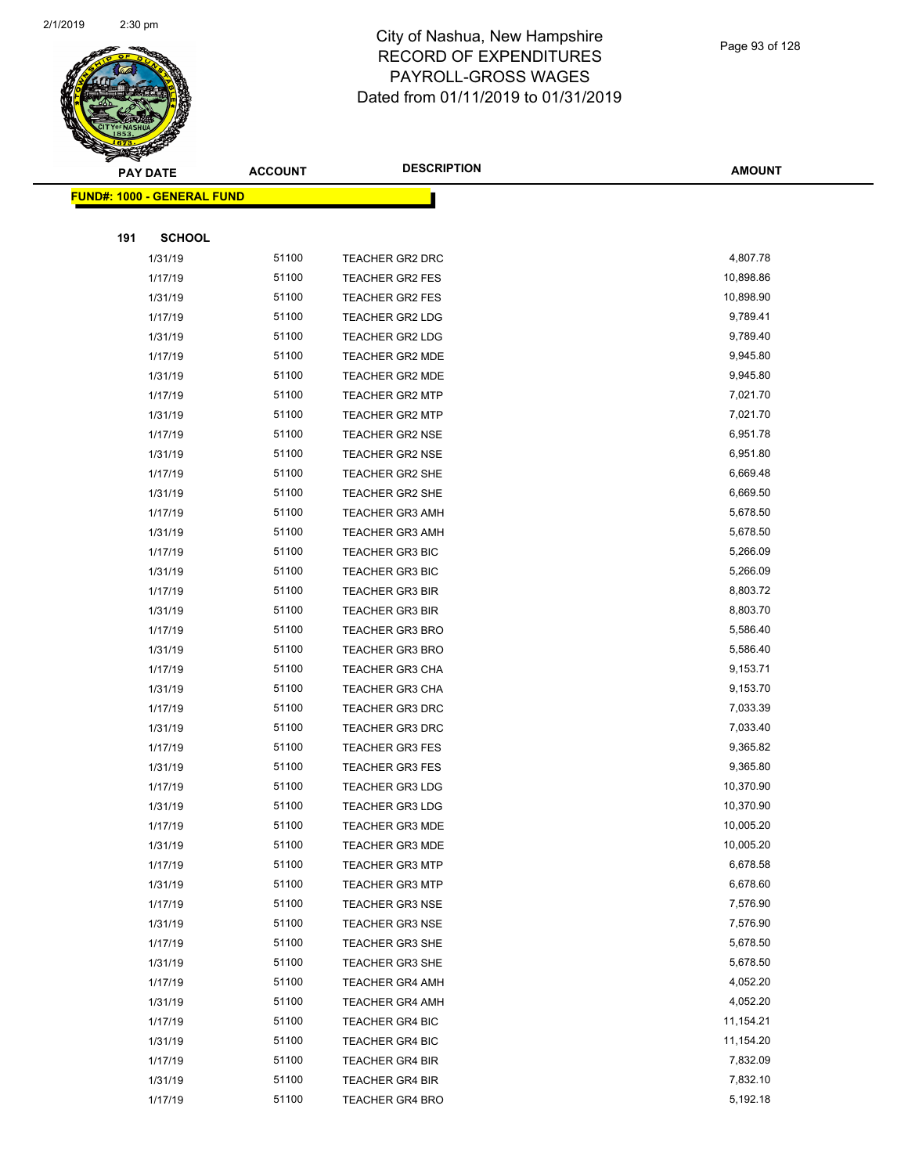

|     | <b>PAY DATE</b>                   | <b>ACCOUNT</b> | <b>DESCRIPTION</b>     | <b>AMOUNT</b> |
|-----|-----------------------------------|----------------|------------------------|---------------|
|     | <b>FUND#: 1000 - GENERAL FUND</b> |                |                        |               |
|     |                                   |                |                        |               |
| 191 | <b>SCHOOL</b>                     |                |                        |               |
|     | 1/31/19                           | 51100          | TEACHER GR2 DRC        | 4,807.78      |
|     | 1/17/19                           | 51100          | <b>TEACHER GR2 FES</b> | 10,898.86     |
|     | 1/31/19                           | 51100          | <b>TEACHER GR2 FES</b> | 10,898.90     |
|     | 1/17/19                           | 51100          | <b>TEACHER GR2 LDG</b> | 9,789.41      |
|     | 1/31/19                           | 51100          | TEACHER GR2 LDG        | 9,789.40      |
|     | 1/17/19                           | 51100          | <b>TEACHER GR2 MDE</b> | 9,945.80      |
|     | 1/31/19                           | 51100          | <b>TEACHER GR2 MDE</b> | 9,945.80      |
|     | 1/17/19                           | 51100          | <b>TEACHER GR2 MTP</b> | 7,021.70      |
|     | 1/31/19                           | 51100          | <b>TEACHER GR2 MTP</b> | 7,021.70      |
|     | 1/17/19                           | 51100          | <b>TEACHER GR2 NSE</b> | 6,951.78      |
|     | 1/31/19                           | 51100          | <b>TEACHER GR2 NSE</b> | 6,951.80      |
|     | 1/17/19                           | 51100          | TEACHER GR2 SHE        | 6,669.48      |
|     | 1/31/19                           | 51100          | <b>TEACHER GR2 SHE</b> | 6,669.50      |
|     | 1/17/19                           | 51100          | <b>TEACHER GR3 AMH</b> | 5,678.50      |
|     | 1/31/19                           | 51100          | <b>TEACHER GR3 AMH</b> | 5,678.50      |
|     | 1/17/19                           | 51100          | TEACHER GR3 BIC        | 5,266.09      |
|     | 1/31/19                           | 51100          | <b>TEACHER GR3 BIC</b> | 5,266.09      |
|     | 1/17/19                           | 51100          | <b>TEACHER GR3 BIR</b> | 8,803.72      |
|     | 1/31/19                           | 51100          | <b>TEACHER GR3 BIR</b> | 8,803.70      |
|     | 1/17/19                           | 51100          | <b>TEACHER GR3 BRO</b> | 5,586.40      |
|     | 1/31/19                           | 51100          | <b>TEACHER GR3 BRO</b> | 5,586.40      |
|     | 1/17/19                           | 51100          | <b>TEACHER GR3 CHA</b> | 9,153.71      |
|     | 1/31/19                           | 51100          | <b>TEACHER GR3 CHA</b> | 9,153.70      |
|     | 1/17/19                           | 51100          | <b>TEACHER GR3 DRC</b> | 7,033.39      |
|     | 1/31/19                           | 51100          | <b>TEACHER GR3 DRC</b> | 7,033.40      |
|     | 1/17/19                           | 51100          | <b>TEACHER GR3 FES</b> | 9,365.82      |
|     | 1/31/19                           | 51100          | <b>TEACHER GR3 FES</b> | 9,365.80      |
|     | 1/17/19                           | 51100          | <b>TEACHER GR3 LDG</b> | 10,370.90     |
|     | 1/31/19                           | 51100          | <b>TEACHER GR3 LDG</b> | 10,370.90     |
|     | 1/17/19                           | 51100          | TEACHER GR3 MDE        | 10,005.20     |
|     | 1/31/19                           | 51100          | <b>TEACHER GR3 MDE</b> | 10,005.20     |
|     | 1/17/19                           | 51100          | <b>TEACHER GR3 MTP</b> | 6,678.58      |
|     | 1/31/19                           | 51100          | <b>TEACHER GR3 MTP</b> | 6,678.60      |
|     | 1/17/19                           | 51100          | <b>TEACHER GR3 NSE</b> | 7,576.90      |
|     | 1/31/19                           | 51100          | <b>TEACHER GR3 NSE</b> | 7,576.90      |
|     | 1/17/19                           | 51100          | TEACHER GR3 SHE        | 5,678.50      |
|     | 1/31/19                           | 51100          | <b>TEACHER GR3 SHE</b> | 5,678.50      |
|     | 1/17/19                           | 51100          | <b>TEACHER GR4 AMH</b> | 4,052.20      |
|     | 1/31/19                           | 51100          | <b>TEACHER GR4 AMH</b> | 4,052.20      |
|     | 1/17/19                           | 51100          | <b>TEACHER GR4 BIC</b> | 11,154.21     |
|     | 1/31/19                           | 51100          | TEACHER GR4 BIC        | 11,154.20     |
|     | 1/17/19                           | 51100          | <b>TEACHER GR4 BIR</b> | 7,832.09      |
|     | 1/31/19                           | 51100          | TEACHER GR4 BIR        | 7,832.10      |
|     | 1/17/19                           | 51100          | <b>TEACHER GR4 BRO</b> | 5,192.18      |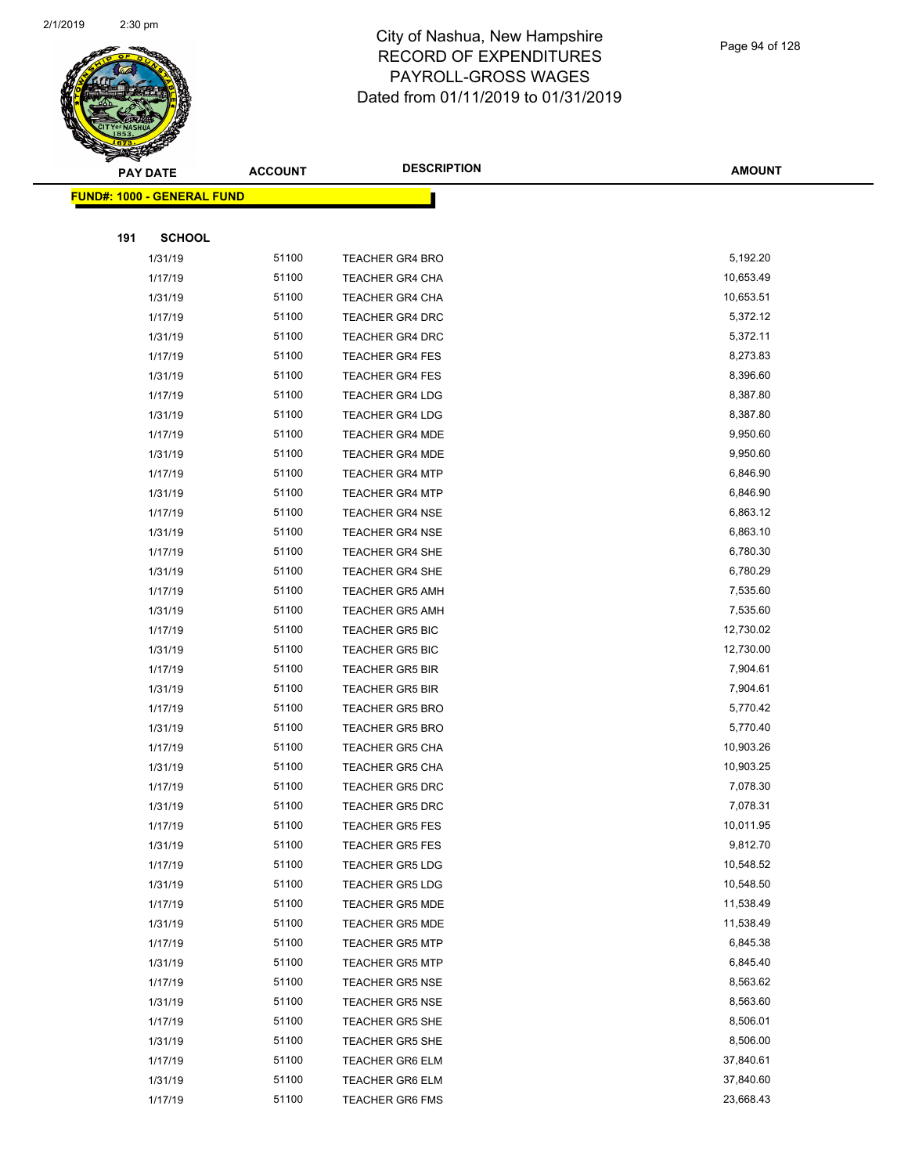

|     | <b>PAY DATE</b>                   | <b>ACCOUNT</b> | <b>DESCRIPTION</b>     | <b>AMOUNT</b> |
|-----|-----------------------------------|----------------|------------------------|---------------|
|     | <b>FUND#: 1000 - GENERAL FUND</b> |                |                        |               |
|     |                                   |                |                        |               |
| 191 | <b>SCHOOL</b>                     |                |                        |               |
|     | 1/31/19                           | 51100          | <b>TEACHER GR4 BRO</b> | 5,192.20      |
|     | 1/17/19                           | 51100          | <b>TEACHER GR4 CHA</b> | 10,653.49     |
|     | 1/31/19                           | 51100          | TEACHER GR4 CHA        | 10,653.51     |
|     | 1/17/19                           | 51100          | <b>TEACHER GR4 DRC</b> | 5,372.12      |
|     | 1/31/19                           | 51100          | <b>TEACHER GR4 DRC</b> | 5,372.11      |
|     | 1/17/19                           | 51100          | <b>TEACHER GR4 FES</b> | 8,273.83      |
|     | 1/31/19                           | 51100          | <b>TEACHER GR4 FES</b> | 8,396.60      |
|     | 1/17/19                           | 51100          | <b>TEACHER GR4 LDG</b> | 8,387.80      |
|     | 1/31/19                           | 51100          | <b>TEACHER GR4 LDG</b> | 8,387.80      |
|     | 1/17/19                           | 51100          | <b>TEACHER GR4 MDE</b> | 9,950.60      |
|     | 1/31/19                           | 51100          | <b>TEACHER GR4 MDE</b> | 9,950.60      |
|     | 1/17/19                           | 51100          | <b>TEACHER GR4 MTP</b> | 6,846.90      |
|     | 1/31/19                           | 51100          | <b>TEACHER GR4 MTP</b> | 6,846.90      |
|     | 1/17/19                           | 51100          | <b>TEACHER GR4 NSE</b> | 6,863.12      |
|     | 1/31/19                           | 51100          | <b>TEACHER GR4 NSE</b> | 6,863.10      |
|     | 1/17/19                           | 51100          | TEACHER GR4 SHE        | 6,780.30      |
|     | 1/31/19                           | 51100          | <b>TEACHER GR4 SHE</b> | 6,780.29      |
|     | 1/17/19                           | 51100          | <b>TEACHER GR5 AMH</b> | 7,535.60      |
|     | 1/31/19                           | 51100          | <b>TEACHER GR5 AMH</b> | 7,535.60      |
|     | 1/17/19                           | 51100          | <b>TEACHER GR5 BIC</b> | 12,730.02     |
|     | 1/31/19                           | 51100          | <b>TEACHER GR5 BIC</b> | 12,730.00     |
|     | 1/17/19                           | 51100          | <b>TEACHER GR5 BIR</b> | 7,904.61      |
|     | 1/31/19                           | 51100          | <b>TEACHER GR5 BIR</b> | 7,904.61      |
|     | 1/17/19                           | 51100          | <b>TEACHER GR5 BRO</b> | 5,770.42      |
|     | 1/31/19                           | 51100          | <b>TEACHER GR5 BRO</b> | 5,770.40      |
|     | 1/17/19                           | 51100          | <b>TEACHER GR5 CHA</b> | 10,903.26     |
|     | 1/31/19                           | 51100          | <b>TEACHER GR5 CHA</b> | 10,903.25     |
|     | 1/17/19                           | 51100          | <b>TEACHER GR5 DRC</b> | 7,078.30      |
|     | 1/31/19                           | 51100          | <b>TEACHER GR5 DRC</b> | 7,078.31      |
|     | 1/17/19                           | 51100          | <b>TEACHER GR5 FES</b> | 10,011.95     |
|     | 1/31/19                           | 51100          | <b>TEACHER GR5 FES</b> | 9,812.70      |
|     | 1/17/19                           | 51100          | <b>TEACHER GR5 LDG</b> | 10,548.52     |
|     | 1/31/19                           | 51100          | <b>TEACHER GR5 LDG</b> | 10,548.50     |
|     | 1/17/19                           | 51100          | <b>TEACHER GR5 MDE</b> | 11,538.49     |
|     | 1/31/19                           | 51100          | <b>TEACHER GR5 MDE</b> | 11,538.49     |
|     | 1/17/19                           | 51100          | TEACHER GR5 MTP        | 6,845.38      |
|     | 1/31/19                           | 51100          | <b>TEACHER GR5 MTP</b> | 6,845.40      |
|     | 1/17/19                           | 51100          | TEACHER GR5 NSE        | 8,563.62      |
|     | 1/31/19                           | 51100          | <b>TEACHER GR5 NSE</b> | 8,563.60      |
|     | 1/17/19                           | 51100          | TEACHER GR5 SHE        | 8,506.01      |
|     | 1/31/19                           | 51100          | TEACHER GR5 SHE        | 8,506.00      |
|     | 1/17/19                           | 51100          | <b>TEACHER GR6 ELM</b> | 37,840.61     |
|     | 1/31/19                           | 51100          | TEACHER GR6 ELM        | 37,840.60     |
|     | 1/17/19                           | 51100          | TEACHER GR6 FMS        | 23,668.43     |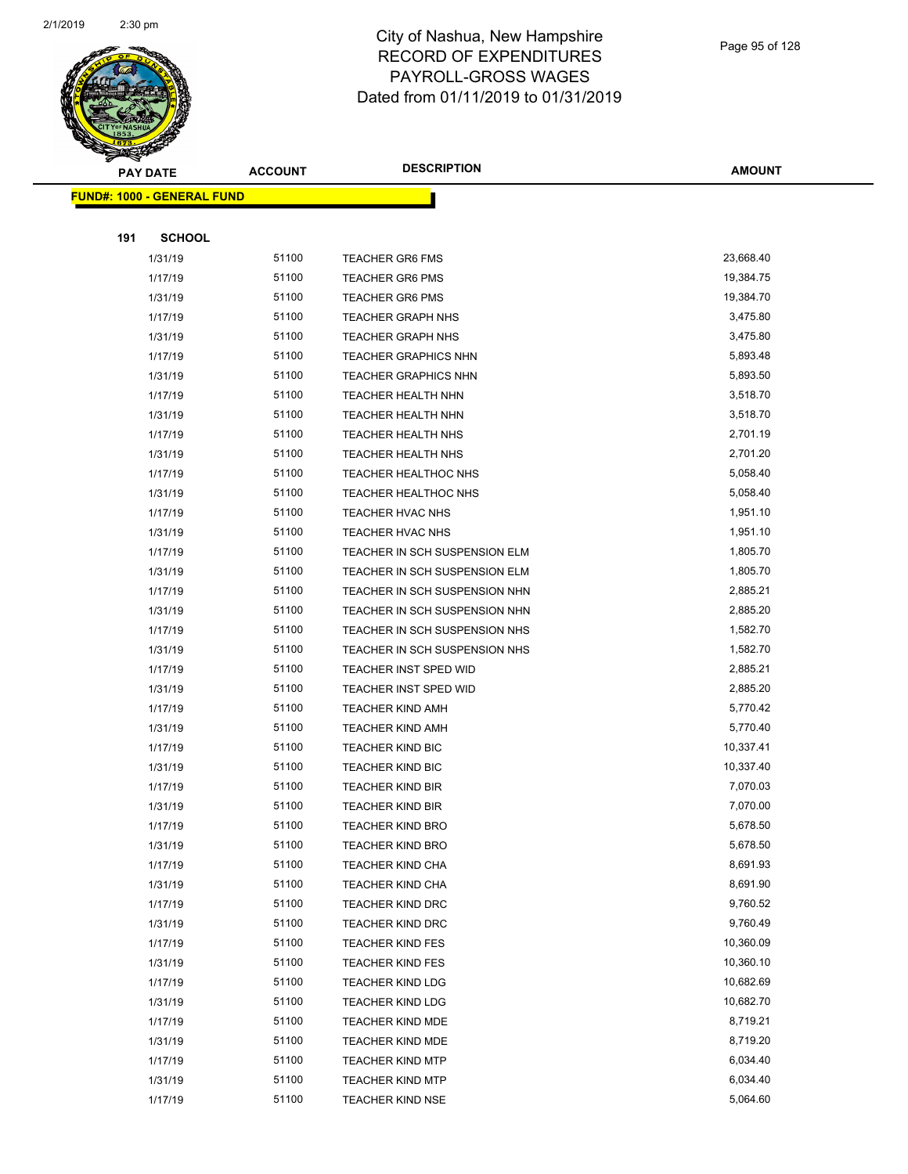

|     | <b>PAY DATE</b>                   | <b>ACCOUNT</b> | <b>DESCRIPTION</b>            | <b>AMOUNT</b> |
|-----|-----------------------------------|----------------|-------------------------------|---------------|
|     | <b>FUND#: 1000 - GENERAL FUND</b> |                |                               |               |
|     |                                   |                |                               |               |
| 191 | <b>SCHOOL</b>                     |                |                               |               |
|     | 1/31/19                           | 51100          | <b>TEACHER GR6 FMS</b>        | 23,668.40     |
|     | 1/17/19                           | 51100          | <b>TEACHER GR6 PMS</b>        | 19,384.75     |
|     | 1/31/19                           | 51100          | <b>TEACHER GR6 PMS</b>        | 19,384.70     |
|     | 1/17/19                           | 51100          | <b>TEACHER GRAPH NHS</b>      | 3,475.80      |
|     | 1/31/19                           | 51100          | <b>TEACHER GRAPH NHS</b>      | 3,475.80      |
|     | 1/17/19                           | 51100          | <b>TEACHER GRAPHICS NHN</b>   | 5,893.48      |
|     | 1/31/19                           | 51100          | <b>TEACHER GRAPHICS NHN</b>   | 5,893.50      |
|     | 1/17/19                           | 51100          | TEACHER HEALTH NHN            | 3,518.70      |
|     | 1/31/19                           | 51100          | <b>TEACHER HEALTH NHN</b>     | 3,518.70      |
|     | 1/17/19                           | 51100          | <b>TEACHER HEALTH NHS</b>     | 2,701.19      |
|     | 1/31/19                           | 51100          | TEACHER HEALTH NHS            | 2,701.20      |
|     | 1/17/19                           | 51100          | <b>TEACHER HEALTHOC NHS</b>   | 5,058.40      |
|     | 1/31/19                           | 51100          | <b>TEACHER HEALTHOC NHS</b>   | 5,058.40      |
|     | 1/17/19                           | 51100          | <b>TEACHER HVAC NHS</b>       | 1,951.10      |
|     | 1/31/19                           | 51100          | <b>TEACHER HVAC NHS</b>       | 1,951.10      |
|     | 1/17/19                           | 51100          | TEACHER IN SCH SUSPENSION ELM | 1,805.70      |
|     | 1/31/19                           | 51100          | TEACHER IN SCH SUSPENSION ELM | 1,805.70      |
|     | 1/17/19                           | 51100          | TEACHER IN SCH SUSPENSION NHN | 2,885.21      |
|     | 1/31/19                           | 51100          | TEACHER IN SCH SUSPENSION NHN | 2,885.20      |
|     | 1/17/19                           | 51100          | TEACHER IN SCH SUSPENSION NHS | 1,582.70      |
|     | 1/31/19                           | 51100          | TEACHER IN SCH SUSPENSION NHS | 1,582.70      |
|     | 1/17/19                           | 51100          | TEACHER INST SPED WID         | 2,885.21      |
|     | 1/31/19                           | 51100          | TEACHER INST SPED WID         | 2,885.20      |
|     | 1/17/19                           | 51100          | <b>TEACHER KIND AMH</b>       | 5,770.42      |
|     | 1/31/19                           | 51100          | TEACHER KIND AMH              | 5,770.40      |
|     | 1/17/19                           | 51100          | <b>TEACHER KIND BIC</b>       | 10,337.41     |
|     | 1/31/19                           | 51100          | <b>TEACHER KIND BIC</b>       | 10,337.40     |
|     | 1/17/19                           | 51100          | <b>TEACHER KIND BIR</b>       | 7,070.03      |
|     | 1/31/19                           | 51100          | <b>TEACHER KIND BIR</b>       | 7,070.00      |
|     | 1/17/19                           | 51100          | TEACHER KIND BRO              | 5,678.50      |
|     | 1/31/19                           | 51100          | <b>TEACHER KIND BRO</b>       | 5,678.50      |
|     | 1/17/19                           | 51100          | <b>TEACHER KIND CHA</b>       | 8,691.93      |
|     | 1/31/19                           | 51100          | <b>TEACHER KIND CHA</b>       | 8,691.90      |
|     | 1/17/19                           | 51100          | <b>TEACHER KIND DRC</b>       | 9,760.52      |
|     | 1/31/19                           | 51100          | <b>TEACHER KIND DRC</b>       | 9,760.49      |
|     | 1/17/19                           | 51100          | <b>TEACHER KIND FES</b>       | 10,360.09     |
|     | 1/31/19                           | 51100          | <b>TEACHER KIND FES</b>       | 10,360.10     |
|     | 1/17/19                           | 51100          | <b>TEACHER KIND LDG</b>       | 10,682.69     |
|     | 1/31/19                           | 51100          | <b>TEACHER KIND LDG</b>       | 10,682.70     |
|     | 1/17/19                           | 51100          | <b>TEACHER KIND MDE</b>       | 8,719.21      |
|     | 1/31/19                           | 51100          | <b>TEACHER KIND MDE</b>       | 8,719.20      |
|     | 1/17/19                           | 51100          | <b>TEACHER KIND MTP</b>       | 6,034.40      |
|     | 1/31/19                           | 51100          | <b>TEACHER KIND MTP</b>       | 6,034.40      |
|     | 1/17/19                           | 51100          | <b>TEACHER KIND NSE</b>       | 5,064.60      |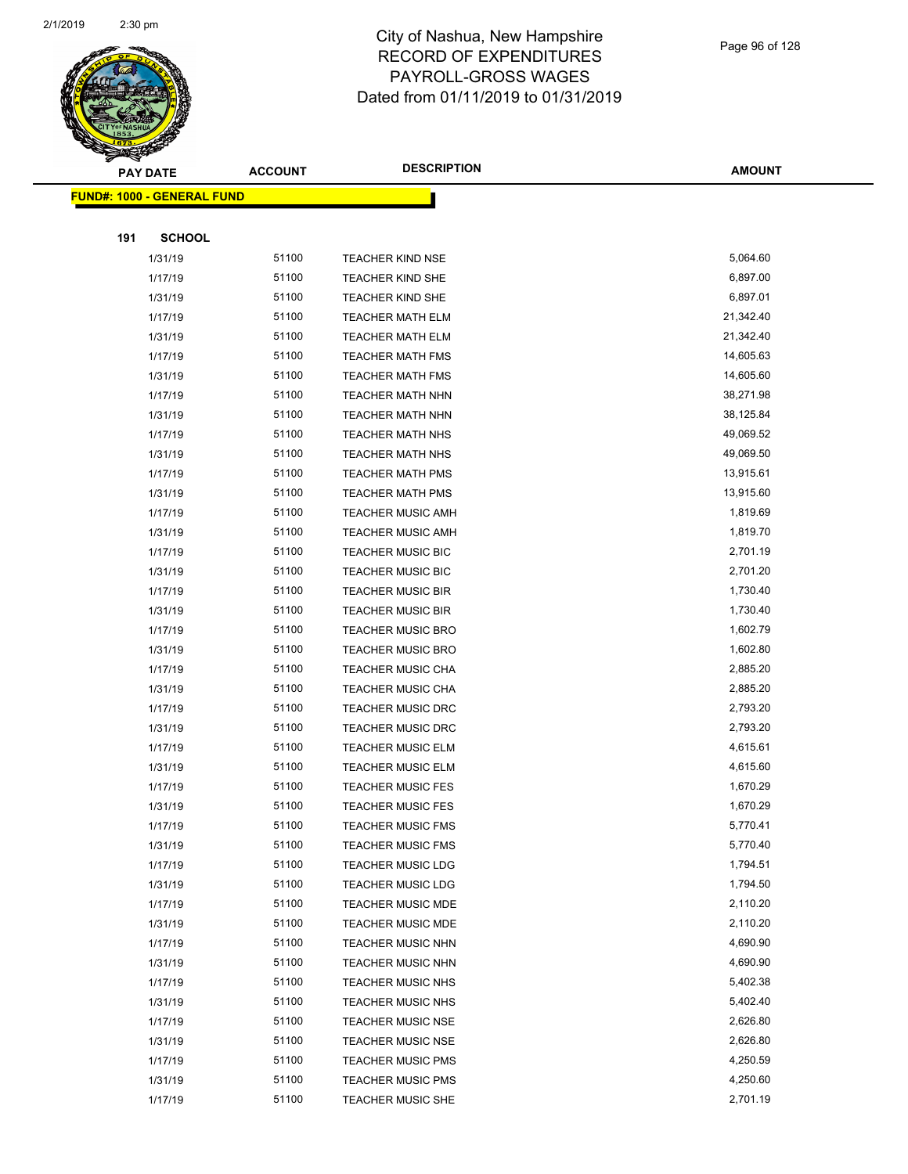

|     | <b>PAY DATE</b>                    | <b>ACCOUNT</b> | <b>DESCRIPTION</b>       | <b>AMOUNT</b> |
|-----|------------------------------------|----------------|--------------------------|---------------|
|     | <u> FUND#: 1000 - GENERAL FUND</u> |                |                          |               |
|     |                                    |                |                          |               |
| 191 | <b>SCHOOL</b>                      |                |                          |               |
|     | 1/31/19                            | 51100          | <b>TEACHER KIND NSE</b>  | 5,064.60      |
|     | 1/17/19                            | 51100          | <b>TEACHER KIND SHE</b>  | 6,897.00      |
|     | 1/31/19                            | 51100          | TEACHER KIND SHE         | 6,897.01      |
|     | 1/17/19                            | 51100          | <b>TEACHER MATH ELM</b>  | 21,342.40     |
|     | 1/31/19                            | 51100          | TEACHER MATH ELM         | 21,342.40     |
|     | 1/17/19                            | 51100          | <b>TEACHER MATH FMS</b>  | 14,605.63     |
|     | 1/31/19                            | 51100          | <b>TEACHER MATH FMS</b>  | 14,605.60     |
|     | 1/17/19                            | 51100          | <b>TEACHER MATH NHN</b>  | 38,271.98     |
|     | 1/31/19                            | 51100          | <b>TEACHER MATH NHN</b>  | 38,125.84     |
|     | 1/17/19                            | 51100          | TEACHER MATH NHS         | 49,069.52     |
|     | 1/31/19                            | 51100          | TEACHER MATH NHS         | 49,069.50     |
|     | 1/17/19                            | 51100          | <b>TEACHER MATH PMS</b>  | 13,915.61     |
|     | 1/31/19                            | 51100          | <b>TEACHER MATH PMS</b>  | 13,915.60     |
|     | 1/17/19                            | 51100          | <b>TEACHER MUSIC AMH</b> | 1,819.69      |
|     | 1/31/19                            | 51100          | TEACHER MUSIC AMH        | 1,819.70      |
|     | 1/17/19                            | 51100          | <b>TEACHER MUSIC BIC</b> | 2,701.19      |
|     | 1/31/19                            | 51100          | <b>TEACHER MUSIC BIC</b> | 2,701.20      |
|     | 1/17/19                            | 51100          | <b>TEACHER MUSIC BIR</b> | 1,730.40      |
|     | 1/31/19                            | 51100          | <b>TEACHER MUSIC BIR</b> | 1,730.40      |
|     | 1/17/19                            | 51100          | <b>TEACHER MUSIC BRO</b> | 1,602.79      |
|     | 1/31/19                            | 51100          | <b>TEACHER MUSIC BRO</b> | 1,602.80      |
|     | 1/17/19                            | 51100          | <b>TEACHER MUSIC CHA</b> | 2,885.20      |
|     | 1/31/19                            | 51100          | TEACHER MUSIC CHA        | 2,885.20      |
|     | 1/17/19                            | 51100          | <b>TEACHER MUSIC DRC</b> | 2,793.20      |
|     | 1/31/19                            | 51100          | TEACHER MUSIC DRC        | 2,793.20      |
|     | 1/17/19                            | 51100          | <b>TEACHER MUSIC ELM</b> | 4,615.61      |
|     | 1/31/19                            | 51100          | <b>TEACHER MUSIC ELM</b> | 4,615.60      |
|     | 1/17/19                            | 51100          | <b>TEACHER MUSIC FES</b> | 1,670.29      |
|     | 1/31/19                            | 51100          | <b>TEACHER MUSIC FES</b> | 1,670.29      |
|     | 1/17/19                            | 51100          | TEACHER MUSIC FMS        | 5,770.41      |
|     | 1/31/19                            | 51100          | <b>TEACHER MUSIC FMS</b> | 5,770.40      |
|     | 1/17/19                            | 51100          | <b>TEACHER MUSIC LDG</b> | 1,794.51      |
|     | 1/31/19                            | 51100          | <b>TEACHER MUSIC LDG</b> | 1,794.50      |
|     | 1/17/19                            | 51100          | <b>TEACHER MUSIC MDE</b> | 2,110.20      |
|     | 1/31/19                            | 51100          | <b>TEACHER MUSIC MDE</b> | 2,110.20      |
|     | 1/17/19                            | 51100          | TEACHER MUSIC NHN        | 4,690.90      |
|     | 1/31/19                            | 51100          | <b>TEACHER MUSIC NHN</b> | 4,690.90      |
|     | 1/17/19                            | 51100          | <b>TEACHER MUSIC NHS</b> | 5,402.38      |
|     | 1/31/19                            | 51100          | <b>TEACHER MUSIC NHS</b> | 5,402.40      |
|     | 1/17/19                            | 51100          | <b>TEACHER MUSIC NSE</b> | 2,626.80      |
|     | 1/31/19                            | 51100          | <b>TEACHER MUSIC NSE</b> | 2,626.80      |
|     | 1/17/19                            | 51100          | <b>TEACHER MUSIC PMS</b> | 4,250.59      |
|     | 1/31/19                            | 51100          | <b>TEACHER MUSIC PMS</b> | 4,250.60      |
|     | 1/17/19                            | 51100          | TEACHER MUSIC SHE        | 2,701.19      |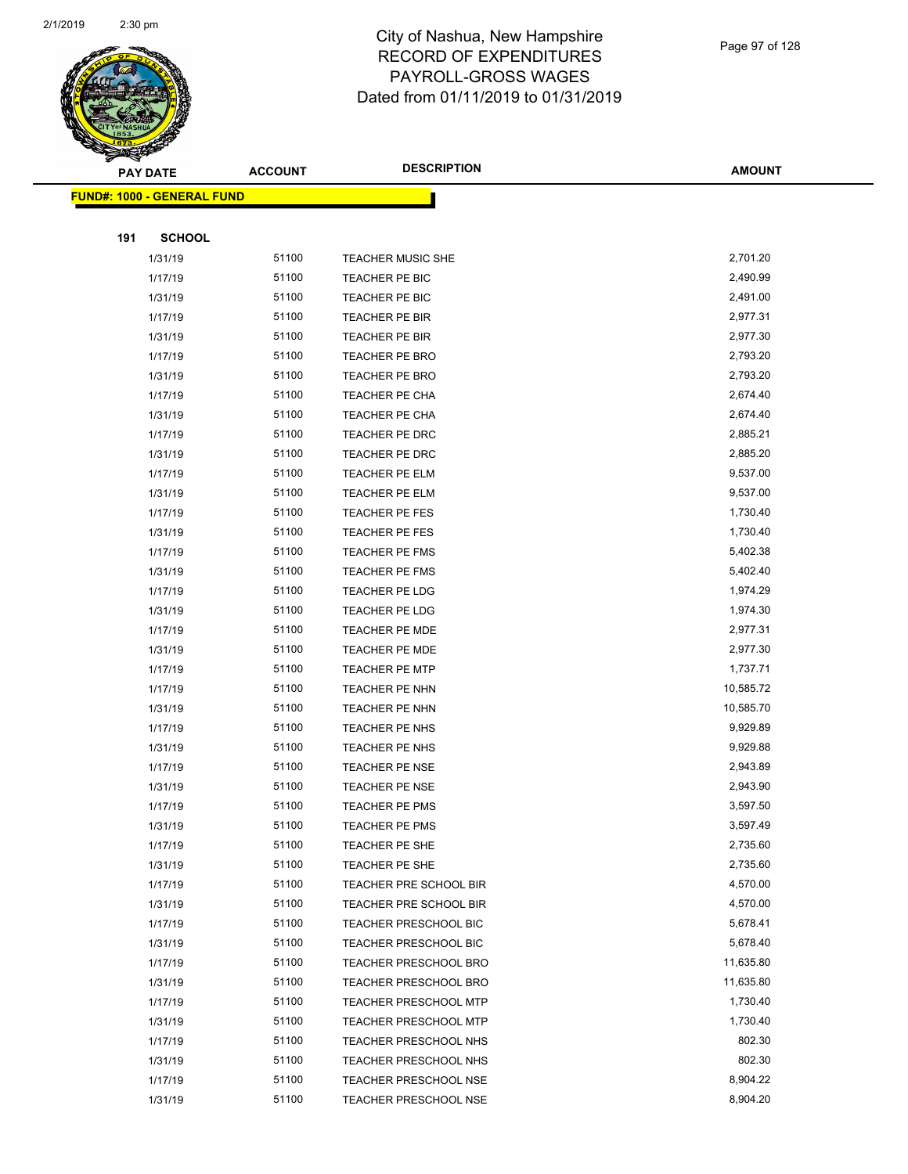

Page 97 of 128

|     | <b>PAY DATE</b>                    | <b>ACCOUNT</b> | <b>DESCRIPTION</b>           | <b>AMOUNT</b> |
|-----|------------------------------------|----------------|------------------------------|---------------|
|     | <u> FUND#: 1000 - GENERAL FUND</u> |                |                              |               |
|     |                                    |                |                              |               |
| 191 | <b>SCHOOL</b>                      |                |                              |               |
|     | 1/31/19                            | 51100          | TEACHER MUSIC SHE            | 2,701.20      |
|     | 1/17/19                            | 51100          | TEACHER PE BIC               | 2,490.99      |
|     | 1/31/19                            | 51100          | TEACHER PE BIC               | 2,491.00      |
|     | 1/17/19                            | 51100          | TEACHER PE BIR               | 2,977.31      |
|     | 1/31/19                            | 51100          | TEACHER PE BIR               | 2,977.30      |
|     | 1/17/19                            | 51100          | TEACHER PE BRO               | 2,793.20      |
|     | 1/31/19                            | 51100          | <b>TEACHER PE BRO</b>        | 2,793.20      |
|     | 1/17/19                            | 51100          | TEACHER PE CHA               | 2,674.40      |
|     | 1/31/19                            | 51100          | TEACHER PE CHA               | 2,674.40      |
|     | 1/17/19                            | 51100          | TEACHER PE DRC               | 2,885.21      |
|     | 1/31/19                            | 51100          | TEACHER PE DRC               | 2,885.20      |
|     | 1/17/19                            | 51100          | TEACHER PE ELM               | 9,537.00      |
|     | 1/31/19                            | 51100          | TEACHER PE ELM               | 9,537.00      |
|     | 1/17/19                            | 51100          | TEACHER PE FES               | 1,730.40      |
|     | 1/31/19                            | 51100          | TEACHER PE FES               | 1,730.40      |
|     | 1/17/19                            | 51100          | <b>TEACHER PE FMS</b>        | 5,402.38      |
|     | 1/31/19                            | 51100          | TEACHER PE FMS               | 5,402.40      |
|     | 1/17/19                            | 51100          | TEACHER PE LDG               | 1,974.29      |
|     | 1/31/19                            | 51100          | TEACHER PE LDG               | 1,974.30      |
|     | 1/17/19                            | 51100          | TEACHER PE MDE               | 2,977.31      |
|     | 1/31/19                            | 51100          | <b>TEACHER PE MDE</b>        | 2,977.30      |
|     | 1/17/19                            | 51100          | <b>TEACHER PE MTP</b>        | 1,737.71      |
|     | 1/17/19                            | 51100          | TEACHER PE NHN               | 10,585.72     |
|     | 1/31/19                            | 51100          | TEACHER PE NHN               | 10,585.70     |
|     | 1/17/19                            | 51100          | TEACHER PE NHS               | 9,929.89      |
|     | 1/31/19                            | 51100          | TEACHER PE NHS               | 9,929.88      |
|     | 1/17/19                            | 51100          | TEACHER PE NSE               | 2,943.89      |
|     | 1/31/19                            | 51100          | <b>TEACHER PE NSE</b>        | 2,943.90      |
|     | 1/17/19                            | 51100          | TEACHER PE PMS               | 3,597.50      |
|     | 1/31/19                            | 51100          | TEACHER PE PMS               | 3,597.49      |
|     | 1/17/19                            | 51100          | TEACHER PE SHE               | 2,735.60      |
|     | 1/31/19                            | 51100          | TEACHER PE SHE               | 2,735.60      |
|     | 1/17/19                            | 51100          | TEACHER PRE SCHOOL BIR       | 4,570.00      |
|     | 1/31/19                            | 51100          | TEACHER PRE SCHOOL BIR       | 4,570.00      |
|     | 1/17/19                            | 51100          | TEACHER PRESCHOOL BIC        | 5,678.41      |
|     | 1/31/19                            | 51100          | TEACHER PRESCHOOL BIC        | 5,678.40      |
|     | 1/17/19                            | 51100          | <b>TEACHER PRESCHOOL BRO</b> | 11,635.80     |
|     | 1/31/19                            | 51100          | <b>TEACHER PRESCHOOL BRO</b> | 11,635.80     |
|     | 1/17/19                            | 51100          | <b>TEACHER PRESCHOOL MTP</b> | 1,730.40      |
|     | 1/31/19                            | 51100          | TEACHER PRESCHOOL MTP        | 1,730.40      |
|     | 1/17/19                            | 51100          | TEACHER PRESCHOOL NHS        | 802.30        |
|     | 1/31/19                            | 51100          | <b>TEACHER PRESCHOOL NHS</b> | 802.30        |
|     | 1/17/19                            | 51100          | <b>TEACHER PRESCHOOL NSE</b> | 8,904.22      |
|     | 1/31/19                            | 51100          | TEACHER PRESCHOOL NSE        | 8,904.20      |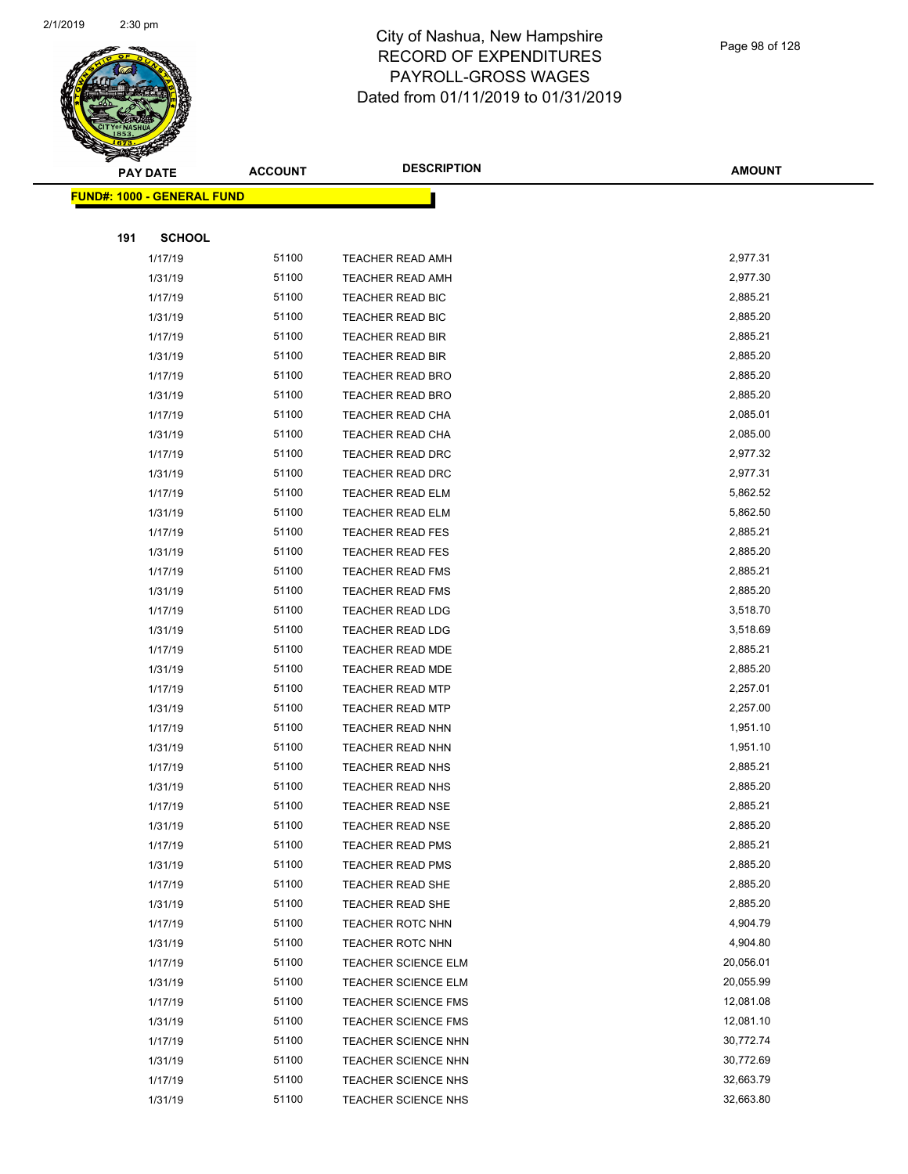

|     | <b>PAY DATE</b>                    | <b>ACCOUNT</b> | <b>DESCRIPTION</b>         | <b>AMOUNT</b> |
|-----|------------------------------------|----------------|----------------------------|---------------|
|     | <u> FUND#: 1000 - GENERAL FUND</u> |                |                            |               |
|     |                                    |                |                            |               |
| 191 | <b>SCHOOL</b>                      |                |                            |               |
|     | 1/17/19                            | 51100          | <b>TEACHER READ AMH</b>    | 2,977.31      |
|     | 1/31/19                            | 51100          | <b>TEACHER READ AMH</b>    | 2,977.30      |
|     | 1/17/19                            | 51100          | <b>TEACHER READ BIC</b>    | 2,885.21      |
|     | 1/31/19                            | 51100          | <b>TEACHER READ BIC</b>    | 2,885.20      |
|     | 1/17/19                            | 51100          | <b>TEACHER READ BIR</b>    | 2,885.21      |
|     | 1/31/19                            | 51100          | TEACHER READ BIR           | 2,885.20      |
|     | 1/17/19                            | 51100          | <b>TEACHER READ BRO</b>    | 2,885.20      |
|     | 1/31/19                            | 51100          | <b>TEACHER READ BRO</b>    | 2,885.20      |
|     | 1/17/19                            | 51100          | <b>TEACHER READ CHA</b>    | 2,085.01      |
|     | 1/31/19                            | 51100          | TEACHER READ CHA           | 2,085.00      |
|     | 1/17/19                            | 51100          | TEACHER READ DRC           | 2,977.32      |
|     | 1/31/19                            | 51100          | <b>TEACHER READ DRC</b>    | 2,977.31      |
|     | 1/17/19                            | 51100          | <b>TEACHER READ ELM</b>    | 5,862.52      |
|     | 1/31/19                            | 51100          | <b>TEACHER READ ELM</b>    | 5,862.50      |
|     | 1/17/19                            | 51100          | <b>TEACHER READ FES</b>    | 2,885.21      |
|     | 1/31/19                            | 51100          | <b>TEACHER READ FES</b>    | 2,885.20      |
|     | 1/17/19                            | 51100          | <b>TEACHER READ FMS</b>    | 2,885.21      |
|     | 1/31/19                            | 51100          | <b>TEACHER READ FMS</b>    | 2,885.20      |
|     | 1/17/19                            | 51100          | <b>TEACHER READ LDG</b>    | 3,518.70      |
|     | 1/31/19                            | 51100          | TEACHER READ LDG           | 3,518.69      |
|     | 1/17/19                            | 51100          | TEACHER READ MDE           | 2,885.21      |
|     | 1/31/19                            | 51100          | <b>TEACHER READ MDE</b>    | 2,885.20      |
|     | 1/17/19                            | 51100          | <b>TEACHER READ MTP</b>    | 2,257.01      |
|     | 1/31/19                            | 51100          | <b>TEACHER READ MTP</b>    | 2,257.00      |
|     | 1/17/19                            | 51100          | TEACHER READ NHN           | 1,951.10      |
|     | 1/31/19                            | 51100          | TEACHER READ NHN           | 1,951.10      |
|     | 1/17/19                            | 51100          | <b>TEACHER READ NHS</b>    | 2,885.21      |
|     | 1/31/19                            | 51100          | TEACHER READ NHS           | 2,885.20      |
|     | 1/17/19                            | 51100          | <b>TEACHER READ NSE</b>    | 2,885.21      |
|     | 1/31/19                            | 51100          | TEACHER READ NSE           | 2,885.20      |
|     | 1/17/19                            | 51100          | <b>TEACHER READ PMS</b>    | 2,885.21      |
|     | 1/31/19                            | 51100          | <b>TEACHER READ PMS</b>    | 2,885.20      |
|     | 1/17/19                            | 51100          | TEACHER READ SHE           | 2,885.20      |
|     | 1/31/19                            | 51100          | TEACHER READ SHE           | 2,885.20      |
|     | 1/17/19                            | 51100          | TEACHER ROTC NHN           | 4,904.79      |
|     | 1/31/19                            | 51100          | TEACHER ROTC NHN           | 4,904.80      |
|     | 1/17/19                            | 51100          | <b>TEACHER SCIENCE ELM</b> | 20,056.01     |
|     | 1/31/19                            | 51100          | <b>TEACHER SCIENCE ELM</b> | 20,055.99     |
|     | 1/17/19                            | 51100          | TEACHER SCIENCE FMS        | 12,081.08     |
|     | 1/31/19                            | 51100          | TEACHER SCIENCE FMS        | 12,081.10     |
|     | 1/17/19                            | 51100          | TEACHER SCIENCE NHN        | 30,772.74     |
|     | 1/31/19                            | 51100          | <b>TEACHER SCIENCE NHN</b> | 30,772.69     |
|     | 1/17/19                            | 51100          | <b>TEACHER SCIENCE NHS</b> | 32,663.79     |
|     | 1/31/19                            | 51100          | TEACHER SCIENCE NHS        | 32,663.80     |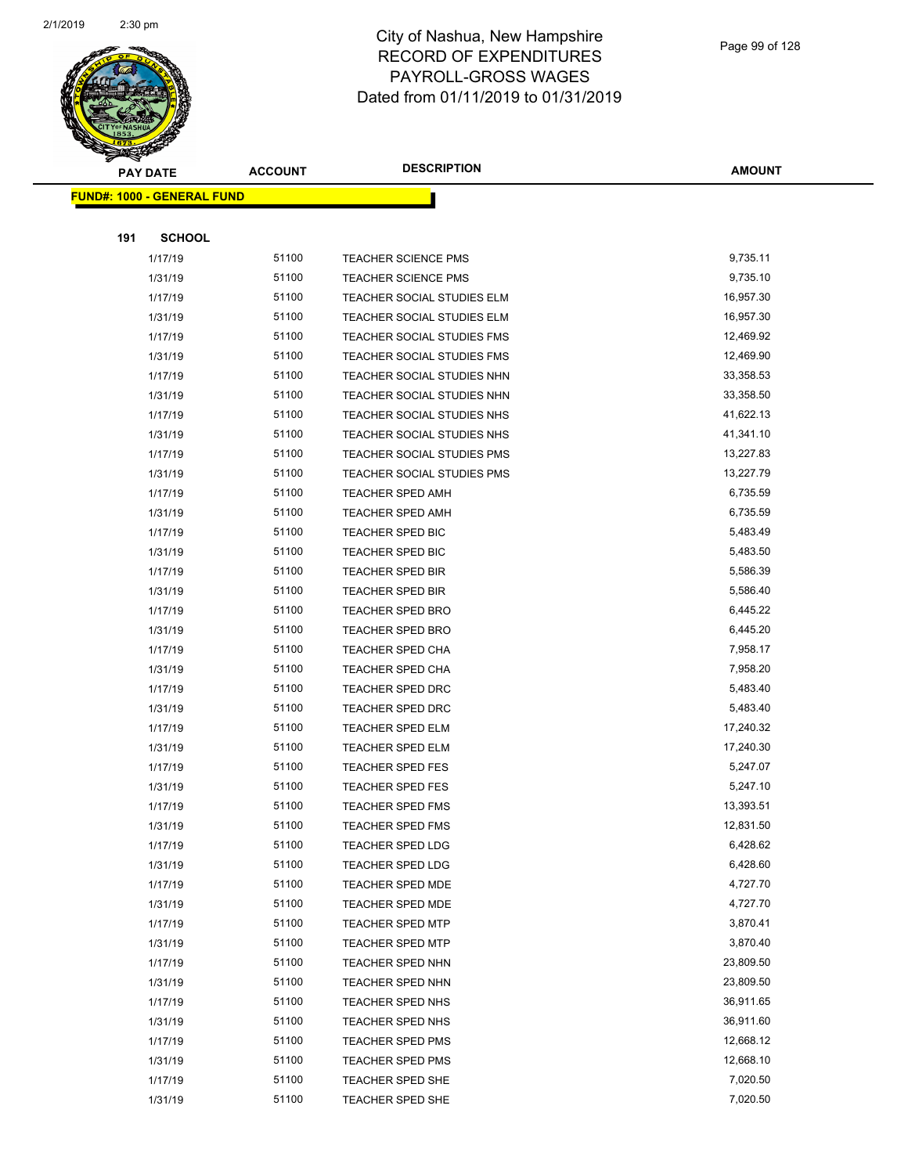

|     | <b>PAY DATE</b>                    | <b>ACCOUNT</b> | <b>DESCRIPTION</b>         | <b>AMOUNT</b> |
|-----|------------------------------------|----------------|----------------------------|---------------|
|     | <u> FUND#: 1000 - GENERAL FUND</u> |                |                            |               |
|     |                                    |                |                            |               |
| 191 | <b>SCHOOL</b>                      |                |                            |               |
|     | 1/17/19                            | 51100          | <b>TEACHER SCIENCE PMS</b> | 9,735.11      |
|     | 1/31/19                            | 51100          | <b>TEACHER SCIENCE PMS</b> | 9,735.10      |
|     | 1/17/19                            | 51100          | TEACHER SOCIAL STUDIES ELM | 16,957.30     |
|     | 1/31/19                            | 51100          | TEACHER SOCIAL STUDIES ELM | 16,957.30     |
|     | 1/17/19                            | 51100          | TEACHER SOCIAL STUDIES FMS | 12,469.92     |
|     | 1/31/19                            | 51100          | TEACHER SOCIAL STUDIES FMS | 12,469.90     |
|     | 1/17/19                            | 51100          | TEACHER SOCIAL STUDIES NHN | 33,358.53     |
|     | 1/31/19                            | 51100          | TEACHER SOCIAL STUDIES NHN | 33,358.50     |
|     | 1/17/19                            | 51100          | TEACHER SOCIAL STUDIES NHS | 41,622.13     |
|     | 1/31/19                            | 51100          | TEACHER SOCIAL STUDIES NHS | 41,341.10     |
|     | 1/17/19                            | 51100          | TEACHER SOCIAL STUDIES PMS | 13,227.83     |
|     | 1/31/19                            | 51100          | TEACHER SOCIAL STUDIES PMS | 13,227.79     |
|     | 1/17/19                            | 51100          | <b>TEACHER SPED AMH</b>    | 6,735.59      |
|     | 1/31/19                            | 51100          | <b>TEACHER SPED AMH</b>    | 6,735.59      |
|     | 1/17/19                            | 51100          | TEACHER SPED BIC           | 5,483.49      |
|     | 1/31/19                            | 51100          | TEACHER SPED BIC           | 5,483.50      |
|     | 1/17/19                            | 51100          | <b>TEACHER SPED BIR</b>    | 5,586.39      |
|     | 1/31/19                            | 51100          | <b>TEACHER SPED BIR</b>    | 5,586.40      |
|     | 1/17/19                            | 51100          | <b>TEACHER SPED BRO</b>    | 6,445.22      |
|     | 1/31/19                            | 51100          | <b>TEACHER SPED BRO</b>    | 6,445.20      |
|     | 1/17/19                            | 51100          | TEACHER SPED CHA           | 7,958.17      |
|     | 1/31/19                            | 51100          | <b>TEACHER SPED CHA</b>    | 7,958.20      |
|     | 1/17/19                            | 51100          | TEACHER SPED DRC           | 5,483.40      |
|     | 1/31/19                            | 51100          | TEACHER SPED DRC           | 5,483.40      |
|     | 1/17/19                            | 51100          | TEACHER SPED ELM           | 17,240.32     |
|     | 1/31/19                            | 51100          | TEACHER SPED ELM           | 17,240.30     |
|     | 1/17/19                            | 51100          | <b>TEACHER SPED FES</b>    | 5,247.07      |
|     | 1/31/19                            | 51100          | TEACHER SPED FES           | 5,247.10      |
|     | 1/17/19                            | 51100          | <b>TEACHER SPED FMS</b>    | 13,393.51     |
|     | 1/31/19                            | 51100          | TEACHER SPED FMS           | 12,831.50     |
|     | 1/17/19                            | 51100          | <b>TEACHER SPED LDG</b>    | 6,428.62      |
|     | 1/31/19                            | 51100          | <b>TEACHER SPED LDG</b>    | 6,428.60      |
|     | 1/17/19                            | 51100          | TEACHER SPED MDE           | 4,727.70      |
|     | 1/31/19                            | 51100          | <b>TEACHER SPED MDE</b>    | 4,727.70      |
|     | 1/17/19                            | 51100          | <b>TEACHER SPED MTP</b>    | 3,870.41      |
|     | 1/31/19                            | 51100          | <b>TEACHER SPED MTP</b>    | 3,870.40      |
|     | 1/17/19                            | 51100          | TEACHER SPED NHN           | 23,809.50     |
|     | 1/31/19                            | 51100          | TEACHER SPED NHN           | 23,809.50     |
|     | 1/17/19                            | 51100          | TEACHER SPED NHS           | 36,911.65     |
|     | 1/31/19                            | 51100          | TEACHER SPED NHS           | 36,911.60     |
|     | 1/17/19                            | 51100          | <b>TEACHER SPED PMS</b>    | 12,668.12     |
|     | 1/31/19                            | 51100          | <b>TEACHER SPED PMS</b>    | 12,668.10     |
|     | 1/17/19                            | 51100          | TEACHER SPED SHE           | 7,020.50      |
|     | 1/31/19                            | 51100          | TEACHER SPED SHE           | 7,020.50      |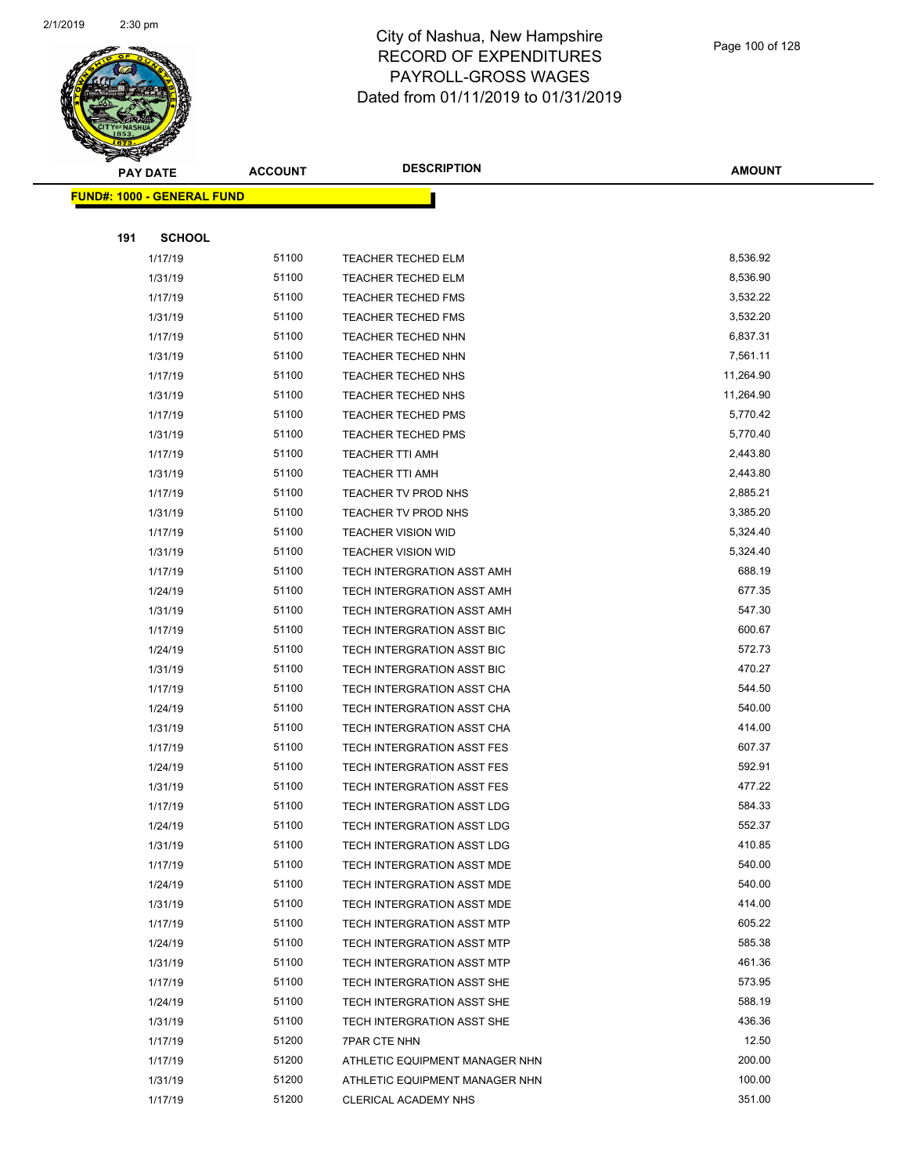

|     | <b>PAY DATE</b>                    | <b>ACCOUNT</b> | <b>DESCRIPTION</b>                | <b>AMOUNT</b> |
|-----|------------------------------------|----------------|-----------------------------------|---------------|
|     | <u> FUND#: 1000 - GENERAL FUND</u> |                |                                   |               |
|     |                                    |                |                                   |               |
| 191 | <b>SCHOOL</b>                      |                |                                   |               |
|     | 1/17/19                            | 51100          | TEACHER TECHED ELM                | 8,536.92      |
|     | 1/31/19                            | 51100          | <b>TEACHER TECHED ELM</b>         | 8,536.90      |
|     | 1/17/19                            | 51100          | <b>TEACHER TECHED FMS</b>         | 3,532.22      |
|     | 1/31/19                            | 51100          | <b>TEACHER TECHED FMS</b>         | 3,532.20      |
|     | 1/17/19                            | 51100          | TEACHER TECHED NHN                | 6,837.31      |
|     | 1/31/19                            | 51100          | TEACHER TECHED NHN                | 7,561.11      |
|     | 1/17/19                            | 51100          | <b>TEACHER TECHED NHS</b>         | 11,264.90     |
|     | 1/31/19                            | 51100          | TEACHER TECHED NHS                | 11,264.90     |
|     | 1/17/19                            | 51100          | <b>TEACHER TECHED PMS</b>         | 5,770.42      |
|     | 1/31/19                            | 51100          | <b>TEACHER TECHED PMS</b>         | 5,770.40      |
|     | 1/17/19                            | 51100          | <b>TEACHER TTI AMH</b>            | 2,443.80      |
|     | 1/31/19                            | 51100          | <b>TEACHER TTI AMH</b>            | 2,443.80      |
|     | 1/17/19                            | 51100          | TEACHER TV PROD NHS               | 2,885.21      |
|     | 1/31/19                            | 51100          | TEACHER TV PROD NHS               | 3,385.20      |
|     | 1/17/19                            | 51100          | <b>TEACHER VISION WID</b>         | 5,324.40      |
|     | 1/31/19                            | 51100          | <b>TEACHER VISION WID</b>         | 5,324.40      |
|     | 1/17/19                            | 51100          | TECH INTERGRATION ASST AMH        | 688.19        |
|     | 1/24/19                            | 51100          | TECH INTERGRATION ASST AMH        | 677.35        |
|     | 1/31/19                            | 51100          | TECH INTERGRATION ASST AMH        | 547.30        |
|     | 1/17/19                            | 51100          | TECH INTERGRATION ASST BIC        | 600.67        |
|     | 1/24/19                            | 51100          | TECH INTERGRATION ASST BIC        | 572.73        |
|     | 1/31/19                            | 51100          | TECH INTERGRATION ASST BIC        | 470.27        |
|     | 1/17/19                            | 51100          | TECH INTERGRATION ASST CHA        | 544.50        |
|     | 1/24/19                            | 51100          | TECH INTERGRATION ASST CHA        | 540.00        |
|     | 1/31/19                            | 51100          | TECH INTERGRATION ASST CHA        | 414.00        |
|     | 1/17/19                            | 51100          | TECH INTERGRATION ASST FES        | 607.37        |
|     | 1/24/19                            | 51100          | TECH INTERGRATION ASST FES        | 592.91        |
|     | 1/31/19                            | 51100          | TECH INTERGRATION ASST FES        | 477.22        |
|     | 1/17/19                            | 51100          | <b>TECH INTERGRATION ASST LDG</b> | 584.33        |
|     | 1/24/19                            | 51100          | TECH INTERGRATION ASST LDG        | 552.37        |
|     | 1/31/19                            | 51100          | TECH INTERGRATION ASST LDG        | 410.85        |
|     | 1/17/19                            | 51100          | TECH INTERGRATION ASST MDE        | 540.00        |
|     | 1/24/19                            | 51100          | TECH INTERGRATION ASST MDE        | 540.00        |
|     | 1/31/19                            | 51100          | TECH INTERGRATION ASST MDE        | 414.00        |
|     | 1/17/19                            | 51100          | TECH INTERGRATION ASST MTP        | 605.22        |
|     | 1/24/19                            | 51100          | TECH INTERGRATION ASST MTP        | 585.38        |
|     | 1/31/19                            | 51100          | TECH INTERGRATION ASST MTP        | 461.36        |
|     | 1/17/19                            | 51100          | TECH INTERGRATION ASST SHE        | 573.95        |
|     | 1/24/19                            | 51100          | TECH INTERGRATION ASST SHE        | 588.19        |
|     | 1/31/19                            | 51100          | TECH INTERGRATION ASST SHE        | 436.36        |
|     | 1/17/19                            | 51200          | <b>7PAR CTE NHN</b>               | 12.50         |
|     | 1/17/19                            | 51200          | ATHLETIC EQUIPMENT MANAGER NHN    | 200.00        |
|     | 1/31/19                            | 51200          | ATHLETIC EQUIPMENT MANAGER NHN    | 100.00        |
|     | 1/17/19                            | 51200          | CLERICAL ACADEMY NHS              | 351.00        |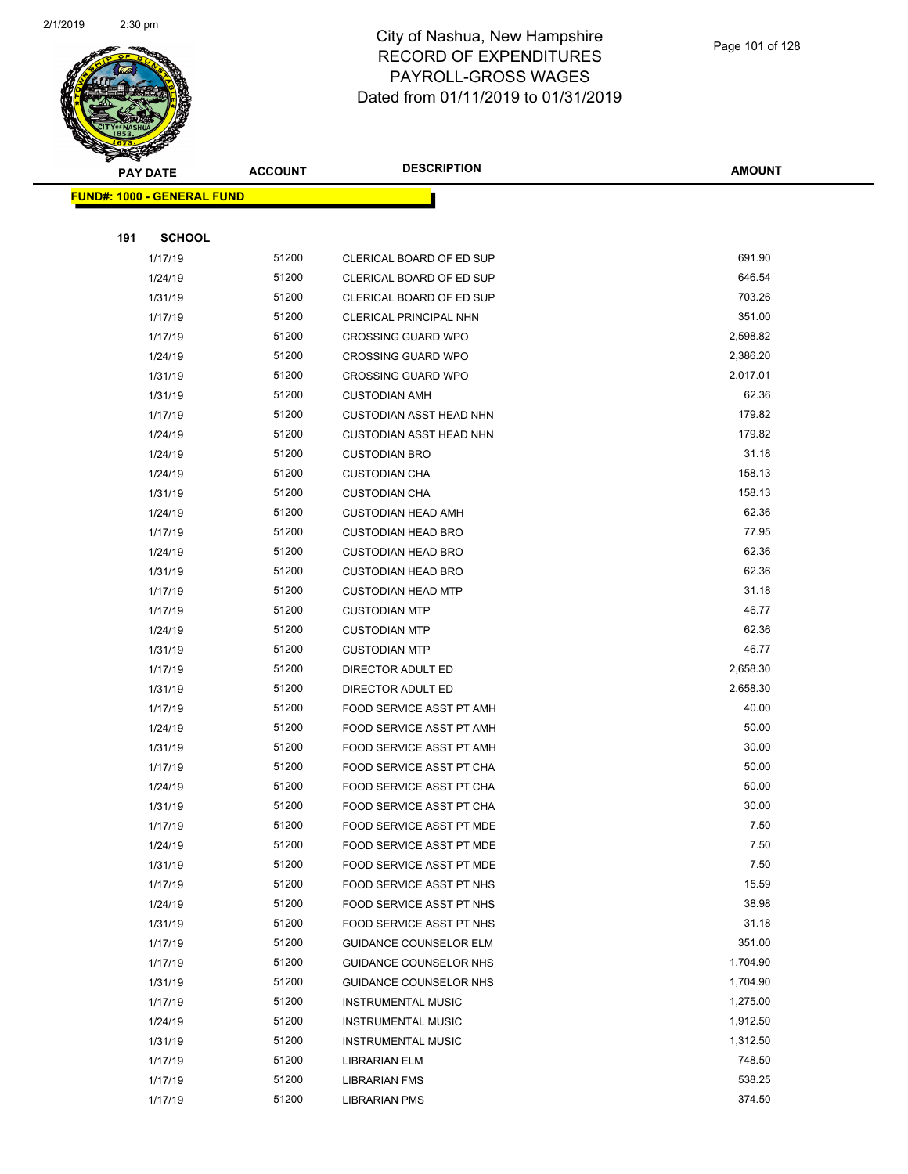

|     | <b>PAY DATE</b>                   | <b>ACCOUNT</b> | <b>DESCRIPTION</b>             | <b>AMOUNT</b> |
|-----|-----------------------------------|----------------|--------------------------------|---------------|
|     | <b>FUND#: 1000 - GENERAL FUND</b> |                |                                |               |
|     |                                   |                |                                |               |
| 191 | <b>SCHOOL</b>                     |                |                                |               |
|     | 1/17/19                           | 51200          | CLERICAL BOARD OF ED SUP       | 691.90        |
|     | 1/24/19                           | 51200          | CLERICAL BOARD OF ED SUP       | 646.54        |
|     | 1/31/19                           | 51200          | CLERICAL BOARD OF ED SUP       | 703.26        |
|     | 1/17/19                           | 51200          | <b>CLERICAL PRINCIPAL NHN</b>  | 351.00        |
|     | 1/17/19                           | 51200          | <b>CROSSING GUARD WPO</b>      | 2,598.82      |
|     | 1/24/19                           | 51200          | <b>CROSSING GUARD WPO</b>      | 2,386.20      |
|     | 1/31/19                           | 51200          | <b>CROSSING GUARD WPO</b>      | 2,017.01      |
|     | 1/31/19                           | 51200          | <b>CUSTODIAN AMH</b>           | 62.36         |
|     | 1/17/19                           | 51200          | <b>CUSTODIAN ASST HEAD NHN</b> | 179.82        |
|     | 1/24/19                           | 51200          | <b>CUSTODIAN ASST HEAD NHN</b> | 179.82        |
|     | 1/24/19                           | 51200          | <b>CUSTODIAN BRO</b>           | 31.18         |
|     | 1/24/19                           | 51200          | <b>CUSTODIAN CHA</b>           | 158.13        |
|     | 1/31/19                           | 51200          | <b>CUSTODIAN CHA</b>           | 158.13        |
|     | 1/24/19                           | 51200          | <b>CUSTODIAN HEAD AMH</b>      | 62.36         |
|     | 1/17/19                           | 51200          | <b>CUSTODIAN HEAD BRO</b>      | 77.95         |
|     | 1/24/19                           | 51200          | <b>CUSTODIAN HEAD BRO</b>      | 62.36         |
|     | 1/31/19                           | 51200          | <b>CUSTODIAN HEAD BRO</b>      | 62.36         |
|     | 1/17/19                           | 51200          | <b>CUSTODIAN HEAD MTP</b>      | 31.18         |
|     | 1/17/19                           | 51200          | <b>CUSTODIAN MTP</b>           | 46.77         |
|     | 1/24/19                           | 51200          | <b>CUSTODIAN MTP</b>           | 62.36         |
|     | 1/31/19                           | 51200          | <b>CUSTODIAN MTP</b>           | 46.77         |
|     | 1/17/19                           | 51200          | DIRECTOR ADULT ED              | 2,658.30      |
|     | 1/31/19                           | 51200          | DIRECTOR ADULT ED              | 2,658.30      |
|     | 1/17/19                           | 51200          | FOOD SERVICE ASST PT AMH       | 40.00         |
|     | 1/24/19                           | 51200          | FOOD SERVICE ASST PT AMH       | 50.00         |
|     | 1/31/19                           | 51200          | FOOD SERVICE ASST PT AMH       | 30.00         |
|     | 1/17/19                           | 51200          | FOOD SERVICE ASST PT CHA       | 50.00         |
|     | 1/24/19                           | 51200          | FOOD SERVICE ASST PT CHA       | 50.00         |
|     | 1/31/19                           | 51200          | FOOD SERVICE ASST PT CHA       | 30.00         |
|     | 1/17/19                           | 51200          | FOOD SERVICE ASST PT MDE       | 7.50          |
|     | 1/24/19                           | 51200          | FOOD SERVICE ASST PT MDE       | 7.50          |
|     | 1/31/19                           | 51200          | FOOD SERVICE ASST PT MDE       | 7.50          |
|     | 1/17/19                           | 51200          | FOOD SERVICE ASST PT NHS       | 15.59         |
|     | 1/24/19                           | 51200          | FOOD SERVICE ASST PT NHS       | 38.98         |
|     | 1/31/19                           | 51200          | FOOD SERVICE ASST PT NHS       | 31.18         |
|     | 1/17/19                           | 51200          | <b>GUIDANCE COUNSELOR ELM</b>  | 351.00        |
|     | 1/17/19                           | 51200          | GUIDANCE COUNSELOR NHS         | 1,704.90      |
|     | 1/31/19                           | 51200          | GUIDANCE COUNSELOR NHS         | 1,704.90      |
|     | 1/17/19                           | 51200          | <b>INSTRUMENTAL MUSIC</b>      | 1,275.00      |
|     | 1/24/19                           | 51200          | <b>INSTRUMENTAL MUSIC</b>      | 1,912.50      |
|     | 1/31/19                           | 51200          | <b>INSTRUMENTAL MUSIC</b>      | 1,312.50      |
|     | 1/17/19                           | 51200          | LIBRARIAN ELM                  | 748.50        |
|     | 1/17/19                           | 51200          | <b>LIBRARIAN FMS</b>           | 538.25        |
|     | 1/17/19                           | 51200          | <b>LIBRARIAN PMS</b>           | 374.50        |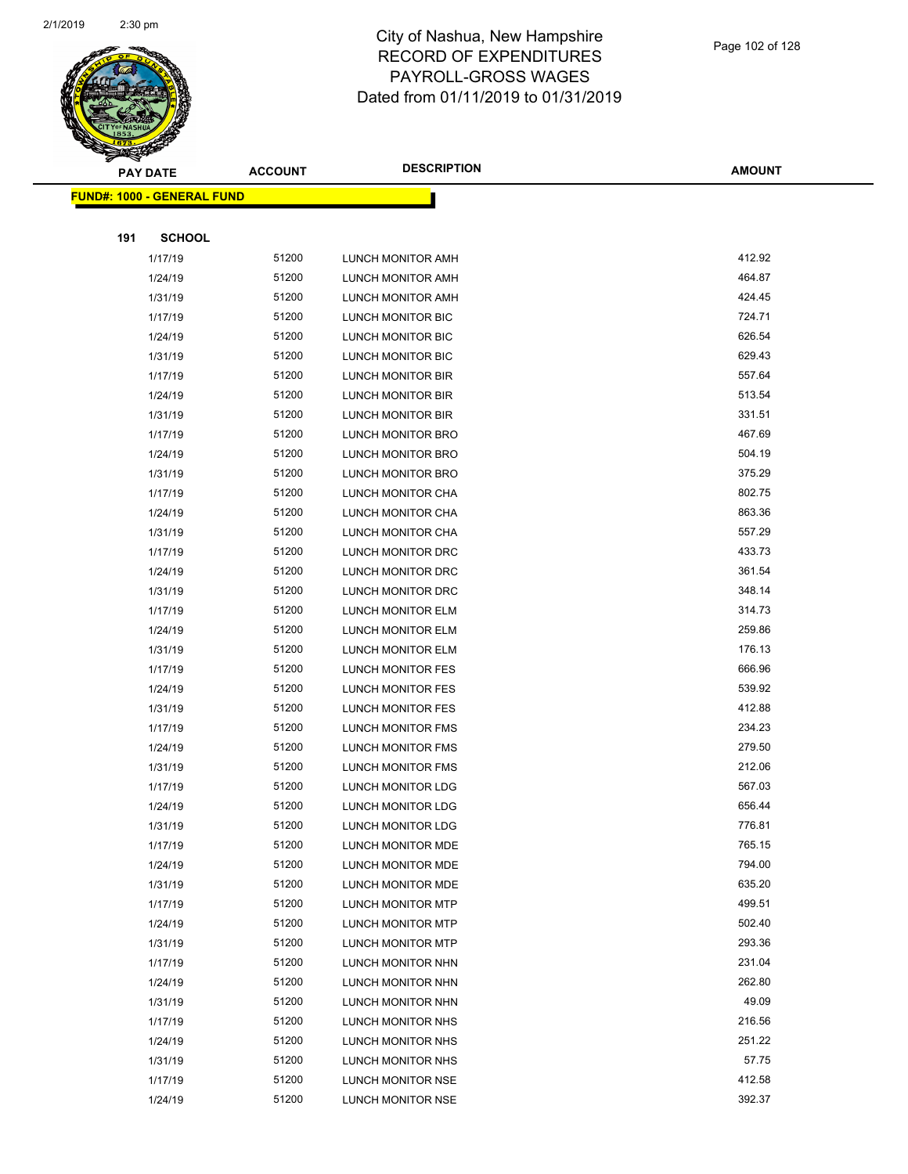

|     | <b>PAY DATE</b>                    | <b>ACCOUNT</b> | <b>DESCRIPTION</b>       | <b>AMOUNT</b> |
|-----|------------------------------------|----------------|--------------------------|---------------|
|     | <u> FUND#: 1000 - GENERAL FUND</u> |                |                          |               |
|     |                                    |                |                          |               |
| 191 | <b>SCHOOL</b>                      |                |                          |               |
|     | 1/17/19                            | 51200          | <b>LUNCH MONITOR AMH</b> | 412.92        |
|     | 1/24/19                            | 51200          | LUNCH MONITOR AMH        | 464.87        |
|     | 1/31/19                            | 51200          | LUNCH MONITOR AMH        | 424.45        |
|     | 1/17/19                            | 51200          | <b>LUNCH MONITOR BIC</b> | 724.71        |
|     | 1/24/19                            | 51200          | LUNCH MONITOR BIC        | 626.54        |
|     | 1/31/19                            | 51200          | LUNCH MONITOR BIC        | 629.43        |
|     | 1/17/19                            | 51200          | LUNCH MONITOR BIR        | 557.64        |
|     | 1/24/19                            | 51200          | LUNCH MONITOR BIR        | 513.54        |
|     | 1/31/19                            | 51200          | LUNCH MONITOR BIR        | 331.51        |
|     | 1/17/19                            | 51200          | <b>LUNCH MONITOR BRO</b> | 467.69        |
|     | 1/24/19                            | 51200          | <b>LUNCH MONITOR BRO</b> | 504.19        |
|     | 1/31/19                            | 51200          | LUNCH MONITOR BRO        | 375.29        |
|     | 1/17/19                            | 51200          | LUNCH MONITOR CHA        | 802.75        |
|     | 1/24/19                            | 51200          | LUNCH MONITOR CHA        | 863.36        |
|     | 1/31/19                            | 51200          | LUNCH MONITOR CHA        | 557.29        |
|     | 1/17/19                            | 51200          | LUNCH MONITOR DRC        | 433.73        |
|     | 1/24/19                            | 51200          | LUNCH MONITOR DRC        | 361.54        |
|     | 1/31/19                            | 51200          | LUNCH MONITOR DRC        | 348.14        |
|     | 1/17/19                            | 51200          | LUNCH MONITOR ELM        | 314.73        |
|     | 1/24/19                            | 51200          | <b>LUNCH MONITOR ELM</b> | 259.86        |
|     | 1/31/19                            | 51200          | LUNCH MONITOR ELM        | 176.13        |
|     | 1/17/19                            | 51200          | LUNCH MONITOR FES        | 666.96        |
|     | 1/24/19                            | 51200          | LUNCH MONITOR FES        | 539.92        |
|     | 1/31/19                            | 51200          | LUNCH MONITOR FES        | 412.88        |
|     | 1/17/19                            | 51200          | <b>LUNCH MONITOR FMS</b> | 234.23        |
|     | 1/24/19                            | 51200          | LUNCH MONITOR FMS        | 279.50        |
|     | 1/31/19                            | 51200          | <b>LUNCH MONITOR FMS</b> | 212.06        |
|     | 1/17/19                            | 51200          | <b>LUNCH MONITOR LDG</b> | 567.03        |
|     | 1/24/19                            | 51200          | <b>LUNCH MONITOR LDG</b> | 656.44        |
|     | 1/31/19                            | 51200          | <b>LUNCH MONITOR LDG</b> | 776.81        |
|     | 1/17/19                            | 51200          | LUNCH MONITOR MDE        | 765.15        |
|     | 1/24/19                            | 51200          | LUNCH MONITOR MDE        | 794.00        |
|     | 1/31/19                            | 51200          | LUNCH MONITOR MDE        | 635.20        |
|     | 1/17/19                            | 51200          | LUNCH MONITOR MTP        | 499.51        |
|     | 1/24/19                            | 51200          | <b>LUNCH MONITOR MTP</b> | 502.40        |
|     | 1/31/19                            | 51200          | <b>LUNCH MONITOR MTP</b> | 293.36        |
|     | 1/17/19                            | 51200          | LUNCH MONITOR NHN        | 231.04        |
|     | 1/24/19                            | 51200          | LUNCH MONITOR NHN        | 262.80        |
|     | 1/31/19                            | 51200          | LUNCH MONITOR NHN        | 49.09         |
|     | 1/17/19                            | 51200          | LUNCH MONITOR NHS        | 216.56        |
|     | 1/24/19                            | 51200          | LUNCH MONITOR NHS        | 251.22        |
|     | 1/31/19                            | 51200          | LUNCH MONITOR NHS        | 57.75         |
|     | 1/17/19                            | 51200          | LUNCH MONITOR NSE        | 412.58        |
|     | 1/24/19                            | 51200          | LUNCH MONITOR NSE        | 392.37        |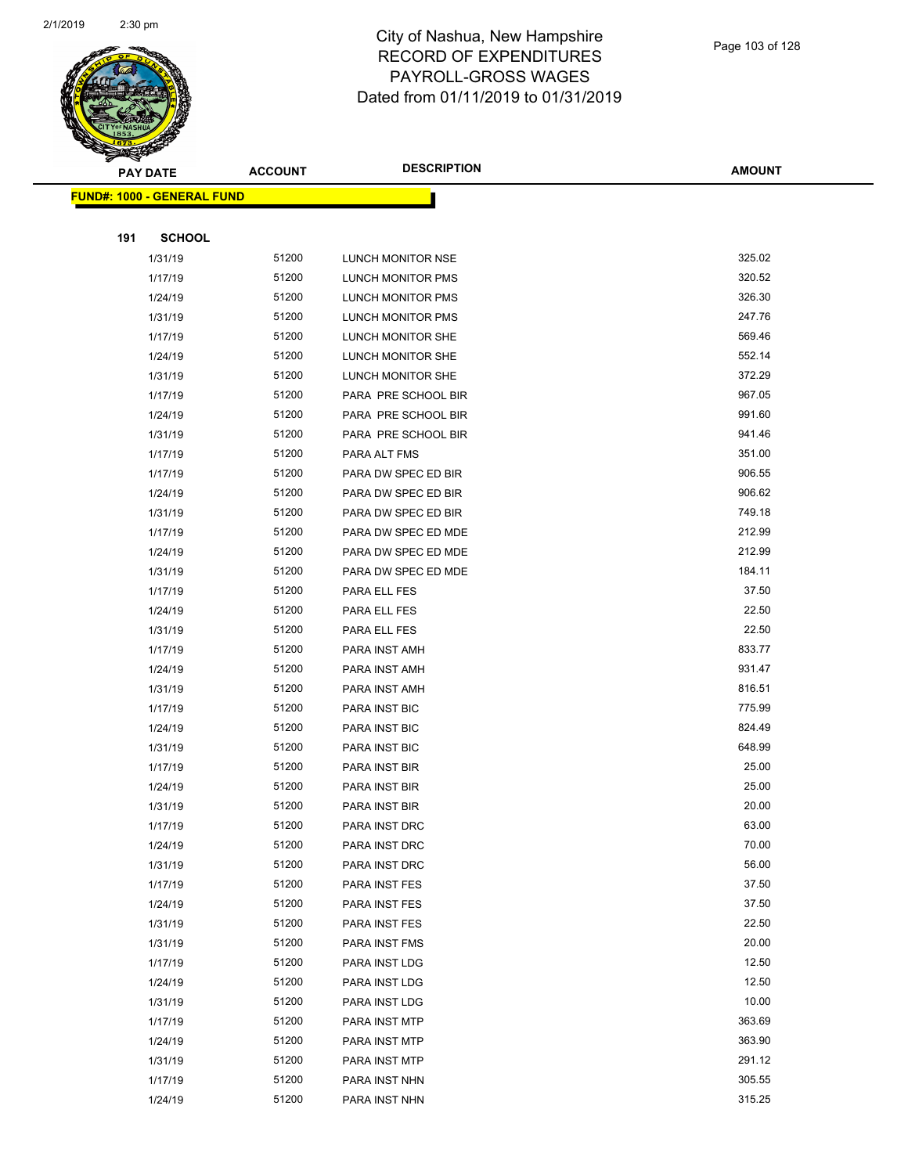

|     | <b>PAY DATE</b>                    | <b>ACCOUNT</b> | <b>DESCRIPTION</b>       | <b>AMOUNT</b> |
|-----|------------------------------------|----------------|--------------------------|---------------|
|     | <u> FUND#: 1000 - GENERAL FUND</u> |                |                          |               |
|     |                                    |                |                          |               |
| 191 | <b>SCHOOL</b>                      |                |                          |               |
|     | 1/31/19                            | 51200          | LUNCH MONITOR NSE        | 325.02        |
|     | 1/17/19                            | 51200          | LUNCH MONITOR PMS        | 320.52        |
|     | 1/24/19                            | 51200          | LUNCH MONITOR PMS        | 326.30        |
|     | 1/31/19                            | 51200          | LUNCH MONITOR PMS        | 247.76        |
|     | 1/17/19                            | 51200          | LUNCH MONITOR SHE        | 569.46        |
|     | 1/24/19                            | 51200          | <b>LUNCH MONITOR SHE</b> | 552.14        |
|     | 1/31/19                            | 51200          | LUNCH MONITOR SHE        | 372.29        |
|     | 1/17/19                            | 51200          | PARA PRE SCHOOL BIR      | 967.05        |
|     | 1/24/19                            | 51200          | PARA PRE SCHOOL BIR      | 991.60        |
|     | 1/31/19                            | 51200          | PARA PRE SCHOOL BIR      | 941.46        |
|     | 1/17/19                            | 51200          | PARA ALT FMS             | 351.00        |
|     | 1/17/19                            | 51200          | PARA DW SPEC ED BIR      | 906.55        |
|     | 1/24/19                            | 51200          | PARA DW SPEC ED BIR      | 906.62        |
|     | 1/31/19                            | 51200          | PARA DW SPEC ED BIR      | 749.18        |
|     | 1/17/19                            | 51200          | PARA DW SPEC ED MDE      | 212.99        |
|     | 1/24/19                            | 51200          | PARA DW SPEC ED MDE      | 212.99        |
|     | 1/31/19                            | 51200          | PARA DW SPEC ED MDE      | 184.11        |
|     | 1/17/19                            | 51200          | PARA ELL FES             | 37.50         |
|     | 1/24/19                            | 51200          | PARA ELL FES             | 22.50         |
|     | 1/31/19                            | 51200          | PARA ELL FES             | 22.50         |
|     | 1/17/19                            | 51200          | PARA INST AMH            | 833.77        |
|     | 1/24/19                            | 51200          | PARA INST AMH            | 931.47        |
|     | 1/31/19                            | 51200          | PARA INST AMH            | 816.51        |
|     | 1/17/19                            | 51200          | PARA INST BIC            | 775.99        |
|     | 1/24/19                            | 51200          | PARA INST BIC            | 824.49        |
|     | 1/31/19                            | 51200          | PARA INST BIC            | 648.99        |
|     | 1/17/19                            | 51200          | PARA INST BIR            | 25.00         |
|     | 1/24/19                            | 51200          | PARA INST BIR            | 25.00         |
|     | 1/31/19                            | 51200          | <b>PARA INST BIR</b>     | 20.00         |
|     | 1/17/19                            | 51200          | PARA INST DRC            | 63.00         |
|     | 1/24/19                            | 51200          | PARA INST DRC            | 70.00         |
|     | 1/31/19                            | 51200          | PARA INST DRC            | 56.00         |
|     | 1/17/19                            | 51200          | PARA INST FES            | 37.50         |
|     | 1/24/19                            | 51200          | PARA INST FES            | 37.50         |
|     | 1/31/19                            | 51200          | PARA INST FES            | 22.50         |
|     | 1/31/19                            | 51200          | PARA INST FMS            | 20.00         |
|     | 1/17/19                            | 51200          | PARA INST LDG            | 12.50         |
|     | 1/24/19                            | 51200          | PARA INST LDG            | 12.50         |
|     | 1/31/19                            | 51200          | PARA INST LDG            | 10.00         |
|     | 1/17/19                            | 51200          | PARA INST MTP            | 363.69        |
|     | 1/24/19                            | 51200          | PARA INST MTP            | 363.90        |
|     | 1/31/19                            | 51200          | PARA INST MTP            | 291.12        |
|     | 1/17/19                            | 51200          | PARA INST NHN            | 305.55        |
|     | 1/24/19                            | 51200          | PARA INST NHN            | 315.25        |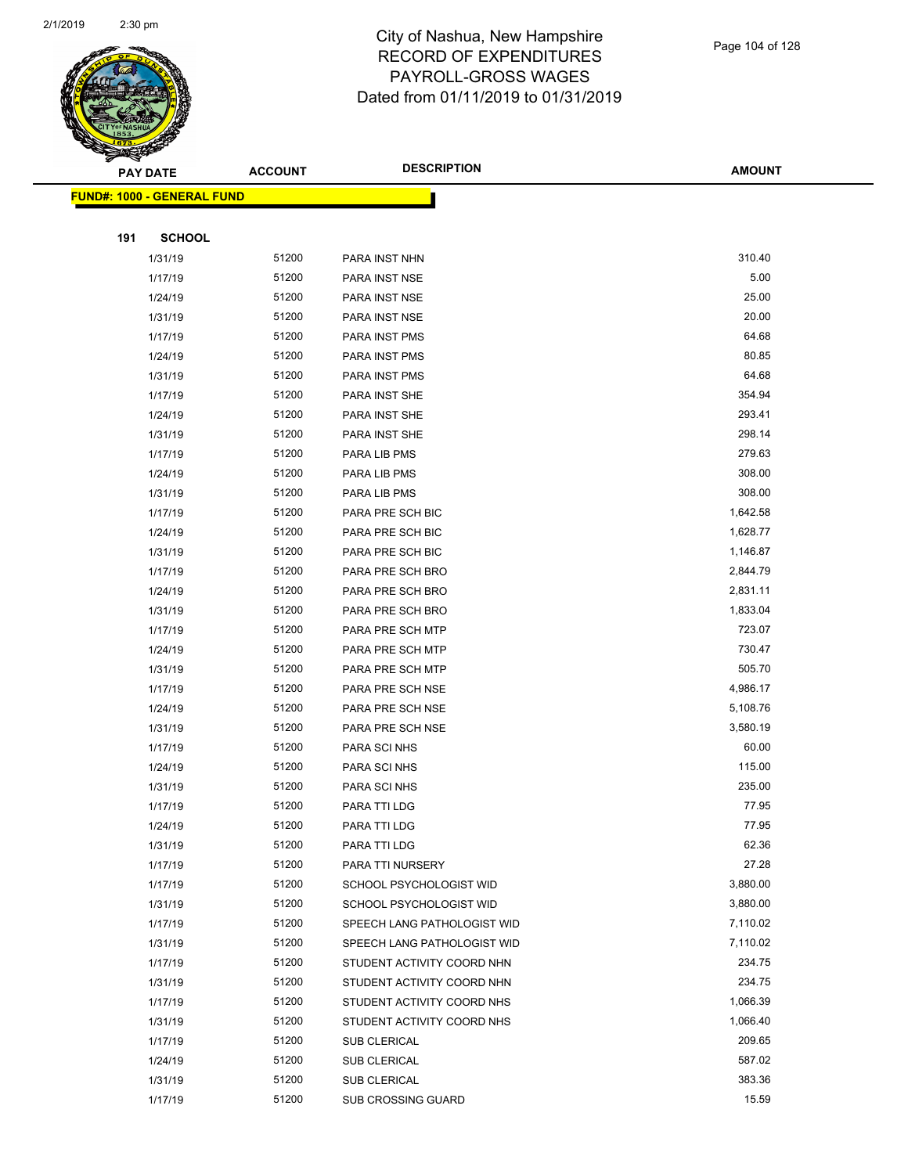

| $\tilde{\phantom{a}}$ | PAY DATE                           | <b>ACCOUNT</b> | <b>DESCRIPTION</b>          | <b>AMOUNT</b> |
|-----------------------|------------------------------------|----------------|-----------------------------|---------------|
|                       | <u> FUND#: 1000 - GENERAL FUND</u> |                |                             |               |
|                       |                                    |                |                             |               |
| 191                   | <b>SCHOOL</b>                      |                |                             |               |
|                       | 1/31/19                            | 51200          | PARA INST NHN               | 310.40        |
|                       | 1/17/19                            | 51200          | PARA INST NSE               | 5.00          |
|                       | 1/24/19                            | 51200          | PARA INST NSE               | 25.00         |
|                       | 1/31/19                            | 51200          | PARA INST NSE               | 20.00         |
|                       | 1/17/19                            | 51200          | PARA INST PMS               | 64.68         |
|                       | 1/24/19                            | 51200          | PARA INST PMS               | 80.85         |
|                       | 1/31/19                            | 51200          | PARA INST PMS               | 64.68         |
|                       | 1/17/19                            | 51200          | PARA INST SHE               | 354.94        |
|                       | 1/24/19                            | 51200          | PARA INST SHE               | 293.41        |
|                       | 1/31/19                            | 51200          | PARA INST SHE               | 298.14        |
|                       | 1/17/19                            | 51200          | PARA LIB PMS                | 279.63        |
|                       | 1/24/19                            | 51200          | PARA LIB PMS                | 308.00        |
|                       | 1/31/19                            | 51200          | PARA LIB PMS                | 308.00        |
|                       | 1/17/19                            | 51200          | PARA PRE SCH BIC            | 1,642.58      |
|                       | 1/24/19                            | 51200          | PARA PRE SCH BIC            | 1,628.77      |
|                       | 1/31/19                            | 51200          | PARA PRE SCH BIC            | 1,146.87      |
|                       | 1/17/19                            | 51200          | PARA PRE SCH BRO            | 2,844.79      |
|                       | 1/24/19                            | 51200          | PARA PRE SCH BRO            | 2,831.11      |
|                       | 1/31/19                            | 51200          | PARA PRE SCH BRO            | 1,833.04      |
|                       | 1/17/19                            | 51200          | PARA PRE SCH MTP            | 723.07        |
|                       | 1/24/19                            | 51200          | PARA PRE SCH MTP            | 730.47        |
|                       | 1/31/19                            | 51200          | PARA PRE SCH MTP            | 505.70        |
|                       | 1/17/19                            | 51200          | PARA PRE SCH NSE            | 4,986.17      |
|                       | 1/24/19                            | 51200          | PARA PRE SCH NSE            | 5,108.76      |
|                       | 1/31/19                            | 51200          | PARA PRE SCH NSE            | 3,580.19      |
|                       | 1/17/19                            | 51200          | PARA SCI NHS                | 60.00         |
|                       | 1/24/19                            | 51200          | PARA SCI NHS                | 115.00        |
|                       | 1/31/19                            | 51200          | PARA SCI NHS                | 235.00        |
|                       | 1/17/19                            | 51200          | PARA TTI LDG                | 77.95         |
|                       | 1/24/19                            | 51200          | PARA TTI LDG                | 77.95         |
|                       | 1/31/19                            | 51200          | PARA TTI LDG                | 62.36         |
|                       | 1/17/19                            | 51200          | PARA TTI NURSERY            | 27.28         |
|                       | 1/17/19                            | 51200          | SCHOOL PSYCHOLOGIST WID     | 3,880.00      |
|                       | 1/31/19                            | 51200          | SCHOOL PSYCHOLOGIST WID     | 3,880.00      |
|                       | 1/17/19                            | 51200          | SPEECH LANG PATHOLOGIST WID | 7,110.02      |
|                       | 1/31/19                            | 51200          | SPEECH LANG PATHOLOGIST WID | 7,110.02      |
|                       | 1/17/19                            | 51200          | STUDENT ACTIVITY COORD NHN  | 234.75        |
|                       | 1/31/19                            | 51200          | STUDENT ACTIVITY COORD NHN  | 234.75        |
|                       | 1/17/19                            | 51200          | STUDENT ACTIVITY COORD NHS  | 1,066.39      |
|                       | 1/31/19                            | 51200          | STUDENT ACTIVITY COORD NHS  | 1,066.40      |
|                       | 1/17/19                            | 51200          | <b>SUB CLERICAL</b>         | 209.65        |
|                       | 1/24/19                            | 51200          | <b>SUB CLERICAL</b>         | 587.02        |
|                       | 1/31/19                            | 51200          | SUB CLERICAL                | 383.36        |
|                       | 1/17/19                            | 51200          | SUB CROSSING GUARD          | 15.59         |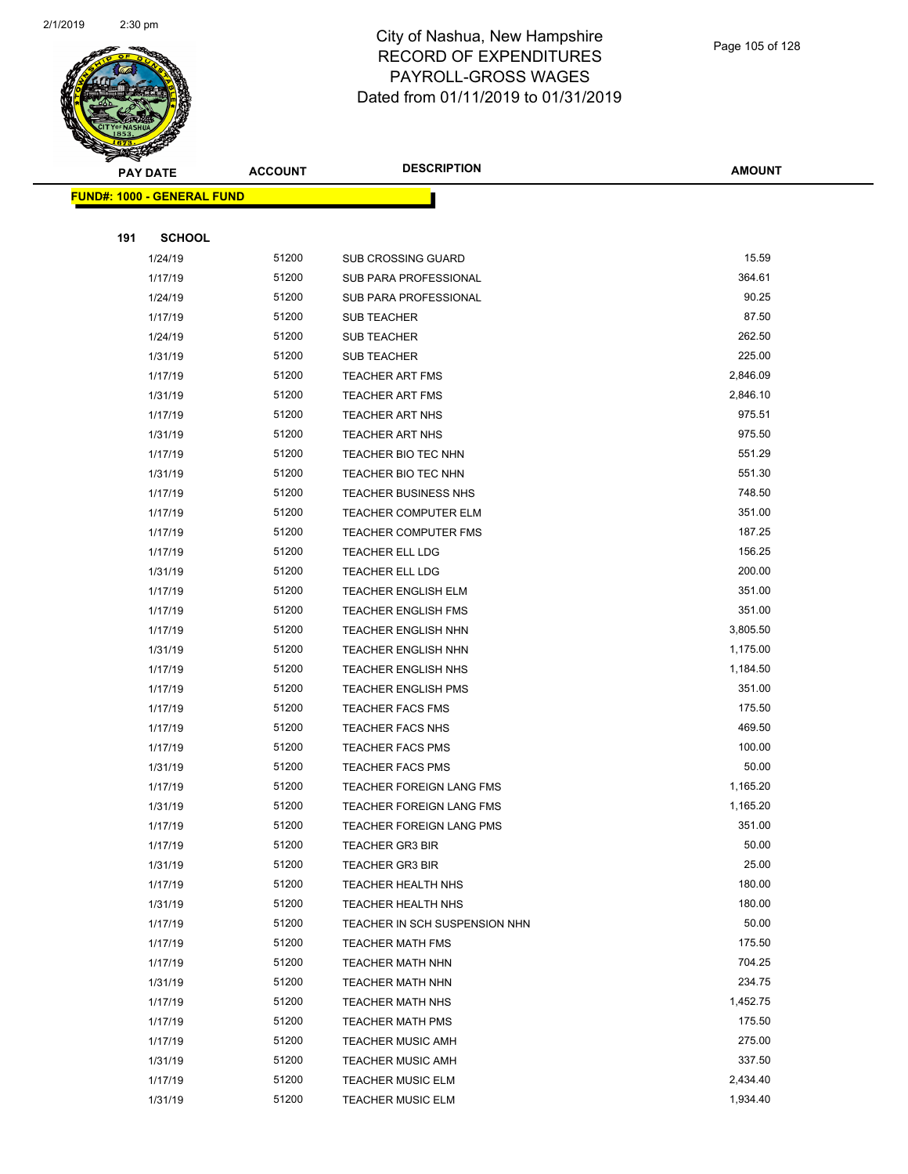

|     | <b>PAY DATE</b>                   | <b>ACCOUNT</b> | <b>DESCRIPTION</b>              | <b>AMOUNT</b> |
|-----|-----------------------------------|----------------|---------------------------------|---------------|
|     | <b>FUND#: 1000 - GENERAL FUND</b> |                |                                 |               |
|     |                                   |                |                                 |               |
| 191 | <b>SCHOOL</b>                     |                |                                 |               |
|     | 1/24/19                           | 51200          | SUB CROSSING GUARD              | 15.59         |
|     | 1/17/19                           | 51200          | <b>SUB PARA PROFESSIONAL</b>    | 364.61        |
|     | 1/24/19                           | 51200          | <b>SUB PARA PROFESSIONAL</b>    | 90.25         |
|     | 1/17/19                           | 51200          | <b>SUB TEACHER</b>              | 87.50         |
|     | 1/24/19                           | 51200          | <b>SUB TEACHER</b>              | 262.50        |
|     | 1/31/19                           | 51200          | <b>SUB TEACHER</b>              | 225.00        |
|     | 1/17/19                           | 51200          | <b>TEACHER ART FMS</b>          | 2,846.09      |
|     | 1/31/19                           | 51200          | <b>TEACHER ART FMS</b>          | 2,846.10      |
|     | 1/17/19                           | 51200          | <b>TEACHER ART NHS</b>          | 975.51        |
|     | 1/31/19                           | 51200          | <b>TEACHER ART NHS</b>          | 975.50        |
|     | 1/17/19                           | 51200          | <b>TEACHER BIO TEC NHN</b>      | 551.29        |
|     | 1/31/19                           | 51200          | <b>TEACHER BIO TEC NHN</b>      | 551.30        |
|     | 1/17/19                           | 51200          | <b>TEACHER BUSINESS NHS</b>     | 748.50        |
|     | 1/17/19                           | 51200          | <b>TEACHER COMPUTER ELM</b>     | 351.00        |
|     | 1/17/19                           | 51200          | <b>TEACHER COMPUTER FMS</b>     | 187.25        |
|     | 1/17/19                           | 51200          | TEACHER ELL LDG                 | 156.25        |
|     | 1/31/19                           | 51200          | <b>TEACHER ELL LDG</b>          | 200.00        |
|     | 1/17/19                           | 51200          | <b>TEACHER ENGLISH ELM</b>      | 351.00        |
|     | 1/17/19                           | 51200          | <b>TEACHER ENGLISH FMS</b>      | 351.00        |
|     | 1/17/19                           | 51200          | <b>TEACHER ENGLISH NHN</b>      | 3,805.50      |
|     | 1/31/19                           | 51200          | <b>TEACHER ENGLISH NHN</b>      | 1,175.00      |
|     | 1/17/19                           | 51200          | <b>TEACHER ENGLISH NHS</b>      | 1,184.50      |
|     | 1/17/19                           | 51200          | <b>TEACHER ENGLISH PMS</b>      | 351.00        |
|     | 1/17/19                           | 51200          | <b>TEACHER FACS FMS</b>         | 175.50        |
|     | 1/17/19                           | 51200          | TEACHER FACS NHS                | 469.50        |
|     | 1/17/19                           | 51200          | <b>TEACHER FACS PMS</b>         | 100.00        |
|     | 1/31/19                           | 51200          | <b>TEACHER FACS PMS</b>         | 50.00         |
|     | 1/17/19                           | 51200          | <b>TEACHER FOREIGN LANG FMS</b> | 1,165.20      |
|     | 1/31/19                           | 51200          | TEACHER FOREIGN LANG FMS        | 1,165.20      |
|     | 1/17/19                           | 51200          | TEACHER FOREIGN LANG PMS        | 351.00        |
|     | 1/17/19                           | 51200          | <b>TEACHER GR3 BIR</b>          | 50.00         |
|     | 1/31/19                           | 51200          | <b>TEACHER GR3 BIR</b>          | 25.00         |
|     | 1/17/19                           | 51200          | TEACHER HEALTH NHS              | 180.00        |
|     | 1/31/19                           | 51200          | <b>TEACHER HEALTH NHS</b>       | 180.00        |
|     | 1/17/19                           | 51200          | TEACHER IN SCH SUSPENSION NHN   | 50.00         |
|     | 1/17/19                           | 51200          | <b>TEACHER MATH FMS</b>         | 175.50        |
|     | 1/17/19                           | 51200          | <b>TEACHER MATH NHN</b>         | 704.25        |
|     | 1/31/19                           | 51200          | TEACHER MATH NHN                | 234.75        |
|     | 1/17/19                           | 51200          | <b>TEACHER MATH NHS</b>         | 1,452.75      |
|     | 1/17/19                           | 51200          | <b>TEACHER MATH PMS</b>         | 175.50        |
|     | 1/17/19                           | 51200          | <b>TEACHER MUSIC AMH</b>        | 275.00        |
|     | 1/31/19                           | 51200          | <b>TEACHER MUSIC AMH</b>        | 337.50        |
|     | 1/17/19                           | 51200          | <b>TEACHER MUSIC ELM</b>        | 2,434.40      |
|     | 1/31/19                           | 51200          | <b>TEACHER MUSIC ELM</b>        | 1,934.40      |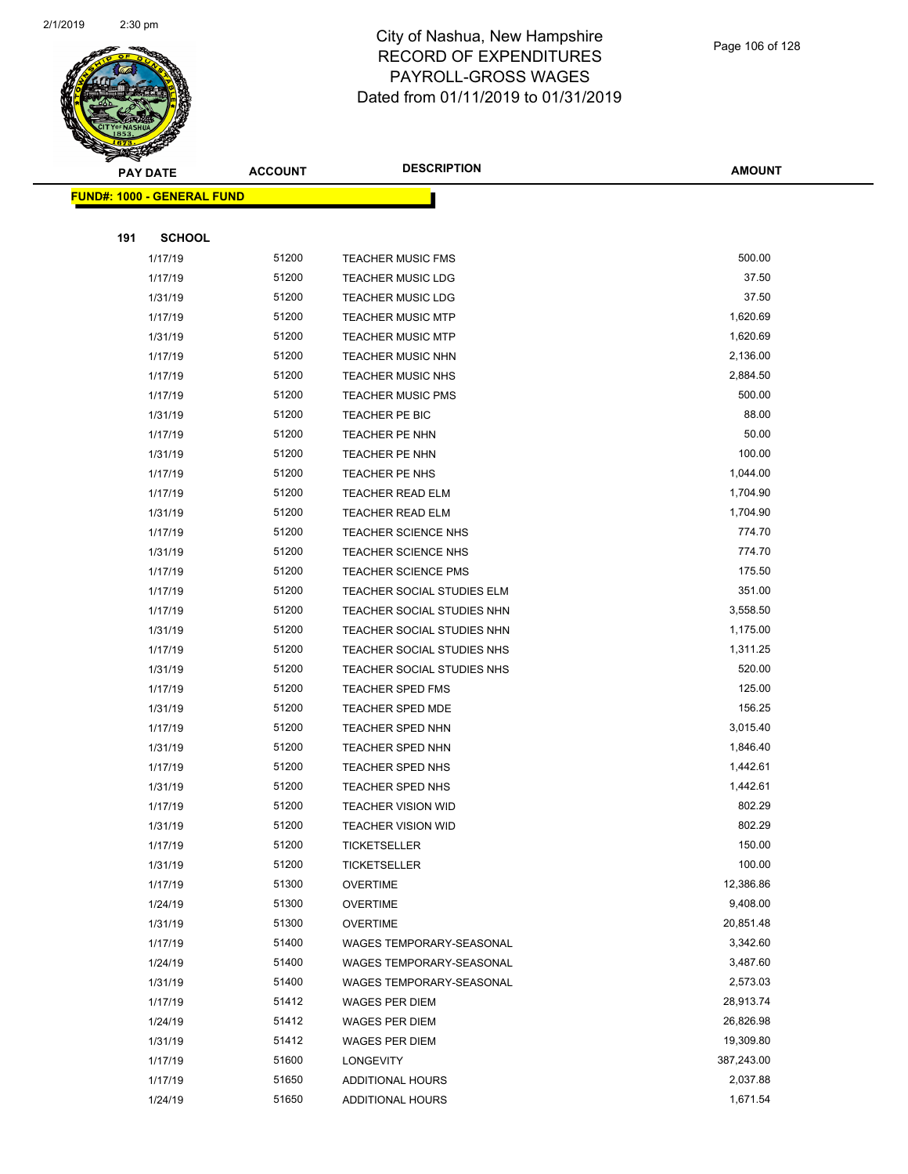

|     | <b>PAY DATE</b>                   | <b>ACCOUNT</b> | <b>DESCRIPTION</b>         | AMOUNT     |
|-----|-----------------------------------|----------------|----------------------------|------------|
|     | <b>FUND#: 1000 - GENERAL FUND</b> |                |                            |            |
|     |                                   |                |                            |            |
| 191 | <b>SCHOOL</b>                     |                |                            |            |
|     | 1/17/19                           | 51200          | <b>TEACHER MUSIC FMS</b>   | 500.00     |
|     | 1/17/19                           | 51200          | <b>TEACHER MUSIC LDG</b>   | 37.50      |
|     | 1/31/19                           | 51200          | <b>TEACHER MUSIC LDG</b>   | 37.50      |
|     | 1/17/19                           | 51200          | <b>TEACHER MUSIC MTP</b>   | 1,620.69   |
|     | 1/31/19                           | 51200          | <b>TEACHER MUSIC MTP</b>   | 1,620.69   |
|     | 1/17/19                           | 51200          | <b>TEACHER MUSIC NHN</b>   | 2,136.00   |
|     | 1/17/19                           | 51200          | <b>TEACHER MUSIC NHS</b>   | 2,884.50   |
|     | 1/17/19                           | 51200          | <b>TEACHER MUSIC PMS</b>   | 500.00     |
|     | 1/31/19                           | 51200          | TEACHER PE BIC             | 88.00      |
|     | 1/17/19                           | 51200          | <b>TEACHER PE NHN</b>      | 50.00      |
|     | 1/31/19                           | 51200          | <b>TEACHER PE NHN</b>      | 100.00     |
|     | 1/17/19                           | 51200          | <b>TEACHER PE NHS</b>      | 1,044.00   |
|     | 1/17/19                           | 51200          | <b>TEACHER READ ELM</b>    | 1,704.90   |
|     | 1/31/19                           | 51200          | <b>TEACHER READ ELM</b>    | 1,704.90   |
|     | 1/17/19                           | 51200          | <b>TEACHER SCIENCE NHS</b> | 774.70     |
|     | 1/31/19                           | 51200          | TEACHER SCIENCE NHS        | 774.70     |
|     | 1/17/19                           | 51200          | <b>TEACHER SCIENCE PMS</b> | 175.50     |
|     | 1/17/19                           | 51200          | TEACHER SOCIAL STUDIES ELM | 351.00     |
|     | 1/17/19                           | 51200          | TEACHER SOCIAL STUDIES NHN | 3,558.50   |
|     | 1/31/19                           | 51200          | TEACHER SOCIAL STUDIES NHN | 1,175.00   |
|     | 1/17/19                           | 51200          | TEACHER SOCIAL STUDIES NHS | 1,311.25   |
|     | 1/31/19                           | 51200          | TEACHER SOCIAL STUDIES NHS | 520.00     |
|     | 1/17/19                           | 51200          | <b>TEACHER SPED FMS</b>    | 125.00     |
|     | 1/31/19                           | 51200          | <b>TEACHER SPED MDE</b>    | 156.25     |
|     | 1/17/19                           | 51200          | TEACHER SPED NHN           | 3,015.40   |
|     | 1/31/19                           | 51200          | TEACHER SPED NHN           | 1,846.40   |
|     | 1/17/19                           | 51200          | TEACHER SPED NHS           | 1,442.61   |
|     | 1/31/19                           | 51200          | TEACHER SPED NHS           | 1,442.61   |
|     | 1/17/19                           | 51200          | <b>TEACHER VISION WID</b>  | 802.29     |
|     | 1/31/19                           | 51200          | TEACHER VISION WID         | 802.29     |
|     | 1/17/19                           | 51200          | <b>TICKETSELLER</b>        | 150.00     |
|     | 1/31/19                           | 51200          | <b>TICKETSELLER</b>        | 100.00     |
|     | 1/17/19                           | 51300          | <b>OVERTIME</b>            | 12,386.86  |
|     | 1/24/19                           | 51300          | <b>OVERTIME</b>            | 9,408.00   |
|     | 1/31/19                           | 51300          | <b>OVERTIME</b>            | 20,851.48  |
|     | 1/17/19                           | 51400          | WAGES TEMPORARY-SEASONAL   | 3,342.60   |
|     | 1/24/19                           | 51400          | WAGES TEMPORARY-SEASONAL   | 3,487.60   |
|     | 1/31/19                           | 51400          | WAGES TEMPORARY-SEASONAL   | 2,573.03   |
|     | 1/17/19                           | 51412          | WAGES PER DIEM             | 28,913.74  |
|     | 1/24/19                           | 51412          | WAGES PER DIEM             | 26,826.98  |
|     | 1/31/19                           | 51412          | WAGES PER DIEM             | 19,309.80  |
|     | 1/17/19                           | 51600          | LONGEVITY                  | 387,243.00 |
|     | 1/17/19                           | 51650          | <b>ADDITIONAL HOURS</b>    | 2,037.88   |
|     | 1/24/19                           | 51650          | ADDITIONAL HOURS           | 1,671.54   |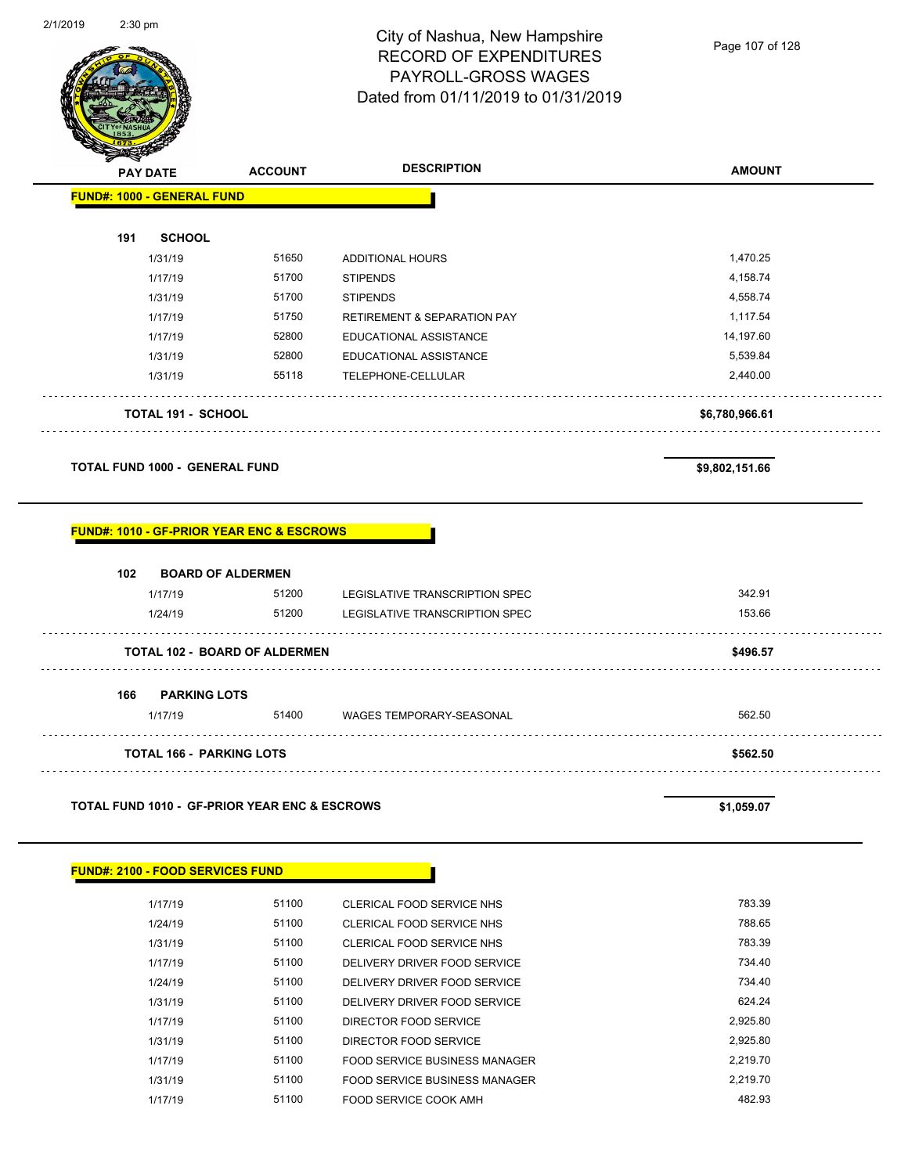

| <b>PAY DATE</b>                   | <b>ACCOUNT</b> | <b>DESCRIPTION</b>                     | <b>AMOUNT</b>  |
|-----------------------------------|----------------|----------------------------------------|----------------|
| <b>FUND#: 1000 - GENERAL FUND</b> |                |                                        |                |
| <b>SCHOOL</b><br>191              |                |                                        |                |
| 1/31/19                           | 51650          | <b>ADDITIONAL HOURS</b>                | 1,470.25       |
| 1/17/19                           | 51700          | <b>STIPENDS</b>                        | 4,158.74       |
| 1/31/19                           | 51700          | <b>STIPENDS</b>                        | 4,558.74       |
| 1/17/19                           | 51750          | <b>RETIREMENT &amp; SEPARATION PAY</b> | 1,117.54       |
| 1/17/19                           | 52800          | EDUCATIONAL ASSISTANCE                 | 14,197.60      |
| 1/31/19                           | 52800          | EDUCATIONAL ASSISTANCE                 | 5,539.84       |
| 1/31/19                           | 55118          | TELEPHONE-CELLULAR                     | 2,440.00       |
| <b>TOTAL 191 - SCHOOL</b>         |                |                                        | \$6,780,966.61 |
|                                   |                |                                        |                |

**TOTAL FUND 1000 - GENERAL FUND \$9,802,151.66** 

#### **FUND#: 1010 - GF-PRIOR YEAR ENC & ESCROWS**

| 102 | <b>BOARD OF ALDERMEN</b> |                                      |                                 |          |
|-----|--------------------------|--------------------------------------|---------------------------------|----------|
|     | 1/17/19                  | 51200                                | LEGISLATIVE TRANSCRIPTION SPEC  | 342.91   |
|     | 1/24/19                  | 51200                                | LEGISLATIVE TRANSCRIPTION SPEC  | 153.66   |
|     |                          | <b>TOTAL 102 - BOARD OF ALDERMEN</b> |                                 | \$496.57 |
| 166 | <b>PARKING LOTS</b>      |                                      |                                 |          |
|     | 1/17/19                  | 51400                                | <b>WAGES TEMPORARY-SEASONAL</b> | 562.50   |
|     |                          | <b>TOTAL 166 - PARKING LOTS</b>      |                                 | \$562.50 |

#### **TOTAL FUND 1010 - GF-PRIOR YEAR ENC & ESCROWS \$1,059.07**

| <b>FUND#: 2100 - FOOD SERVICES FUND</b> |              |                                  |        |
|-----------------------------------------|--------------|----------------------------------|--------|
| 1/17/19                                 | 51100        | <b>CLERICAL FOOD SERVICE NHS</b> | 783.39 |
| 1/24/19                                 | 51100        | CLERICAL FOOD SERVICE NHS        | 788.65 |
| 1/31/19                                 | 51100        | CLERICAL FOOD SERVICE NHS        | 783.39 |
| 4147140                                 | <b>51100</b> | BELIVEDV BBIJER FOOR GEBUICE     | 724 40 |

| 1/17/19 | 51100 | DELIVERY DRIVER FOOD SERVICE  | 734.40   |
|---------|-------|-------------------------------|----------|
| 1/24/19 | 51100 | DELIVERY DRIVER FOOD SERVICE  | 734.40   |
| 1/31/19 | 51100 | DELIVERY DRIVER FOOD SERVICE  | 624.24   |
| 1/17/19 | 51100 | DIRECTOR FOOD SERVICE         | 2.925.80 |
| 1/31/19 | 51100 | DIRECTOR FOOD SERVICE         | 2,925.80 |
| 1/17/19 | 51100 | FOOD SERVICE BUSINESS MANAGER | 2.219.70 |
| 1/31/19 | 51100 | FOOD SERVICE BUSINESS MANAGER | 2.219.70 |
| 1/17/19 | 51100 | FOOD SERVICE COOK AMH         | 482.93   |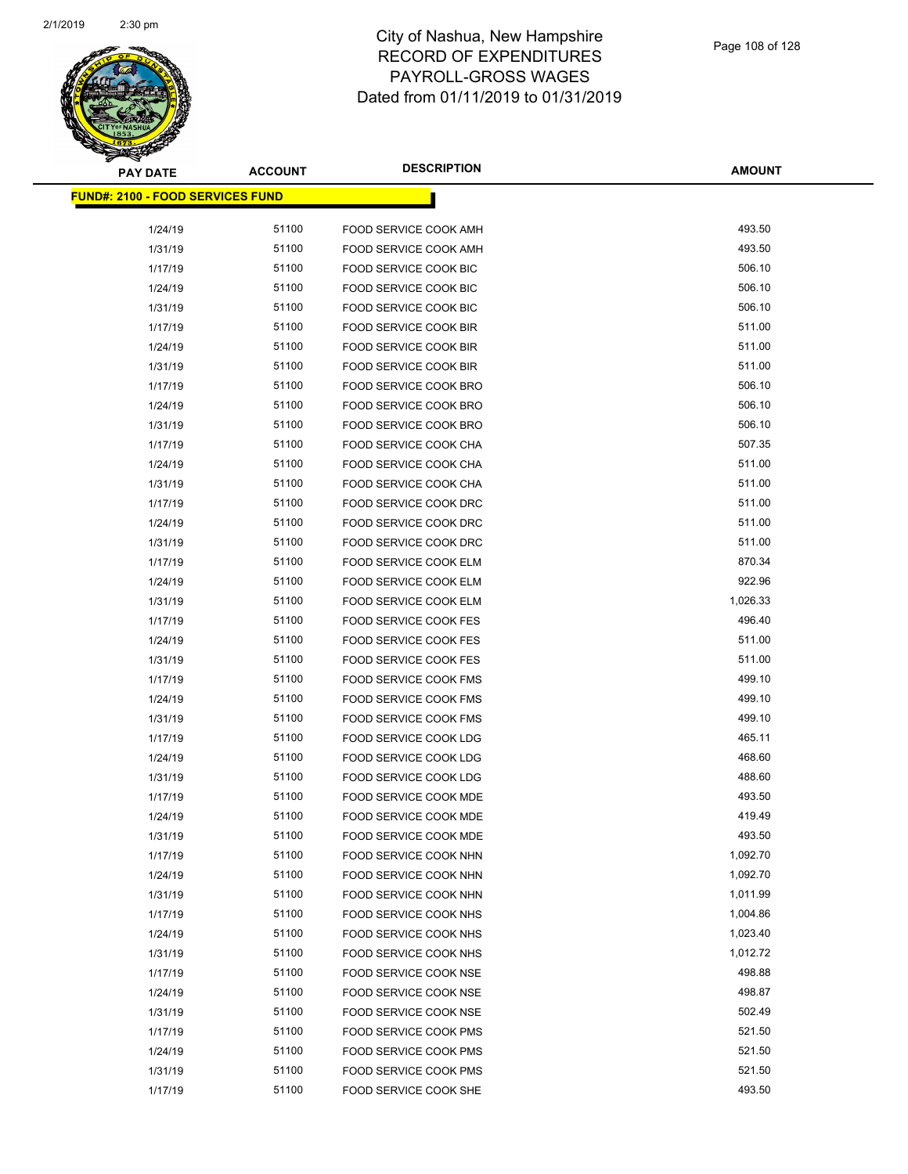

| <b>PAY DATE</b>                          | <b>ACCOUNT</b> | <b>DESCRIPTION</b>           | <b>AMOUNT</b> |  |  |  |  |
|------------------------------------------|----------------|------------------------------|---------------|--|--|--|--|
| <u> FUND#: 2100 - FOOD SERVICES FUND</u> |                |                              |               |  |  |  |  |
|                                          |                |                              |               |  |  |  |  |
| 1/24/19                                  | 51100          | FOOD SERVICE COOK AMH        | 493.50        |  |  |  |  |
| 1/31/19                                  | 51100          | FOOD SERVICE COOK AMH        | 493.50        |  |  |  |  |
| 1/17/19                                  | 51100          | FOOD SERVICE COOK BIC        | 506.10        |  |  |  |  |
| 1/24/19                                  | 51100          | FOOD SERVICE COOK BIC        | 506.10        |  |  |  |  |
| 1/31/19                                  | 51100          | FOOD SERVICE COOK BIC        | 506.10        |  |  |  |  |
| 1/17/19                                  | 51100          | FOOD SERVICE COOK BIR        | 511.00        |  |  |  |  |
| 1/24/19                                  | 51100          | FOOD SERVICE COOK BIR        | 511.00        |  |  |  |  |
| 1/31/19                                  | 51100          | FOOD SERVICE COOK BIR        | 511.00        |  |  |  |  |
| 1/17/19                                  | 51100          | FOOD SERVICE COOK BRO        | 506.10        |  |  |  |  |
| 1/24/19                                  | 51100          | FOOD SERVICE COOK BRO        | 506.10        |  |  |  |  |
| 1/31/19                                  | 51100          | FOOD SERVICE COOK BRO        | 506.10        |  |  |  |  |
| 1/17/19                                  | 51100          | FOOD SERVICE COOK CHA        | 507.35        |  |  |  |  |
| 1/24/19                                  | 51100          | FOOD SERVICE COOK CHA        | 511.00        |  |  |  |  |
| 1/31/19                                  | 51100          | FOOD SERVICE COOK CHA        | 511.00        |  |  |  |  |
| 1/17/19                                  | 51100          | FOOD SERVICE COOK DRC        | 511.00        |  |  |  |  |
| 1/24/19                                  | 51100          | FOOD SERVICE COOK DRC        | 511.00        |  |  |  |  |
| 1/31/19                                  | 51100          | FOOD SERVICE COOK DRC        | 511.00        |  |  |  |  |
| 1/17/19                                  | 51100          | FOOD SERVICE COOK ELM        | 870.34        |  |  |  |  |
| 1/24/19                                  | 51100          | FOOD SERVICE COOK ELM        | 922.96        |  |  |  |  |
| 1/31/19                                  | 51100          | FOOD SERVICE COOK ELM        | 1,026.33      |  |  |  |  |
| 1/17/19                                  | 51100          | FOOD SERVICE COOK FES        | 496.40        |  |  |  |  |
| 1/24/19                                  | 51100          | FOOD SERVICE COOK FES        | 511.00        |  |  |  |  |
| 1/31/19                                  | 51100          | FOOD SERVICE COOK FES        | 511.00        |  |  |  |  |
| 1/17/19                                  | 51100          | <b>FOOD SERVICE COOK FMS</b> | 499.10        |  |  |  |  |
| 1/24/19                                  | 51100          | <b>FOOD SERVICE COOK FMS</b> | 499.10        |  |  |  |  |
| 1/31/19                                  | 51100          | FOOD SERVICE COOK FMS        | 499.10        |  |  |  |  |
| 1/17/19                                  | 51100          | FOOD SERVICE COOK LDG        | 465.11        |  |  |  |  |
| 1/24/19                                  | 51100          | FOOD SERVICE COOK LDG        | 468.60        |  |  |  |  |
| 1/31/19                                  | 51100          | FOOD SERVICE COOK LDG        | 488.60        |  |  |  |  |
| 1/17/19                                  | 51100          | FOOD SERVICE COOK MDE        | 493.50        |  |  |  |  |
| 1/24/19                                  | 51100          | FOOD SERVICE COOK MDE        | 419.49        |  |  |  |  |
| 1/31/19                                  | 51100          | FOOD SERVICE COOK MDE        | 493.50        |  |  |  |  |
| 1/17/19                                  | 51100          | FOOD SERVICE COOK NHN        | 1,092.70      |  |  |  |  |
| 1/24/19                                  | 51100          | FOOD SERVICE COOK NHN        | 1,092.70      |  |  |  |  |
| 1/31/19                                  | 51100          | FOOD SERVICE COOK NHN        | 1,011.99      |  |  |  |  |
| 1/17/19                                  | 51100          | FOOD SERVICE COOK NHS        | 1,004.86      |  |  |  |  |
| 1/24/19                                  | 51100          | FOOD SERVICE COOK NHS        | 1,023.40      |  |  |  |  |
| 1/31/19                                  | 51100          | FOOD SERVICE COOK NHS        | 1,012.72      |  |  |  |  |
| 1/17/19                                  | 51100          | FOOD SERVICE COOK NSE        | 498.88        |  |  |  |  |
| 1/24/19                                  | 51100          | FOOD SERVICE COOK NSE        | 498.87        |  |  |  |  |
| 1/31/19                                  | 51100          | FOOD SERVICE COOK NSE        | 502.49        |  |  |  |  |
| 1/17/19                                  | 51100          | <b>FOOD SERVICE COOK PMS</b> | 521.50        |  |  |  |  |
| 1/24/19                                  | 51100          | <b>FOOD SERVICE COOK PMS</b> | 521.50        |  |  |  |  |
| 1/31/19                                  | 51100          | <b>FOOD SERVICE COOK PMS</b> | 521.50        |  |  |  |  |
| 1/17/19                                  | 51100          | FOOD SERVICE COOK SHE        | 493.50        |  |  |  |  |
|                                          |                |                              |               |  |  |  |  |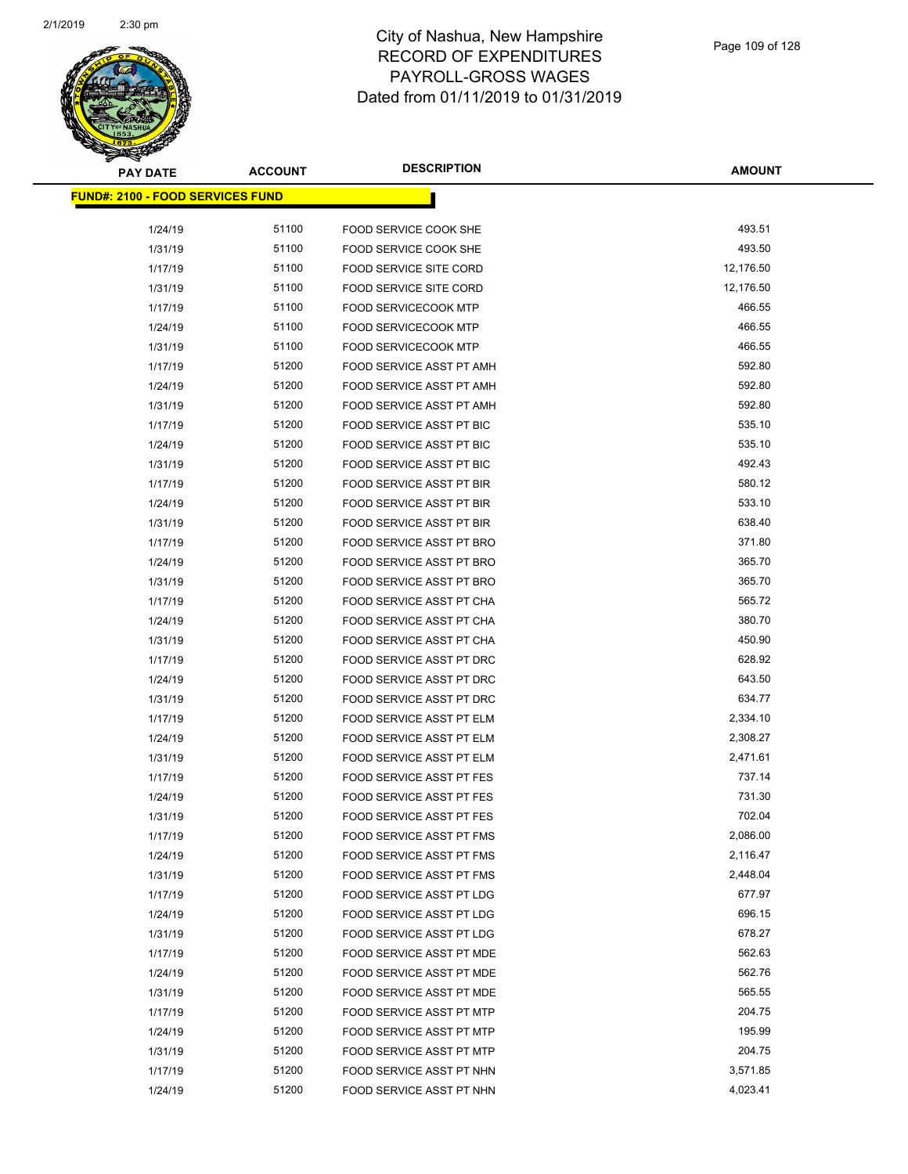

| <b>PAY DATE</b>                          | <b>ACCOUNT</b> | <b>DESCRIPTION</b>              | <b>AMOUNT</b> |
|------------------------------------------|----------------|---------------------------------|---------------|
| <u> FUND#: 2100 - FOOD SERVICES FUND</u> |                |                                 |               |
|                                          |                |                                 |               |
| 1/24/19                                  | 51100          | FOOD SERVICE COOK SHE           | 493.51        |
| 1/31/19                                  | 51100          | <b>FOOD SERVICE COOK SHE</b>    | 493.50        |
| 1/17/19                                  | 51100          | FOOD SERVICE SITE CORD          | 12,176.50     |
| 1/31/19                                  | 51100          | FOOD SERVICE SITE CORD          | 12,176.50     |
| 1/17/19                                  | 51100          | <b>FOOD SERVICECOOK MTP</b>     | 466.55        |
| 1/24/19                                  | 51100          | <b>FOOD SERVICECOOK MTP</b>     | 466.55        |
| 1/31/19                                  | 51100          | <b>FOOD SERVICECOOK MTP</b>     | 466.55        |
| 1/17/19                                  | 51200          | FOOD SERVICE ASST PT AMH        | 592.80        |
| 1/24/19                                  | 51200          | FOOD SERVICE ASST PT AMH        | 592.80        |
| 1/31/19                                  | 51200          | FOOD SERVICE ASST PT AMH        | 592.80        |
| 1/17/19                                  | 51200          | FOOD SERVICE ASST PT BIC        | 535.10        |
| 1/24/19                                  | 51200          | FOOD SERVICE ASST PT BIC        | 535.10        |
| 1/31/19                                  | 51200          | <b>FOOD SERVICE ASST PT BIC</b> | 492.43        |
| 1/17/19                                  | 51200          | FOOD SERVICE ASST PT BIR        | 580.12        |
| 1/24/19                                  | 51200          | <b>FOOD SERVICE ASST PT BIR</b> | 533.10        |
| 1/31/19                                  | 51200          | <b>FOOD SERVICE ASST PT BIR</b> | 638.40        |
| 1/17/19                                  | 51200          | FOOD SERVICE ASST PT BRO        | 371.80        |
| 1/24/19                                  | 51200          | FOOD SERVICE ASST PT BRO        | 365.70        |
| 1/31/19                                  | 51200          | FOOD SERVICE ASST PT BRO        | 365.70        |
| 1/17/19                                  | 51200          | FOOD SERVICE ASST PT CHA        | 565.72        |
| 1/24/19                                  | 51200          | FOOD SERVICE ASST PT CHA        | 380.70        |
| 1/31/19                                  | 51200          | FOOD SERVICE ASST PT CHA        | 450.90        |
| 1/17/19                                  | 51200          | FOOD SERVICE ASST PT DRC        | 628.92        |
| 1/24/19                                  | 51200          | FOOD SERVICE ASST PT DRC        | 643.50        |
| 1/31/19                                  | 51200          | FOOD SERVICE ASST PT DRC        | 634.77        |
| 1/17/19                                  | 51200          | FOOD SERVICE ASST PT ELM        | 2,334.10      |
| 1/24/19                                  | 51200          | <b>FOOD SERVICE ASST PT ELM</b> | 2,308.27      |
| 1/31/19                                  | 51200          | <b>FOOD SERVICE ASST PT ELM</b> | 2,471.61      |
| 1/17/19                                  | 51200          | FOOD SERVICE ASST PT FES        | 737.14        |
| 1/24/19                                  | 51200          | <b>FOOD SERVICE ASST PT FES</b> | 731.30        |
| 1/31/19                                  | 51200          | <b>FOOD SERVICE ASST PT FES</b> | 702.04        |
| 1/17/19                                  | 51200          | FOOD SERVICE ASST PT FMS        | 2,086.00      |
| 1/24/19                                  | 51200          | FOOD SERVICE ASST PT FMS        | 2,116.47      |
| 1/31/19                                  | 51200          | FOOD SERVICE ASST PT FMS        | 2,448.04      |
| 1/17/19                                  | 51200          | FOOD SERVICE ASST PT LDG        | 677.97        |
| 1/24/19                                  | 51200          | FOOD SERVICE ASST PT LDG        | 696.15        |
| 1/31/19                                  | 51200          | FOOD SERVICE ASST PT LDG        | 678.27        |
| 1/17/19                                  | 51200          | FOOD SERVICE ASST PT MDE        | 562.63        |
| 1/24/19                                  | 51200          | FOOD SERVICE ASST PT MDE        | 562.76        |
| 1/31/19                                  | 51200          | FOOD SERVICE ASST PT MDE        | 565.55        |
| 1/17/19                                  | 51200          | FOOD SERVICE ASST PT MTP        | 204.75        |
| 1/24/19                                  | 51200          | FOOD SERVICE ASST PT MTP        | 195.99        |
| 1/31/19                                  | 51200          | FOOD SERVICE ASST PT MTP        | 204.75        |
| 1/17/19                                  | 51200          | FOOD SERVICE ASST PT NHN        | 3,571.85      |
| 1/24/19                                  | 51200          | FOOD SERVICE ASST PT NHN        | 4,023.41      |
|                                          |                |                                 |               |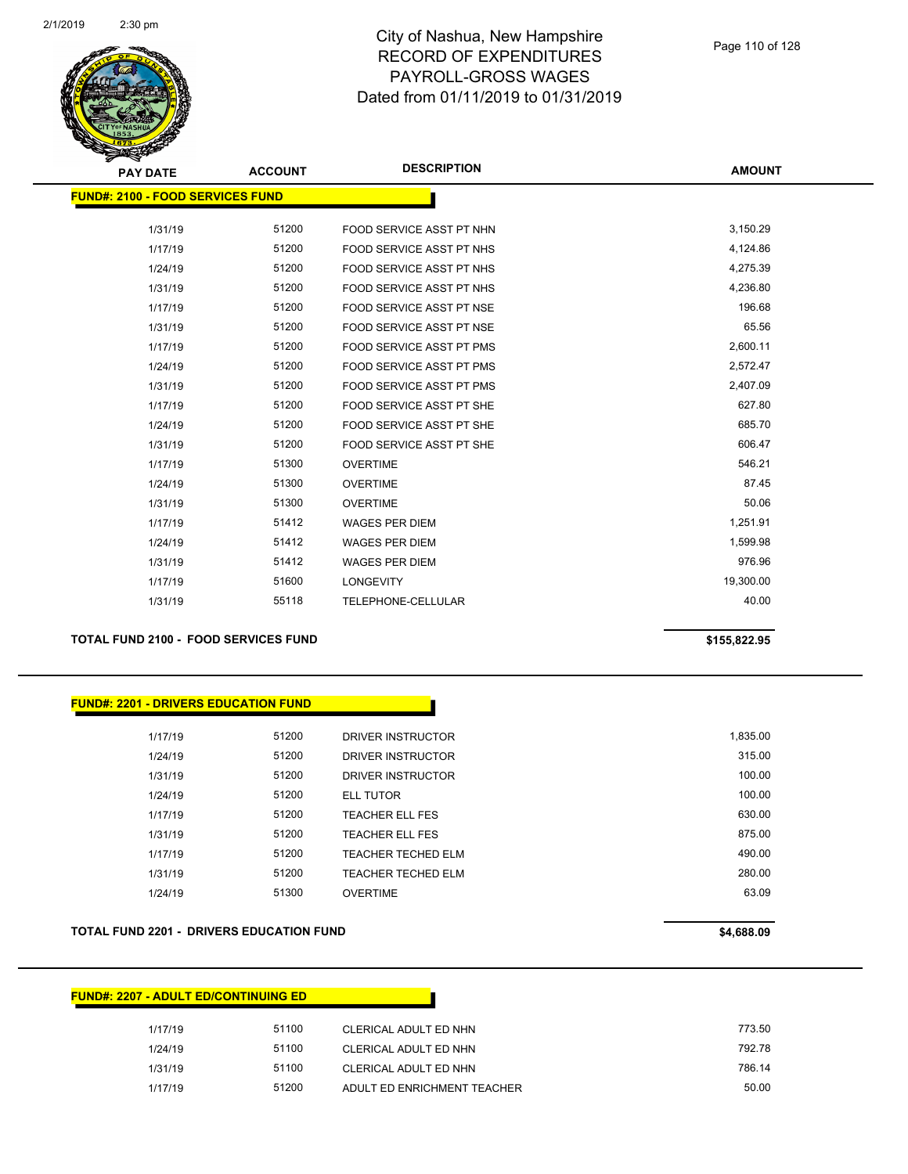

| <b>PAY DATE</b>                          | <b>ACCOUNT</b> | <b>DESCRIPTION</b>              | <b>AMOUNT</b> |
|------------------------------------------|----------------|---------------------------------|---------------|
| <u> FUND#: 2100 - FOOD SERVICES FUND</u> |                |                                 |               |
| 1/31/19                                  | 51200          | FOOD SERVICE ASST PT NHN        | 3,150.29      |
| 1/17/19                                  | 51200          | FOOD SERVICE ASST PT NHS        | 4,124.86      |
| 1/24/19                                  | 51200          | FOOD SERVICE ASST PT NHS        | 4,275.39      |
| 1/31/19                                  | 51200          | <b>FOOD SERVICE ASST PT NHS</b> | 4,236.80      |
| 1/17/19                                  | 51200          | FOOD SERVICE ASST PT NSE        | 196.68        |
| 1/31/19                                  | 51200          | FOOD SERVICE ASST PT NSE        | 65.56         |
| 1/17/19                                  | 51200          | <b>FOOD SERVICE ASST PT PMS</b> | 2,600.11      |
| 1/24/19                                  | 51200          | <b>FOOD SERVICE ASST PT PMS</b> | 2,572.47      |
| 1/31/19                                  | 51200          | FOOD SERVICE ASST PT PMS        | 2,407.09      |
| 1/17/19                                  | 51200          | FOOD SERVICE ASST PT SHE        | 627.80        |
| 1/24/19                                  | 51200          | FOOD SERVICE ASST PT SHE        | 685.70        |
| 1/31/19                                  | 51200          | FOOD SERVICE ASST PT SHE        | 606.47        |
| 1/17/19                                  | 51300          | <b>OVERTIME</b>                 | 546.21        |
| 1/24/19                                  | 51300          | <b>OVERTIME</b>                 | 87.45         |
| 1/31/19                                  | 51300          | <b>OVERTIME</b>                 | 50.06         |
| 1/17/19                                  | 51412          | <b>WAGES PER DIEM</b>           | 1,251.91      |
| 1/24/19                                  | 51412          | <b>WAGES PER DIEM</b>           | 1,599.98      |
| 1/31/19                                  | 51412          | <b>WAGES PER DIEM</b>           | 976.96        |
| 1/17/19                                  | 51600          | <b>LONGEVITY</b>                | 19,300.00     |
| 1/31/19                                  | 55118          | TELEPHONE-CELLULAR              | 40.00         |
|                                          |                |                                 |               |

### **TOTAL FUND 2100 - FOOD SERVICES FUND 6155,822.95**

### **FUND#: 2201 - DRIVERS EDUCATION FUND**

| 1,835.00 | DRIVER INSTRUCTOR         | 51200 | 1/17/19 |
|----------|---------------------------|-------|---------|
| 315.00   | DRIVER INSTRUCTOR         | 51200 | 1/24/19 |
| 100.00   | DRIVER INSTRUCTOR         | 51200 | 1/31/19 |
| 100.00   | <b>ELL TUTOR</b>          | 51200 | 1/24/19 |
| 630.00   | <b>TEACHER ELL FES</b>    | 51200 | 1/17/19 |
| 875.00   | <b>TEACHER ELL FES</b>    | 51200 | 1/31/19 |
| 490.00   | <b>TEACHER TECHED ELM</b> | 51200 | 1/17/19 |
| 280.00   | <b>TEACHER TECHED ELM</b> | 51200 | 1/31/19 |
| 63.09    | <b>OVERTIME</b>           | 51300 | 1/24/19 |

### **TOTAL FUND 2201 - DRIVERS EDUCATION FUND \$4,688.09**

| <u> FUND#: 2207 - ADULT ED/CONTINUING ED</u> |       |                             |        |
|----------------------------------------------|-------|-----------------------------|--------|
| 1/17/19                                      | 51100 | CLERICAL ADULT ED NHN       | 773.50 |
| 1/24/19                                      | 51100 | CLERICAL ADULT ED NHN       | 792.78 |
| 1/31/19                                      | 51100 | CLERICAL ADULT ED NHN       | 786.14 |
| 1/17/19                                      | 51200 | ADULT ED ENRICHMENT TEACHER | 50.00  |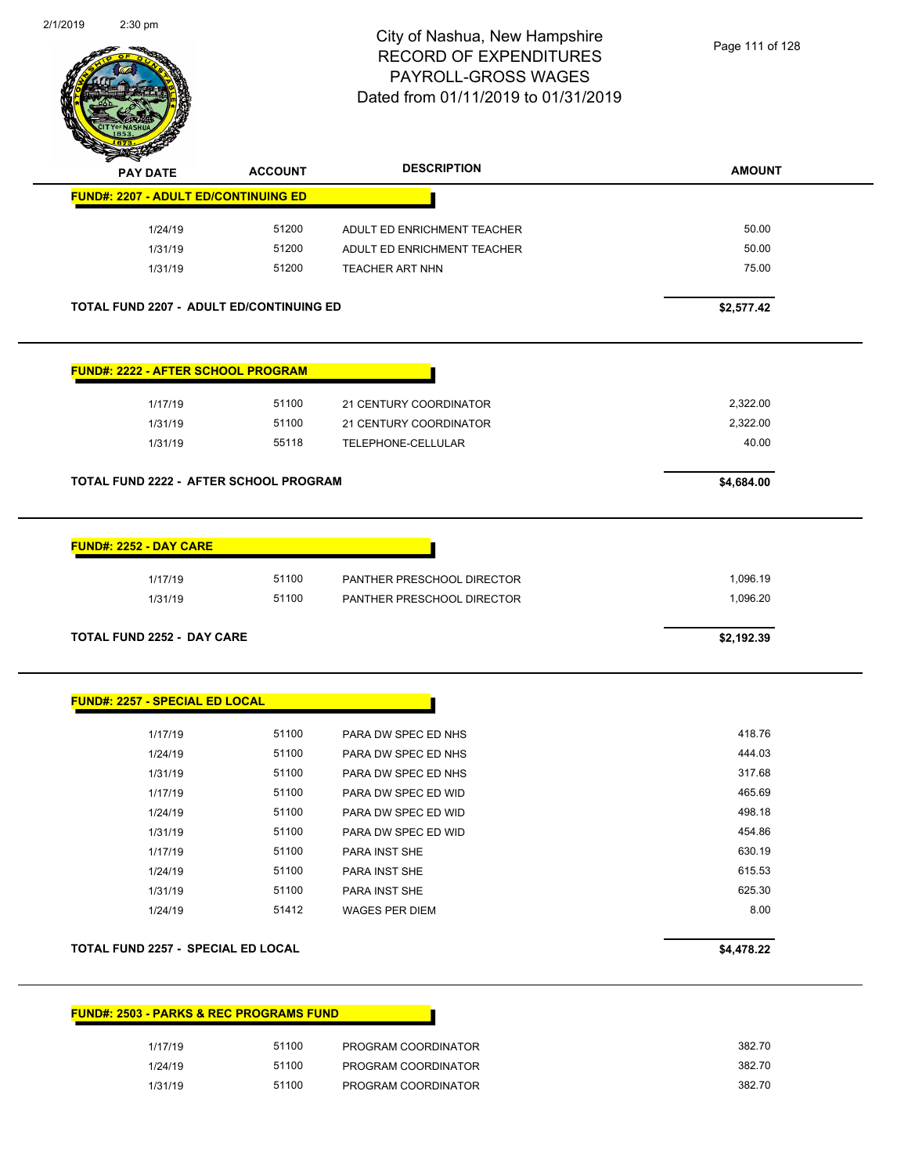

|                                                                            | <b>ACCOUNT</b> | <b>DESCRIPTION</b>          | <b>AMOUNT</b> |
|----------------------------------------------------------------------------|----------------|-----------------------------|---------------|
| <b>FUND#: 2207 - ADULT ED/CONTINUING ED</b>                                |                |                             |               |
| 1/24/19                                                                    | 51200          | ADULT ED ENRICHMENT TEACHER | 50.00         |
| 1/31/19                                                                    | 51200          | ADULT ED ENRICHMENT TEACHER | 50.00         |
| 1/31/19                                                                    | 51200          | TEACHER ART NHN             | 75.00         |
| TOTAL FUND 2207 - ADULT ED/CONTINUING ED                                   |                |                             | \$2,577.42    |
| <b>FUND#: 2222 - AFTER SCHOOL PROGRAM</b>                                  |                |                             |               |
| 1/17/19                                                                    | 51100          | 21 CENTURY COORDINATOR      | 2,322.00      |
| 1/31/19                                                                    | 51100          | 21 CENTURY COORDINATOR      | 2,322.00      |
| 1/31/19                                                                    | 55118          | TELEPHONE-CELLULAR          | 40.00         |
| TOTAL FUND 2222 - AFTER SCHOOL PROGRAM                                     |                |                             | \$4,684.00    |
|                                                                            |                |                             |               |
| <b>FUND#: 2252 - DAY CARE</b>                                              |                |                             |               |
|                                                                            |                |                             |               |
| 1/17/19                                                                    | 51100          | PANTHER PRESCHOOL DIRECTOR  | 1,096.19      |
| 1/31/19                                                                    | 51100          | PANTHER PRESCHOOL DIRECTOR  | 1,096.20      |
|                                                                            |                |                             | \$2,192.39    |
| <b>TOTAL FUND 2252 - DAY CARE</b><br><b>FUND#: 2257 - SPECIAL ED LOCAL</b> |                |                             |               |
| 1/17/19                                                                    | 51100          | PARA DW SPEC ED NHS         | 418.76        |
| 1/24/19                                                                    | 51100          | PARA DW SPEC ED NHS         | 444.03        |
| 1/31/19                                                                    | 51100          | PARA DW SPEC ED NHS         | 317.68        |
| 1/17/19                                                                    | 51100          | PARA DW SPEC ED WID         | 465.69        |
| 1/24/19                                                                    | 51100          | PARA DW SPEC ED WID         | 498.18        |
| 1/31/19                                                                    | 51100          | PARA DW SPEC ED WID         | 454.86        |
| 1/17/19                                                                    | 51100          | PARA INST SHE               | 630.19        |
| 1/24/19                                                                    | 51100          | PARA INST SHE               | 615.53        |
| 1/31/19                                                                    | 51100          | PARA INST SHE               | 625.30        |
| 1/24/19                                                                    | 51412          | WAGES PER DIEM              | 8.00          |

| <u> FUND#: 2503 - PARKS &amp; REC PROGRAMS FUND</u> |       |                     |
|-----------------------------------------------------|-------|---------------------|
| 1/17/19                                             | 51100 | PROGRAM COORDINATOR |
| 1/24/19                                             | 51100 | PROGRAM COORDINATOR |
| 1/31/19                                             | 51100 | PROGRAM COORDINATOR |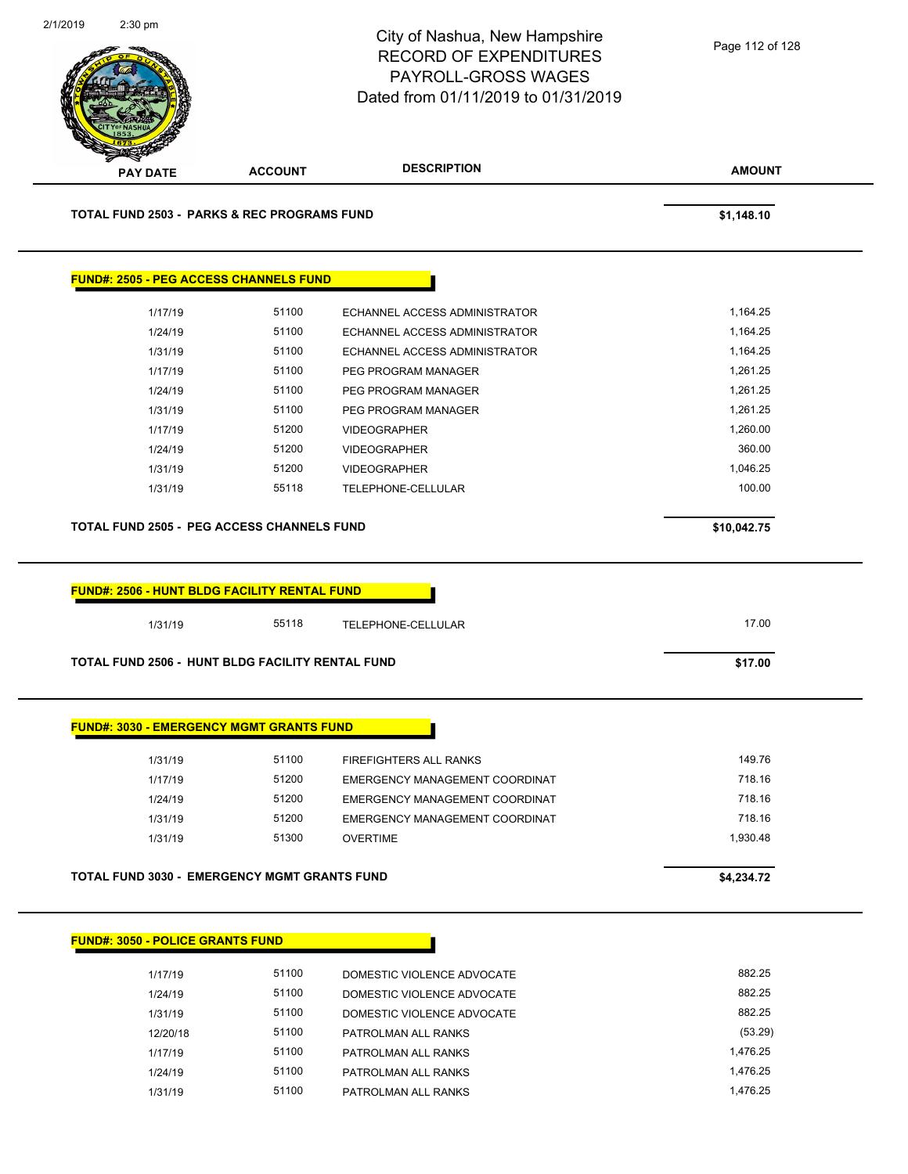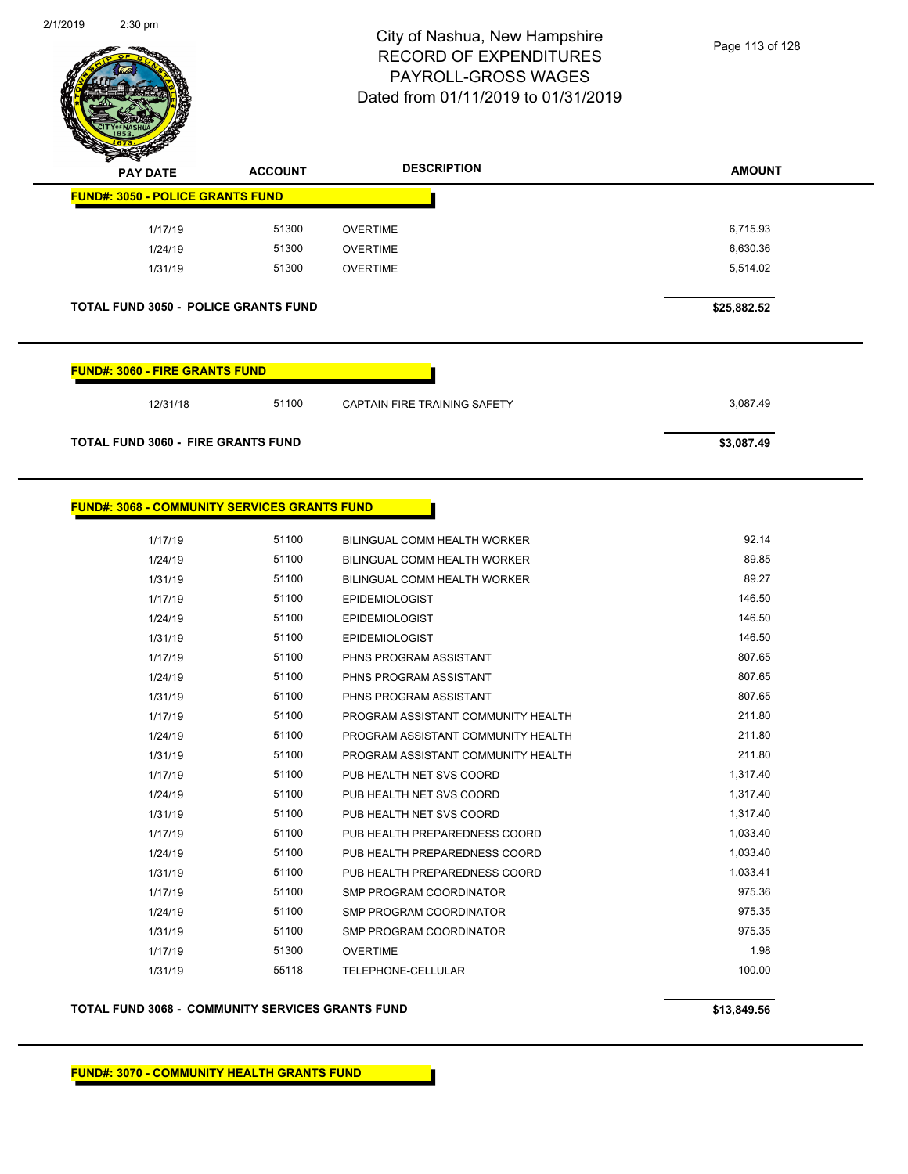

| <b>PAY DATE</b>                                     | <b>ACCOUNT</b> | <b>DESCRIPTION</b>                 | <b>AMOUNT</b> |  |  |
|-----------------------------------------------------|----------------|------------------------------------|---------------|--|--|
| <b>FUND#: 3050 - POLICE GRANTS FUND</b>             |                |                                    |               |  |  |
| 1/17/19                                             | 51300          | <b>OVERTIME</b>                    | 6,715.93      |  |  |
| 1/24/19                                             | 51300          | <b>OVERTIME</b>                    | 6,630.36      |  |  |
| 1/31/19                                             | 51300          | <b>OVERTIME</b>                    | 5,514.02      |  |  |
|                                                     |                |                                    |               |  |  |
| <b>TOTAL FUND 3050 - POLICE GRANTS FUND</b>         |                |                                    | \$25,882.52   |  |  |
|                                                     |                |                                    |               |  |  |
| <b>FUND#: 3060 - FIRE GRANTS FUND</b>               |                |                                    |               |  |  |
|                                                     | 51100          |                                    | 3,087.49      |  |  |
| 12/31/18                                            |                | CAPTAIN FIRE TRAINING SAFETY       |               |  |  |
| <b>TOTAL FUND 3060 - FIRE GRANTS FUND</b>           |                |                                    | \$3,087.49    |  |  |
|                                                     |                |                                    |               |  |  |
|                                                     |                |                                    |               |  |  |
| <b>FUND#: 3068 - COMMUNITY SERVICES GRANTS FUND</b> |                |                                    |               |  |  |
| 1/17/19                                             | 51100          | BILINGUAL COMM HEALTH WORKER       | 92.14         |  |  |
| 1/24/19                                             | 51100          | BILINGUAL COMM HEALTH WORKER       | 89.85         |  |  |
| 1/31/19                                             | 51100          | BILINGUAL COMM HEALTH WORKER       | 89.27         |  |  |
| 1/17/19                                             | 51100          | <b>EPIDEMIOLOGIST</b>              | 146.50        |  |  |
| 1/24/19                                             | 51100          | <b>EPIDEMIOLOGIST</b>              | 146.50        |  |  |
| 1/31/19                                             | 51100          | <b>EPIDEMIOLOGIST</b>              | 146.50        |  |  |
| 1/17/19                                             | 51100          | PHNS PROGRAM ASSISTANT             | 807.65        |  |  |
| 1/24/19                                             | 51100          | PHNS PROGRAM ASSISTANT             | 807.65        |  |  |
| 1/31/19                                             | 51100          | PHNS PROGRAM ASSISTANT             | 807.65        |  |  |
| 1/17/19                                             | 51100          | PROGRAM ASSISTANT COMMUNITY HEALTH | 211.80        |  |  |
| 1/24/19                                             | 51100          | PROGRAM ASSISTANT COMMUNITY HEALTH | 211.80        |  |  |
| 1/31/19                                             | 51100          | PROGRAM ASSISTANT COMMUNITY HEALTH | 211.80        |  |  |
| 1/17/19                                             | 51100          | PUB HEALTH NET SVS COORD           | 1,317.40      |  |  |
| 1/24/19                                             | 51100          | PUB HEALTH NET SVS COORD           | 1,317.40      |  |  |
| 1/31/19                                             | 51100          | PUB HEALTH NET SVS COORD           | 1,317.40      |  |  |
| 1/17/19                                             | 51100          | PUB HEALTH PREPAREDNESS COORD      | 1,033.40      |  |  |
| 1/24/19                                             | 51100          | PUB HEALTH PREPAREDNESS COORD      | 1,033.40      |  |  |
| 1/31/19                                             | 51100          | PUB HEALTH PREPAREDNESS COORD      | 1,033.41      |  |  |
| 1/17/19                                             | 51100          | SMP PROGRAM COORDINATOR            | 975.36        |  |  |
| 1/24/19                                             | 51100          | <b>SMP PROGRAM COORDINATOR</b>     | 975.35        |  |  |
| 1/31/19                                             | 51100          | SMP PROGRAM COORDINATOR            | 975.35        |  |  |
| 1/17/19                                             | 51300          | <b>OVERTIME</b>                    | 1.98          |  |  |
| 1/31/19                                             | 55118          | TELEPHONE-CELLULAR                 | 100.00        |  |  |

٠

#### **TOTAL FUND 3068 - COMMUNITY SERVICES GRANTS FUND \$13,849.56**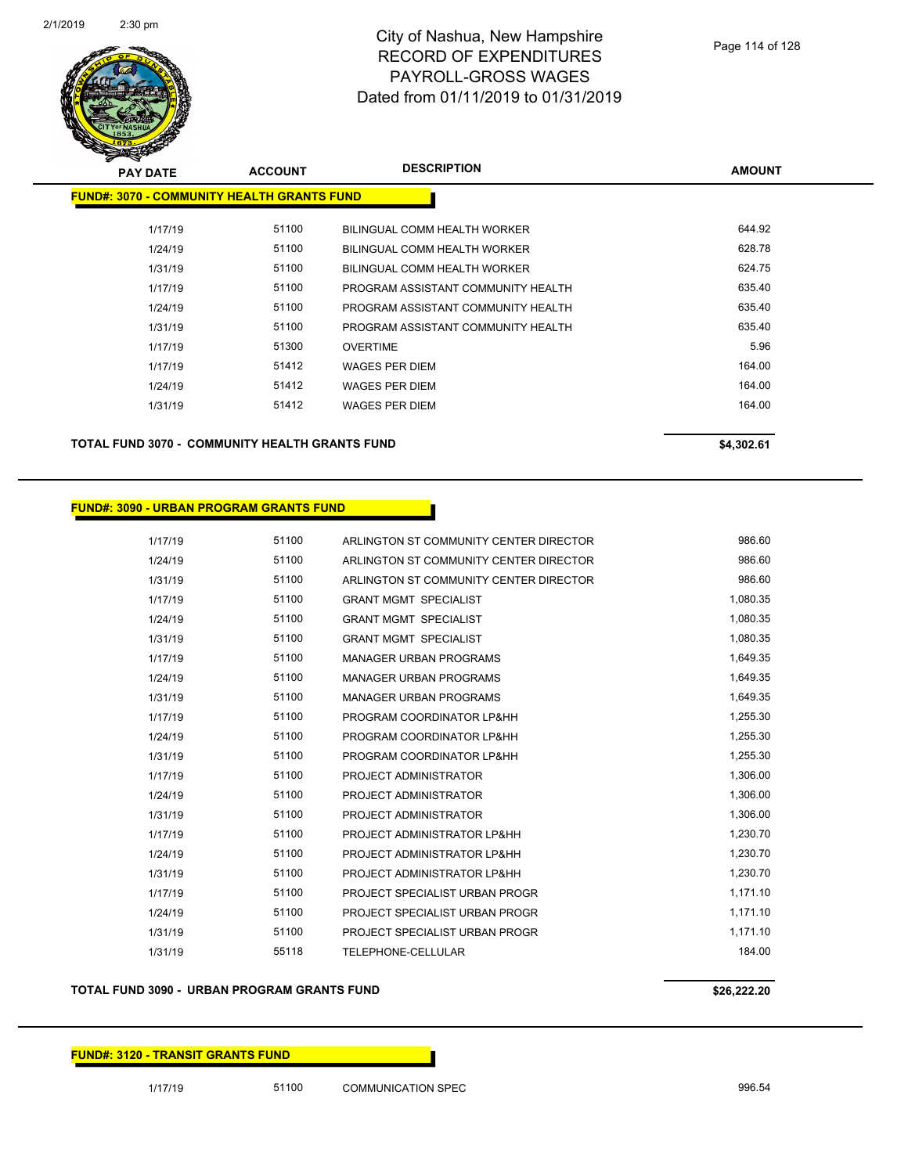

| <b>PAY DATE</b>                                   | <b>ACCOUNT</b> | <b>DESCRIPTION</b>                  | <b>AMOUNT</b> |
|---------------------------------------------------|----------------|-------------------------------------|---------------|
| <b>FUND#: 3070 - COMMUNITY HEALTH GRANTS FUND</b> |                |                                     |               |
| 1/17/19                                           | 51100          | BILINGUAL COMM HEALTH WORKER        | 644.92        |
| 1/24/19                                           | 51100          | BILINGUAL COMM HEALTH WORKER        | 628.78        |
| 1/31/19                                           | 51100          | <b>BILINGUAL COMM HEALTH WORKER</b> | 624.75        |
| 1/17/19                                           | 51100          | PROGRAM ASSISTANT COMMUNITY HEALTH  | 635.40        |
| 1/24/19                                           | 51100          | PROGRAM ASSISTANT COMMUNITY HEALTH  | 635.40        |
| 1/31/19                                           | 51100          | PROGRAM ASSISTANT COMMUNITY HEALTH  | 635.40        |
| 1/17/19                                           | 51300          | <b>OVERTIME</b>                     | 5.96          |
| 1/17/19                                           | 51412          | <b>WAGES PER DIEM</b>               | 164.00        |
| 1/24/19                                           | 51412          | <b>WAGES PER DIEM</b>               | 164.00        |
| 1/31/19                                           | 51412          | <b>WAGES PER DIEM</b>               | 164.00        |
|                                                   |                |                                     |               |
| TOTAL FUND 3070 - COMMUNITY HEALTH GRANTS FUND    |                |                                     | \$4,302.61    |

### **FUND#: 3090 - URBAN PROGRAM GRANTS FUND**

| 1/17/19 | 51100 | ARLINGTON ST COMMUNITY CENTER DIRECTOR | 986.60   |
|---------|-------|----------------------------------------|----------|
| 1/24/19 | 51100 | ARLINGTON ST COMMUNITY CENTER DIRECTOR | 986.60   |
| 1/31/19 | 51100 | ARLINGTON ST COMMUNITY CENTER DIRECTOR | 986.60   |
| 1/17/19 | 51100 | <b>GRANT MGMT SPECIALIST</b>           | 1,080.35 |
| 1/24/19 | 51100 | <b>GRANT MGMT SPECIALIST</b>           | 1,080.35 |
| 1/31/19 | 51100 | <b>GRANT MGMT SPECIALIST</b>           | 1,080.35 |
| 1/17/19 | 51100 | <b>MANAGER URBAN PROGRAMS</b>          | 1,649.35 |
| 1/24/19 | 51100 | <b>MANAGER URBAN PROGRAMS</b>          | 1,649.35 |
| 1/31/19 | 51100 | <b>MANAGER URBAN PROGRAMS</b>          | 1,649.35 |
| 1/17/19 | 51100 | PROGRAM COORDINATOR LP&HH              | 1,255.30 |
| 1/24/19 | 51100 | PROGRAM COORDINATOR LP&HH              | 1,255.30 |
| 1/31/19 | 51100 | PROGRAM COORDINATOR LP&HH              | 1,255.30 |
| 1/17/19 | 51100 | PROJECT ADMINISTRATOR                  | 1,306.00 |
| 1/24/19 | 51100 | PROJECT ADMINISTRATOR                  | 1,306.00 |
| 1/31/19 | 51100 | PROJECT ADMINISTRATOR                  | 1,306.00 |
| 1/17/19 | 51100 | PROJECT ADMINISTRATOR LP&HH            | 1,230.70 |
| 1/24/19 | 51100 | PROJECT ADMINISTRATOR LP&HH            | 1,230.70 |
| 1/31/19 | 51100 | PROJECT ADMINISTRATOR LP&HH            | 1,230.70 |
| 1/17/19 | 51100 | PROJECT SPECIALIST URBAN PROGR         | 1,171.10 |
| 1/24/19 | 51100 | PROJECT SPECIALIST URBAN PROGR         | 1,171.10 |
| 1/31/19 | 51100 | PROJECT SPECIALIST URBAN PROGR         | 1,171.10 |
| 1/31/19 | 55118 | TELEPHONE-CELLULAR                     | 184.00   |

#### **TOTAL FUND 3090 - URBAN PROGRAM GRANTS FUND \$26,222.20**

#### **FUND#: 3120 - TRANSIT GRANTS FUND**

1/17/19 51100 COMMUNICATION SPEC 996.54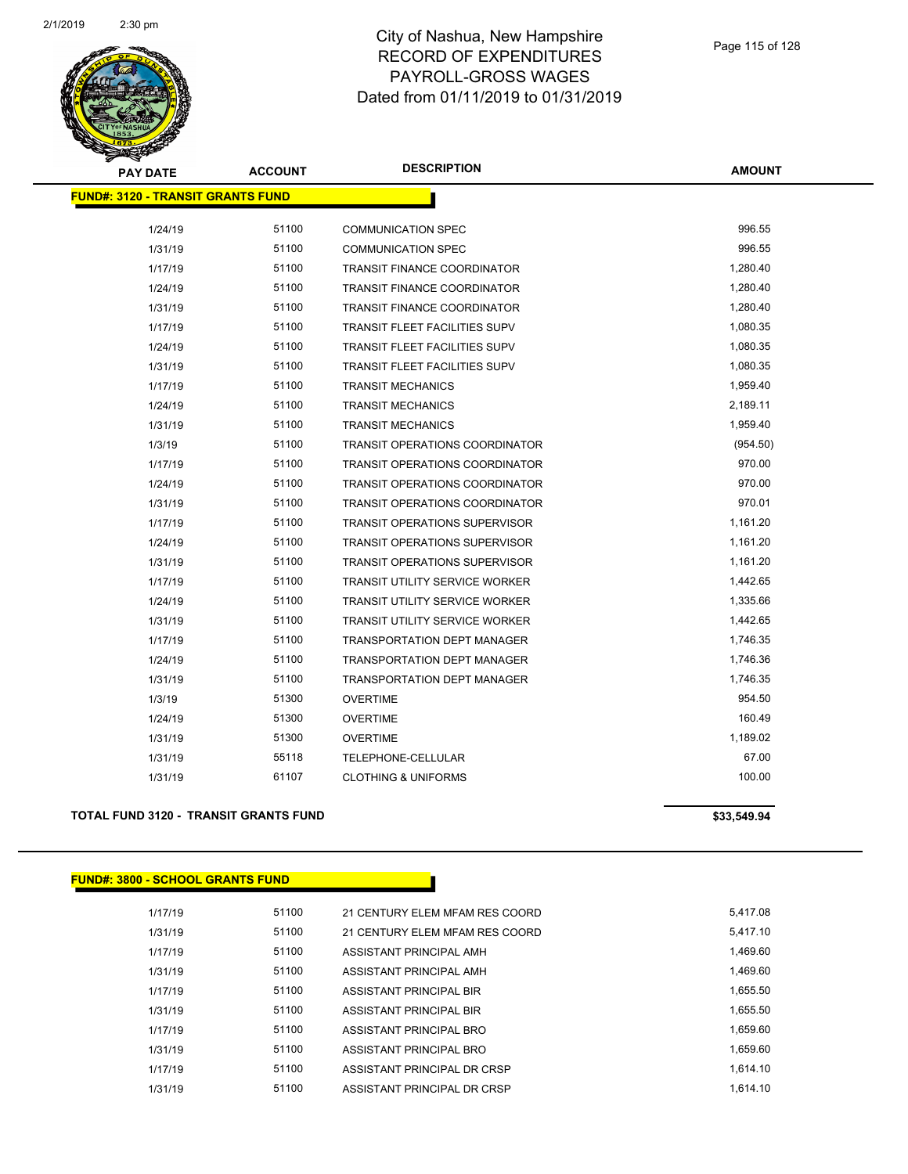

| <b>PAY DATE</b>                          | <b>ACCOUNT</b> | <b>DESCRIPTION</b>                    | <b>AMOUNT</b> |
|------------------------------------------|----------------|---------------------------------------|---------------|
| <b>FUND#: 3120 - TRANSIT GRANTS FUND</b> |                |                                       |               |
| 1/24/19                                  | 51100          | <b>COMMUNICATION SPEC</b>             | 996.55        |
| 1/31/19                                  | 51100          | <b>COMMUNICATION SPEC</b>             | 996.55        |
| 1/17/19                                  | 51100          | <b>TRANSIT FINANCE COORDINATOR</b>    | 1,280.40      |
| 1/24/19                                  | 51100          | <b>TRANSIT FINANCE COORDINATOR</b>    | 1,280.40      |
| 1/31/19                                  | 51100          | TRANSIT FINANCE COORDINATOR           | 1,280.40      |
| 1/17/19                                  | 51100          | <b>TRANSIT FLEET FACILITIES SUPV</b>  | 1,080.35      |
| 1/24/19                                  | 51100          | <b>TRANSIT FLEET FACILITIES SUPV</b>  | 1,080.35      |
| 1/31/19                                  | 51100          | <b>TRANSIT FLEET FACILITIES SUPV</b>  | 1,080.35      |
| 1/17/19                                  | 51100          | <b>TRANSIT MECHANICS</b>              | 1,959.40      |
| 1/24/19                                  | 51100          | <b>TRANSIT MECHANICS</b>              | 2,189.11      |
| 1/31/19                                  | 51100          | <b>TRANSIT MECHANICS</b>              | 1,959.40      |
| 1/3/19                                   | 51100          | <b>TRANSIT OPERATIONS COORDINATOR</b> | (954.50)      |
| 1/17/19                                  | 51100          | <b>TRANSIT OPERATIONS COORDINATOR</b> | 970.00        |
| 1/24/19                                  | 51100          | <b>TRANSIT OPERATIONS COORDINATOR</b> | 970.00        |
| 1/31/19                                  | 51100          | <b>TRANSIT OPERATIONS COORDINATOR</b> | 970.01        |
| 1/17/19                                  | 51100          | <b>TRANSIT OPERATIONS SUPERVISOR</b>  | 1,161.20      |
| 1/24/19                                  | 51100          | <b>TRANSIT OPERATIONS SUPERVISOR</b>  | 1,161.20      |
| 1/31/19                                  | 51100          | <b>TRANSIT OPERATIONS SUPERVISOR</b>  | 1,161.20      |
| 1/17/19                                  | 51100          | <b>TRANSIT UTILITY SERVICE WORKER</b> | 1,442.65      |
| 1/24/19                                  | 51100          | TRANSIT UTILITY SERVICE WORKER        | 1,335.66      |
| 1/31/19                                  | 51100          | <b>TRANSIT UTILITY SERVICE WORKER</b> | 1,442.65      |
| 1/17/19                                  | 51100          | <b>TRANSPORTATION DEPT MANAGER</b>    | 1,746.35      |
| 1/24/19                                  | 51100          | <b>TRANSPORTATION DEPT MANAGER</b>    | 1,746.36      |
| 1/31/19                                  | 51100          | <b>TRANSPORTATION DEPT MANAGER</b>    | 1,746.35      |
| 1/3/19                                   | 51300          | <b>OVERTIME</b>                       | 954.50        |
| 1/24/19                                  | 51300          | OVERTIME                              | 160.49        |
| 1/31/19                                  | 51300          | <b>OVERTIME</b>                       | 1,189.02      |
| 1/31/19                                  | 55118          | <b>TELEPHONE-CELLULAR</b>             | 67.00         |
| 1/31/19                                  | 61107          | <b>CLOTHING &amp; UNIFORMS</b>        | 100.00        |
|                                          |                |                                       |               |

### **TOTAL FUND 3120 - TRANSIT GRANTS FUND \$33,549.94 \$33,549.94**

**FUND#: 3800 - SCHOOL GRANTS FUND**

| 1/17/19 | 51100 | 21 CENTURY ELEM MFAM RES COORD | 5.417.08 |
|---------|-------|--------------------------------|----------|
| 1/31/19 | 51100 | 21 CENTURY ELEM MFAM RES COORD | 5.417.10 |
| 1/17/19 | 51100 | ASSISTANT PRINCIPAL AMH        | 1.469.60 |
| 1/31/19 | 51100 | ASSISTANT PRINCIPAL AMH        | 1.469.60 |
| 1/17/19 | 51100 | ASSISTANT PRINCIPAL BIR        | 1.655.50 |
| 1/31/19 | 51100 | ASSISTANT PRINCIPAL BIR        | 1.655.50 |
| 1/17/19 | 51100 | ASSISTANT PRINCIPAL BRO        | 1.659.60 |
| 1/31/19 | 51100 | ASSISTANT PRINCIPAL BRO        | 1.659.60 |
| 1/17/19 | 51100 | ASSISTANT PRINCIPAL DR CRSP    | 1.614.10 |
| 1/31/19 | 51100 | ASSISTANT PRINCIPAL DR CRSP    | 1.614.10 |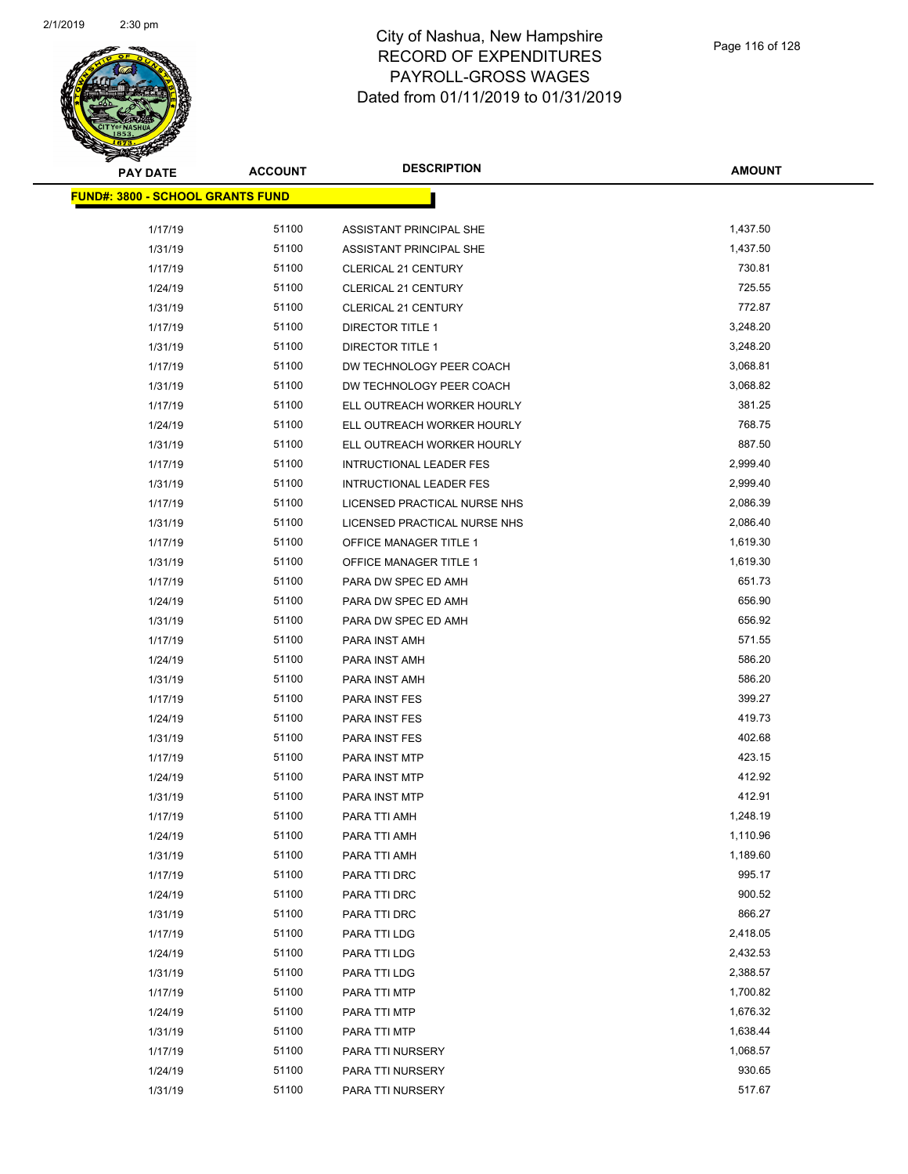

| <b>PAY DATE</b>                         | <b>ACCOUNT</b> | <b>DESCRIPTION</b>             | <b>AMOUNT</b> |
|-----------------------------------------|----------------|--------------------------------|---------------|
| <b>FUND#: 3800 - SCHOOL GRANTS FUND</b> |                |                                |               |
|                                         |                |                                |               |
| 1/17/19                                 | 51100          | ASSISTANT PRINCIPAL SHE        | 1,437.50      |
| 1/31/19                                 | 51100          | ASSISTANT PRINCIPAL SHE        | 1,437.50      |
| 1/17/19                                 | 51100          | <b>CLERICAL 21 CENTURY</b>     | 730.81        |
| 1/24/19                                 | 51100          | <b>CLERICAL 21 CENTURY</b>     | 725.55        |
| 1/31/19                                 | 51100          | <b>CLERICAL 21 CENTURY</b>     | 772.87        |
| 1/17/19                                 | 51100          | <b>DIRECTOR TITLE 1</b>        | 3,248.20      |
| 1/31/19                                 | 51100          | <b>DIRECTOR TITLE 1</b>        | 3,248.20      |
| 1/17/19                                 | 51100          | DW TECHNOLOGY PEER COACH       | 3,068.81      |
| 1/31/19                                 | 51100          | DW TECHNOLOGY PEER COACH       | 3,068.82      |
| 1/17/19                                 | 51100          | ELL OUTREACH WORKER HOURLY     | 381.25        |
| 1/24/19                                 | 51100          | ELL OUTREACH WORKER HOURLY     | 768.75        |
| 1/31/19                                 | 51100          | ELL OUTREACH WORKER HOURLY     | 887.50        |
| 1/17/19                                 | 51100          | <b>INTRUCTIONAL LEADER FES</b> | 2,999.40      |
| 1/31/19                                 | 51100          | <b>INTRUCTIONAL LEADER FES</b> | 2,999.40      |
| 1/17/19                                 | 51100          | LICENSED PRACTICAL NURSE NHS   | 2,086.39      |
| 1/31/19                                 | 51100          | LICENSED PRACTICAL NURSE NHS   | 2,086.40      |
| 1/17/19                                 | 51100          | <b>OFFICE MANAGER TITLE 1</b>  | 1,619.30      |
| 1/31/19                                 | 51100          | OFFICE MANAGER TITLE 1         | 1,619.30      |
| 1/17/19                                 | 51100          | PARA DW SPEC ED AMH            | 651.73        |
| 1/24/19                                 | 51100          | PARA DW SPEC ED AMH            | 656.90        |
| 1/31/19                                 | 51100          | PARA DW SPEC ED AMH            | 656.92        |
| 1/17/19                                 | 51100          | PARA INST AMH                  | 571.55        |
| 1/24/19                                 | 51100          | PARA INST AMH                  | 586.20        |
| 1/31/19                                 | 51100          | PARA INST AMH                  | 586.20        |
| 1/17/19                                 | 51100          | PARA INST FES                  | 399.27        |
| 1/24/19                                 | 51100          | PARA INST FES                  | 419.73        |
| 1/31/19                                 | 51100          | PARA INST FES                  | 402.68        |
| 1/17/19                                 | 51100          | PARA INST MTP                  | 423.15        |
| 1/24/19                                 | 51100          | PARA INST MTP                  | 412.92        |
| 1/31/19                                 | 51100          | PARA INST MTP                  | 412.91        |
| 1/17/19                                 | 51100          | PARA TTI AMH                   | 1,248.19      |
| 1/24/19                                 | 51100          | PARA TTI AMH                   | 1,110.96      |
| 1/31/19                                 | 51100          | PARA TTI AMH                   | 1,189.60      |
| 1/17/19                                 | 51100          | PARA TTI DRC                   | 995.17        |
| 1/24/19                                 | 51100          | PARA TTI DRC                   | 900.52        |
| 1/31/19                                 | 51100          | PARA TTI DRC                   | 866.27        |
| 1/17/19                                 | 51100          | PARA TTI LDG                   | 2,418.05      |
| 1/24/19                                 | 51100          | PARA TTI LDG                   | 2,432.53      |
| 1/31/19                                 | 51100          | PARA TTI LDG                   | 2,388.57      |
| 1/17/19                                 | 51100          | PARA TTI MTP                   | 1,700.82      |
| 1/24/19                                 | 51100          | PARA TTI MTP                   | 1,676.32      |
| 1/31/19                                 | 51100          | PARA TTI MTP                   | 1,638.44      |
| 1/17/19                                 | 51100          | PARA TTI NURSERY               | 1,068.57      |
| 1/24/19                                 | 51100          | PARA TTI NURSERY               | 930.65        |
| 1/31/19                                 | 51100          | PARA TTI NURSERY               | 517.67        |
|                                         |                |                                |               |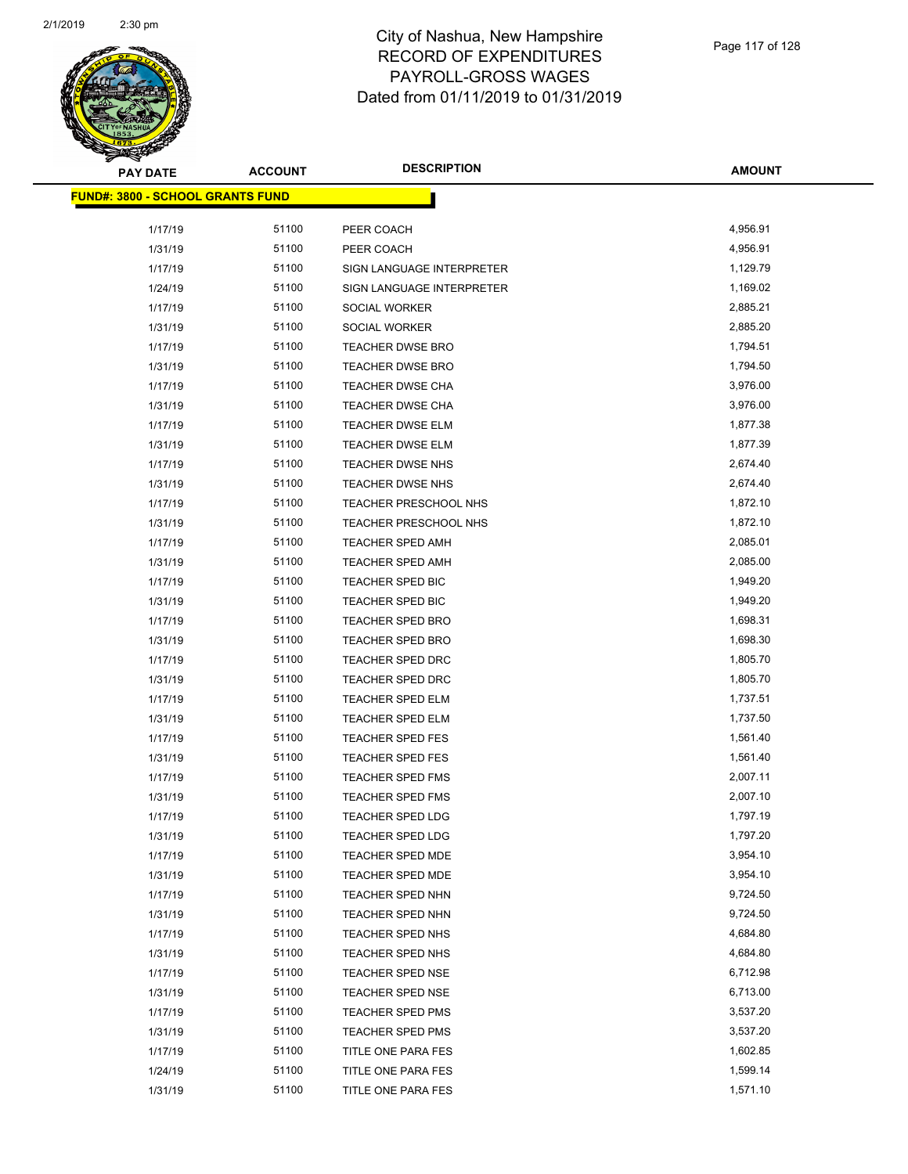

| <b>PAY DATE</b>                         | <b>ACCOUNT</b> | <b>DESCRIPTION</b>        | <b>AMOUNT</b> |
|-----------------------------------------|----------------|---------------------------|---------------|
| <b>FUND#: 3800 - SCHOOL GRANTS FUND</b> |                |                           |               |
|                                         |                |                           |               |
| 1/17/19                                 | 51100          | PEER COACH                | 4,956.91      |
| 1/31/19                                 | 51100          | PEER COACH                | 4,956.91      |
| 1/17/19                                 | 51100          | SIGN LANGUAGE INTERPRETER | 1,129.79      |
| 1/24/19                                 | 51100          | SIGN LANGUAGE INTERPRETER | 1,169.02      |
| 1/17/19                                 | 51100          | SOCIAL WORKER             | 2,885.21      |
| 1/31/19                                 | 51100          | SOCIAL WORKER             | 2,885.20      |
| 1/17/19                                 | 51100          | <b>TEACHER DWSE BRO</b>   | 1,794.51      |
| 1/31/19                                 | 51100          | <b>TEACHER DWSE BRO</b>   | 1,794.50      |
| 1/17/19                                 | 51100          | TEACHER DWSE CHA          | 3,976.00      |
| 1/31/19                                 | 51100          | TEACHER DWSE CHA          | 3,976.00      |
| 1/17/19                                 | 51100          | TEACHER DWSE ELM          | 1,877.38      |
| 1/31/19                                 | 51100          | TEACHER DWSE ELM          | 1,877.39      |
| 1/17/19                                 | 51100          | TEACHER DWSE NHS          | 2,674.40      |
| 1/31/19                                 | 51100          | TEACHER DWSE NHS          | 2,674.40      |
| 1/17/19                                 | 51100          | TEACHER PRESCHOOL NHS     | 1,872.10      |
| 1/31/19                                 | 51100          | TEACHER PRESCHOOL NHS     | 1,872.10      |
| 1/17/19                                 | 51100          | <b>TEACHER SPED AMH</b>   | 2,085.01      |
| 1/31/19                                 | 51100          | <b>TEACHER SPED AMH</b>   | 2,085.00      |
| 1/17/19                                 | 51100          | TEACHER SPED BIC          | 1,949.20      |
| 1/31/19                                 | 51100          | TEACHER SPED BIC          | 1,949.20      |
| 1/17/19                                 | 51100          | TEACHER SPED BRO          | 1,698.31      |
| 1/31/19                                 | 51100          | TEACHER SPED BRO          | 1,698.30      |
| 1/17/19                                 | 51100          | TEACHER SPED DRC          | 1,805.70      |
| 1/31/19                                 | 51100          | TEACHER SPED DRC          | 1,805.70      |
| 1/17/19                                 | 51100          | TEACHER SPED ELM          | 1,737.51      |
| 1/31/19                                 | 51100          | TEACHER SPED ELM          | 1,737.50      |
| 1/17/19                                 | 51100          | TEACHER SPED FES          | 1,561.40      |
| 1/31/19                                 | 51100          | TEACHER SPED FES          | 1,561.40      |
| 1/17/19                                 | 51100          | TEACHER SPED FMS          | 2,007.11      |
| 1/31/19                                 | 51100          | <b>TEACHER SPED FMS</b>   | 2,007.10      |
| 1/17/19                                 | 51100          | <b>TEACHER SPED LDG</b>   | 1,797.19      |
| 1/31/19                                 | 51100          | TEACHER SPED LDG          | 1,797.20      |
| 1/17/19                                 | 51100          | TEACHER SPED MDE          | 3,954.10      |
| 1/31/19                                 | 51100          | TEACHER SPED MDE          | 3,954.10      |
| 1/17/19                                 | 51100          | TEACHER SPED NHN          | 9,724.50      |
| 1/31/19                                 | 51100          | TEACHER SPED NHN          | 9,724.50      |
| 1/17/19                                 | 51100          | TEACHER SPED NHS          | 4,684.80      |
| 1/31/19                                 | 51100          | TEACHER SPED NHS          | 4,684.80      |
| 1/17/19                                 | 51100          | TEACHER SPED NSE          | 6,712.98      |
| 1/31/19                                 | 51100          | TEACHER SPED NSE          | 6,713.00      |
| 1/17/19                                 | 51100          | TEACHER SPED PMS          | 3,537.20      |
| 1/31/19                                 | 51100          | TEACHER SPED PMS          | 3,537.20      |
| 1/17/19                                 | 51100          | TITLE ONE PARA FES        | 1,602.85      |
| 1/24/19                                 | 51100          | TITLE ONE PARA FES        | 1,599.14      |
| 1/31/19                                 | 51100          | TITLE ONE PARA FES        | 1,571.10      |
|                                         |                |                           |               |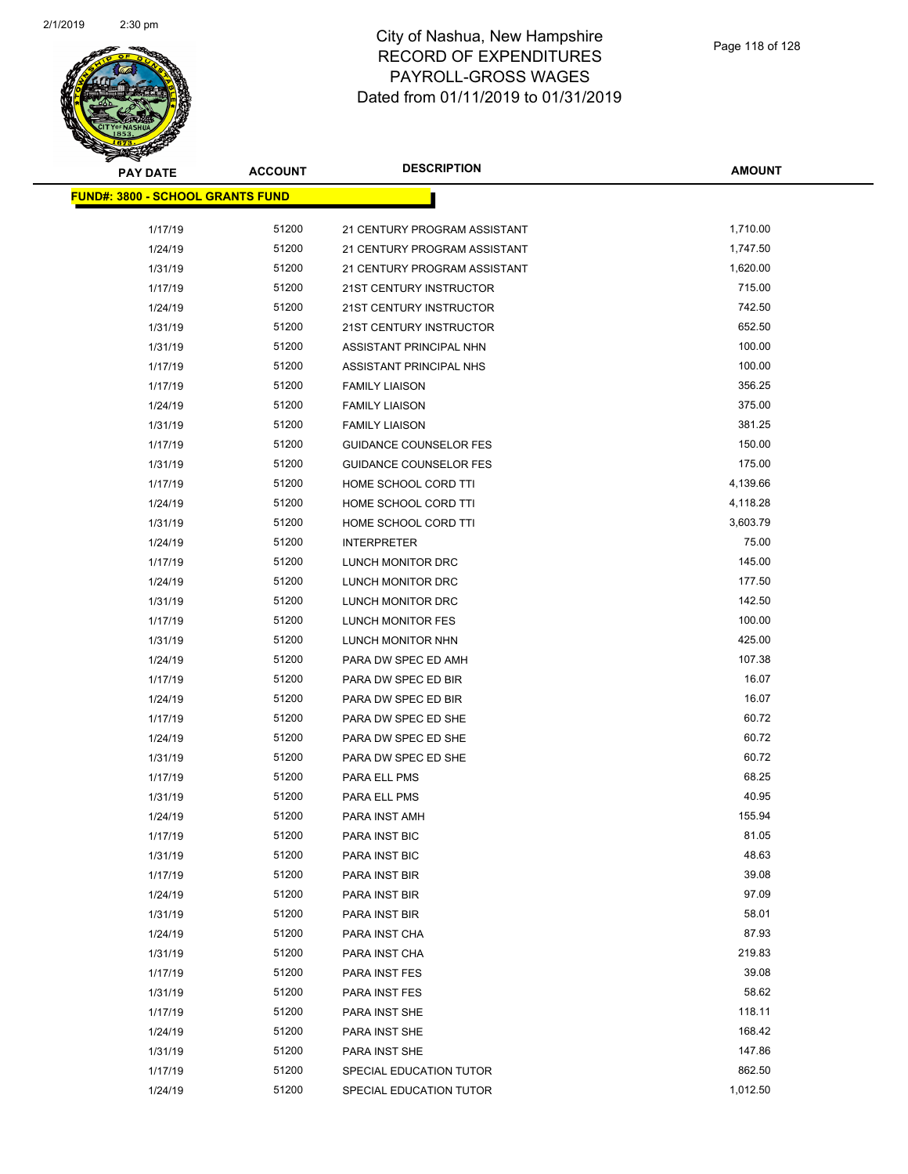

| <b>PAY DATE</b>                          | <b>ACCOUNT</b> | <b>DESCRIPTION</b>            | <b>AMOUNT</b> |
|------------------------------------------|----------------|-------------------------------|---------------|
| <u> FUND#: 3800 - SCHOOL GRANTS FUND</u> |                |                               |               |
|                                          |                |                               |               |
| 1/17/19                                  | 51200          | 21 CENTURY PROGRAM ASSISTANT  | 1,710.00      |
| 1/24/19                                  | 51200          | 21 CENTURY PROGRAM ASSISTANT  | 1,747.50      |
| 1/31/19                                  | 51200          | 21 CENTURY PROGRAM ASSISTANT  | 1,620.00      |
| 1/17/19                                  | 51200          | 21ST CENTURY INSTRUCTOR       | 715.00        |
| 1/24/19                                  | 51200          | 21ST CENTURY INSTRUCTOR       | 742.50        |
| 1/31/19                                  | 51200          | 21ST CENTURY INSTRUCTOR       | 652.50        |
| 1/31/19                                  | 51200          | ASSISTANT PRINCIPAL NHN       | 100.00        |
| 1/17/19                                  | 51200          | ASSISTANT PRINCIPAL NHS       | 100.00        |
| 1/17/19                                  | 51200          | <b>FAMILY LIAISON</b>         | 356.25        |
| 1/24/19                                  | 51200          | <b>FAMILY LIAISON</b>         | 375.00        |
| 1/31/19                                  | 51200          | <b>FAMILY LIAISON</b>         | 381.25        |
| 1/17/19                                  | 51200          | <b>GUIDANCE COUNSELOR FES</b> | 150.00        |
| 1/31/19                                  | 51200          | <b>GUIDANCE COUNSELOR FES</b> | 175.00        |
| 1/17/19                                  | 51200          | HOME SCHOOL CORD TTI          | 4,139.66      |
| 1/24/19                                  | 51200          | HOME SCHOOL CORD TTI          | 4,118.28      |
| 1/31/19                                  | 51200          | HOME SCHOOL CORD TTI          | 3,603.79      |
| 1/24/19                                  | 51200          | <b>INTERPRETER</b>            | 75.00         |
| 1/17/19                                  | 51200          | LUNCH MONITOR DRC             | 145.00        |
| 1/24/19                                  | 51200          | LUNCH MONITOR DRC             | 177.50        |
| 1/31/19                                  | 51200          | LUNCH MONITOR DRC             | 142.50        |
| 1/17/19                                  | 51200          | LUNCH MONITOR FES             | 100.00        |
| 1/31/19                                  | 51200          | LUNCH MONITOR NHN             | 425.00        |
| 1/24/19                                  | 51200          | PARA DW SPEC ED AMH           | 107.38        |
| 1/17/19                                  | 51200          | PARA DW SPEC ED BIR           | 16.07         |
| 1/24/19                                  | 51200          | PARA DW SPEC ED BIR           | 16.07         |
| 1/17/19                                  | 51200          | PARA DW SPEC ED SHE           | 60.72         |
| 1/24/19                                  | 51200          | PARA DW SPEC ED SHE           | 60.72         |
| 1/31/19                                  | 51200          | PARA DW SPEC ED SHE           | 60.72         |
| 1/17/19                                  | 51200          | PARA ELL PMS                  | 68.25         |
| 1/31/19                                  | 51200          | PARA ELL PMS                  | 40.95         |
| 1/24/19                                  | 51200          | PARA INST AMH                 | 155.94        |
| 1/17/19                                  | 51200          | PARA INST BIC                 | 81.05         |
| 1/31/19                                  | 51200          | PARA INST BIC                 | 48.63         |
| 1/17/19                                  | 51200          | PARA INST BIR                 | 39.08         |
| 1/24/19                                  | 51200          | PARA INST BIR                 | 97.09         |
| 1/31/19                                  | 51200          | PARA INST BIR                 | 58.01         |
| 1/24/19                                  | 51200          | PARA INST CHA                 | 87.93         |
| 1/31/19                                  | 51200          | PARA INST CHA                 | 219.83        |
| 1/17/19                                  | 51200          | PARA INST FES                 | 39.08         |
| 1/31/19                                  | 51200          | PARA INST FES                 | 58.62         |
| 1/17/19                                  | 51200          | PARA INST SHE                 | 118.11        |
| 1/24/19                                  | 51200          | PARA INST SHE                 | 168.42        |
| 1/31/19                                  | 51200          | PARA INST SHE                 | 147.86        |
| 1/17/19                                  | 51200          | SPECIAL EDUCATION TUTOR       | 862.50        |
| 1/24/19                                  | 51200          | SPECIAL EDUCATION TUTOR       | 1,012.50      |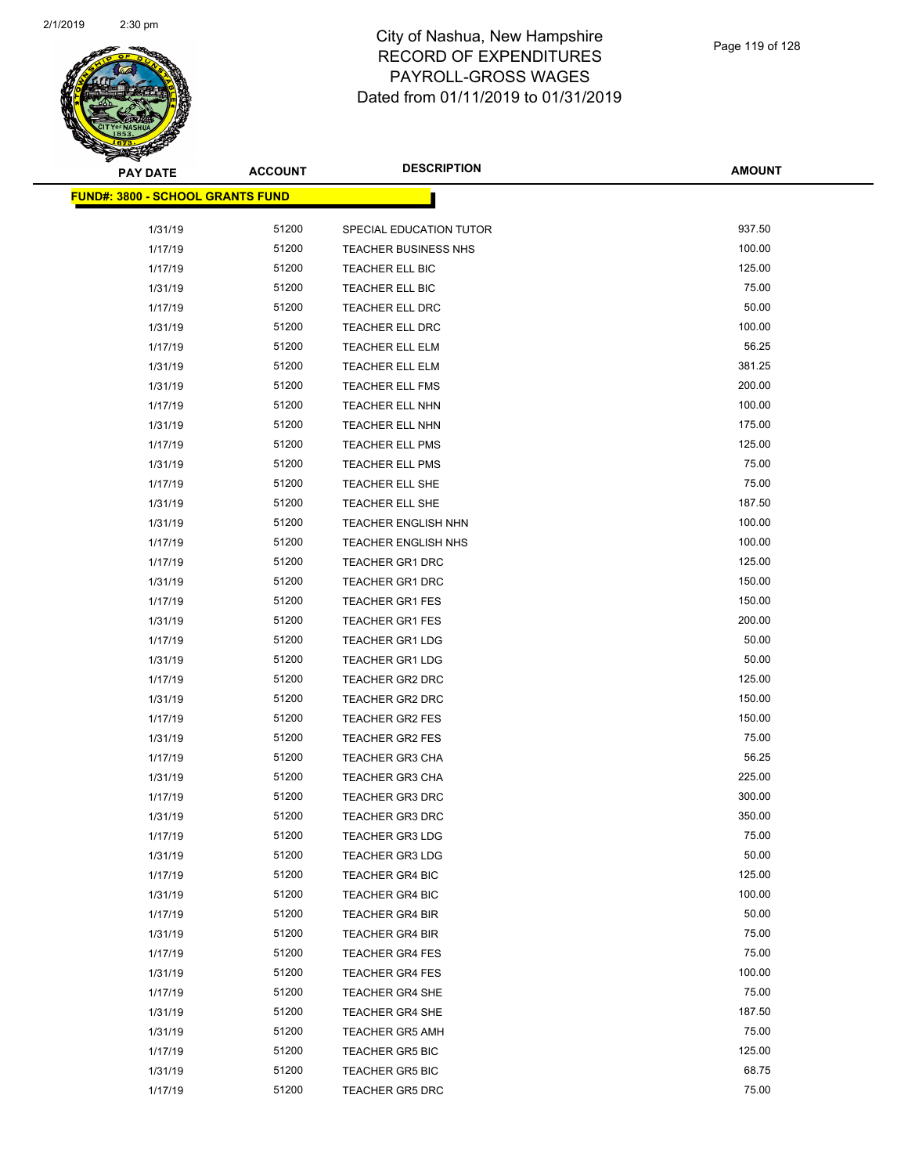

| <b>PAY DATE</b>                          | <b>ACCOUNT</b> | <b>DESCRIPTION</b>          | <b>AMOUNT</b> |
|------------------------------------------|----------------|-----------------------------|---------------|
| <u> FUND#: 3800 - SCHOOL GRANTS FUND</u> |                |                             |               |
|                                          |                |                             |               |
| 1/31/19                                  | 51200          | SPECIAL EDUCATION TUTOR     | 937.50        |
| 1/17/19                                  | 51200          | <b>TEACHER BUSINESS NHS</b> | 100.00        |
| 1/17/19                                  | 51200          | TEACHER ELL BIC             | 125.00        |
| 1/31/19                                  | 51200          | TEACHER ELL BIC             | 75.00         |
| 1/17/19                                  | 51200          | TEACHER ELL DRC             | 50.00         |
| 1/31/19                                  | 51200          | TEACHER ELL DRC             | 100.00        |
| 1/17/19                                  | 51200          | <b>TEACHER ELL ELM</b>      | 56.25         |
| 1/31/19                                  | 51200          | TEACHER ELL ELM             | 381.25        |
| 1/31/19                                  | 51200          | TEACHER ELL FMS             | 200.00        |
| 1/17/19                                  | 51200          | TEACHER ELL NHN             | 100.00        |
| 1/31/19                                  | 51200          | TEACHER ELL NHN             | 175.00        |
| 1/17/19                                  | 51200          | <b>TEACHER ELL PMS</b>      | 125.00        |
| 1/31/19                                  | 51200          | TEACHER ELL PMS             | 75.00         |
| 1/17/19                                  | 51200          | TEACHER ELL SHE             | 75.00         |
| 1/31/19                                  | 51200          | TEACHER ELL SHE             | 187.50        |
| 1/31/19                                  | 51200          | TEACHER ENGLISH NHN         | 100.00        |
| 1/17/19                                  | 51200          | <b>TEACHER ENGLISH NHS</b>  | 100.00        |
| 1/17/19                                  | 51200          | <b>TEACHER GR1 DRC</b>      | 125.00        |
| 1/31/19                                  | 51200          | <b>TEACHER GR1 DRC</b>      | 150.00        |
| 1/17/19                                  | 51200          | <b>TEACHER GR1 FES</b>      | 150.00        |
| 1/31/19                                  | 51200          | <b>TEACHER GR1 FES</b>      | 200.00        |
| 1/17/19                                  | 51200          | <b>TEACHER GR1 LDG</b>      | 50.00         |
| 1/31/19                                  | 51200          | <b>TEACHER GR1 LDG</b>      | 50.00         |
| 1/17/19                                  | 51200          | TEACHER GR2 DRC             | 125.00        |
| 1/31/19                                  | 51200          | TEACHER GR2 DRC             | 150.00        |
| 1/17/19                                  | 51200          | <b>TEACHER GR2 FES</b>      | 150.00        |
| 1/31/19                                  | 51200          | <b>TEACHER GR2 FES</b>      | 75.00         |
| 1/17/19                                  | 51200          | <b>TEACHER GR3 CHA</b>      | 56.25         |
| 1/31/19                                  | 51200          | <b>TEACHER GR3 CHA</b>      | 225.00        |
| 1/17/19                                  | 51200          | <b>TEACHER GR3 DRC</b>      | 300.00        |
| 1/31/19                                  | 51200          | <b>TEACHER GR3 DRC</b>      | 350.00        |
| 1/17/19                                  | 51200          | <b>TEACHER GR3 LDG</b>      | 75.00         |
| 1/31/19                                  | 51200          | <b>TEACHER GR3 LDG</b>      | 50.00         |
| 1/17/19                                  | 51200          | <b>TEACHER GR4 BIC</b>      | 125.00        |
| 1/31/19                                  | 51200          | <b>TEACHER GR4 BIC</b>      | 100.00        |
| 1/17/19                                  | 51200          | <b>TEACHER GR4 BIR</b>      | 50.00         |
| 1/31/19                                  | 51200          | <b>TEACHER GR4 BIR</b>      | 75.00         |
| 1/17/19                                  | 51200          | <b>TEACHER GR4 FES</b>      | 75.00         |
| 1/31/19                                  | 51200          | <b>TEACHER GR4 FES</b>      | 100.00        |
| 1/17/19                                  | 51200          | <b>TEACHER GR4 SHE</b>      | 75.00         |
| 1/31/19                                  | 51200          | <b>TEACHER GR4 SHE</b>      | 187.50        |
| 1/31/19                                  | 51200          | <b>TEACHER GR5 AMH</b>      | 75.00         |
| 1/17/19                                  | 51200          | <b>TEACHER GR5 BIC</b>      | 125.00        |
| 1/31/19                                  | 51200          | <b>TEACHER GR5 BIC</b>      | 68.75         |
| 1/17/19                                  | 51200          | <b>TEACHER GR5 DRC</b>      | 75.00         |
|                                          |                |                             |               |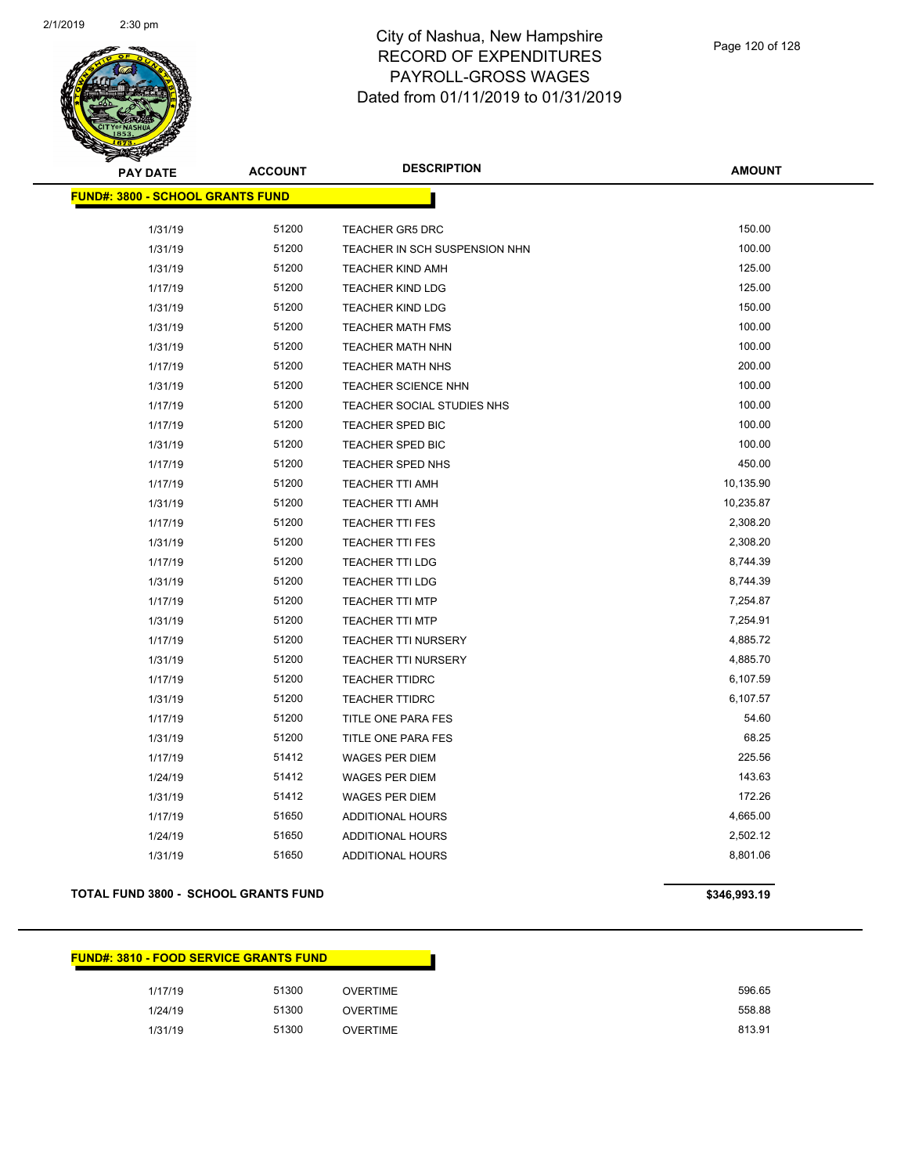

| <b>PAY DATE</b>                         | <b>ACCOUNT</b> | <b>DESCRIPTION</b>            | <b>AMOUNT</b> |
|-----------------------------------------|----------------|-------------------------------|---------------|
| <b>FUND#: 3800 - SCHOOL GRANTS FUND</b> |                |                               |               |
| 1/31/19                                 | 51200          | <b>TEACHER GR5 DRC</b>        | 150.00        |
| 1/31/19                                 | 51200          | TEACHER IN SCH SUSPENSION NHN | 100.00        |
| 1/31/19                                 | 51200          | <b>TEACHER KIND AMH</b>       | 125.00        |
| 1/17/19                                 | 51200          | <b>TEACHER KIND LDG</b>       | 125.00        |
| 1/31/19                                 | 51200          | <b>TEACHER KIND LDG</b>       | 150.00        |
| 1/31/19                                 | 51200          | <b>TEACHER MATH FMS</b>       | 100.00        |
| 1/31/19                                 | 51200          | TEACHER MATH NHN              | 100.00        |
| 1/17/19                                 | 51200          | <b>TEACHER MATH NHS</b>       | 200.00        |
| 1/31/19                                 | 51200          | <b>TEACHER SCIENCE NHN</b>    | 100.00        |
| 1/17/19                                 | 51200          | TEACHER SOCIAL STUDIES NHS    | 100.00        |
| 1/17/19                                 | 51200          | <b>TEACHER SPED BIC</b>       | 100.00        |
| 1/31/19                                 | 51200          | <b>TEACHER SPED BIC</b>       | 100.00        |
| 1/17/19                                 | 51200          | TEACHER SPED NHS              | 450.00        |
| 1/17/19                                 | 51200          | <b>TEACHER TTI AMH</b>        | 10,135.90     |
| 1/31/19                                 | 51200          | <b>TEACHER TTI AMH</b>        | 10,235.87     |
| 1/17/19                                 | 51200          | <b>TEACHER TTI FES</b>        | 2,308.20      |
| 1/31/19                                 | 51200          | <b>TEACHER TTI FES</b>        | 2,308.20      |
| 1/17/19                                 | 51200          | <b>TEACHER TTI LDG</b>        | 8,744.39      |
| 1/31/19                                 | 51200          | <b>TEACHER TTI LDG</b>        | 8,744.39      |
| 1/17/19                                 | 51200          | <b>TEACHER TTI MTP</b>        | 7,254.87      |
| 1/31/19                                 | 51200          | <b>TEACHER TTI MTP</b>        | 7,254.91      |
| 1/17/19                                 | 51200          | <b>TEACHER TTI NURSERY</b>    | 4,885.72      |
| 1/31/19                                 | 51200          | TEACHER TTI NURSERY           | 4,885.70      |
| 1/17/19                                 | 51200          | <b>TEACHER TTIDRC</b>         | 6,107.59      |
| 1/31/19                                 | 51200          | <b>TEACHER TTIDRC</b>         | 6,107.57      |
| 1/17/19                                 | 51200          | TITLE ONE PARA FES            | 54.60         |
| 1/31/19                                 | 51200          | TITLE ONE PARA FES            | 68.25         |
| 1/17/19                                 | 51412          | <b>WAGES PER DIEM</b>         | 225.56        |
| 1/24/19                                 | 51412          | <b>WAGES PER DIEM</b>         | 143.63        |
| 1/31/19                                 | 51412          | <b>WAGES PER DIEM</b>         | 172.26        |
| 1/17/19                                 | 51650          | <b>ADDITIONAL HOURS</b>       | 4,665.00      |
| 1/24/19                                 | 51650          | <b>ADDITIONAL HOURS</b>       | 2,502.12      |
| 1/31/19                                 | 51650          | <b>ADDITIONAL HOURS</b>       | 8,801.06      |

### **TOTAL FUND 3800 - SCHOOL GRANTS FUND \$346,993.19**

#### **FUND#: 3810 - FOOD SERVICE GRANTS FUND**

| 1/17/19 | 51300 | <b>OVERTIME</b> | 596.65 |
|---------|-------|-----------------|--------|
| 1/24/19 | 51300 | <b>OVERTIME</b> | 558.88 |
| 1/31/19 | 51300 | <b>OVERTIME</b> | 813.91 |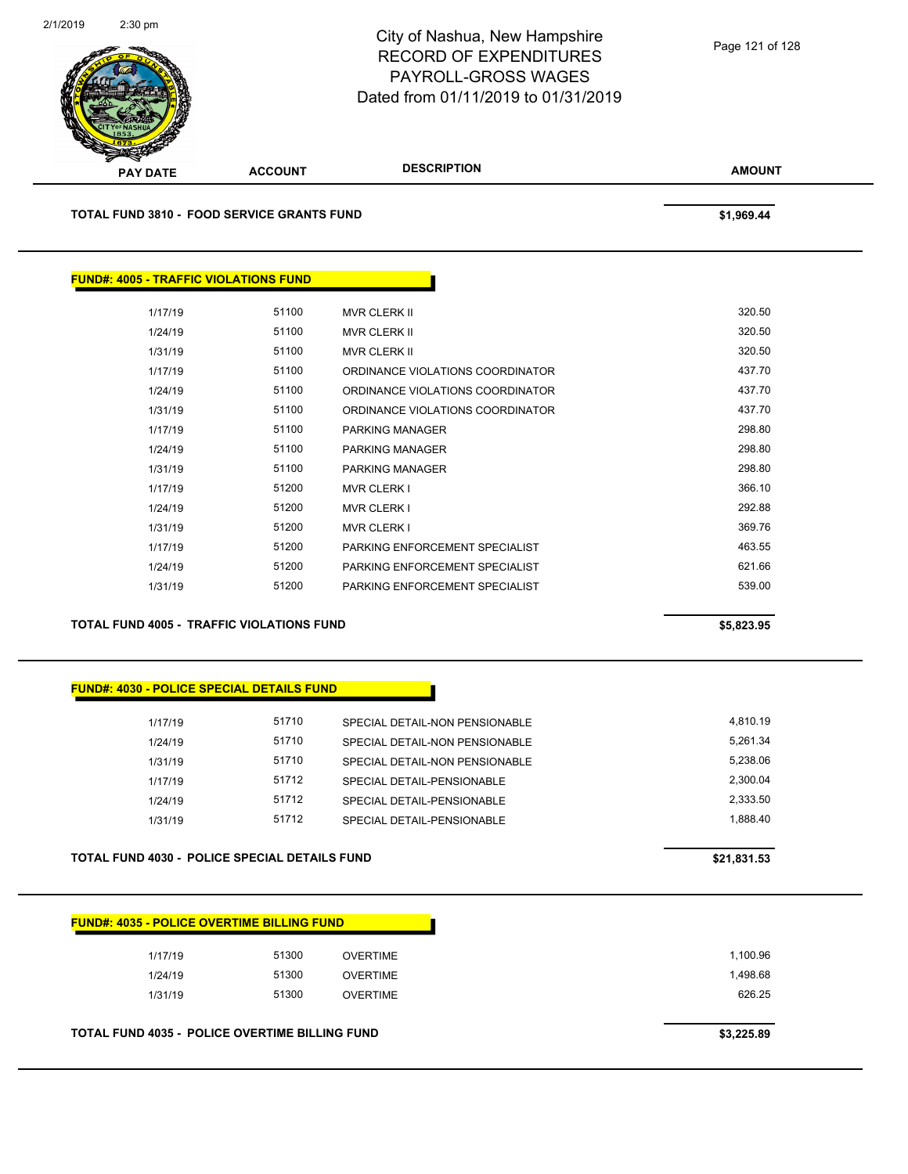

**TOTAL FUND 3810 - FOOD SERVICE GRANTS FUND \$1,969.44** 

 $FUND#:$ 

| 4005 - TRAFFIC VIOLATIONS FUND |       |                                  |        |
|--------------------------------|-------|----------------------------------|--------|
| 1/17/19                        | 51100 | <b>MVR CLERK II</b>              | 320.50 |
|                                |       |                                  |        |
| 1/24/19                        | 51100 | <b>MVR CLERK II</b>              | 320.50 |
| 1/31/19                        | 51100 | <b>MVR CLERK II</b>              | 320.50 |
| 1/17/19                        | 51100 | ORDINANCE VIOLATIONS COORDINATOR | 437.70 |
| 1/24/19                        | 51100 | ORDINANCE VIOLATIONS COORDINATOR | 437.70 |
| 1/31/19                        | 51100 | ORDINANCE VIOLATIONS COORDINATOR | 437.70 |
| 1/17/19                        | 51100 | <b>PARKING MANAGER</b>           | 298.80 |
| 1/24/19                        | 51100 | <b>PARKING MANAGER</b>           | 298.80 |
| 1/31/19                        | 51100 | PARKING MANAGER                  | 298.80 |
| 1/17/19                        | 51200 | <b>MVR CLERK I</b>               | 366.10 |
| 1/24/19                        | 51200 | <b>MVR CLERK I</b>               | 292.88 |
| 1/31/19                        | 51200 | <b>MVR CLERK I</b>               | 369.76 |
| 1/17/19                        | 51200 | PARKING ENFORCEMENT SPECIAL IST  | 463.55 |
| 1/24/19                        | 51200 | PARKING ENFORCEMENT SPECIALIST   | 621.66 |
| 1/31/19                        | 51200 | PARKING ENFORCEMENT SPECIALIST   | 539.00 |
|                                |       |                                  |        |

**TOTAL FUND 4005 - TRAFFIC VIOLATIONS FUND \$5,823.95** 

#### **FUND#: 4030 - POLICE SPECIAL DETAILS FUND**

| 1/17/19 | 51710 | SPECIAL DETAIL-NON PENSIONABLE | 4.810.19 |
|---------|-------|--------------------------------|----------|
| 1/24/19 | 51710 | SPECIAL DETAIL-NON PENSIONABLE | 5.261.34 |
| 1/31/19 | 51710 | SPECIAL DETAIL-NON PENSIONABLE | 5.238.06 |
| 1/17/19 | 51712 | SPECIAL DETAIL-PENSIONABLE     | 2.300.04 |
| 1/24/19 | 51712 | SPECIAL DETAIL-PENSIONABLE     | 2.333.50 |
| 1/31/19 | 51712 | SPECIAL DETAIL-PENSIONABLE     | 1.888.40 |
|         |       |                                |          |

#### **TOTAL FUND 4030 - POLICE SPECIAL DETAILS FUND \$21,831.53**

| <b>FUND#: 4035 - POLICE OVERTIME BILLING FUND</b> |
|---------------------------------------------------|
|---------------------------------------------------|

| <b>TOTAL FUND 4035 - POLICE OVERTIME BILLING FUND</b> |         |       |                 | \$3,225.89 |
|-------------------------------------------------------|---------|-------|-----------------|------------|
|                                                       | 1/31/19 | 51300 | <b>OVERTIME</b> | 626.25     |
|                                                       | 1/24/19 | 51300 | <b>OVERTIME</b> | 1,498.68   |
|                                                       | 1/17/19 | 51300 | <b>OVERTIME</b> | 1,100.96   |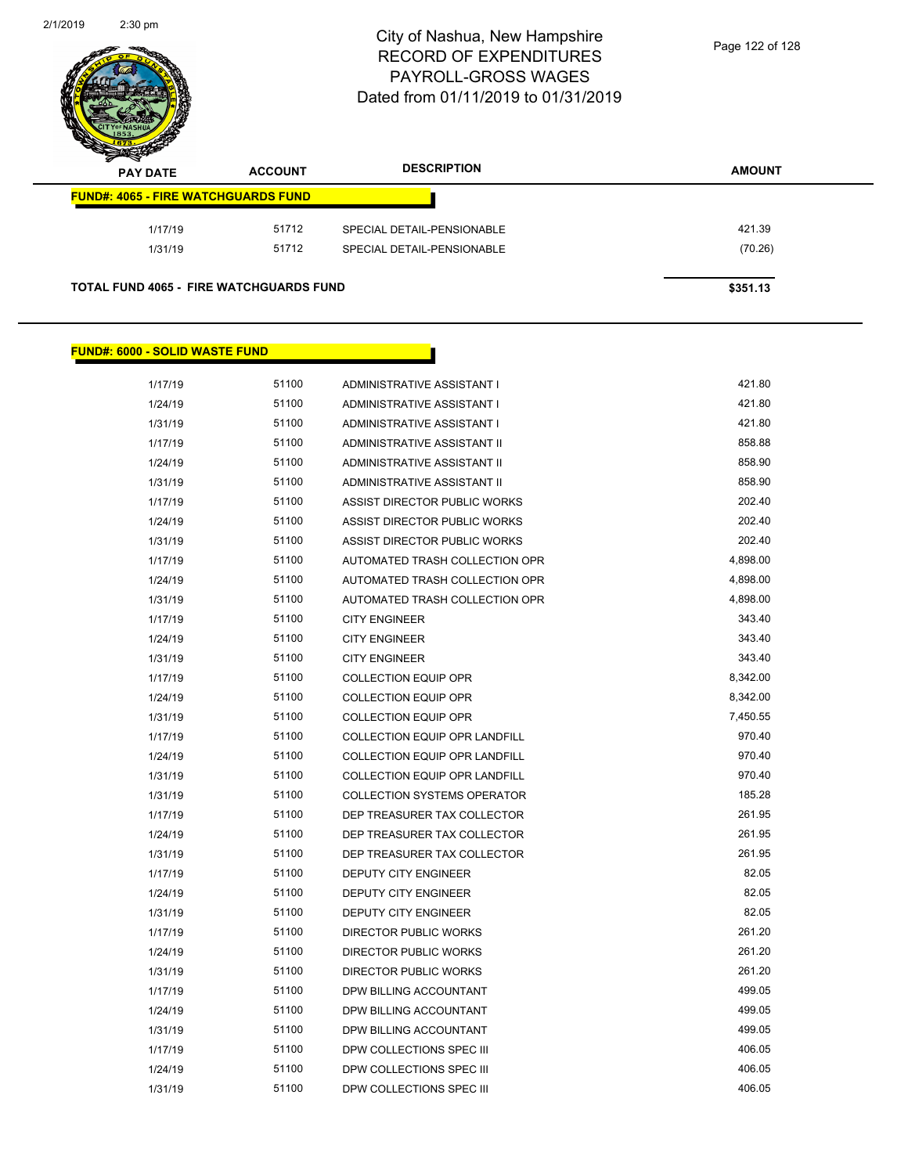

| s<br>$\tilde{\phantom{a}}$<br><b>PAY DATE</b> | <b>ACCOUNT</b>                                 | <b>DESCRIPTION</b>         | <b>AMOUNT</b> |
|-----------------------------------------------|------------------------------------------------|----------------------------|---------------|
|                                               | <b>FUND#: 4065 - FIRE WATCHGUARDS FUND</b>     |                            |               |
| 1/17/19                                       | 51712                                          | SPECIAL DETAIL-PENSIONABLE | 421.39        |
| 1/31/19                                       | 51712                                          | SPECIAL DETAIL-PENSIONABLE | (70.26)       |
|                                               | <b>TOTAL FUND 4065 - FIRE WATCHGUARDS FUND</b> |                            | \$351.13      |

### **FUND#: 6000 - SOLID WASTE FUND**

| 1/17/19 | 51100 | ADMINISTRATIVE ASSISTANT I           | 421.80   |
|---------|-------|--------------------------------------|----------|
| 1/24/19 | 51100 | ADMINISTRATIVE ASSISTANT I           | 421.80   |
| 1/31/19 | 51100 | ADMINISTRATIVE ASSISTANT I           | 421.80   |
| 1/17/19 | 51100 | ADMINISTRATIVE ASSISTANT II          | 858.88   |
| 1/24/19 | 51100 | ADMINISTRATIVE ASSISTANT II          | 858.90   |
| 1/31/19 | 51100 | ADMINISTRATIVE ASSISTANT II          | 858.90   |
| 1/17/19 | 51100 | ASSIST DIRECTOR PUBLIC WORKS         | 202.40   |
| 1/24/19 | 51100 | ASSIST DIRECTOR PUBLIC WORKS         | 202.40   |
| 1/31/19 | 51100 | ASSIST DIRECTOR PUBLIC WORKS         | 202.40   |
| 1/17/19 | 51100 | AUTOMATED TRASH COLLECTION OPR       | 4,898.00 |
| 1/24/19 | 51100 | AUTOMATED TRASH COLLECTION OPR       | 4,898.00 |
| 1/31/19 | 51100 | AUTOMATED TRASH COLLECTION OPR       | 4,898.00 |
| 1/17/19 | 51100 | <b>CITY ENGINEER</b>                 | 343.40   |
| 1/24/19 | 51100 | <b>CITY ENGINEER</b>                 | 343.40   |
| 1/31/19 | 51100 | <b>CITY ENGINEER</b>                 | 343.40   |
| 1/17/19 | 51100 | <b>COLLECTION EQUIP OPR</b>          | 8,342.00 |
| 1/24/19 | 51100 | <b>COLLECTION EQUIP OPR</b>          | 8,342.00 |
| 1/31/19 | 51100 | <b>COLLECTION EQUIP OPR</b>          | 7,450.55 |
| 1/17/19 | 51100 | COLLECTION EQUIP OPR LANDFILL        | 970.40   |
| 1/24/19 | 51100 | <b>COLLECTION EQUIP OPR LANDFILL</b> | 970.40   |
| 1/31/19 | 51100 | <b>COLLECTION EQUIP OPR LANDFILL</b> | 970.40   |
| 1/31/19 | 51100 | <b>COLLECTION SYSTEMS OPERATOR</b>   | 185.28   |
| 1/17/19 | 51100 | DEP TREASURER TAX COLLECTOR          | 261.95   |
| 1/24/19 | 51100 | DEP TREASURER TAX COLLECTOR          | 261.95   |
| 1/31/19 | 51100 | DEP TREASURER TAX COLLECTOR          | 261.95   |
| 1/17/19 | 51100 | <b>DEPUTY CITY ENGINEER</b>          | 82.05    |
| 1/24/19 | 51100 | <b>DEPUTY CITY ENGINEER</b>          | 82.05    |
| 1/31/19 | 51100 | <b>DEPUTY CITY ENGINEER</b>          | 82.05    |
| 1/17/19 | 51100 | DIRECTOR PUBLIC WORKS                | 261.20   |
| 1/24/19 | 51100 | <b>DIRECTOR PUBLIC WORKS</b>         | 261.20   |
| 1/31/19 | 51100 | <b>DIRECTOR PUBLIC WORKS</b>         | 261.20   |
| 1/17/19 | 51100 | DPW BILLING ACCOUNTANT               | 499.05   |
| 1/24/19 | 51100 | DPW BILLING ACCOUNTANT               | 499.05   |
| 1/31/19 | 51100 | DPW BILLING ACCOUNTANT               | 499.05   |
| 1/17/19 | 51100 | DPW COLLECTIONS SPEC III             | 406.05   |
| 1/24/19 | 51100 | DPW COLLECTIONS SPEC III             | 406.05   |
| 1/31/19 | 51100 | DPW COLLECTIONS SPEC III             | 406.05   |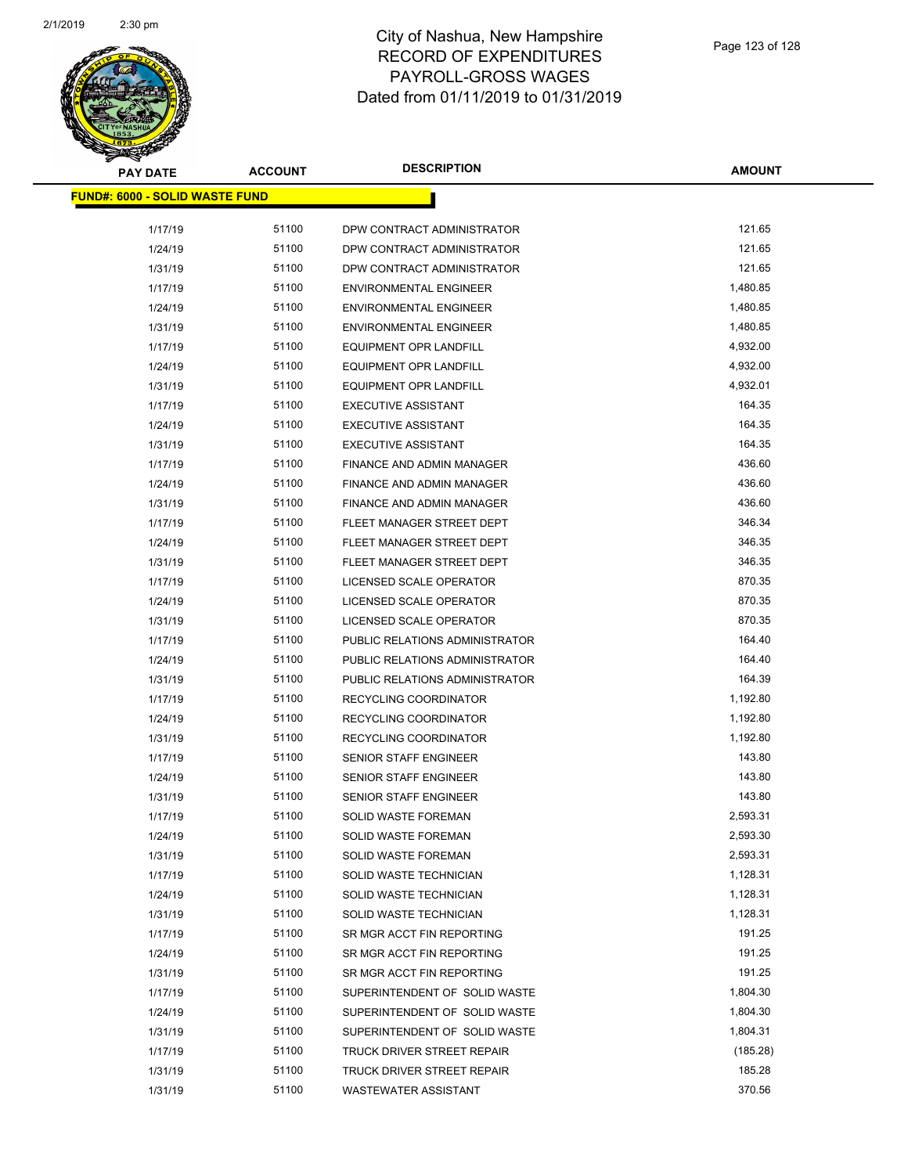

| <b>PAY DATE</b>                        | <b>ACCOUNT</b> | <b>DESCRIPTION</b>                | <b>AMOUNT</b> |
|----------------------------------------|----------------|-----------------------------------|---------------|
| <u> FUND#: 6000 - SOLID WASTE FUND</u> |                |                                   |               |
|                                        |                |                                   |               |
| 1/17/19                                | 51100          | DPW CONTRACT ADMINISTRATOR        | 121.65        |
| 1/24/19                                | 51100          | DPW CONTRACT ADMINISTRATOR        | 121.65        |
| 1/31/19                                | 51100          | DPW CONTRACT ADMINISTRATOR        | 121.65        |
| 1/17/19                                | 51100          | <b>ENVIRONMENTAL ENGINEER</b>     | 1,480.85      |
| 1/24/19                                | 51100          | <b>ENVIRONMENTAL ENGINEER</b>     | 1,480.85      |
| 1/31/19                                | 51100          | <b>ENVIRONMENTAL ENGINEER</b>     | 1,480.85      |
| 1/17/19                                | 51100          | EQUIPMENT OPR LANDFILL            | 4,932.00      |
| 1/24/19                                | 51100          | <b>EQUIPMENT OPR LANDFILL</b>     | 4,932.00      |
| 1/31/19                                | 51100          | EQUIPMENT OPR LANDFILL            | 4,932.01      |
| 1/17/19                                | 51100          | <b>EXECUTIVE ASSISTANT</b>        | 164.35        |
| 1/24/19                                | 51100          | <b>EXECUTIVE ASSISTANT</b>        | 164.35        |
| 1/31/19                                | 51100          | <b>EXECUTIVE ASSISTANT</b>        | 164.35        |
| 1/17/19                                | 51100          | <b>FINANCE AND ADMIN MANAGER</b>  | 436.60        |
| 1/24/19                                | 51100          | FINANCE AND ADMIN MANAGER         | 436.60        |
| 1/31/19                                | 51100          | FINANCE AND ADMIN MANAGER         | 436.60        |
| 1/17/19                                | 51100          | FLEET MANAGER STREET DEPT         | 346.34        |
| 1/24/19                                | 51100          | FLEET MANAGER STREET DEPT         | 346.35        |
| 1/31/19                                | 51100          | FLEET MANAGER STREET DEPT         | 346.35        |
| 1/17/19                                | 51100          | LICENSED SCALE OPERATOR           | 870.35        |
| 1/24/19                                | 51100          | LICENSED SCALE OPERATOR           | 870.35        |
| 1/31/19                                | 51100          | LICENSED SCALE OPERATOR           | 870.35        |
| 1/17/19                                | 51100          | PUBLIC RELATIONS ADMINISTRATOR    | 164.40        |
| 1/24/19                                | 51100          | PUBLIC RELATIONS ADMINISTRATOR    | 164.40        |
| 1/31/19                                | 51100          | PUBLIC RELATIONS ADMINISTRATOR    | 164.39        |
| 1/17/19                                | 51100          | RECYCLING COORDINATOR             | 1,192.80      |
| 1/24/19                                | 51100          | RECYCLING COORDINATOR             | 1,192.80      |
| 1/31/19                                | 51100          | RECYCLING COORDINATOR             | 1,192.80      |
| 1/17/19                                | 51100          | <b>SENIOR STAFF ENGINEER</b>      | 143.80        |
| 1/24/19                                | 51100          | <b>SENIOR STAFF ENGINEER</b>      | 143.80        |
| 1/31/19                                | 51100          | <b>SENIOR STAFF ENGINEER</b>      | 143.80        |
| 1/17/19                                | 51100          | <b>SOLID WASTE FOREMAN</b>        | 2,593.31      |
| 1/24/19                                | 51100          | SOLID WASTE FOREMAN               | 2,593.30      |
| 1/31/19                                | 51100          | SOLID WASTE FOREMAN               | 2,593.31      |
| 1/17/19                                | 51100          | SOLID WASTE TECHNICIAN            | 1,128.31      |
| 1/24/19                                | 51100          | SOLID WASTE TECHNICIAN            | 1,128.31      |
| 1/31/19                                | 51100          | SOLID WASTE TECHNICIAN            | 1,128.31      |
| 1/17/19                                | 51100          | SR MGR ACCT FIN REPORTING         | 191.25        |
| 1/24/19                                | 51100          | SR MGR ACCT FIN REPORTING         | 191.25        |
| 1/31/19                                | 51100          | SR MGR ACCT FIN REPORTING         | 191.25        |
| 1/17/19                                | 51100          | SUPERINTENDENT OF SOLID WASTE     | 1,804.30      |
| 1/24/19                                | 51100          | SUPERINTENDENT OF SOLID WASTE     | 1,804.30      |
| 1/31/19                                | 51100          | SUPERINTENDENT OF SOLID WASTE     | 1,804.31      |
| 1/17/19                                | 51100          | TRUCK DRIVER STREET REPAIR        | (185.28)      |
| 1/31/19                                | 51100          | <b>TRUCK DRIVER STREET REPAIR</b> | 185.28        |
| 1/31/19                                | 51100          | WASTEWATER ASSISTANT              | 370.56        |
|                                        |                |                                   |               |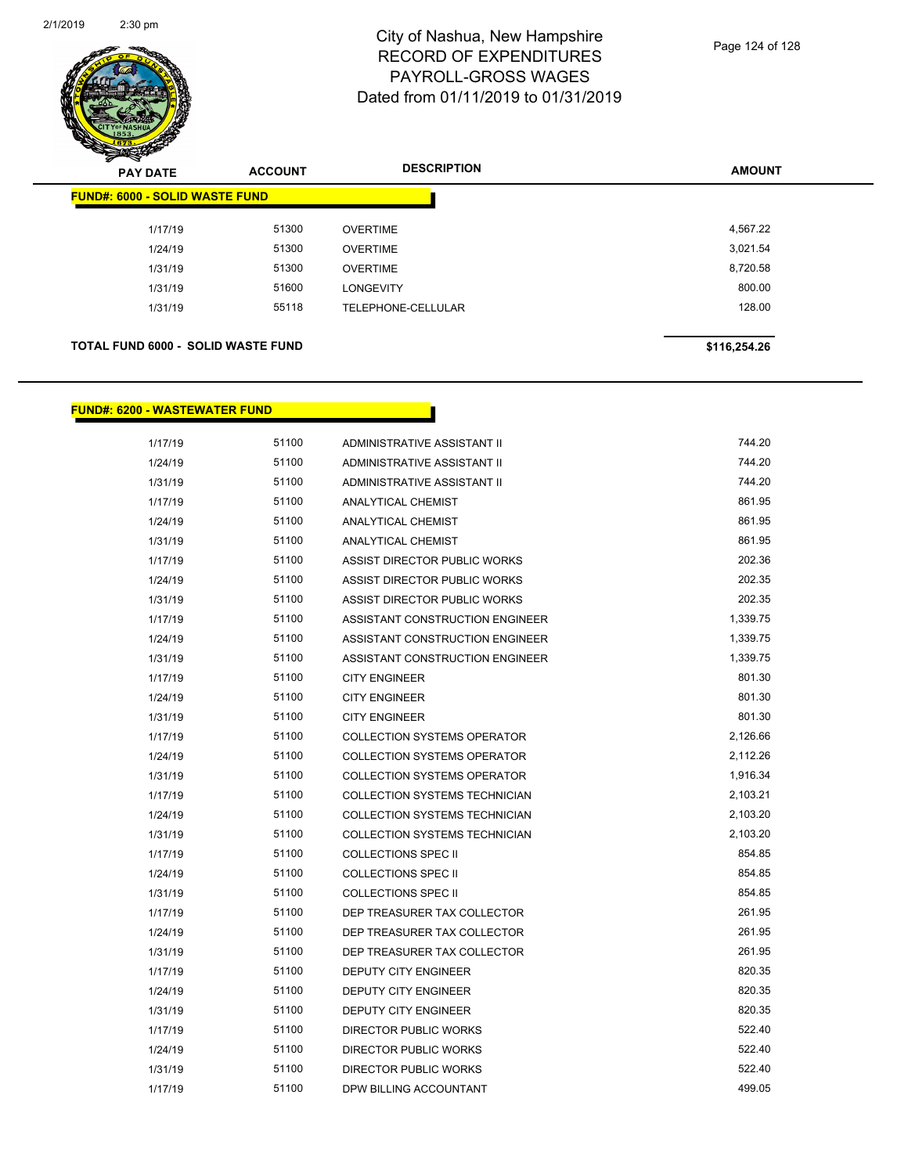

| $\boldsymbol{\nu}$<br>-<br><b>PAY DATE</b> | <b>ACCOUNT</b> | <b>DESCRIPTION</b> | <b>AMOUNT</b> |
|--------------------------------------------|----------------|--------------------|---------------|
| <b>FUND#: 6000 - SOLID WASTE FUND</b>      |                |                    |               |
| 1/17/19                                    | 51300          | <b>OVERTIME</b>    | 4,567.22      |
| 1/24/19                                    | 51300          | <b>OVERTIME</b>    | 3,021.54      |
| 1/31/19                                    | 51300          | <b>OVERTIME</b>    | 8,720.58      |
| 1/31/19                                    | 51600          | <b>LONGEVITY</b>   | 800.00        |
| 1/31/19                                    | 55118          | TELEPHONE-CELLULAR | 128.00        |
|                                            |                |                    |               |
| <b>TOTAL FUND 6000 - SOLID WASTE FUND</b>  |                |                    | \$116,254.26  |

**FUND#: 6200 - WASTEWATER FUND**

| 1/17/19 | 51100 | ADMINISTRATIVE ASSISTANT II          | 744.20   |
|---------|-------|--------------------------------------|----------|
| 1/24/19 | 51100 | ADMINISTRATIVE ASSISTANT II          | 744.20   |
| 1/31/19 | 51100 | ADMINISTRATIVE ASSISTANT II          | 744.20   |
| 1/17/19 | 51100 | ANALYTICAL CHEMIST                   | 861.95   |
| 1/24/19 | 51100 | <b>ANALYTICAL CHEMIST</b>            | 861.95   |
| 1/31/19 | 51100 | <b>ANALYTICAL CHEMIST</b>            | 861.95   |
| 1/17/19 | 51100 | ASSIST DIRECTOR PUBLIC WORKS         | 202.36   |
| 1/24/19 | 51100 | ASSIST DIRECTOR PUBLIC WORKS         | 202.35   |
| 1/31/19 | 51100 | ASSIST DIRECTOR PUBLIC WORKS         | 202.35   |
| 1/17/19 | 51100 | ASSISTANT CONSTRUCTION ENGINEER      | 1,339.75 |
| 1/24/19 | 51100 | ASSISTANT CONSTRUCTION ENGINEER      | 1,339.75 |
| 1/31/19 | 51100 | ASSISTANT CONSTRUCTION ENGINEER      | 1,339.75 |
| 1/17/19 | 51100 | <b>CITY ENGINEER</b>                 | 801.30   |
| 1/24/19 | 51100 | <b>CITY ENGINEER</b>                 | 801.30   |
| 1/31/19 | 51100 | <b>CITY ENGINEER</b>                 | 801.30   |
| 1/17/19 | 51100 | <b>COLLECTION SYSTEMS OPERATOR</b>   | 2,126.66 |
| 1/24/19 | 51100 | <b>COLLECTION SYSTEMS OPERATOR</b>   | 2,112.26 |
| 1/31/19 | 51100 | <b>COLLECTION SYSTEMS OPERATOR</b>   | 1,916.34 |
| 1/17/19 | 51100 | <b>COLLECTION SYSTEMS TECHNICIAN</b> | 2,103.21 |
| 1/24/19 | 51100 | <b>COLLECTION SYSTEMS TECHNICIAN</b> | 2,103.20 |
| 1/31/19 | 51100 | <b>COLLECTION SYSTEMS TECHNICIAN</b> | 2,103.20 |
| 1/17/19 | 51100 | <b>COLLECTIONS SPEC II</b>           | 854.85   |
| 1/24/19 | 51100 | <b>COLLECTIONS SPEC II</b>           | 854.85   |
| 1/31/19 | 51100 | <b>COLLECTIONS SPEC II</b>           | 854.85   |
| 1/17/19 | 51100 | DEP TREASURER TAX COLLECTOR          | 261.95   |
| 1/24/19 | 51100 | DEP TREASURER TAX COLLECTOR          | 261.95   |
| 1/31/19 | 51100 | DEP TREASURER TAX COLLECTOR          | 261.95   |
| 1/17/19 | 51100 | DEPUTY CITY ENGINEER                 | 820.35   |
| 1/24/19 | 51100 | DEPUTY CITY ENGINEER                 | 820.35   |
| 1/31/19 | 51100 | DEPUTY CITY ENGINEER                 | 820.35   |
| 1/17/19 | 51100 | DIRECTOR PUBLIC WORKS                | 522.40   |
| 1/24/19 | 51100 | DIRECTOR PUBLIC WORKS                | 522.40   |
| 1/31/19 | 51100 | DIRECTOR PUBLIC WORKS                | 522.40   |
| 1/17/19 | 51100 | DPW BILLING ACCOUNTANT               | 499.05   |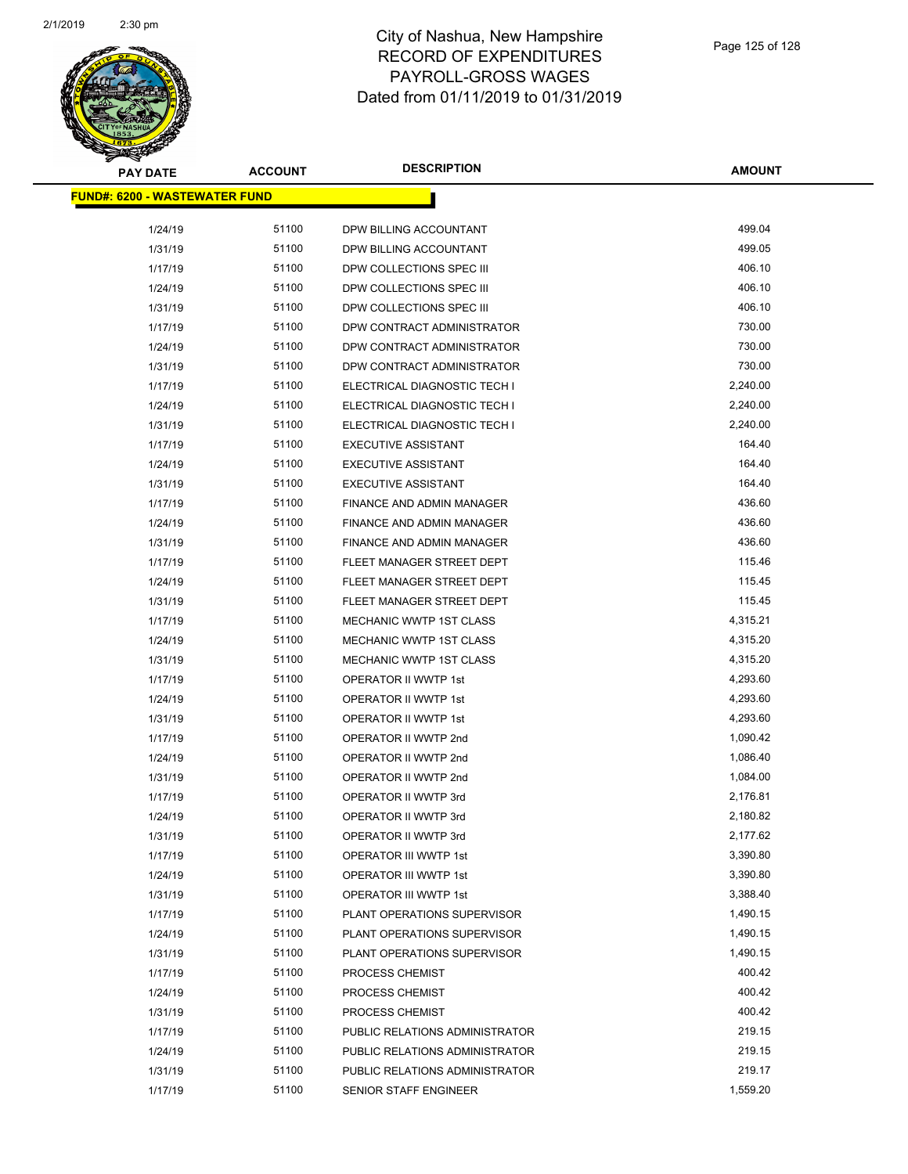

| <b>PAY DATE</b>                       | <b>ACCOUNT</b> | <b>DESCRIPTION</b>               | <b>AMOUNT</b> |
|---------------------------------------|----------------|----------------------------------|---------------|
| <u> FUND#: 6200 - WASTEWATER FUND</u> |                |                                  |               |
|                                       |                |                                  |               |
| 1/24/19                               | 51100          | DPW BILLING ACCOUNTANT           | 499.04        |
| 1/31/19                               | 51100          | DPW BILLING ACCOUNTANT           | 499.05        |
| 1/17/19                               | 51100          | DPW COLLECTIONS SPEC III         | 406.10        |
| 1/24/19                               | 51100          | DPW COLLECTIONS SPEC III         | 406.10        |
| 1/31/19                               | 51100          | DPW COLLECTIONS SPEC III         | 406.10        |
| 1/17/19                               | 51100          | DPW CONTRACT ADMINISTRATOR       | 730.00        |
| 1/24/19                               | 51100          | DPW CONTRACT ADMINISTRATOR       | 730.00        |
| 1/31/19                               | 51100          | DPW CONTRACT ADMINISTRATOR       | 730.00        |
| 1/17/19                               | 51100          | ELECTRICAL DIAGNOSTIC TECH I     | 2,240.00      |
| 1/24/19                               | 51100          | ELECTRICAL DIAGNOSTIC TECH I     | 2,240.00      |
| 1/31/19                               | 51100          | ELECTRICAL DIAGNOSTIC TECH I     | 2,240.00      |
| 1/17/19                               | 51100          | <b>EXECUTIVE ASSISTANT</b>       | 164.40        |
| 1/24/19                               | 51100          | <b>EXECUTIVE ASSISTANT</b>       | 164.40        |
| 1/31/19                               | 51100          | <b>EXECUTIVE ASSISTANT</b>       | 164.40        |
| 1/17/19                               | 51100          | FINANCE AND ADMIN MANAGER        | 436.60        |
| 1/24/19                               | 51100          | <b>FINANCE AND ADMIN MANAGER</b> | 436.60        |
| 1/31/19                               | 51100          | FINANCE AND ADMIN MANAGER        | 436.60        |
| 1/17/19                               | 51100          | FLEET MANAGER STREET DEPT        | 115.46        |
| 1/24/19                               | 51100          | FLEET MANAGER STREET DEPT        | 115.45        |
| 1/31/19                               | 51100          | FLEET MANAGER STREET DEPT        | 115.45        |
| 1/17/19                               | 51100          | MECHANIC WWTP 1ST CLASS          | 4,315.21      |
| 1/24/19                               | 51100          | MECHANIC WWTP 1ST CLASS          | 4,315.20      |
| 1/31/19                               | 51100          | MECHANIC WWTP 1ST CLASS          | 4,315.20      |
| 1/17/19                               | 51100          | OPERATOR II WWTP 1st             | 4,293.60      |
| 1/24/19                               | 51100          | OPERATOR II WWTP 1st             | 4,293.60      |
| 1/31/19                               | 51100          | OPERATOR II WWTP 1st             | 4,293.60      |
| 1/17/19                               | 51100          | OPERATOR II WWTP 2nd             | 1,090.42      |
| 1/24/19                               | 51100          | OPERATOR II WWTP 2nd             | 1,086.40      |
| 1/31/19                               | 51100          | OPERATOR II WWTP 2nd             | 1,084.00      |
| 1/17/19                               | 51100          | OPERATOR II WWTP 3rd             | 2,176.81      |
| 1/24/19                               | 51100          | OPERATOR II WWTP 3rd             | 2,180.82      |
| 1/31/19                               | 51100          | OPERATOR II WWTP 3rd             | 2,177.62      |
| 1/17/19                               | 51100          | OPERATOR III WWTP 1st            | 3,390.80      |
| 1/24/19                               | 51100          | OPERATOR III WWTP 1st            | 3,390.80      |
| 1/31/19                               | 51100          | OPERATOR III WWTP 1st            | 3,388.40      |
| 1/17/19                               | 51100          | PLANT OPERATIONS SUPERVISOR      | 1,490.15      |
| 1/24/19                               | 51100          | PLANT OPERATIONS SUPERVISOR      | 1,490.15      |
| 1/31/19                               | 51100          | PLANT OPERATIONS SUPERVISOR      | 1,490.15      |
| 1/17/19                               | 51100          | PROCESS CHEMIST                  | 400.42        |
| 1/24/19                               | 51100          | PROCESS CHEMIST                  | 400.42        |
| 1/31/19                               | 51100          | PROCESS CHEMIST                  | 400.42        |
| 1/17/19                               | 51100          | PUBLIC RELATIONS ADMINISTRATOR   | 219.15        |
| 1/24/19                               | 51100          | PUBLIC RELATIONS ADMINISTRATOR   | 219.15        |
| 1/31/19                               | 51100          | PUBLIC RELATIONS ADMINISTRATOR   | 219.17        |
| 1/17/19                               | 51100          | SENIOR STAFF ENGINEER            | 1,559.20      |
|                                       |                |                                  |               |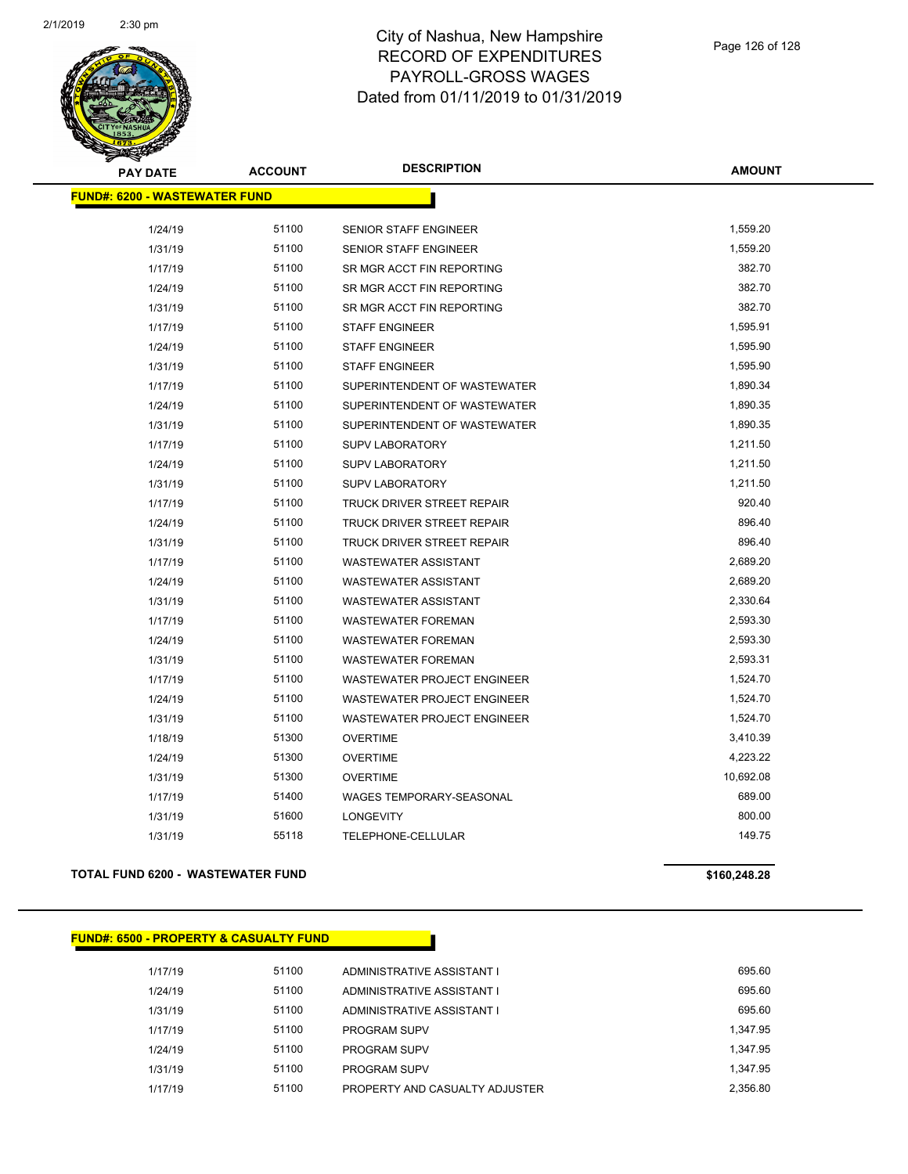

| <b>PAY DATE</b>                      | <b>ACCOUNT</b> | <b>DESCRIPTION</b>                | <b>AMOUNT</b> |
|--------------------------------------|----------------|-----------------------------------|---------------|
| <b>FUND#: 6200 - WASTEWATER FUND</b> |                |                                   |               |
| 1/24/19                              | 51100          | <b>SENIOR STAFF ENGINEER</b>      | 1,559.20      |
| 1/31/19                              | 51100          | SENIOR STAFF ENGINEER             | 1,559.20      |
| 1/17/19                              | 51100          | SR MGR ACCT FIN REPORTING         | 382.70        |
| 1/24/19                              | 51100          | SR MGR ACCT FIN REPORTING         | 382.70        |
| 1/31/19                              | 51100          | SR MGR ACCT FIN REPORTING         | 382.70        |
| 1/17/19                              | 51100          | <b>STAFF ENGINEER</b>             | 1,595.91      |
| 1/24/19                              | 51100          | <b>STAFF ENGINEER</b>             | 1,595.90      |
| 1/31/19                              | 51100          | <b>STAFF ENGINEER</b>             | 1,595.90      |
| 1/17/19                              | 51100          | SUPERINTENDENT OF WASTEWATER      | 1,890.34      |
| 1/24/19                              | 51100          | SUPERINTENDENT OF WASTEWATER      | 1,890.35      |
| 1/31/19                              | 51100          | SUPERINTENDENT OF WASTEWATER      | 1,890.35      |
| 1/17/19                              | 51100          | <b>SUPV LABORATORY</b>            | 1,211.50      |
| 1/24/19                              | 51100          | SUPV LABORATORY                   | 1,211.50      |
| 1/31/19                              | 51100          | <b>SUPV LABORATORY</b>            | 1,211.50      |
| 1/17/19                              | 51100          | TRUCK DRIVER STREET REPAIR        | 920.40        |
| 1/24/19                              | 51100          | TRUCK DRIVER STREET REPAIR        | 896.40        |
| 1/31/19                              | 51100          | <b>TRUCK DRIVER STREET REPAIR</b> | 896.40        |
| 1/17/19                              | 51100          | <b>WASTEWATER ASSISTANT</b>       | 2,689.20      |
| 1/24/19                              | 51100          | <b>WASTEWATER ASSISTANT</b>       | 2,689.20      |
| 1/31/19                              | 51100          | <b>WASTEWATER ASSISTANT</b>       | 2,330.64      |
| 1/17/19                              | 51100          | <b>WASTEWATER FOREMAN</b>         | 2,593.30      |
| 1/24/19                              | 51100          | <b>WASTEWATER FOREMAN</b>         | 2,593.30      |
| 1/31/19                              | 51100          | <b>WASTEWATER FOREMAN</b>         | 2,593.31      |
| 1/17/19                              | 51100          | WASTEWATER PROJECT ENGINEER       | 1,524.70      |
| 1/24/19                              | 51100          | WASTEWATER PROJECT ENGINEER       | 1,524.70      |
| 1/31/19                              | 51100          | WASTEWATER PROJECT ENGINEER       | 1,524.70      |
| 1/18/19                              | 51300          | <b>OVERTIME</b>                   | 3,410.39      |
| 1/24/19                              | 51300          | <b>OVERTIME</b>                   | 4,223.22      |
| 1/31/19                              | 51300          | <b>OVERTIME</b>                   | 10,692.08     |
| 1/17/19                              | 51400          | <b>WAGES TEMPORARY-SEASONAL</b>   | 689.00        |
| 1/31/19                              | 51600          | <b>LONGEVITY</b>                  | 800.00        |
| 1/31/19                              | 55118          | TELEPHONE-CELLULAR                | 149.75        |

### **TOTAL FUND 6200 - WASTEWATER FUND \$160,248.28**

**FUND#: 6500 - PROPERTY & CASUALTY FUND**

| 695.60   | ADMINISTRATIVE ASSISTANT I     | 51100 | 1/17/19 |
|----------|--------------------------------|-------|---------|
| 695.60   | ADMINISTRATIVE ASSISTANT I     | 51100 | 1/24/19 |
| 695.60   | ADMINISTRATIVE ASSISTANT I     | 51100 | 1/31/19 |
| 1,347.95 | <b>PROGRAM SUPV</b>            | 51100 | 1/17/19 |
| 1.347.95 | <b>PROGRAM SUPV</b>            | 51100 | 1/24/19 |
| 1,347.95 | PROGRAM SUPV                   | 51100 | 1/31/19 |
| 2.356.80 | PROPERTY AND CASUALTY ADJUSTER | 51100 | 1/17/19 |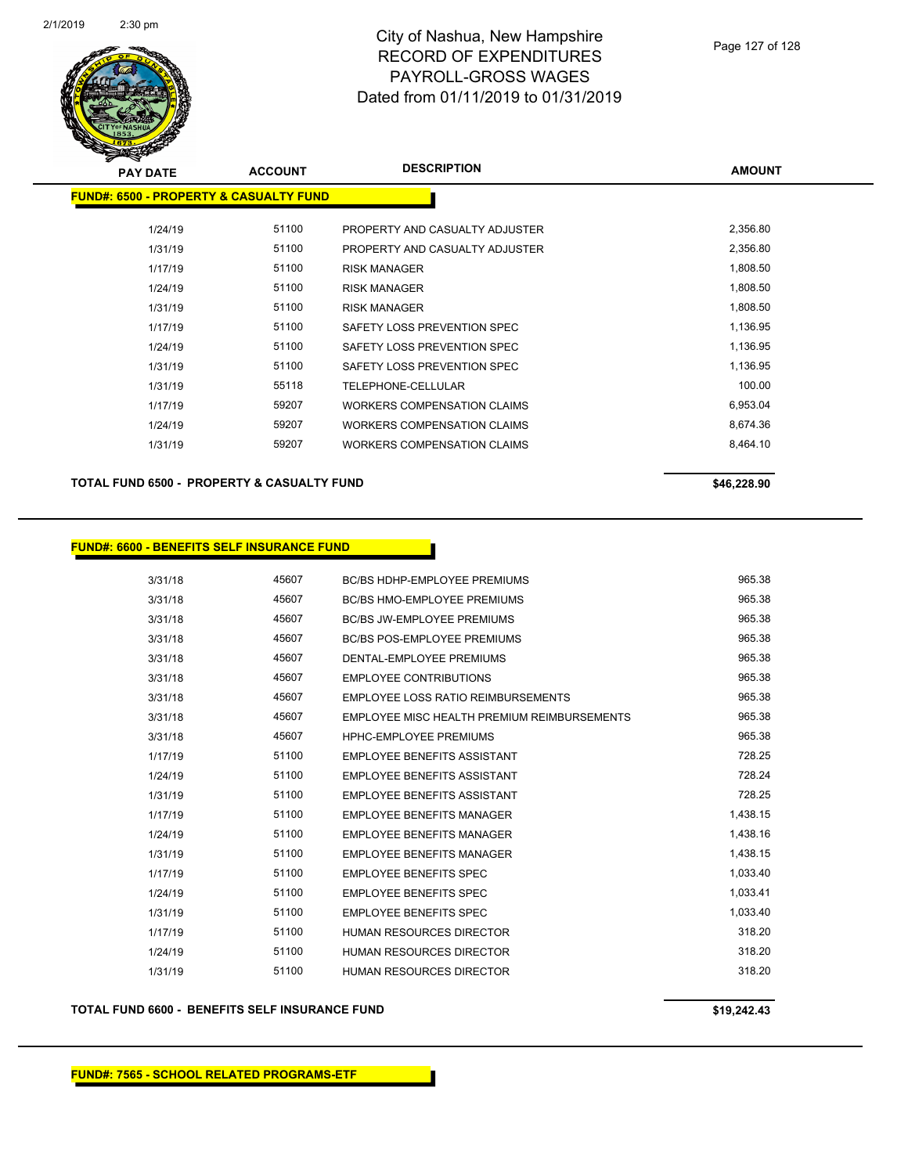

| <b>PAY DATE</b>                                   | <b>ACCOUNT</b> | <b>DESCRIPTION</b>                 | <b>AMOUNT</b> |
|---------------------------------------------------|----------------|------------------------------------|---------------|
| <b>FUND#: 6500 - PROPERTY &amp; CASUALTY FUND</b> |                |                                    |               |
|                                                   |                |                                    |               |
| 1/24/19                                           | 51100          | PROPERTY AND CASUALTY ADJUSTER     | 2,356.80      |
| 1/31/19                                           | 51100          | PROPERTY AND CASUALTY ADJUSTER     | 2,356.80      |
| 1/17/19                                           | 51100          | <b>RISK MANAGER</b>                | 1,808.50      |
| 1/24/19                                           | 51100          | <b>RISK MANAGER</b>                | 1,808.50      |
| 1/31/19                                           | 51100          | <b>RISK MANAGER</b>                | 1,808.50      |
| 1/17/19                                           | 51100          | SAFETY LOSS PREVENTION SPEC        | 1,136.95      |
| 1/24/19                                           | 51100          | SAFETY LOSS PREVENTION SPEC        | 1,136.95      |
| 1/31/19                                           | 51100          | SAFETY LOSS PREVENTION SPEC        | 1,136.95      |
| 1/31/19                                           | 55118          | <b>TELEPHONE-CELLULAR</b>          | 100.00        |
| 1/17/19                                           | 59207          | <b>WORKERS COMPENSATION CLAIMS</b> | 6,953.04      |
| 1/24/19                                           | 59207          | <b>WORKERS COMPENSATION CLAIMS</b> | 8,674.36      |
| 1/31/19                                           | 59207          | <b>WORKERS COMPENSATION CLAIMS</b> | 8,464.10      |
|                                                   |                |                                    |               |

**TOTAL FUND 6500 - PROPERTY & CASUALTY FUND \$46,228.90** 

#### **FUND#: 6600 - BENEFITS SELF INSURANCE FUND**

3/31/18 45607 BC/BS HDHP-EMPLOYEE PREMIUMS 965.38 3/31/18 45607 BC/BS HMO-EMPLOYEE PREMIUMS 965.38 3/31/18 45607 BC/BS JW-EMPLOYEE PREMIUMS 965.38 3/31/18 45607 BC/BS POS-EMPLOYEE PREMIUMS 965.38 3/31/18 45607 DENTAL-EMPLOYEE PREMIUMS 965.38 3/31/18 45607 EMPLOYEE CONTRIBUTIONS 965.38 3/31/18 45607 EMPLOYEE LOSS RATIO REIMBURSEMENTS 965.38 3/31/18 45607 EMPLOYEE MISC HEALTH PREMIUM REIMBURSEMENTS 965.38 3/31/18 45607 HPHC-EMPLOYEE PREMIUMS 965.38 1/17/19 51100 EMPLOYEE BENEFITS ASSISTANT 728.25 1/24/19 51100 EMPLOYEE BENEFITS ASSISTANT 728.24 1/31/19 51100 EMPLOYEE BENEFITS ASSISTANT 728.25 1/17/19 51100 EMPLOYEE BENEFITS MANAGER 1,438.15 1/24/19 51100 EMPLOYEE BENEFITS MANAGER 1,438.16 1/31/19 51100 EMPLOYEE BENEFITS MANAGER 1,438.15 1/17/19 51100 EMPLOYEE BENEFITS SPEC 1,033.40 1/24/19 51100 EMPLOYEE BENEFITS SPEC 1,033.41 1/31/19 51100 EMPLOYEE BENEFITS SPEC 1,033.40 1/17/19 51100 HUMAN RESOURCES DIRECTOR 318.20 1/24/19 51100 HUMAN RESOURCES DIRECTOR 318.20 1/31/19 51100 HUMAN RESOURCES DIRECTOR 318.20

**TOTAL FUND 6600 - BENEFITS SELF INSURANCE FUND \$19,242.43**